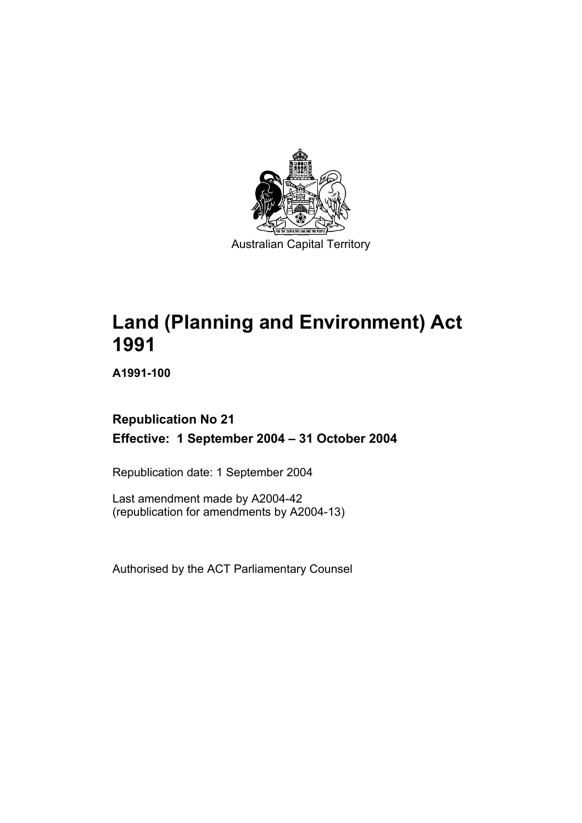

**Land (Planning and Environment) Act 1991** 

**A1991-100** 

# **Republication No 21 Effective: 1 September 2004 – 31 October 2004**

Republication date: 1 September 2004

Last amendment made by A2004-42 (republication for amendments by A2004-13)

Authorised by the ACT Parliamentary Counsel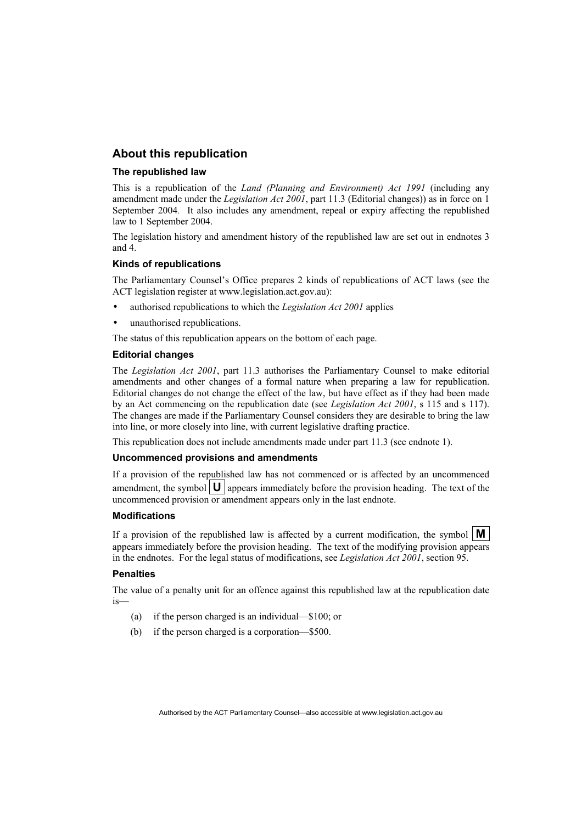#### **About this republication**

#### **The republished law**

This is a republication of the *Land (Planning and Environment) Act 1991* (including any amendment made under the *Legislation Act 2001*, part 11.3 (Editorial changes)) as in force on 1 September 2004*.* It also includes any amendment, repeal or expiry affecting the republished law to 1 September 2004.

The legislation history and amendment history of the republished law are set out in endnotes 3 and 4.

#### **Kinds of republications**

The Parliamentary Counsel's Office prepares 2 kinds of republications of ACT laws (see the ACT legislation register at www.legislation.act.gov.au):

- authorised republications to which the *Legislation Act 2001* applies
- unauthorised republications.

The status of this republication appears on the bottom of each page.

#### **Editorial changes**

The *Legislation Act 2001*, part 11.3 authorises the Parliamentary Counsel to make editorial amendments and other changes of a formal nature when preparing a law for republication. Editorial changes do not change the effect of the law, but have effect as if they had been made by an Act commencing on the republication date (see *Legislation Act 2001*, s 115 and s 117). The changes are made if the Parliamentary Counsel considers they are desirable to bring the law into line, or more closely into line, with current legislative drafting practice.

This republication does not include amendments made under part 11.3 (see endnote 1).

#### **Uncommenced provisions and amendments**

If a provision of the republished law has not commenced or is affected by an uncommenced amendment, the symbol  $\mathbf{U}$  appears immediately before the provision heading. The text of the uncommenced provision or amendment appears only in the last endnote.

#### **Modifications**

If a provision of the republished law is affected by a current modification, the symbol  $\mathbf{M}$ appears immediately before the provision heading. The text of the modifying provision appears in the endnotes. For the legal status of modifications, see *Legislation Act 2001*, section 95.

#### **Penalties**

The value of a penalty unit for an offence against this republished law at the republication date is—

- (a) if the person charged is an individual—\$100; or
- (b) if the person charged is a corporation—\$500.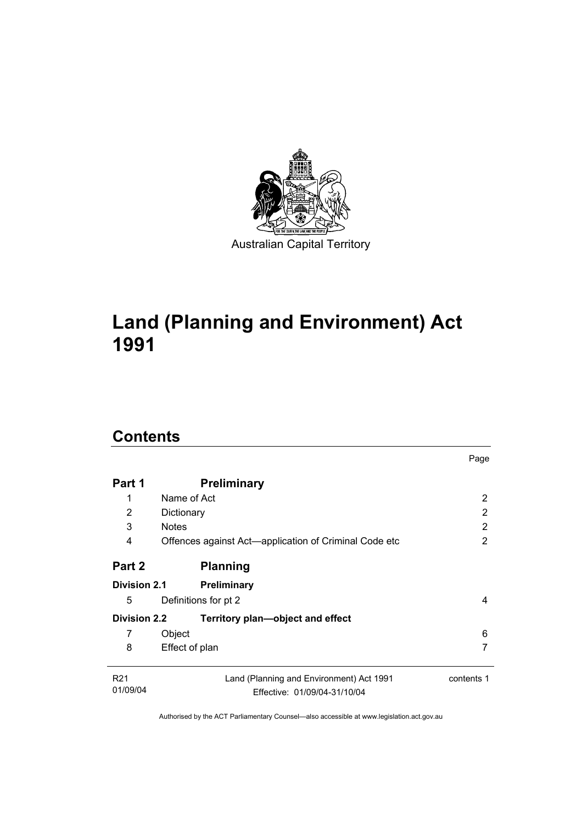

# **Land (Planning and Environment) Act 1991**

# **Contents**

| Part 1              | <b>Preliminary</b>                                    |            |
|---------------------|-------------------------------------------------------|------------|
| 1                   | Name of Act                                           | 2          |
| 2                   | Dictionary                                            | 2          |
| 3                   | <b>Notes</b>                                          | 2          |
| 4                   | Offences against Act—application of Criminal Code etc | 2          |
| Part 2              | <b>Planning</b>                                       |            |
| <b>Division 2.1</b> | Preliminary                                           |            |
| 5                   | Definitions for pt 2                                  | 4          |
| <b>Division 2.2</b> | Territory plan—object and effect                      |            |
| 7                   | Object                                                | 6          |
| 8                   | Effect of plan                                        | 7          |
| R <sub>21</sub>     | Land (Planning and Environment) Act 1991              | contents 1 |
| 01/09/04            | Effective: 01/09/04-31/10/04                          |            |

Page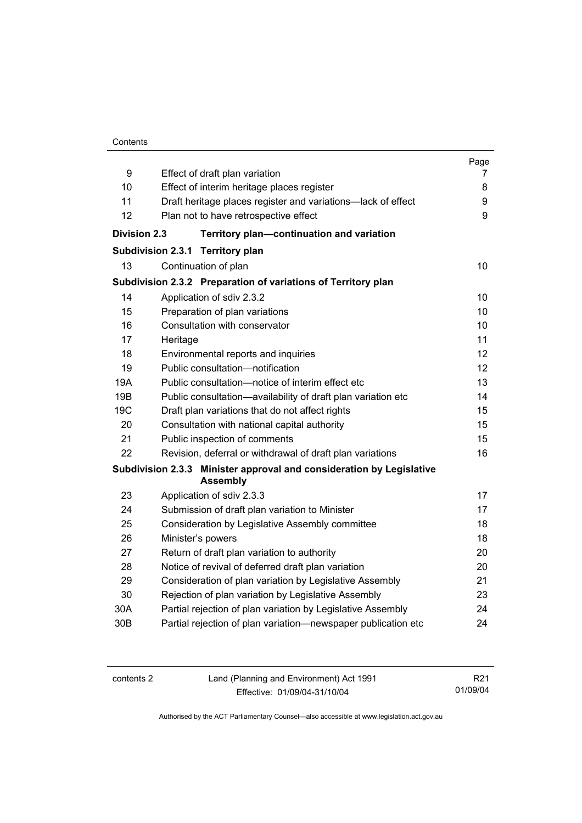#### **Contents**

| 9                   | Effect of draft plan variation                                                          | Page<br>7 |  |
|---------------------|-----------------------------------------------------------------------------------------|-----------|--|
| 10                  | Effect of interim heritage places register                                              | 8         |  |
| 11                  | Draft heritage places register and variations-lack of effect                            |           |  |
| 12                  | Plan not to have retrospective effect                                                   | 9<br>9    |  |
|                     |                                                                                         |           |  |
| <b>Division 2.3</b> | Territory plan-continuation and variation                                               |           |  |
|                     | <b>Subdivision 2.3.1</b><br><b>Territory plan</b>                                       |           |  |
| 13                  | Continuation of plan                                                                    | 10        |  |
|                     | Subdivision 2.3.2 Preparation of variations of Territory plan                           |           |  |
| 14                  | Application of sdiv 2.3.2                                                               | 10        |  |
| 15                  | Preparation of plan variations                                                          | 10        |  |
| 16                  | Consultation with conservator                                                           | 10        |  |
| 17                  | Heritage                                                                                | 11        |  |
| 18                  | Environmental reports and inquiries                                                     | 12        |  |
| 19                  | Public consultation-notification                                                        | 12        |  |
| 19A                 | Public consultation-notice of interim effect etc                                        | 13        |  |
| 19B                 | Public consultation-availability of draft plan variation etc                            | 14        |  |
| 19 <sub>C</sub>     | Draft plan variations that do not affect rights                                         |           |  |
| 20                  | Consultation with national capital authority                                            | 15        |  |
| 21                  | Public inspection of comments                                                           | 15        |  |
| 22                  | Revision, deferral or withdrawal of draft plan variations                               | 16        |  |
|                     | Subdivision 2.3.3 Minister approval and consideration by Legislative<br><b>Assembly</b> |           |  |
| 23                  | Application of sdiv 2.3.3                                                               | 17        |  |
| 24                  | Submission of draft plan variation to Minister                                          | 17        |  |
| 25                  | Consideration by Legislative Assembly committee                                         | 18        |  |
| 26                  | Minister's powers                                                                       | 18        |  |
| 27                  | Return of draft plan variation to authority                                             | 20        |  |
| 28                  | Notice of revival of deferred draft plan variation                                      | 20        |  |
| 29                  | Consideration of plan variation by Legislative Assembly                                 | 21        |  |
| 30                  | Rejection of plan variation by Legislative Assembly                                     | 23        |  |
| 30A                 | Partial rejection of plan variation by Legislative Assembly                             | 24        |  |
| 30 <sub>B</sub>     | Partial rejection of plan variation-newspaper publication etc                           | 24        |  |

| contents 2 | Land (Planning and Environment) Act 1991 | R21      |
|------------|------------------------------------------|----------|
|            | Effective: 01/09/04-31/10/04             | 01/09/04 |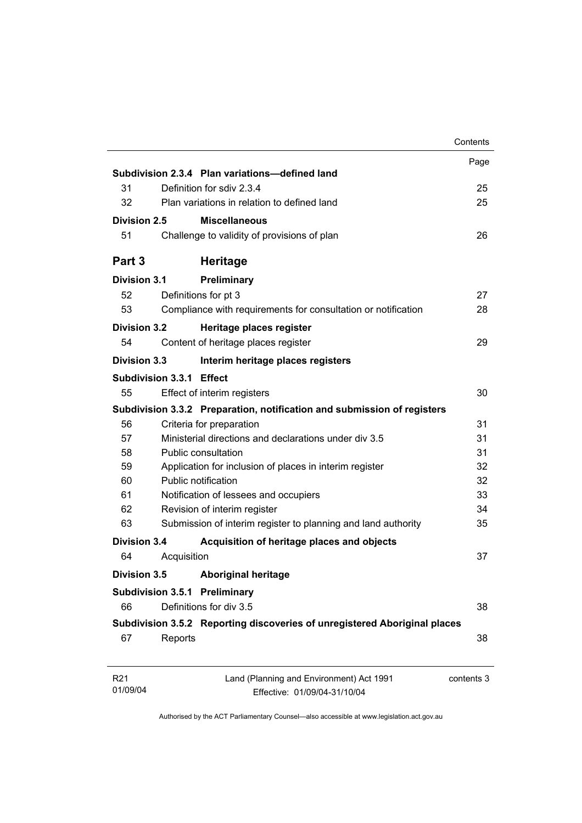|                             |                          |                                                                           | Contents   |
|-----------------------------|--------------------------|---------------------------------------------------------------------------|------------|
|                             |                          |                                                                           | Page       |
|                             |                          | Subdivision 2.3.4 Plan variations-defined land                            |            |
| 31                          |                          | Definition for sdiv 2.3.4                                                 | 25         |
| 32                          |                          | Plan variations in relation to defined land                               | 25         |
| Division 2.5                |                          | <b>Miscellaneous</b>                                                      |            |
| 51                          |                          | Challenge to validity of provisions of plan                               | 26         |
| Part 3                      |                          | <b>Heritage</b>                                                           |            |
| <b>Division 3.1</b>         |                          | Preliminary                                                               |            |
| 52                          |                          | Definitions for pt 3                                                      | 27         |
| 53                          |                          | Compliance with requirements for consultation or notification             | 28         |
| <b>Division 3.2</b>         |                          | Heritage places register                                                  |            |
| 54                          |                          | Content of heritage places register                                       | 29         |
| Division 3.3                |                          | Interim heritage places registers                                         |            |
|                             | Subdivision 3.3.1 Effect |                                                                           |            |
| 55                          |                          | Effect of interim registers                                               | 30         |
|                             |                          | Subdivision 3.3.2 Preparation, notification and submission of registers   |            |
| 56                          |                          | Criteria for preparation                                                  | 31         |
| 57                          |                          | Ministerial directions and declarations under div 3.5                     | 31         |
| 58                          |                          | Public consultation                                                       | 31         |
| 59                          |                          | Application for inclusion of places in interim register                   | 32         |
| 60                          |                          | Public notification                                                       | 32         |
| 61                          |                          | Notification of lessees and occupiers                                     | 33         |
| 62                          |                          | Revision of interim register                                              | 34         |
| 63                          |                          | Submission of interim register to planning and land authority             | 35         |
| Division 3.4                |                          | Acquisition of heritage places and objects                                |            |
| 64                          | Acquisition              |                                                                           | 37         |
| <b>Division 3.5</b>         |                          | <b>Aboriginal heritage</b>                                                |            |
|                             |                          | <b>Subdivision 3.5.1 Preliminary</b>                                      |            |
| 66                          |                          | Definitions for div 3.5                                                   | 38         |
|                             |                          | Subdivision 3.5.2 Reporting discoveries of unregistered Aboriginal places |            |
| 67                          | Reports                  |                                                                           | 38         |
| R <sub>21</sub><br>01/09/04 |                          | Land (Planning and Environment) Act 1991<br>Effective: 01/09/04-31/10/04  | contents 3 |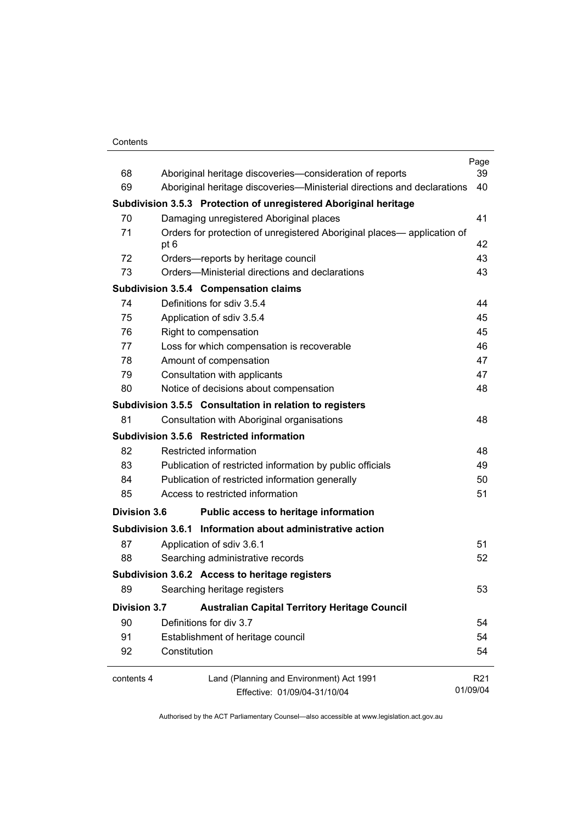#### **Contents**

|                     |                            |                                                                         | Page            |
|---------------------|----------------------------|-------------------------------------------------------------------------|-----------------|
| 68<br>69            |                            | Aboriginal heritage discoveries-consideration of reports                | 39<br>40        |
|                     |                            | Aboriginal heritage discoveries—Ministerial directions and declarations |                 |
|                     |                            | Subdivision 3.5.3 Protection of unregistered Aboriginal heritage        |                 |
| 70                  |                            | Damaging unregistered Aboriginal places                                 | 41              |
| 71                  | pt 6                       | Orders for protection of unregistered Aboriginal places— application of | 42              |
| 72                  |                            | Orders-reports by heritage council                                      | 43              |
| 73                  |                            | Orders—Ministerial directions and declarations                          | 43              |
|                     |                            | <b>Subdivision 3.5.4 Compensation claims</b>                            |                 |
| 74                  | Definitions for sdiv 3.5.4 |                                                                         | 44              |
| 75                  | Application of sdiv 3.5.4  |                                                                         | 45              |
| 76                  | Right to compensation      |                                                                         | 45              |
| 77                  |                            | Loss for which compensation is recoverable                              | 46              |
| 78                  | Amount of compensation     |                                                                         | 47              |
| 79                  |                            | Consultation with applicants                                            | 47              |
| 80                  |                            | Notice of decisions about compensation                                  | 48              |
|                     |                            | Subdivision 3.5.5 Consultation in relation to registers                 |                 |
| 81                  |                            | Consultation with Aboriginal organisations                              | 48              |
|                     |                            | Subdivision 3.5.6 Restricted information                                |                 |
| 82                  | Restricted information     |                                                                         | 48              |
| 83                  |                            | Publication of restricted information by public officials               | 49              |
| 84                  |                            | Publication of restricted information generally                         | 50              |
| 85                  |                            | Access to restricted information                                        | 51              |
| <b>Division 3.6</b> |                            | Public access to heritage information                                   |                 |
|                     |                            | Subdivision 3.6.1 Information about administrative action               |                 |
| 87                  | Application of sdiv 3.6.1  |                                                                         | 51              |
| 88                  |                            | Searching administrative records                                        | 52              |
|                     |                            | Subdivision 3.6.2 Access to heritage registers                          |                 |
| 89                  |                            | Searching heritage registers                                            | 53              |
| <b>Division 3.7</b> |                            | <b>Australian Capital Territory Heritage Council</b>                    |                 |
| 90                  | Definitions for div 3.7    |                                                                         | 54              |
| 91                  |                            | Establishment of heritage council                                       | 54              |
| 92                  | Constitution               |                                                                         | 54              |
| contents 4          |                            | Land (Planning and Environment) Act 1991                                | R <sub>21</sub> |
|                     |                            | Effective: 01/09/04-31/10/04                                            | 01/09/04        |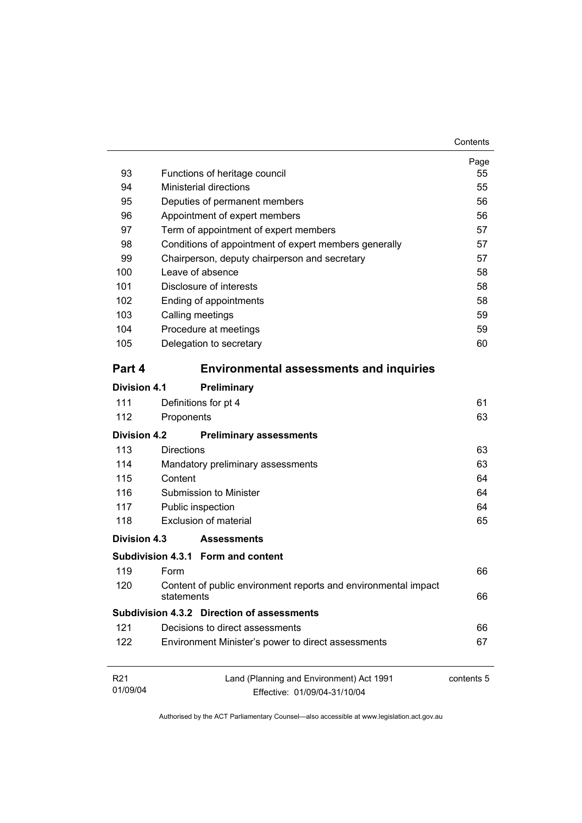| 93                  | Functions of heritage council                      |                                                                | Page<br>55 |
|---------------------|----------------------------------------------------|----------------------------------------------------------------|------------|
| 94                  | <b>Ministerial directions</b>                      |                                                                | 55         |
| 95                  | Deputies of permanent members                      |                                                                | 56         |
| 96                  | Appointment of expert members                      |                                                                | 56         |
| 97                  | Term of appointment of expert members              |                                                                | 57         |
| 98                  |                                                    | Conditions of appointment of expert members generally          | 57         |
| 99                  | Chairperson, deputy chairperson and secretary      |                                                                | 57         |
| 100                 | Leave of absence                                   |                                                                | 58         |
| 101                 | Disclosure of interests                            |                                                                | 58         |
| 102                 | Ending of appointments                             |                                                                | 58         |
| 103                 | Calling meetings                                   |                                                                | 59         |
| 104                 | Procedure at meetings                              |                                                                | 59         |
| 105                 | Delegation to secretary                            |                                                                | 60         |
| Part 4              |                                                    | <b>Environmental assessments and inquiries</b>                 |            |
| <b>Division 4.1</b> | Preliminary                                        |                                                                |            |
| 111                 | Definitions for pt 4                               |                                                                | 61         |
| 112                 | Proponents                                         |                                                                | 63         |
|                     |                                                    |                                                                |            |
| <b>Division 4.2</b> | <b>Preliminary assessments</b>                     |                                                                |            |
| 113                 | <b>Directions</b>                                  |                                                                | 63         |
| 114                 | Mandatory preliminary assessments                  |                                                                | 63         |
| 115                 | Content                                            |                                                                | 64         |
| 116                 | Submission to Minister                             |                                                                | 64         |
| 117                 | Public inspection                                  |                                                                | 64         |
| 118                 | Exclusion of material                              |                                                                | 65         |
| Division 4.3        | <b>Assessments</b>                                 |                                                                |            |
|                     | Subdivision 4.3.1 Form and content                 |                                                                |            |
| 119                 | Form                                               |                                                                | 66         |
| 120                 | statements                                         | Content of public environment reports and environmental impact | 66         |
|                     | <b>Subdivision 4.3.2 Direction of assessments</b>  |                                                                |            |
| 121                 | Decisions to direct assessments                    |                                                                | 66         |
| 122                 | Environment Minister's power to direct assessments |                                                                | 67         |
| R <sub>21</sub>     |                                                    | Land (Planning and Environment) Act 1991                       | contents 5 |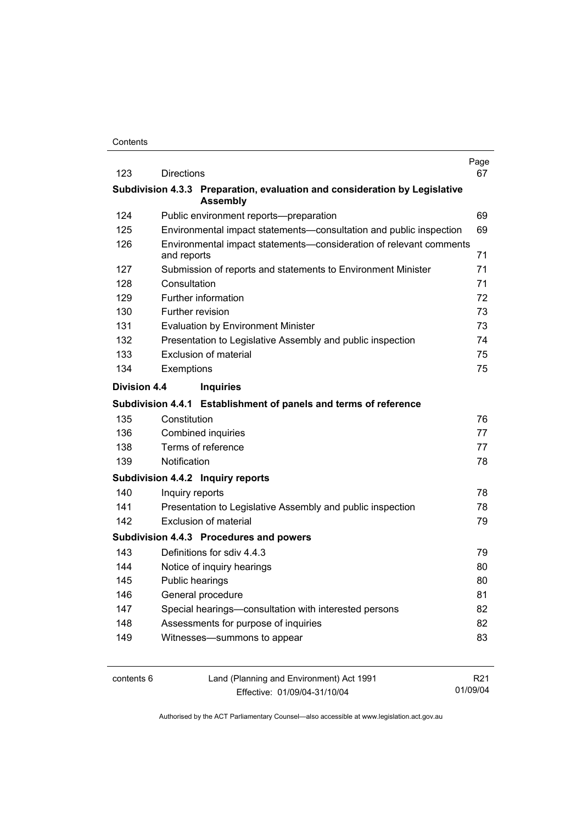|                     |                   |                                                                                               | Page            |
|---------------------|-------------------|-----------------------------------------------------------------------------------------------|-----------------|
| 123                 | <b>Directions</b> |                                                                                               | 67              |
|                     |                   | Subdivision 4.3.3 Preparation, evaluation and consideration by Legislative<br><b>Assembly</b> |                 |
| 124                 |                   | Public environment reports--preparation                                                       | 69              |
| 125                 |                   | Environmental impact statements-consultation and public inspection                            | 69              |
| 126                 | and reports       | Environmental impact statements-consideration of relevant comments                            | 71              |
| 127                 |                   | Submission of reports and statements to Environment Minister                                  | 71              |
| 128                 | Consultation      |                                                                                               | 71              |
| 129                 |                   | Further information                                                                           | 72              |
| 130                 |                   | Further revision                                                                              | 73              |
| 131                 |                   | <b>Evaluation by Environment Minister</b>                                                     | 73              |
| 132                 |                   | Presentation to Legislative Assembly and public inspection                                    | 74              |
| 133                 |                   | Exclusion of material                                                                         | 75              |
| 134                 | Exemptions        |                                                                                               | 75              |
| <b>Division 4.4</b> |                   | <b>Inquiries</b>                                                                              |                 |
|                     |                   | Subdivision 4.4.1 Establishment of panels and terms of reference                              |                 |
| 135                 | Constitution      |                                                                                               | 76              |
| 136                 |                   | Combined inquiries                                                                            | 77              |
| 138                 |                   | Terms of reference                                                                            | 77              |
| 139                 | Notification      |                                                                                               | 78              |
|                     |                   | Subdivision 4.4.2 Inquiry reports                                                             |                 |
| 140                 | Inquiry reports   |                                                                                               | 78              |
| 141                 |                   | Presentation to Legislative Assembly and public inspection                                    | 78              |
| 142                 |                   | <b>Exclusion of material</b>                                                                  | 79              |
|                     |                   | Subdivision 4.4.3 Procedures and powers                                                       |                 |
| 143                 |                   | Definitions for sdiv 4.4.3                                                                    | 79              |
| 144                 |                   | Notice of inquiry hearings                                                                    | 80              |
| 145                 |                   | Public hearings                                                                               | 80              |
| 146                 |                   | General procedure                                                                             | 81              |
| 147                 |                   | Special hearings-consultation with interested persons                                         | 82              |
| 148                 |                   | Assessments for purpose of inquiries                                                          | 82              |
| 149                 |                   | Witnesses-summons to appear                                                                   | 83              |
|                     |                   |                                                                                               |                 |
| contents 6          |                   | Land (Planning and Environment) Act 1991                                                      | R <sub>21</sub> |

Effective: 01/09/04-31/10/04

Authorised by the ACT Parliamentary Counsel—also accessible at www.legislation.act.gov.au

01/09/04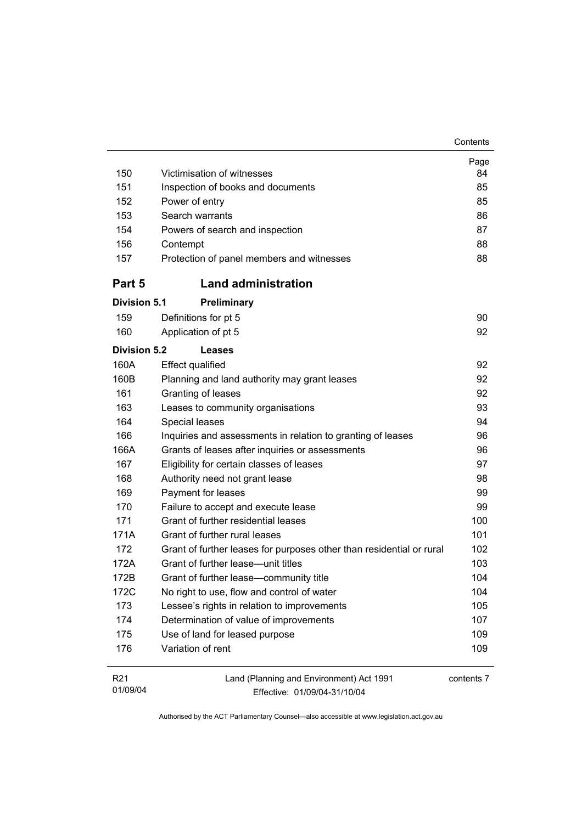| 150                 | Victimisation of witnesses                                           | Page<br>84 |
|---------------------|----------------------------------------------------------------------|------------|
| 151                 | Inspection of books and documents                                    | 85         |
| 152                 | Power of entry                                                       | 85         |
| 153                 | Search warrants                                                      | 86         |
| 154                 | Powers of search and inspection                                      | 87         |
| 156                 | Contempt                                                             | 88         |
| 157                 | Protection of panel members and witnesses                            | 88         |
| Part 5              | <b>Land administration</b>                                           |            |
| <b>Division 5.1</b> | <b>Preliminary</b>                                                   |            |
| 159                 | Definitions for pt 5                                                 | 90         |
| 160                 | Application of pt 5                                                  | 92         |
| <b>Division 5.2</b> | <b>Leases</b>                                                        |            |
| 160A                | <b>Effect qualified</b>                                              | 92         |
| 160B                | Planning and land authority may grant leases                         | 92         |
| 161                 | Granting of leases                                                   | 92         |
| 163                 | Leases to community organisations                                    | 93         |
| 164                 | Special leases                                                       | 94         |
| 166                 | Inquiries and assessments in relation to granting of leases          | 96         |
| 166A                | Grants of leases after inquiries or assessments                      | 96         |
| 167                 | Eligibility for certain classes of leases                            | 97         |
| 168                 | Authority need not grant lease                                       | 98         |
| 169                 | Payment for leases                                                   | 99         |
| 170                 | Failure to accept and execute lease                                  | 99         |
| 171                 | Grant of further residential leases                                  | 100        |
| 171A                | Grant of further rural leases                                        | 101        |
| 172                 | Grant of further leases for purposes other than residential or rural | 102        |
| 172A                | Grant of further lease-unit titles                                   | 103        |
| 172B                | Grant of further lease-community title                               | 104        |
| 172C                | No right to use, flow and control of water                           | 104        |
| 173                 | Lessee's rights in relation to improvements                          | 105        |
| 174                 | Determination of value of improvements                               | 107        |
| 175                 | Use of land for leased purpose                                       | 109        |
| 176                 | Variation of rent                                                    | 109        |
|                     |                                                                      |            |

**Contents** 

| R21      | Land (Planning and Environment) Act 1991 | contents 7 |
|----------|------------------------------------------|------------|
| 01/09/04 | Effective: 01/09/04-31/10/04             |            |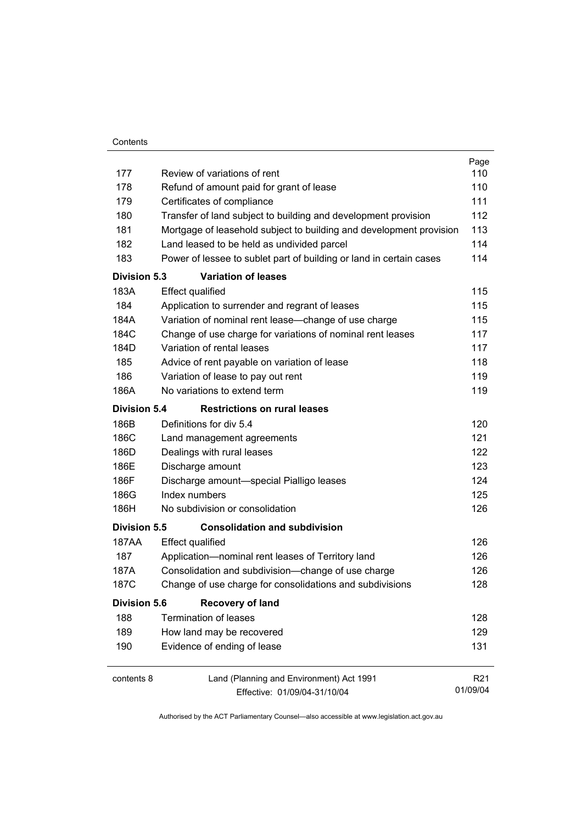| Contents |
|----------|
|          |

|                     |                                                                     | Page            |
|---------------------|---------------------------------------------------------------------|-----------------|
| 177                 | Review of variations of rent                                        | 110             |
| 178                 | Refund of amount paid for grant of lease                            | 110             |
| 179                 | Certificates of compliance                                          | 111             |
| 180                 | Transfer of land subject to building and development provision      | 112             |
| 181                 | Mortgage of leasehold subject to building and development provision | 113             |
| 182                 | Land leased to be held as undivided parcel                          | 114             |
| 183                 | Power of lessee to sublet part of building or land in certain cases | 114             |
| <b>Division 5.3</b> | <b>Variation of leases</b>                                          |                 |
| 183A                | <b>Effect qualified</b>                                             | 115             |
| 184                 | Application to surrender and regrant of leases                      | 115             |
| 184A                | Variation of nominal rent lease-change of use charge                | 115             |
| 184C                | Change of use charge for variations of nominal rent leases          | 117             |
| 184D                | Variation of rental leases                                          | 117             |
| 185                 | Advice of rent payable on variation of lease                        | 118             |
| 186                 | Variation of lease to pay out rent                                  | 119             |
| 186A                | No variations to extend term                                        | 119             |
| <b>Division 5.4</b> | <b>Restrictions on rural leases</b>                                 |                 |
| 186B                | Definitions for div 5.4                                             | 120             |
| 186C                | Land management agreements                                          | 121             |
| 186D                | Dealings with rural leases                                          | 122             |
| 186E                | Discharge amount                                                    | 123             |
| 186F                | Discharge amount-special Pialligo leases                            | 124             |
| 186G                | Index numbers                                                       | 125             |
| 186H                | No subdivision or consolidation                                     | 126             |
| <b>Division 5.5</b> | <b>Consolidation and subdivision</b>                                |                 |
| 187AA               | <b>Effect qualified</b>                                             | 126             |
| 187                 | Application-nominal rent leases of Territory land                   | 126             |
| 187A                | Consolidation and subdivision--change of use charge                 | 126             |
| 187C                | Change of use charge for consolidations and subdivisions            | 128             |
| <b>Division 5.6</b> | <b>Recovery of land</b>                                             |                 |
| 188                 | <b>Termination of leases</b>                                        | 128             |
| 189                 | How land may be recovered                                           | 129             |
| 190                 | Evidence of ending of lease                                         | 131             |
|                     |                                                                     |                 |
| contents 8          | Land (Planning and Environment) Act 1991                            | R <sub>21</sub> |
|                     | Effective: 01/09/04-31/10/04                                        | 01/09/04        |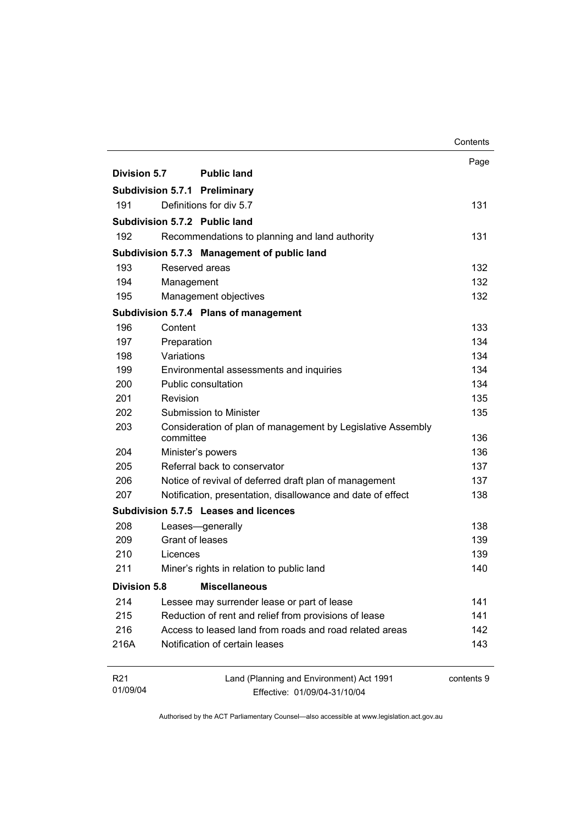|                             |                                                             |                                                                          | Contents   |
|-----------------------------|-------------------------------------------------------------|--------------------------------------------------------------------------|------------|
|                             |                                                             |                                                                          | Page       |
| Division 5.7                |                                                             | <b>Public land</b>                                                       |            |
|                             |                                                             | <b>Subdivision 5.7.1 Preliminary</b>                                     |            |
| 191                         |                                                             | Definitions for div 5.7                                                  | 131        |
|                             |                                                             | Subdivision 5.7.2 Public land                                            |            |
| 192                         |                                                             | Recommendations to planning and land authority                           | 131        |
|                             |                                                             | Subdivision 5.7.3 Management of public land                              |            |
| 193                         | Reserved areas                                              |                                                                          | 132        |
| 194                         | Management                                                  |                                                                          | 132        |
| 195                         |                                                             | Management objectives                                                    | 132        |
|                             |                                                             | Subdivision 5.7.4 Plans of management                                    |            |
| 196                         | Content                                                     |                                                                          | 133        |
| 197                         | Preparation                                                 |                                                                          | 134        |
| 198                         | Variations                                                  |                                                                          | 134        |
| 199                         |                                                             | Environmental assessments and inquiries                                  | 134        |
| 200                         |                                                             | <b>Public consultation</b>                                               | 134        |
| 201                         | Revision                                                    |                                                                          | 135        |
| 202                         | Submission to Minister                                      |                                                                          | 135        |
| 203                         | committee                                                   | Consideration of plan of management by Legislative Assembly              | 136        |
| 204                         | Minister's powers                                           |                                                                          | 136        |
| 205                         |                                                             | Referral back to conservator                                             | 137        |
| 206                         |                                                             | Notice of revival of deferred draft plan of management                   | 137        |
| 207                         | Notification, presentation, disallowance and date of effect |                                                                          |            |
|                             |                                                             | Subdivision 5.7.5 Leases and licences                                    |            |
| 208                         |                                                             | Leases-generally                                                         | 138        |
| 209                         | Grant of leases                                             |                                                                          | 139        |
| 210                         | Licences                                                    |                                                                          | 139        |
| 211                         |                                                             | Miner's rights in relation to public land                                | 140        |
| <b>Division 5.8</b>         |                                                             | <b>Miscellaneous</b>                                                     |            |
| 214                         |                                                             | Lessee may surrender lease or part of lease                              | 141        |
| 215                         |                                                             | Reduction of rent and relief from provisions of lease                    | 141        |
| 216                         |                                                             | Access to leased land from roads and road related areas                  | 142        |
| 216A                        |                                                             | Notification of certain leases                                           | 143        |
| R <sub>21</sub><br>01/09/04 |                                                             | Land (Planning and Environment) Act 1991<br>Effective: 01/09/04-31/10/04 | contents 9 |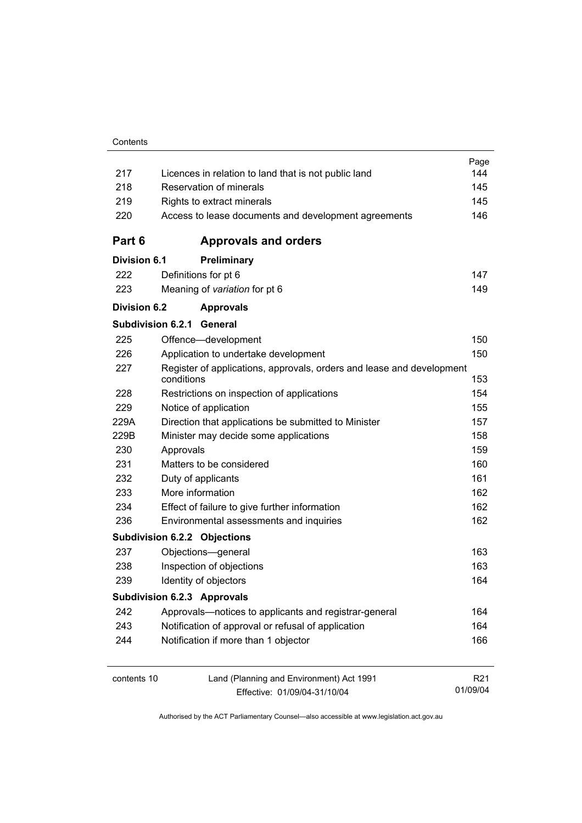| 217                 | Licences in relation to land that is not public land                                | Page<br>144     |
|---------------------|-------------------------------------------------------------------------------------|-----------------|
| 218                 | Reservation of minerals                                                             | 145             |
| 219                 | Rights to extract minerals                                                          | 145             |
| 220                 | Access to lease documents and development agreements                                | 146             |
| Part 6              | <b>Approvals and orders</b>                                                         |                 |
| <b>Division 6.1</b> | Preliminary                                                                         |                 |
| 222                 | Definitions for pt 6                                                                | 147             |
| 223                 | Meaning of variation for pt 6                                                       | 149             |
| <b>Division 6.2</b> | <b>Approvals</b>                                                                    |                 |
|                     | <b>Subdivision 6.2.1</b><br>General                                                 |                 |
| 225                 | Offence-development                                                                 | 150             |
| 226                 | Application to undertake development                                                | 150             |
| 227                 | Register of applications, approvals, orders and lease and development<br>conditions | 153             |
| 228                 | Restrictions on inspection of applications                                          | 154             |
| 229                 | Notice of application                                                               | 155             |
| 229A                | Direction that applications be submitted to Minister                                | 157             |
| 229B                | Minister may decide some applications                                               | 158             |
| 230                 | Approvals                                                                           | 159             |
| 231                 | Matters to be considered                                                            | 160             |
| 232                 | Duty of applicants                                                                  | 161             |
| 233                 | More information                                                                    | 162             |
| 234                 | Effect of failure to give further information                                       | 162             |
| 236                 | Environmental assessments and inquiries                                             | 162             |
|                     | <b>Subdivision 6.2.2 Objections</b>                                                 |                 |
| 237                 | Objections-general                                                                  | 163             |
| 238                 | Inspection of objections                                                            | 163             |
| 239                 | Identity of objectors                                                               | 164             |
|                     | <b>Subdivision 6.2.3 Approvals</b>                                                  |                 |
| 242                 | Approvals-notices to applicants and registrar-general                               | 164             |
| 243                 | Notification of approval or refusal of application                                  | 164             |
| 244                 | Notification if more than 1 objector                                                | 166             |
| contents 10         | Land (Planning and Environment) Act 1991                                            | R <sub>21</sub> |
|                     | Effective: 01/09/04-31/10/04                                                        | 01/09/04        |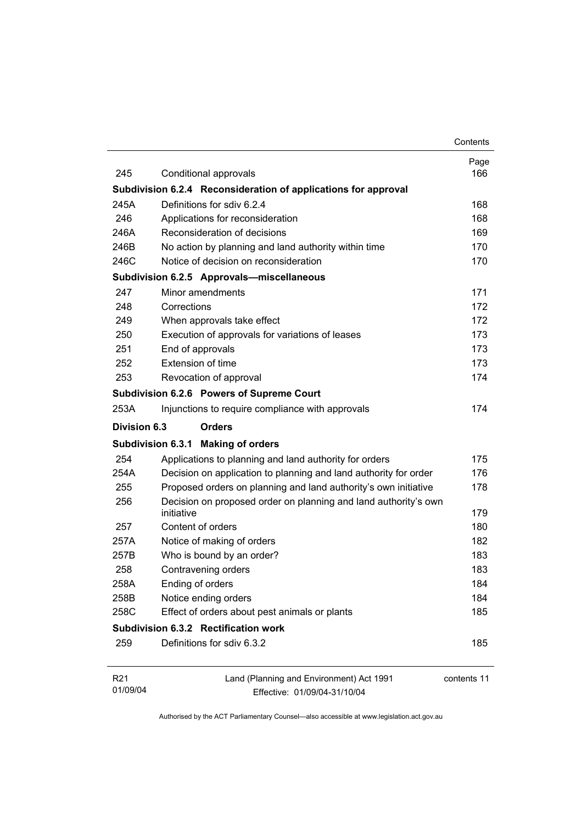|                             |                                                                               | Contents    |
|-----------------------------|-------------------------------------------------------------------------------|-------------|
| 245                         |                                                                               | Page        |
|                             | Conditional approvals                                                         | 166         |
|                             | Subdivision 6.2.4 Reconsideration of applications for approval                |             |
| 245A                        | Definitions for sdiv 6.2.4                                                    | 168         |
| 246                         | Applications for reconsideration                                              | 168         |
| 246A                        | Reconsideration of decisions                                                  | 169         |
| 246B                        | No action by planning and land authority within time                          | 170         |
| 246C                        | Notice of decision on reconsideration                                         | 170         |
|                             | Subdivision 6.2.5 Approvals-miscellaneous                                     |             |
| 247                         | Minor amendments                                                              | 171         |
| 248                         | Corrections                                                                   | 172         |
| 249                         | When approvals take effect                                                    | 172         |
| 250                         | Execution of approvals for variations of leases                               | 173         |
| 251                         | End of approvals                                                              | 173         |
| 252                         | Extension of time                                                             | 173         |
| 253                         | Revocation of approval                                                        | 174         |
|                             | Subdivision 6.2.6 Powers of Supreme Court                                     |             |
| 253A                        | Injunctions to require compliance with approvals                              | 174         |
| Division 6.3                | <b>Orders</b>                                                                 |             |
|                             | <b>Making of orders</b><br><b>Subdivision 6.3.1</b>                           |             |
| 254                         | Applications to planning and land authority for orders                        | 175         |
| 254A                        | Decision on application to planning and land authority for order              | 176         |
| 255                         | Proposed orders on planning and land authority's own initiative               | 178         |
| 256                         | Decision on proposed order on planning and land authority's own<br>initiative | 179         |
| 257                         | Content of orders                                                             | 180         |
| 257A                        | Notice of making of orders                                                    | 182         |
| 257B                        | Who is bound by an order?                                                     | 183         |
| 258                         | Contravening orders                                                           | 183         |
| 258A                        | Ending of orders                                                              | 184         |
| 258B                        | Notice ending orders                                                          | 184         |
| 258C                        | Effect of orders about pest animals or plants                                 | 185         |
|                             | Subdivision 6.3.2 Rectification work                                          |             |
| 259                         | Definitions for sdiv 6.3.2                                                    | 185         |
| R <sub>21</sub><br>01/09/04 | Land (Planning and Environment) Act 1991<br>Effective: 01/09/04-31/10/04      | contents 11 |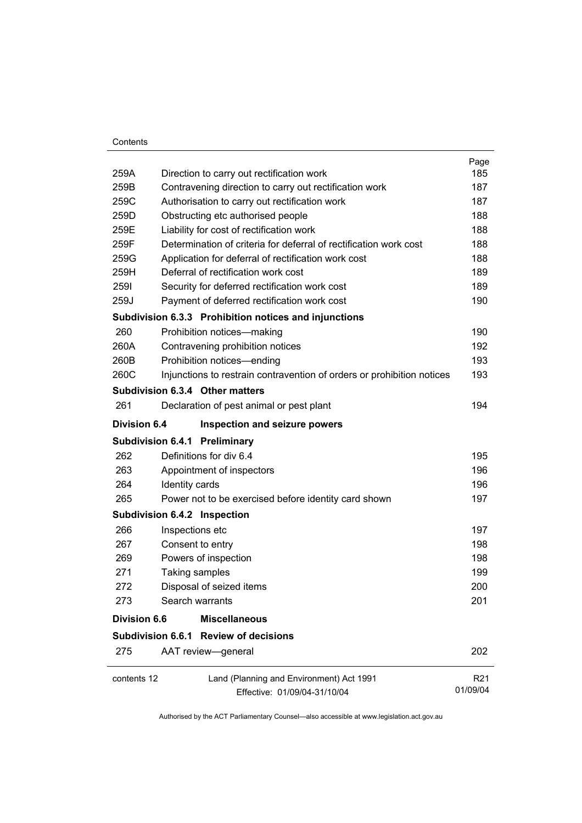#### **Contents**

|                     |                                                                        | Page            |
|---------------------|------------------------------------------------------------------------|-----------------|
| 259A                | Direction to carry out rectification work                              | 185             |
| 259B                | Contravening direction to carry out rectification work                 | 187             |
| 259C                | Authorisation to carry out rectification work                          | 187             |
| 259D                | Obstructing etc authorised people                                      | 188             |
| 259E                | Liability for cost of rectification work                               | 188             |
| 259F                | Determination of criteria for deferral of rectification work cost      | 188             |
| 259G                | Application for deferral of rectification work cost                    | 188             |
| 259H                | Deferral of rectification work cost                                    | 189             |
| 2591                | Security for deferred rectification work cost                          | 189             |
| 259J                | Payment of deferred rectification work cost                            | 190             |
|                     | Subdivision 6.3.3 Prohibition notices and injunctions                  |                 |
| 260                 | Prohibition notices-making                                             | 190             |
| 260A                | Contravening prohibition notices                                       | 192             |
| 260B                | Prohibition notices-ending                                             | 193             |
| 260C                | Injunctions to restrain contravention of orders or prohibition notices | 193             |
|                     | Subdivision 6.3.4 Other matters                                        |                 |
| 261                 | Declaration of pest animal or pest plant                               | 194             |
| <b>Division 6.4</b> | Inspection and seizure powers                                          |                 |
|                     | <b>Subdivision 6.4.1 Preliminary</b>                                   |                 |
| 262                 | Definitions for div 6.4                                                | 195             |
| 263                 | Appointment of inspectors                                              | 196             |
| 264                 | Identity cards                                                         | 196             |
| 265                 | Power not to be exercised before identity card shown                   | 197             |
|                     | Subdivision 6.4.2 Inspection                                           |                 |
| 266                 | Inspections etc                                                        | 197             |
| 267                 | Consent to entry                                                       | 198             |
| 269                 | Powers of inspection                                                   | 198             |
| 271                 | Taking samples                                                         | 199             |
| 272                 | Disposal of seized items                                               | 200             |
| 273                 | Search warrants                                                        | 201             |
| <b>Division 6.6</b> | <b>Miscellaneous</b>                                                   |                 |
|                     | Subdivision 6.6.1 Review of decisions                                  |                 |
| 275                 | AAT review-general                                                     | 202             |
| contents 12         | Land (Planning and Environment) Act 1991                               | R <sub>21</sub> |
|                     | Effective: 01/09/04-31/10/04                                           | 01/09/04        |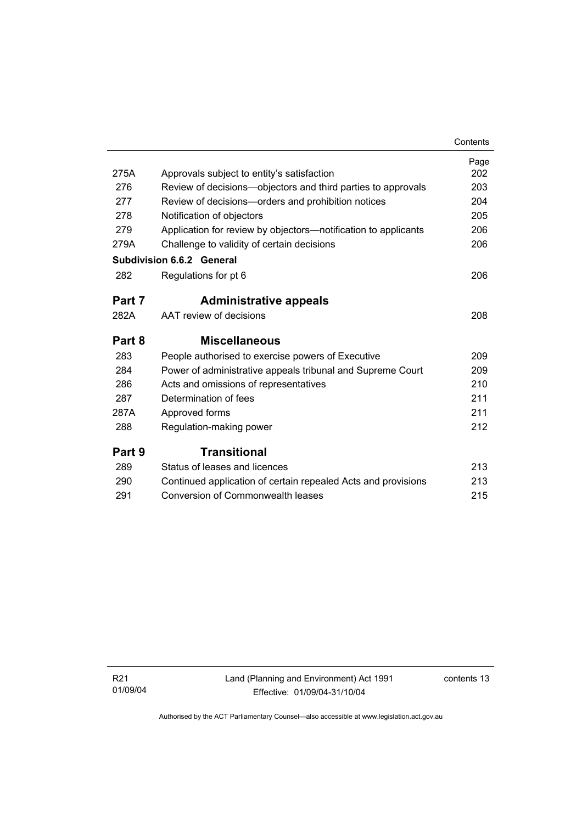|        |                                                                | Contents |
|--------|----------------------------------------------------------------|----------|
|        |                                                                | Page     |
| 275A   | Approvals subject to entity's satisfaction                     | 202      |
| 276    | Review of decisions-objectors and third parties to approvals   | 203      |
| 277    | Review of decisions-orders and prohibition notices             | 204      |
| 278    | Notification of objectors                                      | 205      |
| 279    | Application for review by objectors—notification to applicants | 206      |
| 279A   | Challenge to validity of certain decisions                     | 206      |
|        | <b>Subdivision 6.6.2 General</b>                               |          |
| 282    | Regulations for pt 6                                           | 206      |
| Part 7 | <b>Administrative appeals</b>                                  |          |
| 282A   | AAT review of decisions                                        | 208      |
| Part 8 | <b>Miscellaneous</b>                                           |          |
| 283    | People authorised to exercise powers of Executive              | 209      |
| 284    | Power of administrative appeals tribunal and Supreme Court     | 209      |
| 286    | Acts and omissions of representatives                          | 210      |
| 287    | Determination of fees                                          | 211      |
| 287A   | Approved forms                                                 | 211      |
| 288    | Regulation-making power                                        | 212      |
| Part 9 | Transitional                                                   |          |
| 289    | Status of leases and licences                                  | 213      |
| 290    | Continued application of certain repealed Acts and provisions  | 213      |
| 291    | <b>Conversion of Commonwealth leases</b>                       | 215      |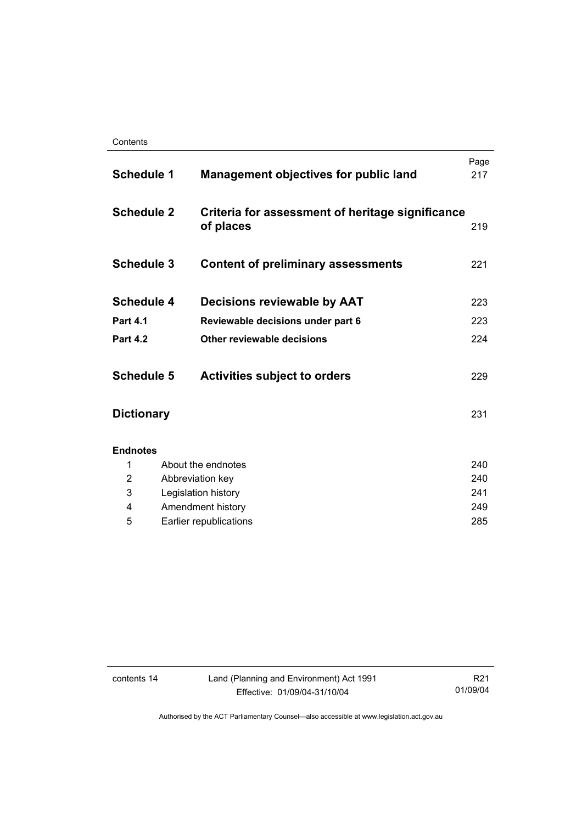| <b>Schedule 1</b> |                        | <b>Management objectives for public land</b>                  | Page<br>217 |
|-------------------|------------------------|---------------------------------------------------------------|-------------|
| <b>Schedule 2</b> |                        | Criteria for assessment of heritage significance<br>of places | 219         |
| <b>Schedule 3</b> |                        | <b>Content of preliminary assessments</b>                     | 221         |
| <b>Schedule 4</b> |                        | Decisions reviewable by AAT                                   | 223         |
| <b>Part 4.1</b>   |                        | Reviewable decisions under part 6                             | 223         |
| <b>Part 4.2</b>   |                        | Other reviewable decisions                                    | 224         |
| <b>Schedule 5</b> |                        | <b>Activities subject to orders</b>                           | 229         |
| <b>Dictionary</b> |                        |                                                               | 231         |
| <b>Endnotes</b>   |                        |                                                               |             |
| 1                 |                        | About the endnotes                                            | 240         |
| $\overline{2}$    |                        | Abbreviation key                                              | 240         |
| 3                 |                        | Legislation history                                           | 241         |
| 4                 |                        | Amendment history                                             | 249         |
| 5                 | Earlier republications |                                                               | 285         |

contents 14 Land (Planning and Environment) Act 1991 Effective: 01/09/04-31/10/04

R21 01/09/04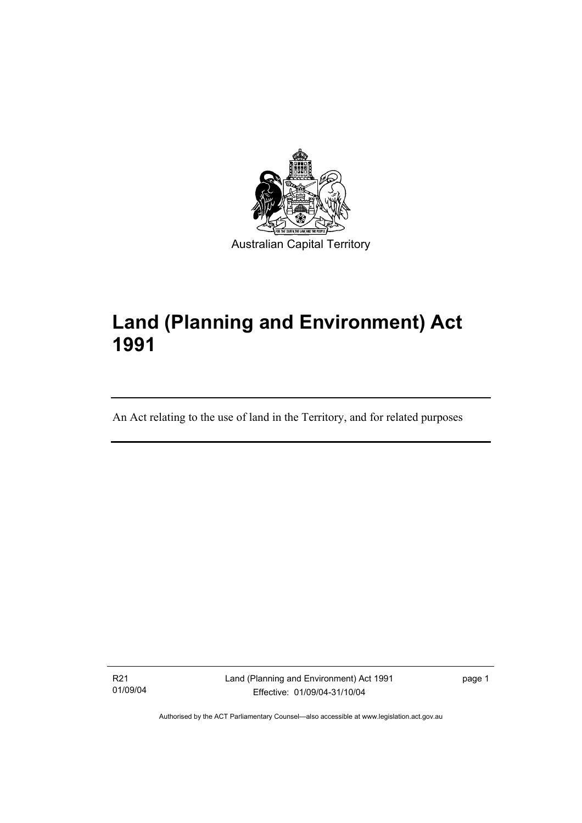

# **Land (Planning and Environment) Act 1991**

An Act relating to the use of land in the Territory, and for related purposes

R21 01/09/04

I

Land (Planning and Environment) Act 1991 Effective: 01/09/04-31/10/04

page 1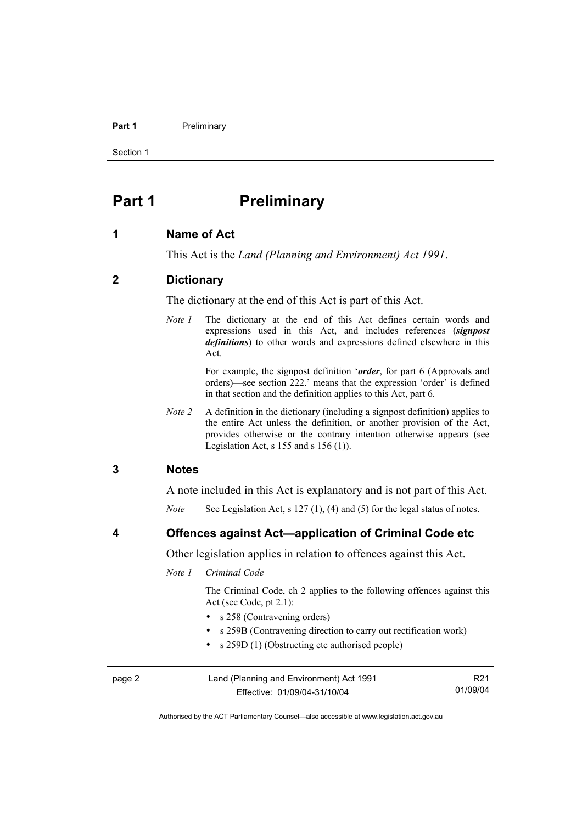#### **Part 1** Preliminary

Section 1

## **Part 1** Preliminary

#### **1 Name of Act**

This Act is the *Land (Planning and Environment) Act 1991*.

#### **2 Dictionary**

The dictionary at the end of this Act is part of this Act.

*Note 1* The dictionary at the end of this Act defines certain words and expressions used in this Act, and includes references (*signpost definitions*) to other words and expressions defined elsewhere in this Act.

> For example, the signpost definition '*order*, for part 6 (Approvals and orders)—see section 222.' means that the expression 'order' is defined in that section and the definition applies to this Act, part 6.

*Note 2* A definition in the dictionary (including a signpost definition) applies to the entire Act unless the definition, or another provision of the Act, provides otherwise or the contrary intention otherwise appears (see Legislation Act, s  $155$  and s  $156$  (1)).

#### **3 Notes**

A note included in this Act is explanatory and is not part of this Act.

*Note* See Legislation Act, s 127 (1), (4) and (5) for the legal status of notes.

**4 Offences against Act—application of Criminal Code etc** 

Other legislation applies in relation to offences against this Act.

*Note 1 Criminal Code* 

 The Criminal Code, ch 2 applies to the following offences against this Act (see Code, pt 2.1):

- s 258 (Contravening orders)
- s 259B (Contravening direction to carry out rectification work)
- s 259D (1) (Obstructing etc authorised people)

| page 2 | Land (Planning and Environment) Act 1991 | R <sub>21</sub> |
|--------|------------------------------------------|-----------------|
|        | Effective: 01/09/04-31/10/04             | 01/09/04        |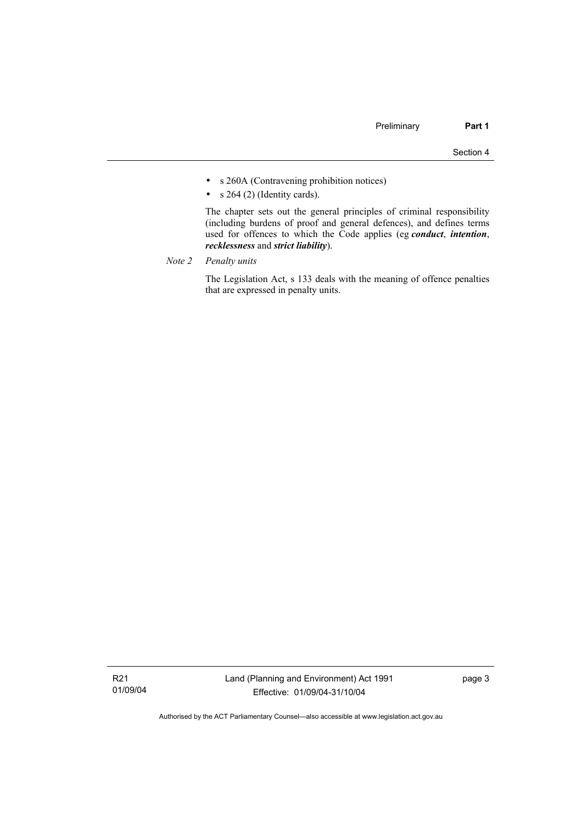- s 260A (Contravening prohibition notices)
- $s$  264 (2) (Identity cards).

 The chapter sets out the general principles of criminal responsibility (including burdens of proof and general defences), and defines terms used for offences to which the Code applies (eg *conduct*, *intention*, *recklessness* and *strict liability*).

*Note 2 Penalty units*

 The Legislation Act, s 133 deals with the meaning of offence penalties that are expressed in penalty units.

R21 01/09/04 page 3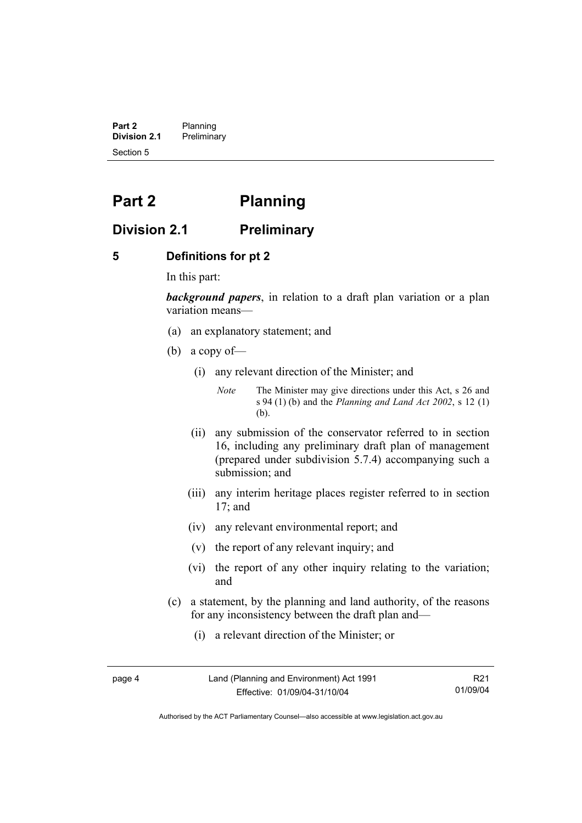**Part 2** Planning<br>**Division 2.1** Prelimina **Division 2.1** Preliminary Section 5

# **Part 2 Planning**

## **Division 2.1 Preliminary**

#### **5 Definitions for pt 2**

In this part:

*background papers*, in relation to a draft plan variation or a plan variation means—

- (a) an explanatory statement; and
- (b) a copy of—
	- (i) any relevant direction of the Minister; and

*Note* The Minister may give directions under this Act, s 26 and s 94 (1) (b) and the *Planning and Land Act 2002*, s 12 (1) (b).

- (ii) any submission of the conservator referred to in section 16, including any preliminary draft plan of management (prepared under subdivision 5.7.4) accompanying such a submission; and
- (iii) any interim heritage places register referred to in section 17; and
- (iv) any relevant environmental report; and
- (v) the report of any relevant inquiry; and
- (vi) the report of any other inquiry relating to the variation; and
- (c) a statement, by the planning and land authority, of the reasons for any inconsistency between the draft plan and—
	- (i) a relevant direction of the Minister; or

page 4 Land (Planning and Environment) Act 1991 Effective: 01/09/04-31/10/04

R21 01/09/04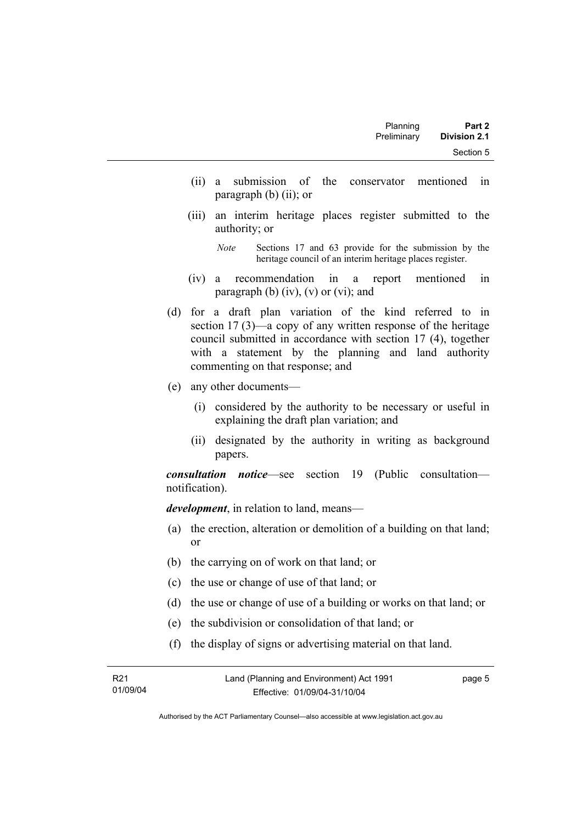- (ii) a submission of the conservator mentioned in paragraph (b) (ii); or
- (iii) an interim heritage places register submitted to the authority; or

*Note* Sections 17 and 63 provide for the submission by the heritage council of an interim heritage places register.

- (iv) a recommendation in a report mentioned in paragraph (b)  $(iv)$ ,  $(v)$  or  $(vi)$ ; and
- (d) for a draft plan variation of the kind referred to in section 17 (3)—a copy of any written response of the heritage council submitted in accordance with section 17 (4), together with a statement by the planning and land authority commenting on that response; and
- (e) any other documents—
	- (i) considered by the authority to be necessary or useful in explaining the draft plan variation; and
	- (ii) designated by the authority in writing as background papers.

*consultation notice*—see section 19 (Public consultation notification).

*development*, in relation to land, means—

- (a) the erection, alteration or demolition of a building on that land; or
- (b) the carrying on of work on that land; or
- (c) the use or change of use of that land; or
- (d) the use or change of use of a building or works on that land; or
- (e) the subdivision or consolidation of that land; or
- (f) the display of signs or advertising material on that land.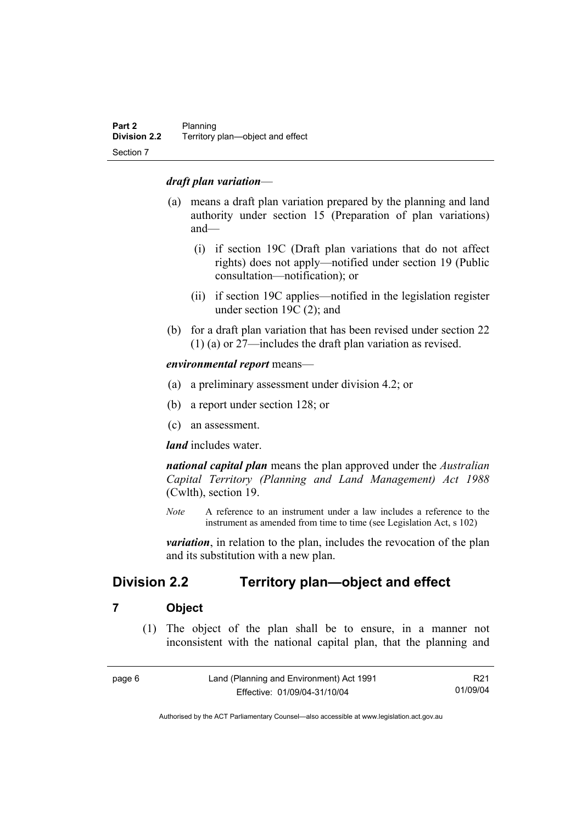#### *draft plan variation*—

- (a) means a draft plan variation prepared by the planning and land authority under section 15 (Preparation of plan variations) and—
	- (i) if section 19C (Draft plan variations that do not affect rights) does not apply—notified under section 19 (Public consultation—notification); or
	- (ii) if section 19C applies—notified in the legislation register under section 19C (2); and
- (b) for a draft plan variation that has been revised under section 22 (1) (a) or 27—includes the draft plan variation as revised.

*environmental report* means—

- (a) a preliminary assessment under division 4.2; or
- (b) a report under section 128; or
- (c) an assessment.

*land* includes water.

*national capital plan* means the plan approved under the *Australian Capital Territory (Planning and Land Management) Act 1988* (Cwlth), section 19.

*Note* A reference to an instrument under a law includes a reference to the instrument as amended from time to time (see Legislation Act, s 102)

*variation*, in relation to the plan, includes the revocation of the plan and its substitution with a new plan.

## **Division 2.2 Territory plan—object and effect**

#### **7 Object**

 (1) The object of the plan shall be to ensure, in a manner not inconsistent with the national capital plan, that the planning and

| page 6 | Land (Planning and Environment) Act 1991 | R21      |
|--------|------------------------------------------|----------|
|        | Effective: 01/09/04-31/10/04             | 01/09/04 |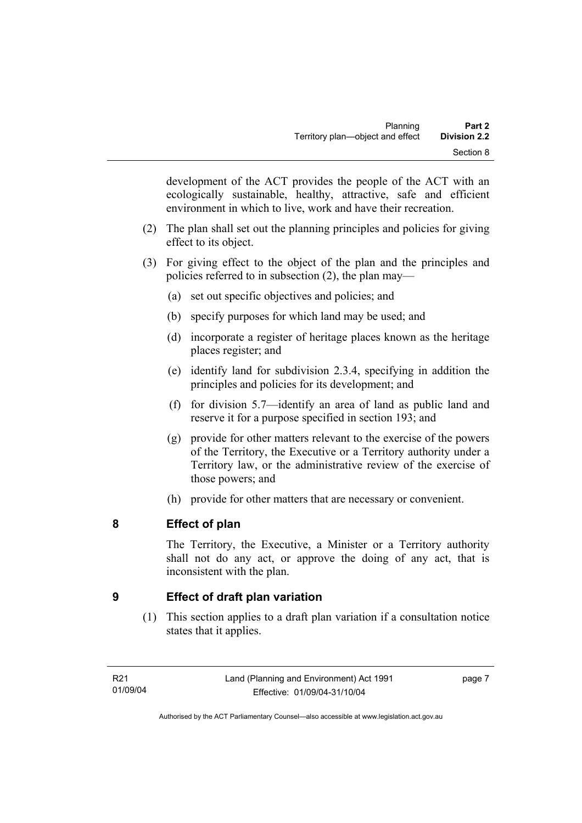development of the ACT provides the people of the ACT with an ecologically sustainable, healthy, attractive, safe and efficient environment in which to live, work and have their recreation.

- (2) The plan shall set out the planning principles and policies for giving effect to its object.
- (3) For giving effect to the object of the plan and the principles and policies referred to in subsection (2), the plan may—
	- (a) set out specific objectives and policies; and
	- (b) specify purposes for which land may be used; and
	- (d) incorporate a register of heritage places known as the heritage places register; and
	- (e) identify land for subdivision 2.3.4, specifying in addition the principles and policies for its development; and
	- (f) for division 5.7—identify an area of land as public land and reserve it for a purpose specified in section 193; and
	- (g) provide for other matters relevant to the exercise of the powers of the Territory, the Executive or a Territory authority under a Territory law, or the administrative review of the exercise of those powers; and
	- (h) provide for other matters that are necessary or convenient.

## **8 Effect of plan**

The Territory, the Executive, a Minister or a Territory authority shall not do any act, or approve the doing of any act, that is inconsistent with the plan.

## **9 Effect of draft plan variation**

 (1) This section applies to a draft plan variation if a consultation notice states that it applies.

page 7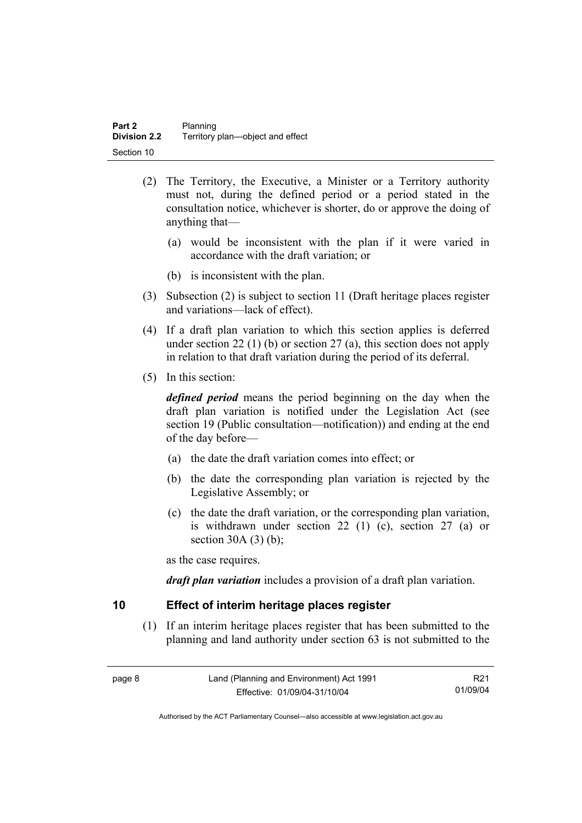- (2) The Territory, the Executive, a Minister or a Territory authority must not, during the defined period or a period stated in the consultation notice, whichever is shorter, do or approve the doing of anything that—
	- (a) would be inconsistent with the plan if it were varied in accordance with the draft variation; or
	- (b) is inconsistent with the plan.
- (3) Subsection (2) is subject to section 11 (Draft heritage places register and variations—lack of effect).
- (4) If a draft plan variation to which this section applies is deferred under section 22 (1) (b) or section 27 (a), this section does not apply in relation to that draft variation during the period of its deferral.
- (5) In this section:

*defined period* means the period beginning on the day when the draft plan variation is notified under the Legislation Act (see section 19 (Public consultation—notification)) and ending at the end of the day before—

- (a) the date the draft variation comes into effect; or
- (b) the date the corresponding plan variation is rejected by the Legislative Assembly; or
- (c) the date the draft variation, or the corresponding plan variation, is withdrawn under section 22 (1) (c), section 27 (a) or section  $30A(3)(b)$ ;

as the case requires.

*draft plan variation* includes a provision of a draft plan variation.

#### **10 Effect of interim heritage places register**

 (1) If an interim heritage places register that has been submitted to the planning and land authority under section 63 is not submitted to the

| page 8 | Land (Planning and Environment) Act 1991 | R21      |
|--------|------------------------------------------|----------|
|        | Effective: 01/09/04-31/10/04             | 01/09/04 |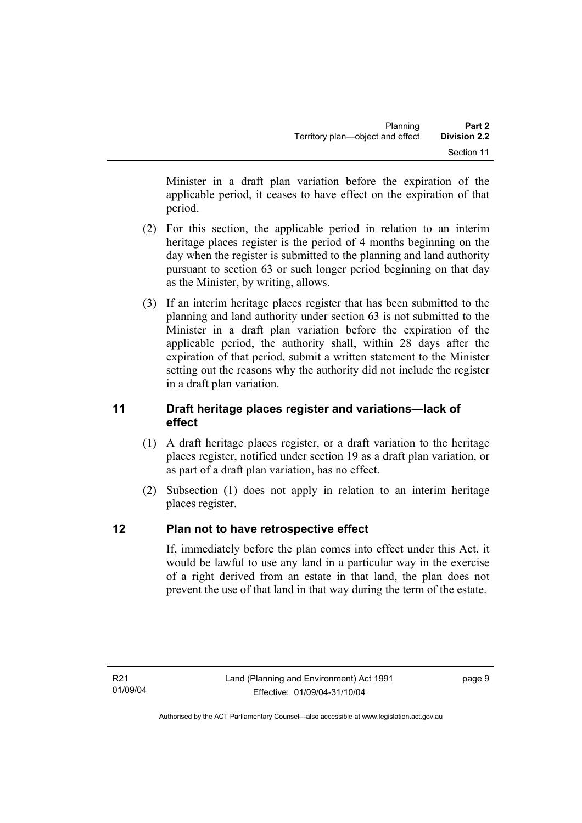Minister in a draft plan variation before the expiration of the applicable period, it ceases to have effect on the expiration of that period.

- (2) For this section, the applicable period in relation to an interim heritage places register is the period of 4 months beginning on the day when the register is submitted to the planning and land authority pursuant to section 63 or such longer period beginning on that day as the Minister, by writing, allows.
- (3) If an interim heritage places register that has been submitted to the planning and land authority under section 63 is not submitted to the Minister in a draft plan variation before the expiration of the applicable period, the authority shall, within 28 days after the expiration of that period, submit a written statement to the Minister setting out the reasons why the authority did not include the register in a draft plan variation.

## **11 Draft heritage places register and variations—lack of effect**

- (1) A draft heritage places register, or a draft variation to the heritage places register, notified under section 19 as a draft plan variation, or as part of a draft plan variation, has no effect.
- (2) Subsection (1) does not apply in relation to an interim heritage places register.

## **12 Plan not to have retrospective effect**

If, immediately before the plan comes into effect under this Act, it would be lawful to use any land in a particular way in the exercise of a right derived from an estate in that land, the plan does not prevent the use of that land in that way during the term of the estate.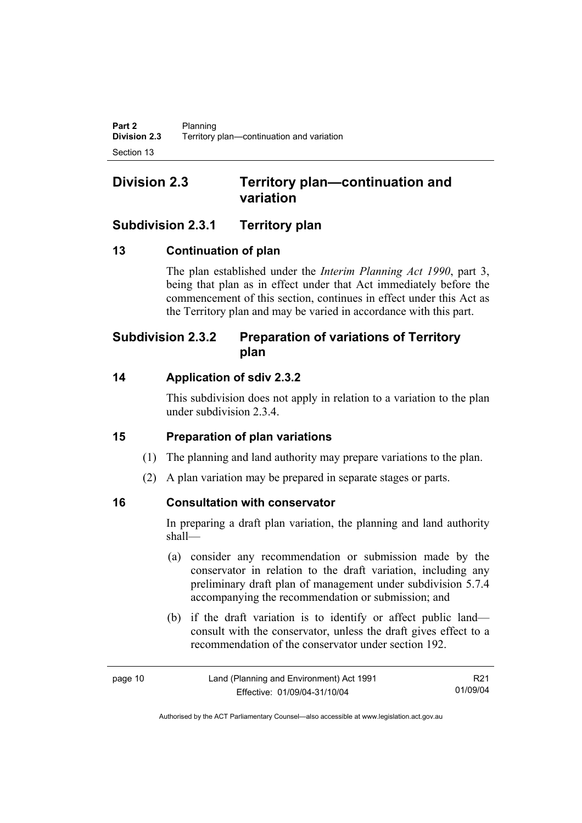## **Division 2.3 Territory plan—continuation and variation**

## **Subdivision 2.3.1 Territory plan**

## **13 Continuation of plan**

The plan established under the *Interim Planning Act 1990*, part 3, being that plan as in effect under that Act immediately before the commencement of this section, continues in effect under this Act as the Territory plan and may be varied in accordance with this part.

## **Subdivision 2.3.2 Preparation of variations of Territory plan**

## **14 Application of sdiv 2.3.2**

This subdivision does not apply in relation to a variation to the plan under subdivision 2.3.4.

## **15 Preparation of plan variations**

- (1) The planning and land authority may prepare variations to the plan.
- (2) A plan variation may be prepared in separate stages or parts.

## **16 Consultation with conservator**

In preparing a draft plan variation, the planning and land authority shall—

- (a) consider any recommendation or submission made by the conservator in relation to the draft variation, including any preliminary draft plan of management under subdivision 5.7.4 accompanying the recommendation or submission; and
- (b) if the draft variation is to identify or affect public land consult with the conservator, unless the draft gives effect to a recommendation of the conservator under section 192.

| page 10 | Land (Planning and Environment) Act 1991 | R21      |
|---------|------------------------------------------|----------|
|         | Effective: 01/09/04-31/10/04             | 01/09/04 |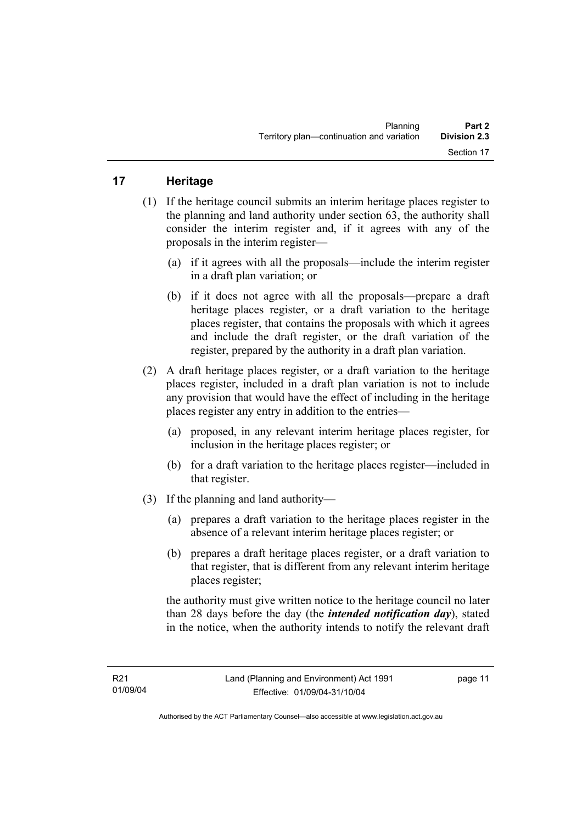## **17 Heritage**

- (1) If the heritage council submits an interim heritage places register to the planning and land authority under section 63, the authority shall consider the interim register and, if it agrees with any of the proposals in the interim register—
	- (a) if it agrees with all the proposals—include the interim register in a draft plan variation; or
	- (b) if it does not agree with all the proposals—prepare a draft heritage places register, or a draft variation to the heritage places register, that contains the proposals with which it agrees and include the draft register, or the draft variation of the register, prepared by the authority in a draft plan variation.
- (2) A draft heritage places register, or a draft variation to the heritage places register, included in a draft plan variation is not to include any provision that would have the effect of including in the heritage places register any entry in addition to the entries—
	- (a) proposed, in any relevant interim heritage places register, for inclusion in the heritage places register; or
	- (b) for a draft variation to the heritage places register—included in that register.
- (3) If the planning and land authority—
	- (a) prepares a draft variation to the heritage places register in the absence of a relevant interim heritage places register; or
	- (b) prepares a draft heritage places register, or a draft variation to that register, that is different from any relevant interim heritage places register;

the authority must give written notice to the heritage council no later than 28 days before the day (the *intended notification day*), stated in the notice, when the authority intends to notify the relevant draft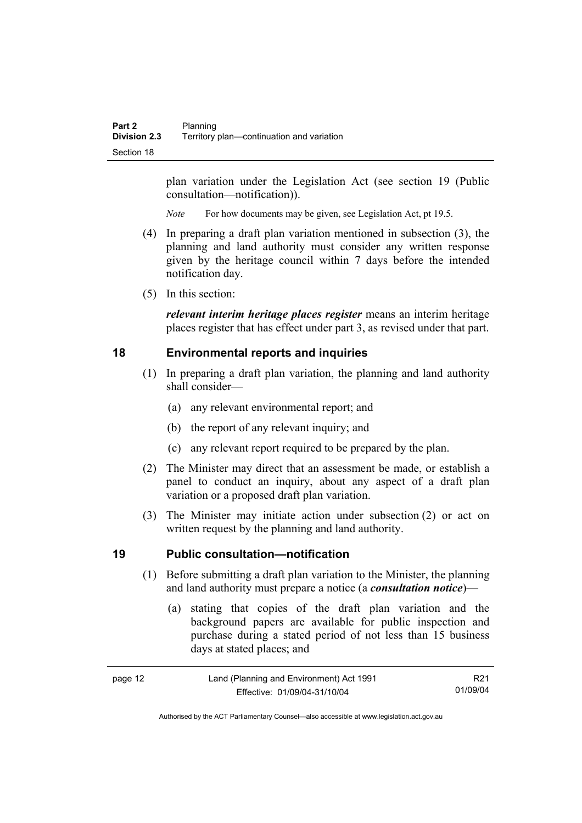plan variation under the Legislation Act (see section 19 (Public consultation—notification)).

*Note* For how documents may be given, see Legislation Act, pt 19.5.

- (4) In preparing a draft plan variation mentioned in subsection (3), the planning and land authority must consider any written response given by the heritage council within 7 days before the intended notification day.
- (5) In this section:

*relevant interim heritage places register* means an interim heritage places register that has effect under part 3, as revised under that part.

#### **18 Environmental reports and inquiries**

- (1) In preparing a draft plan variation, the planning and land authority shall consider—
	- (a) any relevant environmental report; and
	- (b) the report of any relevant inquiry; and
	- (c) any relevant report required to be prepared by the plan.
- (2) The Minister may direct that an assessment be made, or establish a panel to conduct an inquiry, about any aspect of a draft plan variation or a proposed draft plan variation.
- (3) The Minister may initiate action under subsection (2) or act on written request by the planning and land authority.

#### **19 Public consultation—notification**

- (1) Before submitting a draft plan variation to the Minister, the planning and land authority must prepare a notice (a *consultation notice*)—
	- (a) stating that copies of the draft plan variation and the background papers are available for public inspection and purchase during a stated period of not less than 15 business days at stated places; and

| page 12 | Land (Planning and Environment) Act 1991 | R21      |
|---------|------------------------------------------|----------|
|         | Effective: 01/09/04-31/10/04             | 01/09/04 |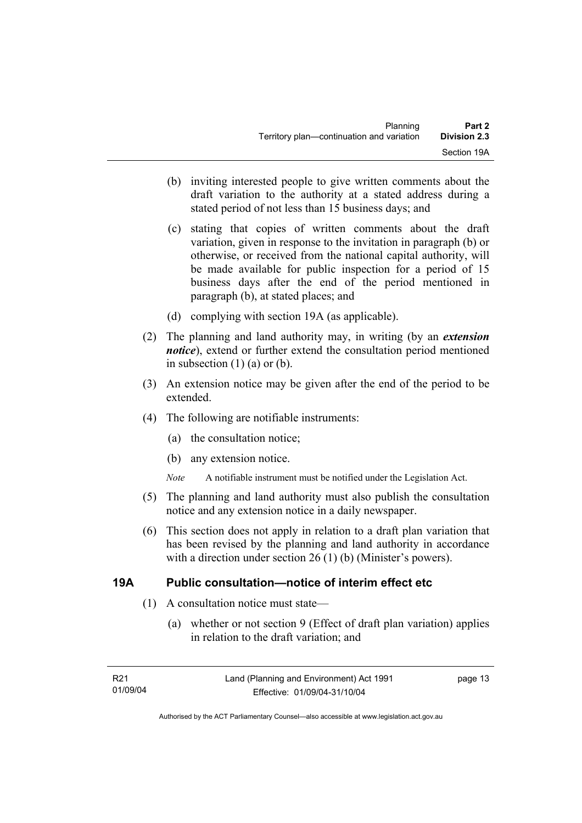- (b) inviting interested people to give written comments about the draft variation to the authority at a stated address during a stated period of not less than 15 business days; and
- (c) stating that copies of written comments about the draft variation, given in response to the invitation in paragraph (b) or otherwise, or received from the national capital authority, will be made available for public inspection for a period of 15 business days after the end of the period mentioned in paragraph (b), at stated places; and
- (d) complying with section 19A (as applicable).
- (2) The planning and land authority may, in writing (by an *extension notice*), extend or further extend the consultation period mentioned in subsection  $(1)$   $(a)$  or  $(b)$ .
- (3) An extension notice may be given after the end of the period to be extended.
- (4) The following are notifiable instruments:
	- (a) the consultation notice;
	- (b) any extension notice.
	- *Note* A notifiable instrument must be notified under the Legislation Act.
- (5) The planning and land authority must also publish the consultation notice and any extension notice in a daily newspaper.
- (6) This section does not apply in relation to a draft plan variation that has been revised by the planning and land authority in accordance with a direction under section 26 (1) (b) (Minister's powers).

#### **19A Public consultation—notice of interim effect etc**

- (1) A consultation notice must state—
	- (a) whether or not section 9 (Effect of draft plan variation) applies in relation to the draft variation; and

page 13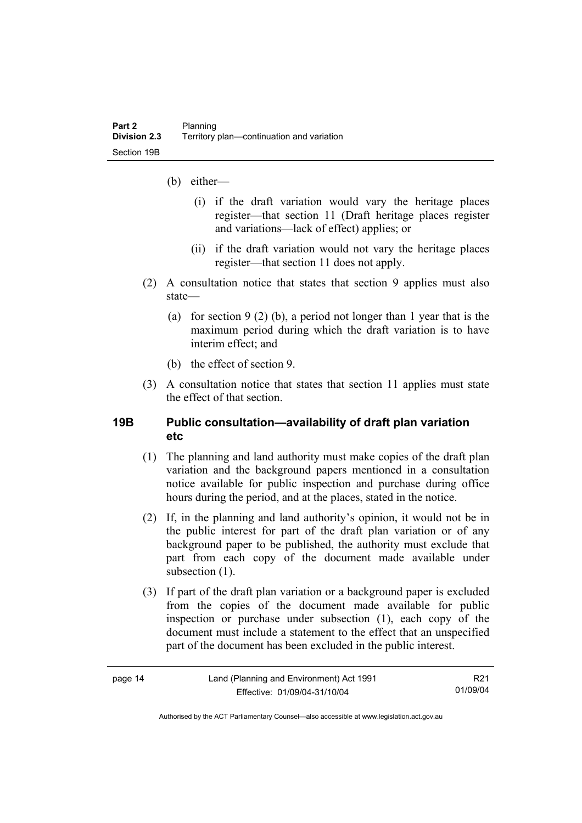- (b) either—
	- (i) if the draft variation would vary the heritage places register—that section 11 (Draft heritage places register and variations—lack of effect) applies; or
	- (ii) if the draft variation would not vary the heritage places register—that section 11 does not apply.
- (2) A consultation notice that states that section 9 applies must also state—
	- (a) for section 9 (2) (b), a period not longer than 1 year that is the maximum period during which the draft variation is to have interim effect; and
	- (b) the effect of section 9.
- (3) A consultation notice that states that section 11 applies must state the effect of that section.

### **19B Public consultation—availability of draft plan variation etc**

- (1) The planning and land authority must make copies of the draft plan variation and the background papers mentioned in a consultation notice available for public inspection and purchase during office hours during the period, and at the places, stated in the notice.
- (2) If, in the planning and land authority's opinion, it would not be in the public interest for part of the draft plan variation or of any background paper to be published, the authority must exclude that part from each copy of the document made available under subsection  $(1)$ .
- (3) If part of the draft plan variation or a background paper is excluded from the copies of the document made available for public inspection or purchase under subsection (1), each copy of the document must include a statement to the effect that an unspecified part of the document has been excluded in the public interest.

|--|--|

R21 01/09/04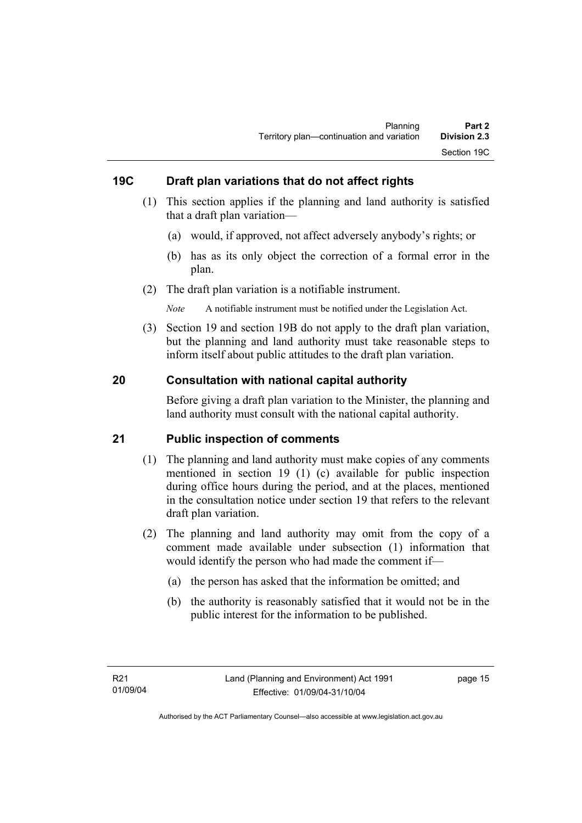## **19C Draft plan variations that do not affect rights**

- (1) This section applies if the planning and land authority is satisfied that a draft plan variation—
	- (a) would, if approved, not affect adversely anybody's rights; or
	- (b) has as its only object the correction of a formal error in the plan.
- (2) The draft plan variation is a notifiable instrument.

*Note* A notifiable instrument must be notified under the Legislation Act.

 (3) Section 19 and section 19B do not apply to the draft plan variation, but the planning and land authority must take reasonable steps to inform itself about public attitudes to the draft plan variation.

### **20 Consultation with national capital authority**

Before giving a draft plan variation to the Minister, the planning and land authority must consult with the national capital authority.

#### **21 Public inspection of comments**

- (1) The planning and land authority must make copies of any comments mentioned in section 19 (1) (c) available for public inspection during office hours during the period, and at the places, mentioned in the consultation notice under section 19 that refers to the relevant draft plan variation.
- (2) The planning and land authority may omit from the copy of a comment made available under subsection (1) information that would identify the person who had made the comment if—
	- (a) the person has asked that the information be omitted; and
	- (b) the authority is reasonably satisfied that it would not be in the public interest for the information to be published.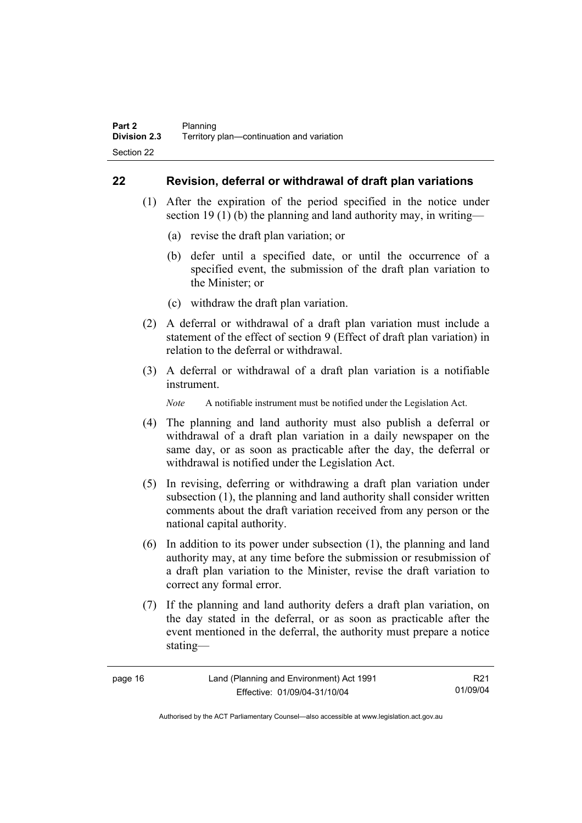### **22 Revision, deferral or withdrawal of draft plan variations**

- (1) After the expiration of the period specified in the notice under section 19 (1) (b) the planning and land authority may, in writing—
	- (a) revise the draft plan variation; or
	- (b) defer until a specified date, or until the occurrence of a specified event, the submission of the draft plan variation to the Minister; or
	- (c) withdraw the draft plan variation.
- (2) A deferral or withdrawal of a draft plan variation must include a statement of the effect of section 9 (Effect of draft plan variation) in relation to the deferral or withdrawal.
- (3) A deferral or withdrawal of a draft plan variation is a notifiable instrument.

*Note* A notifiable instrument must be notified under the Legislation Act.

- (4) The planning and land authority must also publish a deferral or withdrawal of a draft plan variation in a daily newspaper on the same day, or as soon as practicable after the day, the deferral or withdrawal is notified under the Legislation Act.
- (5) In revising, deferring or withdrawing a draft plan variation under subsection (1), the planning and land authority shall consider written comments about the draft variation received from any person or the national capital authority.
- (6) In addition to its power under subsection (1), the planning and land authority may, at any time before the submission or resubmission of a draft plan variation to the Minister, revise the draft variation to correct any formal error.
- (7) If the planning and land authority defers a draft plan variation, on the day stated in the deferral, or as soon as practicable after the event mentioned in the deferral, the authority must prepare a notice stating—

| page 16 | Land (Planning and Environment) Act 1991 | R21      |
|---------|------------------------------------------|----------|
|         | Effective: 01/09/04-31/10/04             | 01/09/04 |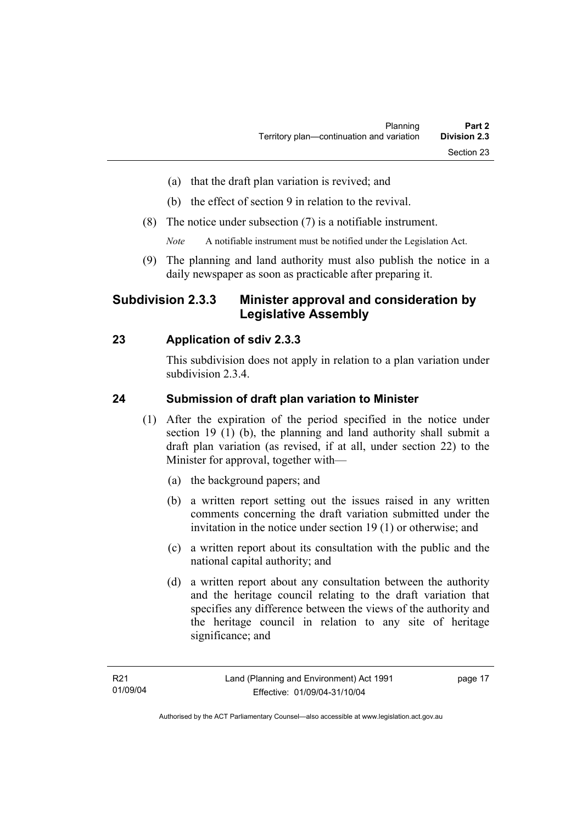- (a) that the draft plan variation is revived; and
- (b) the effect of section 9 in relation to the revival.
- (8) The notice under subsection (7) is a notifiable instrument.

*Note* A notifiable instrument must be notified under the Legislation Act.

(9) The planning and land authority must also publish the notice in a daily newspaper as soon as practicable after preparing it.

## **Subdivision 2.3.3 Minister approval and consideration by Legislative Assembly**

## **23 Application of sdiv 2.3.3**

This subdivision does not apply in relation to a plan variation under subdivision 2.3.4.

### **24 Submission of draft plan variation to Minister**

- (1) After the expiration of the period specified in the notice under section 19 (1) (b), the planning and land authority shall submit a draft plan variation (as revised, if at all, under section 22) to the Minister for approval, together with—
	- (a) the background papers; and
	- (b) a written report setting out the issues raised in any written comments concerning the draft variation submitted under the invitation in the notice under section 19 (1) or otherwise; and
	- (c) a written report about its consultation with the public and the national capital authority; and
	- (d) a written report about any consultation between the authority and the heritage council relating to the draft variation that specifies any difference between the views of the authority and the heritage council in relation to any site of heritage significance; and

page 17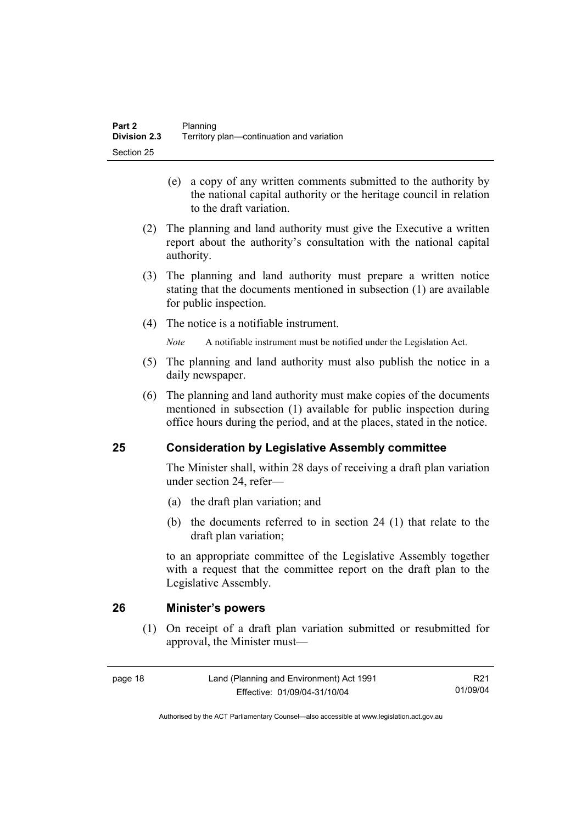- (e) a copy of any written comments submitted to the authority by the national capital authority or the heritage council in relation to the draft variation.
- (2) The planning and land authority must give the Executive a written report about the authority's consultation with the national capital authority.
- (3) The planning and land authority must prepare a written notice stating that the documents mentioned in subsection (1) are available for public inspection.
- (4) The notice is a notifiable instrument.

*Note* A notifiable instrument must be notified under the Legislation Act.

- (5) The planning and land authority must also publish the notice in a daily newspaper.
- (6) The planning and land authority must make copies of the documents mentioned in subsection (1) available for public inspection during office hours during the period, and at the places, stated in the notice.

## **25 Consideration by Legislative Assembly committee**

The Minister shall, within 28 days of receiving a draft plan variation under section 24, refer—

- (a) the draft plan variation; and
- (b) the documents referred to in section 24 (1) that relate to the draft plan variation;

to an appropriate committee of the Legislative Assembly together with a request that the committee report on the draft plan to the Legislative Assembly.

## **26 Minister's powers**

 (1) On receipt of a draft plan variation submitted or resubmitted for approval, the Minister must—

R21 01/09/04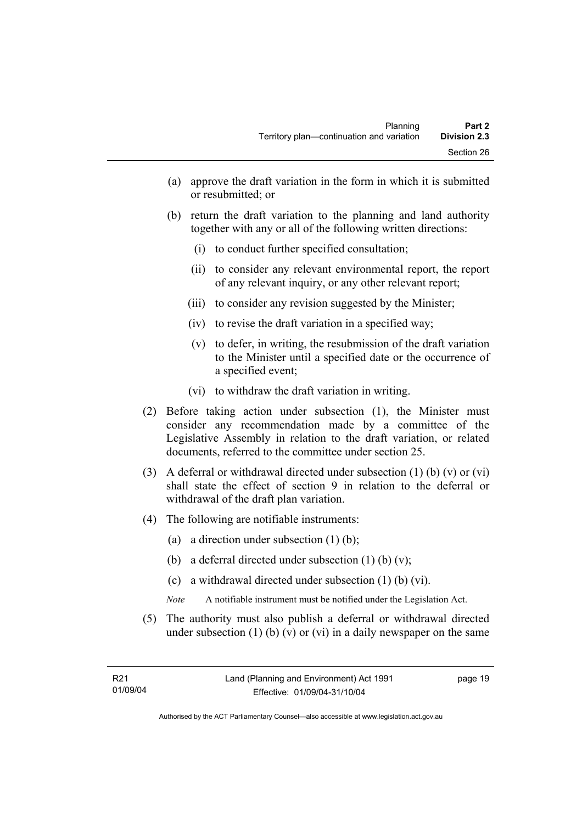- (a) approve the draft variation in the form in which it is submitted or resubmitted; or
- (b) return the draft variation to the planning and land authority together with any or all of the following written directions:
	- (i) to conduct further specified consultation;
	- (ii) to consider any relevant environmental report, the report of any relevant inquiry, or any other relevant report;
	- (iii) to consider any revision suggested by the Minister;
	- (iv) to revise the draft variation in a specified way;
	- (v) to defer, in writing, the resubmission of the draft variation to the Minister until a specified date or the occurrence of a specified event;
	- (vi) to withdraw the draft variation in writing.
- (2) Before taking action under subsection (1), the Minister must consider any recommendation made by a committee of the Legislative Assembly in relation to the draft variation, or related documents, referred to the committee under section 25.
- (3) A deferral or withdrawal directed under subsection (1) (b) (v) or (vi) shall state the effect of section 9 in relation to the deferral or withdrawal of the draft plan variation.
- (4) The following are notifiable instruments:
	- (a) a direction under subsection (1) (b);
	- (b) a deferral directed under subsection  $(1)$  (b)  $(v)$ ;
	- (c) a withdrawal directed under subsection (1) (b) (vi).
	- *Note* A notifiable instrument must be notified under the Legislation Act.
- (5) The authority must also publish a deferral or withdrawal directed under subsection  $(1)$  (b)  $(v)$  or  $(vi)$  in a daily newspaper on the same

page 19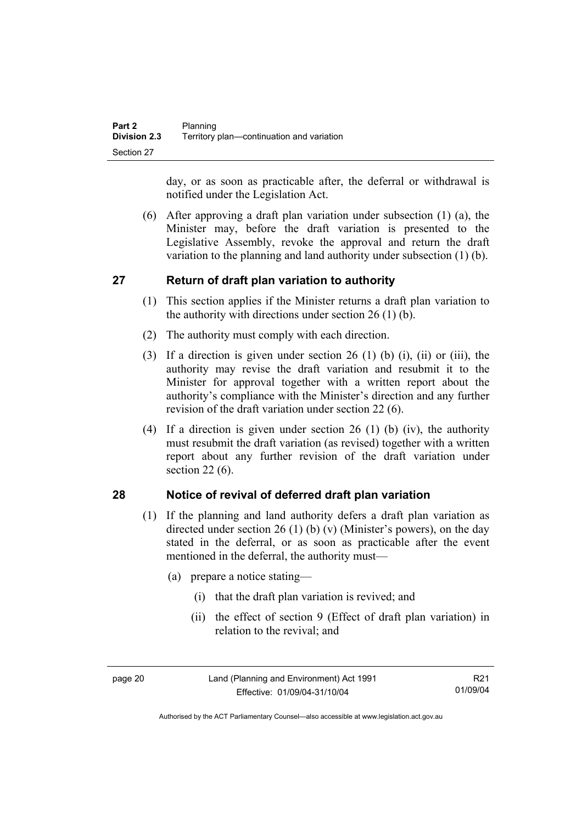day, or as soon as practicable after, the deferral or withdrawal is notified under the Legislation Act.

 (6) After approving a draft plan variation under subsection (1) (a), the Minister may, before the draft variation is presented to the Legislative Assembly, revoke the approval and return the draft variation to the planning and land authority under subsection (1) (b).

## **27 Return of draft plan variation to authority**

- (1) This section applies if the Minister returns a draft plan variation to the authority with directions under section 26 (1) (b).
- (2) The authority must comply with each direction.
- (3) If a direction is given under section 26 (1) (b) (i), (ii) or (iii), the authority may revise the draft variation and resubmit it to the Minister for approval together with a written report about the authority's compliance with the Minister's direction and any further revision of the draft variation under section 22 (6).
- (4) If a direction is given under section 26 (1) (b) (iv), the authority must resubmit the draft variation (as revised) together with a written report about any further revision of the draft variation under section 22 (6).

## **28 Notice of revival of deferred draft plan variation**

- (1) If the planning and land authority defers a draft plan variation as directed under section 26 (1) (b) (v) (Minister's powers), on the day stated in the deferral, or as soon as practicable after the event mentioned in the deferral, the authority must—
	- (a) prepare a notice stating—
		- (i) that the draft plan variation is revived; and
		- (ii) the effect of section 9 (Effect of draft plan variation) in relation to the revival; and

page 20 Land (Planning and Environment) Act 1991 Effective: 01/09/04-31/10/04

R21 01/09/04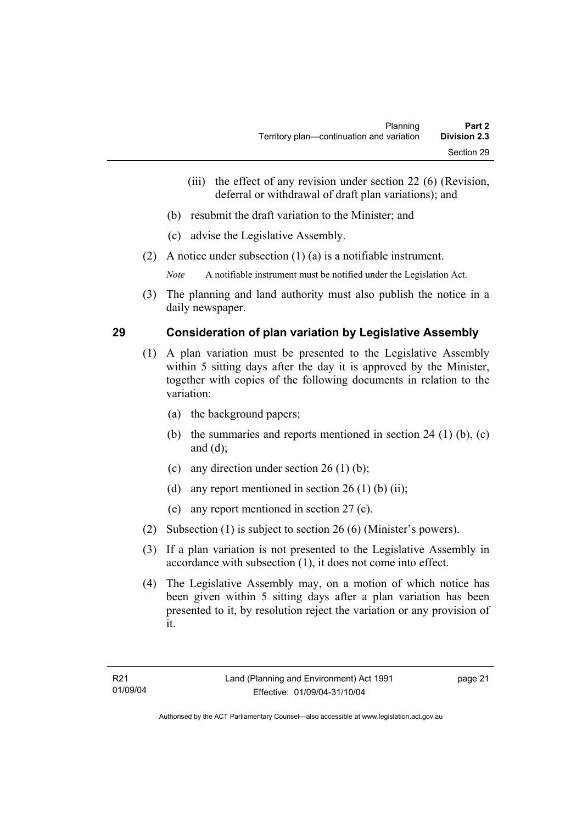- (iii) the effect of any revision under section 22 (6) (Revision, deferral or withdrawal of draft plan variations); and
- (b) resubmit the draft variation to the Minister; and
- (c) advise the Legislative Assembly.
- (2) A notice under subsection (1) (a) is a notifiable instrument.

*Note* A notifiable instrument must be notified under the Legislation Act.

(3) The planning and land authority must also publish the notice in a daily newspaper.

### **29 Consideration of plan variation by Legislative Assembly**

- (1) A plan variation must be presented to the Legislative Assembly within 5 sitting days after the day it is approved by the Minister, together with copies of the following documents in relation to the variation:
	- (a) the background papers;
	- (b) the summaries and reports mentioned in section 24 (1) (b), (c) and (d);
	- (c) any direction under section  $26 (1) (b)$ ;
	- (d) any report mentioned in section  $26(1)$  (b) (ii);
	- (e) any report mentioned in section 27 (c).
- (2) Subsection (1) is subject to section 26 (6) (Minister's powers).
- (3) If a plan variation is not presented to the Legislative Assembly in accordance with subsection (1), it does not come into effect.
- (4) The Legislative Assembly may, on a motion of which notice has been given within 5 sitting days after a plan variation has been presented to it, by resolution reject the variation or any provision of it.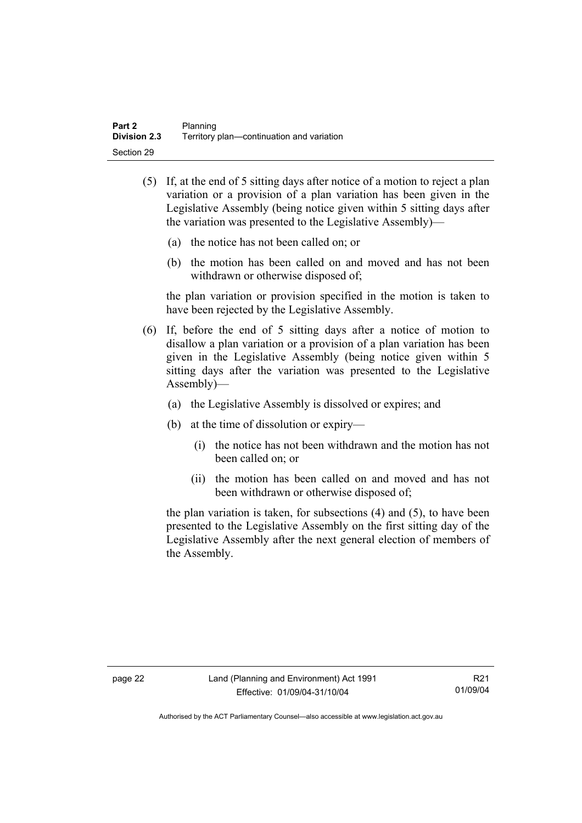- (5) If, at the end of 5 sitting days after notice of a motion to reject a plan variation or a provision of a plan variation has been given in the Legislative Assembly (being notice given within 5 sitting days after the variation was presented to the Legislative Assembly)—
	- (a) the notice has not been called on; or
	- (b) the motion has been called on and moved and has not been withdrawn or otherwise disposed of;

the plan variation or provision specified in the motion is taken to have been rejected by the Legislative Assembly.

- (6) If, before the end of 5 sitting days after a notice of motion to disallow a plan variation or a provision of a plan variation has been given in the Legislative Assembly (being notice given within 5 sitting days after the variation was presented to the Legislative Assembly)—
	- (a) the Legislative Assembly is dissolved or expires; and
	- (b) at the time of dissolution or expiry—
		- (i) the notice has not been withdrawn and the motion has not been called on; or
		- (ii) the motion has been called on and moved and has not been withdrawn or otherwise disposed of;

the plan variation is taken, for subsections (4) and (5), to have been presented to the Legislative Assembly on the first sitting day of the Legislative Assembly after the next general election of members of the Assembly.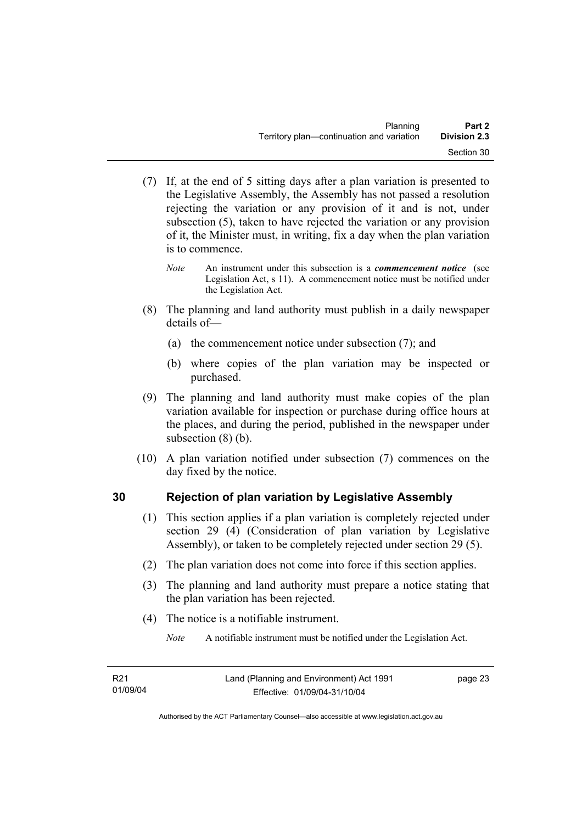- (7) If, at the end of 5 sitting days after a plan variation is presented to the Legislative Assembly, the Assembly has not passed a resolution rejecting the variation or any provision of it and is not, under subsection (5), taken to have rejected the variation or any provision of it, the Minister must, in writing, fix a day when the plan variation is to commence.
	- *Note* An instrument under this subsection is a *commencement notice* (see Legislation Act, s 11). A commencement notice must be notified under the Legislation Act.
- (8) The planning and land authority must publish in a daily newspaper details of—
	- (a) the commencement notice under subsection (7); and
	- (b) where copies of the plan variation may be inspected or purchased.
- (9) The planning and land authority must make copies of the plan variation available for inspection or purchase during office hours at the places, and during the period, published in the newspaper under subsection (8) (b).
- (10) A plan variation notified under subsection (7) commences on the day fixed by the notice.

# **30 Rejection of plan variation by Legislative Assembly**

- (1) This section applies if a plan variation is completely rejected under section 29 (4) (Consideration of plan variation by Legislative Assembly), or taken to be completely rejected under section 29 (5).
- (2) The plan variation does not come into force if this section applies.
- (3) The planning and land authority must prepare a notice stating that the plan variation has been rejected.
- (4) The notice is a notifiable instrument.

*Note* A notifiable instrument must be notified under the Legislation Act.

page 23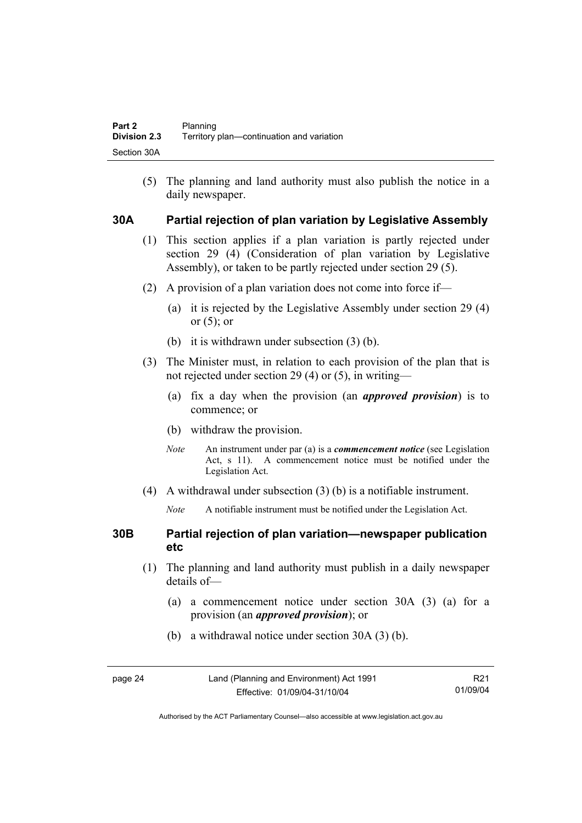(5) The planning and land authority must also publish the notice in a daily newspaper.

#### **30A Partial rejection of plan variation by Legislative Assembly**

- (1) This section applies if a plan variation is partly rejected under section 29 (4) (Consideration of plan variation by Legislative Assembly), or taken to be partly rejected under section 29 (5).
- (2) A provision of a plan variation does not come into force if—
	- (a) it is rejected by the Legislative Assembly under section 29 (4) or  $(5)$ ; or
	- (b) it is withdrawn under subsection (3) (b).
- (3) The Minister must, in relation to each provision of the plan that is not rejected under section 29 (4) or (5), in writing—
	- (a) fix a day when the provision (an *approved provision*) is to commence; or
	- (b) withdraw the provision.
	- *Note* An instrument under par (a) is a *commencement notice* (see Legislation Act, s 11). A commencement notice must be notified under the Legislation Act.
- (4) A withdrawal under subsection (3) (b) is a notifiable instrument.
	- *Note* A notifiable instrument must be notified under the Legislation Act.

#### **30B Partial rejection of plan variation—newspaper publication etc**

- (1) The planning and land authority must publish in a daily newspaper details of—
	- (a) a commencement notice under section 30A (3) (a) for a provision (an *approved provision*); or
	- (b) a withdrawal notice under section 30A (3) (b).

| page 24 | Land (Planning and Environment) Act 1991 | R21      |
|---------|------------------------------------------|----------|
|         | Effective: 01/09/04-31/10/04             | 01/09/04 |

Authorised by the ACT Parliamentary Counsel—also accessible at www.legislation.act.gov.au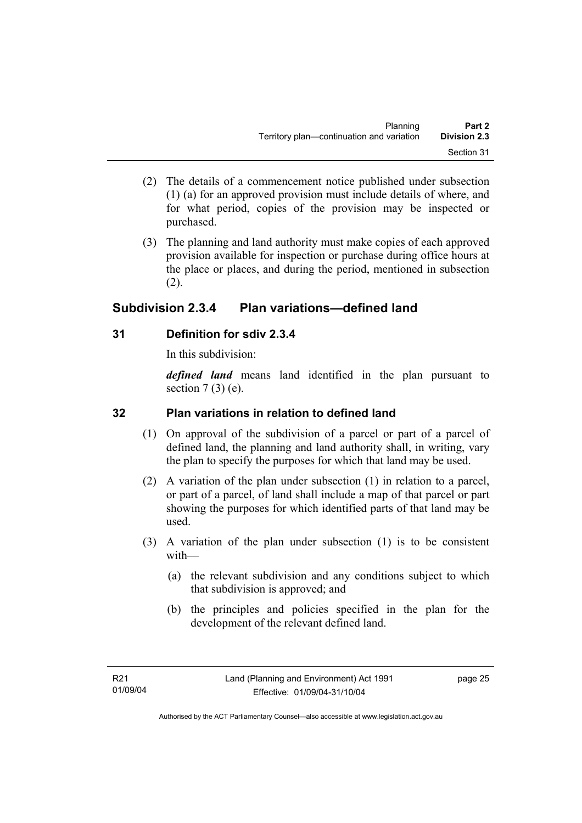- (2) The details of a commencement notice published under subsection (1) (a) for an approved provision must include details of where, and for what period, copies of the provision may be inspected or purchased.
- (3) The planning and land authority must make copies of each approved provision available for inspection or purchase during office hours at the place or places, and during the period, mentioned in subsection (2).

# **Subdivision 2.3.4 Plan variations—defined land**

## **31 Definition for sdiv 2.3.4**

In this subdivision:

*defined land* means land identified in the plan pursuant to section  $7(3)$  (e).

## **32 Plan variations in relation to defined land**

- (1) On approval of the subdivision of a parcel or part of a parcel of defined land, the planning and land authority shall, in writing, vary the plan to specify the purposes for which that land may be used.
- (2) A variation of the plan under subsection (1) in relation to a parcel, or part of a parcel, of land shall include a map of that parcel or part showing the purposes for which identified parts of that land may be used.
- (3) A variation of the plan under subsection (1) is to be consistent with—
	- (a) the relevant subdivision and any conditions subject to which that subdivision is approved; and
	- (b) the principles and policies specified in the plan for the development of the relevant defined land.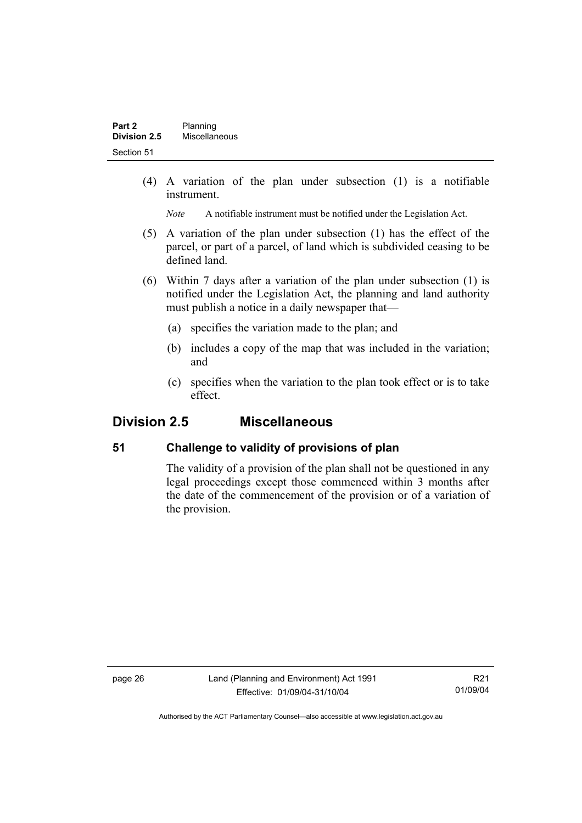(4) A variation of the plan under subsection (1) is a notifiable instrument.

*Note* A notifiable instrument must be notified under the Legislation Act.

- (5) A variation of the plan under subsection (1) has the effect of the parcel, or part of a parcel, of land which is subdivided ceasing to be defined land.
- (6) Within 7 days after a variation of the plan under subsection (1) is notified under the Legislation Act, the planning and land authority must publish a notice in a daily newspaper that—
	- (a) specifies the variation made to the plan; and
	- (b) includes a copy of the map that was included in the variation; and
	- (c) specifies when the variation to the plan took effect or is to take effect.

# **Division 2.5 Miscellaneous**

### **51 Challenge to validity of provisions of plan**

The validity of a provision of the plan shall not be questioned in any legal proceedings except those commenced within 3 months after the date of the commencement of the provision or of a variation of the provision.

page 26 Land (Planning and Environment) Act 1991 Effective: 01/09/04-31/10/04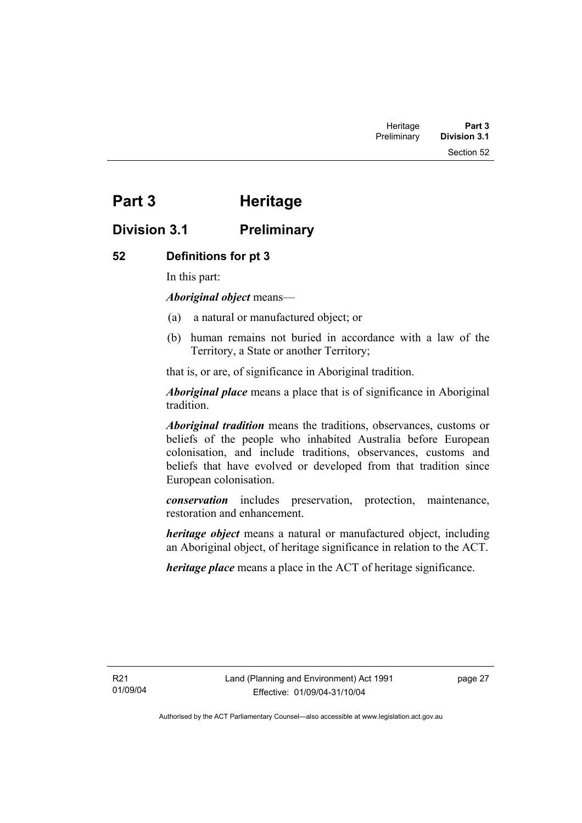Section 52

# **Part 3 Heritage**

# **Division 3.1 Preliminary**

## **52 Definitions for pt 3**

In this part:

*Aboriginal object* means—

- (a) a natural or manufactured object; or
- (b) human remains not buried in accordance with a law of the Territory, a State or another Territory;

that is, or are, of significance in Aboriginal tradition.

*Aboriginal place* means a place that is of significance in Aboriginal tradition.

*Aboriginal tradition* means the traditions, observances, customs or beliefs of the people who inhabited Australia before European colonisation, and include traditions, observances, customs and beliefs that have evolved or developed from that tradition since European colonisation.

*conservation* includes preservation, protection, maintenance, restoration and enhancement.

*heritage object* means a natural or manufactured object, including an Aboriginal object, of heritage significance in relation to the ACT.

*heritage place* means a place in the ACT of heritage significance.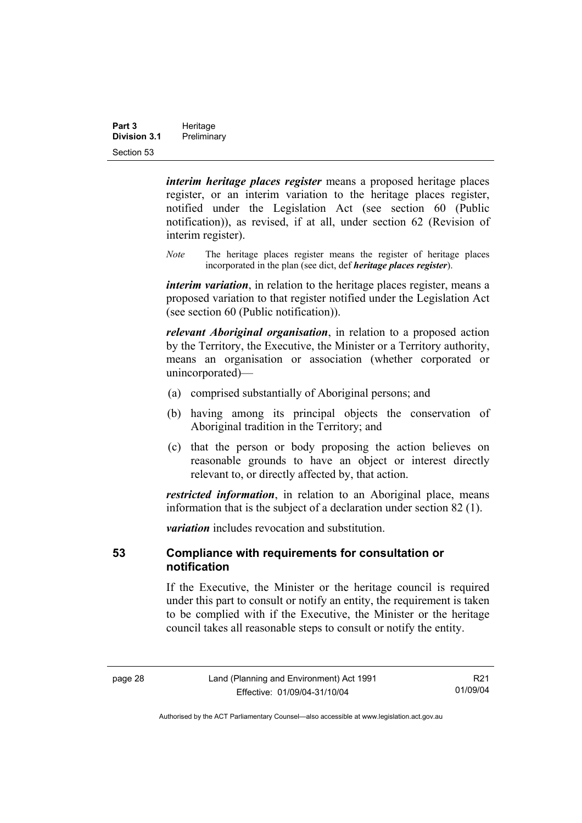| Part 3              | Heritage    |  |
|---------------------|-------------|--|
| <b>Division 3.1</b> | Preliminary |  |
| Section 53          |             |  |

*interim heritage places register* means a proposed heritage places register, or an interim variation to the heritage places register, notified under the Legislation Act (see section 60 (Public notification)), as revised, if at all, under section 62 (Revision of interim register).

*Note* The heritage places register means the register of heritage places incorporated in the plan (see dict, def *heritage places register*).

*interim variation*, in relation to the heritage places register, means a proposed variation to that register notified under the Legislation Act (see section 60 (Public notification)).

*relevant Aboriginal organisation*, in relation to a proposed action by the Territory, the Executive, the Minister or a Territory authority, means an organisation or association (whether corporated or unincorporated)—

- (a) comprised substantially of Aboriginal persons; and
- (b) having among its principal objects the conservation of Aboriginal tradition in the Territory; and
- (c) that the person or body proposing the action believes on reasonable grounds to have an object or interest directly relevant to, or directly affected by, that action.

*restricted information*, in relation to an Aboriginal place, means information that is the subject of a declaration under section 82 (1).

*variation* includes revocation and substitution.

#### **53 Compliance with requirements for consultation or notification**

If the Executive, the Minister or the heritage council is required under this part to consult or notify an entity, the requirement is taken to be complied with if the Executive, the Minister or the heritage council takes all reasonable steps to consult or notify the entity.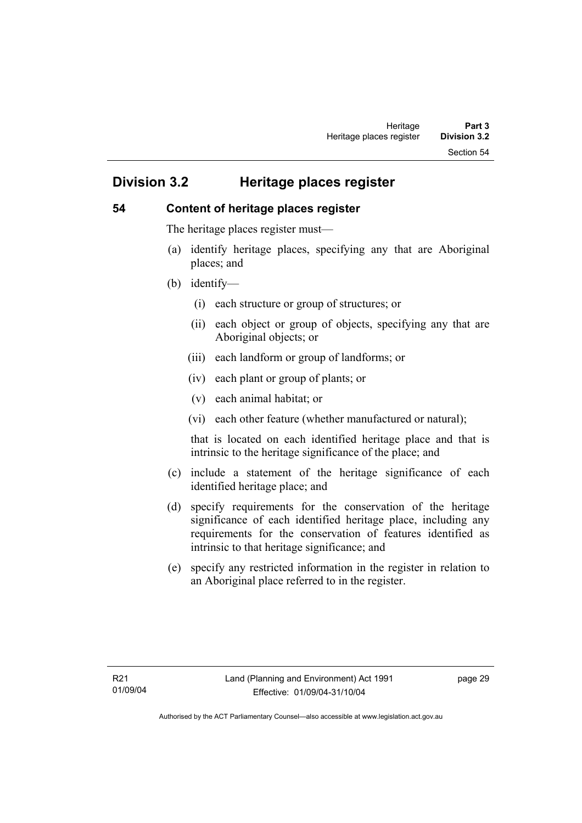Section 54

# **Division 3.2 Heritage places register**

#### **54 Content of heritage places register**

The heritage places register must—

- (a) identify heritage places, specifying any that are Aboriginal places; and
- (b) identify—
	- (i) each structure or group of structures; or
	- (ii) each object or group of objects, specifying any that are Aboriginal objects; or
	- (iii) each landform or group of landforms; or
	- (iv) each plant or group of plants; or
	- (v) each animal habitat; or
	- (vi) each other feature (whether manufactured or natural);

that is located on each identified heritage place and that is intrinsic to the heritage significance of the place; and

- (c) include a statement of the heritage significance of each identified heritage place; and
- (d) specify requirements for the conservation of the heritage significance of each identified heritage place, including any requirements for the conservation of features identified as intrinsic to that heritage significance; and
- (e) specify any restricted information in the register in relation to an Aboriginal place referred to in the register.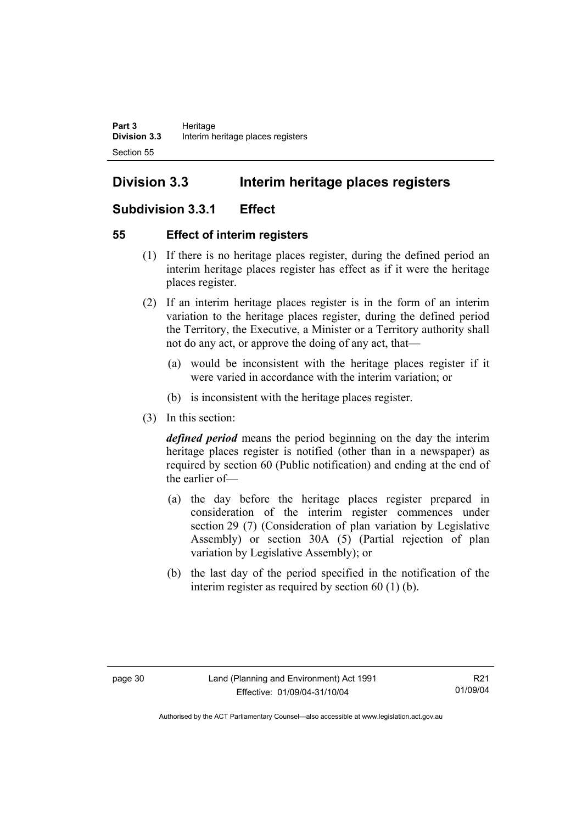# **Division 3.3 Interim heritage places registers**

# **Subdivision 3.3.1 Effect**

### **55 Effect of interim registers**

- (1) If there is no heritage places register, during the defined period an interim heritage places register has effect as if it were the heritage places register.
- (2) If an interim heritage places register is in the form of an interim variation to the heritage places register, during the defined period the Territory, the Executive, a Minister or a Territory authority shall not do any act, or approve the doing of any act, that—
	- (a) would be inconsistent with the heritage places register if it were varied in accordance with the interim variation; or
	- (b) is inconsistent with the heritage places register.
- (3) In this section:

*defined period* means the period beginning on the day the interim heritage places register is notified (other than in a newspaper) as required by section 60 (Public notification) and ending at the end of the earlier of—

- (a) the day before the heritage places register prepared in consideration of the interim register commences under section 29 (7) (Consideration of plan variation by Legislative Assembly) or section 30A (5) (Partial rejection of plan variation by Legislative Assembly); or
- (b) the last day of the period specified in the notification of the interim register as required by section 60 (1) (b).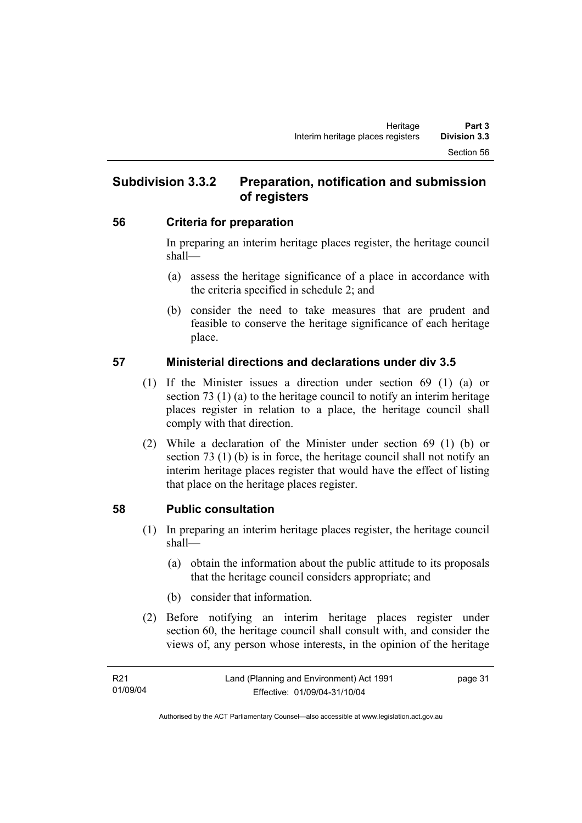# **Subdivision 3.3.2 Preparation, notification and submission of registers**

#### **56 Criteria for preparation**

In preparing an interim heritage places register, the heritage council shall—

- (a) assess the heritage significance of a place in accordance with the criteria specified in schedule 2; and
- (b) consider the need to take measures that are prudent and feasible to conserve the heritage significance of each heritage place.

## **57 Ministerial directions and declarations under div 3.5**

- (1) If the Minister issues a direction under section 69 (1) (a) or section 73 (1) (a) to the heritage council to notify an interim heritage places register in relation to a place, the heritage council shall comply with that direction.
- (2) While a declaration of the Minister under section 69 (1) (b) or section 73 (1) (b) is in force, the heritage council shall not notify an interim heritage places register that would have the effect of listing that place on the heritage places register.

# **58 Public consultation**

- (1) In preparing an interim heritage places register, the heritage council shall—
	- (a) obtain the information about the public attitude to its proposals that the heritage council considers appropriate; and
	- (b) consider that information.
- (2) Before notifying an interim heritage places register under section 60, the heritage council shall consult with, and consider the views of, any person whose interests, in the opinion of the heritage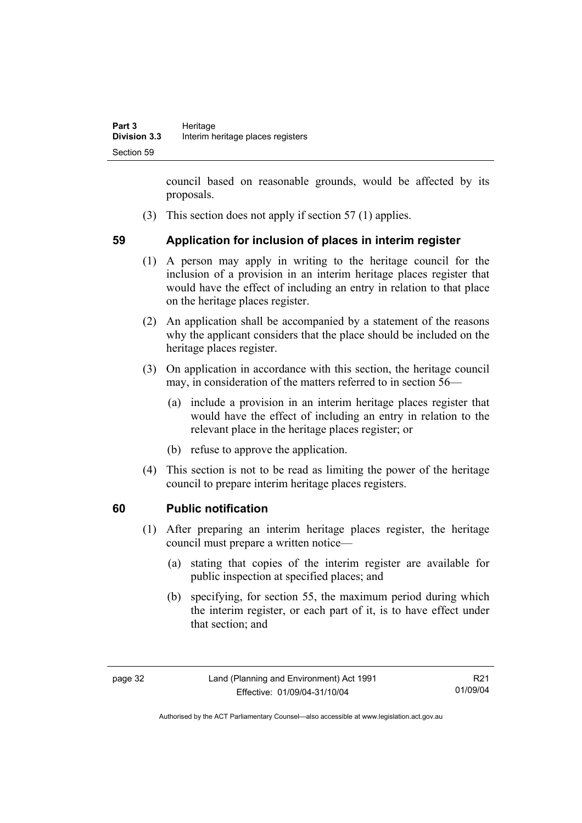council based on reasonable grounds, would be affected by its proposals.

(3) This section does not apply if section 57 (1) applies.

## **59 Application for inclusion of places in interim register**

- (1) A person may apply in writing to the heritage council for the inclusion of a provision in an interim heritage places register that would have the effect of including an entry in relation to that place on the heritage places register.
- (2) An application shall be accompanied by a statement of the reasons why the applicant considers that the place should be included on the heritage places register.
- (3) On application in accordance with this section, the heritage council may, in consideration of the matters referred to in section 56—
	- (a) include a provision in an interim heritage places register that would have the effect of including an entry in relation to the relevant place in the heritage places register; or
	- (b) refuse to approve the application.
- (4) This section is not to be read as limiting the power of the heritage council to prepare interim heritage places registers.

### **60 Public notification**

- (1) After preparing an interim heritage places register, the heritage council must prepare a written notice—
	- (a) stating that copies of the interim register are available for public inspection at specified places; and
	- (b) specifying, for section 55, the maximum period during which the interim register, or each part of it, is to have effect under that section; and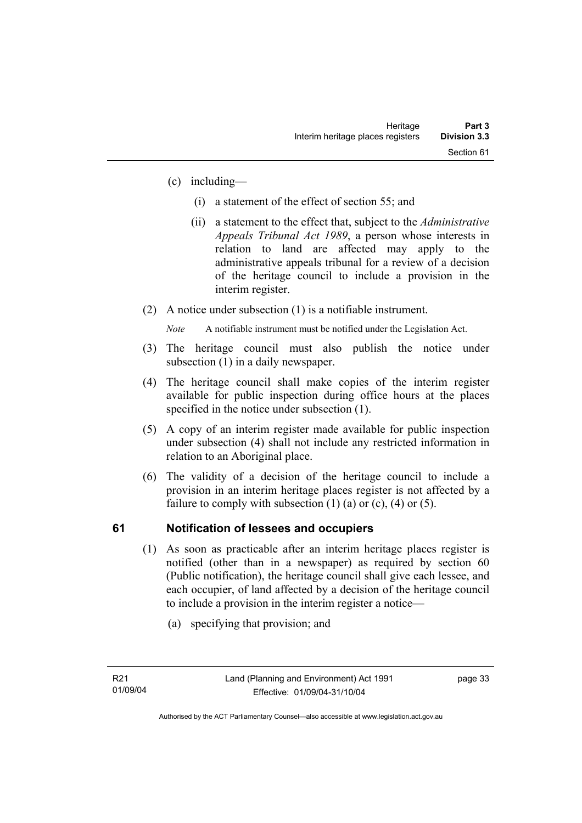- (c) including—
	- (i) a statement of the effect of section 55; and
	- (ii) a statement to the effect that, subject to the *Administrative Appeals Tribunal Act 1989*, a person whose interests in relation to land are affected may apply to the administrative appeals tribunal for a review of a decision of the heritage council to include a provision in the interim register.
- (2) A notice under subsection (1) is a notifiable instrument.

*Note* A notifiable instrument must be notified under the Legislation Act.

- (3) The heritage council must also publish the notice under subsection (1) in a daily newspaper.
- (4) The heritage council shall make copies of the interim register available for public inspection during office hours at the places specified in the notice under subsection (1).
- (5) A copy of an interim register made available for public inspection under subsection (4) shall not include any restricted information in relation to an Aboriginal place.
- (6) The validity of a decision of the heritage council to include a provision in an interim heritage places register is not affected by a failure to comply with subsection  $(1)$   $(a)$  or  $(c)$ ,  $(4)$  or  $(5)$ .

# **61 Notification of lessees and occupiers**

- (1) As soon as practicable after an interim heritage places register is notified (other than in a newspaper) as required by section 60 (Public notification), the heritage council shall give each lessee, and each occupier, of land affected by a decision of the heritage council to include a provision in the interim register a notice—
	- (a) specifying that provision; and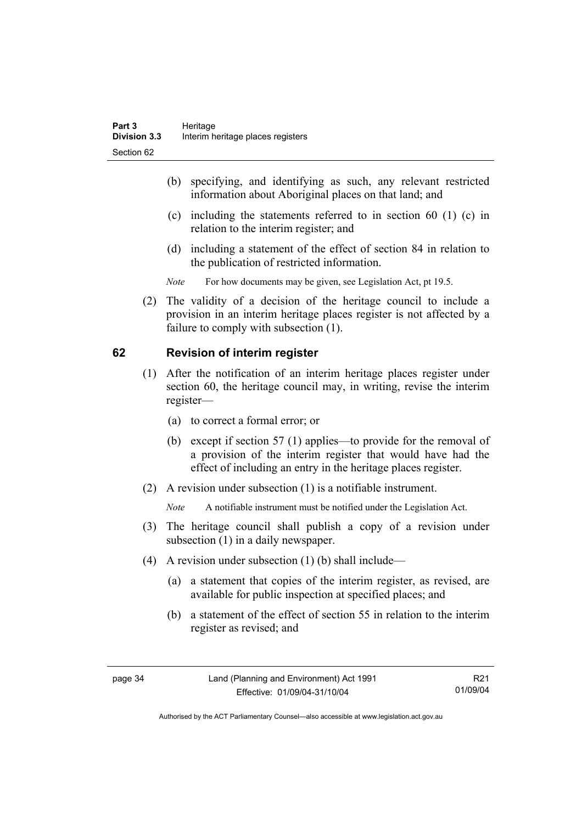- (b) specifying, and identifying as such, any relevant restricted information about Aboriginal places on that land; and
- (c) including the statements referred to in section 60 (1) (c) in relation to the interim register; and
- (d) including a statement of the effect of section 84 in relation to the publication of restricted information.
- *Note* For how documents may be given, see Legislation Act, pt 19.5.
- (2) The validity of a decision of the heritage council to include a provision in an interim heritage places register is not affected by a failure to comply with subsection (1).

### **62 Revision of interim register**

- (1) After the notification of an interim heritage places register under section 60, the heritage council may, in writing, revise the interim register—
	- (a) to correct a formal error; or
	- (b) except if section 57 (1) applies—to provide for the removal of a provision of the interim register that would have had the effect of including an entry in the heritage places register.
- (2) A revision under subsection (1) is a notifiable instrument.

*Note* A notifiable instrument must be notified under the Legislation Act.

- (3) The heritage council shall publish a copy of a revision under subsection (1) in a daily newspaper.
- (4) A revision under subsection (1) (b) shall include—
	- (a) a statement that copies of the interim register, as revised, are available for public inspection at specified places; and
	- (b) a statement of the effect of section 55 in relation to the interim register as revised; and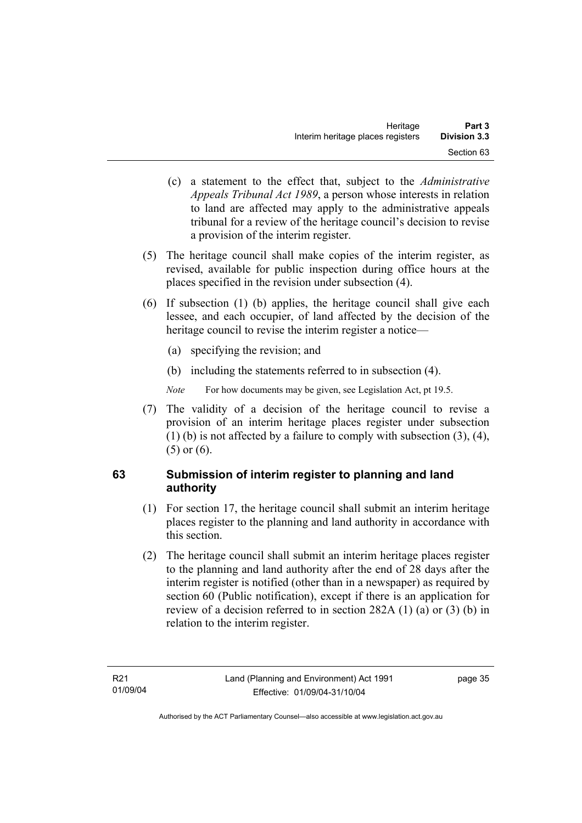- (c) a statement to the effect that, subject to the *Administrative Appeals Tribunal Act 1989*, a person whose interests in relation to land are affected may apply to the administrative appeals tribunal for a review of the heritage council's decision to revise a provision of the interim register.
- (5) The heritage council shall make copies of the interim register, as revised, available for public inspection during office hours at the places specified in the revision under subsection (4).
- (6) If subsection (1) (b) applies, the heritage council shall give each lessee, and each occupier, of land affected by the decision of the heritage council to revise the interim register a notice—
	- (a) specifying the revision; and
	- (b) including the statements referred to in subsection (4).
	- *Note* For how documents may be given, see Legislation Act, pt 19.5.
- (7) The validity of a decision of the heritage council to revise a provision of an interim heritage places register under subsection (1) (b) is not affected by a failure to comply with subsection (3), (4), (5) or (6).

## **63 Submission of interim register to planning and land authority**

- (1) For section 17, the heritage council shall submit an interim heritage places register to the planning and land authority in accordance with this section.
- (2) The heritage council shall submit an interim heritage places register to the planning and land authority after the end of 28 days after the interim register is notified (other than in a newspaper) as required by section 60 (Public notification), except if there is an application for review of a decision referred to in section 282A (1) (a) or (3) (b) in relation to the interim register.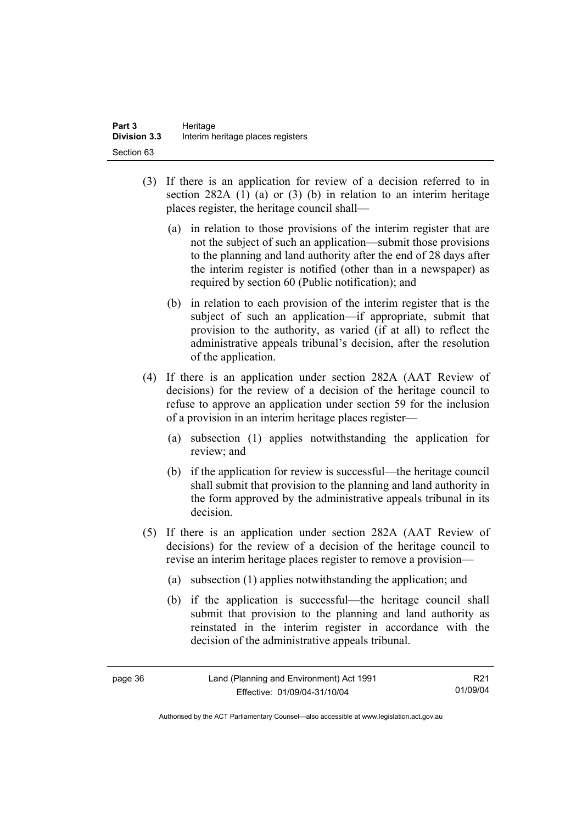- (3) If there is an application for review of a decision referred to in section 282A (1) (a) or (3) (b) in relation to an interim heritage places register, the heritage council shall—
	- (a) in relation to those provisions of the interim register that are not the subject of such an application—submit those provisions to the planning and land authority after the end of 28 days after the interim register is notified (other than in a newspaper) as required by section 60 (Public notification); and
	- (b) in relation to each provision of the interim register that is the subject of such an application—if appropriate, submit that provision to the authority, as varied (if at all) to reflect the administrative appeals tribunal's decision, after the resolution of the application.
- (4) If there is an application under section 282A (AAT Review of decisions) for the review of a decision of the heritage council to refuse to approve an application under section 59 for the inclusion of a provision in an interim heritage places register—
	- (a) subsection (1) applies notwithstanding the application for review; and
	- (b) if the application for review is successful—the heritage council shall submit that provision to the planning and land authority in the form approved by the administrative appeals tribunal in its decision.
- (5) If there is an application under section 282A (AAT Review of decisions) for the review of a decision of the heritage council to revise an interim heritage places register to remove a provision—
	- (a) subsection (1) applies notwithstanding the application; and
	- (b) if the application is successful—the heritage council shall submit that provision to the planning and land authority as reinstated in the interim register in accordance with the decision of the administrative appeals tribunal.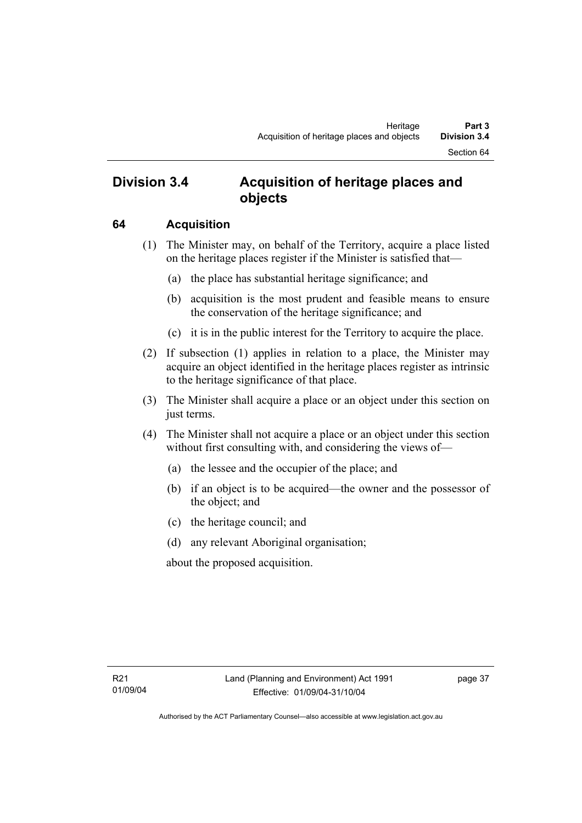# **Division 3.4 Acquisition of heritage places and objects**

### **64 Acquisition**

- (1) The Minister may, on behalf of the Territory, acquire a place listed on the heritage places register if the Minister is satisfied that—
	- (a) the place has substantial heritage significance; and
	- (b) acquisition is the most prudent and feasible means to ensure the conservation of the heritage significance; and
	- (c) it is in the public interest for the Territory to acquire the place.
- (2) If subsection (1) applies in relation to a place, the Minister may acquire an object identified in the heritage places register as intrinsic to the heritage significance of that place.
- (3) The Minister shall acquire a place or an object under this section on just terms.
- (4) The Minister shall not acquire a place or an object under this section without first consulting with, and considering the views of—
	- (a) the lessee and the occupier of the place; and
	- (b) if an object is to be acquired—the owner and the possessor of the object; and
	- (c) the heritage council; and
	- (d) any relevant Aboriginal organisation;

about the proposed acquisition.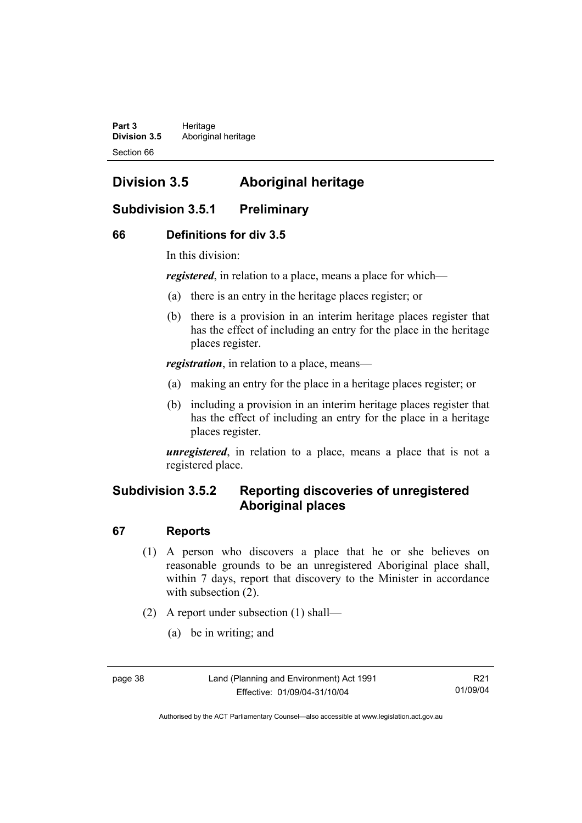Part 3 **Heritage Division 3.5** Aboriginal heritage Section 66

# **Division 3.5 Aboriginal heritage**

# **Subdivision 3.5.1 Preliminary**

### **66 Definitions for div 3.5**

In this division:

*registered*, in relation to a place, means a place for which—

- (a) there is an entry in the heritage places register; or
- (b) there is a provision in an interim heritage places register that has the effect of including an entry for the place in the heritage places register.

*registration*, in relation to a place, means—

- (a) making an entry for the place in a heritage places register; or
- (b) including a provision in an interim heritage places register that has the effect of including an entry for the place in a heritage places register.

*unregistered*, in relation to a place, means a place that is not a registered place.

# **Subdivision 3.5.2 Reporting discoveries of unregistered Aboriginal places**

#### **67 Reports**

- (1) A person who discovers a place that he or she believes on reasonable grounds to be an unregistered Aboriginal place shall, within 7 days, report that discovery to the Minister in accordance with subsection  $(2)$ .
- (2) A report under subsection (1) shall—
	- (a) be in writing; and

Authorised by the ACT Parliamentary Counsel—also accessible at www.legislation.act.gov.au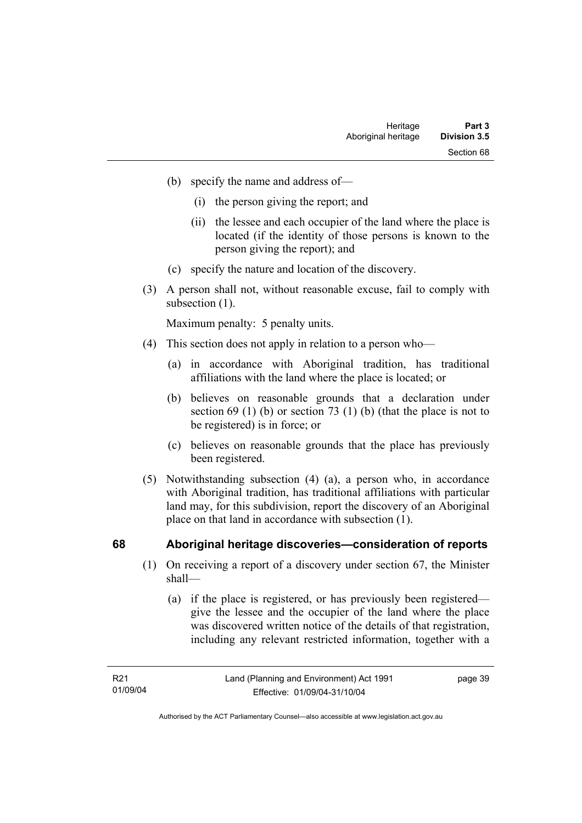- (b) specify the name and address of—
	- (i) the person giving the report; and
	- (ii) the lessee and each occupier of the land where the place is located (if the identity of those persons is known to the person giving the report); and
- (c) specify the nature and location of the discovery.
- (3) A person shall not, without reasonable excuse, fail to comply with subsection  $(1)$ .

Maximum penalty: 5 penalty units.

- (4) This section does not apply in relation to a person who—
	- (a) in accordance with Aboriginal tradition, has traditional affiliations with the land where the place is located; or
	- (b) believes on reasonable grounds that a declaration under section 69 (1) (b) or section 73 (1) (b) (that the place is not to be registered) is in force; or
	- (c) believes on reasonable grounds that the place has previously been registered.
- (5) Notwithstanding subsection (4) (a), a person who, in accordance with Aboriginal tradition, has traditional affiliations with particular land may, for this subdivision, report the discovery of an Aboriginal place on that land in accordance with subsection (1).

#### **68 Aboriginal heritage discoveries—consideration of reports**

- (1) On receiving a report of a discovery under section 67, the Minister shall—
	- (a) if the place is registered, or has previously been registered give the lessee and the occupier of the land where the place was discovered written notice of the details of that registration, including any relevant restricted information, together with a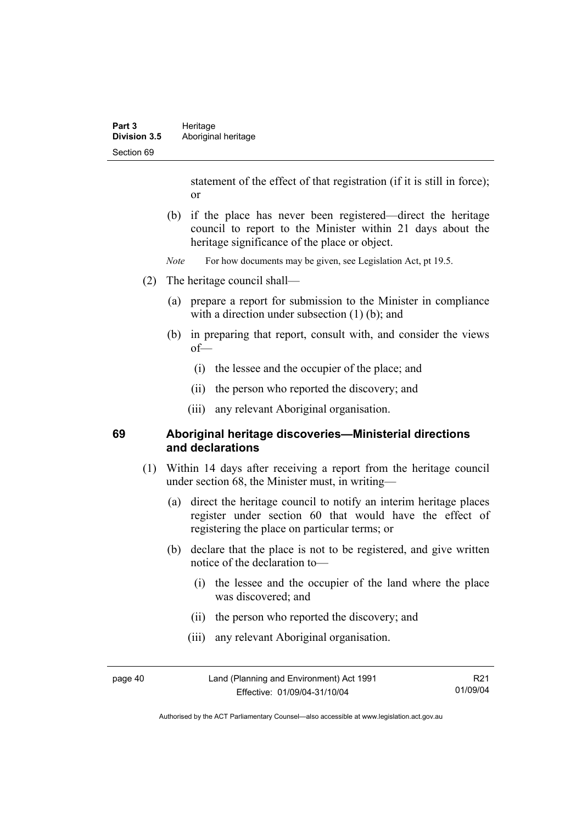statement of the effect of that registration (if it is still in force); or

- (b) if the place has never been registered—direct the heritage council to report to the Minister within 21 days about the heritage significance of the place or object.
- *Note* For how documents may be given, see Legislation Act, pt 19.5.
- (2) The heritage council shall—
	- (a) prepare a report for submission to the Minister in compliance with a direction under subsection (1) (b); and
	- (b) in preparing that report, consult with, and consider the views of—
		- (i) the lessee and the occupier of the place; and
		- (ii) the person who reported the discovery; and
		- (iii) any relevant Aboriginal organisation.

#### **69 Aboriginal heritage discoveries—Ministerial directions and declarations**

- (1) Within 14 days after receiving a report from the heritage council under section 68, the Minister must, in writing—
	- (a) direct the heritage council to notify an interim heritage places register under section 60 that would have the effect of registering the place on particular terms; or
	- (b) declare that the place is not to be registered, and give written notice of the declaration to—
		- (i) the lessee and the occupier of the land where the place was discovered; and
		- (ii) the person who reported the discovery; and
		- (iii) any relevant Aboriginal organisation.

page 40 Land (Planning and Environment) Act 1991 Effective: 01/09/04-31/10/04

R21 01/09/04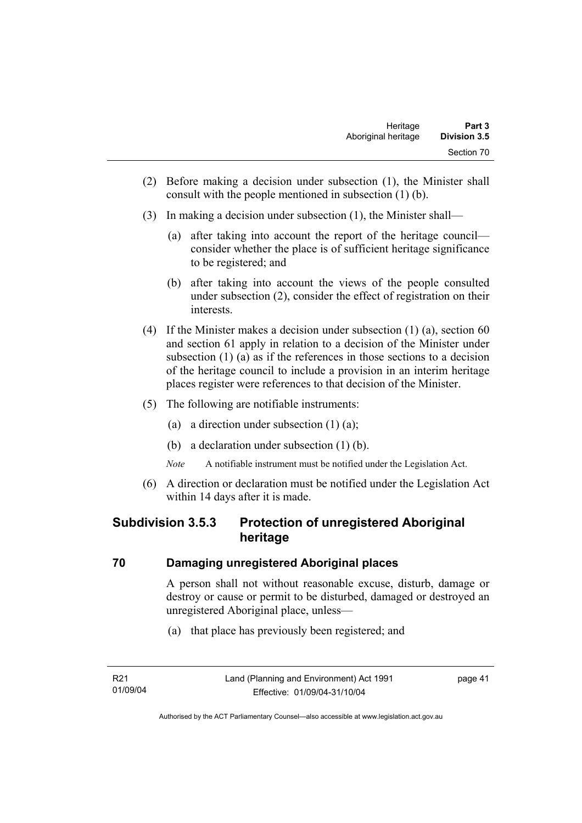- (2) Before making a decision under subsection (1), the Minister shall consult with the people mentioned in subsection (1) (b).
- (3) In making a decision under subsection (1), the Minister shall—
	- (a) after taking into account the report of the heritage council consider whether the place is of sufficient heritage significance to be registered; and
	- (b) after taking into account the views of the people consulted under subsection (2), consider the effect of registration on their interests.
- (4) If the Minister makes a decision under subsection (1) (a), section 60 and section 61 apply in relation to a decision of the Minister under subsection (1) (a) as if the references in those sections to a decision of the heritage council to include a provision in an interim heritage places register were references to that decision of the Minister.
- (5) The following are notifiable instruments:
	- (a) a direction under subsection (1) (a);
	- (b) a declaration under subsection (1) (b).
	- *Note* A notifiable instrument must be notified under the Legislation Act.
- (6) A direction or declaration must be notified under the Legislation Act within 14 days after it is made.

# **Subdivision 3.5.3 Protection of unregistered Aboriginal heritage**

### **70 Damaging unregistered Aboriginal places**

A person shall not without reasonable excuse, disturb, damage or destroy or cause or permit to be disturbed, damaged or destroyed an unregistered Aboriginal place, unless—

(a) that place has previously been registered; and

page 41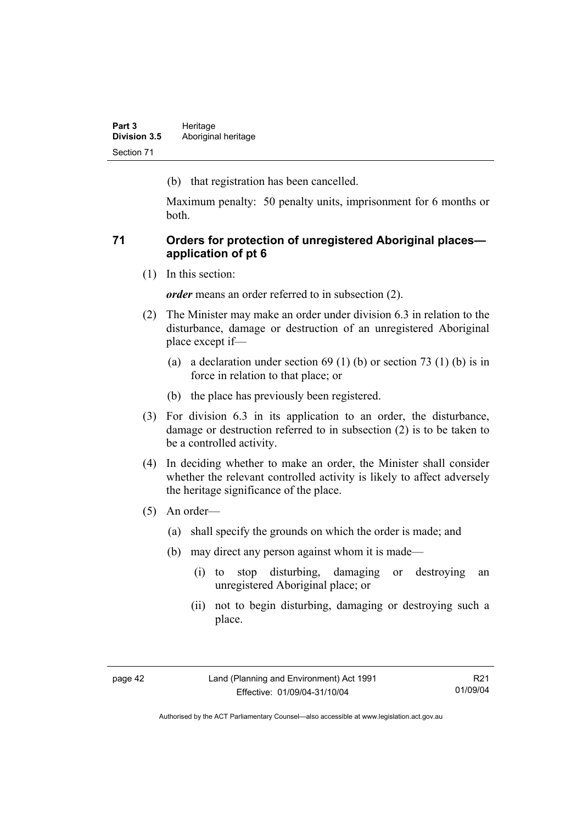(b) that registration has been cancelled.

Maximum penalty: 50 penalty units, imprisonment for 6 months or both.

### **71 Orders for protection of unregistered Aboriginal places application of pt 6**

(1) In this section:

*order* means an order referred to in subsection (2).

- (2) The Minister may make an order under division 6.3 in relation to the disturbance, damage or destruction of an unregistered Aboriginal place except if—
	- (a) a declaration under section  $69 (1) (b)$  or section  $73 (1) (b)$  is in force in relation to that place; or
	- (b) the place has previously been registered.
- (3) For division 6.3 in its application to an order, the disturbance, damage or destruction referred to in subsection (2) is to be taken to be a controlled activity.
- (4) In deciding whether to make an order, the Minister shall consider whether the relevant controlled activity is likely to affect adversely the heritage significance of the place.
- (5) An order—
	- (a) shall specify the grounds on which the order is made; and
	- (b) may direct any person against whom it is made—
		- (i) to stop disturbing, damaging or destroying an unregistered Aboriginal place; or
		- (ii) not to begin disturbing, damaging or destroying such a place.

Authorised by the ACT Parliamentary Counsel—also accessible at www.legislation.act.gov.au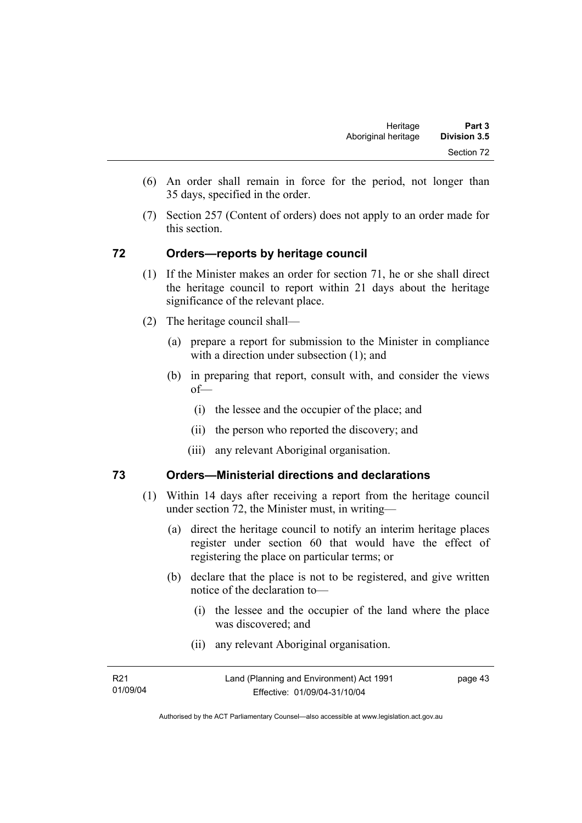- (6) An order shall remain in force for the period, not longer than 35 days, specified in the order.
- (7) Section 257 (Content of orders) does not apply to an order made for this section.

#### **72 Orders—reports by heritage council**

- (1) If the Minister makes an order for section 71, he or she shall direct the heritage council to report within 21 days about the heritage significance of the relevant place.
- (2) The heritage council shall—
	- (a) prepare a report for submission to the Minister in compliance with a direction under subsection (1); and
	- (b) in preparing that report, consult with, and consider the views of—
		- (i) the lessee and the occupier of the place; and
		- (ii) the person who reported the discovery; and
		- (iii) any relevant Aboriginal organisation.

#### **73 Orders—Ministerial directions and declarations**

- (1) Within 14 days after receiving a report from the heritage council under section 72, the Minister must, in writing—
	- (a) direct the heritage council to notify an interim heritage places register under section 60 that would have the effect of registering the place on particular terms; or
	- (b) declare that the place is not to be registered, and give written notice of the declaration to—
		- (i) the lessee and the occupier of the land where the place was discovered; and
		- (ii) any relevant Aboriginal organisation.

| R <sub>21</sub> | Land (Planning and Environment) Act 1991 | page 43 |
|-----------------|------------------------------------------|---------|
| 01/09/04        | Effective: 01/09/04-31/10/04             |         |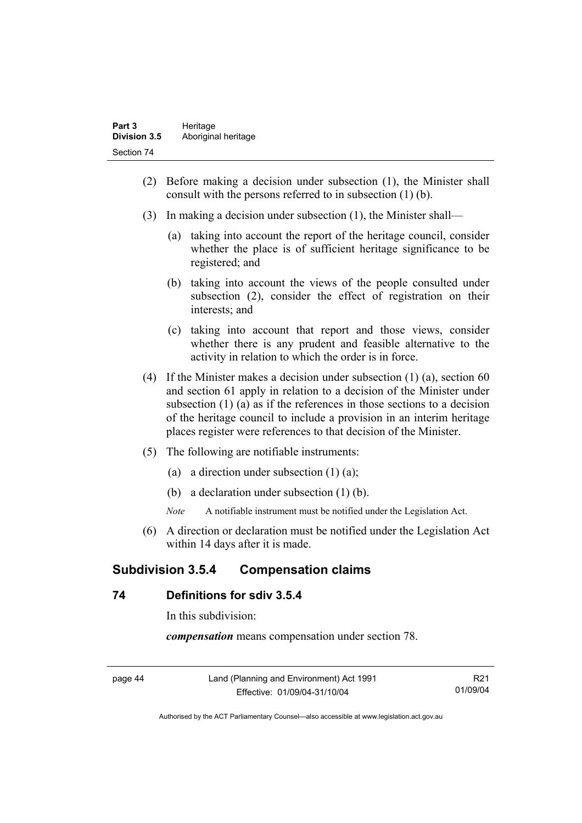- (2) Before making a decision under subsection (1), the Minister shall consult with the persons referred to in subsection (1) (b).
- (3) In making a decision under subsection (1), the Minister shall—
	- (a) taking into account the report of the heritage council, consider whether the place is of sufficient heritage significance to be registered; and
	- (b) taking into account the views of the people consulted under subsection (2), consider the effect of registration on their interests; and
	- (c) taking into account that report and those views, consider whether there is any prudent and feasible alternative to the activity in relation to which the order is in force.
- (4) If the Minister makes a decision under subsection (1) (a), section 60 and section 61 apply in relation to a decision of the Minister under subsection (1) (a) as if the references in those sections to a decision of the heritage council to include a provision in an interim heritage places register were references to that decision of the Minister.
- (5) The following are notifiable instruments:
	- (a) a direction under subsection  $(1)$   $(a)$ ;
	- (b) a declaration under subsection (1) (b).
	- *Note* A notifiable instrument must be notified under the Legislation Act.
- (6) A direction or declaration must be notified under the Legislation Act within 14 days after it is made.

# **Subdivision 3.5.4 Compensation claims**

#### **74 Definitions for sdiv 3.5.4**

In this subdivision:

*compensation* means compensation under section 78.

Land (Planning and Environment) Act 1991 Effective: 01/09/04-31/10/04

R21 01/09/04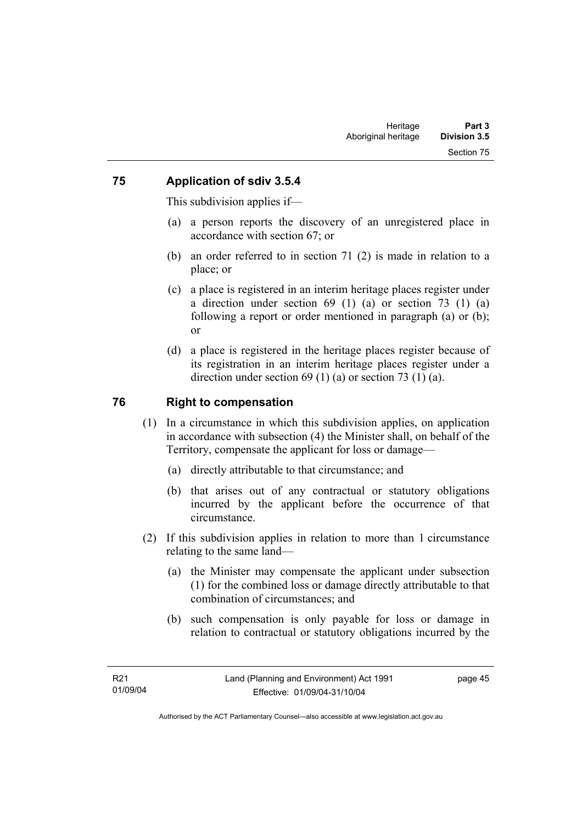#### **75 Application of sdiv 3.5.4**

This subdivision applies if—

- (a) a person reports the discovery of an unregistered place in accordance with section 67; or
- (b) an order referred to in section 71 (2) is made in relation to a place; or
- (c) a place is registered in an interim heritage places register under a direction under section 69 (1) (a) or section 73 (1) (a) following a report or order mentioned in paragraph (a) or (b); or
- (d) a place is registered in the heritage places register because of its registration in an interim heritage places register under a direction under section 69 (1) (a) or section 73 (1) (a).

### **76 Right to compensation**

- (1) In a circumstance in which this subdivision applies, on application in accordance with subsection (4) the Minister shall, on behalf of the Territory, compensate the applicant for loss or damage—
	- (a) directly attributable to that circumstance; and
	- (b) that arises out of any contractual or statutory obligations incurred by the applicant before the occurrence of that circumstance.
- (2) If this subdivision applies in relation to more than 1 circumstance relating to the same land—
	- (a) the Minister may compensate the applicant under subsection (1) for the combined loss or damage directly attributable to that combination of circumstances; and
	- (b) such compensation is only payable for loss or damage in relation to contractual or statutory obligations incurred by the

page 45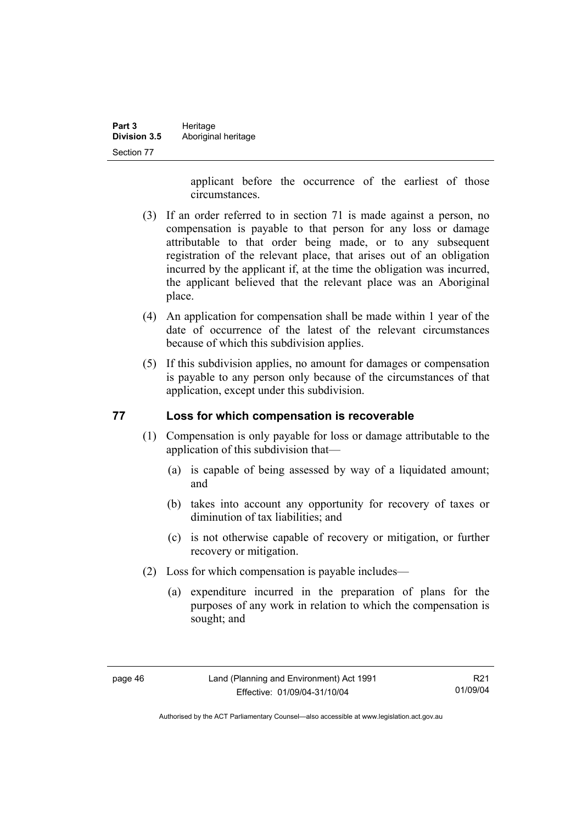| Part 3              | Heritage            |
|---------------------|---------------------|
| <b>Division 3.5</b> | Aboriginal heritage |
| Section 77          |                     |

applicant before the occurrence of the earliest of those circumstances.

- (3) If an order referred to in section 71 is made against a person, no compensation is payable to that person for any loss or damage attributable to that order being made, or to any subsequent registration of the relevant place, that arises out of an obligation incurred by the applicant if, at the time the obligation was incurred, the applicant believed that the relevant place was an Aboriginal place.
- (4) An application for compensation shall be made within 1 year of the date of occurrence of the latest of the relevant circumstances because of which this subdivision applies.
- (5) If this subdivision applies, no amount for damages or compensation is payable to any person only because of the circumstances of that application, except under this subdivision.

#### **77 Loss for which compensation is recoverable**

- (1) Compensation is only payable for loss or damage attributable to the application of this subdivision that—
	- (a) is capable of being assessed by way of a liquidated amount; and
	- (b) takes into account any opportunity for recovery of taxes or diminution of tax liabilities; and
	- (c) is not otherwise capable of recovery or mitigation, or further recovery or mitigation.
- (2) Loss for which compensation is payable includes—
	- (a) expenditure incurred in the preparation of plans for the purposes of any work in relation to which the compensation is sought; and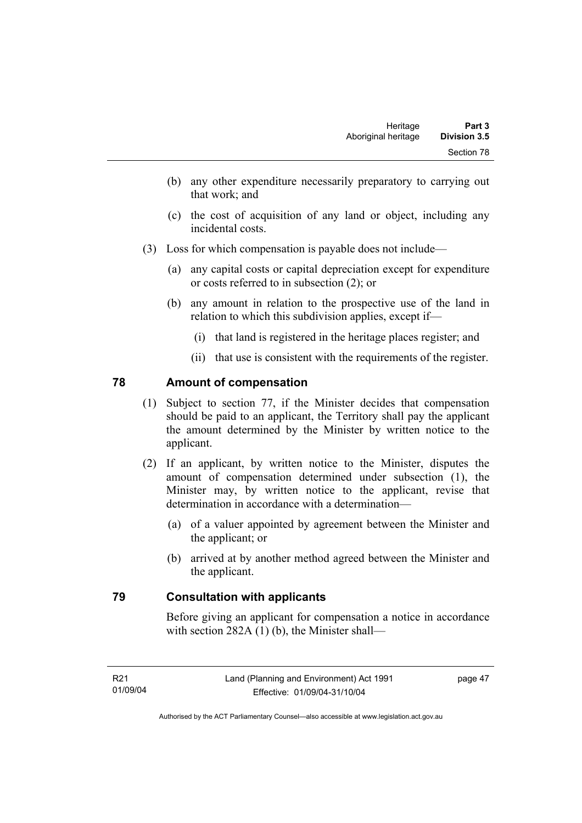- (b) any other expenditure necessarily preparatory to carrying out that work; and
- (c) the cost of acquisition of any land or object, including any incidental costs.
- (3) Loss for which compensation is payable does not include—
	- (a) any capital costs or capital depreciation except for expenditure or costs referred to in subsection (2); or
	- (b) any amount in relation to the prospective use of the land in relation to which this subdivision applies, except if—
		- (i) that land is registered in the heritage places register; and
		- (ii) that use is consistent with the requirements of the register.

### **78 Amount of compensation**

- (1) Subject to section 77, if the Minister decides that compensation should be paid to an applicant, the Territory shall pay the applicant the amount determined by the Minister by written notice to the applicant.
- (2) If an applicant, by written notice to the Minister, disputes the amount of compensation determined under subsection (1), the Minister may, by written notice to the applicant, revise that determination in accordance with a determination—
	- (a) of a valuer appointed by agreement between the Minister and the applicant; or
	- (b) arrived at by another method agreed between the Minister and the applicant.

### **79 Consultation with applicants**

Before giving an applicant for compensation a notice in accordance with section 282A (1) (b), the Minister shall—

page 47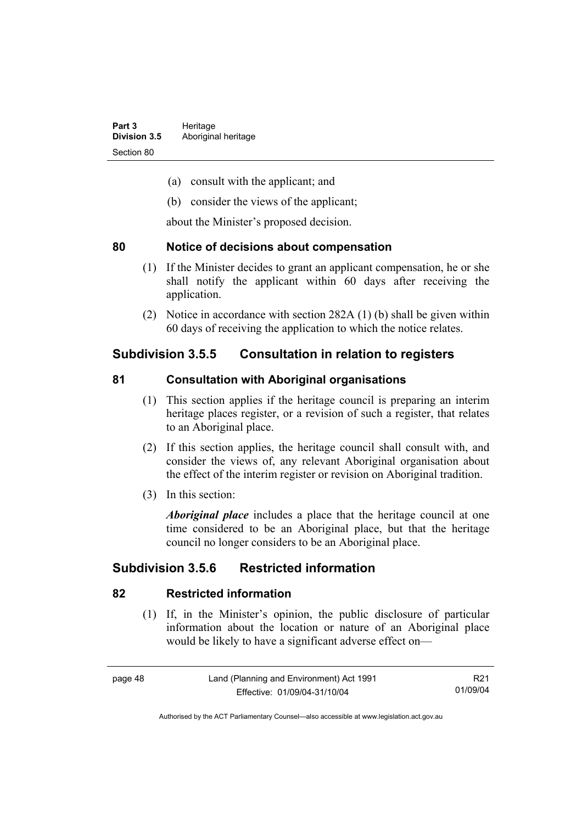- (a) consult with the applicant; and
- (b) consider the views of the applicant;

about the Minister's proposed decision.

#### **80 Notice of decisions about compensation**

- (1) If the Minister decides to grant an applicant compensation, he or she shall notify the applicant within 60 days after receiving the application.
- (2) Notice in accordance with section 282A (1) (b) shall be given within 60 days of receiving the application to which the notice relates.

# **Subdivision 3.5.5 Consultation in relation to registers**

### **81 Consultation with Aboriginal organisations**

- (1) This section applies if the heritage council is preparing an interim heritage places register, or a revision of such a register, that relates to an Aboriginal place.
- (2) If this section applies, the heritage council shall consult with, and consider the views of, any relevant Aboriginal organisation about the effect of the interim register or revision on Aboriginal tradition.
- (3) In this section:

*Aboriginal place* includes a place that the heritage council at one time considered to be an Aboriginal place, but that the heritage council no longer considers to be an Aboriginal place.

# **Subdivision 3.5.6 Restricted information**

### **82 Restricted information**

 (1) If, in the Minister's opinion, the public disclosure of particular information about the location or nature of an Aboriginal place would be likely to have a significant adverse effect on—

R21 01/09/04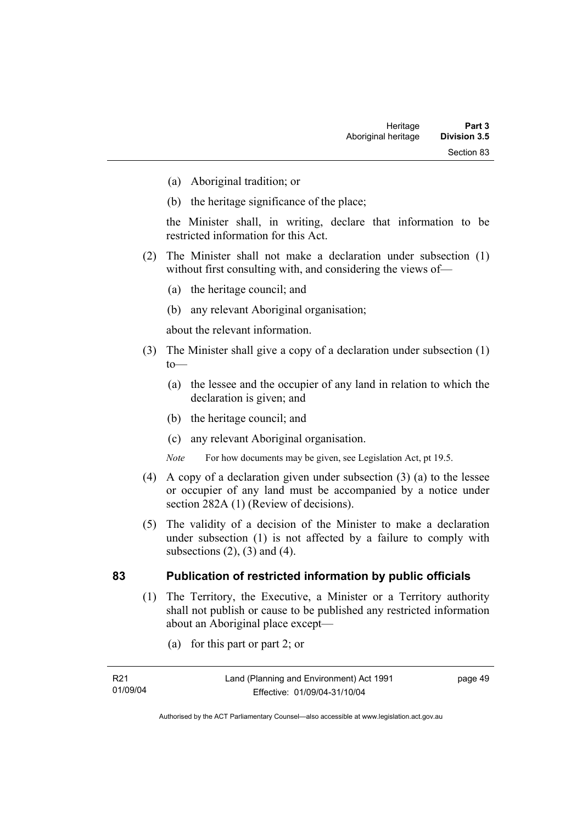- (a) Aboriginal tradition; or
- (b) the heritage significance of the place;

the Minister shall, in writing, declare that information to be restricted information for this Act.

- (2) The Minister shall not make a declaration under subsection (1) without first consulting with, and considering the views of—
	- (a) the heritage council; and
	- (b) any relevant Aboriginal organisation;

about the relevant information.

- (3) The Minister shall give a copy of a declaration under subsection (1)  $to$ —
	- (a) the lessee and the occupier of any land in relation to which the declaration is given; and
	- (b) the heritage council; and
	- (c) any relevant Aboriginal organisation.
	- *Note* For how documents may be given, see Legislation Act, pt 19.5.
- (4) A copy of a declaration given under subsection (3) (a) to the lessee or occupier of any land must be accompanied by a notice under section 282A (1) (Review of decisions).
- (5) The validity of a decision of the Minister to make a declaration under subsection (1) is not affected by a failure to comply with subsections  $(2)$ ,  $(3)$  and  $(4)$ .

#### **83 Publication of restricted information by public officials**

- (1) The Territory, the Executive, a Minister or a Territory authority shall not publish or cause to be published any restricted information about an Aboriginal place except—
	- (a) for this part or part 2; or

page 49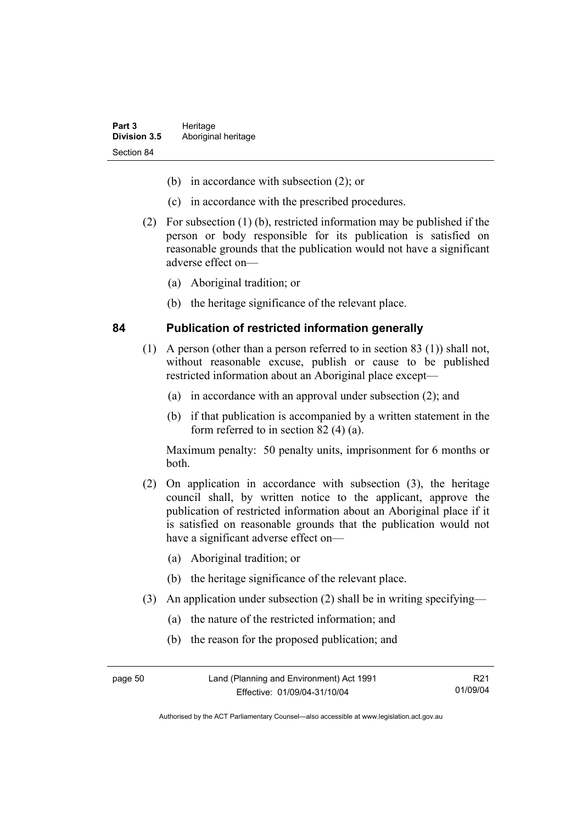- (b) in accordance with subsection (2); or
- (c) in accordance with the prescribed procedures.
- (2) For subsection (1) (b), restricted information may be published if the person or body responsible for its publication is satisfied on reasonable grounds that the publication would not have a significant adverse effect on—
	- (a) Aboriginal tradition; or
	- (b) the heritage significance of the relevant place.

#### **84 Publication of restricted information generally**

- (1) A person (other than a person referred to in section 83 (1)) shall not, without reasonable excuse, publish or cause to be published restricted information about an Aboriginal place except—
	- (a) in accordance with an approval under subsection (2); and
	- (b) if that publication is accompanied by a written statement in the form referred to in section 82 (4) (a).

Maximum penalty: 50 penalty units, imprisonment for 6 months or both.

- (2) On application in accordance with subsection (3), the heritage council shall, by written notice to the applicant, approve the publication of restricted information about an Aboriginal place if it is satisfied on reasonable grounds that the publication would not have a significant adverse effect on—
	- (a) Aboriginal tradition; or
	- (b) the heritage significance of the relevant place.
- (3) An application under subsection (2) shall be in writing specifying—
	- (a) the nature of the restricted information; and
	- (b) the reason for the proposed publication; and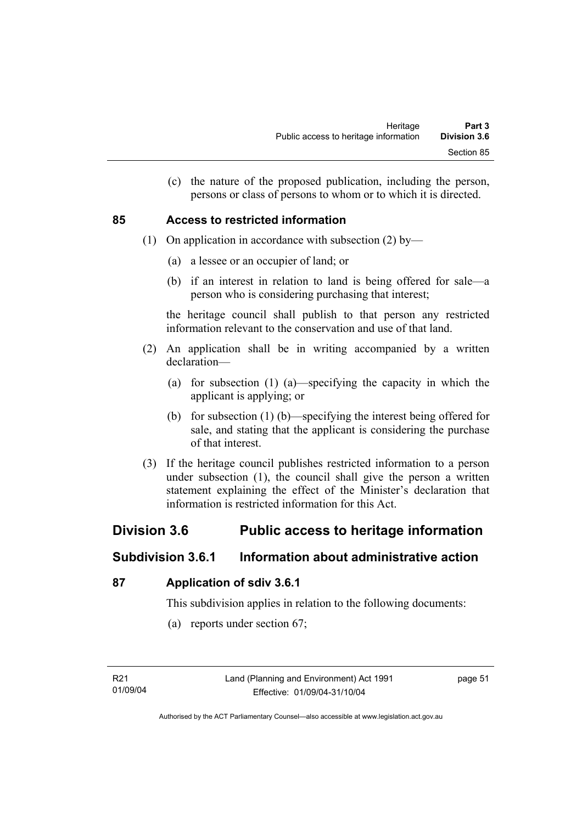(c) the nature of the proposed publication, including the person, persons or class of persons to whom or to which it is directed.

### **85 Access to restricted information**

- (1) On application in accordance with subsection (2) by—
	- (a) a lessee or an occupier of land; or
	- (b) if an interest in relation to land is being offered for sale—a person who is considering purchasing that interest;

the heritage council shall publish to that person any restricted information relevant to the conservation and use of that land.

- (2) An application shall be in writing accompanied by a written declaration—
	- (a) for subsection (1) (a)—specifying the capacity in which the applicant is applying; or
	- (b) for subsection (1) (b)—specifying the interest being offered for sale, and stating that the applicant is considering the purchase of that interest.
- (3) If the heritage council publishes restricted information to a person under subsection (1), the council shall give the person a written statement explaining the effect of the Minister's declaration that information is restricted information for this Act.

# **Division 3.6 Public access to heritage information**

# **Subdivision 3.6.1 Information about administrative action**

### **87 Application of sdiv 3.6.1**

This subdivision applies in relation to the following documents:

(a) reports under section 67;

page 51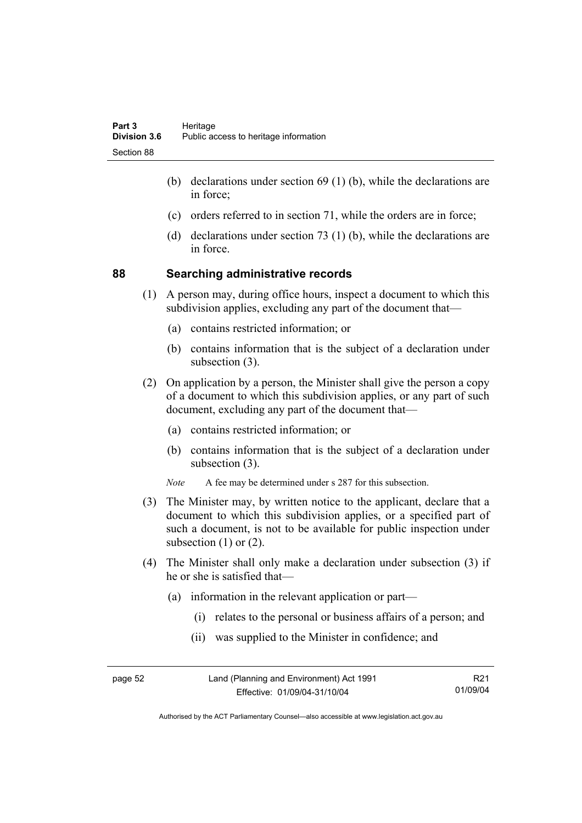- (b) declarations under section 69 (1) (b), while the declarations are in force;
- (c) orders referred to in section 71, while the orders are in force;
- (d) declarations under section 73 (1) (b), while the declarations are in force.

#### **88 Searching administrative records**

- (1) A person may, during office hours, inspect a document to which this subdivision applies, excluding any part of the document that—
	- (a) contains restricted information; or
	- (b) contains information that is the subject of a declaration under subsection (3).
- (2) On application by a person, the Minister shall give the person a copy of a document to which this subdivision applies, or any part of such document, excluding any part of the document that—
	- (a) contains restricted information; or
	- (b) contains information that is the subject of a declaration under subsection (3).
	- *Note* A fee may be determined under s 287 for this subsection.
- (3) The Minister may, by written notice to the applicant, declare that a document to which this subdivision applies, or a specified part of such a document, is not to be available for public inspection under subsection  $(1)$  or  $(2)$ .
- (4) The Minister shall only make a declaration under subsection (3) if he or she is satisfied that—
	- (a) information in the relevant application or part—
		- (i) relates to the personal or business affairs of a person; and
		- (ii) was supplied to the Minister in confidence; and

| page 52 | Land (Planning and Environment) Act 1991 | R21      |
|---------|------------------------------------------|----------|
|         | Effective: 01/09/04-31/10/04             | 01/09/04 |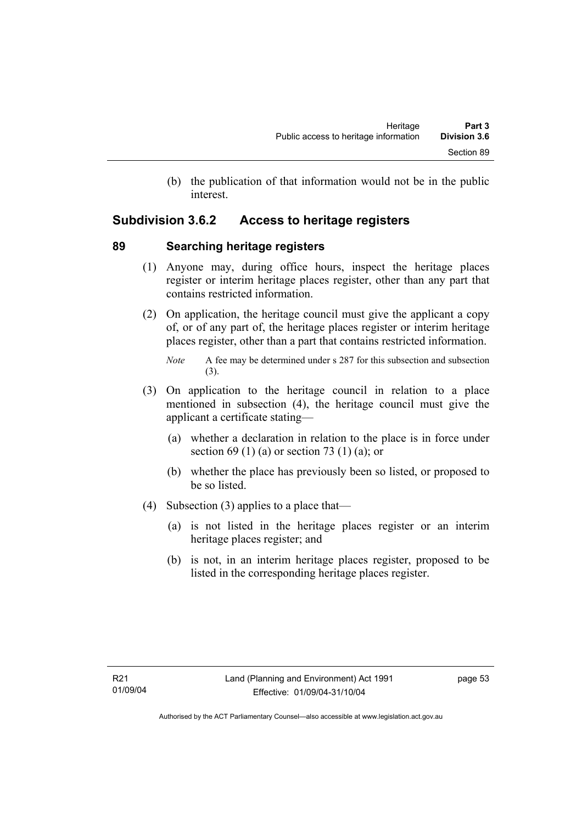(b) the publication of that information would not be in the public interest.

# **Subdivision 3.6.2 Access to heritage registers**

### **89 Searching heritage registers**

- (1) Anyone may, during office hours, inspect the heritage places register or interim heritage places register, other than any part that contains restricted information.
- (2) On application, the heritage council must give the applicant a copy of, or of any part of, the heritage places register or interim heritage places register, other than a part that contains restricted information.

- (3) On application to the heritage council in relation to a place mentioned in subsection (4), the heritage council must give the applicant a certificate stating—
	- (a) whether a declaration in relation to the place is in force under section 69 (1) (a) or section 73 (1) (a); or
	- (b) whether the place has previously been so listed, or proposed to be so listed.
- (4) Subsection (3) applies to a place that—
	- (a) is not listed in the heritage places register or an interim heritage places register; and
	- (b) is not, in an interim heritage places register, proposed to be listed in the corresponding heritage places register.

*Note* A fee may be determined under s 287 for this subsection and subsection (3).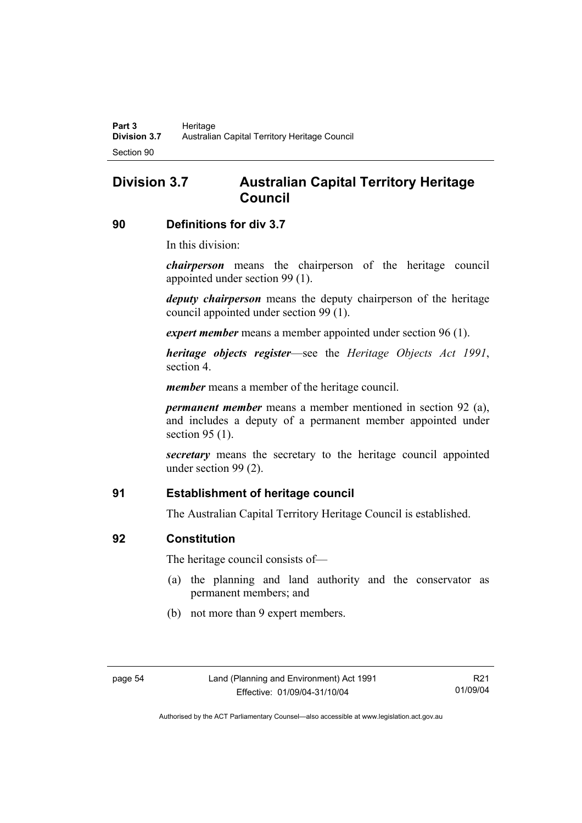# **Division 3.7 Australian Capital Territory Heritage Council**

#### **90 Definitions for div 3.7**

In this division:

*chairperson* means the chairperson of the heritage council appointed under section 99 (1).

*deputy chairperson* means the deputy chairperson of the heritage council appointed under section 99 (1).

*expert member* means a member appointed under section 96 (1).

*heritage objects register*—see the *Heritage Objects Act 1991*, section 4.

*member* means a member of the heritage council.

*permanent member* means a member mentioned in section 92 (a), and includes a deputy of a permanent member appointed under section 95 (1).

*secretary* means the secretary to the heritage council appointed under section 99 (2).

### **91 Establishment of heritage council**

The Australian Capital Territory Heritage Council is established.

#### **92 Constitution**

The heritage council consists of—

- (a) the planning and land authority and the conservator as permanent members; and
- (b) not more than 9 expert members.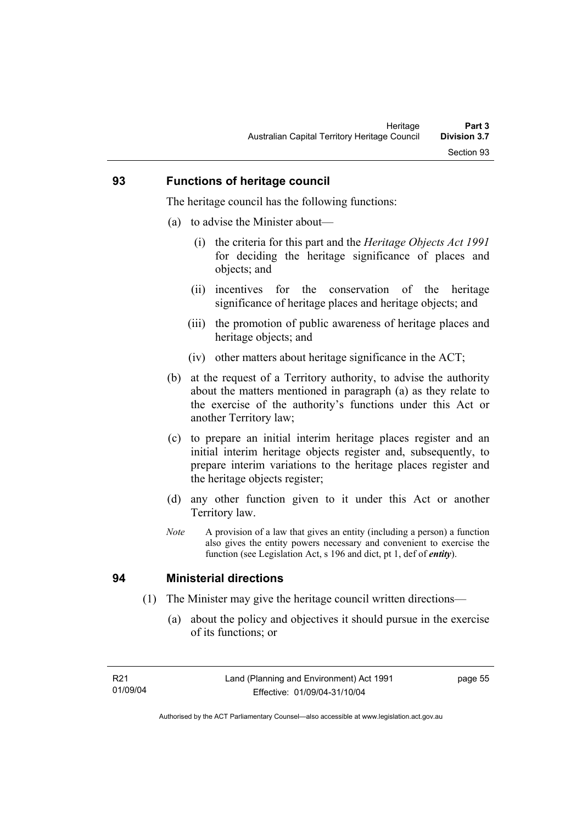#### **93 Functions of heritage council**

The heritage council has the following functions:

- (a) to advise the Minister about—
	- (i) the criteria for this part and the *Heritage Objects Act 1991* for deciding the heritage significance of places and objects; and
	- (ii) incentives for the conservation of the heritage significance of heritage places and heritage objects; and
	- (iii) the promotion of public awareness of heritage places and heritage objects; and
	- (iv) other matters about heritage significance in the ACT;
- (b) at the request of a Territory authority, to advise the authority about the matters mentioned in paragraph (a) as they relate to the exercise of the authority's functions under this Act or another Territory law;
- (c) to prepare an initial interim heritage places register and an initial interim heritage objects register and, subsequently, to prepare interim variations to the heritage places register and the heritage objects register;
- (d) any other function given to it under this Act or another Territory law.
- *Note* A provision of a law that gives an entity (including a person) a function also gives the entity powers necessary and convenient to exercise the function (see Legislation Act, s 196 and dict, pt 1, def of *entity*).

### **94 Ministerial directions**

- (1) The Minister may give the heritage council written directions—
	- (a) about the policy and objectives it should pursue in the exercise of its functions; or

page 55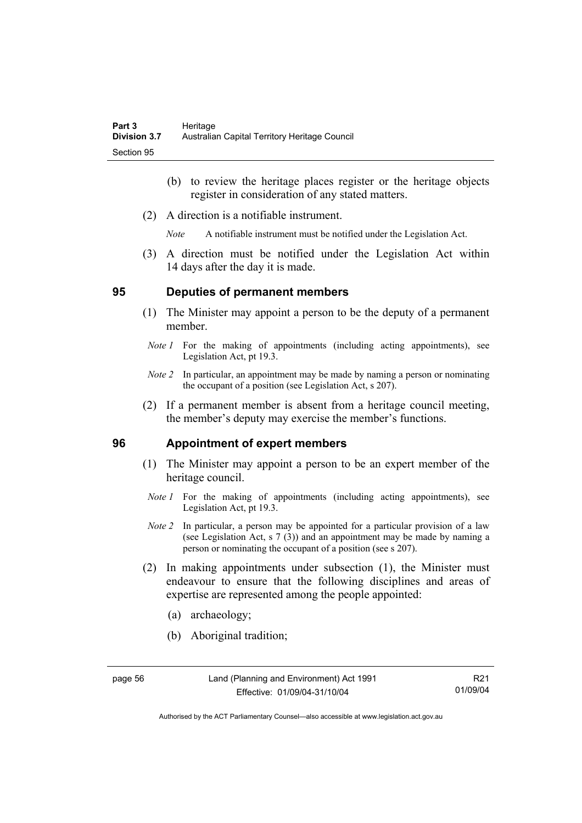- (b) to review the heritage places register or the heritage objects register in consideration of any stated matters.
- (2) A direction is a notifiable instrument.

*Note* A notifiable instrument must be notified under the Legislation Act.

 (3) A direction must be notified under the Legislation Act within 14 days after the day it is made.

#### **95 Deputies of permanent members**

- (1) The Minister may appoint a person to be the deputy of a permanent member.
- *Note 1* For the making of appointments (including acting appointments), see Legislation Act, pt 19.3.
- *Note 2* In particular, an appointment may be made by naming a person or nominating the occupant of a position (see Legislation Act, s 207).
- (2) If a permanent member is absent from a heritage council meeting, the member's deputy may exercise the member's functions.

#### **96 Appointment of expert members**

- (1) The Minister may appoint a person to be an expert member of the heritage council.
	- *Note 1* For the making of appointments (including acting appointments), see Legislation Act, pt 19.3.
	- *Note 2* In particular, a person may be appointed for a particular provision of a law (see Legislation Act, s 7 (3)) and an appointment may be made by naming a person or nominating the occupant of a position (see s 207).
- (2) In making appointments under subsection (1), the Minister must endeavour to ensure that the following disciplines and areas of expertise are represented among the people appointed:
	- (a) archaeology;
	- (b) Aboriginal tradition;

page 56 Land (Planning and Environment) Act 1991 Effective: 01/09/04-31/10/04

Authorised by the ACT Parliamentary Counsel—also accessible at www.legislation.act.gov.au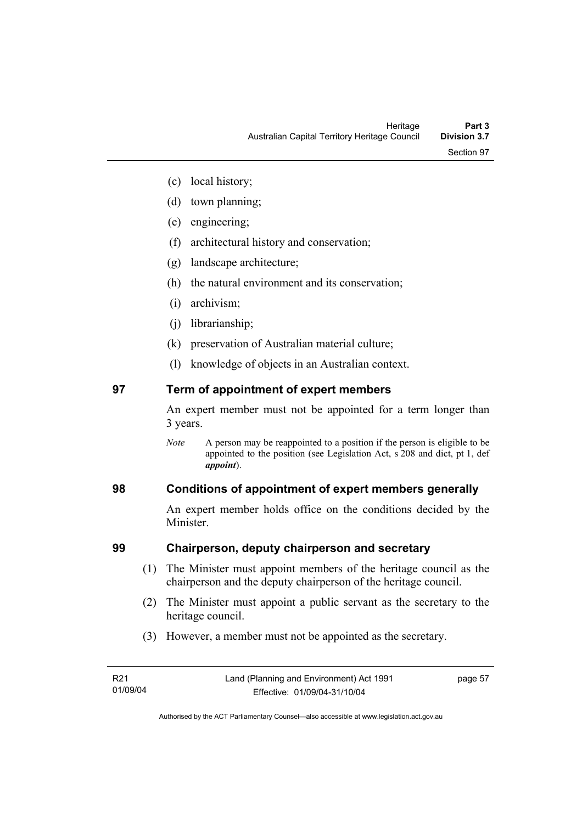- (c) local history;
- (d) town planning;
- (e) engineering;
- (f) architectural history and conservation;
- (g) landscape architecture;
- (h) the natural environment and its conservation;
- (i) archivism;
- (j) librarianship;
- (k) preservation of Australian material culture;
- (l) knowledge of objects in an Australian context.

# **97 Term of appointment of expert members**

An expert member must not be appointed for a term longer than 3 years.

*Note* A person may be reappointed to a position if the person is eligible to be appointed to the position (see Legislation Act, s 208 and dict, pt 1, def *appoint*).

# **98 Conditions of appointment of expert members generally**

An expert member holds office on the conditions decided by the **Minister** 

## **99 Chairperson, deputy chairperson and secretary**

- (1) The Minister must appoint members of the heritage council as the chairperson and the deputy chairperson of the heritage council.
- (2) The Minister must appoint a public servant as the secretary to the heritage council.
- (3) However, a member must not be appointed as the secretary.

page 57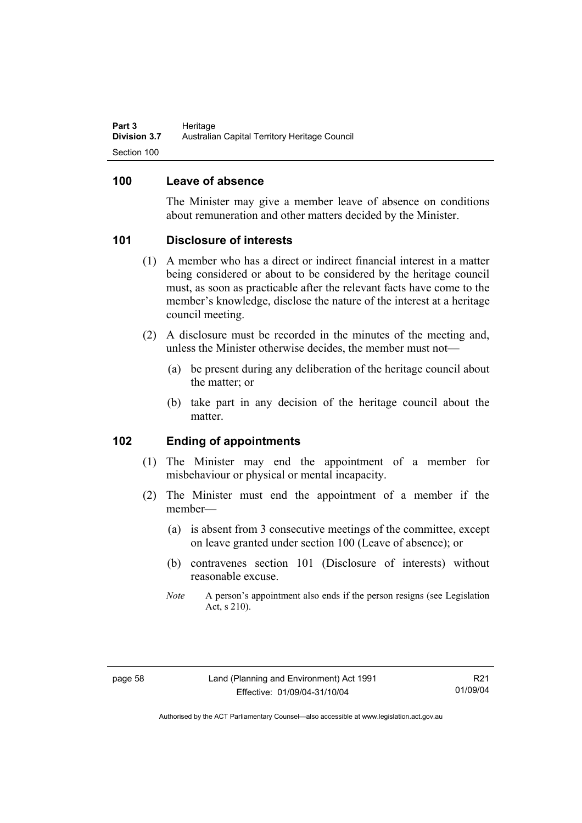### **100 Leave of absence**

The Minister may give a member leave of absence on conditions about remuneration and other matters decided by the Minister.

### **101 Disclosure of interests**

- (1) A member who has a direct or indirect financial interest in a matter being considered or about to be considered by the heritage council must, as soon as practicable after the relevant facts have come to the member's knowledge, disclose the nature of the interest at a heritage council meeting.
- (2) A disclosure must be recorded in the minutes of the meeting and, unless the Minister otherwise decides, the member must not—
	- (a) be present during any deliberation of the heritage council about the matter; or
	- (b) take part in any decision of the heritage council about the matter.

### **102 Ending of appointments**

- (1) The Minister may end the appointment of a member for misbehaviour or physical or mental incapacity.
- (2) The Minister must end the appointment of a member if the member—
	- (a) is absent from 3 consecutive meetings of the committee, except on leave granted under section 100 (Leave of absence); or
	- (b) contravenes section 101 (Disclosure of interests) without reasonable excuse.
	- *Note* A person's appointment also ends if the person resigns (see Legislation Act, s 210).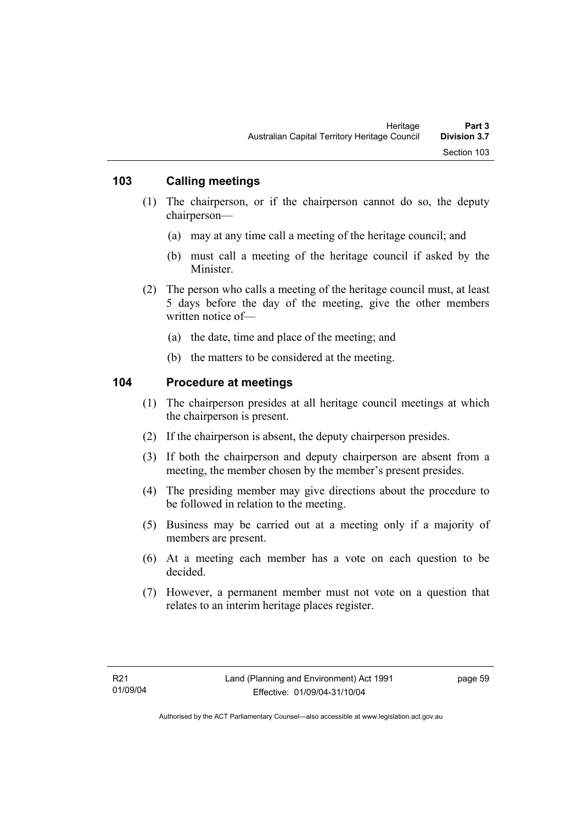### **103 Calling meetings**

- (1) The chairperson, or if the chairperson cannot do so, the deputy chairperson—
	- (a) may at any time call a meeting of the heritage council; and
	- (b) must call a meeting of the heritage council if asked by the **Minister**
- (2) The person who calls a meeting of the heritage council must, at least 5 days before the day of the meeting, give the other members written notice of—
	- (a) the date, time and place of the meeting; and
	- (b) the matters to be considered at the meeting.

### **104 Procedure at meetings**

- (1) The chairperson presides at all heritage council meetings at which the chairperson is present.
- (2) If the chairperson is absent, the deputy chairperson presides.
- (3) If both the chairperson and deputy chairperson are absent from a meeting, the member chosen by the member's present presides.
- (4) The presiding member may give directions about the procedure to be followed in relation to the meeting.
- (5) Business may be carried out at a meeting only if a majority of members are present.
- (6) At a meeting each member has a vote on each question to be decided.
- (7) However, a permanent member must not vote on a question that relates to an interim heritage places register.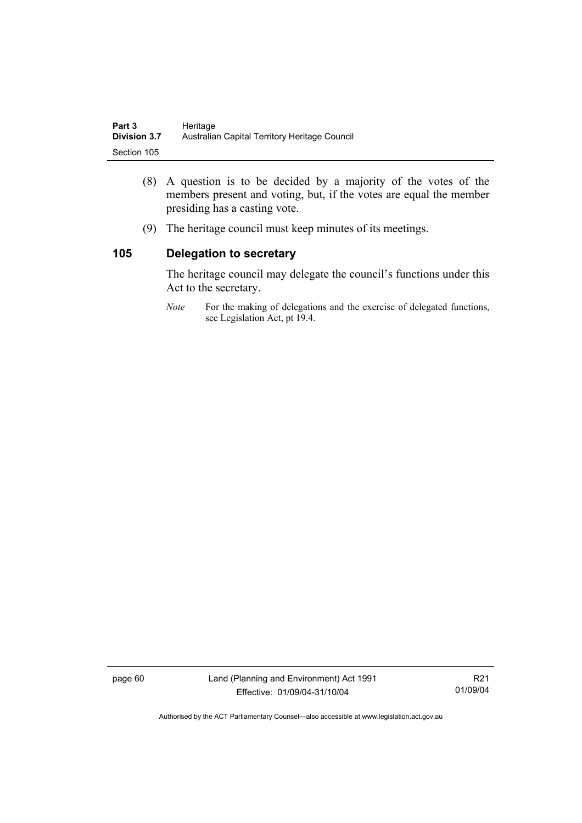| Part 3              | Heritage                                      |
|---------------------|-----------------------------------------------|
| <b>Division 3.7</b> | Australian Capital Territory Heritage Council |
| Section 105         |                                               |

- (8) A question is to be decided by a majority of the votes of the members present and voting, but, if the votes are equal the member presiding has a casting vote.
- (9) The heritage council must keep minutes of its meetings.

### **105 Delegation to secretary**

The heritage council may delegate the council's functions under this Act to the secretary.

*Note* For the making of delegations and the exercise of delegated functions, see Legislation Act, pt 19.4.

page 60 Land (Planning and Environment) Act 1991 Effective: 01/09/04-31/10/04

R21 01/09/04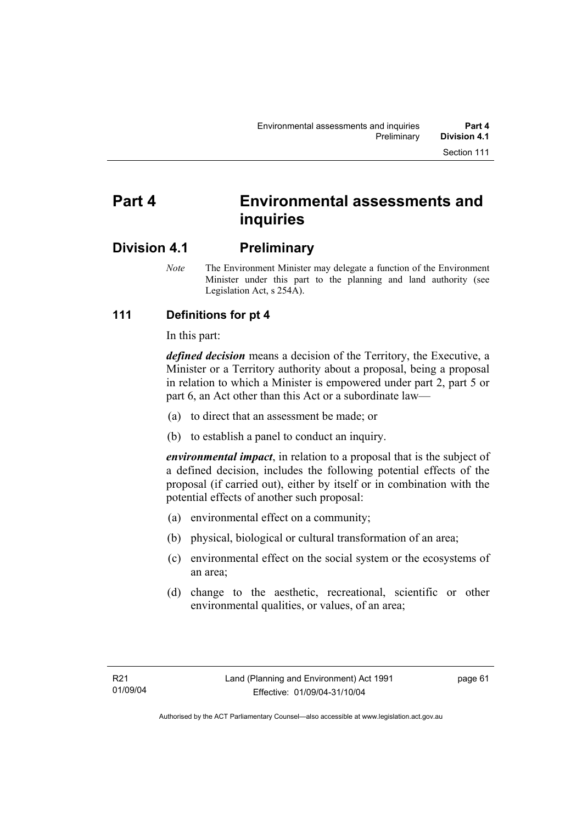# **Part 4 Environmental assessments and inquiries**

# **Division 4.1 Preliminary**

*Note* The Environment Minister may delegate a function of the Environment Minister under this part to the planning and land authority (see Legislation Act, s 254A).

# **111 Definitions for pt 4**

In this part:

*defined decision* means a decision of the Territory, the Executive, a Minister or a Territory authority about a proposal, being a proposal in relation to which a Minister is empowered under part 2, part 5 or part 6, an Act other than this Act or a subordinate law—

- (a) to direct that an assessment be made; or
- (b) to establish a panel to conduct an inquiry.

*environmental impact*, in relation to a proposal that is the subject of a defined decision, includes the following potential effects of the proposal (if carried out), either by itself or in combination with the potential effects of another such proposal:

- (a) environmental effect on a community;
- (b) physical, biological or cultural transformation of an area;
- (c) environmental effect on the social system or the ecosystems of an area;
- (d) change to the aesthetic, recreational, scientific or other environmental qualities, or values, of an area;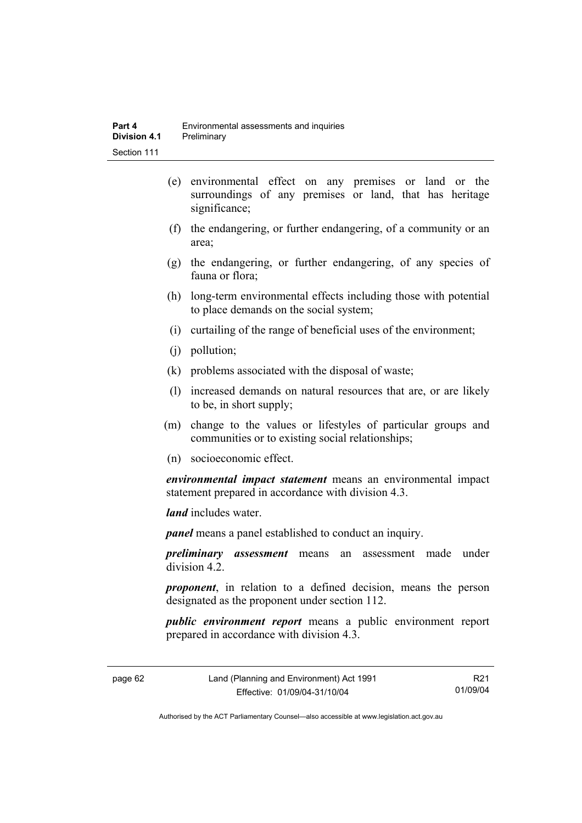- (e) environmental effect on any premises or land or the surroundings of any premises or land, that has heritage significance;
- (f) the endangering, or further endangering, of a community or an area;
- (g) the endangering, or further endangering, of any species of fauna or flora;
- (h) long-term environmental effects including those with potential to place demands on the social system;
- (i) curtailing of the range of beneficial uses of the environment;
- (j) pollution;
- (k) problems associated with the disposal of waste;
- (l) increased demands on natural resources that are, or are likely to be, in short supply;
- (m) change to the values or lifestyles of particular groups and communities or to existing social relationships;
- (n) socioeconomic effect.

*environmental impact statement* means an environmental impact statement prepared in accordance with division 4.3.

*land* includes water.

*panel* means a panel established to conduct an inquiry.

*preliminary assessment* means an assessment made under division 4.2.

*proponent*, in relation to a defined decision, means the person designated as the proponent under section 112.

*public environment report* means a public environment report prepared in accordance with division 4.3.

page 62 Land (Planning and Environment) Act 1991 Effective: 01/09/04-31/10/04

R21 01/09/04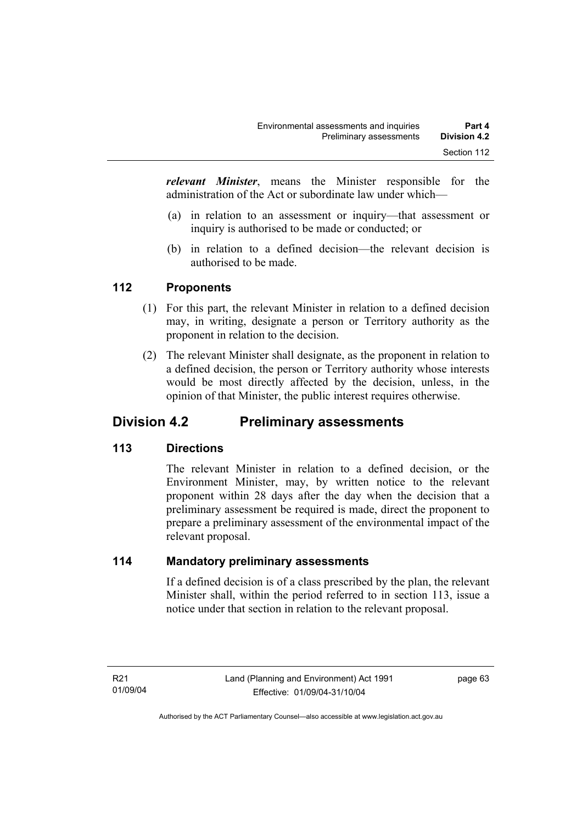*relevant Minister*, means the Minister responsible for the administration of the Act or subordinate law under which—

- (a) in relation to an assessment or inquiry—that assessment or inquiry is authorised to be made or conducted; or
- (b) in relation to a defined decision—the relevant decision is authorised to be made.

## **112 Proponents**

- (1) For this part, the relevant Minister in relation to a defined decision may, in writing, designate a person or Territory authority as the proponent in relation to the decision.
- (2) The relevant Minister shall designate, as the proponent in relation to a defined decision, the person or Territory authority whose interests would be most directly affected by the decision, unless, in the opinion of that Minister, the public interest requires otherwise.

# **Division 4.2 Preliminary assessments**

## **113 Directions**

The relevant Minister in relation to a defined decision, or the Environment Minister, may, by written notice to the relevant proponent within 28 days after the day when the decision that a preliminary assessment be required is made, direct the proponent to prepare a preliminary assessment of the environmental impact of the relevant proposal.

### **114 Mandatory preliminary assessments**

If a defined decision is of a class prescribed by the plan, the relevant Minister shall, within the period referred to in section 113, issue a notice under that section in relation to the relevant proposal.

page 63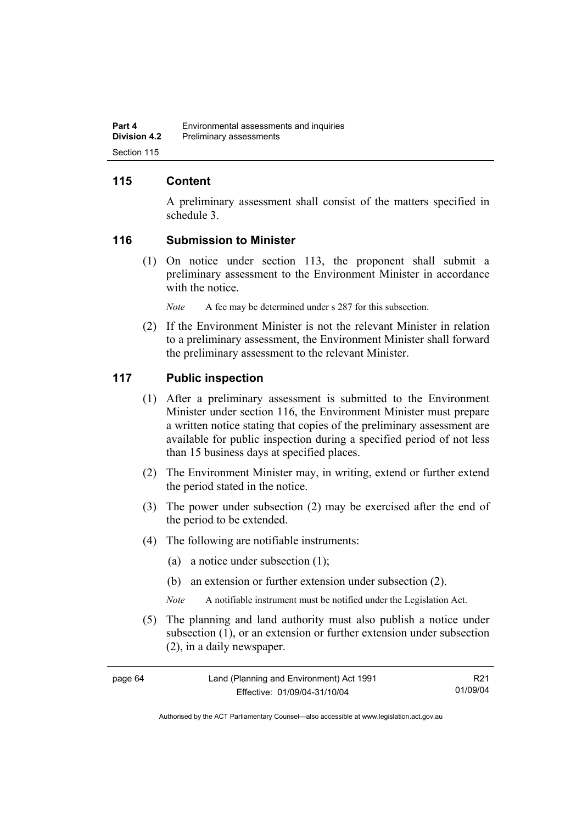## **115 Content**

A preliminary assessment shall consist of the matters specified in schedule 3.

### **116 Submission to Minister**

 (1) On notice under section 113, the proponent shall submit a preliminary assessment to the Environment Minister in accordance with the notice.

*Note* A fee may be determined under s 287 for this subsection.

 (2) If the Environment Minister is not the relevant Minister in relation to a preliminary assessment, the Environment Minister shall forward the preliminary assessment to the relevant Minister.

### **117 Public inspection**

- (1) After a preliminary assessment is submitted to the Environment Minister under section 116, the Environment Minister must prepare a written notice stating that copies of the preliminary assessment are available for public inspection during a specified period of not less than 15 business days at specified places.
- (2) The Environment Minister may, in writing, extend or further extend the period stated in the notice.
- (3) The power under subsection (2) may be exercised after the end of the period to be extended.
- (4) The following are notifiable instruments:
	- (a) a notice under subsection (1);
	- (b) an extension or further extension under subsection (2).
	- *Note* A notifiable instrument must be notified under the Legislation Act.
- (5) The planning and land authority must also publish a notice under subsection (1), or an extension or further extension under subsection (2), in a daily newspaper.

| page 64 | Land (Planning and Environment) Act 1991 | R <sub>21</sub> |
|---------|------------------------------------------|-----------------|
|         | Effective: 01/09/04-31/10/04             | 01/09/04        |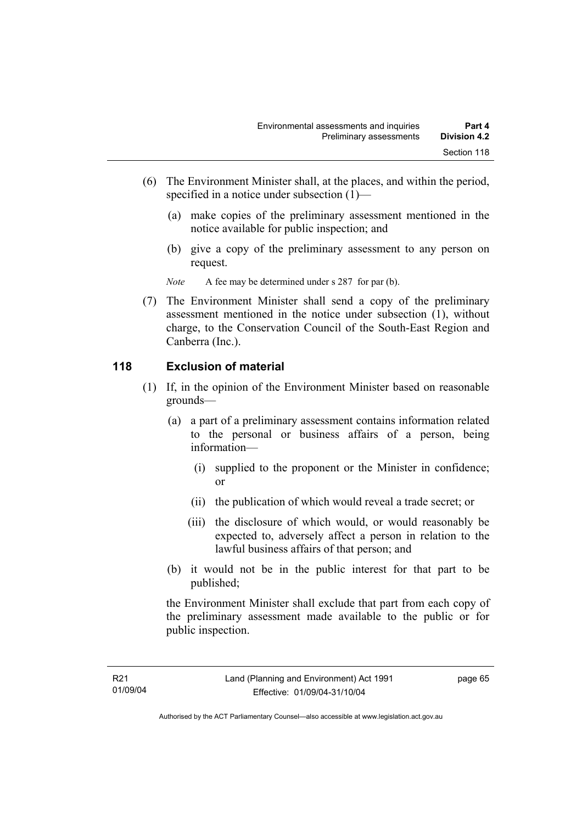- (6) The Environment Minister shall, at the places, and within the period, specified in a notice under subsection (1)—
	- (a) make copies of the preliminary assessment mentioned in the notice available for public inspection; and
	- (b) give a copy of the preliminary assessment to any person on request.

*Note* A fee may be determined under s 287 for par (b).

 (7) The Environment Minister shall send a copy of the preliminary assessment mentioned in the notice under subsection (1), without charge, to the Conservation Council of the South-East Region and Canberra (Inc.).

### **118 Exclusion of material**

- (1) If, in the opinion of the Environment Minister based on reasonable grounds—
	- (a) a part of a preliminary assessment contains information related to the personal or business affairs of a person, being information—
		- (i) supplied to the proponent or the Minister in confidence; or
		- (ii) the publication of which would reveal a trade secret; or
		- (iii) the disclosure of which would, or would reasonably be expected to, adversely affect a person in relation to the lawful business affairs of that person; and
	- (b) it would not be in the public interest for that part to be published;

the Environment Minister shall exclude that part from each copy of the preliminary assessment made available to the public or for public inspection.

page 65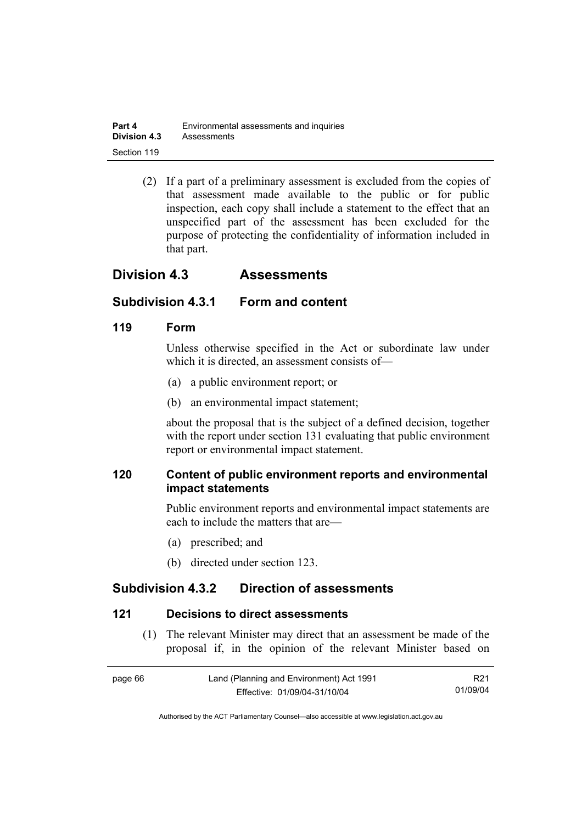| Part 4              | Environmental assessments and inquiries |
|---------------------|-----------------------------------------|
| <b>Division 4.3</b> | Assessments                             |
| Section 119         |                                         |

 (2) If a part of a preliminary assessment is excluded from the copies of that assessment made available to the public or for public inspection, each copy shall include a statement to the effect that an unspecified part of the assessment has been excluded for the purpose of protecting the confidentiality of information included in that part.

# **Division 4.3 Assessments**

### **Subdivision 4.3.1 Form and content**

### **119 Form**

Unless otherwise specified in the Act or subordinate law under which it is directed, an assessment consists of—

- (a) a public environment report; or
- (b) an environmental impact statement;

about the proposal that is the subject of a defined decision, together with the report under section 131 evaluating that public environment report or environmental impact statement.

## **120 Content of public environment reports and environmental impact statements**

Public environment reports and environmental impact statements are each to include the matters that are—

- (a) prescribed; and
- (b) directed under section 123.

# **Subdivision 4.3.2 Direction of assessments**

#### **121 Decisions to direct assessments**

 (1) The relevant Minister may direct that an assessment be made of the proposal if, in the opinion of the relevant Minister based on

| page 66 | Land (Planning and Environment) Act 1991 | R <sub>21</sub> |
|---------|------------------------------------------|-----------------|
|         | Effective: 01/09/04-31/10/04             | 01/09/04        |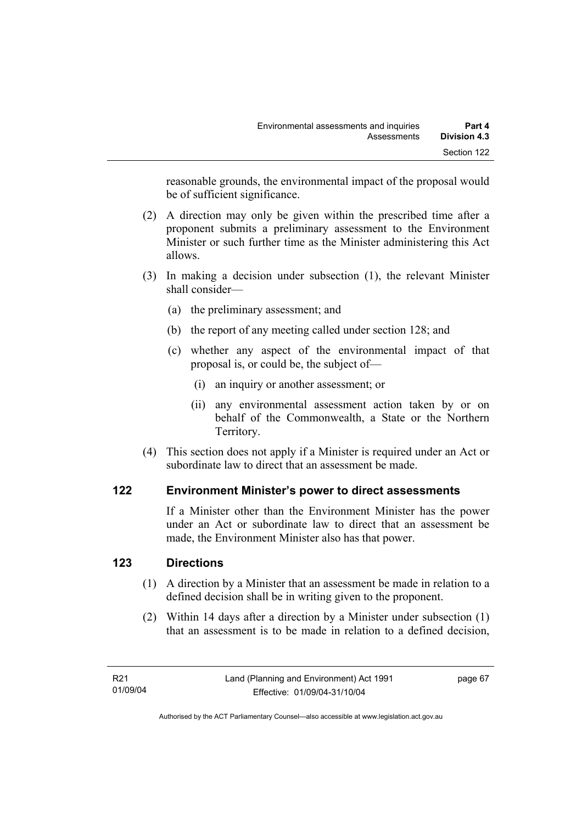reasonable grounds, the environmental impact of the proposal would be of sufficient significance.

- (2) A direction may only be given within the prescribed time after a proponent submits a preliminary assessment to the Environment Minister or such further time as the Minister administering this Act allows.
- (3) In making a decision under subsection (1), the relevant Minister shall consider—
	- (a) the preliminary assessment; and
	- (b) the report of any meeting called under section 128; and
	- (c) whether any aspect of the environmental impact of that proposal is, or could be, the subject of—
		- (i) an inquiry or another assessment; or
		- (ii) any environmental assessment action taken by or on behalf of the Commonwealth, a State or the Northern Territory.
- (4) This section does not apply if a Minister is required under an Act or subordinate law to direct that an assessment be made.

## **122 Environment Minister's power to direct assessments**

If a Minister other than the Environment Minister has the power under an Act or subordinate law to direct that an assessment be made, the Environment Minister also has that power.

## **123 Directions**

- (1) A direction by a Minister that an assessment be made in relation to a defined decision shall be in writing given to the proponent.
- (2) Within 14 days after a direction by a Minister under subsection (1) that an assessment is to be made in relation to a defined decision,

page 67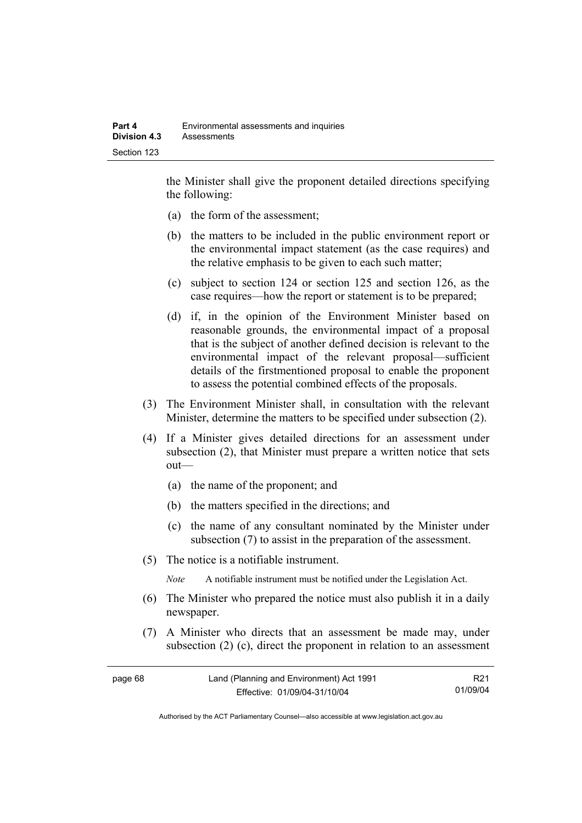the Minister shall give the proponent detailed directions specifying the following:

- (a) the form of the assessment;
- (b) the matters to be included in the public environment report or the environmental impact statement (as the case requires) and the relative emphasis to be given to each such matter;
- (c) subject to section 124 or section 125 and section 126, as the case requires—how the report or statement is to be prepared;
- (d) if, in the opinion of the Environment Minister based on reasonable grounds, the environmental impact of a proposal that is the subject of another defined decision is relevant to the environmental impact of the relevant proposal—sufficient details of the firstmentioned proposal to enable the proponent to assess the potential combined effects of the proposals.
- (3) The Environment Minister shall, in consultation with the relevant Minister, determine the matters to be specified under subsection (2).
- (4) If a Minister gives detailed directions for an assessment under subsection (2), that Minister must prepare a written notice that sets out—
	- (a) the name of the proponent; and
	- (b) the matters specified in the directions; and
	- (c) the name of any consultant nominated by the Minister under subsection (7) to assist in the preparation of the assessment.
- (5) The notice is a notifiable instrument.

*Note* A notifiable instrument must be notified under the Legislation Act.

- (6) The Minister who prepared the notice must also publish it in a daily newspaper.
- (7) A Minister who directs that an assessment be made may, under subsection (2) (c), direct the proponent in relation to an assessment

| page 68 | Land (Planning and Environment) Act 1991 | R21      |
|---------|------------------------------------------|----------|
|         | Effective: 01/09/04-31/10/04             | 01/09/04 |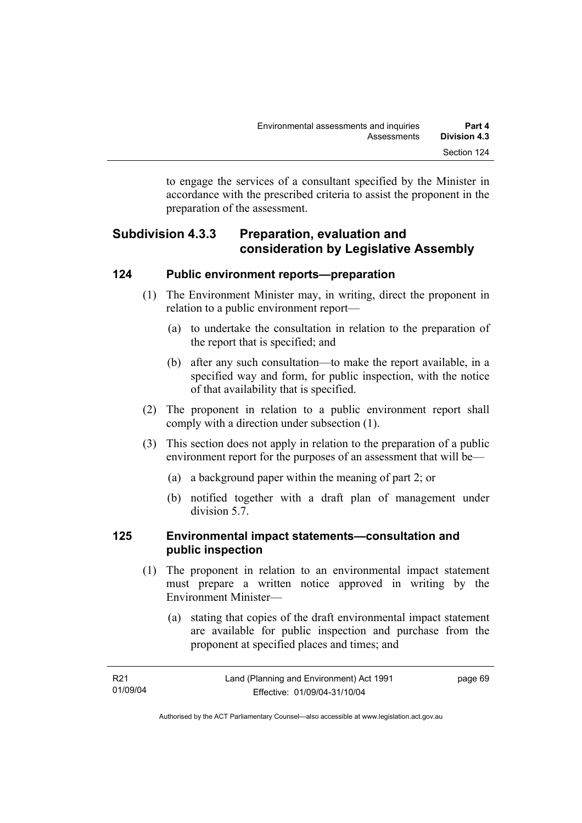to engage the services of a consultant specified by the Minister in accordance with the prescribed criteria to assist the proponent in the preparation of the assessment.

# **Subdivision 4.3.3 Preparation, evaluation and consideration by Legislative Assembly**

## **124 Public environment reports—preparation**

- (1) The Environment Minister may, in writing, direct the proponent in relation to a public environment report—
	- (a) to undertake the consultation in relation to the preparation of the report that is specified; and
	- (b) after any such consultation—to make the report available, in a specified way and form, for public inspection, with the notice of that availability that is specified.
- (2) The proponent in relation to a public environment report shall comply with a direction under subsection (1).
- (3) This section does not apply in relation to the preparation of a public environment report for the purposes of an assessment that will be—
	- (a) a background paper within the meaning of part 2; or
	- (b) notified together with a draft plan of management under division 5.7.

## **125 Environmental impact statements—consultation and public inspection**

- (1) The proponent in relation to an environmental impact statement must prepare a written notice approved in writing by the Environment Minister—
	- (a) stating that copies of the draft environmental impact statement are available for public inspection and purchase from the proponent at specified places and times; and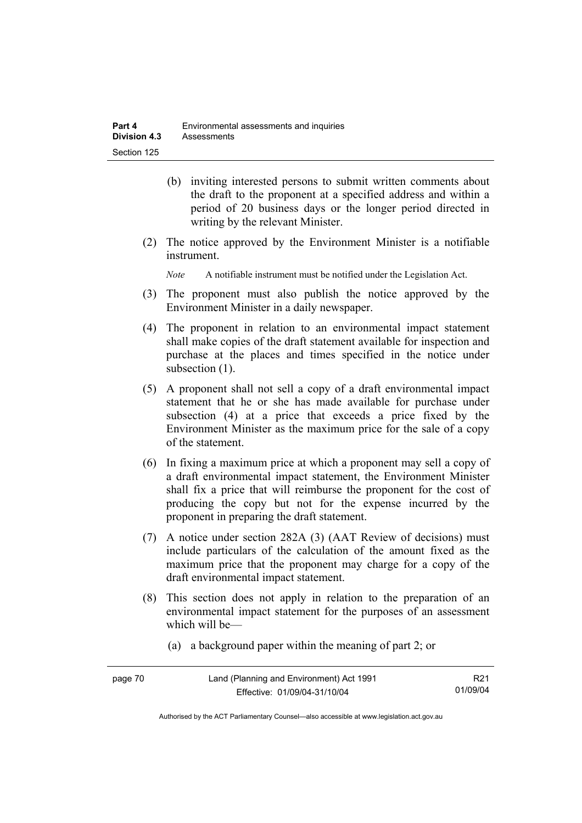- (b) inviting interested persons to submit written comments about the draft to the proponent at a specified address and within a period of 20 business days or the longer period directed in writing by the relevant Minister.
- (2) The notice approved by the Environment Minister is a notifiable instrument.

*Note* A notifiable instrument must be notified under the Legislation Act.

- (3) The proponent must also publish the notice approved by the Environment Minister in a daily newspaper.
- (4) The proponent in relation to an environmental impact statement shall make copies of the draft statement available for inspection and purchase at the places and times specified in the notice under subsection  $(1)$ .
- (5) A proponent shall not sell a copy of a draft environmental impact statement that he or she has made available for purchase under subsection (4) at a price that exceeds a price fixed by the Environment Minister as the maximum price for the sale of a copy of the statement.
- (6) In fixing a maximum price at which a proponent may sell a copy of a draft environmental impact statement, the Environment Minister shall fix a price that will reimburse the proponent for the cost of producing the copy but not for the expense incurred by the proponent in preparing the draft statement.
- (7) A notice under section 282A (3) (AAT Review of decisions) must include particulars of the calculation of the amount fixed as the maximum price that the proponent may charge for a copy of the draft environmental impact statement.
- (8) This section does not apply in relation to the preparation of an environmental impact statement for the purposes of an assessment which will be—
	- (a) a background paper within the meaning of part 2; or

| page 70 | Land (Planning and Environment) Act 1991 | R <sub>21</sub> |
|---------|------------------------------------------|-----------------|
|         | Effective: 01/09/04-31/10/04             | 01/09/04        |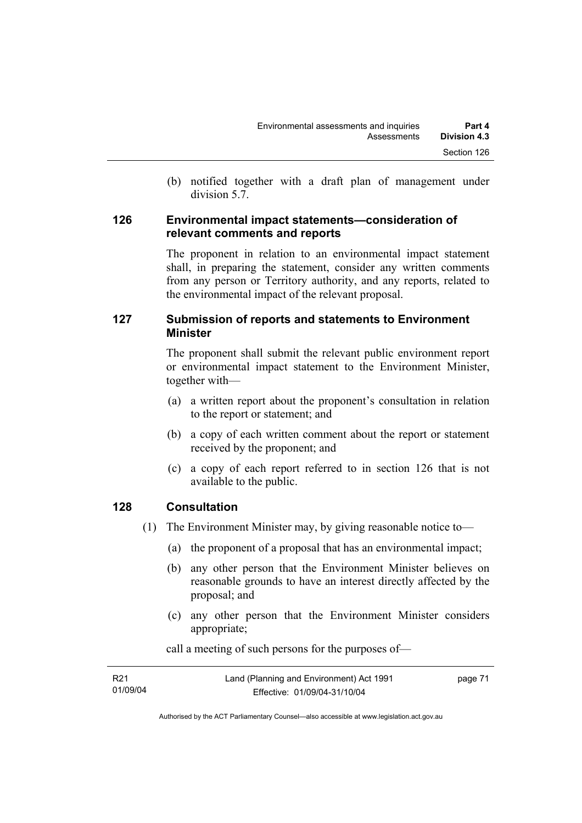(b) notified together with a draft plan of management under division 5.7.

### **126 Environmental impact statements—consideration of relevant comments and reports**

The proponent in relation to an environmental impact statement shall, in preparing the statement, consider any written comments from any person or Territory authority, and any reports, related to the environmental impact of the relevant proposal.

## **127 Submission of reports and statements to Environment Minister**

The proponent shall submit the relevant public environment report or environmental impact statement to the Environment Minister, together with—

- (a) a written report about the proponent's consultation in relation to the report or statement; and
- (b) a copy of each written comment about the report or statement received by the proponent; and
- (c) a copy of each report referred to in section 126 that is not available to the public.

## **128 Consultation**

- (1) The Environment Minister may, by giving reasonable notice to—
	- (a) the proponent of a proposal that has an environmental impact;
	- (b) any other person that the Environment Minister believes on reasonable grounds to have an interest directly affected by the proposal; and
	- (c) any other person that the Environment Minister considers appropriate;

R21 01/09/04 Land (Planning and Environment) Act 1991 Effective: 01/09/04-31/10/04 page 71

call a meeting of such persons for the purposes of—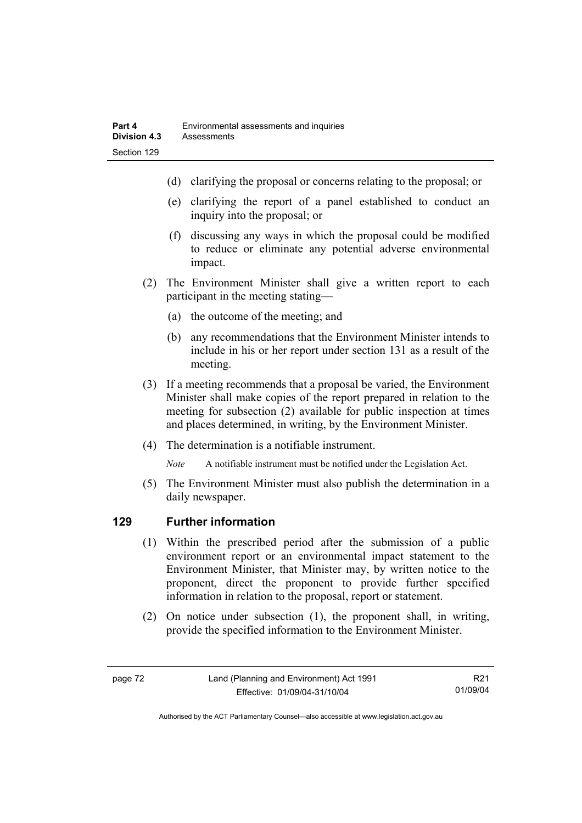- (d) clarifying the proposal or concerns relating to the proposal; or
- (e) clarifying the report of a panel established to conduct an inquiry into the proposal; or
- (f) discussing any ways in which the proposal could be modified to reduce or eliminate any potential adverse environmental impact.
- (2) The Environment Minister shall give a written report to each participant in the meeting stating—
	- (a) the outcome of the meeting; and
	- (b) any recommendations that the Environment Minister intends to include in his or her report under section 131 as a result of the meeting.
- (3) If a meeting recommends that a proposal be varied, the Environment Minister shall make copies of the report prepared in relation to the meeting for subsection (2) available for public inspection at times and places determined, in writing, by the Environment Minister.
- (4) The determination is a notifiable instrument.

*Note* A notifiable instrument must be notified under the Legislation Act.

(5) The Environment Minister must also publish the determination in a daily newspaper.

## **129 Further information**

- (1) Within the prescribed period after the submission of a public environment report or an environmental impact statement to the Environment Minister, that Minister may, by written notice to the proponent, direct the proponent to provide further specified information in relation to the proposal, report or statement.
- (2) On notice under subsection (1), the proponent shall, in writing, provide the specified information to the Environment Minister.

R21 01/09/04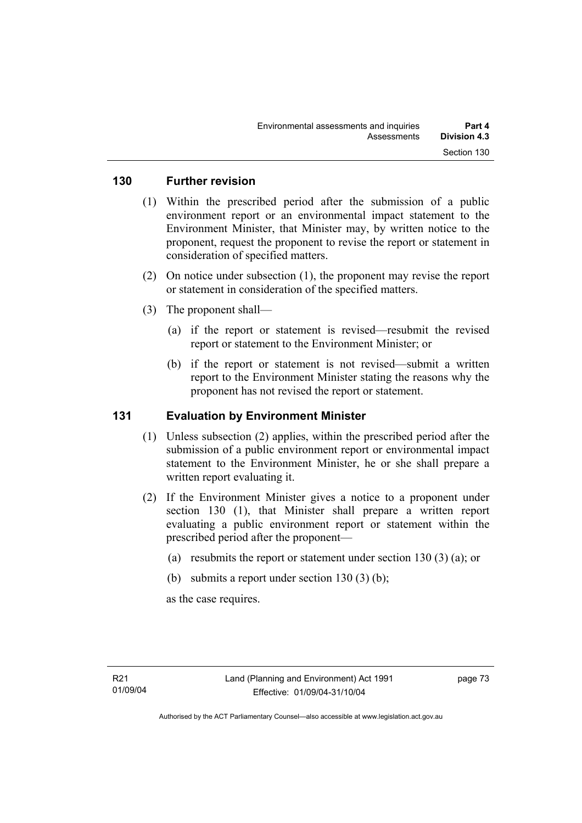### **130 Further revision**

- (1) Within the prescribed period after the submission of a public environment report or an environmental impact statement to the Environment Minister, that Minister may, by written notice to the proponent, request the proponent to revise the report or statement in consideration of specified matters.
- (2) On notice under subsection (1), the proponent may revise the report or statement in consideration of the specified matters.
- (3) The proponent shall—
	- (a) if the report or statement is revised—resubmit the revised report or statement to the Environment Minister; or
	- (b) if the report or statement is not revised—submit a written report to the Environment Minister stating the reasons why the proponent has not revised the report or statement.

## **131 Evaluation by Environment Minister**

- (1) Unless subsection (2) applies, within the prescribed period after the submission of a public environment report or environmental impact statement to the Environment Minister, he or she shall prepare a written report evaluating it.
- (2) If the Environment Minister gives a notice to a proponent under section 130 (1), that Minister shall prepare a written report evaluating a public environment report or statement within the prescribed period after the proponent—
	- (a) resubmits the report or statement under section 130 (3) (a); or
	- (b) submits a report under section  $130(3)$  (b);

as the case requires.

page 73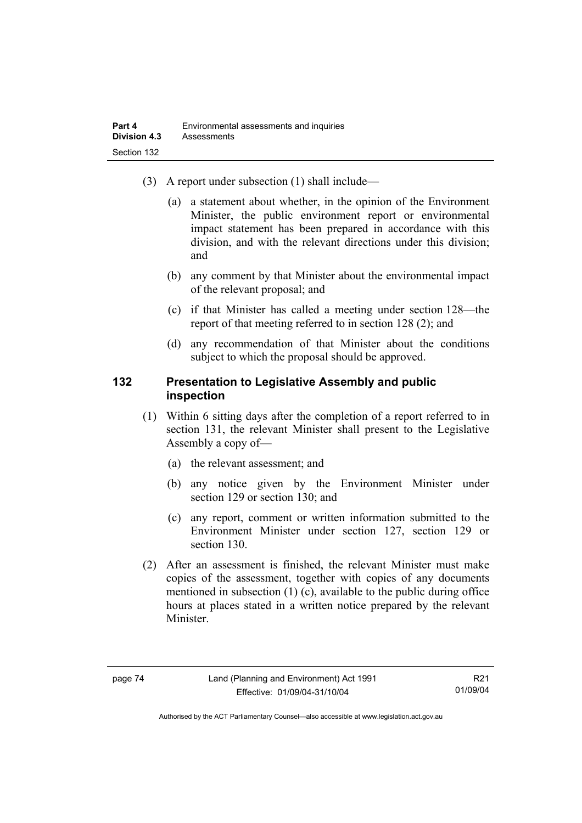- (3) A report under subsection (1) shall include—
	- (a) a statement about whether, in the opinion of the Environment Minister, the public environment report or environmental impact statement has been prepared in accordance with this division, and with the relevant directions under this division; and
	- (b) any comment by that Minister about the environmental impact of the relevant proposal; and
	- (c) if that Minister has called a meeting under section 128—the report of that meeting referred to in section 128 (2); and
	- (d) any recommendation of that Minister about the conditions subject to which the proposal should be approved.

### **132 Presentation to Legislative Assembly and public inspection**

- (1) Within 6 sitting days after the completion of a report referred to in section 131, the relevant Minister shall present to the Legislative Assembly a copy of—
	- (a) the relevant assessment; and
	- (b) any notice given by the Environment Minister under section 129 or section 130; and
	- (c) any report, comment or written information submitted to the Environment Minister under section 127, section 129 or section 130.
- (2) After an assessment is finished, the relevant Minister must make copies of the assessment, together with copies of any documents mentioned in subsection (1) (c), available to the public during office hours at places stated in a written notice prepared by the relevant Minister.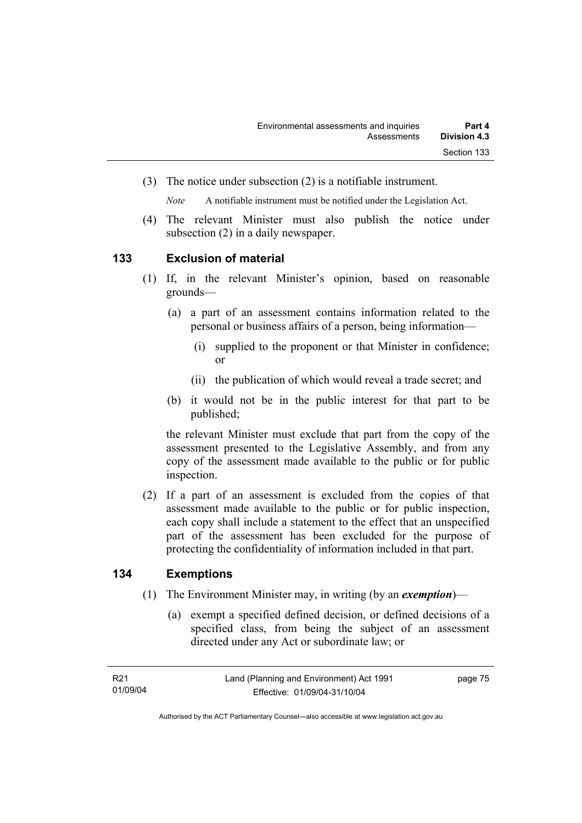(3) The notice under subsection (2) is a notifiable instrument.

*Note* A notifiable instrument must be notified under the Legislation Act.

(4) The relevant Minister must also publish the notice under subsection (2) in a daily newspaper.

### **133 Exclusion of material**

- (1) If, in the relevant Minister's opinion, based on reasonable grounds—
	- (a) a part of an assessment contains information related to the personal or business affairs of a person, being information—
		- (i) supplied to the proponent or that Minister in confidence; or
		- (ii) the publication of which would reveal a trade secret; and
	- (b) it would not be in the public interest for that part to be published;

the relevant Minister must exclude that part from the copy of the assessment presented to the Legislative Assembly, and from any copy of the assessment made available to the public or for public inspection.

 (2) If a part of an assessment is excluded from the copies of that assessment made available to the public or for public inspection, each copy shall include a statement to the effect that an unspecified part of the assessment has been excluded for the purpose of protecting the confidentiality of information included in that part.

## **134 Exemptions**

- (1) The Environment Minister may, in writing (by an *exemption*)—
	- (a) exempt a specified defined decision, or defined decisions of a specified class, from being the subject of an assessment directed under any Act or subordinate law; or

page 75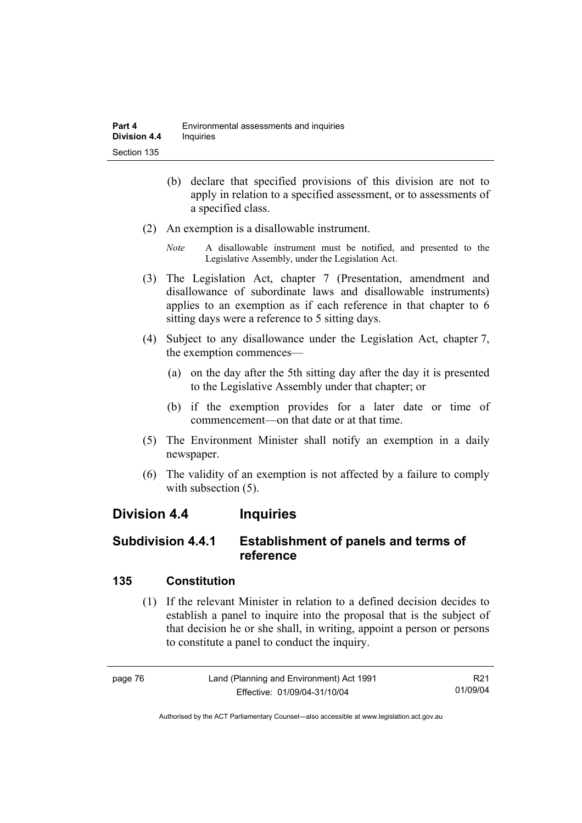- (b) declare that specified provisions of this division are not to apply in relation to a specified assessment, or to assessments of a specified class.
- (2) An exemption is a disallowable instrument.
	- *Note* A disallowable instrument must be notified, and presented to the Legislative Assembly, under the Legislation Act.
- (3) The Legislation Act, chapter 7 (Presentation, amendment and disallowance of subordinate laws and disallowable instruments) applies to an exemption as if each reference in that chapter to 6 sitting days were a reference to 5 sitting days.
- (4) Subject to any disallowance under the Legislation Act, chapter 7, the exemption commences—
	- (a) on the day after the 5th sitting day after the day it is presented to the Legislative Assembly under that chapter; or
	- (b) if the exemption provides for a later date or time of commencement—on that date or at that time.
- (5) The Environment Minister shall notify an exemption in a daily newspaper.
- (6) The validity of an exemption is not affected by a failure to comply with subsection  $(5)$ .

# **Division 4.4 Inquiries**

# **Subdivision 4.4.1 Establishment of panels and terms of reference**

## **135 Constitution**

 (1) If the relevant Minister in relation to a defined decision decides to establish a panel to inquire into the proposal that is the subject of that decision he or she shall, in writing, appoint a person or persons to constitute a panel to conduct the inquiry.

| page 76 | Land (Planning and Environment) Act 1991 | R21      |
|---------|------------------------------------------|----------|
|         | Effective: 01/09/04-31/10/04             | 01/09/04 |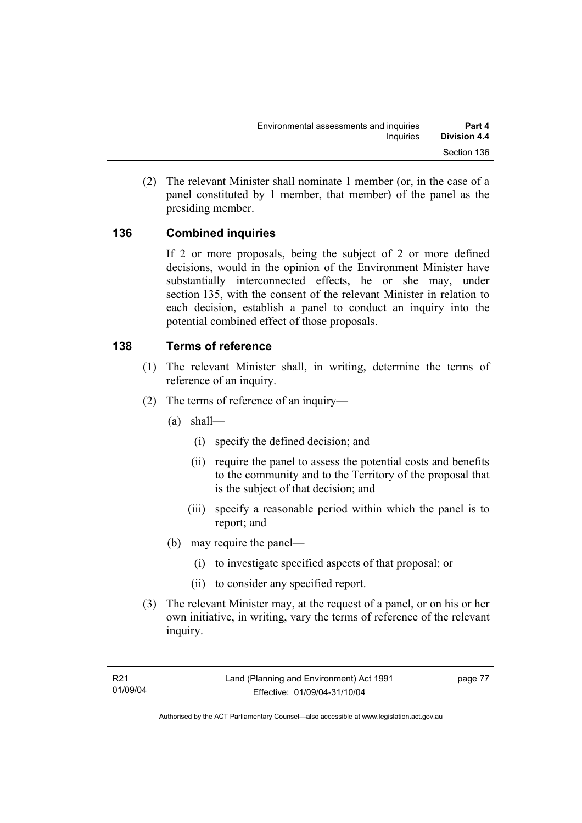(2) The relevant Minister shall nominate 1 member (or, in the case of a panel constituted by 1 member, that member) of the panel as the presiding member.

## **136 Combined inquiries**

If 2 or more proposals, being the subject of 2 or more defined decisions, would in the opinion of the Environment Minister have substantially interconnected effects, he or she may, under section 135, with the consent of the relevant Minister in relation to each decision, establish a panel to conduct an inquiry into the potential combined effect of those proposals.

## **138 Terms of reference**

- (1) The relevant Minister shall, in writing, determine the terms of reference of an inquiry.
- (2) The terms of reference of an inquiry—
	- (a) shall—
		- (i) specify the defined decision; and
		- (ii) require the panel to assess the potential costs and benefits to the community and to the Territory of the proposal that is the subject of that decision; and
		- (iii) specify a reasonable period within which the panel is to report; and
	- (b) may require the panel—
		- (i) to investigate specified aspects of that proposal; or
		- (ii) to consider any specified report.
- (3) The relevant Minister may, at the request of a panel, or on his or her own initiative, in writing, vary the terms of reference of the relevant inquiry.

page 77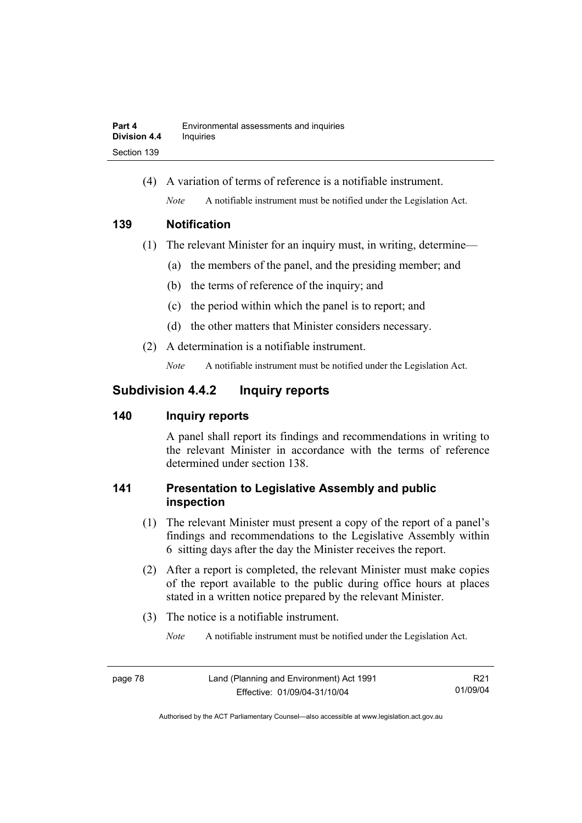(4) A variation of terms of reference is a notifiable instrument. *Note* A notifiable instrument must be notified under the Legislation Act.

### **139 Notification**

- (1) The relevant Minister for an inquiry must, in writing, determine—
	- (a) the members of the panel, and the presiding member; and
	- (b) the terms of reference of the inquiry; and
	- (c) the period within which the panel is to report; and
	- (d) the other matters that Minister considers necessary.
- (2) A determination is a notifiable instrument.

*Note* A notifiable instrument must be notified under the Legislation Act.

# **Subdivision 4.4.2 Inquiry reports**

## **140 Inquiry reports**

A panel shall report its findings and recommendations in writing to the relevant Minister in accordance with the terms of reference determined under section 138.

# **141 Presentation to Legislative Assembly and public inspection**

- (1) The relevant Minister must present a copy of the report of a panel's findings and recommendations to the Legislative Assembly within 6 sitting days after the day the Minister receives the report.
- (2) After a report is completed, the relevant Minister must make copies of the report available to the public during office hours at places stated in a written notice prepared by the relevant Minister.
- (3) The notice is a notifiable instrument.

*Note* A notifiable instrument must be notified under the Legislation Act.

R21 01/09/04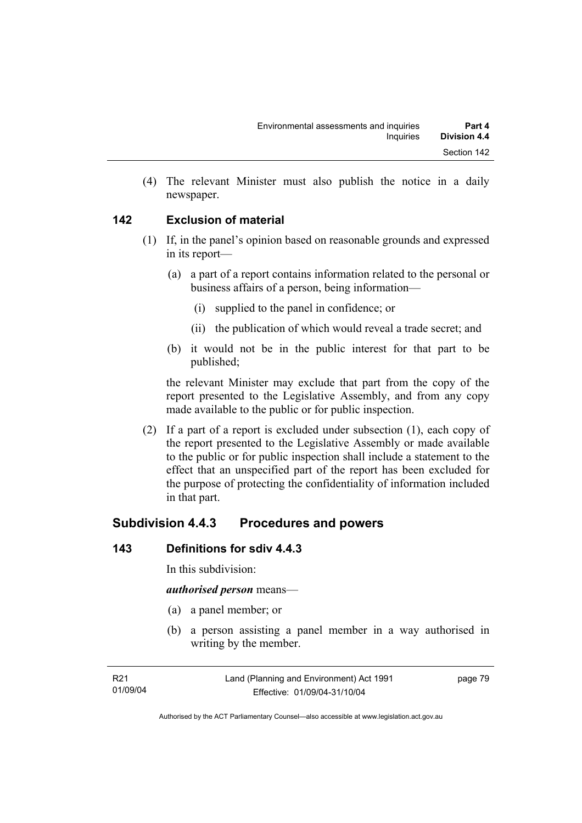(4) The relevant Minister must also publish the notice in a daily newspaper.

## **142 Exclusion of material**

- (1) If, in the panel's opinion based on reasonable grounds and expressed in its report—
	- (a) a part of a report contains information related to the personal or business affairs of a person, being information—
		- (i) supplied to the panel in confidence; or
		- (ii) the publication of which would reveal a trade secret; and
	- (b) it would not be in the public interest for that part to be published;

the relevant Minister may exclude that part from the copy of the report presented to the Legislative Assembly, and from any copy made available to the public or for public inspection.

 (2) If a part of a report is excluded under subsection (1), each copy of the report presented to the Legislative Assembly or made available to the public or for public inspection shall include a statement to the effect that an unspecified part of the report has been excluded for the purpose of protecting the confidentiality of information included in that part.

# **Subdivision 4.4.3 Procedures and powers**

### **143 Definitions for sdiv 4.4.3**

In this subdivision:

#### *authorised person* means—

- (a) a panel member; or
- (b) a person assisting a panel member in a way authorised in writing by the member.

page 79

Authorised by the ACT Parliamentary Counsel—also accessible at www.legislation.act.gov.au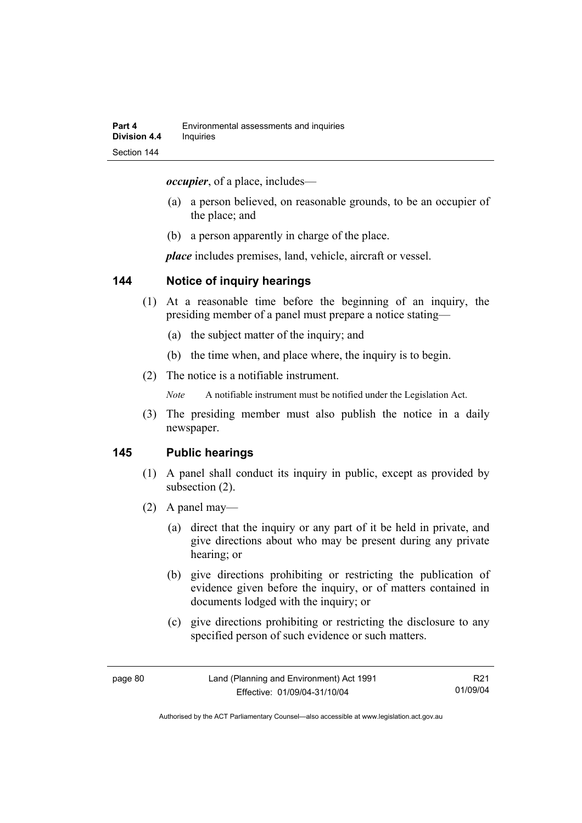*occupier*, of a place, includes—

- (a) a person believed, on reasonable grounds, to be an occupier of the place; and
- (b) a person apparently in charge of the place.

*place* includes premises, land, vehicle, aircraft or vessel.

### **144 Notice of inquiry hearings**

- (1) At a reasonable time before the beginning of an inquiry, the presiding member of a panel must prepare a notice stating—
	- (a) the subject matter of the inquiry; and
	- (b) the time when, and place where, the inquiry is to begin.
- (2) The notice is a notifiable instrument.

*Note* A notifiable instrument must be notified under the Legislation Act.

(3) The presiding member must also publish the notice in a daily newspaper.

### **145 Public hearings**

- (1) A panel shall conduct its inquiry in public, except as provided by subsection (2).
- (2) A panel may—
	- (a) direct that the inquiry or any part of it be held in private, and give directions about who may be present during any private hearing; or
	- (b) give directions prohibiting or restricting the publication of evidence given before the inquiry, or of matters contained in documents lodged with the inquiry; or
	- (c) give directions prohibiting or restricting the disclosure to any specified person of such evidence or such matters.

R21 01/09/04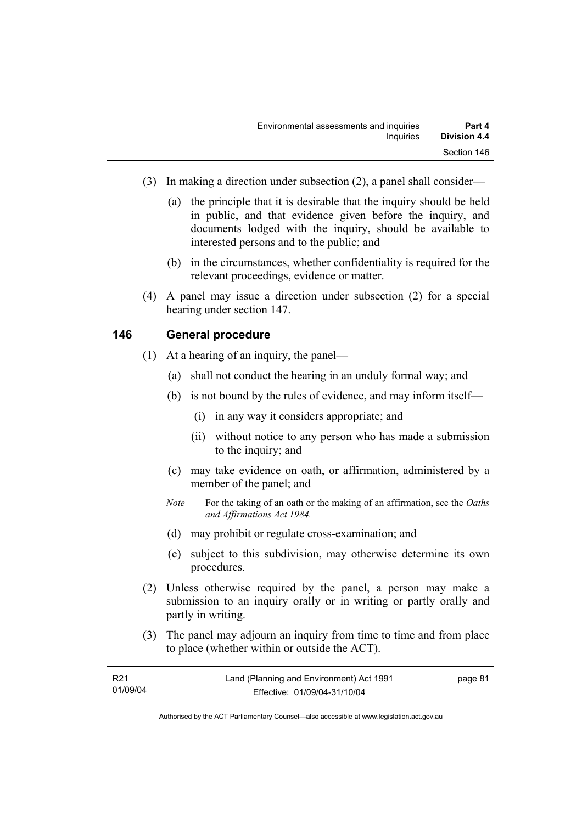- (3) In making a direction under subsection (2), a panel shall consider—
	- (a) the principle that it is desirable that the inquiry should be held in public, and that evidence given before the inquiry, and documents lodged with the inquiry, should be available to interested persons and to the public; and
	- (b) in the circumstances, whether confidentiality is required for the relevant proceedings, evidence or matter.
- (4) A panel may issue a direction under subsection (2) for a special hearing under section 147.

### **146 General procedure**

- (1) At a hearing of an inquiry, the panel—
	- (a) shall not conduct the hearing in an unduly formal way; and
	- (b) is not bound by the rules of evidence, and may inform itself—
		- (i) in any way it considers appropriate; and
		- (ii) without notice to any person who has made a submission to the inquiry; and
	- (c) may take evidence on oath, or affirmation, administered by a member of the panel; and
	- *Note* For the taking of an oath or the making of an affirmation, see the *Oaths and Affirmations Act 1984.*
	- (d) may prohibit or regulate cross-examination; and
	- (e) subject to this subdivision, may otherwise determine its own procedures.
- (2) Unless otherwise required by the panel, a person may make a submission to an inquiry orally or in writing or partly orally and partly in writing.
- (3) The panel may adjourn an inquiry from time to time and from place to place (whether within or outside the ACT).

| R <sub>21</sub> | Land (Planning and Environment) Act 1991 | page 81 |
|-----------------|------------------------------------------|---------|
| 01/09/04        | Effective: 01/09/04-31/10/04             |         |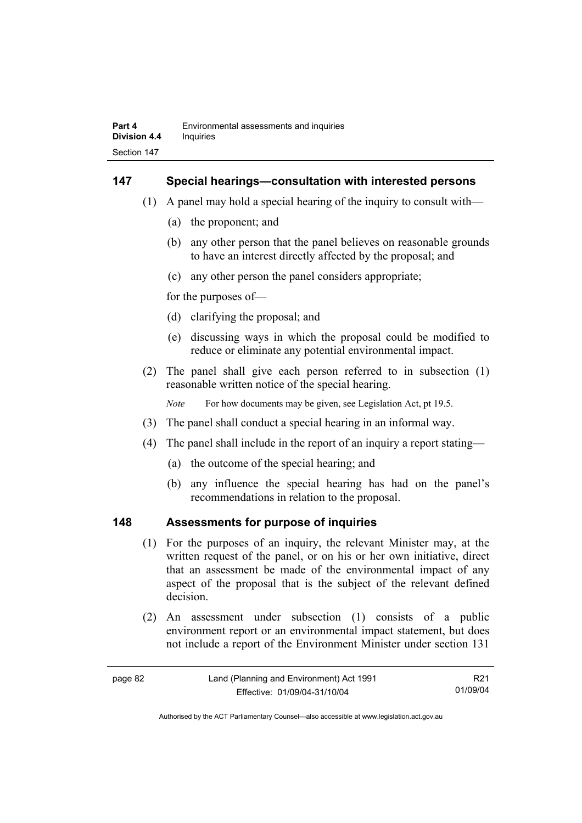### **147 Special hearings—consultation with interested persons**

- (1) A panel may hold a special hearing of the inquiry to consult with—
	- (a) the proponent; and
	- (b) any other person that the panel believes on reasonable grounds to have an interest directly affected by the proposal; and
	- (c) any other person the panel considers appropriate;

for the purposes of—

- (d) clarifying the proposal; and
- (e) discussing ways in which the proposal could be modified to reduce or eliminate any potential environmental impact.
- (2) The panel shall give each person referred to in subsection (1) reasonable written notice of the special hearing.

*Note* For how documents may be given, see Legislation Act, pt 19.5.

- (3) The panel shall conduct a special hearing in an informal way.
- (4) The panel shall include in the report of an inquiry a report stating—
	- (a) the outcome of the special hearing; and
	- (b) any influence the special hearing has had on the panel's recommendations in relation to the proposal.

### **148 Assessments for purpose of inquiries**

- (1) For the purposes of an inquiry, the relevant Minister may, at the written request of the panel, or on his or her own initiative, direct that an assessment be made of the environmental impact of any aspect of the proposal that is the subject of the relevant defined decision.
- (2) An assessment under subsection (1) consists of a public environment report or an environmental impact statement, but does not include a report of the Environment Minister under section 131

| page 82 | Land (Planning and Environment) Act 1991 | R21      |
|---------|------------------------------------------|----------|
|         | Effective: 01/09/04-31/10/04             | 01/09/04 |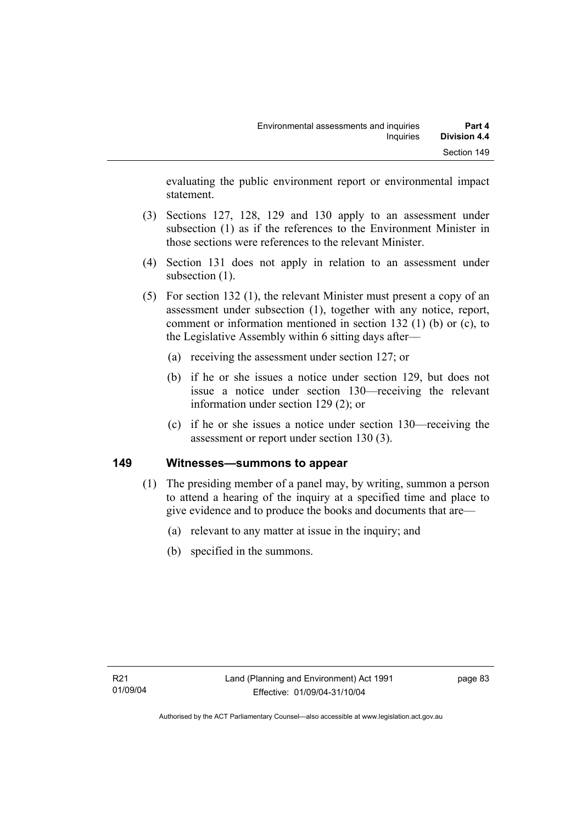evaluating the public environment report or environmental impact statement.

- (3) Sections 127, 128, 129 and 130 apply to an assessment under subsection (1) as if the references to the Environment Minister in those sections were references to the relevant Minister.
- (4) Section 131 does not apply in relation to an assessment under subsection  $(1)$ .
- (5) For section 132 (1), the relevant Minister must present a copy of an assessment under subsection (1), together with any notice, report, comment or information mentioned in section 132 (1) (b) or (c), to the Legislative Assembly within 6 sitting days after—
	- (a) receiving the assessment under section 127; or
	- (b) if he or she issues a notice under section 129, but does not issue a notice under section 130—receiving the relevant information under section 129 (2); or
	- (c) if he or she issues a notice under section 130—receiving the assessment or report under section 130 (3).

### **149 Witnesses—summons to appear**

- (1) The presiding member of a panel may, by writing, summon a person to attend a hearing of the inquiry at a specified time and place to give evidence and to produce the books and documents that are—
	- (a) relevant to any matter at issue in the inquiry; and
	- (b) specified in the summons.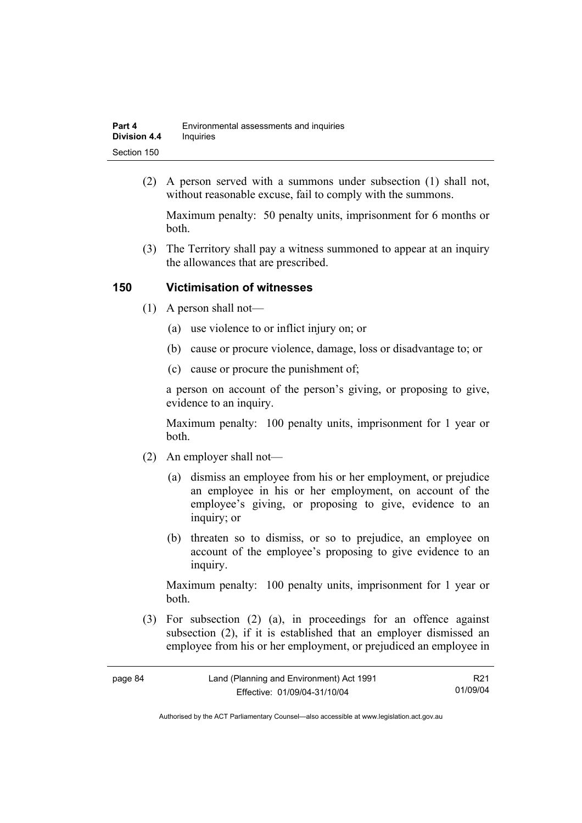| Part 4              | Environmental assessments and inquiries |
|---------------------|-----------------------------------------|
| <b>Division 4.4</b> | Inquiries                               |
| Section 150         |                                         |

 (2) A person served with a summons under subsection (1) shall not, without reasonable excuse, fail to comply with the summons.

Maximum penalty: 50 penalty units, imprisonment for 6 months or both.

 (3) The Territory shall pay a witness summoned to appear at an inquiry the allowances that are prescribed.

### **150 Victimisation of witnesses**

- (1) A person shall not—
	- (a) use violence to or inflict injury on; or
	- (b) cause or procure violence, damage, loss or disadvantage to; or
	- (c) cause or procure the punishment of;

a person on account of the person's giving, or proposing to give, evidence to an inquiry.

Maximum penalty: 100 penalty units, imprisonment for 1 year or both.

- (2) An employer shall not—
	- (a) dismiss an employee from his or her employment, or prejudice an employee in his or her employment, on account of the employee's giving, or proposing to give, evidence to an inquiry; or
	- (b) threaten so to dismiss, or so to prejudice, an employee on account of the employee's proposing to give evidence to an inquiry.

Maximum penalty: 100 penalty units, imprisonment for 1 year or both.

 (3) For subsection (2) (a), in proceedings for an offence against subsection (2), if it is established that an employer dismissed an employee from his or her employment, or prejudiced an employee in

| בנ<br>ĸ |  |
|---------|--|
|---------|--|

R21 01/09/04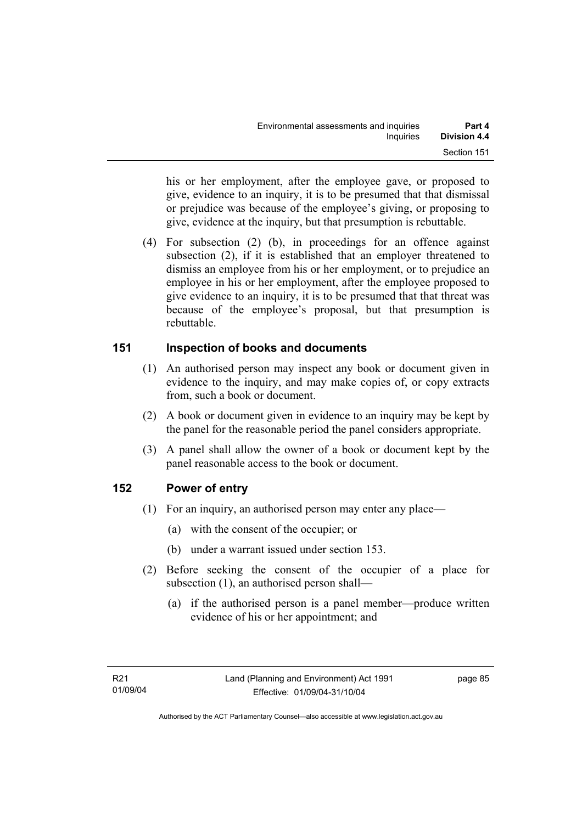his or her employment, after the employee gave, or proposed to give, evidence to an inquiry, it is to be presumed that that dismissal or prejudice was because of the employee's giving, or proposing to give, evidence at the inquiry, but that presumption is rebuttable.

 (4) For subsection (2) (b), in proceedings for an offence against subsection (2), if it is established that an employer threatened to dismiss an employee from his or her employment, or to prejudice an employee in his or her employment, after the employee proposed to give evidence to an inquiry, it is to be presumed that that threat was because of the employee's proposal, but that presumption is rebuttable.

## **151 Inspection of books and documents**

- (1) An authorised person may inspect any book or document given in evidence to the inquiry, and may make copies of, or copy extracts from, such a book or document.
- (2) A book or document given in evidence to an inquiry may be kept by the panel for the reasonable period the panel considers appropriate.
- (3) A panel shall allow the owner of a book or document kept by the panel reasonable access to the book or document.

## **152 Power of entry**

- (1) For an inquiry, an authorised person may enter any place—
	- (a) with the consent of the occupier; or
	- (b) under a warrant issued under section 153.
- (2) Before seeking the consent of the occupier of a place for subsection (1), an authorised person shall—
	- (a) if the authorised person is a panel member—produce written evidence of his or her appointment; and

page 85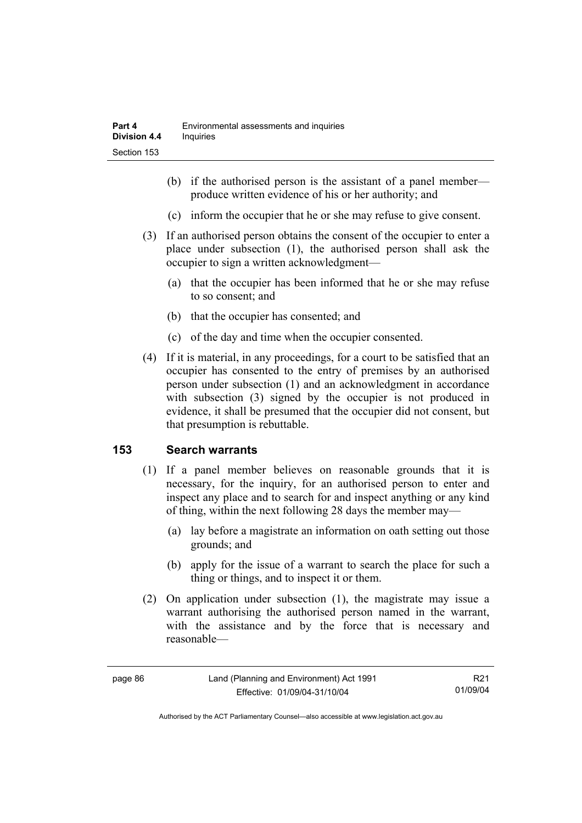- (b) if the authorised person is the assistant of a panel member produce written evidence of his or her authority; and
- (c) inform the occupier that he or she may refuse to give consent.
- (3) If an authorised person obtains the consent of the occupier to enter a place under subsection (1), the authorised person shall ask the occupier to sign a written acknowledgment—
	- (a) that the occupier has been informed that he or she may refuse to so consent; and
	- (b) that the occupier has consented; and
	- (c) of the day and time when the occupier consented.
- (4) If it is material, in any proceedings, for a court to be satisfied that an occupier has consented to the entry of premises by an authorised person under subsection (1) and an acknowledgment in accordance with subsection (3) signed by the occupier is not produced in evidence, it shall be presumed that the occupier did not consent, but that presumption is rebuttable.

## **153 Search warrants**

- (1) If a panel member believes on reasonable grounds that it is necessary, for the inquiry, for an authorised person to enter and inspect any place and to search for and inspect anything or any kind of thing, within the next following 28 days the member may—
	- (a) lay before a magistrate an information on oath setting out those grounds; and
	- (b) apply for the issue of a warrant to search the place for such a thing or things, and to inspect it or them.
- (2) On application under subsection (1), the magistrate may issue a warrant authorising the authorised person named in the warrant, with the assistance and by the force that is necessary and reasonable—

R21 01/09/04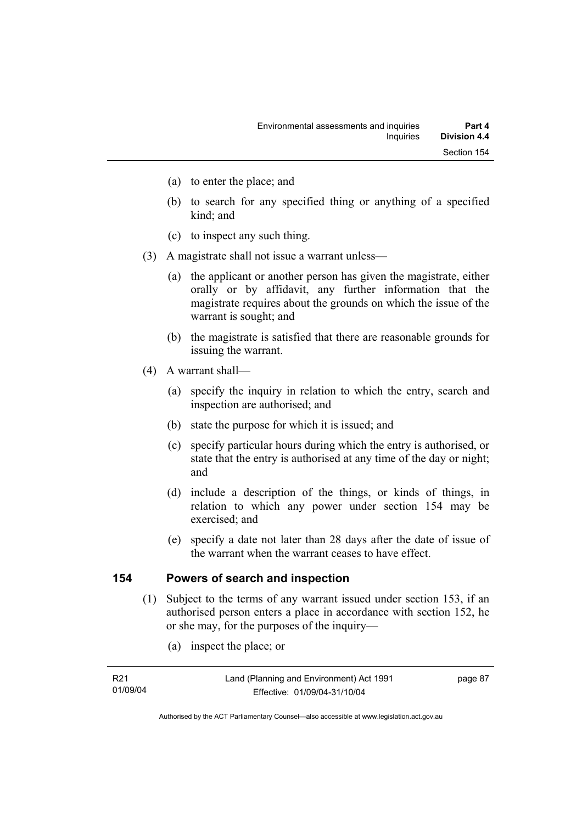- (a) to enter the place; and
- (b) to search for any specified thing or anything of a specified kind; and
- (c) to inspect any such thing.
- (3) A magistrate shall not issue a warrant unless—
	- (a) the applicant or another person has given the magistrate, either orally or by affidavit, any further information that the magistrate requires about the grounds on which the issue of the warrant is sought; and
	- (b) the magistrate is satisfied that there are reasonable grounds for issuing the warrant.
- (4) A warrant shall—
	- (a) specify the inquiry in relation to which the entry, search and inspection are authorised; and
	- (b) state the purpose for which it is issued; and
	- (c) specify particular hours during which the entry is authorised, or state that the entry is authorised at any time of the day or night; and
	- (d) include a description of the things, or kinds of things, in relation to which any power under section 154 may be exercised; and
	- (e) specify a date not later than 28 days after the date of issue of the warrant when the warrant ceases to have effect.

### **154 Powers of search and inspection**

- (1) Subject to the terms of any warrant issued under section 153, if an authorised person enters a place in accordance with section 152, he or she may, for the purposes of the inquiry—
	- (a) inspect the place; or

| R21      |  |
|----------|--|
| 01/09/04 |  |

page 87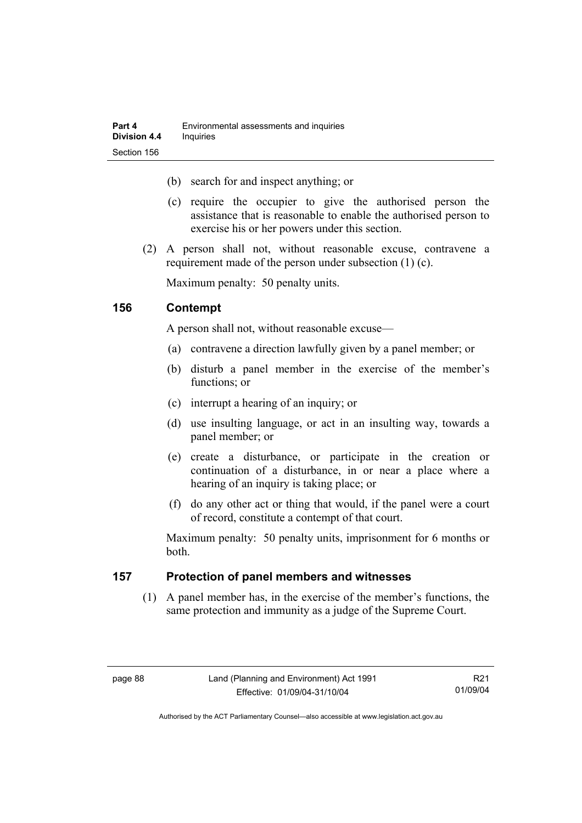- (b) search for and inspect anything; or
- (c) require the occupier to give the authorised person the assistance that is reasonable to enable the authorised person to exercise his or her powers under this section.
- (2) A person shall not, without reasonable excuse, contravene a requirement made of the person under subsection (1) (c).

Maximum penalty: 50 penalty units.

### **156 Contempt**

A person shall not, without reasonable excuse—

- (a) contravene a direction lawfully given by a panel member; or
- (b) disturb a panel member in the exercise of the member's functions; or
- (c) interrupt a hearing of an inquiry; or
- (d) use insulting language, or act in an insulting way, towards a panel member; or
- (e) create a disturbance, or participate in the creation or continuation of a disturbance, in or near a place where a hearing of an inquiry is taking place; or
- (f) do any other act or thing that would, if the panel were a court of record, constitute a contempt of that court.

Maximum penalty: 50 penalty units, imprisonment for 6 months or both.

### **157 Protection of panel members and witnesses**

 (1) A panel member has, in the exercise of the member's functions, the same protection and immunity as a judge of the Supreme Court.

R21 01/09/04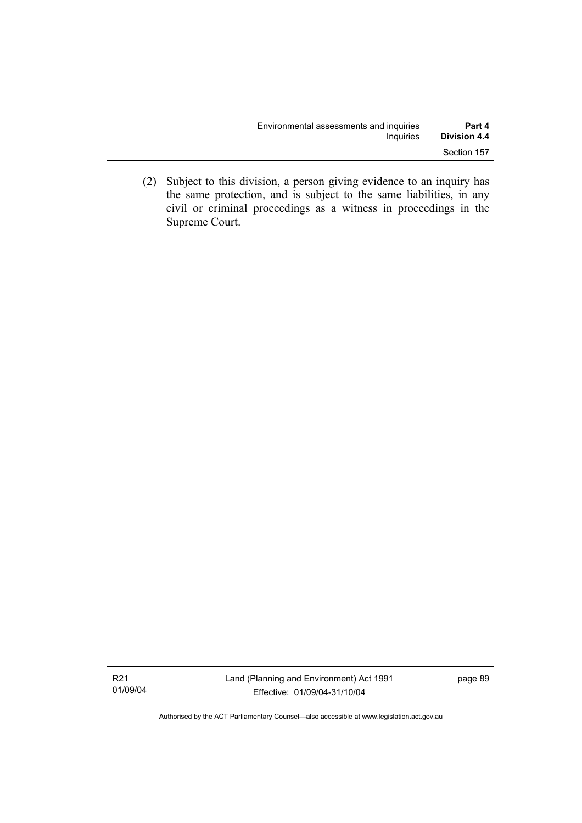| Environmental assessments and inquiries | Part 4              |
|-----------------------------------------|---------------------|
| Inquiries                               | <b>Division 4.4</b> |
|                                         | Section 157         |

 (2) Subject to this division, a person giving evidence to an inquiry has the same protection, and is subject to the same liabilities, in any civil or criminal proceedings as a witness in proceedings in the Supreme Court.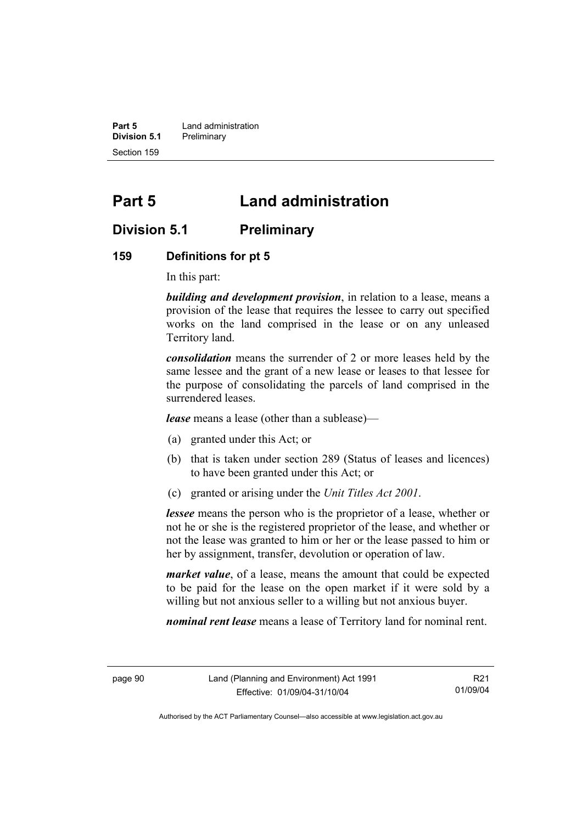**Part 5 Land administration Division 5.1** Preliminary Section 159

# **Part 5 Land administration**

# **Division 5.1 Preliminary**

#### **159 Definitions for pt 5**

In this part:

*building and development provision*, in relation to a lease, means a provision of the lease that requires the lessee to carry out specified works on the land comprised in the lease or on any unleased Territory land.

*consolidation* means the surrender of 2 or more leases held by the same lessee and the grant of a new lease or leases to that lessee for the purpose of consolidating the parcels of land comprised in the surrendered leases.

*lease* means a lease (other than a sublease)—

- (a) granted under this Act; or
- (b) that is taken under section 289 (Status of leases and licences) to have been granted under this Act; or
- (c) granted or arising under the *Unit Titles Act 2001*.

*lessee* means the person who is the proprietor of a lease, whether or not he or she is the registered proprietor of the lease, and whether or not the lease was granted to him or her or the lease passed to him or her by assignment, transfer, devolution or operation of law.

*market value*, of a lease, means the amount that could be expected to be paid for the lease on the open market if it were sold by a willing but not anxious seller to a willing but not anxious buyer.

*nominal rent lease* means a lease of Territory land for nominal rent.

R21 01/09/04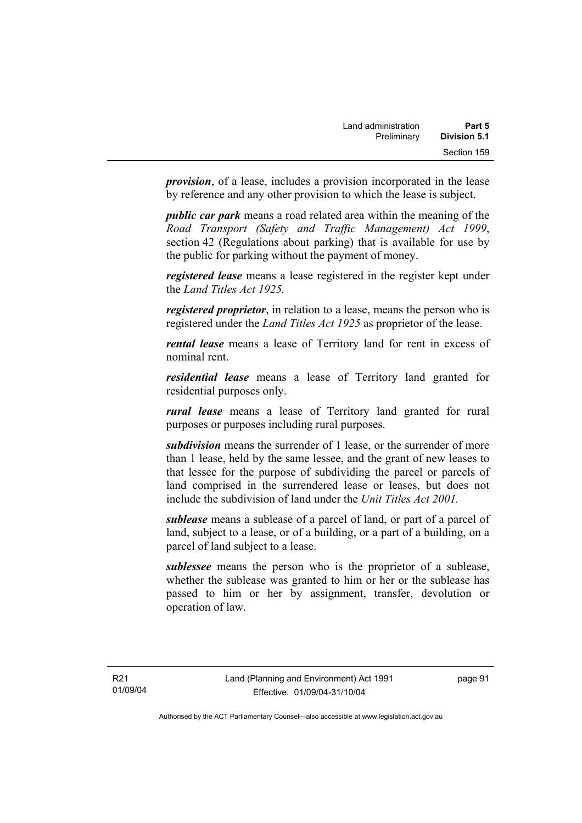*provision*, of a lease, includes a provision incorporated in the lease by reference and any other provision to which the lease is subject.

*public car park* means a road related area within the meaning of the *Road Transport (Safety and Traffic Management) Act 1999*, section 42 (Regulations about parking) that is available for use by the public for parking without the payment of money.

*registered lease* means a lease registered in the register kept under the *Land Titles Act 1925.*

*registered proprietor*, in relation to a lease, means the person who is registered under the *Land Titles Act 1925* as proprietor of the lease.

*rental lease* means a lease of Territory land for rent in excess of nominal rent.

*residential lease* means a lease of Territory land granted for residential purposes only.

*rural lease* means a lease of Territory land granted for rural purposes or purposes including rural purposes.

*subdivision* means the surrender of 1 lease, or the surrender of more than 1 lease, held by the same lessee, and the grant of new leases to that lessee for the purpose of subdividing the parcel or parcels of land comprised in the surrendered lease or leases, but does not include the subdivision of land under the *Unit Titles Act 2001.* 

*sublease* means a sublease of a parcel of land, or part of a parcel of land, subject to a lease, or of a building, or a part of a building, on a parcel of land subject to a lease.

*sublessee* means the person who is the proprietor of a sublease, whether the sublease was granted to him or her or the sublease has passed to him or her by assignment, transfer, devolution or operation of law.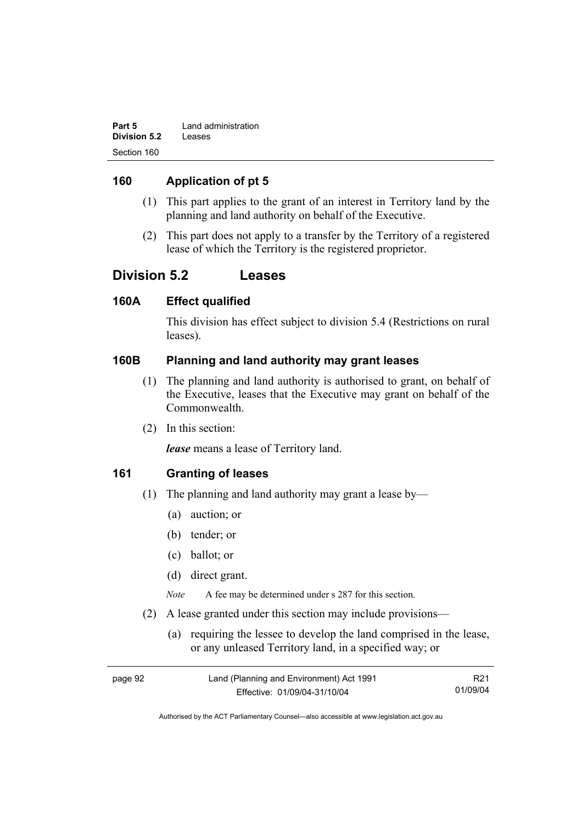| Part 5       | Land administration |
|--------------|---------------------|
| Division 5.2 | Leases              |
| Section 160  |                     |

## **160 Application of pt 5**

- (1) This part applies to the grant of an interest in Territory land by the planning and land authority on behalf of the Executive.
- (2) This part does not apply to a transfer by the Territory of a registered lease of which the Territory is the registered proprietor.

# **Division 5.2 Leases**

### **160A Effect qualified**

This division has effect subject to division 5.4 (Restrictions on rural leases).

## **160B Planning and land authority may grant leases**

- (1) The planning and land authority is authorised to grant, on behalf of the Executive, leases that the Executive may grant on behalf of the Commonwealth.
- (2) In this section:

*lease* means a lease of Territory land.

### **161 Granting of leases**

- (1) The planning and land authority may grant a lease by—
	- (a) auction; or
	- (b) tender; or
	- (c) ballot; or
	- (d) direct grant.

*Note* A fee may be determined under s 287 for this section.

- (2) A lease granted under this section may include provisions—
	- (a) requiring the lessee to develop the land comprised in the lease, or any unleased Territory land, in a specified way; or

| page 92 | Land (Planning and Environment) Act 1991 | R <sub>21</sub> |
|---------|------------------------------------------|-----------------|
|         | Effective: 01/09/04-31/10/04             | 01/09/04        |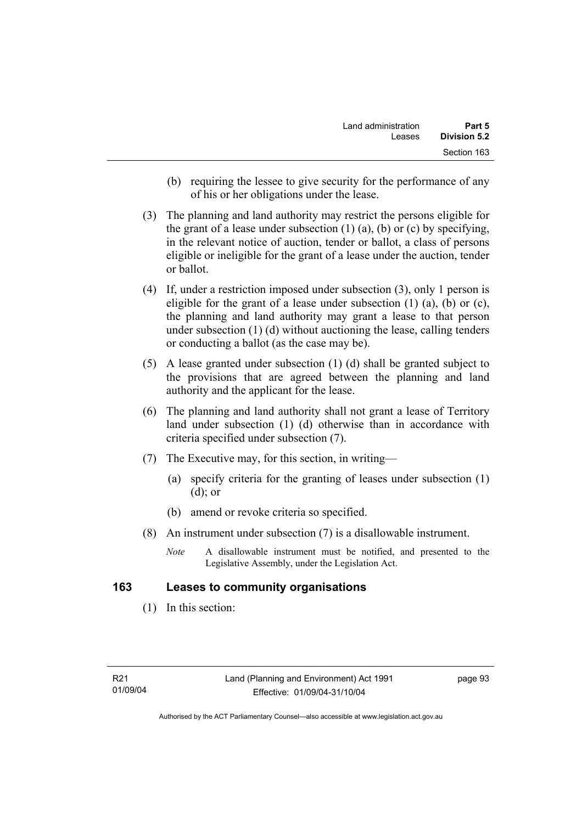- (b) requiring the lessee to give security for the performance of any of his or her obligations under the lease.
- (3) The planning and land authority may restrict the persons eligible for the grant of a lease under subsection  $(1)$   $(a)$ ,  $(b)$  or  $(c)$  by specifying, in the relevant notice of auction, tender or ballot, a class of persons eligible or ineligible for the grant of a lease under the auction, tender or ballot.
- (4) If, under a restriction imposed under subsection (3), only 1 person is eligible for the grant of a lease under subsection  $(1)$   $(a)$ ,  $(b)$  or  $(c)$ , the planning and land authority may grant a lease to that person under subsection (1) (d) without auctioning the lease, calling tenders or conducting a ballot (as the case may be).
- (5) A lease granted under subsection (1) (d) shall be granted subject to the provisions that are agreed between the planning and land authority and the applicant for the lease.
- (6) The planning and land authority shall not grant a lease of Territory land under subsection (1) (d) otherwise than in accordance with criteria specified under subsection (7).
- (7) The Executive may, for this section, in writing—
	- (a) specify criteria for the granting of leases under subsection (1) (d); or
	- (b) amend or revoke criteria so specified.
- (8) An instrument under subsection (7) is a disallowable instrument.
	- *Note* A disallowable instrument must be notified, and presented to the Legislative Assembly, under the Legislation Act.

# **163 Leases to community organisations**

(1) In this section: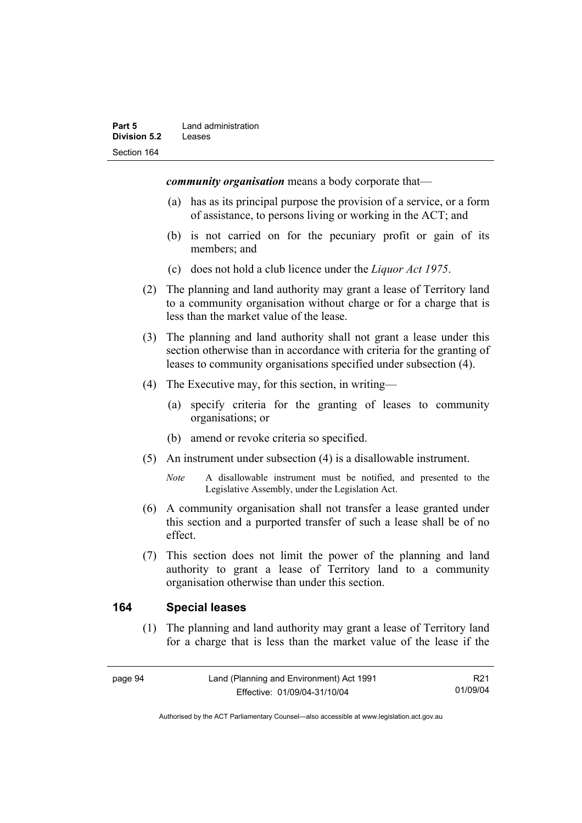*community organisation* means a body corporate that—

- (a) has as its principal purpose the provision of a service, or a form of assistance, to persons living or working in the ACT; and
- (b) is not carried on for the pecuniary profit or gain of its members; and
- (c) does not hold a club licence under the *Liquor Act 1975*.
- (2) The planning and land authority may grant a lease of Territory land to a community organisation without charge or for a charge that is less than the market value of the lease.
- (3) The planning and land authority shall not grant a lease under this section otherwise than in accordance with criteria for the granting of leases to community organisations specified under subsection (4).
- (4) The Executive may, for this section, in writing—
	- (a) specify criteria for the granting of leases to community organisations; or
	- (b) amend or revoke criteria so specified.
- (5) An instrument under subsection (4) is a disallowable instrument.
	- *Note* A disallowable instrument must be notified, and presented to the Legislative Assembly, under the Legislation Act.
- (6) A community organisation shall not transfer a lease granted under this section and a purported transfer of such a lease shall be of no effect.
- (7) This section does not limit the power of the planning and land authority to grant a lease of Territory land to a community organisation otherwise than under this section.

### **164 Special leases**

 (1) The planning and land authority may grant a lease of Territory land for a charge that is less than the market value of the lease if the

R21 01/09/04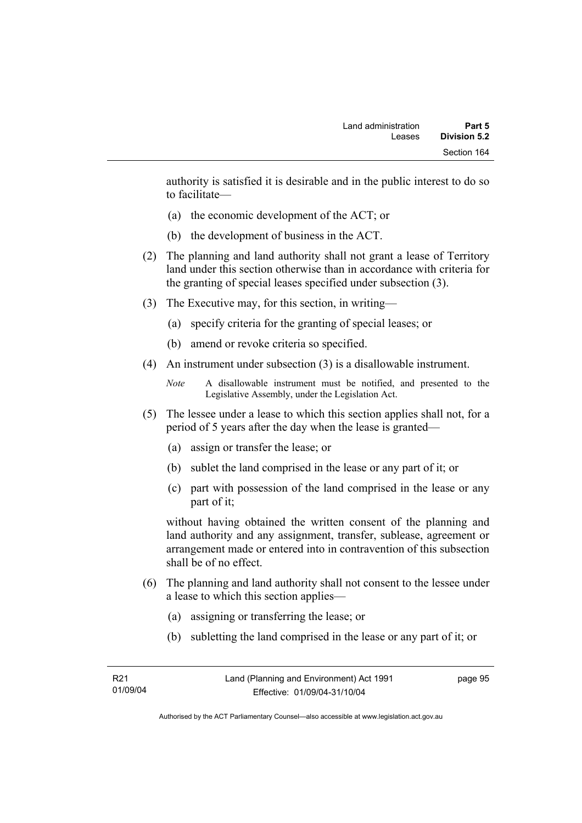authority is satisfied it is desirable and in the public interest to do so to facilitate—

- (a) the economic development of the ACT; or
- (b) the development of business in the ACT.
- (2) The planning and land authority shall not grant a lease of Territory land under this section otherwise than in accordance with criteria for the granting of special leases specified under subsection (3).
- (3) The Executive may, for this section, in writing—
	- (a) specify criteria for the granting of special leases; or
	- (b) amend or revoke criteria so specified.
- (4) An instrument under subsection (3) is a disallowable instrument.

```
Note A disallowable instrument must be notified, and presented to the 
Legislative Assembly, under the Legislation Act.
```
- (5) The lessee under a lease to which this section applies shall not, for a period of 5 years after the day when the lease is granted—
	- (a) assign or transfer the lease; or
	- (b) sublet the land comprised in the lease or any part of it; or
	- (c) part with possession of the land comprised in the lease or any part of it;

without having obtained the written consent of the planning and land authority and any assignment, transfer, sublease, agreement or arrangement made or entered into in contravention of this subsection shall be of no effect.

- (6) The planning and land authority shall not consent to the lessee under a lease to which this section applies—
	- (a) assigning or transferring the lease; or
	- (b) subletting the land comprised in the lease or any part of it; or

page 95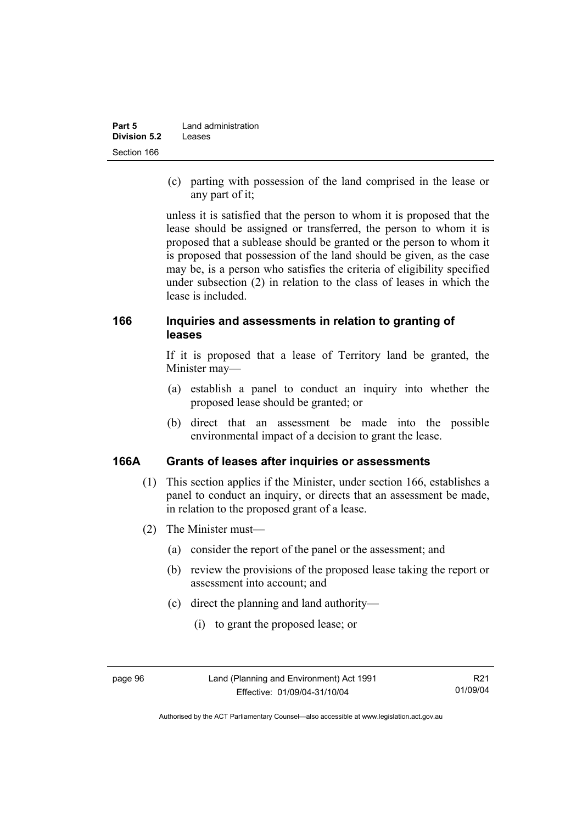| Part 5              | Land administration |  |
|---------------------|---------------------|--|
| <b>Division 5.2</b> | Leases              |  |
| Section 166         |                     |  |

 (c) parting with possession of the land comprised in the lease or any part of it;

unless it is satisfied that the person to whom it is proposed that the lease should be assigned or transferred, the person to whom it is proposed that a sublease should be granted or the person to whom it is proposed that possession of the land should be given, as the case may be, is a person who satisfies the criteria of eligibility specified under subsection (2) in relation to the class of leases in which the lease is included.

### **166 Inquiries and assessments in relation to granting of leases**

If it is proposed that a lease of Territory land be granted, the Minister may—

- (a) establish a panel to conduct an inquiry into whether the proposed lease should be granted; or
- (b) direct that an assessment be made into the possible environmental impact of a decision to grant the lease.

#### **166A Grants of leases after inquiries or assessments**

- (1) This section applies if the Minister, under section 166, establishes a panel to conduct an inquiry, or directs that an assessment be made, in relation to the proposed grant of a lease.
- (2) The Minister must—
	- (a) consider the report of the panel or the assessment; and
	- (b) review the provisions of the proposed lease taking the report or assessment into account; and
	- (c) direct the planning and land authority—
		- (i) to grant the proposed lease; or

Authorised by the ACT Parliamentary Counsel—also accessible at www.legislation.act.gov.au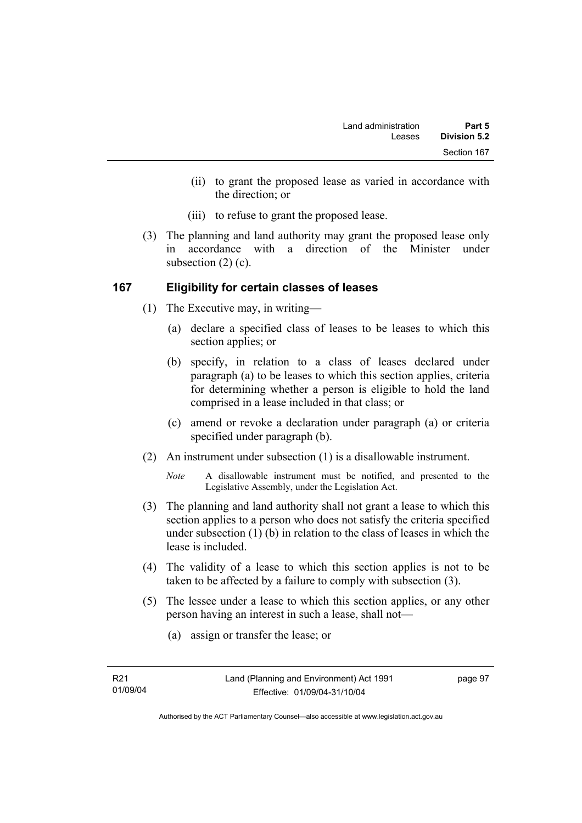- (ii) to grant the proposed lease as varied in accordance with the direction; or
- (iii) to refuse to grant the proposed lease.
- (3) The planning and land authority may grant the proposed lease only in accordance with a direction of the Minister under subsection (2) (c).

# **167 Eligibility for certain classes of leases**

- (1) The Executive may, in writing—
	- (a) declare a specified class of leases to be leases to which this section applies; or
	- (b) specify, in relation to a class of leases declared under paragraph (a) to be leases to which this section applies, criteria for determining whether a person is eligible to hold the land comprised in a lease included in that class; or
	- (c) amend or revoke a declaration under paragraph (a) or criteria specified under paragraph (b).
- (2) An instrument under subsection (1) is a disallowable instrument.
	- *Note* A disallowable instrument must be notified, and presented to the Legislative Assembly, under the Legislation Act.
- (3) The planning and land authority shall not grant a lease to which this section applies to a person who does not satisfy the criteria specified under subsection (1) (b) in relation to the class of leases in which the lease is included.
- (4) The validity of a lease to which this section applies is not to be taken to be affected by a failure to comply with subsection (3).
- (5) The lessee under a lease to which this section applies, or any other person having an interest in such a lease, shall not—
	- (a) assign or transfer the lease; or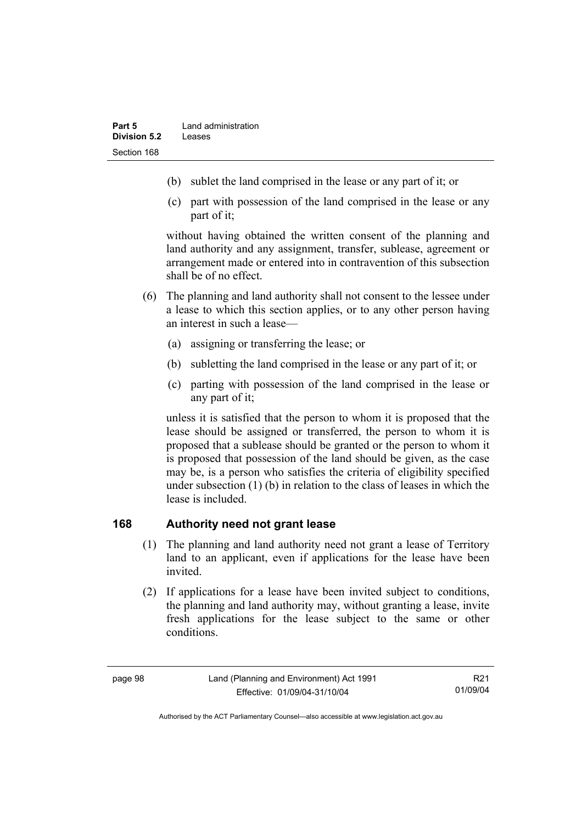- (b) sublet the land comprised in the lease or any part of it; or
- (c) part with possession of the land comprised in the lease or any part of it;

without having obtained the written consent of the planning and land authority and any assignment, transfer, sublease, agreement or arrangement made or entered into in contravention of this subsection shall be of no effect.

- (6) The planning and land authority shall not consent to the lessee under a lease to which this section applies, or to any other person having an interest in such a lease—
	- (a) assigning or transferring the lease; or
	- (b) subletting the land comprised in the lease or any part of it; or
	- (c) parting with possession of the land comprised in the lease or any part of it;

unless it is satisfied that the person to whom it is proposed that the lease should be assigned or transferred, the person to whom it is proposed that a sublease should be granted or the person to whom it is proposed that possession of the land should be given, as the case may be, is a person who satisfies the criteria of eligibility specified under subsection (1) (b) in relation to the class of leases in which the lease is included.

#### **168 Authority need not grant lease**

- (1) The planning and land authority need not grant a lease of Territory land to an applicant, even if applications for the lease have been invited.
- (2) If applications for a lease have been invited subject to conditions, the planning and land authority may, without granting a lease, invite fresh applications for the lease subject to the same or other conditions.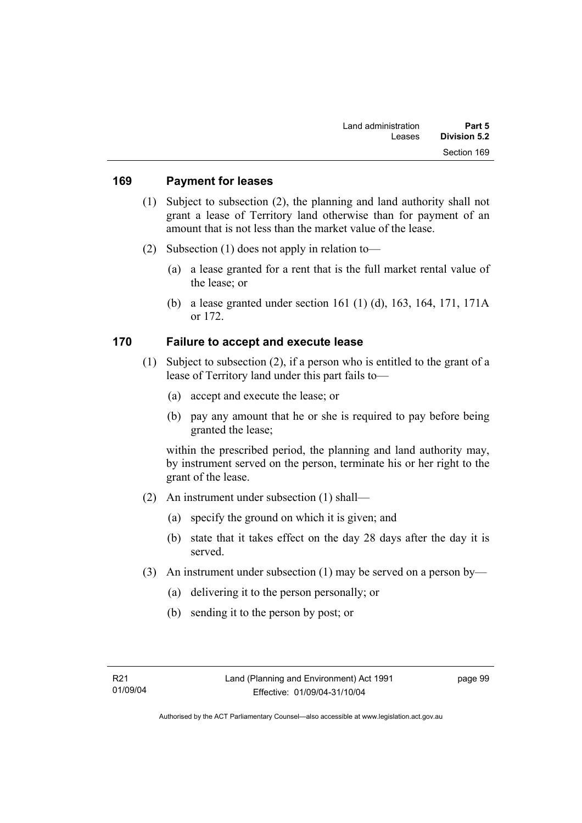#### **169 Payment for leases**

- (1) Subject to subsection (2), the planning and land authority shall not grant a lease of Territory land otherwise than for payment of an amount that is not less than the market value of the lease.
- (2) Subsection (1) does not apply in relation to—
	- (a) a lease granted for a rent that is the full market rental value of the lease; or
	- (b) a lease granted under section 161 (1) (d), 163, 164, 171, 171A or 172.

### **170 Failure to accept and execute lease**

- (1) Subject to subsection (2), if a person who is entitled to the grant of a lease of Territory land under this part fails to—
	- (a) accept and execute the lease; or
	- (b) pay any amount that he or she is required to pay before being granted the lease;

within the prescribed period, the planning and land authority may, by instrument served on the person, terminate his or her right to the grant of the lease.

- (2) An instrument under subsection (1) shall—
	- (a) specify the ground on which it is given; and
	- (b) state that it takes effect on the day 28 days after the day it is served.
- (3) An instrument under subsection (1) may be served on a person by—
	- (a) delivering it to the person personally; or
	- (b) sending it to the person by post; or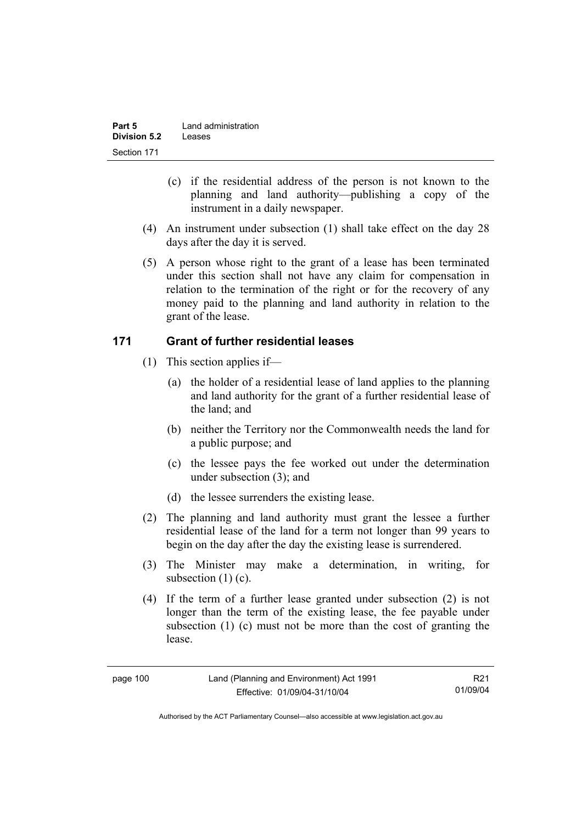| Part 5              | Land administration |
|---------------------|---------------------|
| <b>Division 5.2</b> | Leases              |
| Section 171         |                     |

- (c) if the residential address of the person is not known to the planning and land authority—publishing a copy of the instrument in a daily newspaper.
- (4) An instrument under subsection (1) shall take effect on the day 28 days after the day it is served.
- (5) A person whose right to the grant of a lease has been terminated under this section shall not have any claim for compensation in relation to the termination of the right or for the recovery of any money paid to the planning and land authority in relation to the grant of the lease.

### **171 Grant of further residential leases**

- (1) This section applies if—
	- (a) the holder of a residential lease of land applies to the planning and land authority for the grant of a further residential lease of the land; and
	- (b) neither the Territory nor the Commonwealth needs the land for a public purpose; and
	- (c) the lessee pays the fee worked out under the determination under subsection (3); and
	- (d) the lessee surrenders the existing lease.
- (2) The planning and land authority must grant the lessee a further residential lease of the land for a term not longer than 99 years to begin on the day after the day the existing lease is surrendered.
- (3) The Minister may make a determination, in writing, for subsection (1) (c).
- (4) If the term of a further lease granted under subsection (2) is not longer than the term of the existing lease, the fee payable under subsection (1) (c) must not be more than the cost of granting the lease.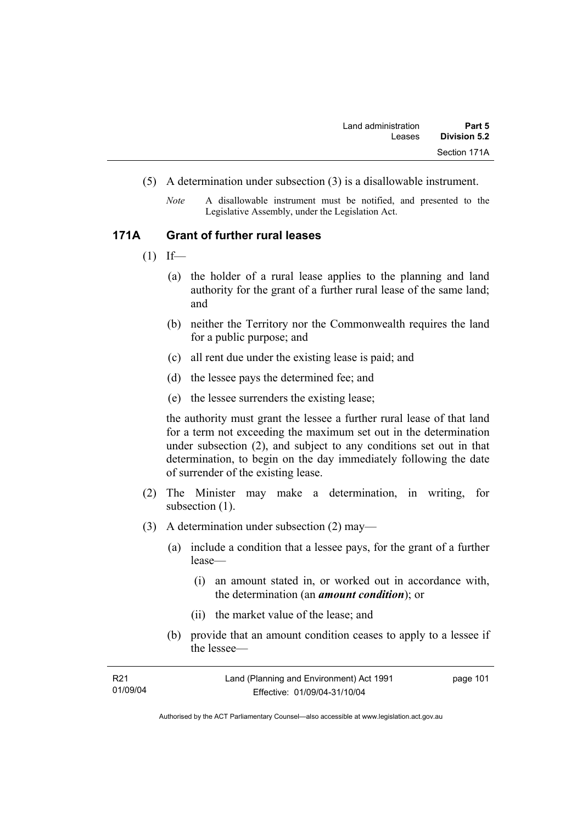- (5) A determination under subsection (3) is a disallowable instrument.
	- *Note* A disallowable instrument must be notified, and presented to the Legislative Assembly, under the Legislation Act.

#### **171A Grant of further rural leases**

- $(1)$  If—
	- (a) the holder of a rural lease applies to the planning and land authority for the grant of a further rural lease of the same land; and
	- (b) neither the Territory nor the Commonwealth requires the land for a public purpose; and
	- (c) all rent due under the existing lease is paid; and
	- (d) the lessee pays the determined fee; and
	- (e) the lessee surrenders the existing lease;

the authority must grant the lessee a further rural lease of that land for a term not exceeding the maximum set out in the determination under subsection (2), and subject to any conditions set out in that determination, to begin on the day immediately following the date of surrender of the existing lease.

- (2) The Minister may make a determination, in writing, for subsection  $(1)$ .
- (3) A determination under subsection (2) may—
	- (a) include a condition that a lessee pays, for the grant of a further lease—
		- (i) an amount stated in, or worked out in accordance with, the determination (an *amount condition*); or
		- (ii) the market value of the lease; and
	- (b) provide that an amount condition ceases to apply to a lessee if the lessee—

| R <sub>21</sub> | Land (Planning and Environment) Act 1991 | page 101 |
|-----------------|------------------------------------------|----------|
| 01/09/04        | Effective: 01/09/04-31/10/04             |          |
|                 |                                          |          |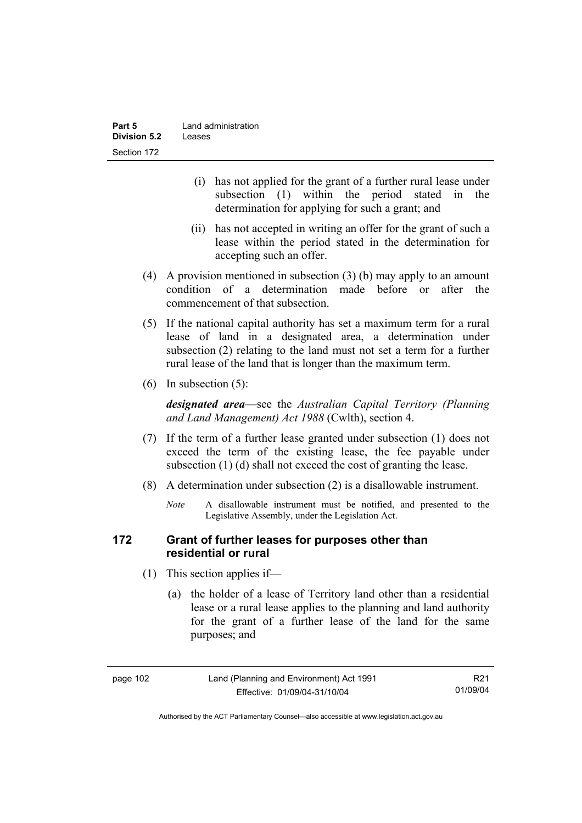| Part 5              | Land administration |  |
|---------------------|---------------------|--|
| <b>Division 5.2</b> | Leases              |  |
| Section 172         |                     |  |

- (i) has not applied for the grant of a further rural lease under subsection (1) within the period stated in the determination for applying for such a grant; and
- (ii) has not accepted in writing an offer for the grant of such a lease within the period stated in the determination for accepting such an offer.
- (4) A provision mentioned in subsection (3) (b) may apply to an amount condition of a determination made before or after the commencement of that subsection.
- (5) If the national capital authority has set a maximum term for a rural lease of land in a designated area, a determination under subsection (2) relating to the land must not set a term for a further rural lease of the land that is longer than the maximum term.
- (6) In subsection (5):

*designated area*—see the *Australian Capital Territory (Planning and Land Management) Act 1988* (Cwlth), section 4.

- (7) If the term of a further lease granted under subsection (1) does not exceed the term of the existing lease, the fee payable under subsection (1) (d) shall not exceed the cost of granting the lease.
- (8) A determination under subsection (2) is a disallowable instrument.
	- *Note* A disallowable instrument must be notified, and presented to the Legislative Assembly, under the Legislation Act.

### **172 Grant of further leases for purposes other than residential or rural**

- (1) This section applies if—
	- (a) the holder of a lease of Territory land other than a residential lease or a rural lease applies to the planning and land authority for the grant of a further lease of the land for the same purposes; and

Authorised by the ACT Parliamentary Counsel—also accessible at www.legislation.act.gov.au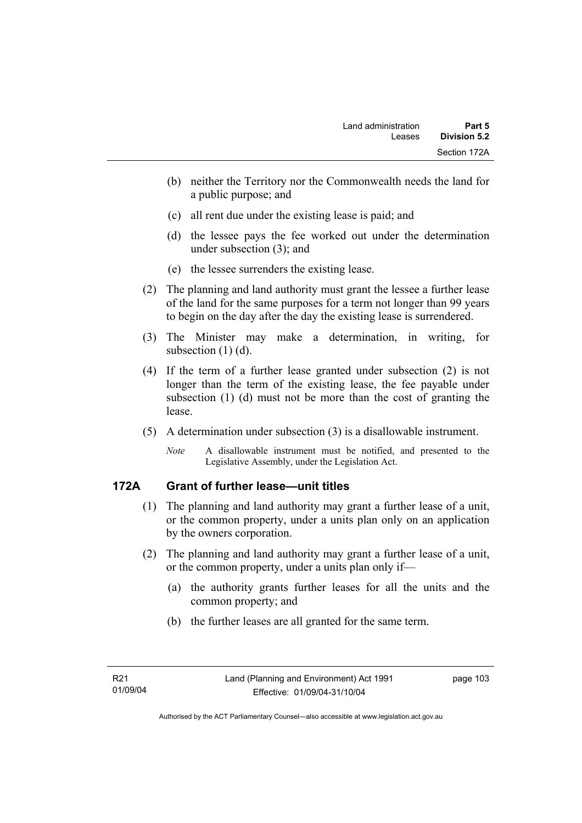- (b) neither the Territory nor the Commonwealth needs the land for a public purpose; and
- (c) all rent due under the existing lease is paid; and
- (d) the lessee pays the fee worked out under the determination under subsection (3); and
- (e) the lessee surrenders the existing lease.
- (2) The planning and land authority must grant the lessee a further lease of the land for the same purposes for a term not longer than 99 years to begin on the day after the day the existing lease is surrendered.
- (3) The Minister may make a determination, in writing, for subsection (1) (d).
- (4) If the term of a further lease granted under subsection (2) is not longer than the term of the existing lease, the fee payable under subsection (1) (d) must not be more than the cost of granting the lease.
- (5) A determination under subsection (3) is a disallowable instrument.
	- *Note* A disallowable instrument must be notified, and presented to the Legislative Assembly, under the Legislation Act.

# **172A Grant of further lease—unit titles**

- (1) The planning and land authority may grant a further lease of a unit, or the common property, under a units plan only on an application by the owners corporation.
- (2) The planning and land authority may grant a further lease of a unit, or the common property, under a units plan only if—
	- (a) the authority grants further leases for all the units and the common property; and
	- (b) the further leases are all granted for the same term.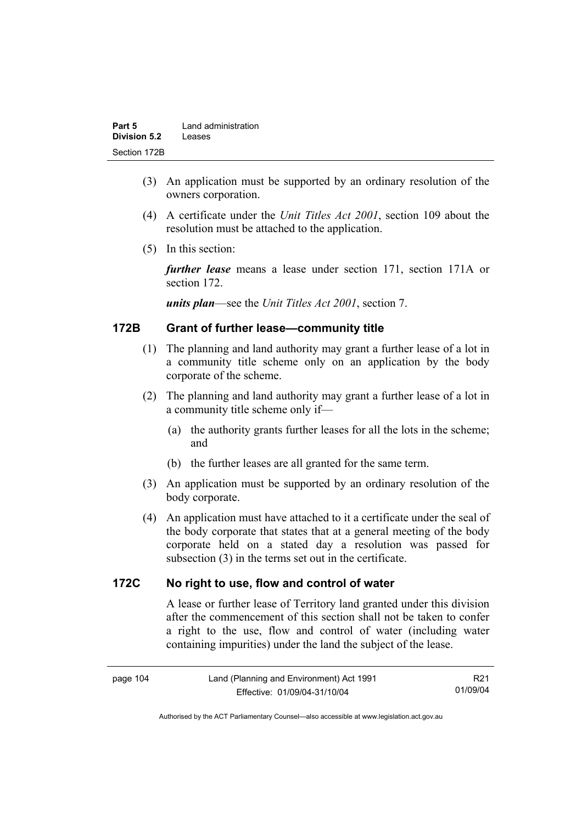| Part 5              | Land administration |
|---------------------|---------------------|
| <b>Division 5.2</b> | Leases              |
| Section 172B        |                     |

- (3) An application must be supported by an ordinary resolution of the owners corporation.
- (4) A certificate under the *Unit Titles Act 2001*, section 109 about the resolution must be attached to the application.
- (5) In this section:

*further lease* means a lease under section 171, section 171A or section 172.

*units plan*—see the *Unit Titles Act 2001*, section 7.

# **172B Grant of further lease—community title**

- (1) The planning and land authority may grant a further lease of a lot in a community title scheme only on an application by the body corporate of the scheme.
- (2) The planning and land authority may grant a further lease of a lot in a community title scheme only if—
	- (a) the authority grants further leases for all the lots in the scheme; and
	- (b) the further leases are all granted for the same term.
- (3) An application must be supported by an ordinary resolution of the body corporate.
- (4) An application must have attached to it a certificate under the seal of the body corporate that states that at a general meeting of the body corporate held on a stated day a resolution was passed for subsection (3) in the terms set out in the certificate.

#### **172C No right to use, flow and control of water**

A lease or further lease of Territory land granted under this division after the commencement of this section shall not be taken to confer a right to the use, flow and control of water (including water containing impurities) under the land the subject of the lease.

| page 104 |  |
|----------|--|
|----------|--|

R21 01/09/04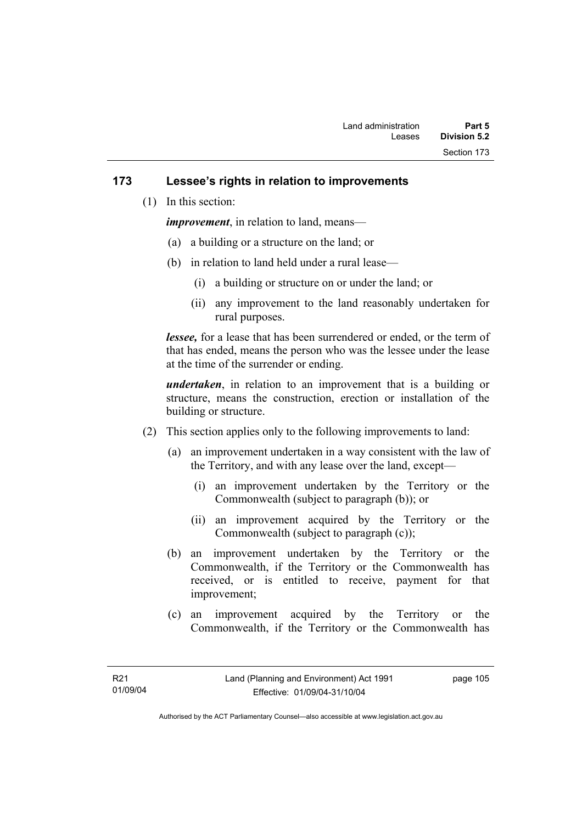### **173 Lessee's rights in relation to improvements**

(1) In this section:

*improvement*, in relation to land, means—

- (a) a building or a structure on the land; or
- (b) in relation to land held under a rural lease—
	- (i) a building or structure on or under the land; or
	- (ii) any improvement to the land reasonably undertaken for rural purposes.

*lessee,* for a lease that has been surrendered or ended, or the term of that has ended, means the person who was the lessee under the lease at the time of the surrender or ending.

*undertaken*, in relation to an improvement that is a building or structure, means the construction, erection or installation of the building or structure.

- (2) This section applies only to the following improvements to land:
	- (a) an improvement undertaken in a way consistent with the law of the Territory, and with any lease over the land, except—
		- (i) an improvement undertaken by the Territory or the Commonwealth (subject to paragraph (b)); or
		- (ii) an improvement acquired by the Territory or the Commonwealth (subject to paragraph (c));
	- (b) an improvement undertaken by the Territory or the Commonwealth, if the Territory or the Commonwealth has received, or is entitled to receive, payment for that improvement;
	- (c) an improvement acquired by the Territory or the Commonwealth, if the Territory or the Commonwealth has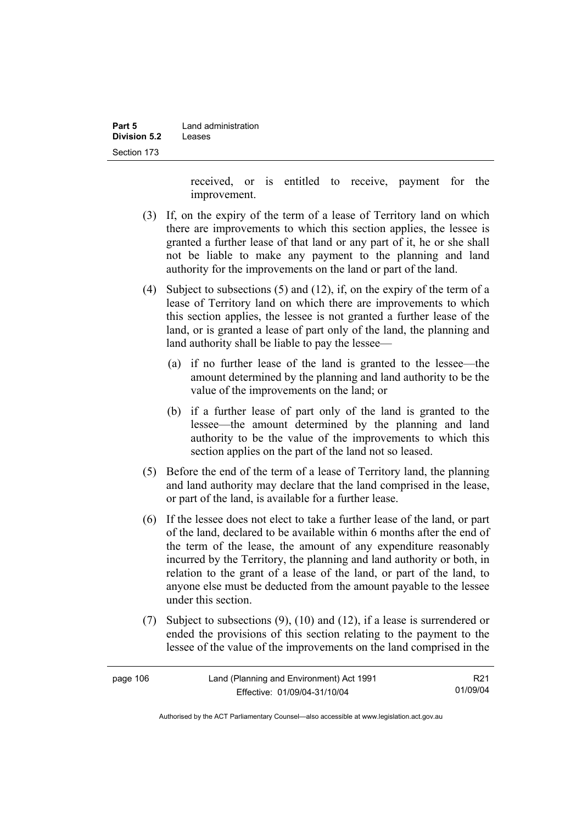| Part 5       | Land administration |  |
|--------------|---------------------|--|
| Division 5.2 | Leases              |  |
| Section 173  |                     |  |

received, or is entitled to receive, payment for the improvement.

- (3) If, on the expiry of the term of a lease of Territory land on which there are improvements to which this section applies, the lessee is granted a further lease of that land or any part of it, he or she shall not be liable to make any payment to the planning and land authority for the improvements on the land or part of the land.
- (4) Subject to subsections (5) and (12), if, on the expiry of the term of a lease of Territory land on which there are improvements to which this section applies, the lessee is not granted a further lease of the land, or is granted a lease of part only of the land, the planning and land authority shall be liable to pay the lessee—
	- (a) if no further lease of the land is granted to the lessee—the amount determined by the planning and land authority to be the value of the improvements on the land; or
	- (b) if a further lease of part only of the land is granted to the lessee—the amount determined by the planning and land authority to be the value of the improvements to which this section applies on the part of the land not so leased.
- (5) Before the end of the term of a lease of Territory land, the planning and land authority may declare that the land comprised in the lease, or part of the land, is available for a further lease.
- (6) If the lessee does not elect to take a further lease of the land, or part of the land, declared to be available within 6 months after the end of the term of the lease, the amount of any expenditure reasonably incurred by the Territory, the planning and land authority or both, in relation to the grant of a lease of the land, or part of the land, to anyone else must be deducted from the amount payable to the lessee under this section.
- (7) Subject to subsections (9), (10) and (12), if a lease is surrendered or ended the provisions of this section relating to the payment to the lessee of the value of the improvements on the land comprised in the

| page 106 | Land (Planning and Environment) Act 1991 | R21      |
|----------|------------------------------------------|----------|
|          | Effective: 01/09/04-31/10/04             | 01/09/04 |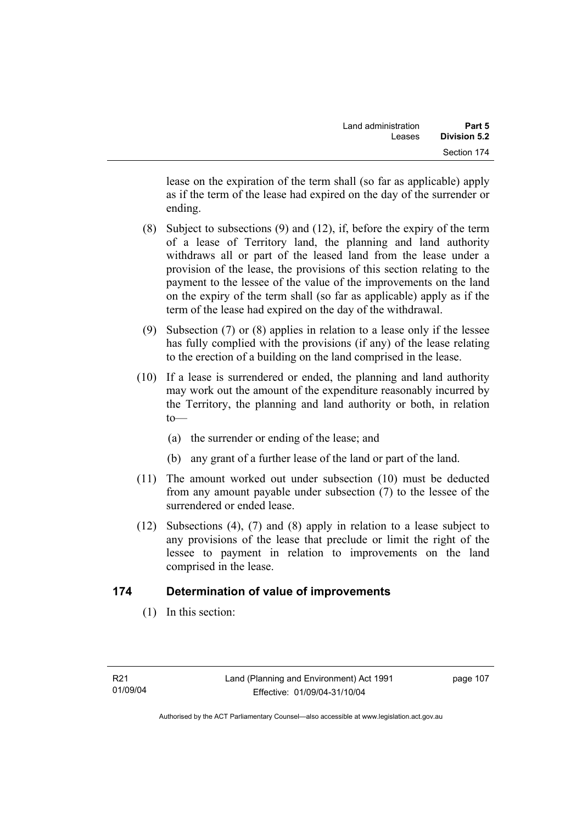lease on the expiration of the term shall (so far as applicable) apply as if the term of the lease had expired on the day of the surrender or ending.

- (8) Subject to subsections (9) and (12), if, before the expiry of the term of a lease of Territory land, the planning and land authority withdraws all or part of the leased land from the lease under a provision of the lease, the provisions of this section relating to the payment to the lessee of the value of the improvements on the land on the expiry of the term shall (so far as applicable) apply as if the term of the lease had expired on the day of the withdrawal.
- (9) Subsection (7) or (8) applies in relation to a lease only if the lessee has fully complied with the provisions (if any) of the lease relating to the erection of a building on the land comprised in the lease.
- (10) If a lease is surrendered or ended, the planning and land authority may work out the amount of the expenditure reasonably incurred by the Territory, the planning and land authority or both, in relation  $to$ —
	- (a) the surrender or ending of the lease; and
	- (b) any grant of a further lease of the land or part of the land.
- (11) The amount worked out under subsection (10) must be deducted from any amount payable under subsection (7) to the lessee of the surrendered or ended lease.
- (12) Subsections (4), (7) and (8) apply in relation to a lease subject to any provisions of the lease that preclude or limit the right of the lessee to payment in relation to improvements on the land comprised in the lease.

# **174 Determination of value of improvements**

(1) In this section: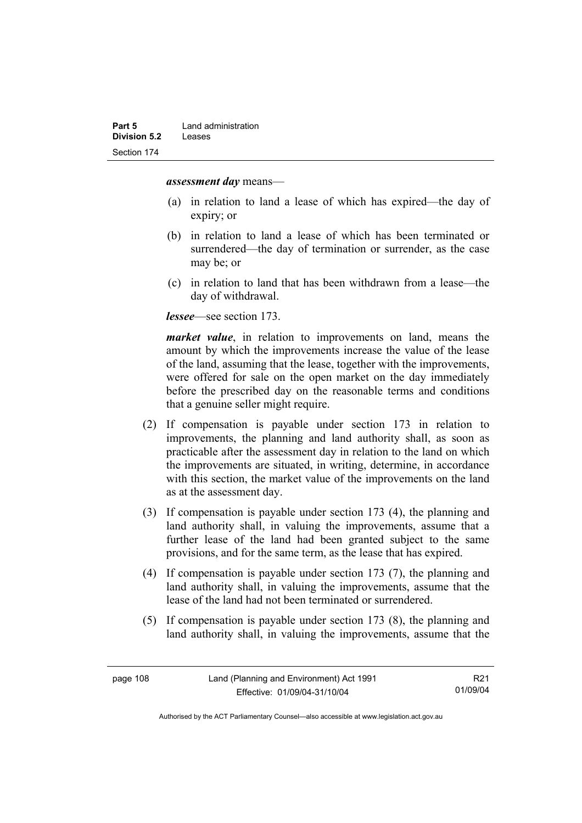#### *assessment day* means—

- (a) in relation to land a lease of which has expired—the day of expiry; or
- (b) in relation to land a lease of which has been terminated or surrendered—the day of termination or surrender, as the case may be; or
- (c) in relation to land that has been withdrawn from a lease—the day of withdrawal.

*lessee*—see section 173.

*market value*, in relation to improvements on land, means the amount by which the improvements increase the value of the lease of the land, assuming that the lease, together with the improvements, were offered for sale on the open market on the day immediately before the prescribed day on the reasonable terms and conditions that a genuine seller might require.

- (2) If compensation is payable under section 173 in relation to improvements, the planning and land authority shall, as soon as practicable after the assessment day in relation to the land on which the improvements are situated, in writing, determine, in accordance with this section, the market value of the improvements on the land as at the assessment day.
- (3) If compensation is payable under section 173 (4), the planning and land authority shall, in valuing the improvements, assume that a further lease of the land had been granted subject to the same provisions, and for the same term, as the lease that has expired.
- (4) If compensation is payable under section 173 (7), the planning and land authority shall, in valuing the improvements, assume that the lease of the land had not been terminated or surrendered.
- (5) If compensation is payable under section 173 (8), the planning and land authority shall, in valuing the improvements, assume that the

R21 01/09/04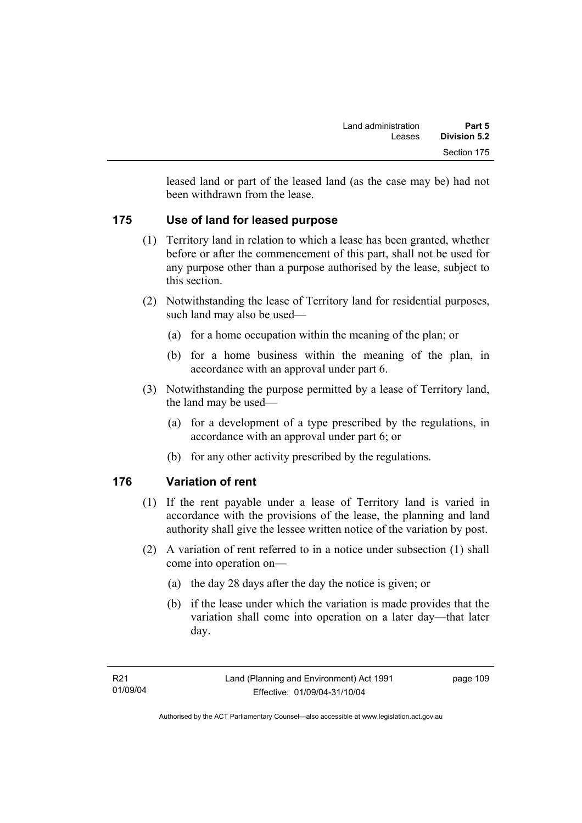leased land or part of the leased land (as the case may be) had not been withdrawn from the lease.

# **175 Use of land for leased purpose**

- (1) Territory land in relation to which a lease has been granted, whether before or after the commencement of this part, shall not be used for any purpose other than a purpose authorised by the lease, subject to this section.
- (2) Notwithstanding the lease of Territory land for residential purposes, such land may also be used—
	- (a) for a home occupation within the meaning of the plan; or
	- (b) for a home business within the meaning of the plan, in accordance with an approval under part 6.
- (3) Notwithstanding the purpose permitted by a lease of Territory land, the land may be used—
	- (a) for a development of a type prescribed by the regulations, in accordance with an approval under part 6; or
	- (b) for any other activity prescribed by the regulations.

# **176 Variation of rent**

- (1) If the rent payable under a lease of Territory land is varied in accordance with the provisions of the lease, the planning and land authority shall give the lessee written notice of the variation by post.
- (2) A variation of rent referred to in a notice under subsection (1) shall come into operation on—
	- (a) the day 28 days after the day the notice is given; or
	- (b) if the lease under which the variation is made provides that the variation shall come into operation on a later day—that later day.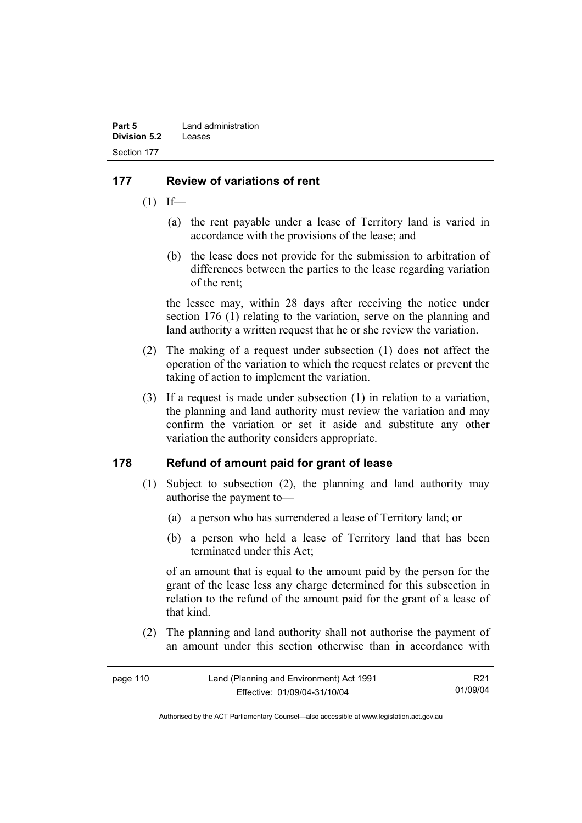# **177 Review of variations of rent**

- $(1)$  If—
	- (a) the rent payable under a lease of Territory land is varied in accordance with the provisions of the lease; and
	- (b) the lease does not provide for the submission to arbitration of differences between the parties to the lease regarding variation of the rent;

the lessee may, within 28 days after receiving the notice under section 176 (1) relating to the variation, serve on the planning and land authority a written request that he or she review the variation.

- (2) The making of a request under subsection (1) does not affect the operation of the variation to which the request relates or prevent the taking of action to implement the variation.
- (3) If a request is made under subsection (1) in relation to a variation, the planning and land authority must review the variation and may confirm the variation or set it aside and substitute any other variation the authority considers appropriate.

# **178 Refund of amount paid for grant of lease**

- (1) Subject to subsection (2), the planning and land authority may authorise the payment to—
	- (a) a person who has surrendered a lease of Territory land; or
	- (b) a person who held a lease of Territory land that has been terminated under this Act;

of an amount that is equal to the amount paid by the person for the grant of the lease less any charge determined for this subsection in relation to the refund of the amount paid for the grant of a lease of that kind.

 (2) The planning and land authority shall not authorise the payment of an amount under this section otherwise than in accordance with

| page 110 | Land (Planning and Environment) Act 1991 | R21      |
|----------|------------------------------------------|----------|
|          | Effective: 01/09/04-31/10/04             | 01/09/04 |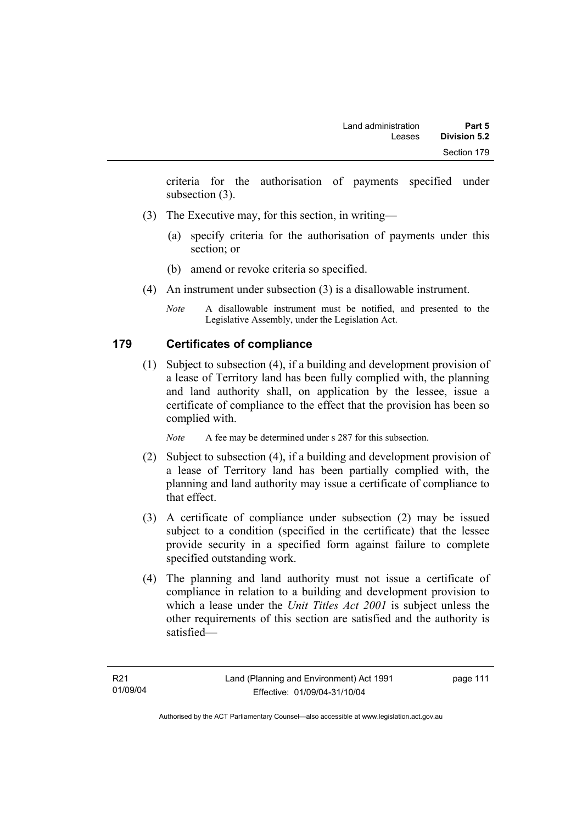criteria for the authorisation of payments specified under subsection (3).

- (3) The Executive may, for this section, in writing—
	- (a) specify criteria for the authorisation of payments under this section; or
	- (b) amend or revoke criteria so specified.
- (4) An instrument under subsection (3) is a disallowable instrument.
	- *Note* A disallowable instrument must be notified, and presented to the Legislative Assembly, under the Legislation Act.

# **179 Certificates of compliance**

 (1) Subject to subsection (4), if a building and development provision of a lease of Territory land has been fully complied with, the planning and land authority shall, on application by the lessee, issue a certificate of compliance to the effect that the provision has been so complied with.

*Note* A fee may be determined under s 287 for this subsection.

- (2) Subject to subsection (4), if a building and development provision of a lease of Territory land has been partially complied with, the planning and land authority may issue a certificate of compliance to that effect.
- (3) A certificate of compliance under subsection (2) may be issued subject to a condition (specified in the certificate) that the lessee provide security in a specified form against failure to complete specified outstanding work.
- (4) The planning and land authority must not issue a certificate of compliance in relation to a building and development provision to which a lease under the *Unit Titles Act 2001* is subject unless the other requirements of this section are satisfied and the authority is satisfied—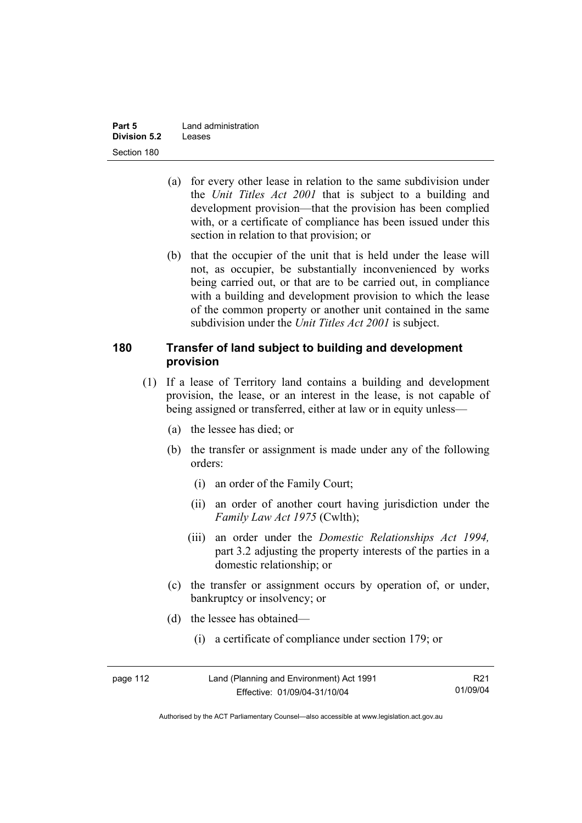| Part 5       | Land administration |  |
|--------------|---------------------|--|
| Division 5.2 | Leases              |  |
| Section 180  |                     |  |

- (a) for every other lease in relation to the same subdivision under the *Unit Titles Act 2001* that is subject to a building and development provision—that the provision has been complied with, or a certificate of compliance has been issued under this section in relation to that provision; or
- (b) that the occupier of the unit that is held under the lease will not, as occupier, be substantially inconvenienced by works being carried out, or that are to be carried out, in compliance with a building and development provision to which the lease of the common property or another unit contained in the same subdivision under the *Unit Titles Act 2001* is subject.

#### **180 Transfer of land subject to building and development provision**

- (1) If a lease of Territory land contains a building and development provision, the lease, or an interest in the lease, is not capable of being assigned or transferred, either at law or in equity unless—
	- (a) the lessee has died; or
	- (b) the transfer or assignment is made under any of the following orders:
		- (i) an order of the Family Court;
		- (ii) an order of another court having jurisdiction under the *Family Law Act 1975* (Cwlth);
		- (iii) an order under the *Domestic Relationships Act 1994,*  part 3.2 adjusting the property interests of the parties in a domestic relationship; or
	- (c) the transfer or assignment occurs by operation of, or under, bankruptcy or insolvency; or
	- (d) the lessee has obtained—
		- (i) a certificate of compliance under section 179; or

| page 112 | Land (Planning and Environment) Act 1991 | R <sub>21</sub> |
|----------|------------------------------------------|-----------------|
|          | Effective: 01/09/04-31/10/04             | 01/09/04        |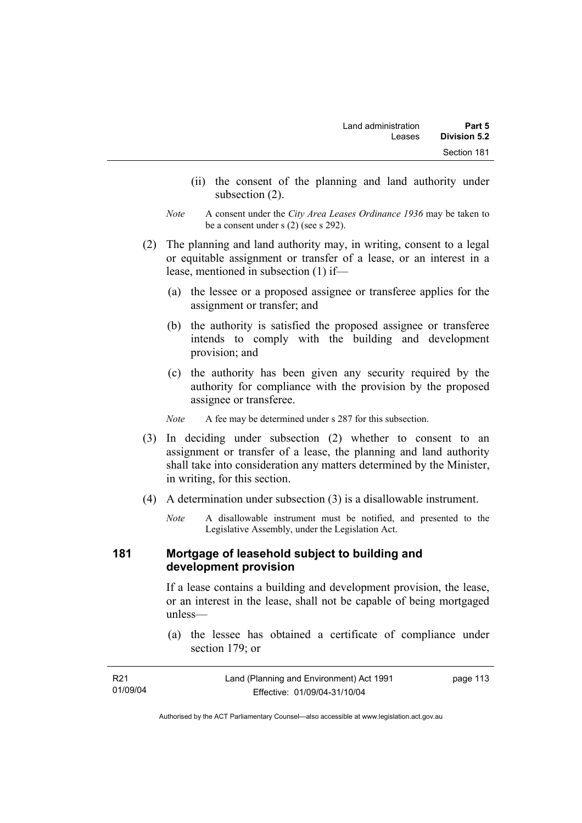- (ii) the consent of the planning and land authority under subsection (2).
- *Note* A consent under the *City Area Leases Ordinance 1936* may be taken to be a consent under s (2) (see s 292).
- (2) The planning and land authority may, in writing, consent to a legal or equitable assignment or transfer of a lease, or an interest in a lease, mentioned in subsection (1) if—
	- (a) the lessee or a proposed assignee or transferee applies for the assignment or transfer; and
	- (b) the authority is satisfied the proposed assignee or transferee intends to comply with the building and development provision; and
	- (c) the authority has been given any security required by the authority for compliance with the provision by the proposed assignee or transferee.

*Note* A fee may be determined under s 287 for this subsection.

- (3) In deciding under subsection (2) whether to consent to an assignment or transfer of a lease, the planning and land authority shall take into consideration any matters determined by the Minister, in writing, for this section.
- (4) A determination under subsection (3) is a disallowable instrument.
	- *Note* A disallowable instrument must be notified, and presented to the Legislative Assembly, under the Legislation Act.

#### **181 Mortgage of leasehold subject to building and development provision**

If a lease contains a building and development provision, the lease, or an interest in the lease, shall not be capable of being mortgaged unless—

 (a) the lessee has obtained a certificate of compliance under section 179; or

| R21      | Land (Planning and Environment) Act 1991 | page 113 |
|----------|------------------------------------------|----------|
| 01/09/04 | Effective: 01/09/04-31/10/04             |          |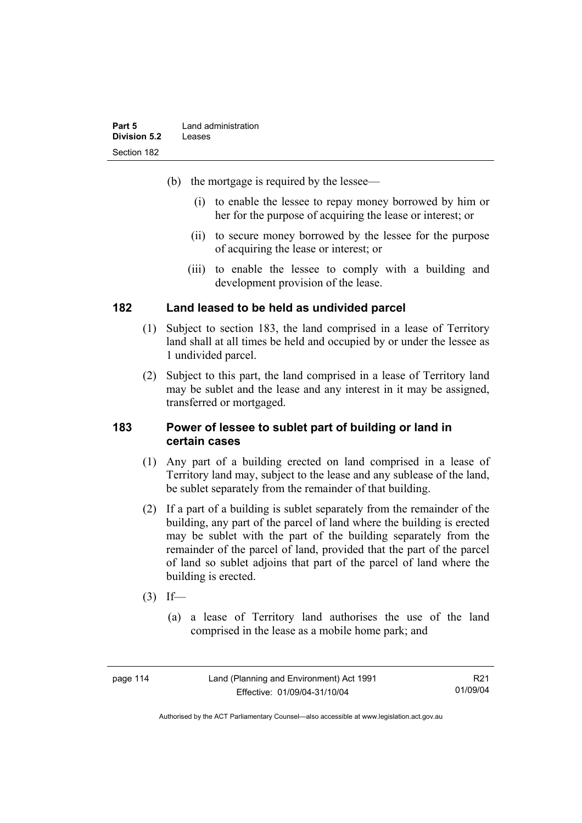| Part 5       | Land administration |
|--------------|---------------------|
| Division 5.2 | Leases              |
| Section 182  |                     |

- (b) the mortgage is required by the lessee—
	- (i) to enable the lessee to repay money borrowed by him or her for the purpose of acquiring the lease or interest; or
	- (ii) to secure money borrowed by the lessee for the purpose of acquiring the lease or interest; or
	- (iii) to enable the lessee to comply with a building and development provision of the lease.

#### **182 Land leased to be held as undivided parcel**

- (1) Subject to section 183, the land comprised in a lease of Territory land shall at all times be held and occupied by or under the lessee as 1 undivided parcel.
- (2) Subject to this part, the land comprised in a lease of Territory land may be sublet and the lease and any interest in it may be assigned, transferred or mortgaged.

#### **183 Power of lessee to sublet part of building or land in certain cases**

- (1) Any part of a building erected on land comprised in a lease of Territory land may, subject to the lease and any sublease of the land, be sublet separately from the remainder of that building.
- (2) If a part of a building is sublet separately from the remainder of the building, any part of the parcel of land where the building is erected may be sublet with the part of the building separately from the remainder of the parcel of land, provided that the part of the parcel of land so sublet adjoins that part of the parcel of land where the building is erected.
- $(3)$  If—
	- (a) a lease of Territory land authorises the use of the land comprised in the lease as a mobile home park; and

| page 114 | Land (Planning and Environment) Act 1991 | R21      |
|----------|------------------------------------------|----------|
|          | Effective: 01/09/04-31/10/04             | 01/09/04 |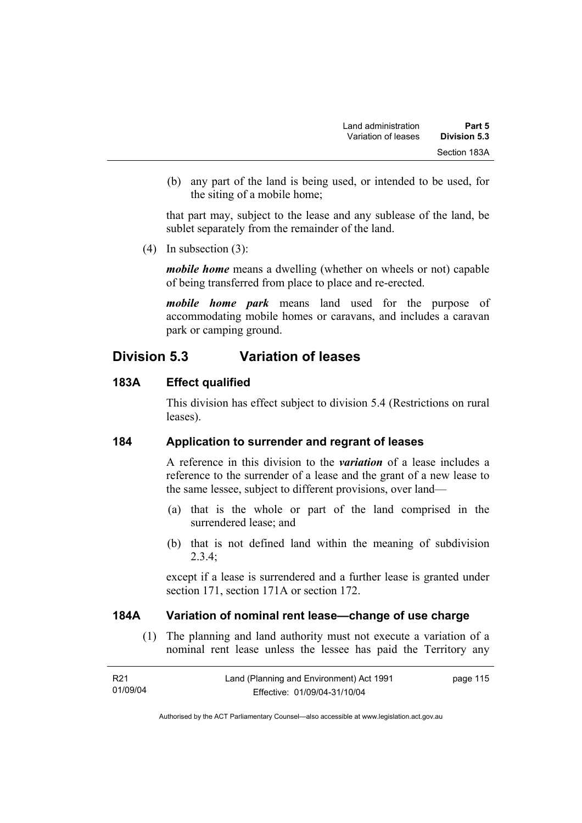(b) any part of the land is being used, or intended to be used, for the siting of a mobile home;

that part may, subject to the lease and any sublease of the land, be sublet separately from the remainder of the land.

(4) In subsection (3):

*mobile home* means a dwelling (whether on wheels or not) capable of being transferred from place to place and re-erected.

*mobile home park* means land used for the purpose of accommodating mobile homes or caravans, and includes a caravan park or camping ground.

# **Division 5.3 Variation of leases**

# **183A Effect qualified**

This division has effect subject to division 5.4 (Restrictions on rural leases).

# **184 Application to surrender and regrant of leases**

A reference in this division to the *variation* of a lease includes a reference to the surrender of a lease and the grant of a new lease to the same lessee, subject to different provisions, over land—

- (a) that is the whole or part of the land comprised in the surrendered lease; and
- (b) that is not defined land within the meaning of subdivision 2.3.4;

except if a lease is surrendered and a further lease is granted under section 171, section 171A or section 172.

# **184A Variation of nominal rent lease—change of use charge**

 (1) The planning and land authority must not execute a variation of a nominal rent lease unless the lessee has paid the Territory any

| R21      | Land (Planning and Environment) Act 1991 | page 115 |
|----------|------------------------------------------|----------|
| 01/09/04 | Effective: 01/09/04-31/10/04             |          |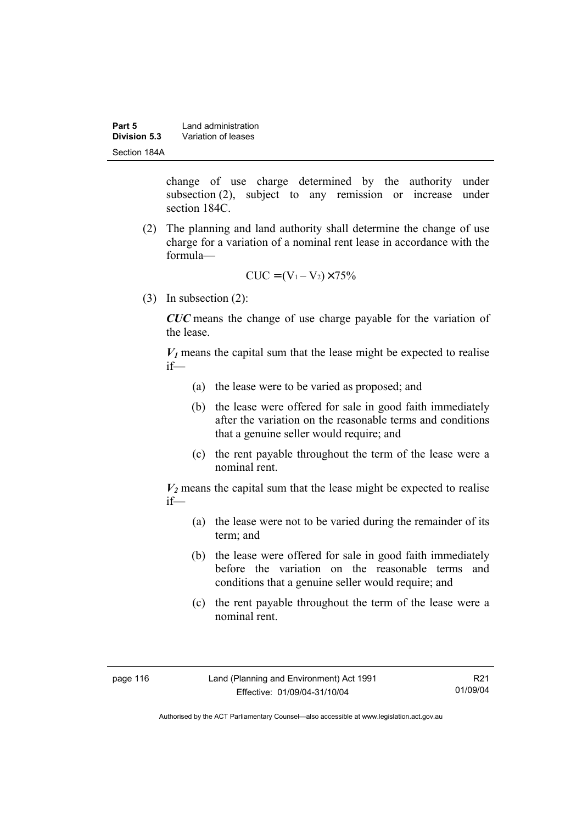| Part 5       | Land administration |  |
|--------------|---------------------|--|
| Division 5.3 | Variation of leases |  |
| Section 184A |                     |  |

change of use charge determined by the authority under subsection (2), subject to any remission or increase under section 184C.

 (2) The planning and land authority shall determine the change of use charge for a variation of a nominal rent lease in accordance with the formula—

$$
CUC = (V_1 - V_2) \times 75\%
$$

(3) In subsection (2):

*CUC* means the change of use charge payable for the variation of the lease.

 $V_1$  means the capital sum that the lease might be expected to realise if—

- (a) the lease were to be varied as proposed; and
- (b) the lease were offered for sale in good faith immediately after the variation on the reasonable terms and conditions that a genuine seller would require; and
- (c) the rent payable throughout the term of the lease were a nominal rent.

 $V_2$  means the capital sum that the lease might be expected to realise if—

- (a) the lease were not to be varied during the remainder of its term; and
- (b) the lease were offered for sale in good faith immediately before the variation on the reasonable terms and conditions that a genuine seller would require; and
- (c) the rent payable throughout the term of the lease were a nominal rent.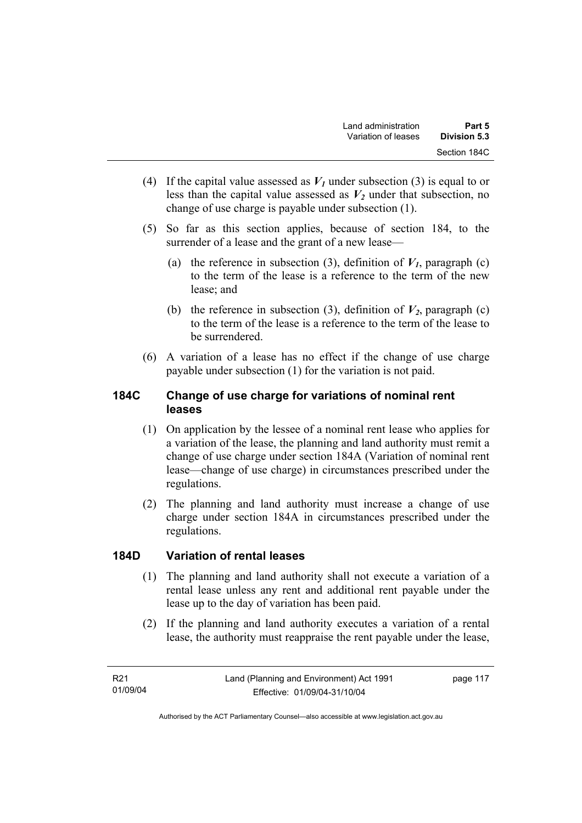- (4) If the capital value assessed as  $V_I$  under subsection (3) is equal to or less than the capital value assessed as  $V_2$  under that subsection, no change of use charge is payable under subsection (1).
- (5) So far as this section applies, because of section 184, to the surrender of a lease and the grant of a new lease—
	- (a) the reference in subsection (3), definition of  $V_I$ , paragraph (c) to the term of the lease is a reference to the term of the new lease; and
	- (b) the reference in subsection (3), definition of  $V_2$ , paragraph (c) to the term of the lease is a reference to the term of the lease to be surrendered.
- (6) A variation of a lease has no effect if the change of use charge payable under subsection (1) for the variation is not paid.

# **184C Change of use charge for variations of nominal rent leases**

- (1) On application by the lessee of a nominal rent lease who applies for a variation of the lease, the planning and land authority must remit a change of use charge under section 184A (Variation of nominal rent lease—change of use charge) in circumstances prescribed under the regulations.
- (2) The planning and land authority must increase a change of use charge under section 184A in circumstances prescribed under the regulations.

# **184D Variation of rental leases**

- (1) The planning and land authority shall not execute a variation of a rental lease unless any rent and additional rent payable under the lease up to the day of variation has been paid.
- (2) If the planning and land authority executes a variation of a rental lease, the authority must reappraise the rent payable under the lease,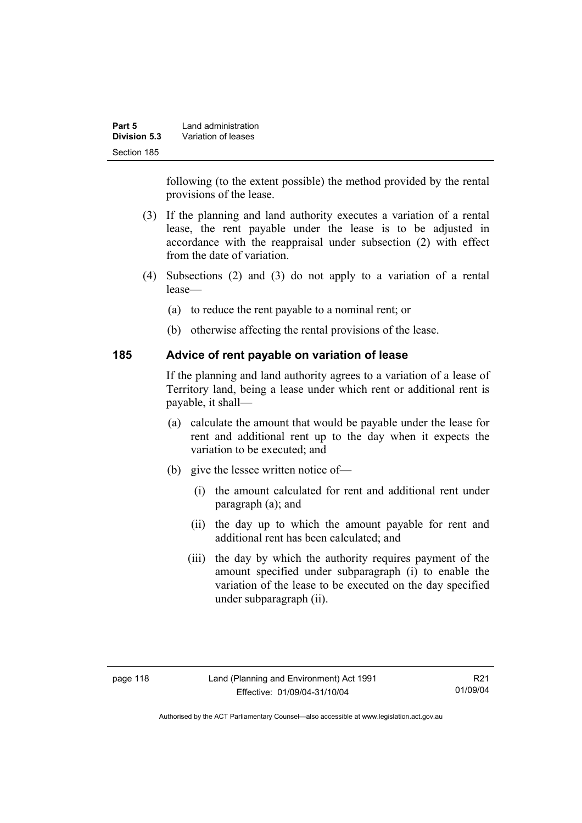| Part 5       | Land administration |  |
|--------------|---------------------|--|
| Division 5.3 | Variation of leases |  |
| Section 185  |                     |  |

following (to the extent possible) the method provided by the rental provisions of the lease.

- (3) If the planning and land authority executes a variation of a rental lease, the rent payable under the lease is to be adjusted in accordance with the reappraisal under subsection (2) with effect from the date of variation.
- (4) Subsections (2) and (3) do not apply to a variation of a rental lease—
	- (a) to reduce the rent payable to a nominal rent; or
	- (b) otherwise affecting the rental provisions of the lease.

#### **185 Advice of rent payable on variation of lease**

If the planning and land authority agrees to a variation of a lease of Territory land, being a lease under which rent or additional rent is payable, it shall—

- (a) calculate the amount that would be payable under the lease for rent and additional rent up to the day when it expects the variation to be executed; and
- (b) give the lessee written notice of—
	- (i) the amount calculated for rent and additional rent under paragraph (a); and
	- (ii) the day up to which the amount payable for rent and additional rent has been calculated; and
	- (iii) the day by which the authority requires payment of the amount specified under subparagraph (i) to enable the variation of the lease to be executed on the day specified under subparagraph (ii).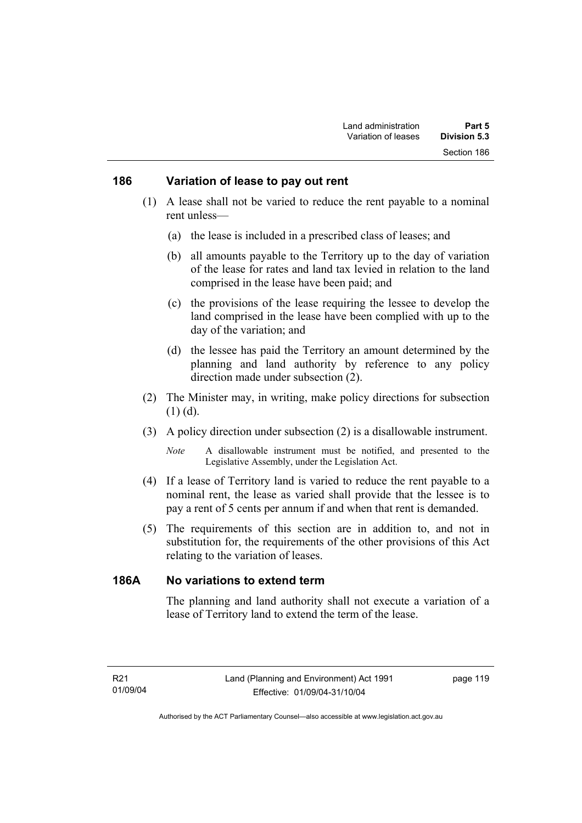#### **186 Variation of lease to pay out rent**

- (1) A lease shall not be varied to reduce the rent payable to a nominal rent unless—
	- (a) the lease is included in a prescribed class of leases; and
	- (b) all amounts payable to the Territory up to the day of variation of the lease for rates and land tax levied in relation to the land comprised in the lease have been paid; and
	- (c) the provisions of the lease requiring the lessee to develop the land comprised in the lease have been complied with up to the day of the variation; and
	- (d) the lessee has paid the Territory an amount determined by the planning and land authority by reference to any policy direction made under subsection (2).
- (2) The Minister may, in writing, make policy directions for subsection (1) (d).
- (3) A policy direction under subsection (2) is a disallowable instrument.

- (4) If a lease of Territory land is varied to reduce the rent payable to a nominal rent, the lease as varied shall provide that the lessee is to pay a rent of 5 cents per annum if and when that rent is demanded.
- (5) The requirements of this section are in addition to, and not in substitution for, the requirements of the other provisions of this Act relating to the variation of leases.

### **186A No variations to extend term**

The planning and land authority shall not execute a variation of a lease of Territory land to extend the term of the lease.

*Note* A disallowable instrument must be notified, and presented to the Legislative Assembly, under the Legislation Act.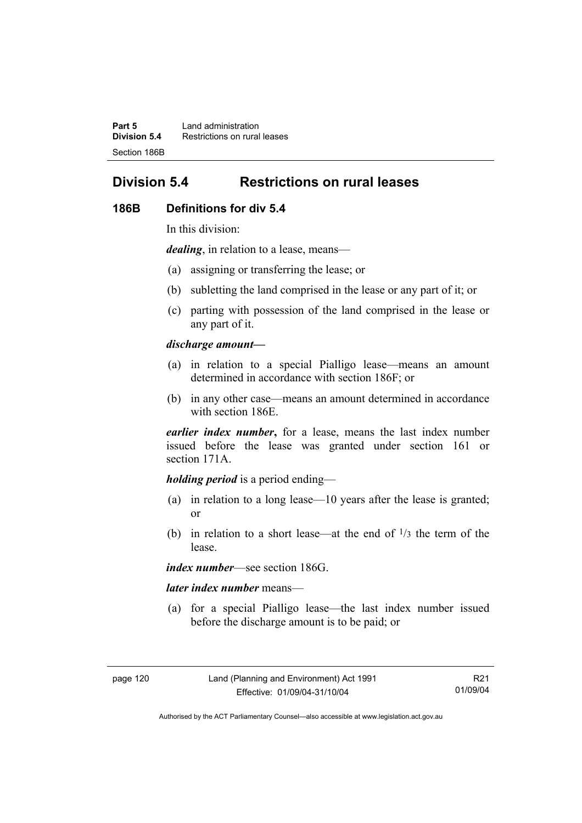**Part 5** Land administration **Division 5.4** Restrictions on rural leases Section 186B

# **Division 5.4 Restrictions on rural leases**

#### **186B Definitions for div 5.4**

In this division:

*dealing*, in relation to a lease, means—

- (a) assigning or transferring the lease; or
- (b) subletting the land comprised in the lease or any part of it; or
- (c) parting with possession of the land comprised in the lease or any part of it.

#### *discharge amount—*

- (a) in relation to a special Pialligo lease—means an amount determined in accordance with section 186F; or
- (b) in any other case—means an amount determined in accordance with section 186E.

*earlier index number***,** for a lease, means the last index number issued before the lease was granted under section 161 or section 171A.

#### *holding period* is a period ending—

- (a) in relation to a long lease—10 years after the lease is granted; or
- (b) in relation to a short lease—at the end of  $\frac{1}{3}$  the term of the lease.

*index number*—see section 186G.

#### *later index number* means—

 (a) for a special Pialligo lease—the last index number issued before the discharge amount is to be paid; or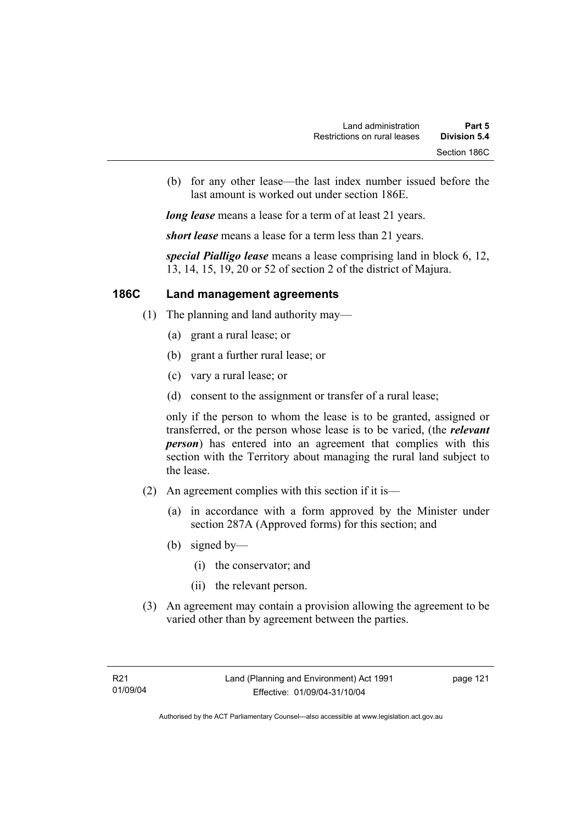(b) for any other lease—the last index number issued before the last amount is worked out under section 186E.

*long lease* means a lease for a term of at least 21 years.

*short lease* means a lease for a term less than 21 years.

*special Pialligo lease* means a lease comprising land in block 6, 12, 13, 14, 15, 19, 20 or 52 of section 2 of the district of Majura.

### **186C Land management agreements**

- (1) The planning and land authority may—
	- (a) grant a rural lease; or
	- (b) grant a further rural lease; or
	- (c) vary a rural lease; or
	- (d) consent to the assignment or transfer of a rural lease;

only if the person to whom the lease is to be granted, assigned or transferred, or the person whose lease is to be varied, (the *relevant person*) has entered into an agreement that complies with this section with the Territory about managing the rural land subject to the lease.

- (2) An agreement complies with this section if it is—
	- (a) in accordance with a form approved by the Minister under section 287A (Approved forms) for this section; and
	- (b) signed by—
		- (i) the conservator; and
		- (ii) the relevant person.
- (3) An agreement may contain a provision allowing the agreement to be varied other than by agreement between the parties.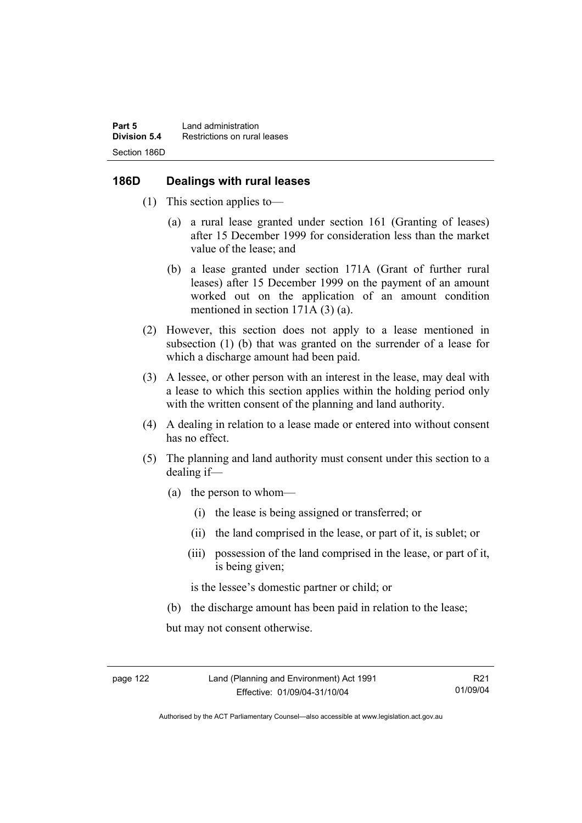### **186D Dealings with rural leases**

- (1) This section applies to—
	- (a) a rural lease granted under section 161 (Granting of leases) after 15 December 1999 for consideration less than the market value of the lease; and
	- (b) a lease granted under section 171A (Grant of further rural leases) after 15 December 1999 on the payment of an amount worked out on the application of an amount condition mentioned in section 171A (3) (a).
- (2) However, this section does not apply to a lease mentioned in subsection (1) (b) that was granted on the surrender of a lease for which a discharge amount had been paid.
- (3) A lessee, or other person with an interest in the lease, may deal with a lease to which this section applies within the holding period only with the written consent of the planning and land authority.
- (4) A dealing in relation to a lease made or entered into without consent has no effect.
- (5) The planning and land authority must consent under this section to a dealing if—
	- (a) the person to whom—
		- (i) the lease is being assigned or transferred; or
		- (ii) the land comprised in the lease, or part of it, is sublet; or
		- (iii) possession of the land comprised in the lease, or part of it, is being given;

is the lessee's domestic partner or child; or

(b) the discharge amount has been paid in relation to the lease;

but may not consent otherwise.

Authorised by the ACT Parliamentary Counsel—also accessible at www.legislation.act.gov.au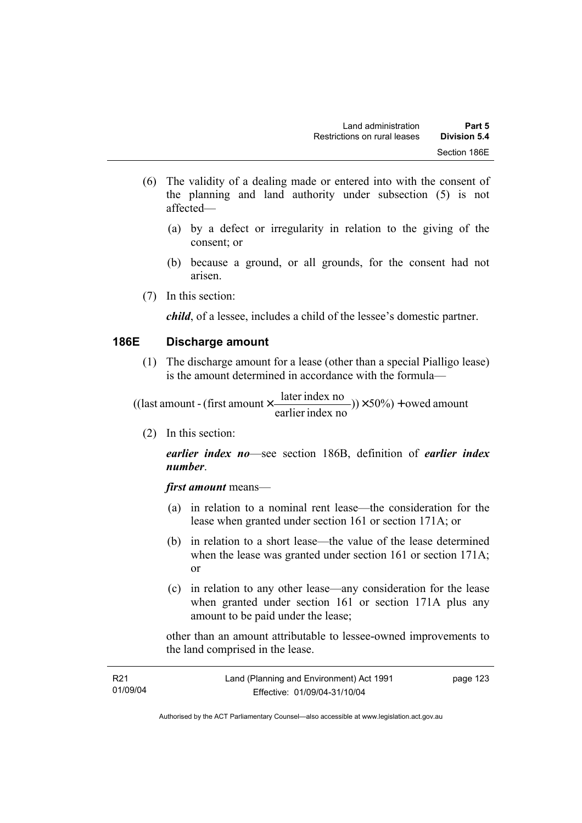- (6) The validity of a dealing made or entered into with the consent of the planning and land authority under subsection (5) is not affected—
	- (a) by a defect or irregularity in relation to the giving of the consent; or
	- (b) because a ground, or all grounds, for the consent had not arisen.
- (7) In this section:

*child*, of a lessee, includes a child of the lessee's domestic partner.

#### **186E Discharge amount**

 (1) The discharge amount for a lease (other than a special Pialligo lease) is the amount determined in accordance with the formula—

 $(y) \times 50\%$  + owed amount earlier index no ((last amount - (first amount  $\times \frac{\text{later index no}}{\text{inter index}}$ )) $\times$  50%) +

(2) In this section:

*earlier index no*—see section 186B, definition of *earlier index number*.

*first amount* means—

- (a) in relation to a nominal rent lease—the consideration for the lease when granted under section 161 or section 171A; or
- (b) in relation to a short lease—the value of the lease determined when the lease was granted under section 161 or section 171A; or
- (c) in relation to any other lease—any consideration for the lease when granted under section 161 or section 171A plus any amount to be paid under the lease;

other than an amount attributable to lessee-owned improvements to the land comprised in the lease.

| R <sub>21</sub> | Land (Planning and Environment) Act 1991 | page 123 |
|-----------------|------------------------------------------|----------|
| 01/09/04        | Effective: 01/09/04-31/10/04             |          |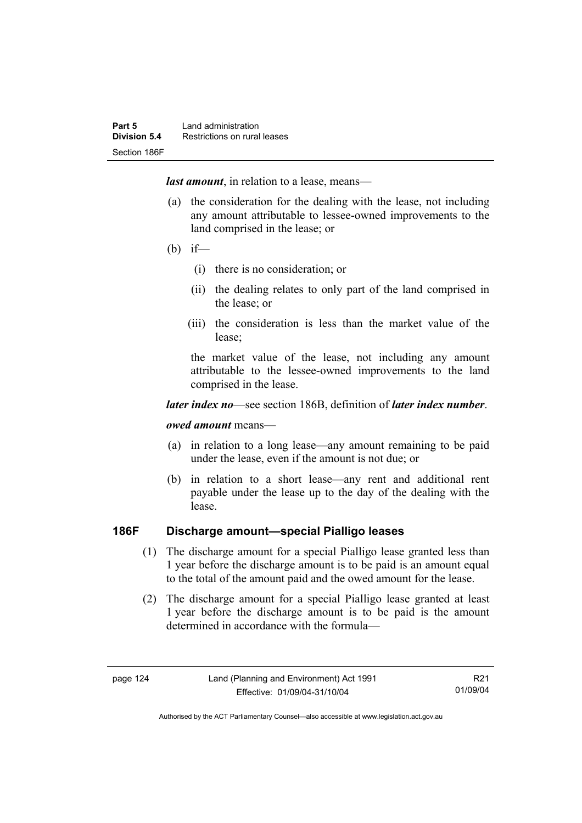*last amount*, in relation to a lease, means—

- (a) the consideration for the dealing with the lease, not including any amount attributable to lessee-owned improvements to the land comprised in the lease; or
- (b) if—
	- (i) there is no consideration; or
	- (ii) the dealing relates to only part of the land comprised in the lease; or
	- (iii) the consideration is less than the market value of the lease;

the market value of the lease, not including any amount attributable to the lessee-owned improvements to the land comprised in the lease.

#### *later index no*—see section 186B, definition of *later index number*.

#### *owed amount* means—

- (a) in relation to a long lease—any amount remaining to be paid under the lease, even if the amount is not due; or
- (b) in relation to a short lease—any rent and additional rent payable under the lease up to the day of the dealing with the lease.

# **186F Discharge amount—special Pialligo leases**

- (1) The discharge amount for a special Pialligo lease granted less than 1 year before the discharge amount is to be paid is an amount equal to the total of the amount paid and the owed amount for the lease.
- (2) The discharge amount for a special Pialligo lease granted at least 1 year before the discharge amount is to be paid is the amount determined in accordance with the formula—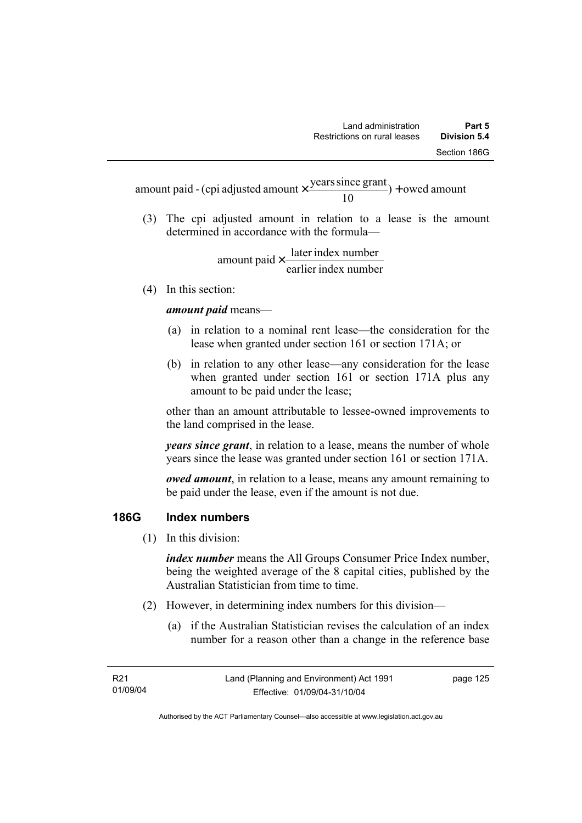$) +$  owed amount 10 amount paid - (cpi adjusted amount  $\times \frac{\text{years since grant}}{10}$ ) +

 (3) The cpi adjusted amount in relation to a lease is the amount determined in accordance with the formula—

> earlier index number amount paid  $\times \frac{\text{later index number}}{\text{lintermax}}$

(4) In this section:

*amount paid* means—

- (a) in relation to a nominal rent lease—the consideration for the lease when granted under section 161 or section 171A; or
- (b) in relation to any other lease—any consideration for the lease when granted under section 161 or section 171A plus any amount to be paid under the lease;

other than an amount attributable to lessee-owned improvements to the land comprised in the lease.

*years since grant*, in relation to a lease, means the number of whole years since the lease was granted under section 161 or section 171A.

*owed amount*, in relation to a lease, means any amount remaining to be paid under the lease, even if the amount is not due.

# **186G Index numbers**

(1) In this division:

*index number* means the All Groups Consumer Price Index number, being the weighted average of the 8 capital cities, published by the Australian Statistician from time to time.

- (2) However, in determining index numbers for this division—
	- (a) if the Australian Statistician revises the calculation of an index number for a reason other than a change in the reference base

page 125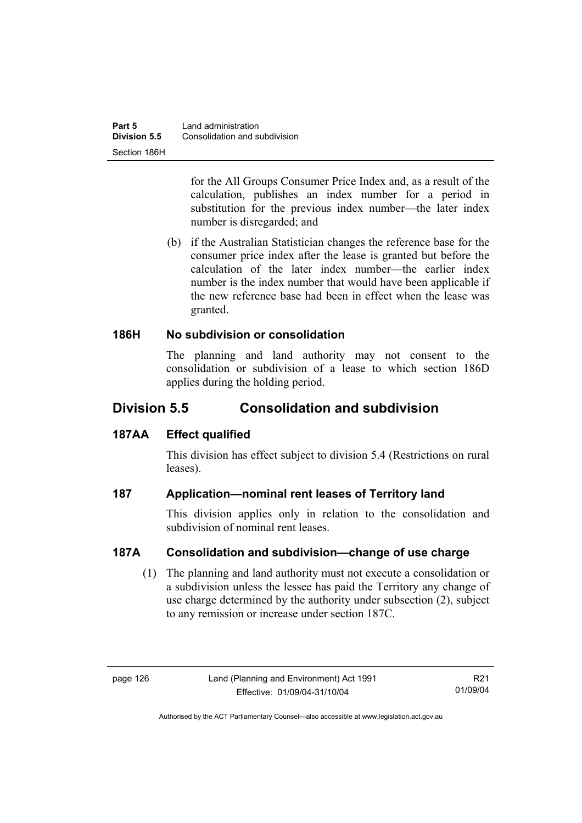for the All Groups Consumer Price Index and, as a result of the calculation, publishes an index number for a period in substitution for the previous index number—the later index number is disregarded; and

 (b) if the Australian Statistician changes the reference base for the consumer price index after the lease is granted but before the calculation of the later index number—the earlier index number is the index number that would have been applicable if the new reference base had been in effect when the lease was granted.

# **186H No subdivision or consolidation**

The planning and land authority may not consent to the consolidation or subdivision of a lease to which section 186D applies during the holding period.

# **Division 5.5 Consolidation and subdivision**

# **187AA Effect qualified**

This division has effect subject to division 5.4 (Restrictions on rural leases).

# **187 Application—nominal rent leases of Territory land**

This division applies only in relation to the consolidation and subdivision of nominal rent leases.

# **187A Consolidation and subdivision—change of use charge**

 (1) The planning and land authority must not execute a consolidation or a subdivision unless the lessee has paid the Territory any change of use charge determined by the authority under subsection (2), subject to any remission or increase under section 187C.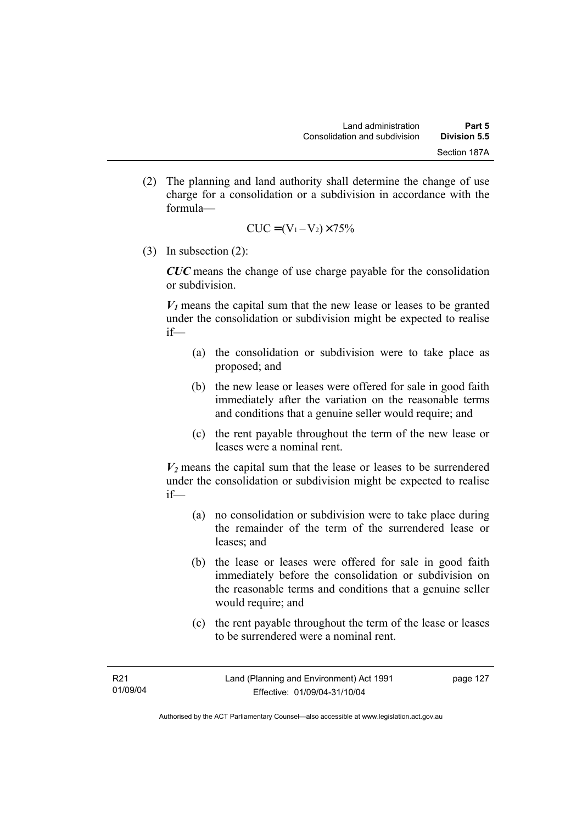(2) The planning and land authority shall determine the change of use charge for a consolidation or a subdivision in accordance with the formula—

$$
CUC = (V_1 - V_2) \times 75\%
$$

(3) In subsection (2):

*CUC* means the change of use charge payable for the consolidation or subdivision.

 $V_1$  means the capital sum that the new lease or leases to be granted under the consolidation or subdivision might be expected to realise if—

- (a) the consolidation or subdivision were to take place as proposed; and
- (b) the new lease or leases were offered for sale in good faith immediately after the variation on the reasonable terms and conditions that a genuine seller would require; and
- (c) the rent payable throughout the term of the new lease or leases were a nominal rent.

 $V_2$  means the capital sum that the lease or leases to be surrendered under the consolidation or subdivision might be expected to realise if—

- (a) no consolidation or subdivision were to take place during the remainder of the term of the surrendered lease or leases; and
- (b) the lease or leases were offered for sale in good faith immediately before the consolidation or subdivision on the reasonable terms and conditions that a genuine seller would require; and
- (c) the rent payable throughout the term of the lease or leases to be surrendered were a nominal rent.

Authorised by the ACT Parliamentary Counsel—also accessible at www.legislation.act.gov.au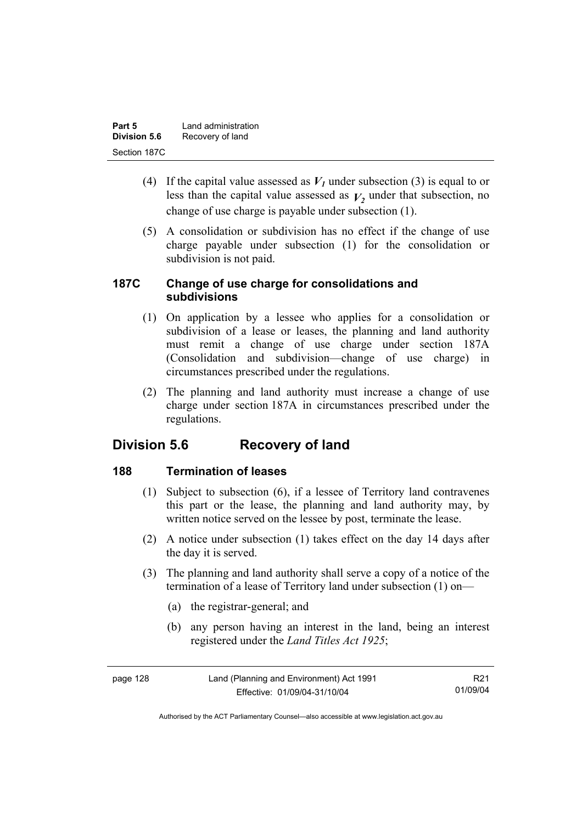| Part 5              | Land administration |
|---------------------|---------------------|
| <b>Division 5.6</b> | Recovery of land    |
| Section 187C        |                     |

- (4) If the capital value assessed as  $V_I$  under subsection (3) is equal to or less than the capital value assessed as  $V_2$  under that subsection, no change of use charge is payable under subsection (1).
- (5) A consolidation or subdivision has no effect if the change of use charge payable under subsection (1) for the consolidation or subdivision is not paid.

### **187C Change of use charge for consolidations and subdivisions**

- (1) On application by a lessee who applies for a consolidation or subdivision of a lease or leases, the planning and land authority must remit a change of use charge under section 187A (Consolidation and subdivision—change of use charge) in circumstances prescribed under the regulations.
- (2) The planning and land authority must increase a change of use charge under section 187A in circumstances prescribed under the regulations.

# **Division 5.6 Recovery of land**

# **188 Termination of leases**

- (1) Subject to subsection (6), if a lessee of Territory land contravenes this part or the lease, the planning and land authority may, by written notice served on the lessee by post, terminate the lease.
- (2) A notice under subsection (1) takes effect on the day 14 days after the day it is served.
- (3) The planning and land authority shall serve a copy of a notice of the termination of a lease of Territory land under subsection (1) on—
	- (a) the registrar-general; and
	- (b) any person having an interest in the land, being an interest registered under the *Land Titles Act 1925*;

| page 128 | Land (Planning and Environment) Act 1991 | R21.     |
|----------|------------------------------------------|----------|
|          | Effective: 01/09/04-31/10/04             | 01/09/04 |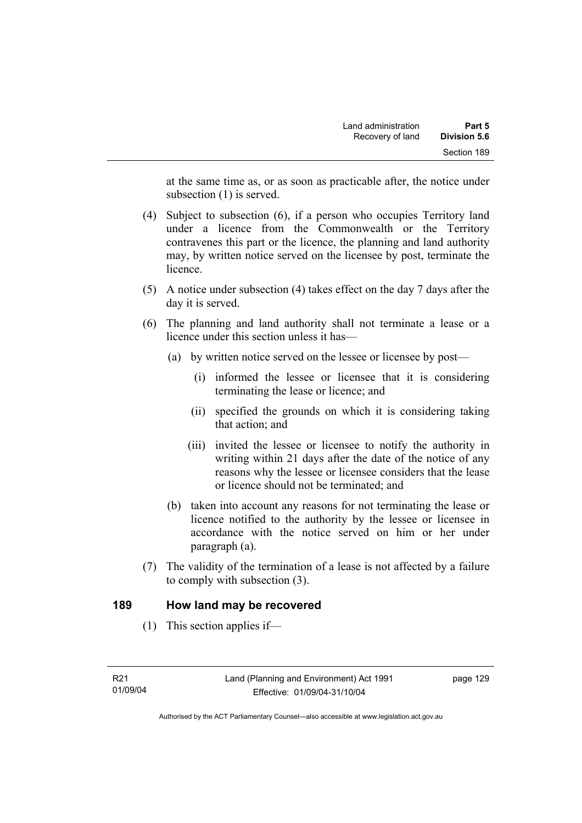at the same time as, or as soon as practicable after, the notice under subsection (1) is served.

- (4) Subject to subsection (6), if a person who occupies Territory land under a licence from the Commonwealth or the Territory contravenes this part or the licence, the planning and land authority may, by written notice served on the licensee by post, terminate the **licence**
- (5) A notice under subsection (4) takes effect on the day 7 days after the day it is served.
- (6) The planning and land authority shall not terminate a lease or a licence under this section unless it has—
	- (a) by written notice served on the lessee or licensee by post—
		- (i) informed the lessee or licensee that it is considering terminating the lease or licence; and
		- (ii) specified the grounds on which it is considering taking that action; and
		- (iii) invited the lessee or licensee to notify the authority in writing within 21 days after the date of the notice of any reasons why the lessee or licensee considers that the lease or licence should not be terminated; and
	- (b) taken into account any reasons for not terminating the lease or licence notified to the authority by the lessee or licensee in accordance with the notice served on him or her under paragraph (a).
- (7) The validity of the termination of a lease is not affected by a failure to comply with subsection (3).

### **189 How land may be recovered**

(1) This section applies if—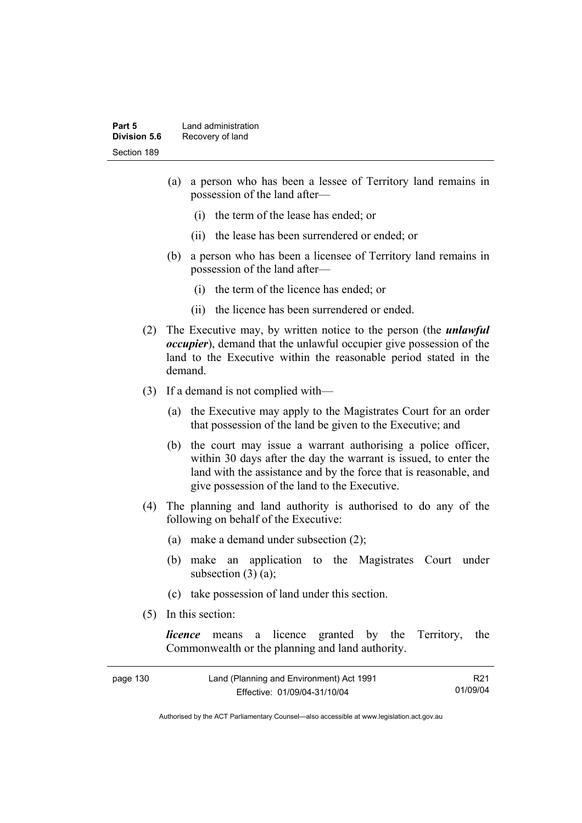- (a) a person who has been a lessee of Territory land remains in possession of the land after—
	- (i) the term of the lease has ended; or
	- (ii) the lease has been surrendered or ended; or
- (b) a person who has been a licensee of Territory land remains in possession of the land after—
	- (i) the term of the licence has ended; or
	- (ii) the licence has been surrendered or ended.
- (2) The Executive may, by written notice to the person (the *unlawful occupier*), demand that the unlawful occupier give possession of the land to the Executive within the reasonable period stated in the demand.
- (3) If a demand is not complied with—
	- (a) the Executive may apply to the Magistrates Court for an order that possession of the land be given to the Executive; and
	- (b) the court may issue a warrant authorising a police officer, within 30 days after the day the warrant is issued, to enter the land with the assistance and by the force that is reasonable, and give possession of the land to the Executive.
- (4) The planning and land authority is authorised to do any of the following on behalf of the Executive:
	- (a) make a demand under subsection (2);
	- (b) make an application to the Magistrates Court under subsection  $(3)$   $(a)$ ;
	- (c) take possession of land under this section.
- (5) In this section:

*licence* means a licence granted by the Territory, the Commonwealth or the planning and land authority.

| page 130 | Land (Planning and Environment) Act 1991 | R <sub>21</sub> |
|----------|------------------------------------------|-----------------|
|          | Effective: 01/09/04-31/10/04             | 01/09/04        |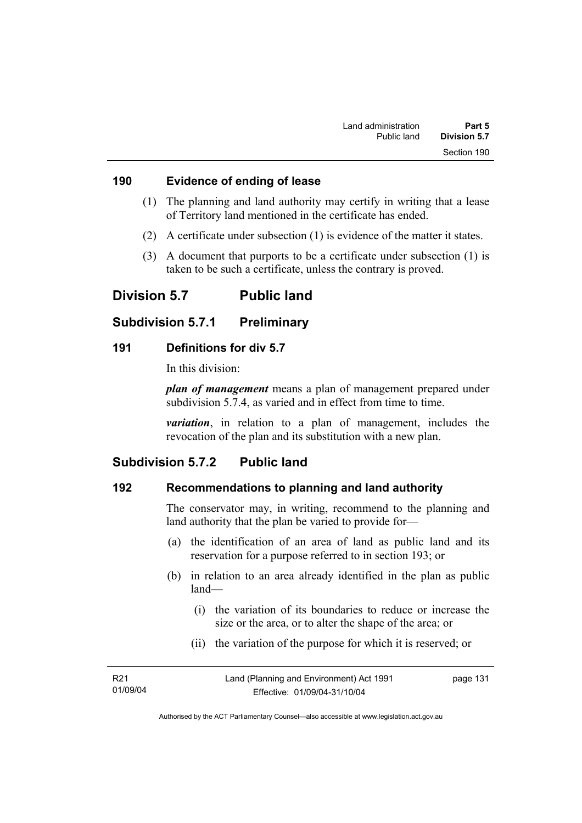#### **190 Evidence of ending of lease**

- (1) The planning and land authority may certify in writing that a lease of Territory land mentioned in the certificate has ended.
- (2) A certificate under subsection (1) is evidence of the matter it states.
- (3) A document that purports to be a certificate under subsection (1) is taken to be such a certificate, unless the contrary is proved.

### **Division 5.7 Public land**

#### **Subdivision 5.7.1 Preliminary**

#### **191 Definitions for div 5.7**

In this division:

*plan of management* means a plan of management prepared under subdivision 5.7.4, as varied and in effect from time to time.

*variation*, in relation to a plan of management, includes the revocation of the plan and its substitution with a new plan.

### **Subdivision 5.7.2 Public land**

### **192 Recommendations to planning and land authority**

The conservator may, in writing, recommend to the planning and land authority that the plan be varied to provide for—

- (a) the identification of an area of land as public land and its reservation for a purpose referred to in section 193; or
- (b) in relation to an area already identified in the plan as public land—
	- (i) the variation of its boundaries to reduce or increase the size or the area, or to alter the shape of the area; or
	- (ii) the variation of the purpose for which it is reserved; or

| R <sub>21</sub> | Land (Planning and Environment) Act 1991 | page 131 |
|-----------------|------------------------------------------|----------|
| 01/09/04        | Effective: 01/09/04-31/10/04             |          |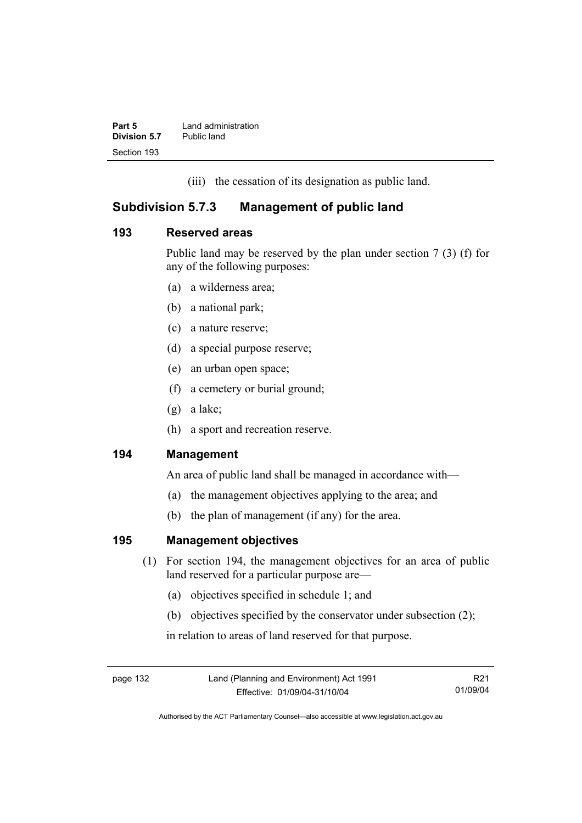| Part 5       | Land administration |
|--------------|---------------------|
| Division 5.7 | Public land         |
| Section 193  |                     |

(iii) the cessation of its designation as public land.

### **Subdivision 5.7.3 Management of public land**

### **193 Reserved areas**

Public land may be reserved by the plan under section 7 (3) (f) for any of the following purposes:

- (a) a wilderness area;
- (b) a national park;
- (c) a nature reserve;
- (d) a special purpose reserve;
- (e) an urban open space;
- (f) a cemetery or burial ground;
- (g) a lake;
- (h) a sport and recreation reserve.

### **194 Management**

An area of public land shall be managed in accordance with—

- (a) the management objectives applying to the area; and
- (b) the plan of management (if any) for the area.

### **195 Management objectives**

- (1) For section 194, the management objectives for an area of public land reserved for a particular purpose are—
	- (a) objectives specified in schedule 1; and
	- (b) objectives specified by the conservator under subsection (2);

in relation to areas of land reserved for that purpose.

page 132 Land (Planning and Environment) Act 1991 Effective: 01/09/04-31/10/04

R21 01/09/04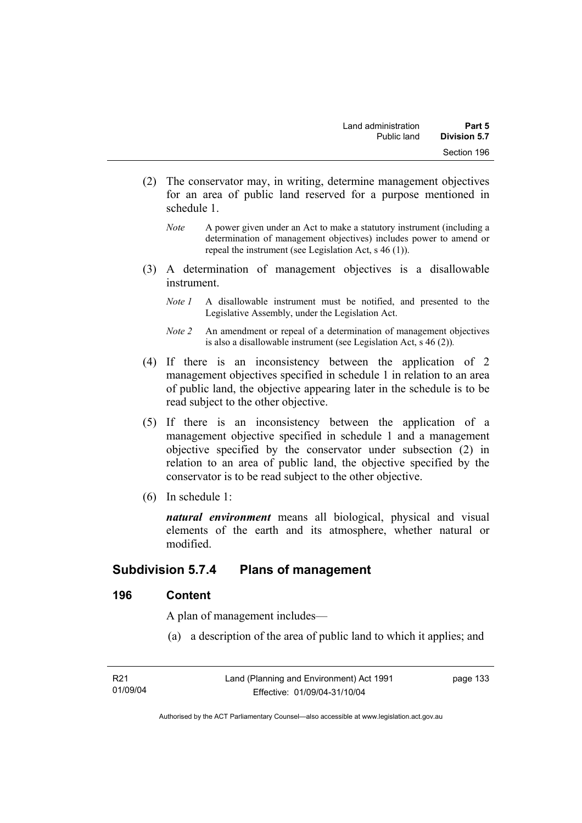- (2) The conservator may, in writing, determine management objectives for an area of public land reserved for a purpose mentioned in schedule 1.
	- *Note* A power given under an Act to make a statutory instrument (including a determination of management objectives) includes power to amend or repeal the instrument (see Legislation Act, s 46 (1)).
- (3) A determination of management objectives is a disallowable instrument.
	- *Note 1* A disallowable instrument must be notified, and presented to the Legislative Assembly, under the Legislation Act.
	- *Note 2* An amendment or repeal of a determination of management objectives is also a disallowable instrument (see Legislation Act, s 46 (2))*.*
- (4) If there is an inconsistency between the application of 2 management objectives specified in schedule 1 in relation to an area of public land, the objective appearing later in the schedule is to be read subject to the other objective.
- (5) If there is an inconsistency between the application of a management objective specified in schedule 1 and a management objective specified by the conservator under subsection (2) in relation to an area of public land, the objective specified by the conservator is to be read subject to the other objective.
- (6) In schedule 1:

*natural environment* means all biological, physical and visual elements of the earth and its atmosphere, whether natural or modified.

### **Subdivision 5.7.4 Plans of management**

#### **196 Content**

A plan of management includes—

(a) a description of the area of public land to which it applies; and

| R21      |  |
|----------|--|
| 01/09/04 |  |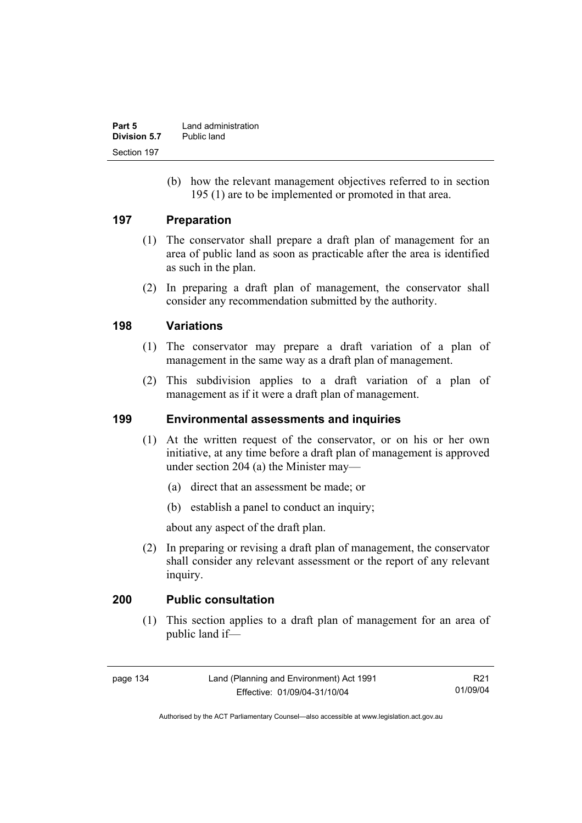| Part 5       | Land administration |
|--------------|---------------------|
| Division 5.7 | Public land         |
| Section 197  |                     |

 (b) how the relevant management objectives referred to in section 195 (1) are to be implemented or promoted in that area.

#### **197 Preparation**

- (1) The conservator shall prepare a draft plan of management for an area of public land as soon as practicable after the area is identified as such in the plan.
- (2) In preparing a draft plan of management, the conservator shall consider any recommendation submitted by the authority.

#### **198 Variations**

- (1) The conservator may prepare a draft variation of a plan of management in the same way as a draft plan of management.
- (2) This subdivision applies to a draft variation of a plan of management as if it were a draft plan of management.

#### **199 Environmental assessments and inquiries**

- (1) At the written request of the conservator, or on his or her own initiative, at any time before a draft plan of management is approved under section 204 (a) the Minister may—
	- (a) direct that an assessment be made; or
	- (b) establish a panel to conduct an inquiry;

about any aspect of the draft plan.

 (2) In preparing or revising a draft plan of management, the conservator shall consider any relevant assessment or the report of any relevant inquiry.

#### **200 Public consultation**

 (1) This section applies to a draft plan of management for an area of public land if—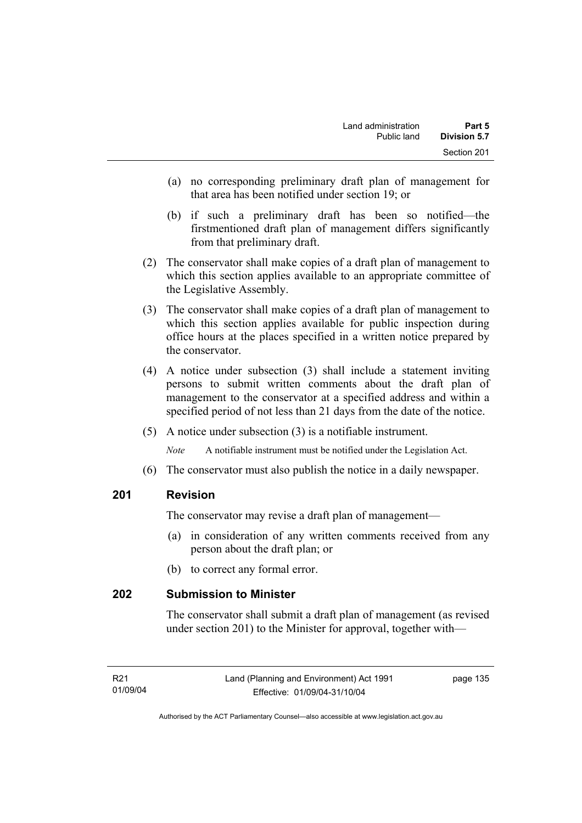- (a) no corresponding preliminary draft plan of management for that area has been notified under section 19; or
- (b) if such a preliminary draft has been so notified—the firstmentioned draft plan of management differs significantly from that preliminary draft.
- (2) The conservator shall make copies of a draft plan of management to which this section applies available to an appropriate committee of the Legislative Assembly.
- (3) The conservator shall make copies of a draft plan of management to which this section applies available for public inspection during office hours at the places specified in a written notice prepared by the conservator.
- (4) A notice under subsection (3) shall include a statement inviting persons to submit written comments about the draft plan of management to the conservator at a specified address and within a specified period of not less than 21 days from the date of the notice.
- (5) A notice under subsection (3) is a notifiable instrument.

*Note* A notifiable instrument must be notified under the Legislation Act.

(6) The conservator must also publish the notice in a daily newspaper.

#### **201 Revision**

The conservator may revise a draft plan of management—

- (a) in consideration of any written comments received from any person about the draft plan; or
- (b) to correct any formal error.

### **202 Submission to Minister**

The conservator shall submit a draft plan of management (as revised under section 201) to the Minister for approval, together with—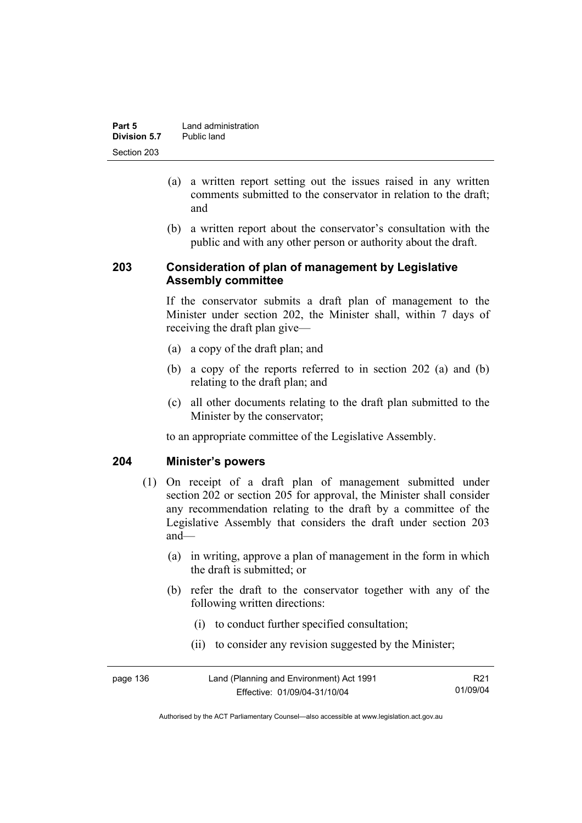| Part 5       | Land administration |
|--------------|---------------------|
| Division 5.7 | Public land         |
| Section 203  |                     |

- (a) a written report setting out the issues raised in any written comments submitted to the conservator in relation to the draft; and
- (b) a written report about the conservator's consultation with the public and with any other person or authority about the draft.

#### **203 Consideration of plan of management by Legislative Assembly committee**

If the conservator submits a draft plan of management to the Minister under section 202, the Minister shall, within 7 days of receiving the draft plan give—

- (a) a copy of the draft plan; and
- (b) a copy of the reports referred to in section 202 (a) and (b) relating to the draft plan; and
- (c) all other documents relating to the draft plan submitted to the Minister by the conservator;

to an appropriate committee of the Legislative Assembly.

#### **204 Minister's powers**

- (1) On receipt of a draft plan of management submitted under section 202 or section 205 for approval, the Minister shall consider any recommendation relating to the draft by a committee of the Legislative Assembly that considers the draft under section 203 and—
	- (a) in writing, approve a plan of management in the form in which the draft is submitted; or
	- (b) refer the draft to the conservator together with any of the following written directions:
		- (i) to conduct further specified consultation;
		- (ii) to consider any revision suggested by the Minister;

| page 136 | Land (Planning and Environment) Act 1991 | R21      |
|----------|------------------------------------------|----------|
|          | Effective: 01/09/04-31/10/04             | 01/09/04 |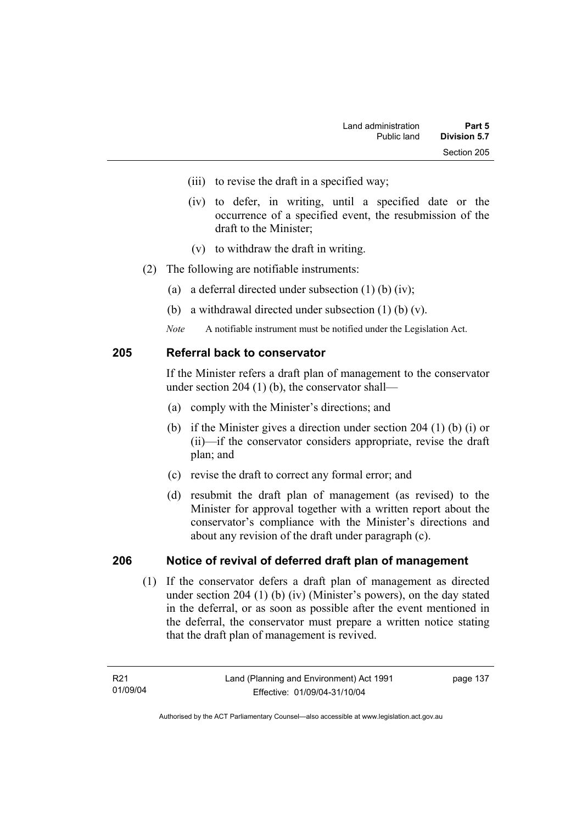- (iii) to revise the draft in a specified way;
- (iv) to defer, in writing, until a specified date or the occurrence of a specified event, the resubmission of the draft to the Minister;
- (v) to withdraw the draft in writing.
- (2) The following are notifiable instruments:
	- (a) a deferral directed under subsection (1) (b) (iv);
	- (b) a withdrawal directed under subsection (1) (b) (v).
	- *Note* A notifiable instrument must be notified under the Legislation Act.

#### **205 Referral back to conservator**

If the Minister refers a draft plan of management to the conservator under section 204 (1) (b), the conservator shall—

- (a) comply with the Minister's directions; and
- (b) if the Minister gives a direction under section 204 (1) (b) (i) or (ii)—if the conservator considers appropriate, revise the draft plan; and
- (c) revise the draft to correct any formal error; and
- (d) resubmit the draft plan of management (as revised) to the Minister for approval together with a written report about the conservator's compliance with the Minister's directions and about any revision of the draft under paragraph (c).

#### **206 Notice of revival of deferred draft plan of management**

(1) If the conservator defers a draft plan of management as directed under section 204 (1) (b) (iv) (Minister's powers), on the day stated in the deferral, or as soon as possible after the event mentioned in the deferral, the conservator must prepare a written notice stating that the draft plan of management is revived.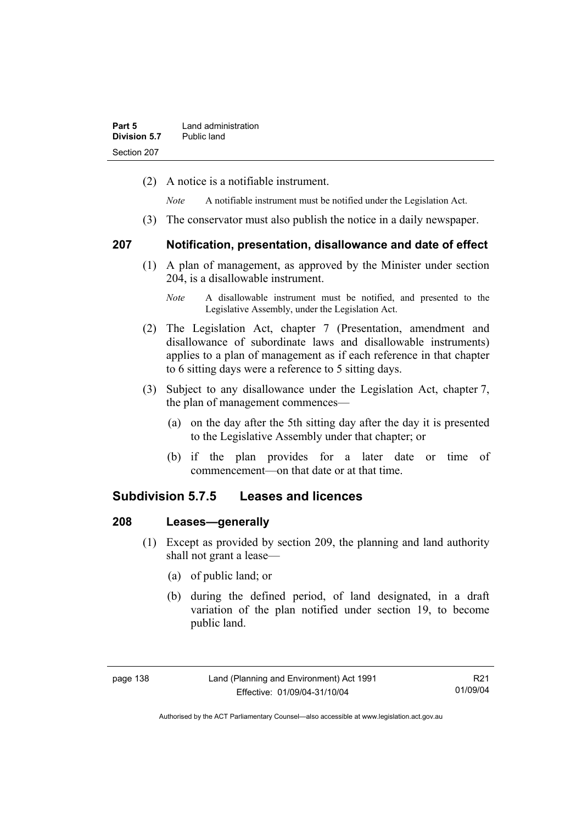(2) A notice is a notifiable instrument.

*Note* A notifiable instrument must be notified under the Legislation Act.

(3) The conservator must also publish the notice in a daily newspaper.

#### **207 Notification, presentation, disallowance and date of effect**

- (1) A plan of management, as approved by the Minister under section 204, is a disallowable instrument.
	- *Note* A disallowable instrument must be notified, and presented to the Legislative Assembly, under the Legislation Act.
- (2) The Legislation Act, chapter 7 (Presentation, amendment and disallowance of subordinate laws and disallowable instruments) applies to a plan of management as if each reference in that chapter to 6 sitting days were a reference to 5 sitting days.
- (3) Subject to any disallowance under the Legislation Act, chapter 7, the plan of management commences—
	- (a) on the day after the 5th sitting day after the day it is presented to the Legislative Assembly under that chapter; or
	- (b) if the plan provides for a later date or time of commencement—on that date or at that time.

### **Subdivision 5.7.5 Leases and licences**

#### **208 Leases—generally**

- (1) Except as provided by section 209, the planning and land authority shall not grant a lease—
	- (a) of public land; or
	- (b) during the defined period, of land designated, in a draft variation of the plan notified under section 19, to become public land.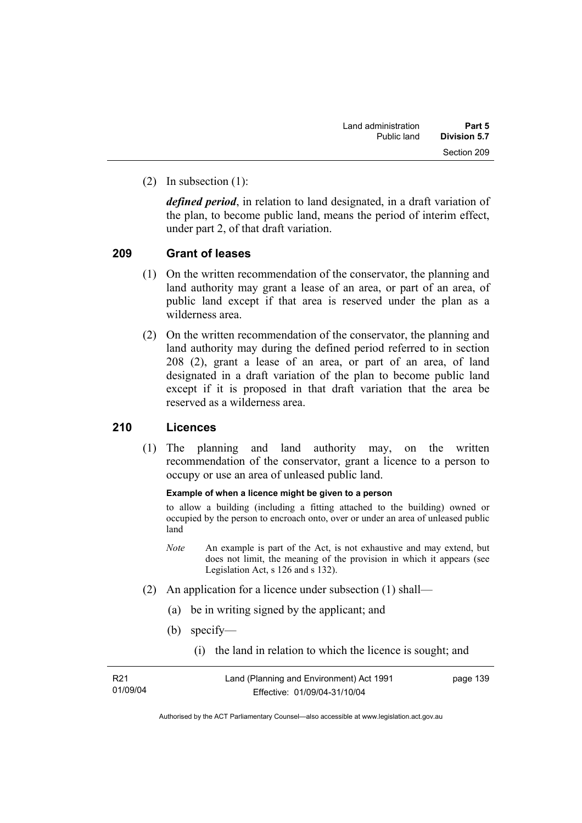(2) In subsection (1):

*defined period*, in relation to land designated, in a draft variation of the plan, to become public land, means the period of interim effect, under part 2, of that draft variation.

#### **209 Grant of leases**

- (1) On the written recommendation of the conservator, the planning and land authority may grant a lease of an area, or part of an area, of public land except if that area is reserved under the plan as a wilderness area.
- (2) On the written recommendation of the conservator, the planning and land authority may during the defined period referred to in section 208 (2), grant a lease of an area, or part of an area, of land designated in a draft variation of the plan to become public land except if it is proposed in that draft variation that the area be reserved as a wilderness area.

### **210 Licences**

 (1) The planning and land authority may, on the written recommendation of the conservator, grant a licence to a person to occupy or use an area of unleased public land.

#### **Example of when a licence might be given to a person**

to allow a building (including a fitting attached to the building) owned or occupied by the person to encroach onto, over or under an area of unleased public land

- *Note* An example is part of the Act, is not exhaustive and may extend, but does not limit, the meaning of the provision in which it appears (see Legislation Act, s 126 and s 132).
- (2) An application for a licence under subsection (1) shall—
	- (a) be in writing signed by the applicant; and
	- (b) specify—
		- (i) the land in relation to which the licence is sought; and

| R21      |  |
|----------|--|
| 01/09/04 |  |

page 139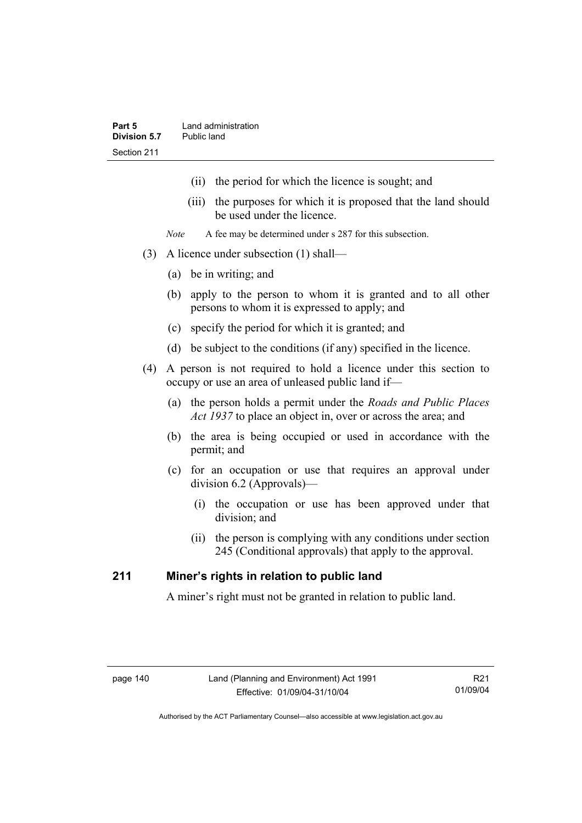- (ii) the period for which the licence is sought; and
- (iii) the purposes for which it is proposed that the land should be used under the licence.
- *Note* A fee may be determined under s 287 for this subsection.
- (3) A licence under subsection (1) shall—
	- (a) be in writing; and
	- (b) apply to the person to whom it is granted and to all other persons to whom it is expressed to apply; and
	- (c) specify the period for which it is granted; and
	- (d) be subject to the conditions (if any) specified in the licence.
- (4) A person is not required to hold a licence under this section to occupy or use an area of unleased public land if—
	- (a) the person holds a permit under the *Roads and Public Places Act 1937* to place an object in, over or across the area; and
	- (b) the area is being occupied or used in accordance with the permit; and
	- (c) for an occupation or use that requires an approval under division 6.2 (Approvals)—
		- (i) the occupation or use has been approved under that division; and
		- (ii) the person is complying with any conditions under section 245 (Conditional approvals) that apply to the approval.

### **211 Miner's rights in relation to public land**

A miner's right must not be granted in relation to public land.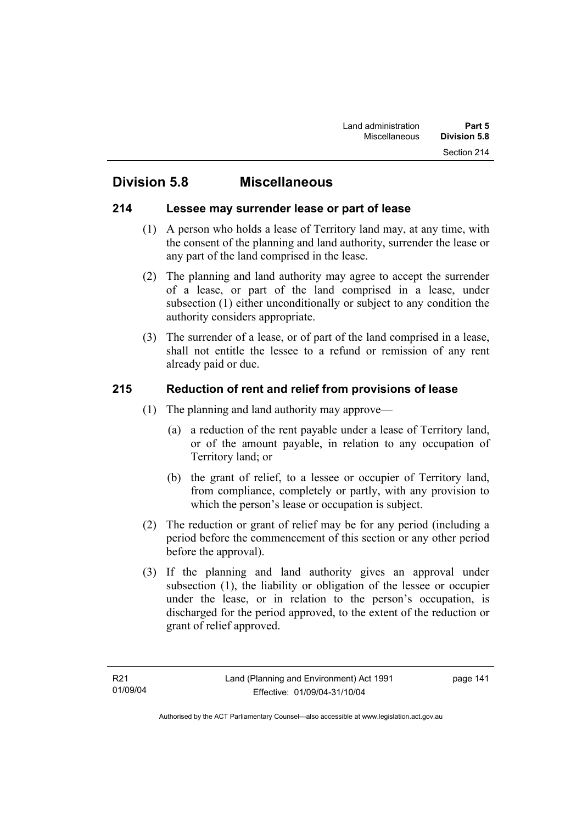### **Division 5.8 Miscellaneous**

#### **214 Lessee may surrender lease or part of lease**

- (1) A person who holds a lease of Territory land may, at any time, with the consent of the planning and land authority, surrender the lease or any part of the land comprised in the lease.
- (2) The planning and land authority may agree to accept the surrender of a lease, or part of the land comprised in a lease, under subsection (1) either unconditionally or subject to any condition the authority considers appropriate.
- (3) The surrender of a lease, or of part of the land comprised in a lease, shall not entitle the lessee to a refund or remission of any rent already paid or due.

### **215 Reduction of rent and relief from provisions of lease**

- (1) The planning and land authority may approve—
	- (a) a reduction of the rent payable under a lease of Territory land, or of the amount payable, in relation to any occupation of Territory land; or
	- (b) the grant of relief, to a lessee or occupier of Territory land, from compliance, completely or partly, with any provision to which the person's lease or occupation is subject.
- (2) The reduction or grant of relief may be for any period (including a period before the commencement of this section or any other period before the approval).
- (3) If the planning and land authority gives an approval under subsection (1), the liability or obligation of the lessee or occupier under the lease, or in relation to the person's occupation, is discharged for the period approved, to the extent of the reduction or grant of relief approved.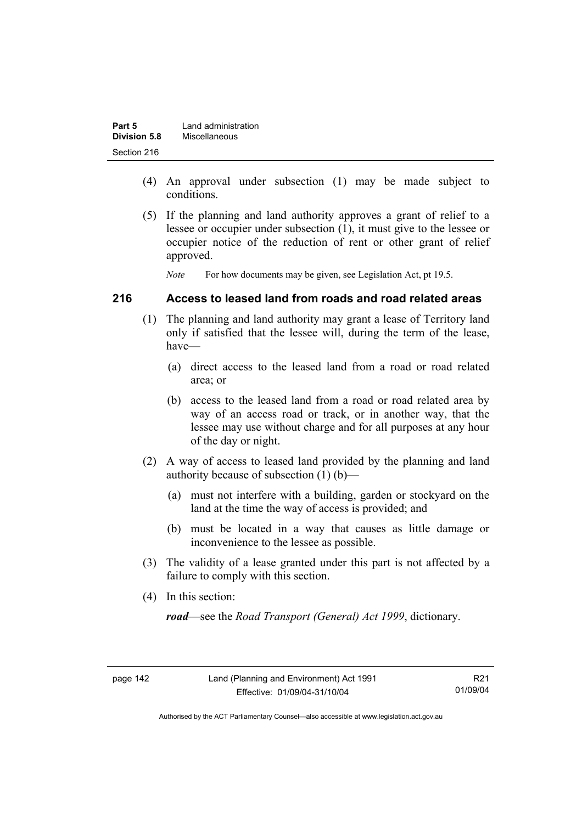| Part 5       | Land administration |
|--------------|---------------------|
| Division 5.8 | Miscellaneous       |
| Section 216  |                     |

- (4) An approval under subsection (1) may be made subject to conditions.
- (5) If the planning and land authority approves a grant of relief to a lessee or occupier under subsection (1), it must give to the lessee or occupier notice of the reduction of rent or other grant of relief approved.

*Note* For how documents may be given, see Legislation Act, pt 19.5.

#### **216 Access to leased land from roads and road related areas**

- (1) The planning and land authority may grant a lease of Territory land only if satisfied that the lessee will, during the term of the lease, have—
	- (a) direct access to the leased land from a road or road related area; or
	- (b) access to the leased land from a road or road related area by way of an access road or track, or in another way, that the lessee may use without charge and for all purposes at any hour of the day or night.
- (2) A way of access to leased land provided by the planning and land authority because of subsection (1) (b)—
	- (a) must not interfere with a building, garden or stockyard on the land at the time the way of access is provided; and
	- (b) must be located in a way that causes as little damage or inconvenience to the lessee as possible.
- (3) The validity of a lease granted under this part is not affected by a failure to comply with this section.
- (4) In this section:

*road*—see the *Road Transport (General) Act 1999*, dictionary.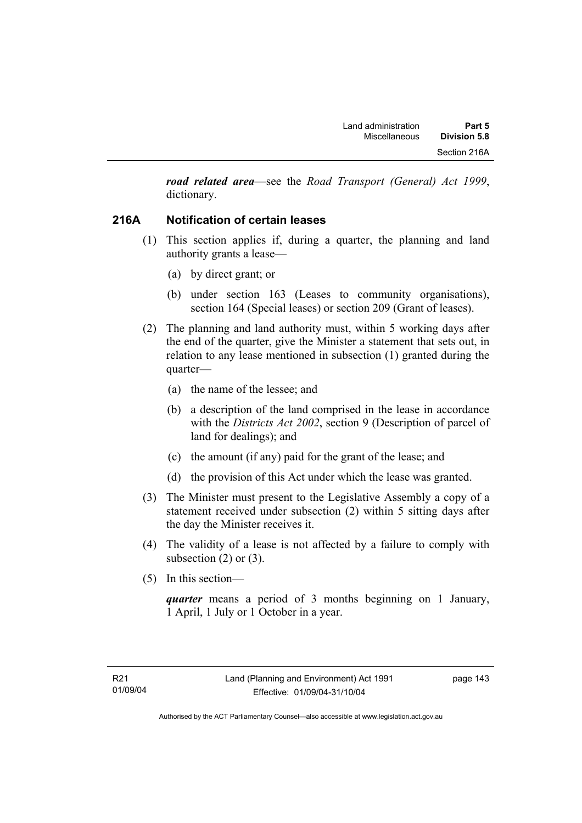*road related area*—see the *Road Transport (General) Act 1999*, dictionary.

### **216A Notification of certain leases**

- (1) This section applies if, during a quarter, the planning and land authority grants a lease—
	- (a) by direct grant; or
	- (b) under section 163 (Leases to community organisations), section 164 (Special leases) or section 209 (Grant of leases).
- (2) The planning and land authority must, within 5 working days after the end of the quarter, give the Minister a statement that sets out, in relation to any lease mentioned in subsection (1) granted during the quarter—
	- (a) the name of the lessee; and
	- (b) a description of the land comprised in the lease in accordance with the *Districts Act 2002*, section 9 (Description of parcel of land for dealings); and
	- (c) the amount (if any) paid for the grant of the lease; and
	- (d) the provision of this Act under which the lease was granted.
- (3) The Minister must present to the Legislative Assembly a copy of a statement received under subsection (2) within 5 sitting days after the day the Minister receives it.
- (4) The validity of a lease is not affected by a failure to comply with subsection  $(2)$  or  $(3)$ .
- (5) In this section—

*quarter* means a period of 3 months beginning on 1 January, 1 April, 1 July or 1 October in a year.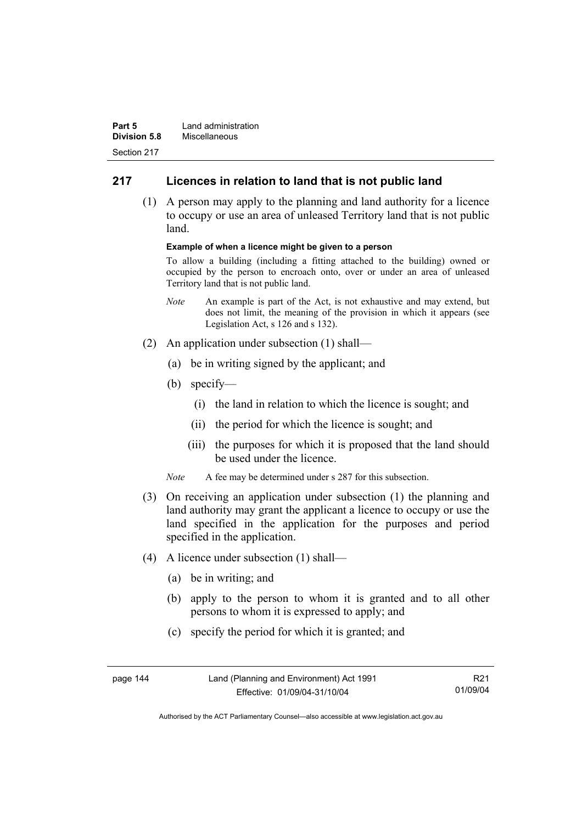| Part 5              | Land administration |
|---------------------|---------------------|
| <b>Division 5.8</b> | Miscellaneous       |
| Section 217         |                     |

### **217 Licences in relation to land that is not public land**

 (1) A person may apply to the planning and land authority for a licence to occupy or use an area of unleased Territory land that is not public land.

#### **Example of when a licence might be given to a person**

To allow a building (including a fitting attached to the building) owned or occupied by the person to encroach onto, over or under an area of unleased Territory land that is not public land.

- *Note* An example is part of the Act, is not exhaustive and may extend, but does not limit, the meaning of the provision in which it appears (see Legislation Act, s 126 and s 132).
- (2) An application under subsection (1) shall—
	- (a) be in writing signed by the applicant; and
	- (b) specify—
		- (i) the land in relation to which the licence is sought; and
		- (ii) the period for which the licence is sought; and
		- (iii) the purposes for which it is proposed that the land should be used under the licence.
	- *Note* A fee may be determined under s 287 for this subsection.
- (3) On receiving an application under subsection (1) the planning and land authority may grant the applicant a licence to occupy or use the land specified in the application for the purposes and period specified in the application.
- (4) A licence under subsection (1) shall—
	- (a) be in writing; and
	- (b) apply to the person to whom it is granted and to all other persons to whom it is expressed to apply; and
	- (c) specify the period for which it is granted; and

| page 144 | Land (Planning and Environment) Act 1991 | R <sub>21</sub> |
|----------|------------------------------------------|-----------------|
|          | Effective: 01/09/04-31/10/04             | 01/09/04        |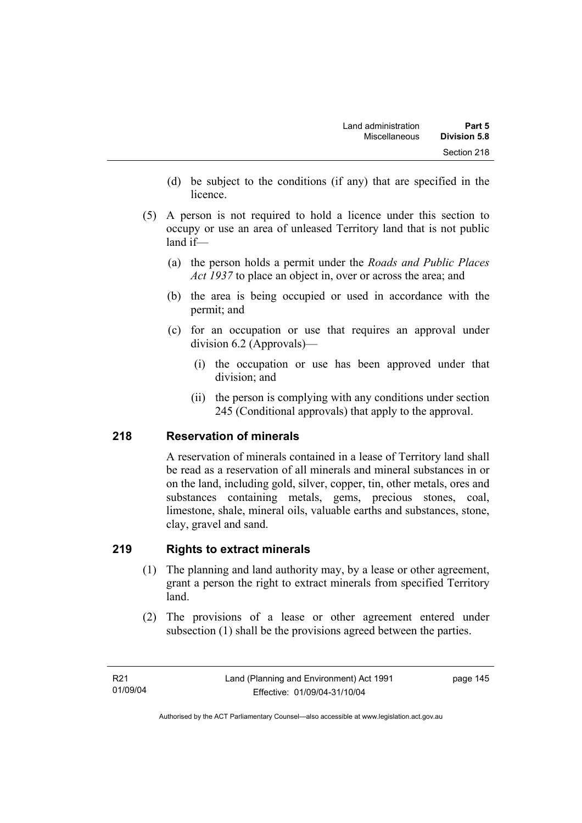- (d) be subject to the conditions (if any) that are specified in the licence.
- (5) A person is not required to hold a licence under this section to occupy or use an area of unleased Territory land that is not public land if—
	- (a) the person holds a permit under the *Roads and Public Places Act 1937* to place an object in, over or across the area; and
	- (b) the area is being occupied or used in accordance with the permit; and
	- (c) for an occupation or use that requires an approval under division 6.2 (Approvals)—
		- (i) the occupation or use has been approved under that division; and
		- (ii) the person is complying with any conditions under section 245 (Conditional approvals) that apply to the approval.

### **218 Reservation of minerals**

A reservation of minerals contained in a lease of Territory land shall be read as a reservation of all minerals and mineral substances in or on the land, including gold, silver, copper, tin, other metals, ores and substances containing metals, gems, precious stones, coal, limestone, shale, mineral oils, valuable earths and substances, stone, clay, gravel and sand.

### **219 Rights to extract minerals**

- (1) The planning and land authority may, by a lease or other agreement, grant a person the right to extract minerals from specified Territory land.
- (2) The provisions of a lease or other agreement entered under subsection (1) shall be the provisions agreed between the parties.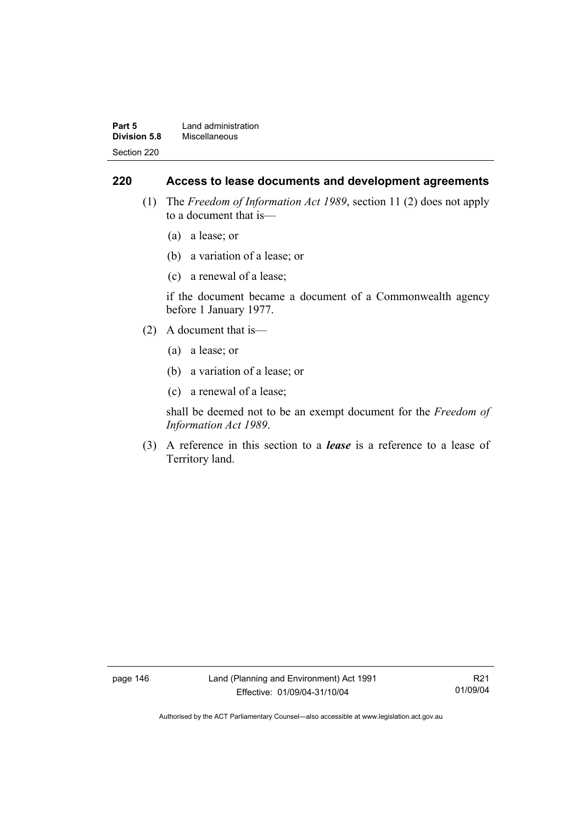| Part 5              | Land administration |
|---------------------|---------------------|
| <b>Division 5.8</b> | Miscellaneous       |
| Section 220         |                     |

#### **220 Access to lease documents and development agreements**

- (1) The *Freedom of Information Act 1989*, section 11 (2) does not apply to a document that is—
	- (a) a lease; or
	- (b) a variation of a lease; or
	- (c) a renewal of a lease;

if the document became a document of a Commonwealth agency before 1 January 1977.

- (2) A document that is—
	- (a) a lease; or
	- (b) a variation of a lease; or
	- (c) a renewal of a lease;

shall be deemed not to be an exempt document for the *Freedom of Information Act 1989*.

 (3) A reference in this section to a *lease* is a reference to a lease of Territory land.

page 146 Land (Planning and Environment) Act 1991 Effective: 01/09/04-31/10/04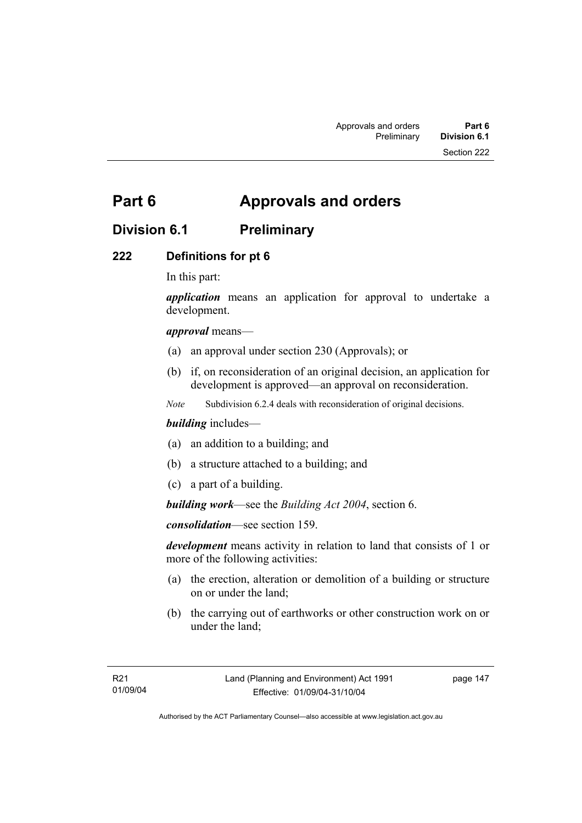# **Part 6 Approvals and orders**

## **Division 6.1 Preliminary**

### **222 Definitions for pt 6**

In this part:

*application* means an application for approval to undertake a development.

#### *approval* means—

- (a) an approval under section 230 (Approvals); or
- (b) if, on reconsideration of an original decision, an application for development is approved—an approval on reconsideration.
- *Note* Subdivision 6.2.4 deals with reconsideration of original decisions.

#### *building* includes—

- (a) an addition to a building; and
- (b) a structure attached to a building; and
- (c) a part of a building.

*building work*—see the *Building Act 2004*, section 6.

*consolidation*—see section 159.

*development* means activity in relation to land that consists of 1 or more of the following activities:

- (a) the erection, alteration or demolition of a building or structure on or under the land;
- (b) the carrying out of earthworks or other construction work on or under the land;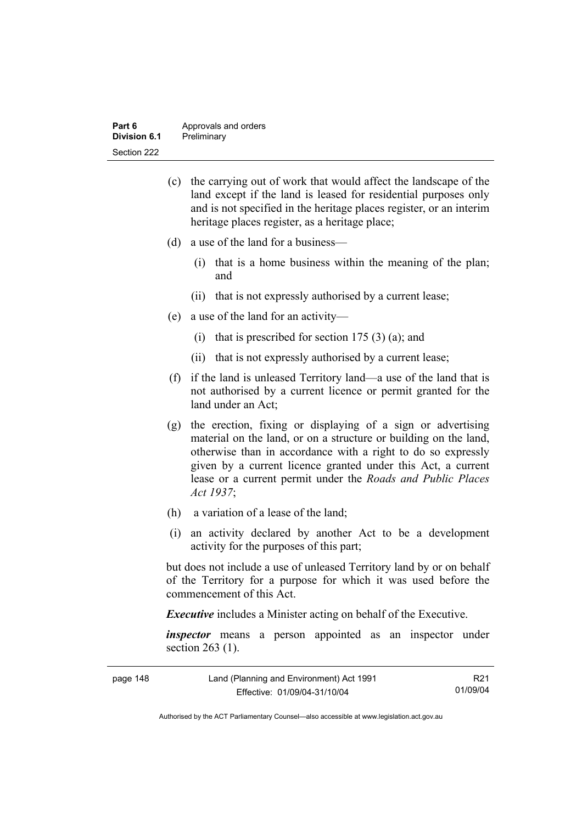| Part 6       | Approvals and orders |
|--------------|----------------------|
| Division 6.1 | Preliminary          |
| Section 222  |                      |

- (c) the carrying out of work that would affect the landscape of the land except if the land is leased for residential purposes only and is not specified in the heritage places register, or an interim heritage places register, as a heritage place;
- (d) a use of the land for a business—
	- (i) that is a home business within the meaning of the plan; and
	- (ii) that is not expressly authorised by a current lease;
- (e) a use of the land for an activity—
	- (i) that is prescribed for section  $175(3)(a)$ ; and
	- (ii) that is not expressly authorised by a current lease;
- (f) if the land is unleased Territory land—a use of the land that is not authorised by a current licence or permit granted for the land under an Act;
- (g) the erection, fixing or displaying of a sign or advertising material on the land, or on a structure or building on the land, otherwise than in accordance with a right to do so expressly given by a current licence granted under this Act, a current lease or a current permit under the *Roads and Public Places Act 1937*;
- (h) a variation of a lease of the land;
- (i) an activity declared by another Act to be a development activity for the purposes of this part;

but does not include a use of unleased Territory land by or on behalf of the Territory for a purpose for which it was used before the commencement of this Act.

*Executive* includes a Minister acting on behalf of the Executive.

*inspector* means a person appointed as an inspector under section 263 (1).

| page 148 | Land (Planning and Environment) Act 1991 | R <sub>21</sub> |
|----------|------------------------------------------|-----------------|
|          | Effective: 01/09/04-31/10/04             | 01/09/04        |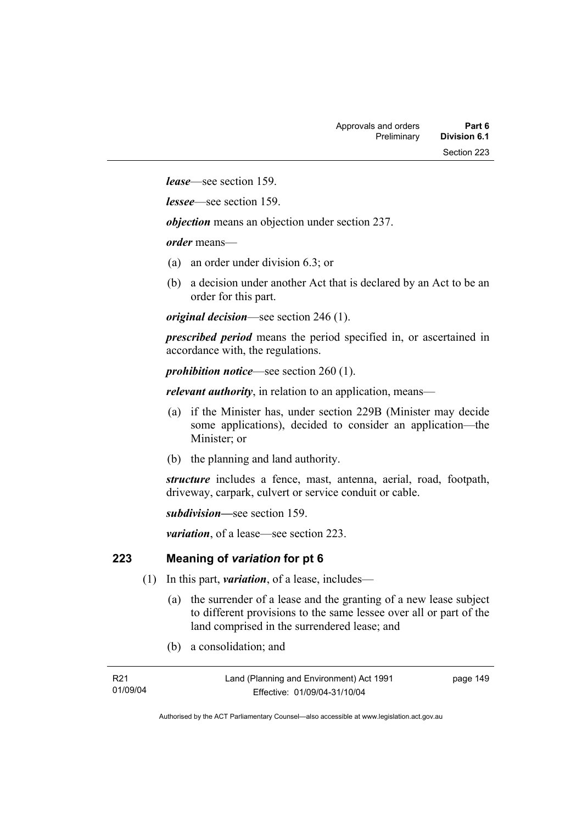*lease*—see section 159.

*lessee*—see section 159.

*objection* means an objection under section 237.

*order* means—

- (a) an order under division 6.3; or
- (b) a decision under another Act that is declared by an Act to be an order for this part.

*original decision*—see section 246 (1).

*prescribed period* means the period specified in, or ascertained in accordance with, the regulations.

*prohibition notice*—see section 260 (1).

*relevant authority*, in relation to an application, means—

- (a) if the Minister has, under section 229B (Minister may decide some applications), decided to consider an application—the Minister; or
- (b) the planning and land authority.

*structure* includes a fence, mast, antenna, aerial, road, footpath, driveway, carpark, culvert or service conduit or cable.

*subdivision—*see section 159.

*variation*, of a lease—see section 223.

#### **223 Meaning of** *variation* **for pt 6**

- (1) In this part, *variation*, of a lease, includes—
	- (a) the surrender of a lease and the granting of a new lease subject to different provisions to the same lessee over all or part of the land comprised in the surrendered lease; and
	- (b) a consolidation; and

| R21      |  |
|----------|--|
| 01/09/04 |  |

page 149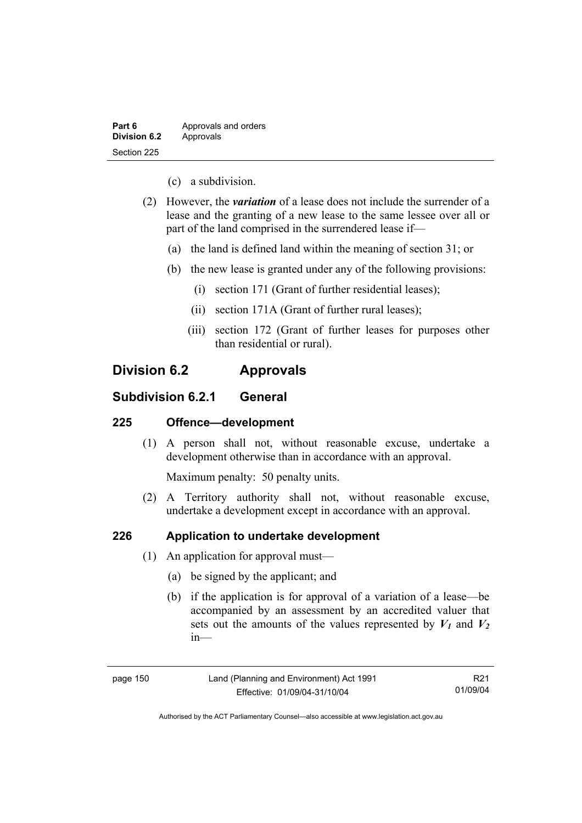| Part 6              | Approvals and orders |
|---------------------|----------------------|
| <b>Division 6.2</b> | Approvals            |
| Section 225         |                      |

- (c) a subdivision.
- (2) However, the *variation* of a lease does not include the surrender of a lease and the granting of a new lease to the same lessee over all or part of the land comprised in the surrendered lease if—
	- (a) the land is defined land within the meaning of section 31; or
	- (b) the new lease is granted under any of the following provisions:
		- (i) section 171 (Grant of further residential leases);
		- (ii) section 171A (Grant of further rural leases);
		- (iii) section 172 (Grant of further leases for purposes other than residential or rural).

### **Division 6.2 Approvals**

### **Subdivision 6.2.1 General**

#### **225 Offence—development**

 (1) A person shall not, without reasonable excuse, undertake a development otherwise than in accordance with an approval.

Maximum penalty: 50 penalty units.

 (2) A Territory authority shall not, without reasonable excuse, undertake a development except in accordance with an approval.

### **226 Application to undertake development**

- (1) An application for approval must—
	- (a) be signed by the applicant; and
	- (b) if the application is for approval of a variation of a lease—be accompanied by an assessment by an accredited valuer that sets out the amounts of the values represented by  $V_1$  and  $V_2$ in—

page 150 Land (Planning and Environment) Act 1991 Effective: 01/09/04-31/10/04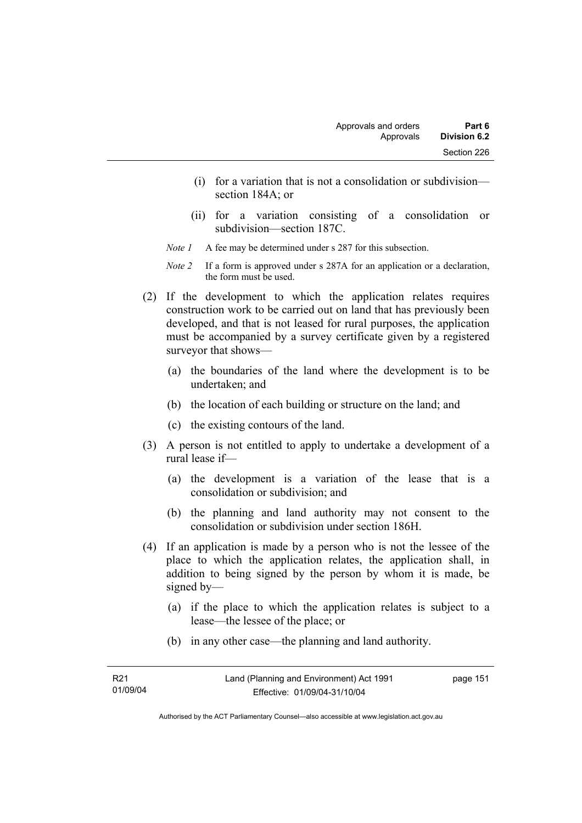- (i) for a variation that is not a consolidation or subdivision section 184A; or
- (ii) for a variation consisting of a consolidation or subdivision—section 187C.
- *Note 1* A fee may be determined under s 287 for this subsection.
- *Note 2* If a form is approved under s 287A for an application or a declaration, the form must be used.
- (2) If the development to which the application relates requires construction work to be carried out on land that has previously been developed, and that is not leased for rural purposes, the application must be accompanied by a survey certificate given by a registered surveyor that shows—
	- (a) the boundaries of the land where the development is to be undertaken; and
	- (b) the location of each building or structure on the land; and
	- (c) the existing contours of the land.
- (3) A person is not entitled to apply to undertake a development of a rural lease if—
	- (a) the development is a variation of the lease that is a consolidation or subdivision; and
	- (b) the planning and land authority may not consent to the consolidation or subdivision under section 186H.
- (4) If an application is made by a person who is not the lessee of the place to which the application relates, the application shall, in addition to being signed by the person by whom it is made, be signed by—
	- (a) if the place to which the application relates is subject to a lease—the lessee of the place; or
	- (b) in any other case—the planning and land authority.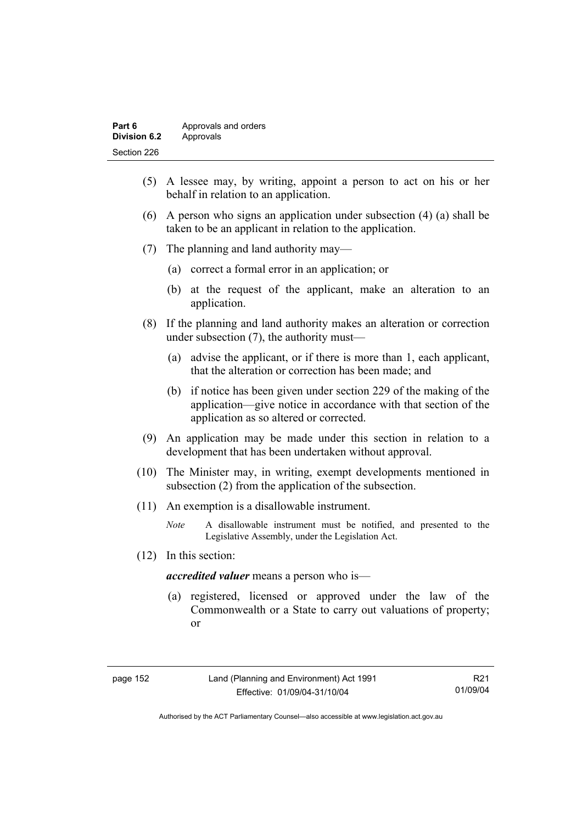| Part 6       | Approvals and orders |
|--------------|----------------------|
| Division 6.2 | Approvals            |
| Section 226  |                      |

- (5) A lessee may, by writing, appoint a person to act on his or her behalf in relation to an application.
- (6) A person who signs an application under subsection (4) (a) shall be taken to be an applicant in relation to the application.
- (7) The planning and land authority may—
	- (a) correct a formal error in an application; or
	- (b) at the request of the applicant, make an alteration to an application.
- (8) If the planning and land authority makes an alteration or correction under subsection (7), the authority must—
	- (a) advise the applicant, or if there is more than 1, each applicant, that the alteration or correction has been made; and
	- (b) if notice has been given under section 229 of the making of the application—give notice in accordance with that section of the application as so altered or corrected.
- (9) An application may be made under this section in relation to a development that has been undertaken without approval.
- (10) The Minister may, in writing, exempt developments mentioned in subsection (2) from the application of the subsection.
- (11) An exemption is a disallowable instrument.
	- *Note* A disallowable instrument must be notified, and presented to the Legislative Assembly, under the Legislation Act.
- (12) In this section:

*accredited valuer* means a person who is—

 (a) registered, licensed or approved under the law of the Commonwealth or a State to carry out valuations of property; or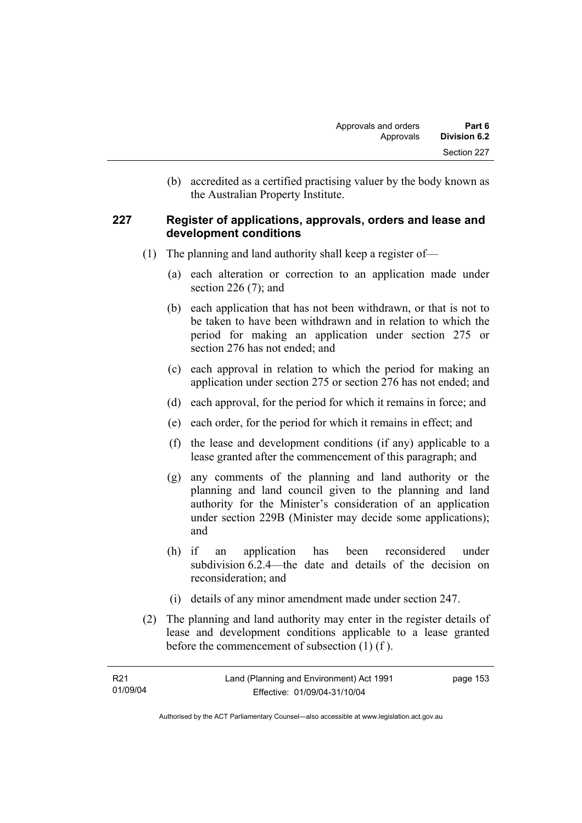(b) accredited as a certified practising valuer by the body known as the Australian Property Institute.

#### **227 Register of applications, approvals, orders and lease and development conditions**

- (1) The planning and land authority shall keep a register of—
	- (a) each alteration or correction to an application made under section 226 (7); and
	- (b) each application that has not been withdrawn, or that is not to be taken to have been withdrawn and in relation to which the period for making an application under section 275 or section 276 has not ended; and
	- (c) each approval in relation to which the period for making an application under section 275 or section 276 has not ended; and
	- (d) each approval, for the period for which it remains in force; and
	- (e) each order, for the period for which it remains in effect; and
	- (f) the lease and development conditions (if any) applicable to a lease granted after the commencement of this paragraph; and
	- (g) any comments of the planning and land authority or the planning and land council given to the planning and land authority for the Minister's consideration of an application under section 229B (Minister may decide some applications); and
	- (h) if an application has been reconsidered under subdivision 6.2.4—the date and details of the decision on reconsideration; and
	- (i) details of any minor amendment made under section 247.
- (2) The planning and land authority may enter in the register details of lease and development conditions applicable to a lease granted before the commencement of subsection (1) (f ).

| R21      | Land (Planning and Environment) Act 1991 | page 153 |
|----------|------------------------------------------|----------|
| 01/09/04 | Effective: 01/09/04-31/10/04             |          |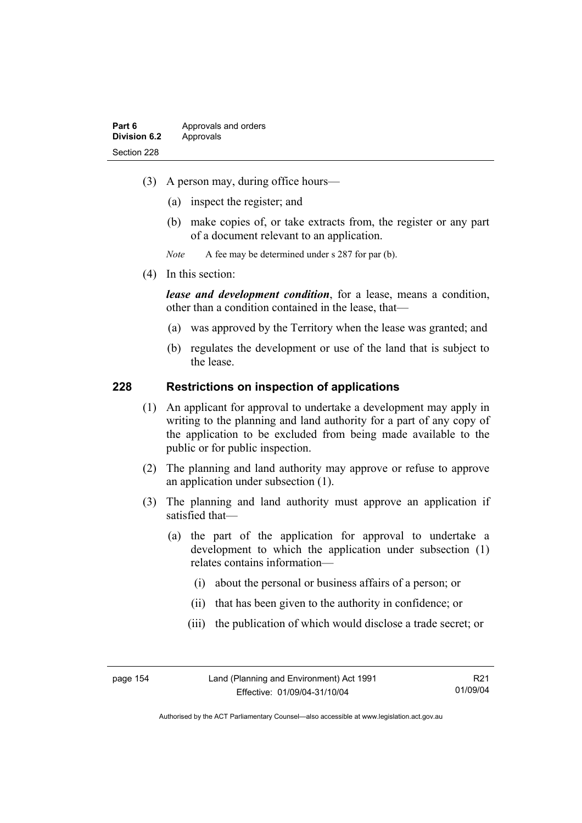- (3) A person may, during office hours—
	- (a) inspect the register; and
	- (b) make copies of, or take extracts from, the register or any part of a document relevant to an application.
	- *Note* A fee may be determined under s 287 for par (b).
- (4) In this section:

*lease and development condition*, for a lease, means a condition, other than a condition contained in the lease, that—

- (a) was approved by the Territory when the lease was granted; and
- (b) regulates the development or use of the land that is subject to the lease.

#### **228 Restrictions on inspection of applications**

- (1) An applicant for approval to undertake a development may apply in writing to the planning and land authority for a part of any copy of the application to be excluded from being made available to the public or for public inspection.
- (2) The planning and land authority may approve or refuse to approve an application under subsection (1).
- (3) The planning and land authority must approve an application if satisfied that—
	- (a) the part of the application for approval to undertake a development to which the application under subsection (1) relates contains information—
		- (i) about the personal or business affairs of a person; or
		- (ii) that has been given to the authority in confidence; or
		- (iii) the publication of which would disclose a trade secret; or

R21 01/09/04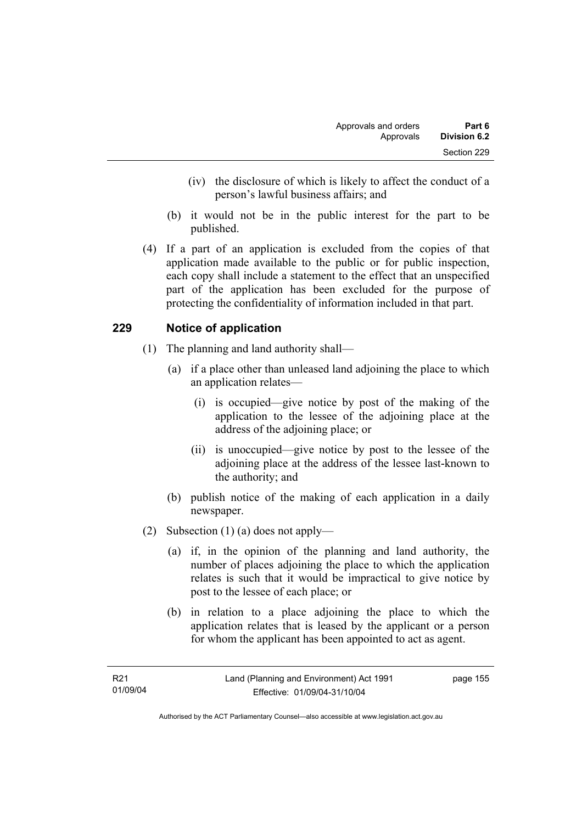- (iv) the disclosure of which is likely to affect the conduct of a person's lawful business affairs; and
- (b) it would not be in the public interest for the part to be published.
- (4) If a part of an application is excluded from the copies of that application made available to the public or for public inspection, each copy shall include a statement to the effect that an unspecified part of the application has been excluded for the purpose of protecting the confidentiality of information included in that part.

### **229 Notice of application**

- (1) The planning and land authority shall—
	- (a) if a place other than unleased land adjoining the place to which an application relates—
		- (i) is occupied—give notice by post of the making of the application to the lessee of the adjoining place at the address of the adjoining place; or
		- (ii) is unoccupied—give notice by post to the lessee of the adjoining place at the address of the lessee last-known to the authority; and
	- (b) publish notice of the making of each application in a daily newspaper.
- (2) Subsection (1) (a) does not apply—
	- (a) if, in the opinion of the planning and land authority, the number of places adjoining the place to which the application relates is such that it would be impractical to give notice by post to the lessee of each place; or
	- (b) in relation to a place adjoining the place to which the application relates that is leased by the applicant or a person for whom the applicant has been appointed to act as agent.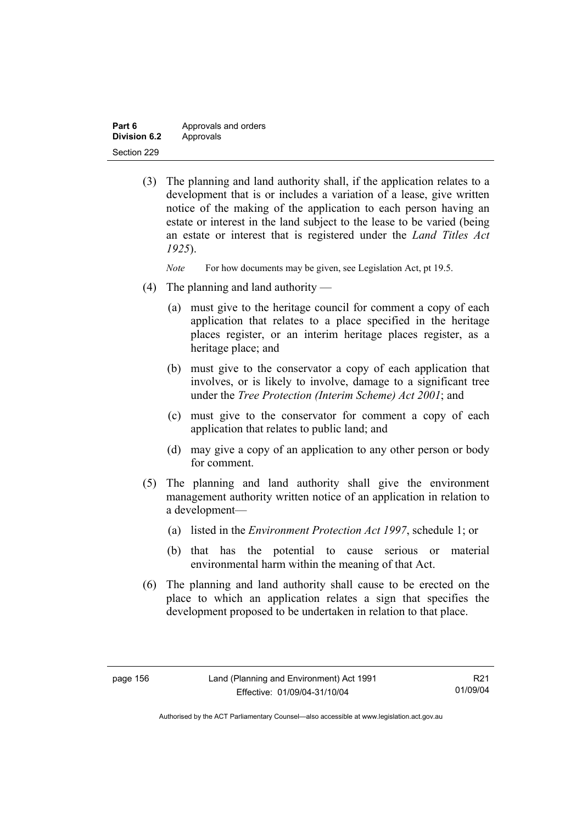| Part 6       | Approvals and orders |
|--------------|----------------------|
| Division 6.2 | Approvals            |
| Section 229  |                      |

 (3) The planning and land authority shall, if the application relates to a development that is or includes a variation of a lease, give written notice of the making of the application to each person having an estate or interest in the land subject to the lease to be varied (being an estate or interest that is registered under the *Land Titles Act 1925*).

*Note* For how documents may be given, see Legislation Act, pt 19.5.

- (4) The planning and land authority
	- (a) must give to the heritage council for comment a copy of each application that relates to a place specified in the heritage places register, or an interim heritage places register, as a heritage place; and
	- (b) must give to the conservator a copy of each application that involves, or is likely to involve, damage to a significant tree under the *Tree Protection (Interim Scheme) Act 2001*; and
	- (c) must give to the conservator for comment a copy of each application that relates to public land; and
	- (d) may give a copy of an application to any other person or body for comment.
- (5) The planning and land authority shall give the environment management authority written notice of an application in relation to a development—
	- (a) listed in the *Environment Protection Act 1997*, schedule 1; or
	- (b) that has the potential to cause serious or material environmental harm within the meaning of that Act.
- (6) The planning and land authority shall cause to be erected on the place to which an application relates a sign that specifies the development proposed to be undertaken in relation to that place.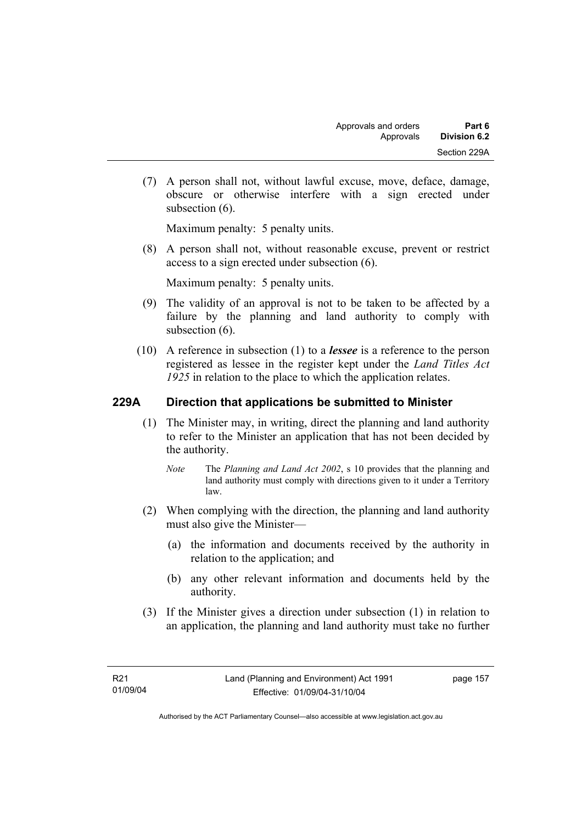(7) A person shall not, without lawful excuse, move, deface, damage, obscure or otherwise interfere with a sign erected under subsection  $(6)$ .

Maximum penalty: 5 penalty units.

 (8) A person shall not, without reasonable excuse, prevent or restrict access to a sign erected under subsection (6).

Maximum penalty: 5 penalty units.

- (9) The validity of an approval is not to be taken to be affected by a failure by the planning and land authority to comply with subsection  $(6)$ .
- (10) A reference in subsection (1) to a *lessee* is a reference to the person registered as lessee in the register kept under the *Land Titles Act 1925* in relation to the place to which the application relates.

### **229A Direction that applications be submitted to Minister**

- (1) The Minister may, in writing, direct the planning and land authority to refer to the Minister an application that has not been decided by the authority.
	- *Note* The *Planning and Land Act 2002*, s 10 provides that the planning and land authority must comply with directions given to it under a Territory law.
- (2) When complying with the direction, the planning and land authority must also give the Minister—
	- (a) the information and documents received by the authority in relation to the application; and
	- (b) any other relevant information and documents held by the authority.
- (3) If the Minister gives a direction under subsection (1) in relation to an application, the planning and land authority must take no further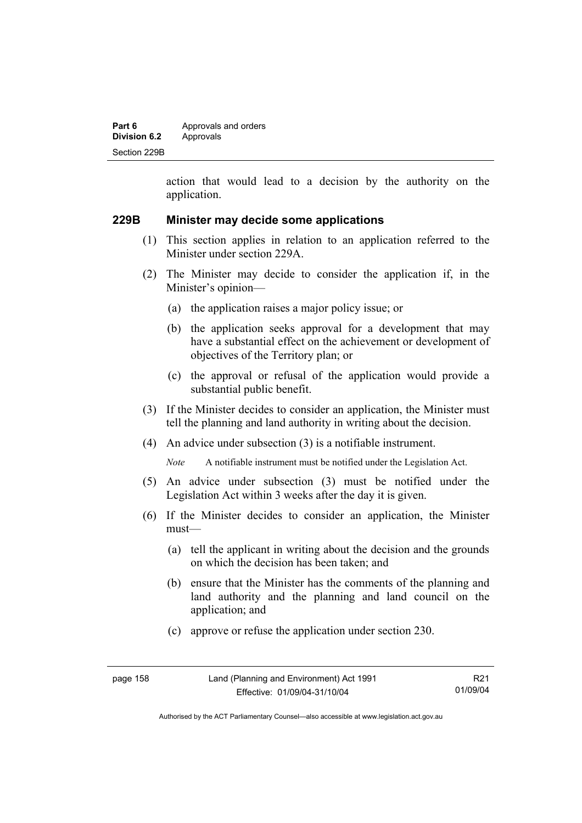| Part 6              | Approvals and orders |
|---------------------|----------------------|
| <b>Division 6.2</b> | Approvals            |
| Section 229B        |                      |

action that would lead to a decision by the authority on the application.

#### **229B Minister may decide some applications**

- (1) This section applies in relation to an application referred to the Minister under section 229A.
- (2) The Minister may decide to consider the application if, in the Minister's opinion—
	- (a) the application raises a major policy issue; or
	- (b) the application seeks approval for a development that may have a substantial effect on the achievement or development of objectives of the Territory plan; or
	- (c) the approval or refusal of the application would provide a substantial public benefit.
- (3) If the Minister decides to consider an application, the Minister must tell the planning and land authority in writing about the decision.
- (4) An advice under subsection (3) is a notifiable instrument.

*Note* A notifiable instrument must be notified under the Legislation Act.

- (5) An advice under subsection (3) must be notified under the Legislation Act within 3 weeks after the day it is given.
- (6) If the Minister decides to consider an application, the Minister must—
	- (a) tell the applicant in writing about the decision and the grounds on which the decision has been taken; and
	- (b) ensure that the Minister has the comments of the planning and land authority and the planning and land council on the application; and
	- (c) approve or refuse the application under section 230.

| page 158 | Land (Planning and Environment) Act 1991 | R21      |
|----------|------------------------------------------|----------|
|          | Effective: 01/09/04-31/10/04             | 01/09/04 |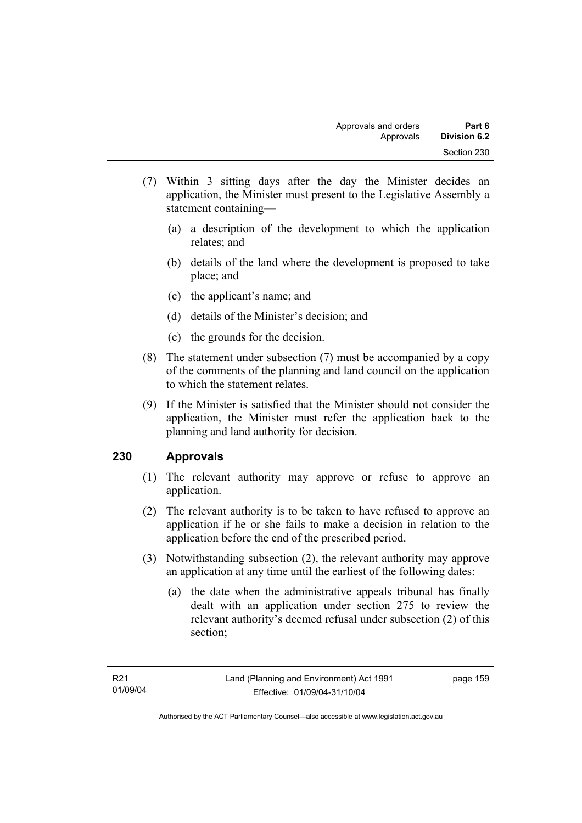- (7) Within 3 sitting days after the day the Minister decides an application, the Minister must present to the Legislative Assembly a statement containing—
	- (a) a description of the development to which the application relates; and
	- (b) details of the land where the development is proposed to take place; and
	- (c) the applicant's name; and
	- (d) details of the Minister's decision; and
	- (e) the grounds for the decision.
- (8) The statement under subsection (7) must be accompanied by a copy of the comments of the planning and land council on the application to which the statement relates.
- (9) If the Minister is satisfied that the Minister should not consider the application, the Minister must refer the application back to the planning and land authority for decision.

### **230 Approvals**

- (1) The relevant authority may approve or refuse to approve an application.
- (2) The relevant authority is to be taken to have refused to approve an application if he or she fails to make a decision in relation to the application before the end of the prescribed period.
- (3) Notwithstanding subsection (2), the relevant authority may approve an application at any time until the earliest of the following dates:
	- (a) the date when the administrative appeals tribunal has finally dealt with an application under section 275 to review the relevant authority's deemed refusal under subsection (2) of this section;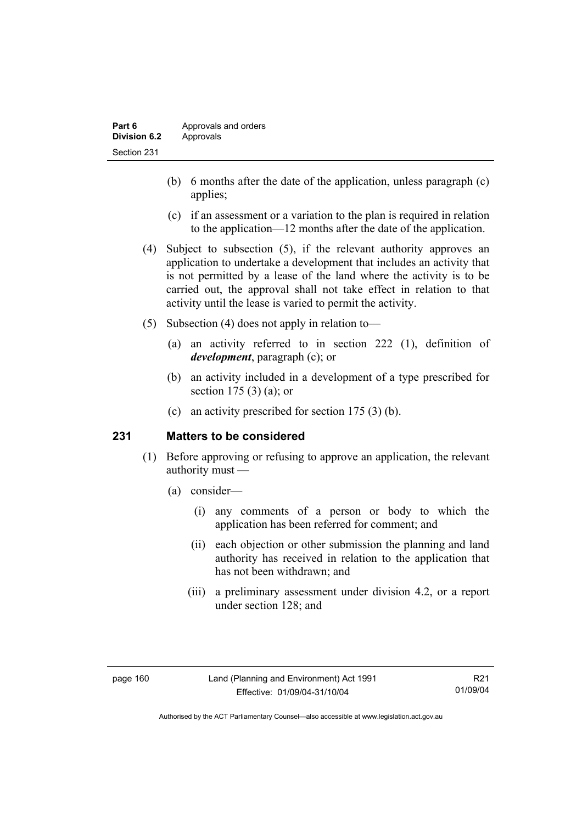- (b) 6 months after the date of the application, unless paragraph (c) applies;
- (c) if an assessment or a variation to the plan is required in relation to the application—12 months after the date of the application.
- (4) Subject to subsection (5), if the relevant authority approves an application to undertake a development that includes an activity that is not permitted by a lease of the land where the activity is to be carried out, the approval shall not take effect in relation to that activity until the lease is varied to permit the activity.
- (5) Subsection (4) does not apply in relation to—
	- (a) an activity referred to in section 222 (1), definition of *development*, paragraph (c); or
	- (b) an activity included in a development of a type prescribed for section 175 (3) (a); or
	- (c) an activity prescribed for section 175 (3) (b).

#### **231 Matters to be considered**

- (1) Before approving or refusing to approve an application, the relevant authority must —
	- (a) consider—
		- (i) any comments of a person or body to which the application has been referred for comment; and
		- (ii) each objection or other submission the planning and land authority has received in relation to the application that has not been withdrawn; and
		- (iii) a preliminary assessment under division 4.2, or a report under section 128; and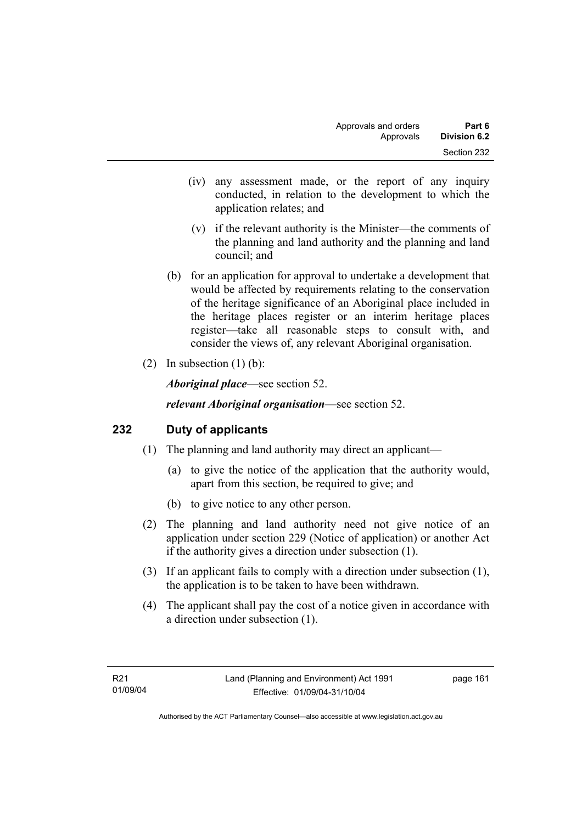- (iv) any assessment made, or the report of any inquiry conducted, in relation to the development to which the application relates; and
- (v) if the relevant authority is the Minister—the comments of the planning and land authority and the planning and land council; and
- (b) for an application for approval to undertake a development that would be affected by requirements relating to the conservation of the heritage significance of an Aboriginal place included in the heritage places register or an interim heritage places register—take all reasonable steps to consult with, and consider the views of, any relevant Aboriginal organisation.
- (2) In subsection  $(1)$  (b):

*Aboriginal place*—see section 52.

*relevant Aboriginal organisation*—see section 52.

### **232 Duty of applicants**

- (1) The planning and land authority may direct an applicant—
	- (a) to give the notice of the application that the authority would, apart from this section, be required to give; and
	- (b) to give notice to any other person.
- (2) The planning and land authority need not give notice of an application under section 229 (Notice of application) or another Act if the authority gives a direction under subsection (1).
- (3) If an applicant fails to comply with a direction under subsection (1), the application is to be taken to have been withdrawn.
- (4) The applicant shall pay the cost of a notice given in accordance with a direction under subsection (1).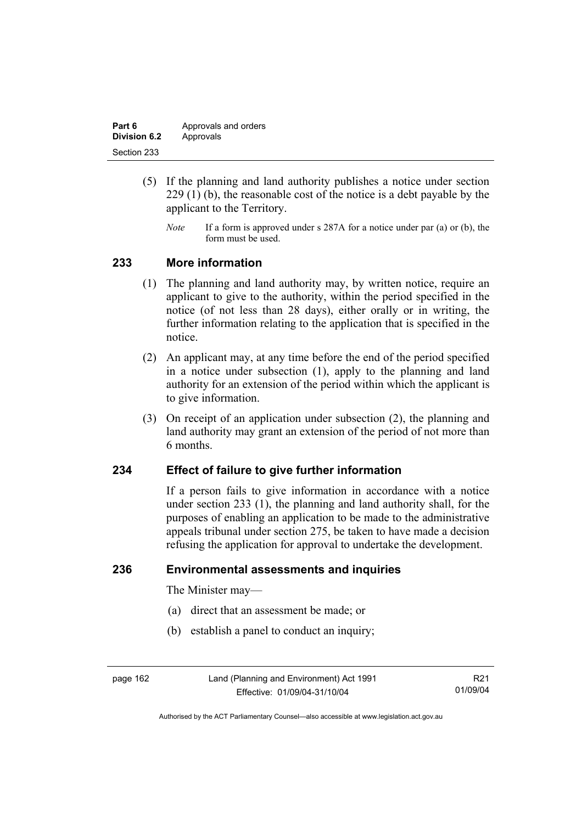| Part 6       | Approvals and orders |
|--------------|----------------------|
| Division 6.2 | Approvals            |
| Section 233  |                      |

- (5) If the planning and land authority publishes a notice under section 229 (1) (b), the reasonable cost of the notice is a debt payable by the applicant to the Territory.
	- *Note* If a form is approved under s 287A for a notice under par (a) or (b), the form must be used.

### **233 More information**

- (1) The planning and land authority may, by written notice, require an applicant to give to the authority, within the period specified in the notice (of not less than 28 days), either orally or in writing, the further information relating to the application that is specified in the notice.
- (2) An applicant may, at any time before the end of the period specified in a notice under subsection (1), apply to the planning and land authority for an extension of the period within which the applicant is to give information.
- (3) On receipt of an application under subsection (2), the planning and land authority may grant an extension of the period of not more than 6 months.

#### **234 Effect of failure to give further information**

If a person fails to give information in accordance with a notice under section 233 (1), the planning and land authority shall, for the purposes of enabling an application to be made to the administrative appeals tribunal under section 275, be taken to have made a decision refusing the application for approval to undertake the development.

#### **236 Environmental assessments and inquiries**

The Minister may—

- (a) direct that an assessment be made; or
- (b) establish a panel to conduct an inquiry;

page 162 Land (Planning and Environment) Act 1991 Effective: 01/09/04-31/10/04

R21 01/09/04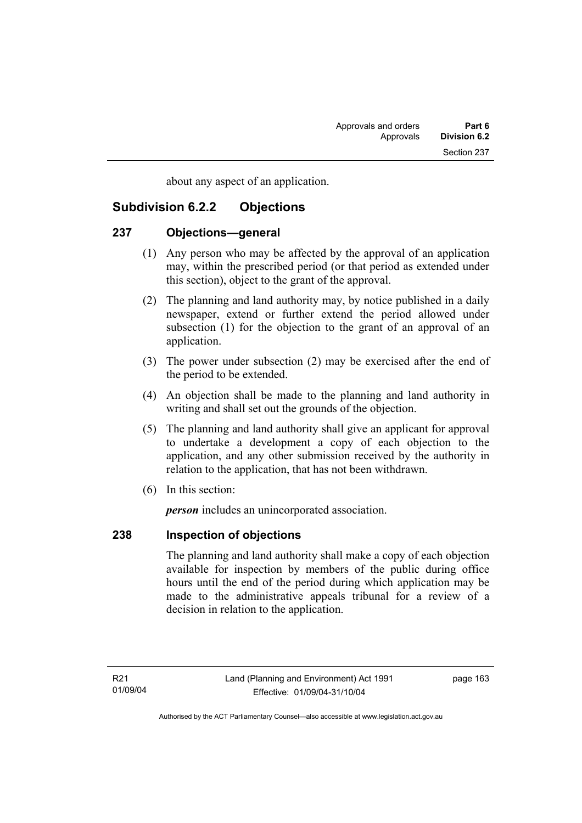about any aspect of an application.

### **Subdivision 6.2.2 Objections**

#### **237 Objections—general**

- (1) Any person who may be affected by the approval of an application may, within the prescribed period (or that period as extended under this section), object to the grant of the approval.
- (2) The planning and land authority may, by notice published in a daily newspaper, extend or further extend the period allowed under subsection (1) for the objection to the grant of an approval of an application.
- (3) The power under subsection (2) may be exercised after the end of the period to be extended.
- (4) An objection shall be made to the planning and land authority in writing and shall set out the grounds of the objection.
- (5) The planning and land authority shall give an applicant for approval to undertake a development a copy of each objection to the application, and any other submission received by the authority in relation to the application, that has not been withdrawn.
- (6) In this section:

*person* includes an unincorporated association.

### **238 Inspection of objections**

The planning and land authority shall make a copy of each objection available for inspection by members of the public during office hours until the end of the period during which application may be made to the administrative appeals tribunal for a review of a decision in relation to the application.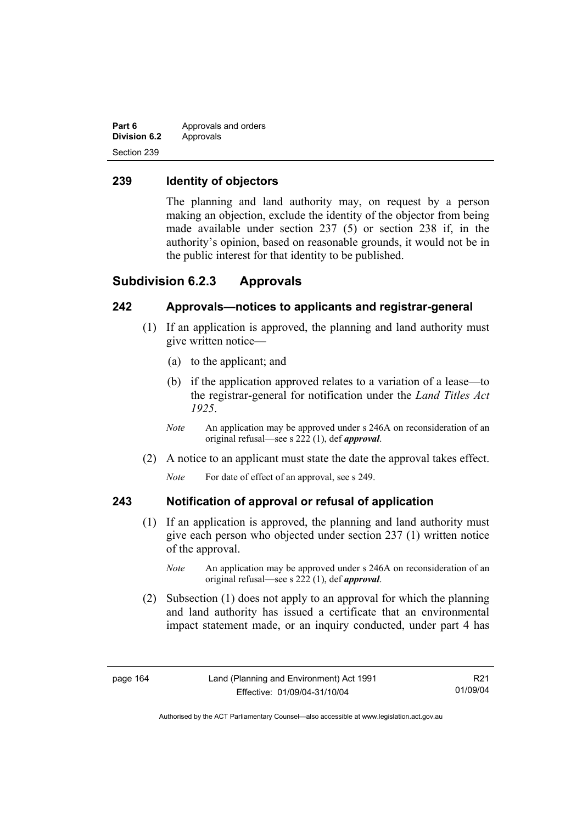| Part 6              | Approvals and orders |
|---------------------|----------------------|
| <b>Division 6.2</b> | Approvals            |
| Section 239         |                      |

### **239 Identity of objectors**

The planning and land authority may, on request by a person making an objection, exclude the identity of the objector from being made available under section 237 (5) or section 238 if, in the authority's opinion, based on reasonable grounds, it would not be in the public interest for that identity to be published.

#### **Subdivision 6.2.3 Approvals**

### **242 Approvals—notices to applicants and registrar-general**

- (1) If an application is approved, the planning and land authority must give written notice—
	- (a) to the applicant; and
	- (b) if the application approved relates to a variation of a lease—to the registrar-general for notification under the *Land Titles Act 1925*.
	- *Note* An application may be approved under s 246A on reconsideration of an original refusal—see s 222 (1), def *approval*.
- (2) A notice to an applicant must state the date the approval takes effect.

*Note* For date of effect of an approval, see s 249.

#### **243 Notification of approval or refusal of application**

- (1) If an application is approved, the planning and land authority must give each person who objected under section 237 (1) written notice of the approval.
	- *Note* An application may be approved under s 246A on reconsideration of an original refusal—see s 222 (1), def *approval*.
- (2) Subsection (1) does not apply to an approval for which the planning and land authority has issued a certificate that an environmental impact statement made, or an inquiry conducted, under part 4 has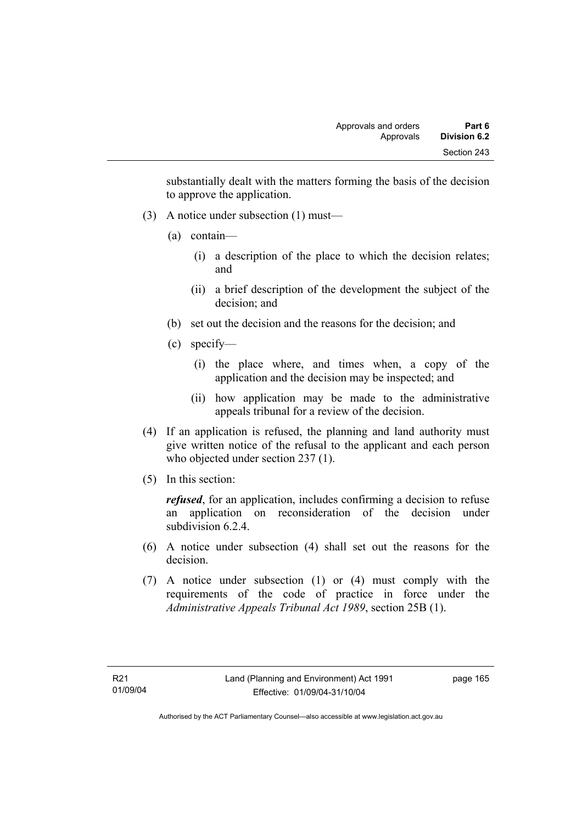substantially dealt with the matters forming the basis of the decision to approve the application.

- (3) A notice under subsection (1) must—
	- (a) contain—
		- (i) a description of the place to which the decision relates; and
		- (ii) a brief description of the development the subject of the decision; and
	- (b) set out the decision and the reasons for the decision; and
	- (c) specify—
		- (i) the place where, and times when, a copy of the application and the decision may be inspected; and
		- (ii) how application may be made to the administrative appeals tribunal for a review of the decision.
- (4) If an application is refused, the planning and land authority must give written notice of the refusal to the applicant and each person who objected under section 237 (1).
- (5) In this section:

*refused*, for an application, includes confirming a decision to refuse an application on reconsideration of the decision under subdivision 6.2.4

- (6) A notice under subsection (4) shall set out the reasons for the decision.
- (7) A notice under subsection (1) or (4) must comply with the requirements of the code of practice in force under the *Administrative Appeals Tribunal Act 1989*, section 25B (1).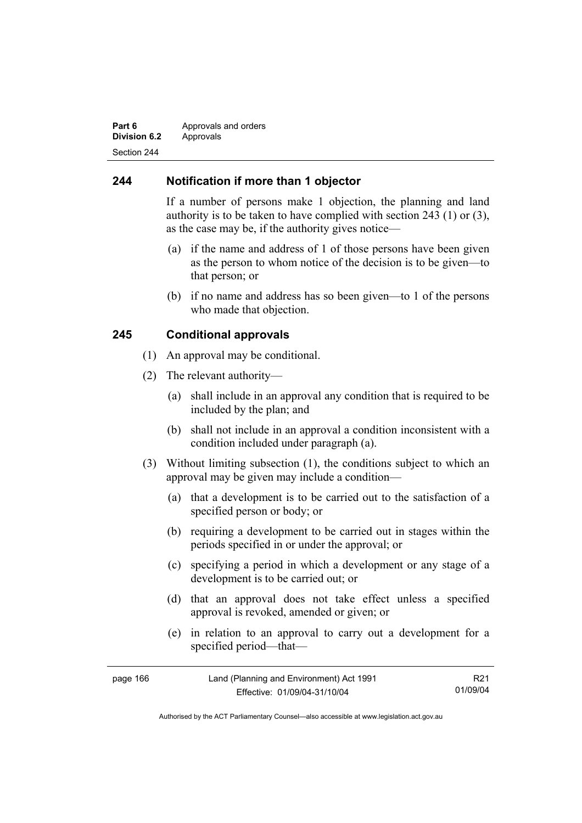#### **Part 6 Approvals and orders Division 6.2** Approvals Section 244

### **244 Notification if more than 1 objector**

If a number of persons make 1 objection, the planning and land authority is to be taken to have complied with section 243 (1) or (3), as the case may be, if the authority gives notice—

- (a) if the name and address of 1 of those persons have been given as the person to whom notice of the decision is to be given—to that person; or
- (b) if no name and address has so been given—to 1 of the persons who made that objection.

#### **245 Conditional approvals**

- (1) An approval may be conditional.
- (2) The relevant authority—
	- (a) shall include in an approval any condition that is required to be included by the plan; and
	- (b) shall not include in an approval a condition inconsistent with a condition included under paragraph (a).
- (3) Without limiting subsection (1), the conditions subject to which an approval may be given may include a condition—
	- (a) that a development is to be carried out to the satisfaction of a specified person or body; or
	- (b) requiring a development to be carried out in stages within the periods specified in or under the approval; or
	- (c) specifying a period in which a development or any stage of a development is to be carried out; or
	- (d) that an approval does not take effect unless a specified approval is revoked, amended or given; or
	- (e) in relation to an approval to carry out a development for a specified period—that—

| page 166 | Land (Planning and Environment) Act 1991 | R <sub>21</sub> |
|----------|------------------------------------------|-----------------|
|          | Effective: 01/09/04-31/10/04             | 01/09/04        |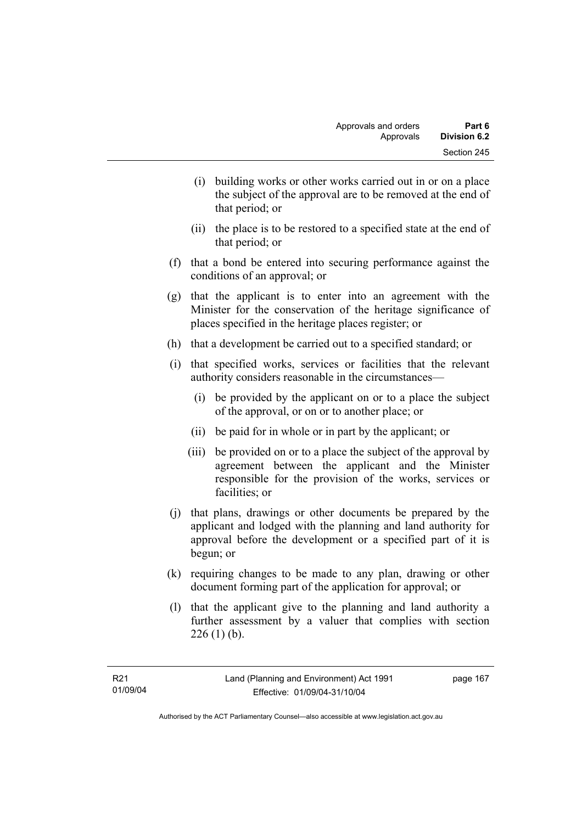- (i) building works or other works carried out in or on a place the subject of the approval are to be removed at the end of that period; or
- (ii) the place is to be restored to a specified state at the end of that period; or
- (f) that a bond be entered into securing performance against the conditions of an approval; or
- (g) that the applicant is to enter into an agreement with the Minister for the conservation of the heritage significance of places specified in the heritage places register; or
- (h) that a development be carried out to a specified standard; or
- (i) that specified works, services or facilities that the relevant authority considers reasonable in the circumstances—
	- (i) be provided by the applicant on or to a place the subject of the approval, or on or to another place; or
	- (ii) be paid for in whole or in part by the applicant; or
	- (iii) be provided on or to a place the subject of the approval by agreement between the applicant and the Minister responsible for the provision of the works, services or facilities; or
- (j) that plans, drawings or other documents be prepared by the applicant and lodged with the planning and land authority for approval before the development or a specified part of it is begun; or
- (k) requiring changes to be made to any plan, drawing or other document forming part of the application for approval; or
- (l) that the applicant give to the planning and land authority a further assessment by a valuer that complies with section  $226$  (1) (b).

page 167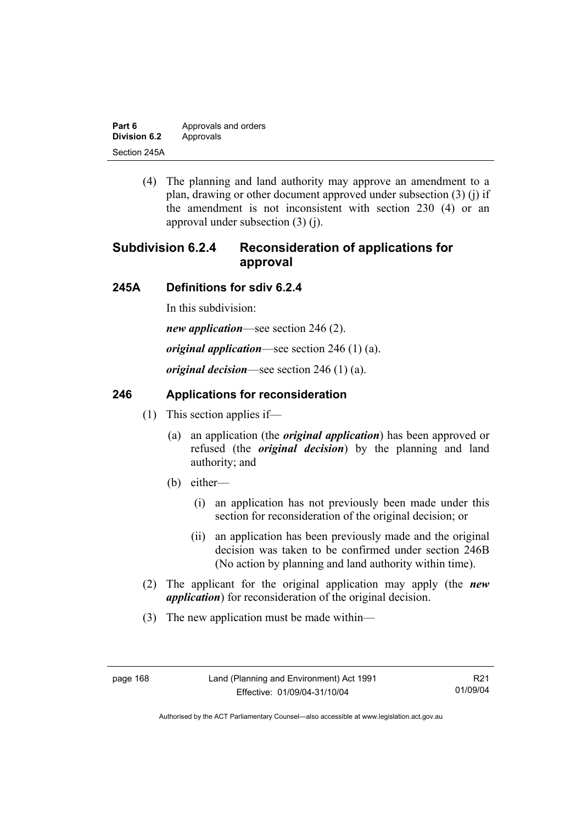| Part 6       | Approvals and orders |
|--------------|----------------------|
| Division 6.2 | Approvals            |
| Section 245A |                      |

 (4) The planning and land authority may approve an amendment to a plan, drawing or other document approved under subsection (3) (j) if the amendment is not inconsistent with section 230 (4) or an approval under subsection (3) (j).

# **Subdivision 6.2.4 Reconsideration of applications for approval**

#### **245A Definitions for sdiv 6.2.4**

In this subdivision:

*new application*—see section 246 (2).

*original application*—see section 246 (1) (a).

*original decision*—see section 246 (1) (a).

### **246 Applications for reconsideration**

- (1) This section applies if—
	- (a) an application (the *original application*) has been approved or refused (the *original decision*) by the planning and land authority; and
	- (b) either—
		- (i) an application has not previously been made under this section for reconsideration of the original decision; or
		- (ii) an application has been previously made and the original decision was taken to be confirmed under section 246B (No action by planning and land authority within time).
- (2) The applicant for the original application may apply (the *new application*) for reconsideration of the original decision.
- (3) The new application must be made within—

R21 01/09/04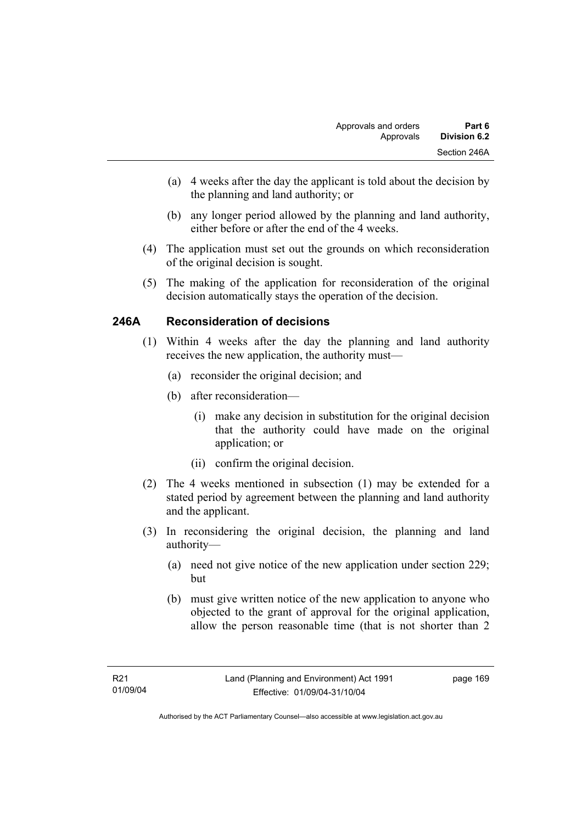- (a) 4 weeks after the day the applicant is told about the decision by the planning and land authority; or
- (b) any longer period allowed by the planning and land authority, either before or after the end of the 4 weeks.
- (4) The application must set out the grounds on which reconsideration of the original decision is sought.
- (5) The making of the application for reconsideration of the original decision automatically stays the operation of the decision.

## **246A Reconsideration of decisions**

- (1) Within 4 weeks after the day the planning and land authority receives the new application, the authority must—
	- (a) reconsider the original decision; and
	- (b) after reconsideration—
		- (i) make any decision in substitution for the original decision that the authority could have made on the original application; or
		- (ii) confirm the original decision.
- (2) The 4 weeks mentioned in subsection (1) may be extended for a stated period by agreement between the planning and land authority and the applicant.
- (3) In reconsidering the original decision, the planning and land authority—
	- (a) need not give notice of the new application under section 229; but
	- (b) must give written notice of the new application to anyone who objected to the grant of approval for the original application, allow the person reasonable time (that is not shorter than 2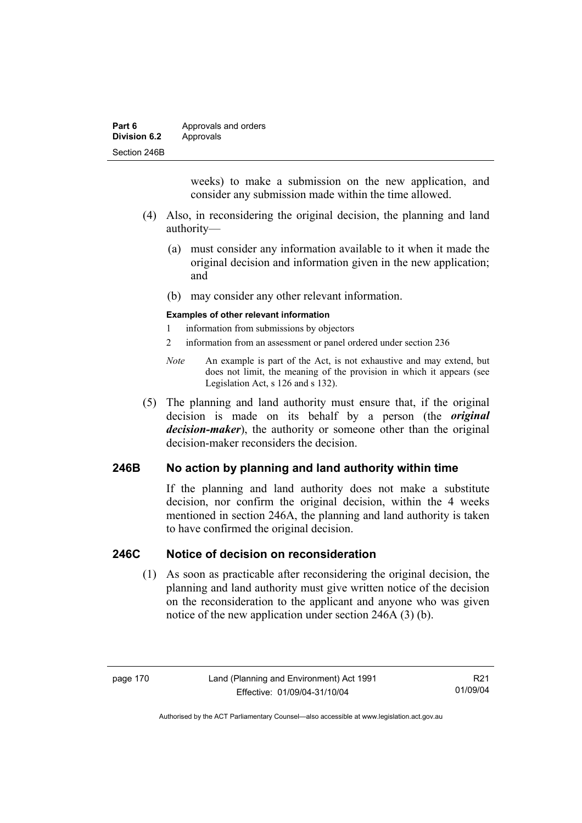| Part 6              | Approvals and orders |  |
|---------------------|----------------------|--|
| <b>Division 6.2</b> | Approvals            |  |
| Section 246B        |                      |  |

weeks) to make a submission on the new application, and consider any submission made within the time allowed.

- (4) Also, in reconsidering the original decision, the planning and land authority—
	- (a) must consider any information available to it when it made the original decision and information given in the new application; and
	- (b) may consider any other relevant information.

#### **Examples of other relevant information**

- 1 information from submissions by objectors
- 2 information from an assessment or panel ordered under section 236
- *Note* An example is part of the Act, is not exhaustive and may extend, but does not limit, the meaning of the provision in which it appears (see Legislation Act, s 126 and s 132).
- (5) The planning and land authority must ensure that, if the original decision is made on its behalf by a person (the *original decision-maker*), the authority or someone other than the original decision-maker reconsiders the decision.

### **246B No action by planning and land authority within time**

If the planning and land authority does not make a substitute decision, nor confirm the original decision, within the 4 weeks mentioned in section 246A, the planning and land authority is taken to have confirmed the original decision.

#### **246C Notice of decision on reconsideration**

 (1) As soon as practicable after reconsidering the original decision, the planning and land authority must give written notice of the decision on the reconsideration to the applicant and anyone who was given notice of the new application under section 246A (3) (b).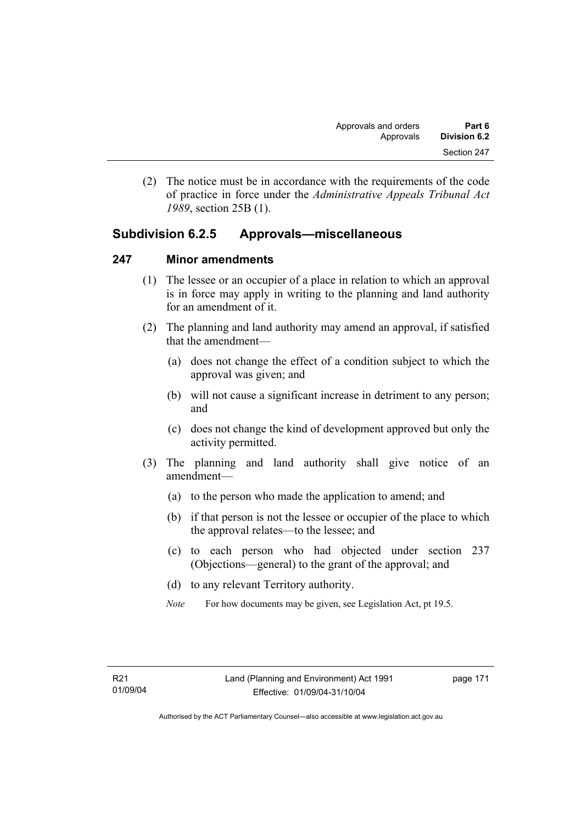(2) The notice must be in accordance with the requirements of the code of practice in force under the *Administrative Appeals Tribunal Act 1989*, section 25B (1).

# **Subdivision 6.2.5 Approvals—miscellaneous**

### **247 Minor amendments**

- (1) The lessee or an occupier of a place in relation to which an approval is in force may apply in writing to the planning and land authority for an amendment of it.
- (2) The planning and land authority may amend an approval, if satisfied that the amendment—
	- (a) does not change the effect of a condition subject to which the approval was given; and
	- (b) will not cause a significant increase in detriment to any person; and
	- (c) does not change the kind of development approved but only the activity permitted.
- (3) The planning and land authority shall give notice of an amendment—
	- (a) to the person who made the application to amend; and
	- (b) if that person is not the lessee or occupier of the place to which the approval relates—to the lessee; and
	- (c) to each person who had objected under section 237 (Objections—general) to the grant of the approval; and
	- (d) to any relevant Territory authority.
	- *Note* For how documents may be given, see Legislation Act, pt 19.5.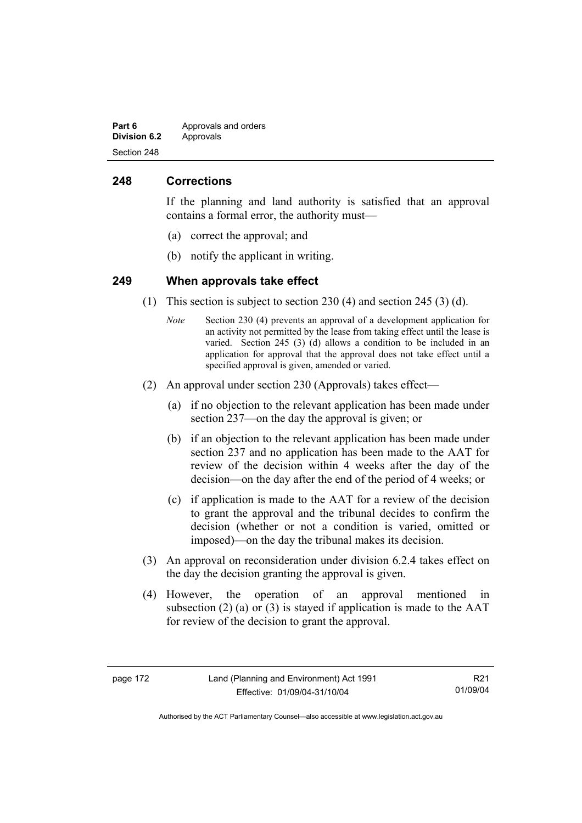| Part 6       | Approvals and orders |
|--------------|----------------------|
| Division 6.2 | Approvals            |
| Section 248  |                      |

### **248 Corrections**

If the planning and land authority is satisfied that an approval contains a formal error, the authority must—

- (a) correct the approval; and
- (b) notify the applicant in writing.

#### **249 When approvals take effect**

- (1) This section is subject to section 230 (4) and section 245 (3) (d).
	- *Note* Section 230 (4) prevents an approval of a development application for an activity not permitted by the lease from taking effect until the lease is varied. Section 245 (3) (d) allows a condition to be included in an application for approval that the approval does not take effect until a specified approval is given, amended or varied.
- (2) An approval under section 230 (Approvals) takes effect—
	- (a) if no objection to the relevant application has been made under section 237—on the day the approval is given; or
	- (b) if an objection to the relevant application has been made under section 237 and no application has been made to the AAT for review of the decision within 4 weeks after the day of the decision—on the day after the end of the period of 4 weeks; or
	- (c) if application is made to the AAT for a review of the decision to grant the approval and the tribunal decides to confirm the decision (whether or not a condition is varied, omitted or imposed)—on the day the tribunal makes its decision.
- (3) An approval on reconsideration under division 6.2.4 takes effect on the day the decision granting the approval is given.
- (4) However, the operation of an approval mentioned in subsection (2) (a) or (3) is stayed if application is made to the  $AAT$ for review of the decision to grant the approval.

R21 01/09/04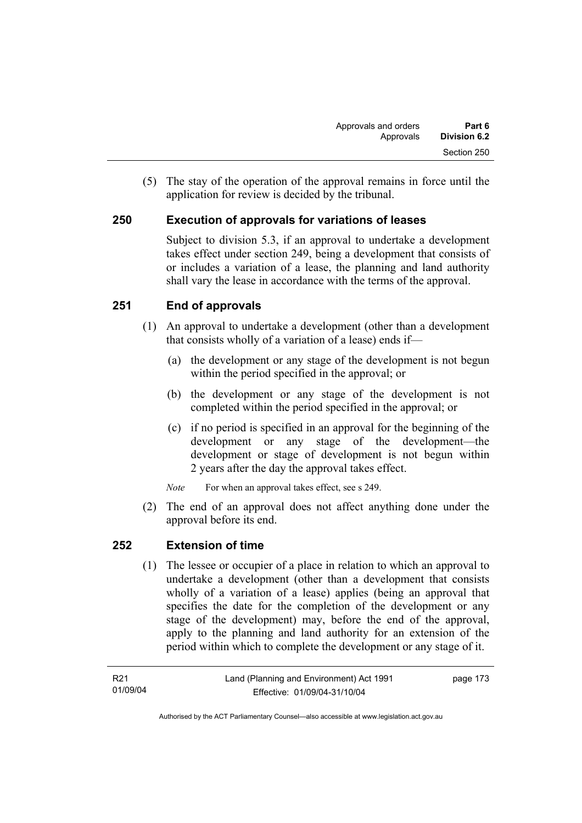(5) The stay of the operation of the approval remains in force until the application for review is decided by the tribunal.

# **250 Execution of approvals for variations of leases**

Subject to division 5.3, if an approval to undertake a development takes effect under section 249, being a development that consists of or includes a variation of a lease, the planning and land authority shall vary the lease in accordance with the terms of the approval.

# **251 End of approvals**

- (1) An approval to undertake a development (other than a development that consists wholly of a variation of a lease) ends if—
	- (a) the development or any stage of the development is not begun within the period specified in the approval; or
	- (b) the development or any stage of the development is not completed within the period specified in the approval; or
	- (c) if no period is specified in an approval for the beginning of the development or any stage of the development—the development or stage of development is not begun within 2 years after the day the approval takes effect.

*Note* For when an approval takes effect, see s 249.

 (2) The end of an approval does not affect anything done under the approval before its end.

## **252 Extension of time**

 (1) The lessee or occupier of a place in relation to which an approval to undertake a development (other than a development that consists wholly of a variation of a lease) applies (being an approval that specifies the date for the completion of the development or any stage of the development) may, before the end of the approval, apply to the planning and land authority for an extension of the period within which to complete the development or any stage of it.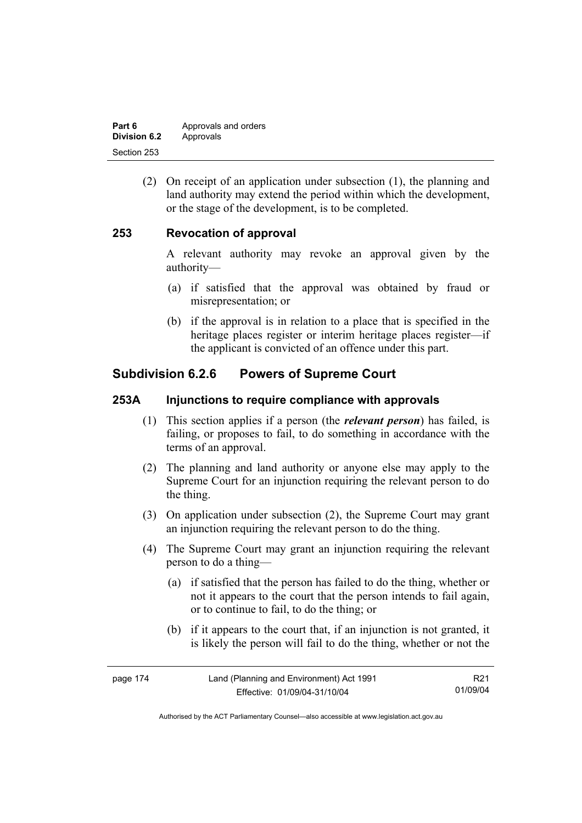| Part 6       | Approvals and orders |
|--------------|----------------------|
| Division 6.2 | Approvals            |
| Section 253  |                      |

 (2) On receipt of an application under subsection (1), the planning and land authority may extend the period within which the development, or the stage of the development, is to be completed.

#### **253 Revocation of approval**

A relevant authority may revoke an approval given by the authority—

- (a) if satisfied that the approval was obtained by fraud or misrepresentation; or
- (b) if the approval is in relation to a place that is specified in the heritage places register or interim heritage places register—if the applicant is convicted of an offence under this part.

# **Subdivision 6.2.6 Powers of Supreme Court**

#### **253A Injunctions to require compliance with approvals**

- (1) This section applies if a person (the *relevant person*) has failed, is failing, or proposes to fail, to do something in accordance with the terms of an approval.
- (2) The planning and land authority or anyone else may apply to the Supreme Court for an injunction requiring the relevant person to do the thing.
- (3) On application under subsection (2), the Supreme Court may grant an injunction requiring the relevant person to do the thing.
- (4) The Supreme Court may grant an injunction requiring the relevant person to do a thing—
	- (a) if satisfied that the person has failed to do the thing, whether or not it appears to the court that the person intends to fail again, or to continue to fail, to do the thing; or
	- (b) if it appears to the court that, if an injunction is not granted, it is likely the person will fail to do the thing, whether or not the

| page 174 | Land (Planning and Environment) Act 1991 | R21      |
|----------|------------------------------------------|----------|
|          | Effective: 01/09/04-31/10/04             | 01/09/04 |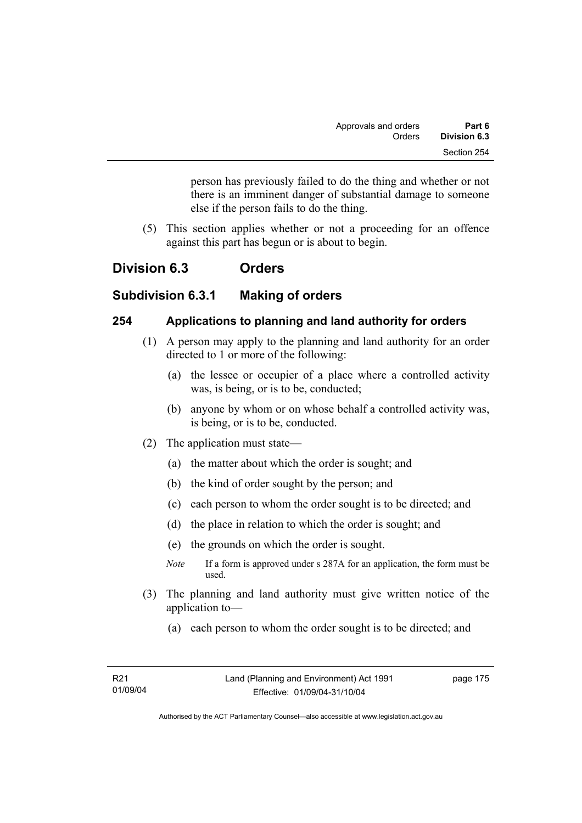person has previously failed to do the thing and whether or not there is an imminent danger of substantial damage to someone else if the person fails to do the thing.

 (5) This section applies whether or not a proceeding for an offence against this part has begun or is about to begin.

# **Division 6.3 Orders**

## **Subdivision 6.3.1 Making of orders**

#### **254 Applications to planning and land authority for orders**

- (1) A person may apply to the planning and land authority for an order directed to 1 or more of the following:
	- (a) the lessee or occupier of a place where a controlled activity was, is being, or is to be, conducted;
	- (b) anyone by whom or on whose behalf a controlled activity was, is being, or is to be, conducted.
- (2) The application must state—
	- (a) the matter about which the order is sought; and
	- (b) the kind of order sought by the person; and
	- (c) each person to whom the order sought is to be directed; and
	- (d) the place in relation to which the order is sought; and
	- (e) the grounds on which the order is sought.
	- *Note* If a form is approved under s 287A for an application, the form must be used.
- (3) The planning and land authority must give written notice of the application to—
	- (a) each person to whom the order sought is to be directed; and

page 175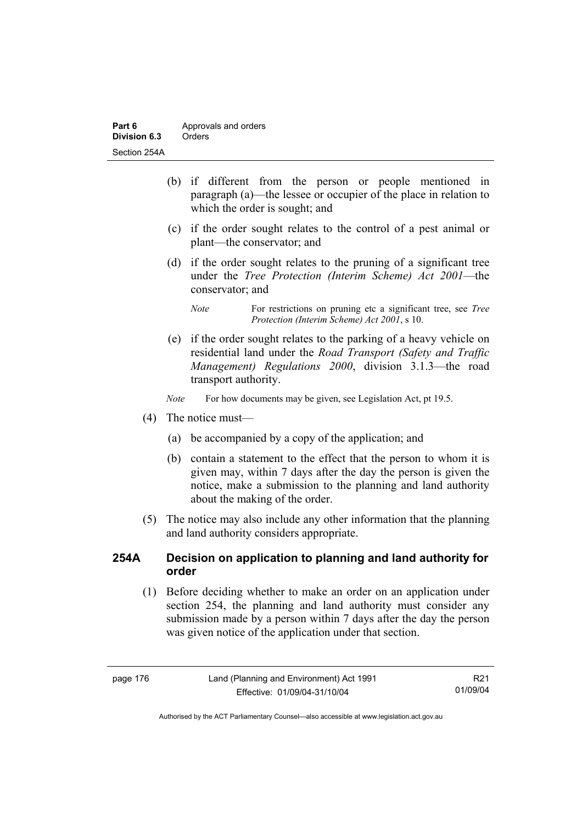| Part 6       | Approvals and orders |  |
|--------------|----------------------|--|
| Division 6.3 | Orders               |  |
| Section 254A |                      |  |

- (b) if different from the person or people mentioned in paragraph (a)—the lessee or occupier of the place in relation to which the order is sought; and
- (c) if the order sought relates to the control of a pest animal or plant—the conservator; and
- (d) if the order sought relates to the pruning of a significant tree under the *Tree Protection (Interim Scheme) Act 2001*—the conservator; and
	- *Note* For restrictions on pruning etc a significant tree, see *Tree Protection (Interim Scheme) Act 2001*, s 10.
- (e) if the order sought relates to the parking of a heavy vehicle on residential land under the *Road Transport (Safety and Traffic Management) Regulations 2000*, division 3.1.3—the road transport authority.

*Note* For how documents may be given, see Legislation Act, pt 19.5.

- (4) The notice must—
	- (a) be accompanied by a copy of the application; and
	- (b) contain a statement to the effect that the person to whom it is given may, within 7 days after the day the person is given the notice, make a submission to the planning and land authority about the making of the order.
- (5) The notice may also include any other information that the planning and land authority considers appropriate.

#### **254A Decision on application to planning and land authority for order**

 (1) Before deciding whether to make an order on an application under section 254, the planning and land authority must consider any submission made by a person within 7 days after the day the person was given notice of the application under that section.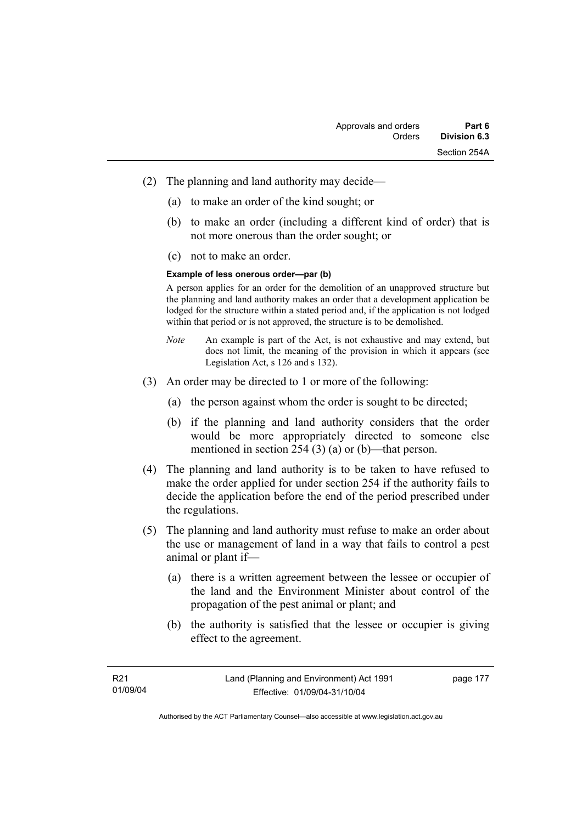- (2) The planning and land authority may decide—
	- (a) to make an order of the kind sought; or
	- (b) to make an order (including a different kind of order) that is not more onerous than the order sought; or
	- (c) not to make an order.

#### **Example of less onerous order—par (b)**

A person applies for an order for the demolition of an unapproved structure but the planning and land authority makes an order that a development application be lodged for the structure within a stated period and, if the application is not lodged within that period or is not approved, the structure is to be demolished.

- *Note* An example is part of the Act, is not exhaustive and may extend, but does not limit, the meaning of the provision in which it appears (see Legislation Act, s 126 and s 132).
- (3) An order may be directed to 1 or more of the following:
	- (a) the person against whom the order is sought to be directed;
	- (b) if the planning and land authority considers that the order would be more appropriately directed to someone else mentioned in section 254 (3) (a) or (b)—that person.
- (4) The planning and land authority is to be taken to have refused to make the order applied for under section 254 if the authority fails to decide the application before the end of the period prescribed under the regulations.
- (5) The planning and land authority must refuse to make an order about the use or management of land in a way that fails to control a pest animal or plant if—
	- (a) there is a written agreement between the lessee or occupier of the land and the Environment Minister about control of the propagation of the pest animal or plant; and
	- (b) the authority is satisfied that the lessee or occupier is giving effect to the agreement.

page 177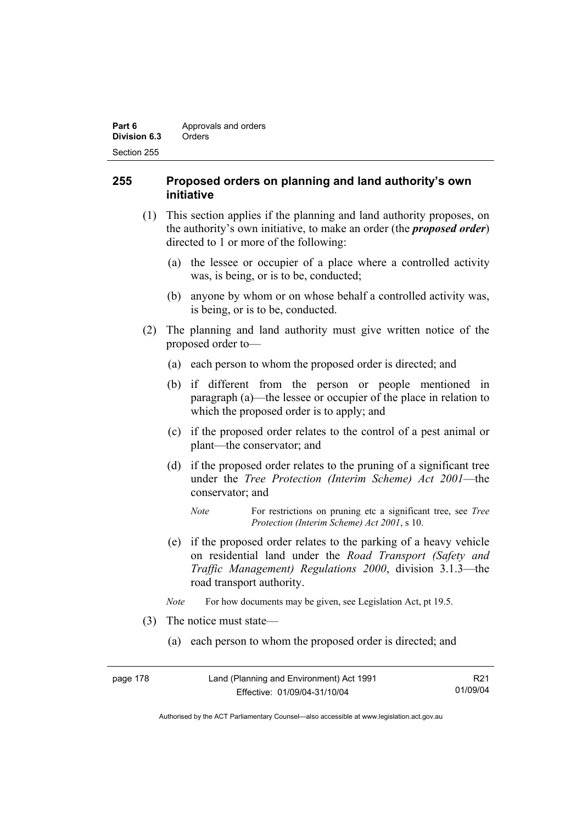| Part 6       | Approvals and orders |
|--------------|----------------------|
| Division 6.3 | Orders               |
| Section 255  |                      |

### **255 Proposed orders on planning and land authority's own initiative**

- (1) This section applies if the planning and land authority proposes, on the authority's own initiative, to make an order (the *proposed order*) directed to 1 or more of the following:
	- (a) the lessee or occupier of a place where a controlled activity was, is being, or is to be, conducted;
	- (b) anyone by whom or on whose behalf a controlled activity was, is being, or is to be, conducted.
- (2) The planning and land authority must give written notice of the proposed order to—
	- (a) each person to whom the proposed order is directed; and
	- (b) if different from the person or people mentioned in paragraph (a)—the lessee or occupier of the place in relation to which the proposed order is to apply; and
	- (c) if the proposed order relates to the control of a pest animal or plant—the conservator; and
	- (d) if the proposed order relates to the pruning of a significant tree under the *Tree Protection (Interim Scheme) Act 2001*—the conservator; and
		- *Note* For restrictions on pruning etc a significant tree, see *Tree Protection (Interim Scheme) Act 2001*, s 10.
	- (e) if the proposed order relates to the parking of a heavy vehicle on residential land under the *Road Transport (Safety and Traffic Management) Regulations 2000*, division 3.1.3—the road transport authority.
	- *Note* For how documents may be given, see Legislation Act, pt 19.5.
- (3) The notice must state—
	- (a) each person to whom the proposed order is directed; and

| page 178 | Land (Planning and Environment) Act 1991 | R21      |
|----------|------------------------------------------|----------|
|          | Effective: 01/09/04-31/10/04             | 01/09/04 |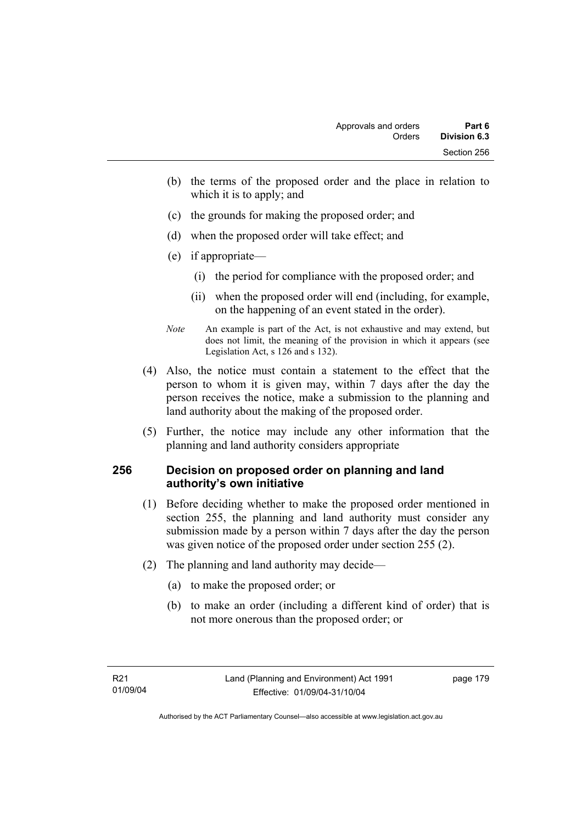- (b) the terms of the proposed order and the place in relation to which it is to apply; and
- (c) the grounds for making the proposed order; and
- (d) when the proposed order will take effect; and
- (e) if appropriate—
	- (i) the period for compliance with the proposed order; and
	- (ii) when the proposed order will end (including, for example, on the happening of an event stated in the order).
- *Note* An example is part of the Act, is not exhaustive and may extend, but does not limit, the meaning of the provision in which it appears (see Legislation Act, s 126 and s 132).
- (4) Also, the notice must contain a statement to the effect that the person to whom it is given may, within 7 days after the day the person receives the notice, make a submission to the planning and land authority about the making of the proposed order.
- (5) Further, the notice may include any other information that the planning and land authority considers appropriate

## **256 Decision on proposed order on planning and land authority's own initiative**

- (1) Before deciding whether to make the proposed order mentioned in section 255, the planning and land authority must consider any submission made by a person within 7 days after the day the person was given notice of the proposed order under section 255 (2).
- (2) The planning and land authority may decide—
	- (a) to make the proposed order; or
	- (b) to make an order (including a different kind of order) that is not more onerous than the proposed order; or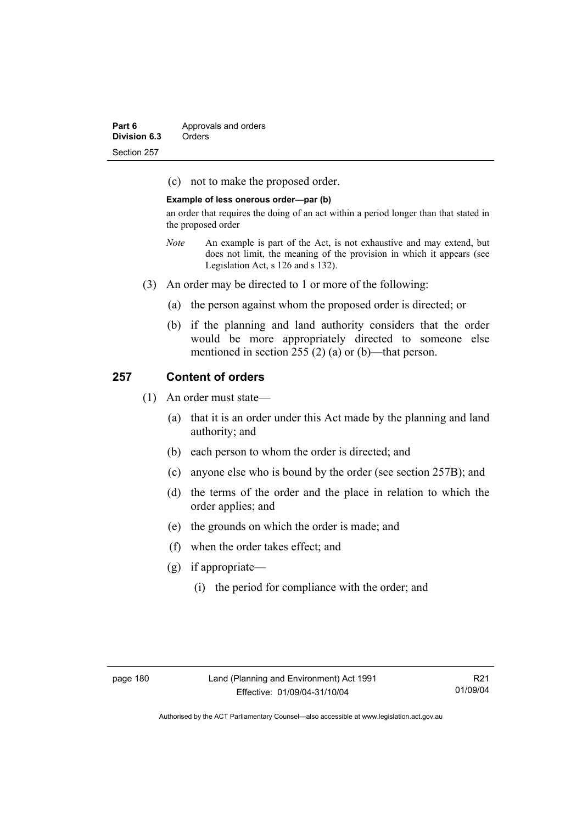| Part 6       | Approvals and orders |
|--------------|----------------------|
| Division 6.3 | Orders               |
| Section 257  |                      |

(c) not to make the proposed order.

#### **Example of less onerous order—par (b)**

an order that requires the doing of an act within a period longer than that stated in the proposed order

- *Note* An example is part of the Act, is not exhaustive and may extend, but does not limit, the meaning of the provision in which it appears (see Legislation Act, s 126 and s 132).
- (3) An order may be directed to 1 or more of the following:
	- (a) the person against whom the proposed order is directed; or
	- (b) if the planning and land authority considers that the order would be more appropriately directed to someone else mentioned in section 255 (2) (a) or (b)—that person.

#### **257 Content of orders**

- (1) An order must state—
	- (a) that it is an order under this Act made by the planning and land authority; and
	- (b) each person to whom the order is directed; and
	- (c) anyone else who is bound by the order (see section 257B); and
	- (d) the terms of the order and the place in relation to which the order applies; and
	- (e) the grounds on which the order is made; and
	- (f) when the order takes effect; and
	- (g) if appropriate—
		- (i) the period for compliance with the order; and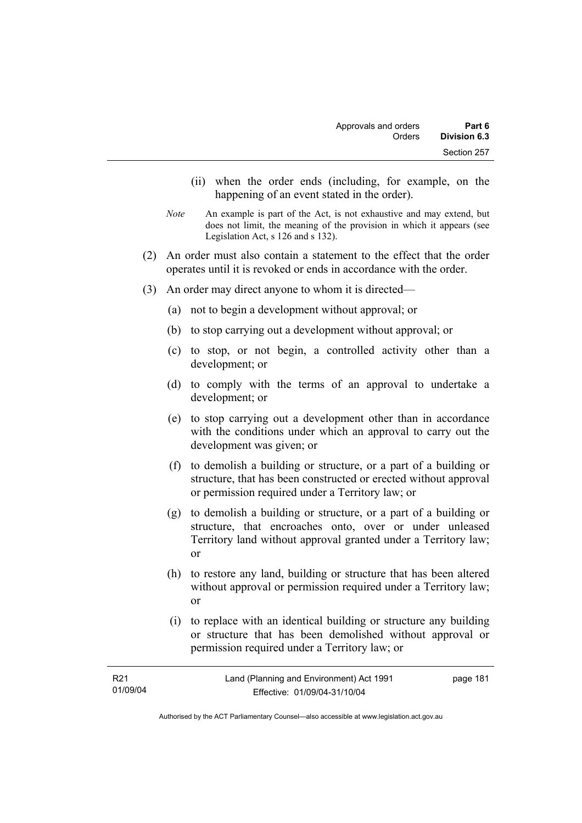- (ii) when the order ends (including, for example, on the happening of an event stated in the order).
- *Note* An example is part of the Act, is not exhaustive and may extend, but does not limit, the meaning of the provision in which it appears (see Legislation Act, s 126 and s 132).
- (2) An order must also contain a statement to the effect that the order operates until it is revoked or ends in accordance with the order.
- (3) An order may direct anyone to whom it is directed—
	- (a) not to begin a development without approval; or
	- (b) to stop carrying out a development without approval; or
	- (c) to stop, or not begin, a controlled activity other than a development; or
	- (d) to comply with the terms of an approval to undertake a development; or
	- (e) to stop carrying out a development other than in accordance with the conditions under which an approval to carry out the development was given; or
	- (f) to demolish a building or structure, or a part of a building or structure, that has been constructed or erected without approval or permission required under a Territory law; or
	- (g) to demolish a building or structure, or a part of a building or structure, that encroaches onto, over or under unleased Territory land without approval granted under a Territory law; or
	- (h) to restore any land, building or structure that has been altered without approval or permission required under a Territory law; or
	- (i) to replace with an identical building or structure any building or structure that has been demolished without approval or permission required under a Territory law; or

| R21      | Land (Planning and Environment) Act 1991 | page 181 |
|----------|------------------------------------------|----------|
| 01/09/04 | Effective: 01/09/04-31/10/04             |          |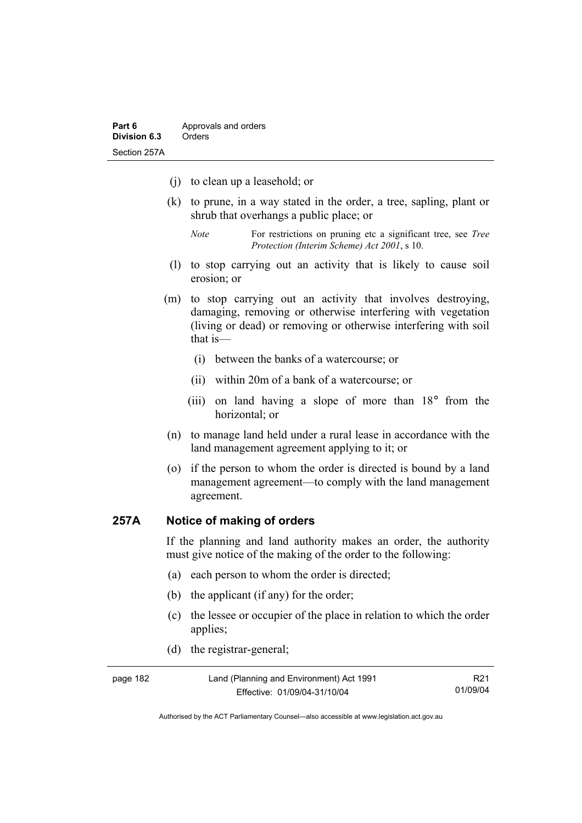- (j) to clean up a leasehold; or
- (k) to prune, in a way stated in the order, a tree, sapling, plant or shrub that overhangs a public place; or
	- *Note* For restrictions on pruning etc a significant tree, see *Tree Protection (Interim Scheme) Act 2001*, s 10.
- (l) to stop carrying out an activity that is likely to cause soil erosion; or
- (m) to stop carrying out an activity that involves destroying, damaging, removing or otherwise interfering with vegetation (living or dead) or removing or otherwise interfering with soil that is—
	- (i) between the banks of a watercourse; or
	- (ii) within 20m of a bank of a watercourse; or
	- (iii) on land having a slope of more than 18° from the horizontal; or
- (n) to manage land held under a rural lease in accordance with the land management agreement applying to it; or
- (o) if the person to whom the order is directed is bound by a land management agreement—to comply with the land management agreement.

### **257A Notice of making of orders**

If the planning and land authority makes an order, the authority must give notice of the making of the order to the following:

- (a) each person to whom the order is directed;
- (b) the applicant (if any) for the order;
- (c) the lessee or occupier of the place in relation to which the order applies;
- (d) the registrar-general;

| page 182 | Land (Planning and Environment) Act 1991 | R <sub>21</sub> |
|----------|------------------------------------------|-----------------|
|          | Effective: 01/09/04-31/10/04             | 01/09/04        |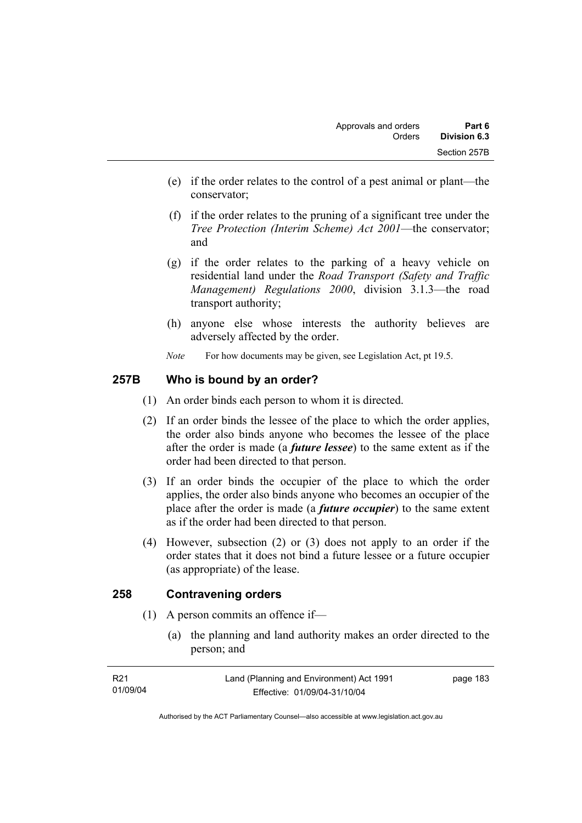- (e) if the order relates to the control of a pest animal or plant—the conservator;
- (f) if the order relates to the pruning of a significant tree under the *Tree Protection (Interim Scheme) Act 2001*—the conservator; and
- (g) if the order relates to the parking of a heavy vehicle on residential land under the *Road Transport (Safety and Traffic Management) Regulations 2000*, division 3.1.3—the road transport authority;
- (h) anyone else whose interests the authority believes are adversely affected by the order.
- *Note* For how documents may be given, see Legislation Act, pt 19.5.

## **257B Who is bound by an order?**

- (1) An order binds each person to whom it is directed.
- (2) If an order binds the lessee of the place to which the order applies, the order also binds anyone who becomes the lessee of the place after the order is made (a *future lessee*) to the same extent as if the order had been directed to that person.
- (3) If an order binds the occupier of the place to which the order applies, the order also binds anyone who becomes an occupier of the place after the order is made (a *future occupier*) to the same extent as if the order had been directed to that person.
- (4) However, subsection (2) or (3) does not apply to an order if the order states that it does not bind a future lessee or a future occupier (as appropriate) of the lease.

## **258 Contravening orders**

- (1) A person commits an offence if—
	- (a) the planning and land authority makes an order directed to the person; and

| R21      | Land (Planning and Environment) Act 1991 | page 183 |
|----------|------------------------------------------|----------|
| 01/09/04 | Effective: 01/09/04-31/10/04             |          |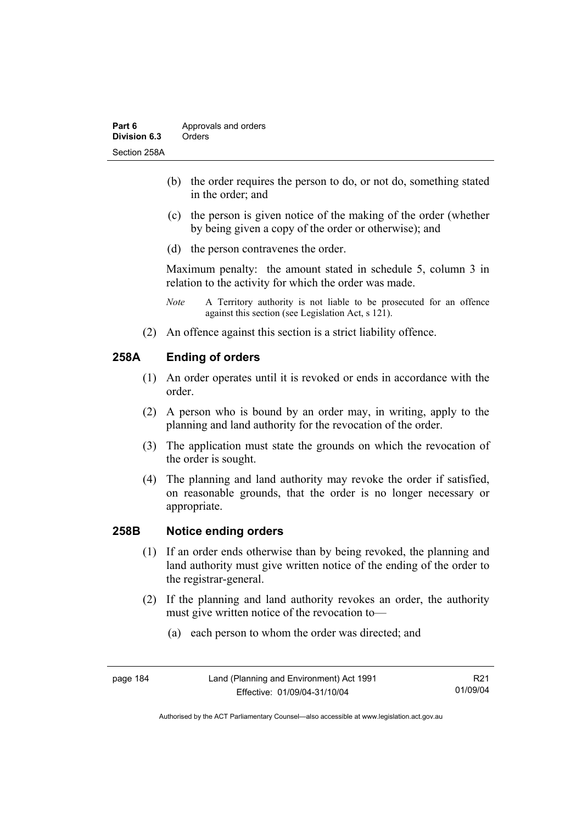- (b) the order requires the person to do, or not do, something stated in the order; and
- (c) the person is given notice of the making of the order (whether by being given a copy of the order or otherwise); and
- (d) the person contravenes the order.

Maximum penalty: the amount stated in schedule 5, column 3 in relation to the activity for which the order was made.

- *Note* A Territory authority is not liable to be prosecuted for an offence against this section (see Legislation Act, s 121).
- (2) An offence against this section is a strict liability offence.

## **258A Ending of orders**

- (1) An order operates until it is revoked or ends in accordance with the order.
- (2) A person who is bound by an order may, in writing, apply to the planning and land authority for the revocation of the order.
- (3) The application must state the grounds on which the revocation of the order is sought.
- (4) The planning and land authority may revoke the order if satisfied, on reasonable grounds, that the order is no longer necessary or appropriate.

#### **258B Notice ending orders**

- (1) If an order ends otherwise than by being revoked, the planning and land authority must give written notice of the ending of the order to the registrar-general.
- (2) If the planning and land authority revokes an order, the authority must give written notice of the revocation to—
	- (a) each person to whom the order was directed; and

R21 01/09/04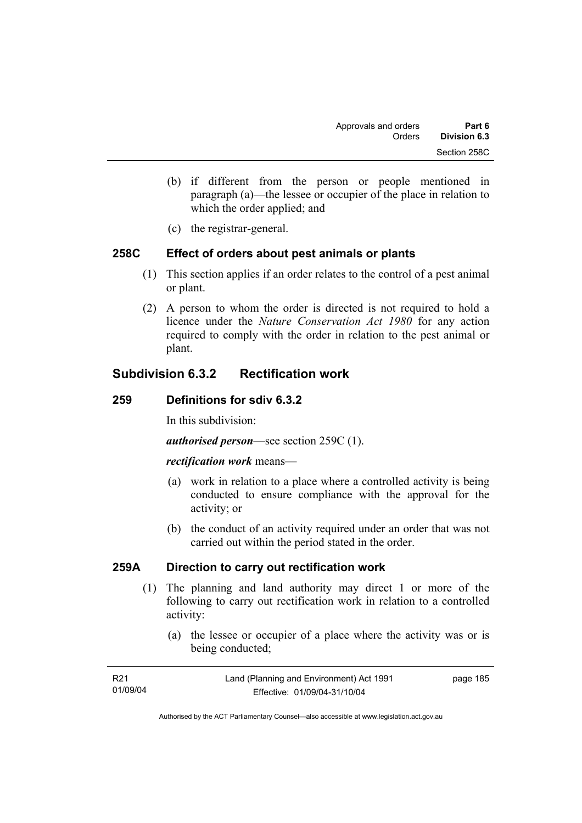- (b) if different from the person or people mentioned in paragraph (a)—the lessee or occupier of the place in relation to which the order applied; and
- (c) the registrar-general.

## **258C Effect of orders about pest animals or plants**

- (1) This section applies if an order relates to the control of a pest animal or plant.
- (2) A person to whom the order is directed is not required to hold a licence under the *Nature Conservation Act 1980* for any action required to comply with the order in relation to the pest animal or plant.

# **Subdivision 6.3.2 Rectification work**

#### **259 Definitions for sdiv 6.3.2**

In this subdivision:

*authorised person*—see section 259C (1).

#### *rectification work* means—

- (a) work in relation to a place where a controlled activity is being conducted to ensure compliance with the approval for the activity; or
- (b) the conduct of an activity required under an order that was not carried out within the period stated in the order.

## **259A Direction to carry out rectification work**

- (1) The planning and land authority may direct 1 or more of the following to carry out rectification work in relation to a controlled activity:
	- (a) the lessee or occupier of a place where the activity was or is being conducted;

| R21      | Land (Planning and Environment) Act 1991 | page 185 |
|----------|------------------------------------------|----------|
| 01/09/04 | Effective: 01/09/04-31/10/04             |          |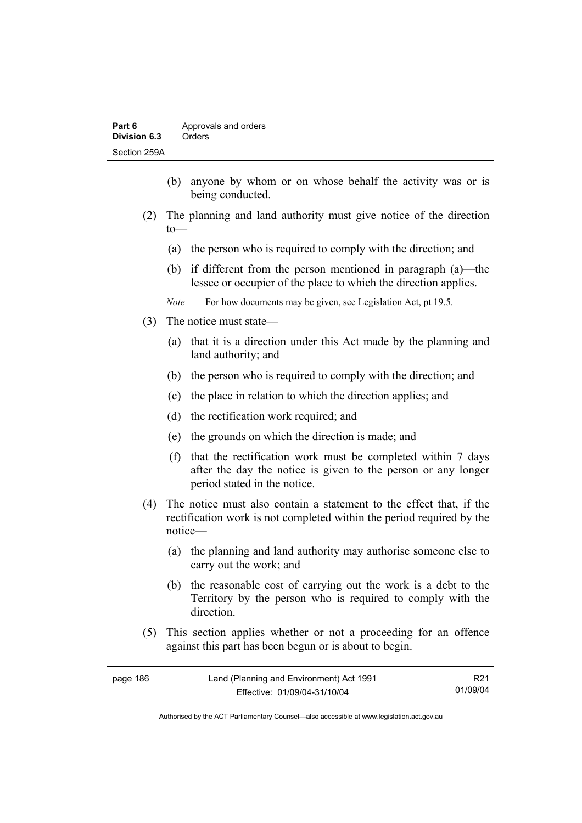- (b) anyone by whom or on whose behalf the activity was or is being conducted.
- (2) The planning and land authority must give notice of the direction to—
	- (a) the person who is required to comply with the direction; and
	- (b) if different from the person mentioned in paragraph (a)—the lessee or occupier of the place to which the direction applies.
	- *Note* For how documents may be given, see Legislation Act, pt 19.5.
- (3) The notice must state—
	- (a) that it is a direction under this Act made by the planning and land authority; and
	- (b) the person who is required to comply with the direction; and
	- (c) the place in relation to which the direction applies; and
	- (d) the rectification work required; and
	- (e) the grounds on which the direction is made; and
	- (f) that the rectification work must be completed within 7 days after the day the notice is given to the person or any longer period stated in the notice.
- (4) The notice must also contain a statement to the effect that, if the rectification work is not completed within the period required by the notice—
	- (a) the planning and land authority may authorise someone else to carry out the work; and
	- (b) the reasonable cost of carrying out the work is a debt to the Territory by the person who is required to comply with the direction.
- (5) This section applies whether or not a proceeding for an offence against this part has been begun or is about to begin.

| page 186 | Land (Planning and Environment) Act 1991 | R <sub>21</sub> |
|----------|------------------------------------------|-----------------|
|          | Effective: 01/09/04-31/10/04             | 01/09/04        |

Authorised by the ACT Parliamentary Counsel—also accessible at www.legislation.act.gov.au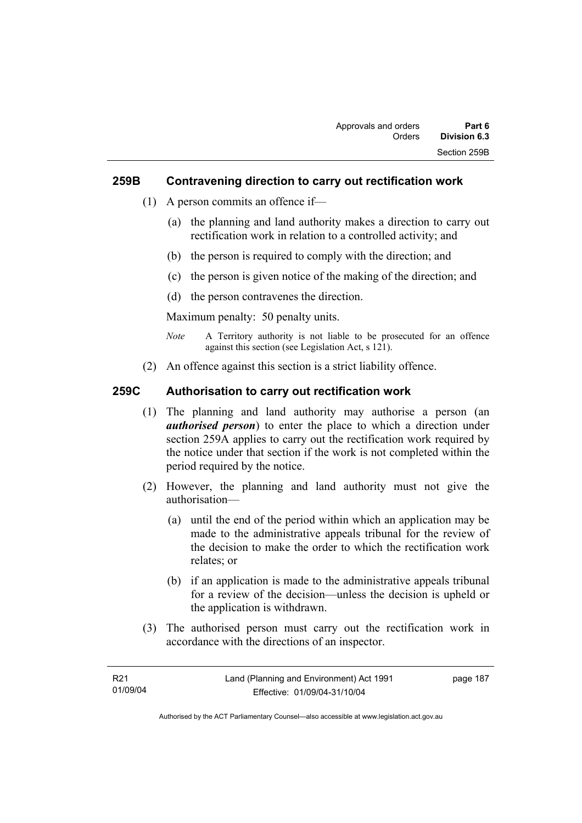### **259B Contravening direction to carry out rectification work**

- (1) A person commits an offence if—
	- (a) the planning and land authority makes a direction to carry out rectification work in relation to a controlled activity; and
	- (b) the person is required to comply with the direction; and
	- (c) the person is given notice of the making of the direction; and
	- (d) the person contravenes the direction.

Maximum penalty: 50 penalty units.

- *Note* A Territory authority is not liable to be prosecuted for an offence against this section (see Legislation Act, s 121).
- (2) An offence against this section is a strict liability offence.

### **259C Authorisation to carry out rectification work**

- (1) The planning and land authority may authorise a person (an *authorised person*) to enter the place to which a direction under section 259A applies to carry out the rectification work required by the notice under that section if the work is not completed within the period required by the notice.
- (2) However, the planning and land authority must not give the authorisation—
	- (a) until the end of the period within which an application may be made to the administrative appeals tribunal for the review of the decision to make the order to which the rectification work relates; or
	- (b) if an application is made to the administrative appeals tribunal for a review of the decision—unless the decision is upheld or the application is withdrawn.
- (3) The authorised person must carry out the rectification work in accordance with the directions of an inspector.

| R21      | Land (Planning and Environment) Act 1991 | page 187 |
|----------|------------------------------------------|----------|
| 01/09/04 | Effective: 01/09/04-31/10/04             |          |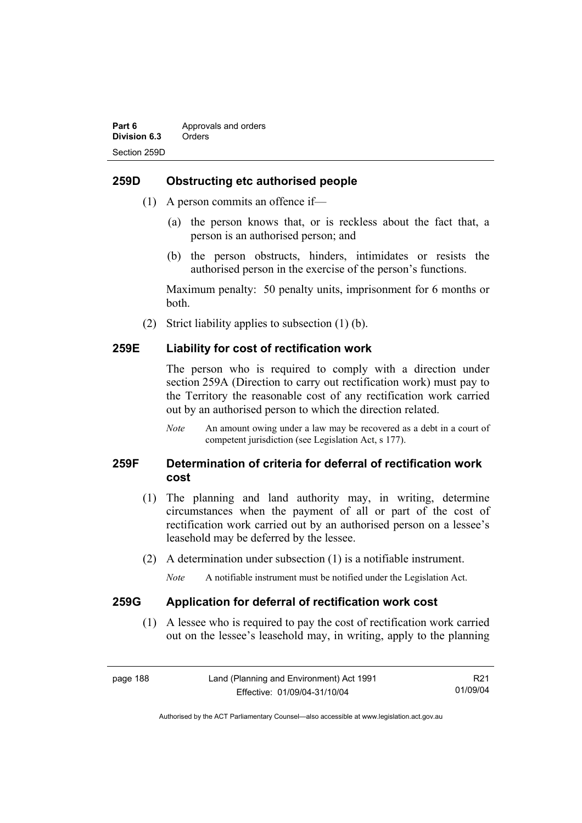### **259D Obstructing etc authorised people**

- (1) A person commits an offence if—
	- (a) the person knows that, or is reckless about the fact that, a person is an authorised person; and
	- (b) the person obstructs, hinders, intimidates or resists the authorised person in the exercise of the person's functions.

Maximum penalty: 50 penalty units, imprisonment for 6 months or both.

(2) Strict liability applies to subsection (1) (b).

#### **259E Liability for cost of rectification work**

The person who is required to comply with a direction under section 259A (Direction to carry out rectification work) must pay to the Territory the reasonable cost of any rectification work carried out by an authorised person to which the direction related.

*Note* An amount owing under a law may be recovered as a debt in a court of competent jurisdiction (see Legislation Act, s 177).

## **259F Determination of criteria for deferral of rectification work cost**

- (1) The planning and land authority may, in writing, determine circumstances when the payment of all or part of the cost of rectification work carried out by an authorised person on a lessee's leasehold may be deferred by the lessee.
- (2) A determination under subsection (1) is a notifiable instrument.

*Note* A notifiable instrument must be notified under the Legislation Act.

#### **259G Application for deferral of rectification work cost**

 (1) A lessee who is required to pay the cost of rectification work carried out on the lessee's leasehold may, in writing, apply to the planning

page 188 Land (Planning and Environment) Act 1991 Effective: 01/09/04-31/10/04 R21 01/09/04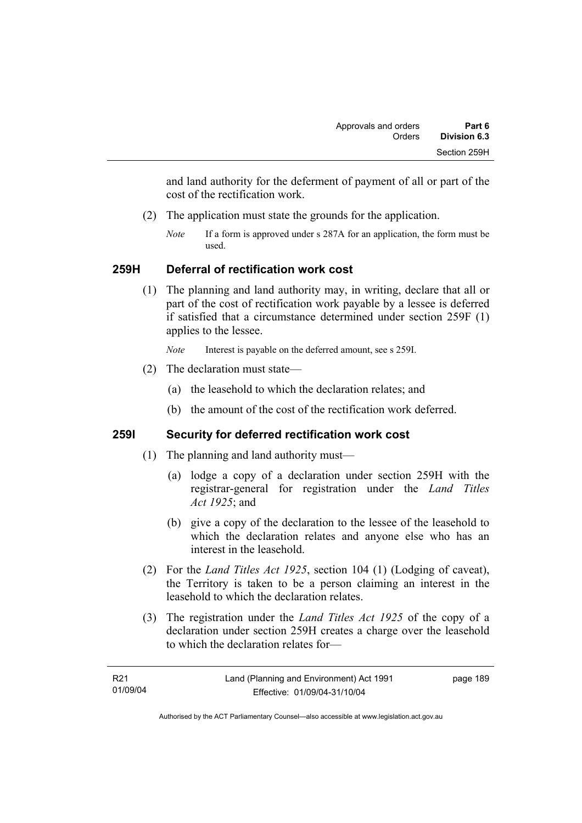and land authority for the deferment of payment of all or part of the cost of the rectification work.

- (2) The application must state the grounds for the application.
	- *Note* If a form is approved under s 287A for an application, the form must be used.

## **259H Deferral of rectification work cost**

 (1) The planning and land authority may, in writing, declare that all or part of the cost of rectification work payable by a lessee is deferred if satisfied that a circumstance determined under section 259F (1) applies to the lessee.

*Note* Interest is payable on the deferred amount, see s 259I.

- (2) The declaration must state—
	- (a) the leasehold to which the declaration relates; and
	- (b) the amount of the cost of the rectification work deferred.

## **259I Security for deferred rectification work cost**

- (1) The planning and land authority must—
	- (a) lodge a copy of a declaration under section 259H with the registrar-general for registration under the *Land Titles Act 1925*; and
	- (b) give a copy of the declaration to the lessee of the leasehold to which the declaration relates and anyone else who has an interest in the leasehold.
- (2) For the *Land Titles Act 1925*, section 104 (1) (Lodging of caveat), the Territory is taken to be a person claiming an interest in the leasehold to which the declaration relates.
- (3) The registration under the *Land Titles Act 1925* of the copy of a declaration under section 259H creates a charge over the leasehold to which the declaration relates for—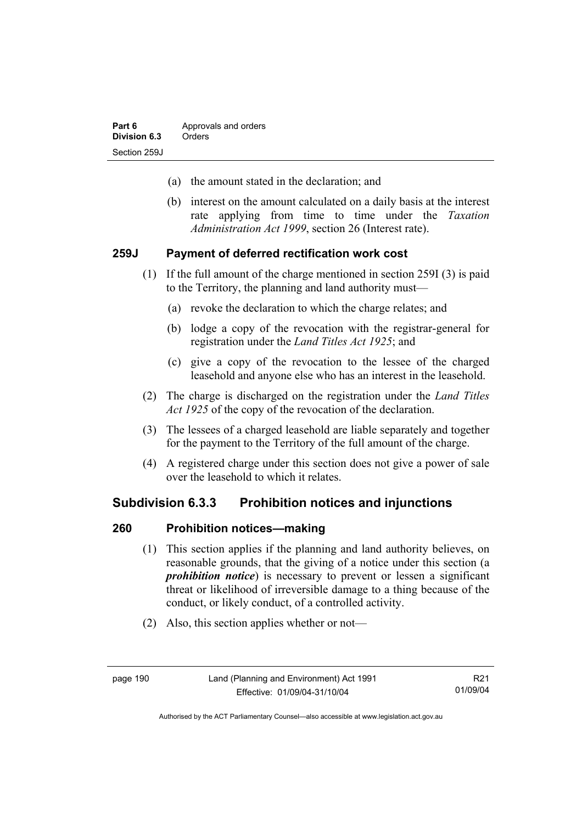- (a) the amount stated in the declaration; and
- (b) interest on the amount calculated on a daily basis at the interest rate applying from time to time under the *Taxation Administration Act 1999*, section 26 (Interest rate).

#### **259J Payment of deferred rectification work cost**

- (1) If the full amount of the charge mentioned in section 259I (3) is paid to the Territory, the planning and land authority must—
	- (a) revoke the declaration to which the charge relates; and
	- (b) lodge a copy of the revocation with the registrar-general for registration under the *Land Titles Act 1925*; and
	- (c) give a copy of the revocation to the lessee of the charged leasehold and anyone else who has an interest in the leasehold.
- (2) The charge is discharged on the registration under the *Land Titles Act 1925* of the copy of the revocation of the declaration.
- (3) The lessees of a charged leasehold are liable separately and together for the payment to the Territory of the full amount of the charge.
- (4) A registered charge under this section does not give a power of sale over the leasehold to which it relates.

#### **Subdivision 6.3.3 Prohibition notices and injunctions**

#### **260 Prohibition notices—making**

- (1) This section applies if the planning and land authority believes, on reasonable grounds, that the giving of a notice under this section (a *prohibition notice*) is necessary to prevent or lessen a significant threat or likelihood of irreversible damage to a thing because of the conduct, or likely conduct, of a controlled activity.
- (2) Also, this section applies whether or not—

R21 01/09/04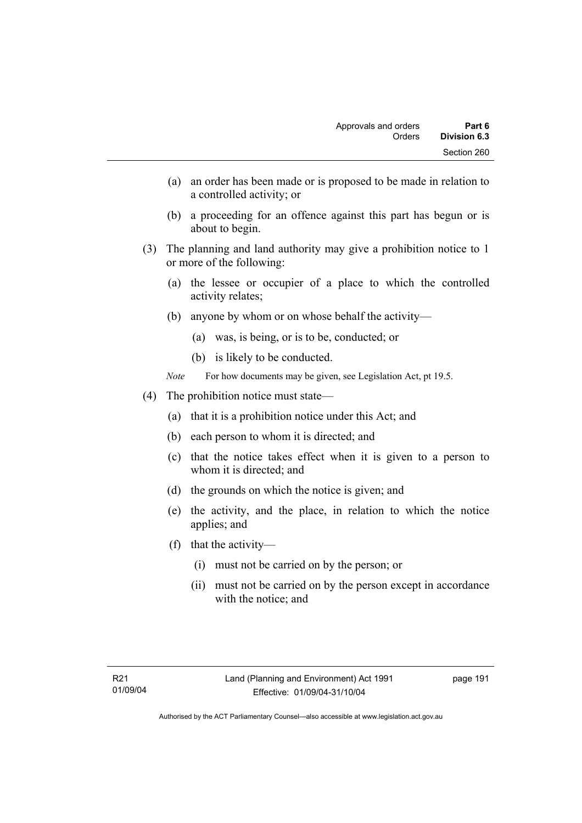- (a) an order has been made or is proposed to be made in relation to a controlled activity; or
- (b) a proceeding for an offence against this part has begun or is about to begin.
- (3) The planning and land authority may give a prohibition notice to 1 or more of the following:
	- (a) the lessee or occupier of a place to which the controlled activity relates;
	- (b) anyone by whom or on whose behalf the activity—
		- (a) was, is being, or is to be, conducted; or
		- (b) is likely to be conducted.
	- *Note* For how documents may be given, see Legislation Act, pt 19.5.
- (4) The prohibition notice must state—
	- (a) that it is a prohibition notice under this Act; and
	- (b) each person to whom it is directed; and
	- (c) that the notice takes effect when it is given to a person to whom it is directed; and
	- (d) the grounds on which the notice is given; and
	- (e) the activity, and the place, in relation to which the notice applies; and
	- (f) that the activity—
		- (i) must not be carried on by the person; or
		- (ii) must not be carried on by the person except in accordance with the notice; and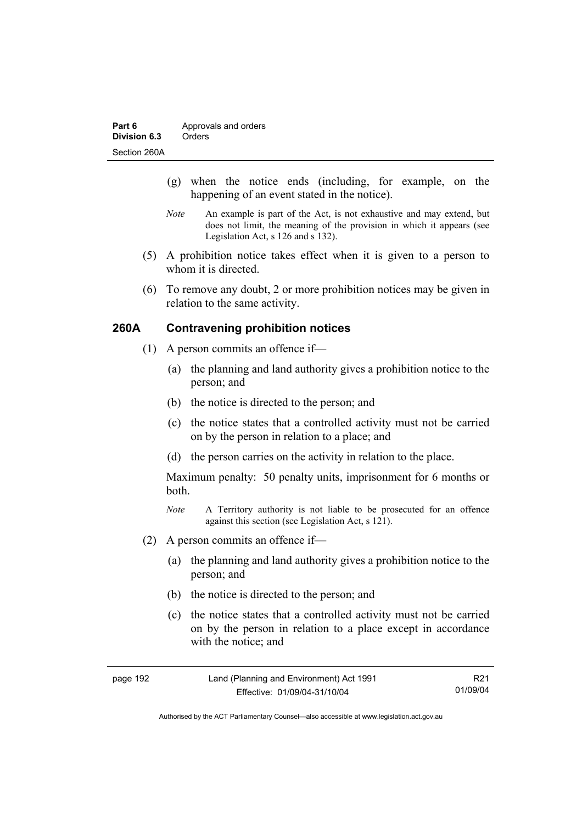- (g) when the notice ends (including, for example, on the happening of an event stated in the notice).
- *Note* An example is part of the Act, is not exhaustive and may extend, but does not limit, the meaning of the provision in which it appears (see Legislation Act, s 126 and s 132).
- (5) A prohibition notice takes effect when it is given to a person to whom it is directed.
- (6) To remove any doubt, 2 or more prohibition notices may be given in relation to the same activity.

### **260A Contravening prohibition notices**

- (1) A person commits an offence if—
	- (a) the planning and land authority gives a prohibition notice to the person; and
	- (b) the notice is directed to the person; and
	- (c) the notice states that a controlled activity must not be carried on by the person in relation to a place; and
	- (d) the person carries on the activity in relation to the place.

Maximum penalty: 50 penalty units, imprisonment for 6 months or both.

- *Note* A Territory authority is not liable to be prosecuted for an offence against this section (see Legislation Act, s 121).
- (2) A person commits an offence if—
	- (a) the planning and land authority gives a prohibition notice to the person; and
	- (b) the notice is directed to the person; and
	- (c) the notice states that a controlled activity must not be carried on by the person in relation to a place except in accordance with the notice; and

| page 192 | Land (Planning and Environment) Act 1991 | R <sub>21</sub> |
|----------|------------------------------------------|-----------------|
|          | Effective: 01/09/04-31/10/04             | 01/09/04        |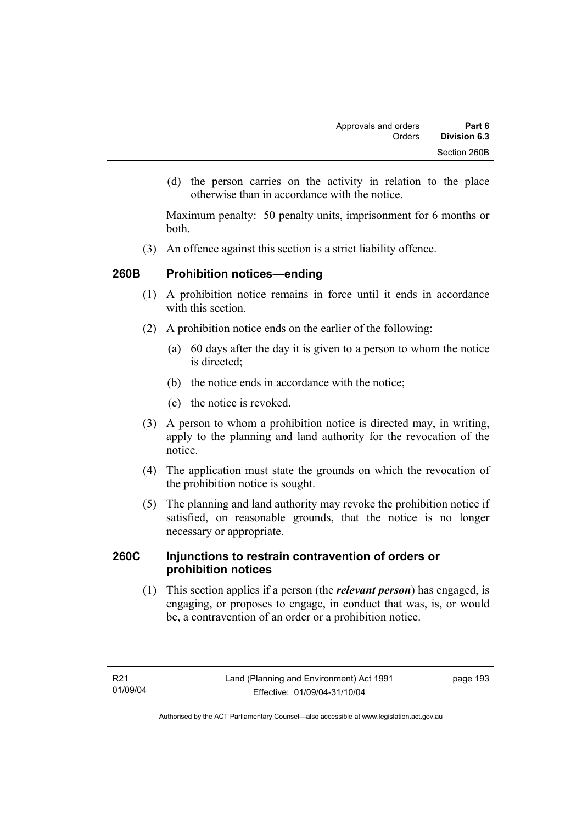(d) the person carries on the activity in relation to the place otherwise than in accordance with the notice.

Maximum penalty: 50 penalty units, imprisonment for 6 months or both.

(3) An offence against this section is a strict liability offence.

## **260B Prohibition notices—ending**

- (1) A prohibition notice remains in force until it ends in accordance with this section
- (2) A prohibition notice ends on the earlier of the following:
	- (a) 60 days after the day it is given to a person to whom the notice is directed:
	- (b) the notice ends in accordance with the notice;
	- (c) the notice is revoked.
- (3) A person to whom a prohibition notice is directed may, in writing, apply to the planning and land authority for the revocation of the notice.
- (4) The application must state the grounds on which the revocation of the prohibition notice is sought.
- (5) The planning and land authority may revoke the prohibition notice if satisfied, on reasonable grounds, that the notice is no longer necessary or appropriate.

### **260C Injunctions to restrain contravention of orders or prohibition notices**

 (1) This section applies if a person (the *relevant person*) has engaged, is engaging, or proposes to engage, in conduct that was, is, or would be, a contravention of an order or a prohibition notice.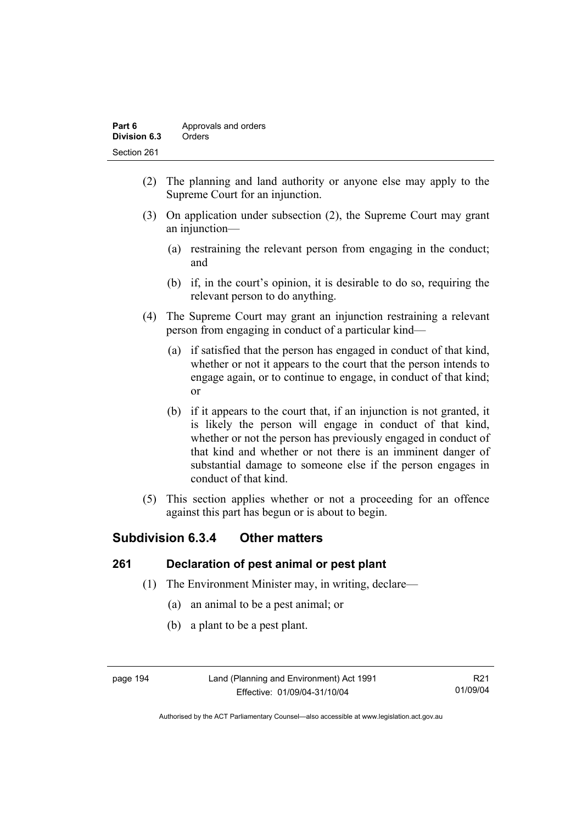| Part 6       | Approvals and orders |
|--------------|----------------------|
| Division 6.3 | Orders               |
| Section 261  |                      |

- (2) The planning and land authority or anyone else may apply to the Supreme Court for an injunction.
- (3) On application under subsection (2), the Supreme Court may grant an injunction—
	- (a) restraining the relevant person from engaging in the conduct; and
	- (b) if, in the court's opinion, it is desirable to do so, requiring the relevant person to do anything.
- (4) The Supreme Court may grant an injunction restraining a relevant person from engaging in conduct of a particular kind—
	- (a) if satisfied that the person has engaged in conduct of that kind, whether or not it appears to the court that the person intends to engage again, or to continue to engage, in conduct of that kind; or
	- (b) if it appears to the court that, if an injunction is not granted, it is likely the person will engage in conduct of that kind, whether or not the person has previously engaged in conduct of that kind and whether or not there is an imminent danger of substantial damage to someone else if the person engages in conduct of that kind.
- (5) This section applies whether or not a proceeding for an offence against this part has begun or is about to begin.

# **Subdivision 6.3.4 Other matters**

## **261 Declaration of pest animal or pest plant**

- (1) The Environment Minister may, in writing, declare—
	- (a) an animal to be a pest animal; or
	- (b) a plant to be a pest plant.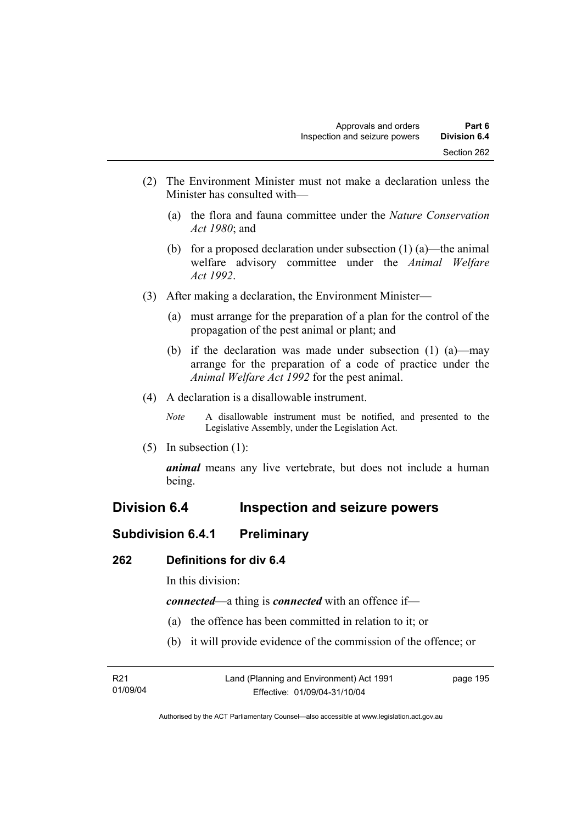- (2) The Environment Minister must not make a declaration unless the Minister has consulted with—
	- (a) the flora and fauna committee under the *Nature Conservation Act 1980*; and
	- (b) for a proposed declaration under subsection  $(1)$  (a)—the animal welfare advisory committee under the *Animal Welfare Act 1992*.
- (3) After making a declaration, the Environment Minister—
	- (a) must arrange for the preparation of a plan for the control of the propagation of the pest animal or plant; and
	- (b) if the declaration was made under subsection (1) (a)—may arrange for the preparation of a code of practice under the *Animal Welfare Act 1992* for the pest animal.
- (4) A declaration is a disallowable instrument.
	- *Note* A disallowable instrument must be notified, and presented to the Legislative Assembly, under the Legislation Act.
- (5) In subsection (1):

*animal* means any live vertebrate, but does not include a human being.

# **Division 6.4 Inspection and seizure powers**

## **Subdivision 6.4.1 Preliminary**

### **262 Definitions for div 6.4**

In this division:

*connected*—a thing is *connected* with an offence if—

- (a) the offence has been committed in relation to it; or
- (b) it will provide evidence of the commission of the offence; or

| R21      | Land (Planning and Environment) Act 1991 | page 195 |
|----------|------------------------------------------|----------|
| 01/09/04 | Effective: 01/09/04-31/10/04             |          |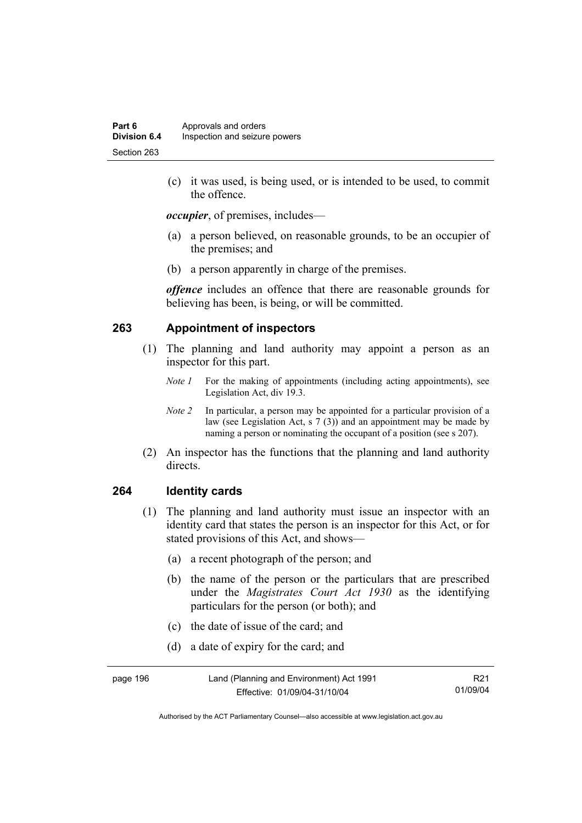(c) it was used, is being used, or is intended to be used, to commit the offence.

*occupier*, of premises, includes—

- (a) a person believed, on reasonable grounds, to be an occupier of the premises; and
- (b) a person apparently in charge of the premises.

*offence* includes an offence that there are reasonable grounds for believing has been, is being, or will be committed.

#### **263 Appointment of inspectors**

- (1) The planning and land authority may appoint a person as an inspector for this part.
	- *Note 1* For the making of appointments (including acting appointments), see Legislation Act, div 19.3.
	- *Note 2* In particular, a person may be appointed for a particular provision of a law (see Legislation Act, s 7 (3)) and an appointment may be made by naming a person or nominating the occupant of a position (see s 207).
- (2) An inspector has the functions that the planning and land authority directs.

#### **264 Identity cards**

- (1) The planning and land authority must issue an inspector with an identity card that states the person is an inspector for this Act, or for stated provisions of this Act, and shows—
	- (a) a recent photograph of the person; and
	- (b) the name of the person or the particulars that are prescribed under the *Magistrates Court Act 1930* as the identifying particulars for the person (or both); and
	- (c) the date of issue of the card; and
	- (d) a date of expiry for the card; and

| page 196 | Land (Planning and Environment) Act 1991 | R <sub>21</sub> |
|----------|------------------------------------------|-----------------|
|          | Effective: 01/09/04-31/10/04             | 01/09/04        |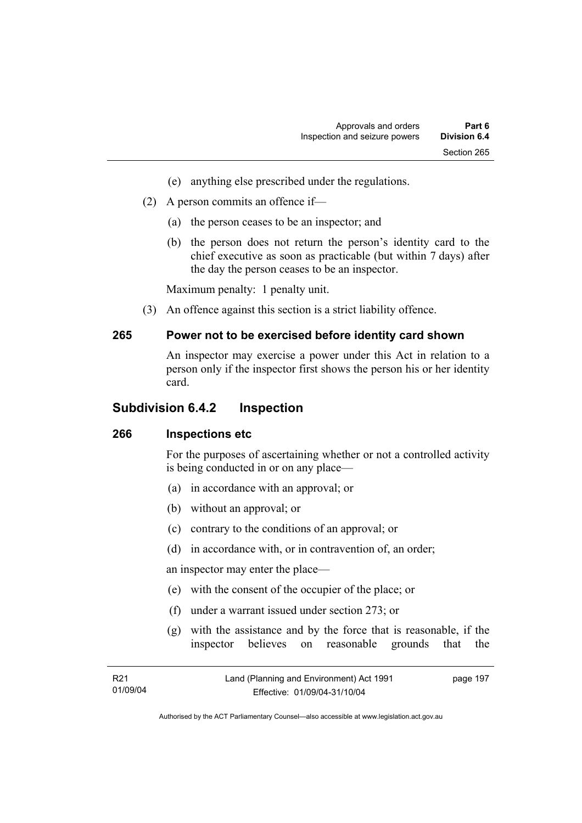- (e) anything else prescribed under the regulations.
- (2) A person commits an offence if—
	- (a) the person ceases to be an inspector; and
	- (b) the person does not return the person's identity card to the chief executive as soon as practicable (but within 7 days) after the day the person ceases to be an inspector.

Maximum penalty: 1 penalty unit.

(3) An offence against this section is a strict liability offence.

#### **265 Power not to be exercised before identity card shown**

An inspector may exercise a power under this Act in relation to a person only if the inspector first shows the person his or her identity card.

### **Subdivision 6.4.2 Inspection**

### **266 Inspections etc**

For the purposes of ascertaining whether or not a controlled activity is being conducted in or on any place—

- (a) in accordance with an approval; or
- (b) without an approval; or
- (c) contrary to the conditions of an approval; or
- (d) in accordance with, or in contravention of, an order;

an inspector may enter the place—

- (e) with the consent of the occupier of the place; or
- (f) under a warrant issued under section 273; or
- (g) with the assistance and by the force that is reasonable, if the inspector believes on reasonable grounds that the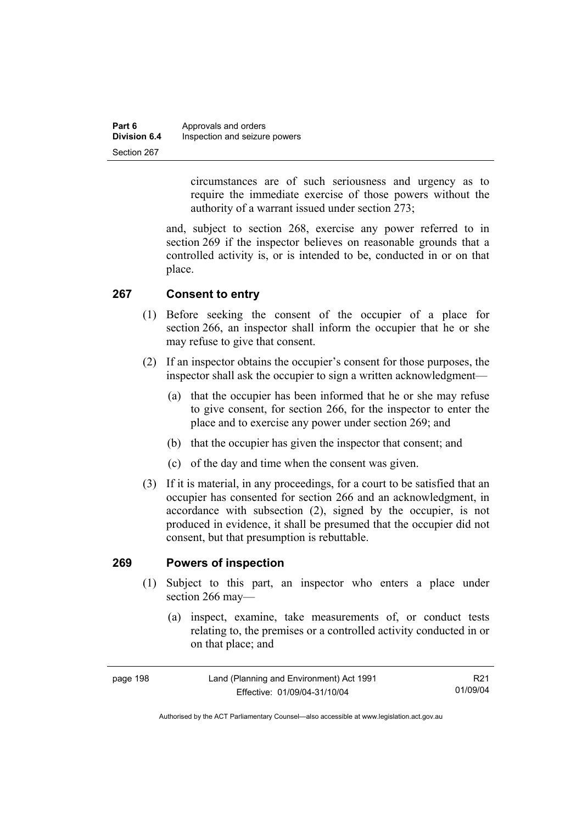| Part 6              | Approvals and orders          |
|---------------------|-------------------------------|
| <b>Division 6.4</b> | Inspection and seizure powers |
| Section 267         |                               |

circumstances are of such seriousness and urgency as to require the immediate exercise of those powers without the authority of a warrant issued under section 273;

and, subject to section 268, exercise any power referred to in section 269 if the inspector believes on reasonable grounds that a controlled activity is, or is intended to be, conducted in or on that place.

#### **267 Consent to entry**

- (1) Before seeking the consent of the occupier of a place for section 266, an inspector shall inform the occupier that he or she may refuse to give that consent.
- (2) If an inspector obtains the occupier's consent for those purposes, the inspector shall ask the occupier to sign a written acknowledgment—
	- (a) that the occupier has been informed that he or she may refuse to give consent, for section 266, for the inspector to enter the place and to exercise any power under section 269; and
	- (b) that the occupier has given the inspector that consent; and
	- (c) of the day and time when the consent was given.
- (3) If it is material, in any proceedings, for a court to be satisfied that an occupier has consented for section 266 and an acknowledgment, in accordance with subsection (2), signed by the occupier, is not produced in evidence, it shall be presumed that the occupier did not consent, but that presumption is rebuttable.

#### **269 Powers of inspection**

- (1) Subject to this part, an inspector who enters a place under section 266 may—
	- (a) inspect, examine, take measurements of, or conduct tests relating to, the premises or a controlled activity conducted in or on that place; and

| page 198 | Land (Planning and Environment) Act 1991 | R <sub>21</sub> |
|----------|------------------------------------------|-----------------|
|          | Effective: 01/09/04-31/10/04             | 01/09/04        |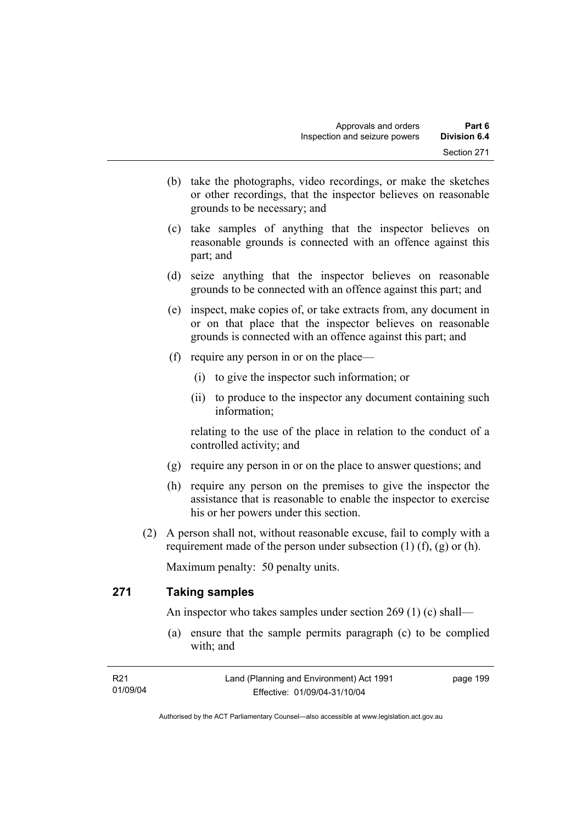- (b) take the photographs, video recordings, or make the sketches or other recordings, that the inspector believes on reasonable grounds to be necessary; and
- (c) take samples of anything that the inspector believes on reasonable grounds is connected with an offence against this part; and
- (d) seize anything that the inspector believes on reasonable grounds to be connected with an offence against this part; and
- (e) inspect, make copies of, or take extracts from, any document in or on that place that the inspector believes on reasonable grounds is connected with an offence against this part; and
- (f) require any person in or on the place—
	- (i) to give the inspector such information; or
	- (ii) to produce to the inspector any document containing such information;

relating to the use of the place in relation to the conduct of a controlled activity; and

- (g) require any person in or on the place to answer questions; and
- (h) require any person on the premises to give the inspector the assistance that is reasonable to enable the inspector to exercise his or her powers under this section.
- (2) A person shall not, without reasonable excuse, fail to comply with a requirement made of the person under subsection  $(1)$   $(f)$ ,  $(g)$  or  $(h)$ .

Maximum penalty: 50 penalty units.

### **271 Taking samples**

An inspector who takes samples under section 269 (1) (c) shall—

 (a) ensure that the sample permits paragraph (c) to be complied with; and

| R21      | Land (Planning and Environment) Act 1991 | page 199 |
|----------|------------------------------------------|----------|
| 01/09/04 | Effective: 01/09/04-31/10/04             |          |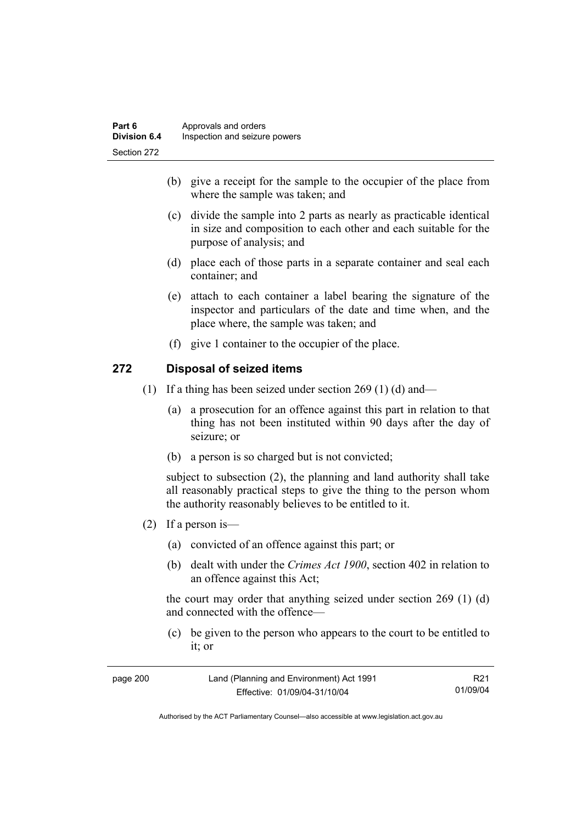- (b) give a receipt for the sample to the occupier of the place from where the sample was taken; and
- (c) divide the sample into 2 parts as nearly as practicable identical in size and composition to each other and each suitable for the purpose of analysis; and
- (d) place each of those parts in a separate container and seal each container; and
- (e) attach to each container a label bearing the signature of the inspector and particulars of the date and time when, and the place where, the sample was taken; and
- (f) give 1 container to the occupier of the place.

### **272 Disposal of seized items**

- (1) If a thing has been seized under section 269 (1) (d) and—
	- (a) a prosecution for an offence against this part in relation to that thing has not been instituted within 90 days after the day of seizure; or
	- (b) a person is so charged but is not convicted;

subject to subsection (2), the planning and land authority shall take all reasonably practical steps to give the thing to the person whom the authority reasonably believes to be entitled to it.

- (2) If a person is—
	- (a) convicted of an offence against this part; or
	- (b) dealt with under the *Crimes Act 1900*, section 402 in relation to an offence against this Act;

the court may order that anything seized under section 269 (1) (d) and connected with the offence—

 (c) be given to the person who appears to the court to be entitled to it; or

| page 200 | Land (Planning and Environment) Act 1991 | R21      |
|----------|------------------------------------------|----------|
|          | Effective: 01/09/04-31/10/04             | 01/09/04 |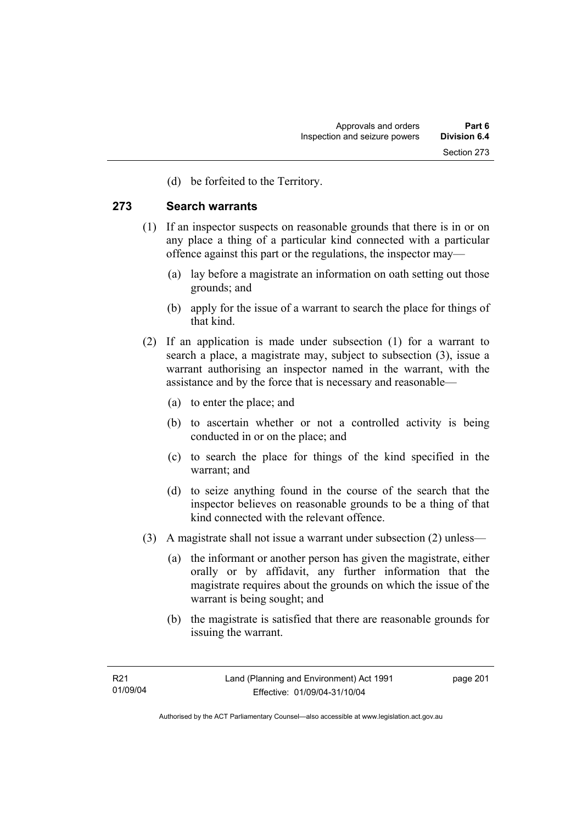(d) be forfeited to the Territory.

#### **273 Search warrants**

- (1) If an inspector suspects on reasonable grounds that there is in or on any place a thing of a particular kind connected with a particular offence against this part or the regulations, the inspector may—
	- (a) lay before a magistrate an information on oath setting out those grounds; and
	- (b) apply for the issue of a warrant to search the place for things of that kind.
- (2) If an application is made under subsection (1) for a warrant to search a place, a magistrate may, subject to subsection (3), issue a warrant authorising an inspector named in the warrant, with the assistance and by the force that is necessary and reasonable—
	- (a) to enter the place; and
	- (b) to ascertain whether or not a controlled activity is being conducted in or on the place; and
	- (c) to search the place for things of the kind specified in the warrant; and
	- (d) to seize anything found in the course of the search that the inspector believes on reasonable grounds to be a thing of that kind connected with the relevant offence.
- (3) A magistrate shall not issue a warrant under subsection (2) unless—
	- (a) the informant or another person has given the magistrate, either orally or by affidavit, any further information that the magistrate requires about the grounds on which the issue of the warrant is being sought; and
	- (b) the magistrate is satisfied that there are reasonable grounds for issuing the warrant.

page 201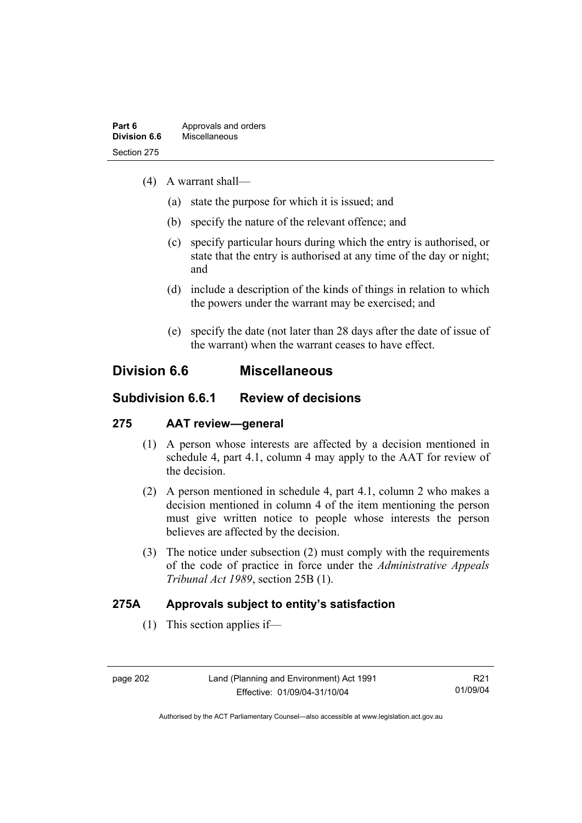- (4) A warrant shall—
	- (a) state the purpose for which it is issued; and
	- (b) specify the nature of the relevant offence; and
	- (c) specify particular hours during which the entry is authorised, or state that the entry is authorised at any time of the day or night; and
	- (d) include a description of the kinds of things in relation to which the powers under the warrant may be exercised; and
	- (e) specify the date (not later than 28 days after the date of issue of the warrant) when the warrant ceases to have effect.

## **Division 6.6 Miscellaneous**

## **Subdivision 6.6.1 Review of decisions**

## **275 AAT review—general**

- (1) A person whose interests are affected by a decision mentioned in schedule 4, part 4.1, column 4 may apply to the AAT for review of the decision.
- (2) A person mentioned in schedule 4, part 4.1, column 2 who makes a decision mentioned in column 4 of the item mentioning the person must give written notice to people whose interests the person believes are affected by the decision.
- (3) The notice under subsection (2) must comply with the requirements of the code of practice in force under the *Administrative Appeals Tribunal Act 1989*, section 25B (1).

## **275A Approvals subject to entity's satisfaction**

(1) This section applies if—

R21 01/09/04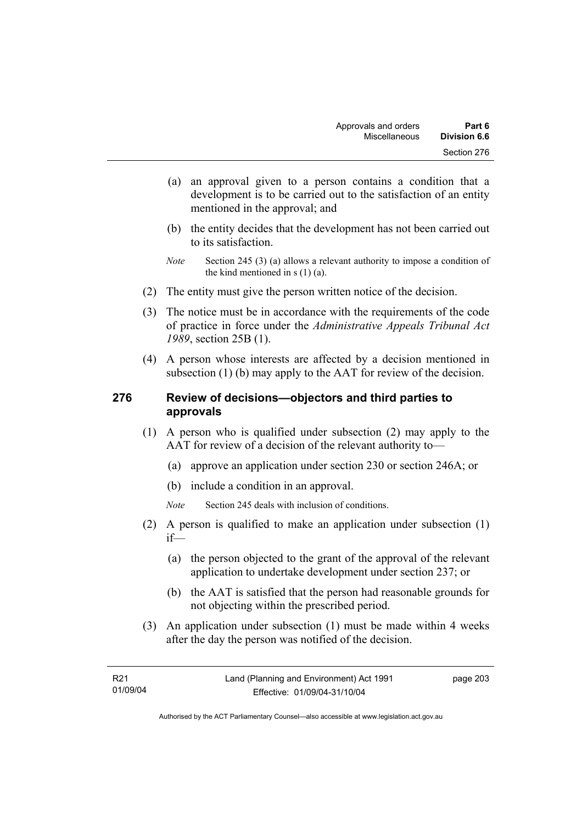- (a) an approval given to a person contains a condition that a development is to be carried out to the satisfaction of an entity mentioned in the approval; and
- (b) the entity decides that the development has not been carried out to its satisfaction.
- *Note* Section 245 (3) (a) allows a relevant authority to impose a condition of the kind mentioned in s (1) (a).
- (2) The entity must give the person written notice of the decision.
- (3) The notice must be in accordance with the requirements of the code of practice in force under the *Administrative Appeals Tribunal Act 1989*, section 25B (1).
- (4) A person whose interests are affected by a decision mentioned in subsection (1) (b) may apply to the AAT for review of the decision.

#### **276 Review of decisions—objectors and third parties to approvals**

- (1) A person who is qualified under subsection (2) may apply to the AAT for review of a decision of the relevant authority to—
	- (a) approve an application under section 230 or section 246A; or
	- (b) include a condition in an approval.
	- *Note* Section 245 deals with inclusion of conditions.
- (2) A person is qualified to make an application under subsection (1) if—
	- (a) the person objected to the grant of the approval of the relevant application to undertake development under section 237; or
	- (b) the AAT is satisfied that the person had reasonable grounds for not objecting within the prescribed period.
- (3) An application under subsection (1) must be made within 4 weeks after the day the person was notified of the decision.

page 203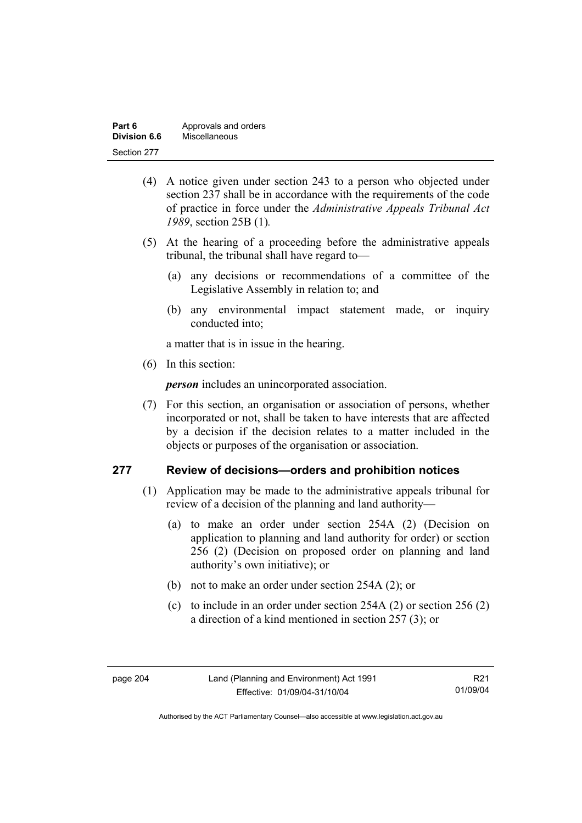| Part 6       | Approvals and orders |
|--------------|----------------------|
| Division 6.6 | Miscellaneous        |
| Section 277  |                      |

- (4) A notice given under section 243 to a person who objected under section 237 shall be in accordance with the requirements of the code of practice in force under the *Administrative Appeals Tribunal Act 1989*, section 25B (1)*.*
- (5) At the hearing of a proceeding before the administrative appeals tribunal, the tribunal shall have regard to—
	- (a) any decisions or recommendations of a committee of the Legislative Assembly in relation to; and
	- (b) any environmental impact statement made, or inquiry conducted into;

a matter that is in issue in the hearing.

(6) In this section:

*person* includes an unincorporated association.

 (7) For this section, an organisation or association of persons, whether incorporated or not, shall be taken to have interests that are affected by a decision if the decision relates to a matter included in the objects or purposes of the organisation or association.

#### **277 Review of decisions—orders and prohibition notices**

- (1) Application may be made to the administrative appeals tribunal for review of a decision of the planning and land authority—
	- (a) to make an order under section 254A (2) (Decision on application to planning and land authority for order) or section 256 (2) (Decision on proposed order on planning and land authority's own initiative); or
	- (b) not to make an order under section 254A (2); or
	- (c) to include in an order under section 254A (2) or section 256 (2) a direction of a kind mentioned in section 257 (3); or

R21 01/09/04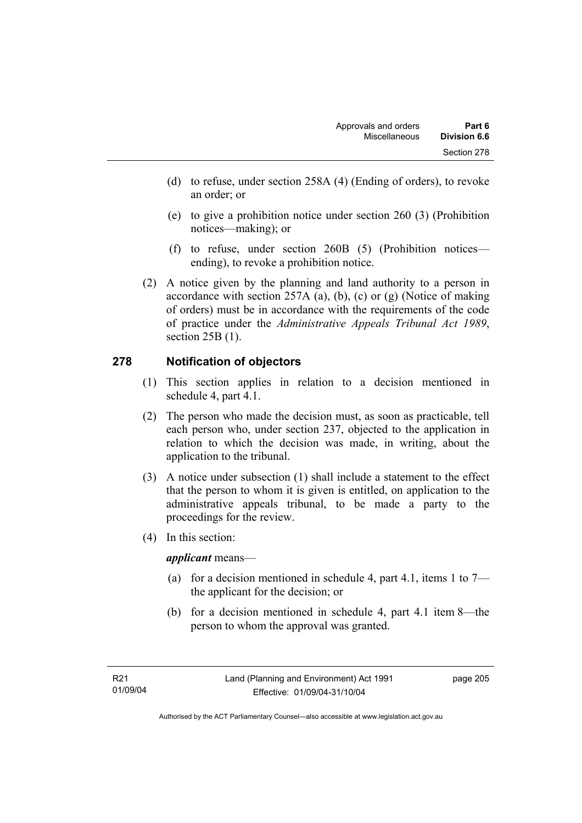- (d) to refuse, under section 258A (4) (Ending of orders), to revoke an order; or
- (e) to give a prohibition notice under section 260 (3) (Prohibition notices—making); or
- (f) to refuse, under section 260B (5) (Prohibition notices ending), to revoke a prohibition notice.
- (2) A notice given by the planning and land authority to a person in accordance with section 257A (a), (b), (c) or (g) (Notice of making of orders) must be in accordance with the requirements of the code of practice under the *Administrative Appeals Tribunal Act 1989*, section 25B (1).

## **278 Notification of objectors**

- (1) This section applies in relation to a decision mentioned in schedule 4, part 4.1.
- (2) The person who made the decision must, as soon as practicable, tell each person who, under section 237, objected to the application in relation to which the decision was made, in writing, about the application to the tribunal.
- (3) A notice under subsection (1) shall include a statement to the effect that the person to whom it is given is entitled, on application to the administrative appeals tribunal, to be made a party to the proceedings for the review.
- (4) In this section:

*applicant* means—

- (a) for a decision mentioned in schedule 4, part 4.1, items 1 to  $7$ the applicant for the decision; or
- (b) for a decision mentioned in schedule 4, part 4.1 item 8—the person to whom the approval was granted.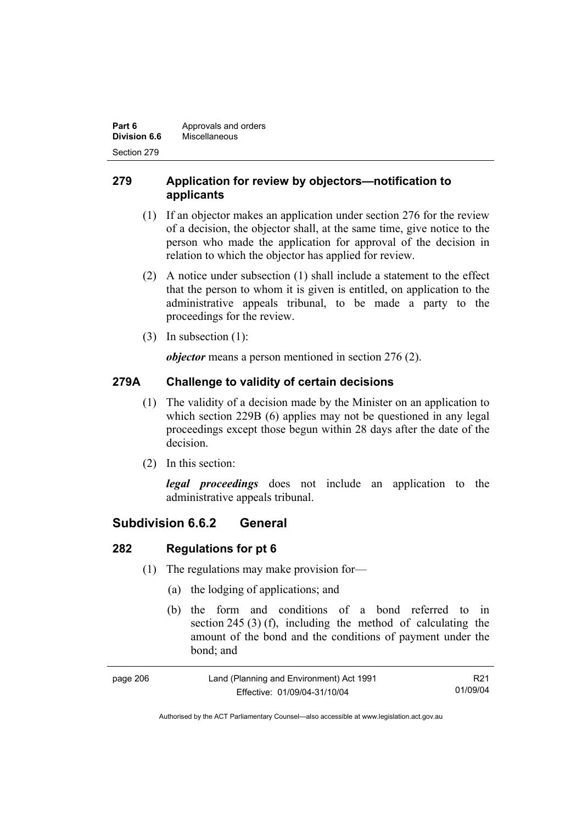| Part 6       | Approvals and orders |
|--------------|----------------------|
| Division 6.6 | Miscellaneous        |
| Section 279  |                      |

## **279 Application for review by objectors—notification to applicants**

- (1) If an objector makes an application under section 276 for the review of a decision, the objector shall, at the same time, give notice to the person who made the application for approval of the decision in relation to which the objector has applied for review.
- (2) A notice under subsection (1) shall include a statement to the effect that the person to whom it is given is entitled, on application to the administrative appeals tribunal, to be made a party to the proceedings for the review.
- (3) In subsection (1):

*objector* means a person mentioned in section 276 (2).

## **279A Challenge to validity of certain decisions**

- (1) The validity of a decision made by the Minister on an application to which section 229B (6) applies may not be questioned in any legal proceedings except those begun within 28 days after the date of the decision.
- (2) In this section:

*legal proceedings* does not include an application to the administrative appeals tribunal.

## **Subdivision 6.6.2 General**

## **282 Regulations for pt 6**

- (1) The regulations may make provision for—
	- (a) the lodging of applications; and
	- (b) the form and conditions of a bond referred to in section 245 (3) (f), including the method of calculating the amount of the bond and the conditions of payment under the bond; and

| page 206 | Land (Planning and Environment) Act 1991 | R <sub>21</sub> |
|----------|------------------------------------------|-----------------|
|          | Effective: 01/09/04-31/10/04             | 01/09/04        |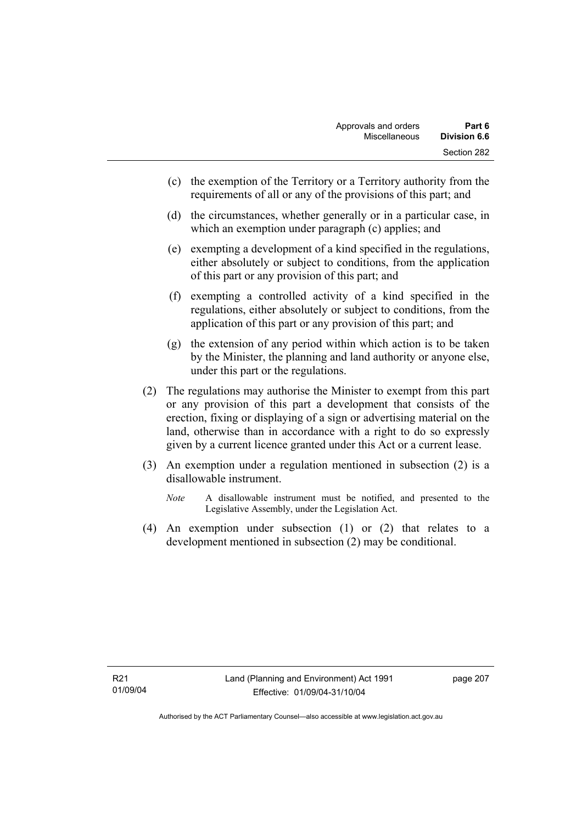- (c) the exemption of the Territory or a Territory authority from the requirements of all or any of the provisions of this part; and
- (d) the circumstances, whether generally or in a particular case, in which an exemption under paragraph (c) applies; and
- (e) exempting a development of a kind specified in the regulations, either absolutely or subject to conditions, from the application of this part or any provision of this part; and
- (f) exempting a controlled activity of a kind specified in the regulations, either absolutely or subject to conditions, from the application of this part or any provision of this part; and
- (g) the extension of any period within which action is to be taken by the Minister, the planning and land authority or anyone else, under this part or the regulations.
- (2) The regulations may authorise the Minister to exempt from this part or any provision of this part a development that consists of the erection, fixing or displaying of a sign or advertising material on the land, otherwise than in accordance with a right to do so expressly given by a current licence granted under this Act or a current lease.
- (3) An exemption under a regulation mentioned in subsection (2) is a disallowable instrument.
	- *Note* A disallowable instrument must be notified, and presented to the Legislative Assembly, under the Legislation Act.
- (4) An exemption under subsection (1) or (2) that relates to a development mentioned in subsection (2) may be conditional.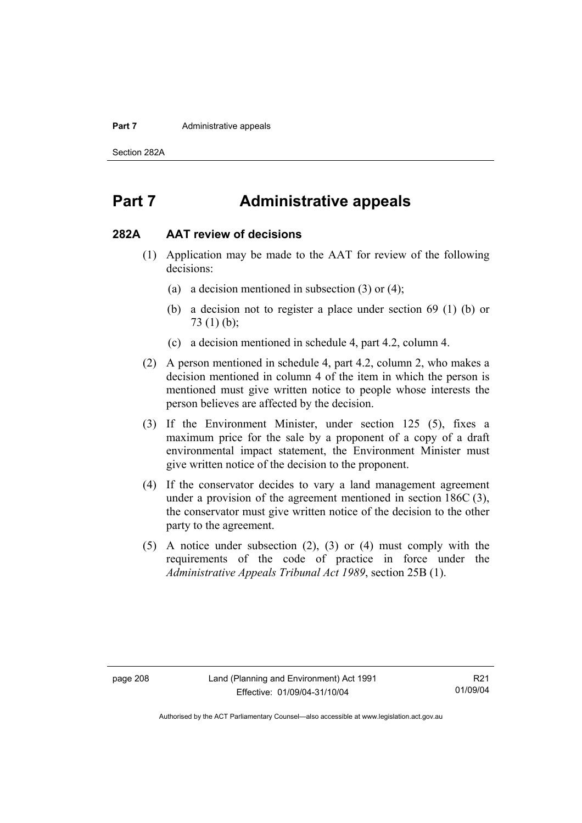#### **Part 7 Administrative appeals**

Section 282A

## **Part 7 Administrative appeals**

#### **282A AAT review of decisions**

- (1) Application may be made to the AAT for review of the following decisions:
	- (a) a decision mentioned in subsection (3) or (4);
	- (b) a decision not to register a place under section 69 (1) (b) or 73 (1) (b);
	- (c) a decision mentioned in schedule 4, part 4.2, column 4.
- (2) A person mentioned in schedule 4, part 4.2, column 2, who makes a decision mentioned in column 4 of the item in which the person is mentioned must give written notice to people whose interests the person believes are affected by the decision.
- (3) If the Environment Minister, under section 125 (5), fixes a maximum price for the sale by a proponent of a copy of a draft environmental impact statement, the Environment Minister must give written notice of the decision to the proponent.
- (4) If the conservator decides to vary a land management agreement under a provision of the agreement mentioned in section 186C (3), the conservator must give written notice of the decision to the other party to the agreement.
- (5) A notice under subsection (2), (3) or (4) must comply with the requirements of the code of practice in force under the *Administrative Appeals Tribunal Act 1989*, section 25B (1).

R21 01/09/04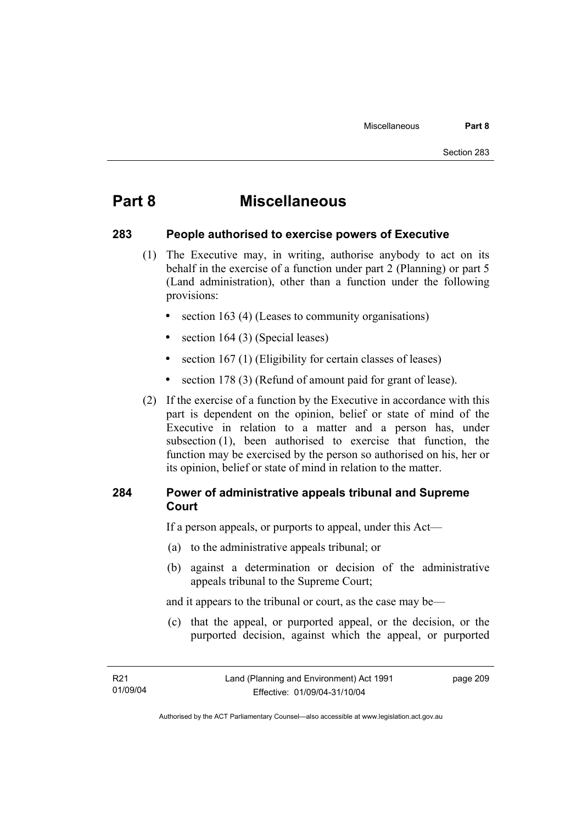## **Part 8 Miscellaneous**

#### **283 People authorised to exercise powers of Executive**

- (1) The Executive may, in writing, authorise anybody to act on its behalf in the exercise of a function under part 2 (Planning) or part 5 (Land administration), other than a function under the following provisions:
	- section 163 (4) (Leases to community organisations)
	- section 164 (3) (Special leases)
	- section 167 (1) (Eligibility for certain classes of leases)
	- section 178 (3) (Refund of amount paid for grant of lease).
- (2) If the exercise of a function by the Executive in accordance with this part is dependent on the opinion, belief or state of mind of the Executive in relation to a matter and a person has, under subsection (1), been authorised to exercise that function, the function may be exercised by the person so authorised on his, her or its opinion, belief or state of mind in relation to the matter.

#### **284 Power of administrative appeals tribunal and Supreme Court**

If a person appeals, or purports to appeal, under this Act—

- (a) to the administrative appeals tribunal; or
- (b) against a determination or decision of the administrative appeals tribunal to the Supreme Court;

and it appears to the tribunal or court, as the case may be—

 (c) that the appeal, or purported appeal, or the decision, or the purported decision, against which the appeal, or purported

page 209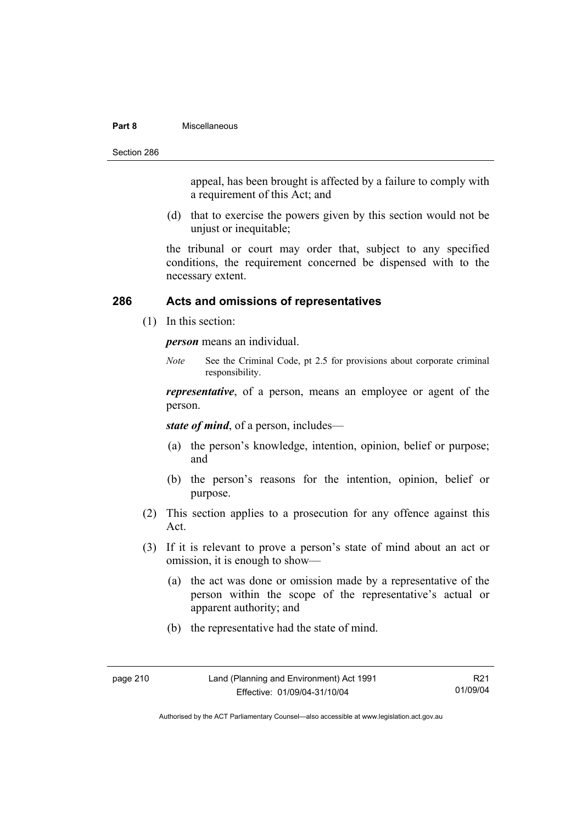#### **Part 8** Miscellaneous

Section 286

appeal, has been brought is affected by a failure to comply with a requirement of this Act; and

 (d) that to exercise the powers given by this section would not be unjust or inequitable;

the tribunal or court may order that, subject to any specified conditions, the requirement concerned be dispensed with to the necessary extent.

#### **286 Acts and omissions of representatives**

(1) In this section:

*person* means an individual.

*Note* See the Criminal Code, pt 2.5 for provisions about corporate criminal responsibility.

*representative*, of a person, means an employee or agent of the person.

*state of mind*, of a person, includes—

- (a) the person's knowledge, intention, opinion, belief or purpose; and
- (b) the person's reasons for the intention, opinion, belief or purpose.
- (2) This section applies to a prosecution for any offence against this Act.
- (3) If it is relevant to prove a person's state of mind about an act or omission, it is enough to show—
	- (a) the act was done or omission made by a representative of the person within the scope of the representative's actual or apparent authority; and
	- (b) the representative had the state of mind.

R21 01/09/04

Authorised by the ACT Parliamentary Counsel—also accessible at www.legislation.act.gov.au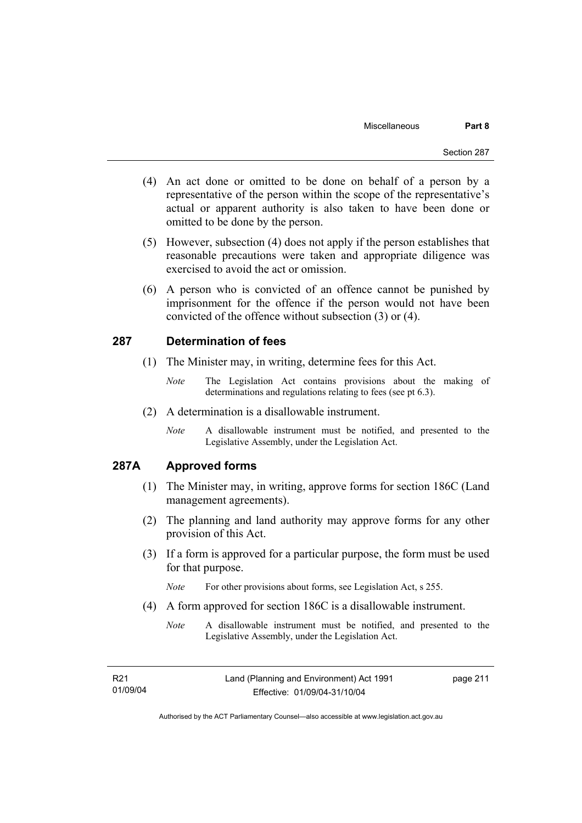- (4) An act done or omitted to be done on behalf of a person by a representative of the person within the scope of the representative's actual or apparent authority is also taken to have been done or omitted to be done by the person.
- (5) However, subsection (4) does not apply if the person establishes that reasonable precautions were taken and appropriate diligence was exercised to avoid the act or omission.
- (6) A person who is convicted of an offence cannot be punished by imprisonment for the offence if the person would not have been convicted of the offence without subsection (3) or (4).

#### **287 Determination of fees**

- (1) The Minister may, in writing, determine fees for this Act.
	- *Note* The Legislation Act contains provisions about the making of determinations and regulations relating to fees (see pt 6.3).
- (2) A determination is a disallowable instrument.
	- *Note* A disallowable instrument must be notified, and presented to the Legislative Assembly, under the Legislation Act.

## **287A Approved forms**

- (1) The Minister may, in writing, approve forms for section 186C (Land management agreements).
- (2) The planning and land authority may approve forms for any other provision of this Act.
- (3) If a form is approved for a particular purpose, the form must be used for that purpose.

*Note* For other provisions about forms, see Legislation Act, s 255.

- (4) A form approved for section 186C is a disallowable instrument.
	- *Note* A disallowable instrument must be notified, and presented to the Legislative Assembly, under the Legislation Act.

| R21      |  |
|----------|--|
| 01/09/04 |  |

page 211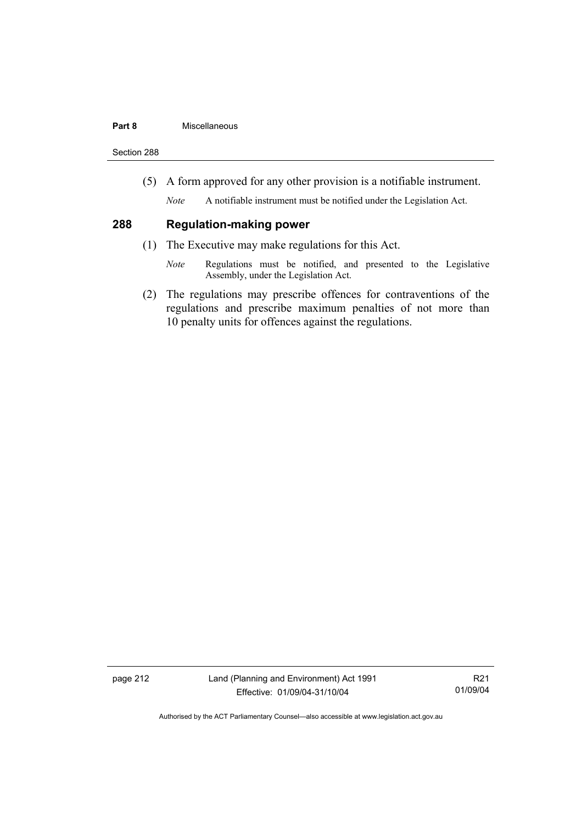#### **Part 8** Miscellaneous

Section 288

(5) A form approved for any other provision is a notifiable instrument.

*Note* A notifiable instrument must be notified under the Legislation Act.

#### **288 Regulation-making power**

- (1) The Executive may make regulations for this Act.
	- *Note* Regulations must be notified, and presented to the Legislative Assembly, under the Legislation Act.
- (2) The regulations may prescribe offences for contraventions of the regulations and prescribe maximum penalties of not more than 10 penalty units for offences against the regulations.

page 212 Land (Planning and Environment) Act 1991 Effective: 01/09/04-31/10/04

R21 01/09/04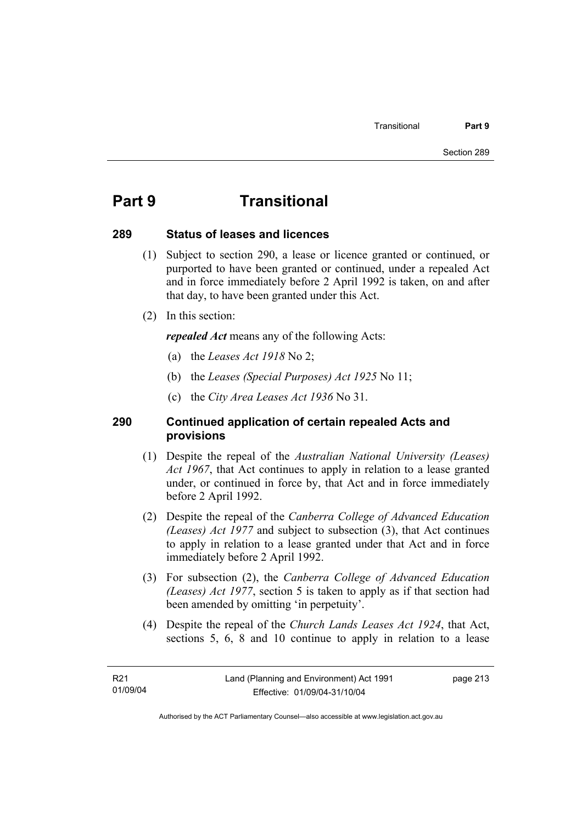# **Part 9 Transitional**

#### **289 Status of leases and licences**

- (1) Subject to section 290, a lease or licence granted or continued, or purported to have been granted or continued, under a repealed Act and in force immediately before 2 April 1992 is taken, on and after that day, to have been granted under this Act.
- (2) In this section:

*repealed Act* means any of the following Acts:

- (a) the *Leases Act 1918* No 2;
- (b) the *Leases (Special Purposes) Act 1925* No 11;
- (c) the *City Area Leases Act 1936* No 31.

#### **290 Continued application of certain repealed Acts and provisions**

- (1) Despite the repeal of the *Australian National University (Leases) Act 1967*, that Act continues to apply in relation to a lease granted under, or continued in force by, that Act and in force immediately before 2 April 1992.
- (2) Despite the repeal of the *Canberra College of Advanced Education (Leases) Act 1977* and subject to subsection (3), that Act continues to apply in relation to a lease granted under that Act and in force immediately before 2 April 1992.
- (3) For subsection (2), the *Canberra College of Advanced Education (Leases) Act 1977*, section 5 is taken to apply as if that section had been amended by omitting 'in perpetuity'.
- (4) Despite the repeal of the *Church Lands Leases Act 1924*, that Act, sections 5, 6, 8 and 10 continue to apply in relation to a lease

page 213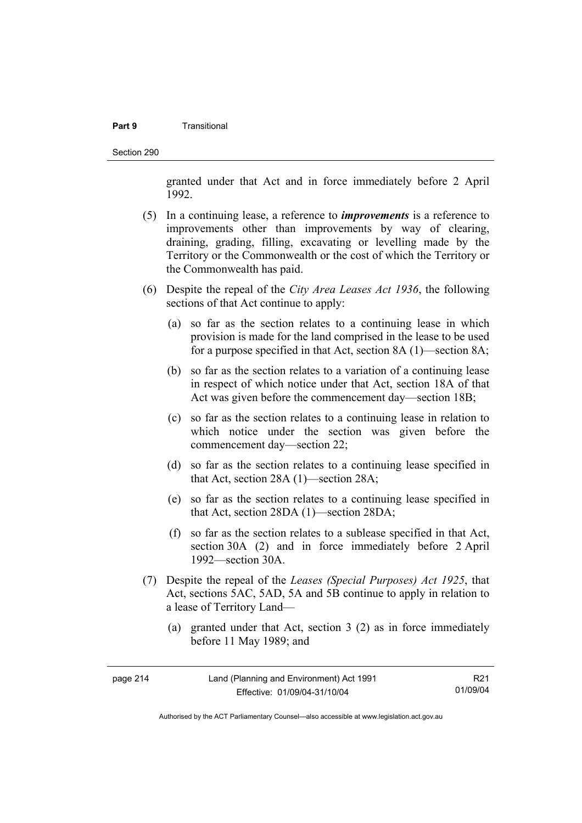#### **Part 9** Transitional

Section 290

granted under that Act and in force immediately before 2 April 1992.

- (5) In a continuing lease, a reference to *improvements* is a reference to improvements other than improvements by way of clearing, draining, grading, filling, excavating or levelling made by the Territory or the Commonwealth or the cost of which the Territory or the Commonwealth has paid.
- (6) Despite the repeal of the *City Area Leases Act 1936*, the following sections of that Act continue to apply:
	- (a) so far as the section relates to a continuing lease in which provision is made for the land comprised in the lease to be used for a purpose specified in that Act, section 8A (1)—section 8A;
	- (b) so far as the section relates to a variation of a continuing lease in respect of which notice under that Act, section 18A of that Act was given before the commencement day—section 18B;
	- (c) so far as the section relates to a continuing lease in relation to which notice under the section was given before the commencement day—section 22;
	- (d) so far as the section relates to a continuing lease specified in that Act, section 28A (1)—section 28A;
	- (e) so far as the section relates to a continuing lease specified in that Act, section 28DA (1)—section 28DA;
	- (f) so far as the section relates to a sublease specified in that Act, section 30A (2) and in force immediately before 2 April 1992—section 30A.
- (7) Despite the repeal of the *Leases (Special Purposes) Act 1925*, that Act, sections 5AC, 5AD, 5A and 5B continue to apply in relation to a lease of Territory Land—
	- (a) granted under that Act, section 3 (2) as in force immediately before 11 May 1989; and

| page 214 | Land (Planning and Environment) Act 1991 | R21      |
|----------|------------------------------------------|----------|
|          | Effective: 01/09/04-31/10/04             | 01/09/04 |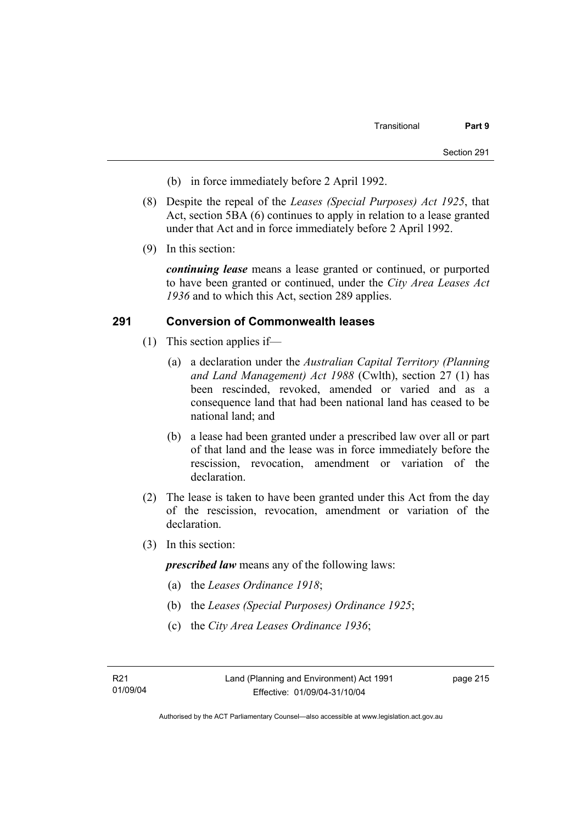- (b) in force immediately before 2 April 1992.
- (8) Despite the repeal of the *Leases (Special Purposes) Act 1925*, that Act, section 5BA (6) continues to apply in relation to a lease granted under that Act and in force immediately before 2 April 1992.
- (9) In this section:

*continuing lease* means a lease granted or continued, or purported to have been granted or continued, under the *City Area Leases Act 1936* and to which this Act, section 289 applies.

#### **291 Conversion of Commonwealth leases**

- (1) This section applies if—
	- (a) a declaration under the *Australian Capital Territory (Planning and Land Management) Act 1988* (Cwlth), section 27 (1) has been rescinded, revoked, amended or varied and as a consequence land that had been national land has ceased to be national land; and
	- (b) a lease had been granted under a prescribed law over all or part of that land and the lease was in force immediately before the rescission, revocation, amendment or variation of the declaration.
- (2) The lease is taken to have been granted under this Act from the day of the rescission, revocation, amendment or variation of the declaration.
- (3) In this section:

*prescribed law* means any of the following laws:

- (a) the *Leases Ordinance 1918*;
- (b) the *Leases (Special Purposes) Ordinance 1925*;
- (c) the *City Area Leases Ordinance 1936*;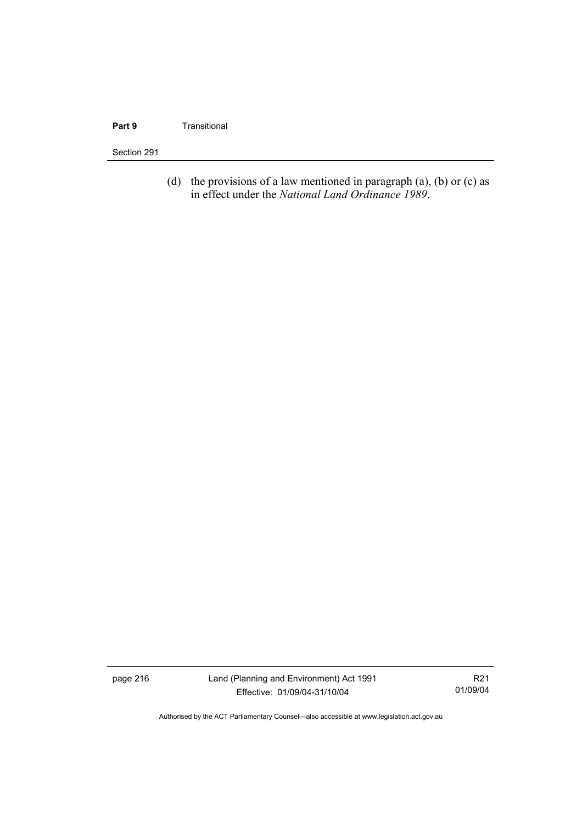#### **Part 9 Transitional**

#### Section 291

(d) the provisions of a law mentioned in paragraph  $(a)$ ,  $(b)$  or  $(c)$  as in effect under the *National Land Ordinance 1989*.

page 216 Land (Planning and Environment) Act 1991 Effective: 01/09/04-31/10/04

R21 01/09/04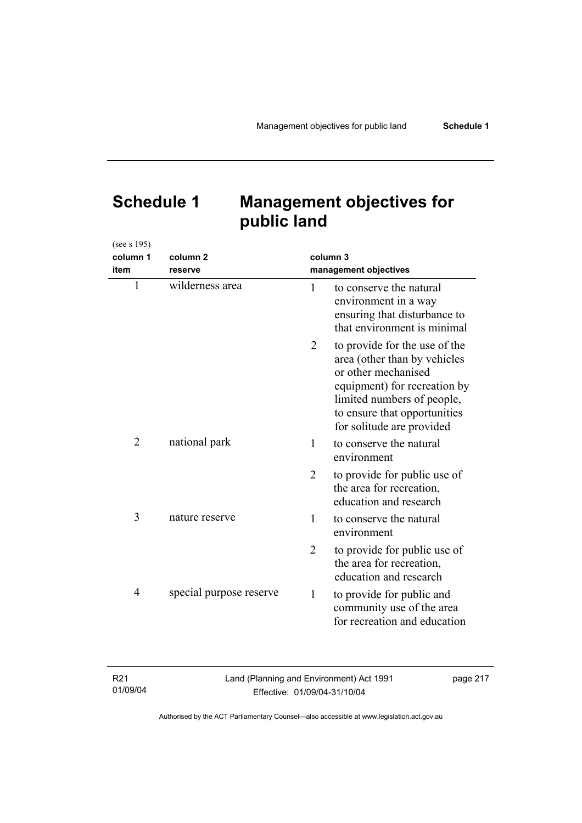# **Schedule 1 Management objectives for public land**

(see s 195)

| column 1<br>item | column <sub>2</sub><br>reserve | column 3<br>management objectives |                                                                                                                                                                                                                 |
|------------------|--------------------------------|-----------------------------------|-----------------------------------------------------------------------------------------------------------------------------------------------------------------------------------------------------------------|
| $\mathbf{1}$     | wilderness area                | $\mathbf{1}$                      | to conserve the natural<br>environment in a way<br>ensuring that disturbance to<br>that environment is minimal                                                                                                  |
|                  |                                | 2                                 | to provide for the use of the<br>area (other than by vehicles<br>or other mechanised<br>equipment) for recreation by<br>limited numbers of people,<br>to ensure that opportunities<br>for solitude are provided |
| $\overline{2}$   | national park                  | 1                                 | to conserve the natural<br>environment                                                                                                                                                                          |
|                  |                                | $\overline{2}$                    | to provide for public use of<br>the area for recreation,<br>education and research                                                                                                                              |
| 3                | nature reserve                 | 1                                 | to conserve the natural<br>environment                                                                                                                                                                          |
|                  |                                | $\overline{2}$                    | to provide for public use of<br>the area for recreation,<br>education and research                                                                                                                              |
| 4                | special purpose reserve        | $\mathbf{1}$                      | to provide for public and<br>community use of the area<br>for recreation and education                                                                                                                          |

| R21      | Land (Planning and Environment) Act 1991 | page 217 |
|----------|------------------------------------------|----------|
| 01/09/04 | Effective: 01/09/04-31/10/04             |          |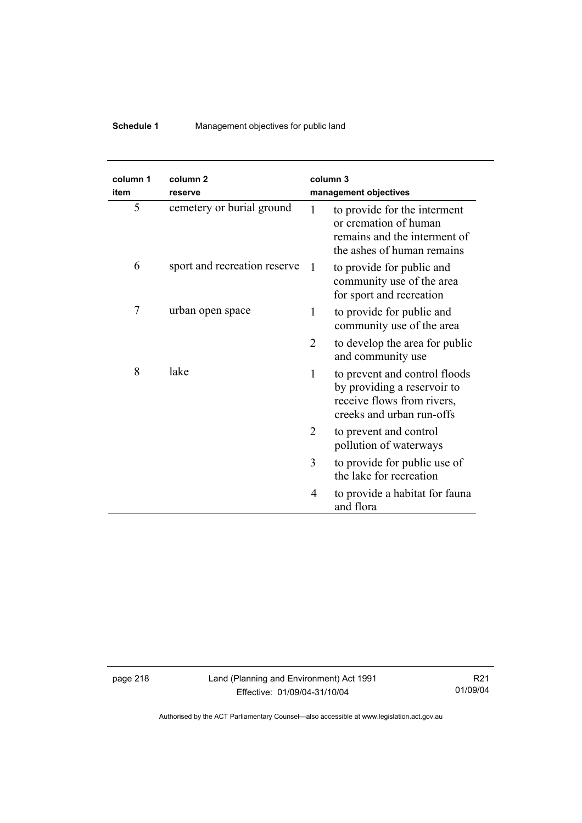## **Schedule 1** Management objectives for public land

| column 1<br>item | column <sub>2</sub><br>reserve |   | column <sub>3</sub><br>management objectives                                                                            |
|------------------|--------------------------------|---|-------------------------------------------------------------------------------------------------------------------------|
| 5                | cemetery or burial ground      | 1 | to provide for the interment<br>or cremation of human<br>remains and the interment of<br>the ashes of human remains     |
| 6                | sport and recreation reserve   | 1 | to provide for public and<br>community use of the area<br>for sport and recreation                                      |
| 7                | urban open space               | 1 | to provide for public and<br>community use of the area                                                                  |
|                  |                                | 2 | to develop the area for public<br>and community use                                                                     |
| 8                | lake                           | 1 | to prevent and control floods<br>by providing a reservoir to<br>receive flows from rivers,<br>creeks and urban run-offs |
|                  |                                | 2 | to prevent and control<br>pollution of waterways                                                                        |
|                  |                                | 3 | to provide for public use of<br>the lake for recreation                                                                 |
|                  |                                | 4 | to provide a habitat for fauna<br>and flora                                                                             |

page 218 Land (Planning and Environment) Act 1991 Effective: 01/09/04-31/10/04

R21 01/09/04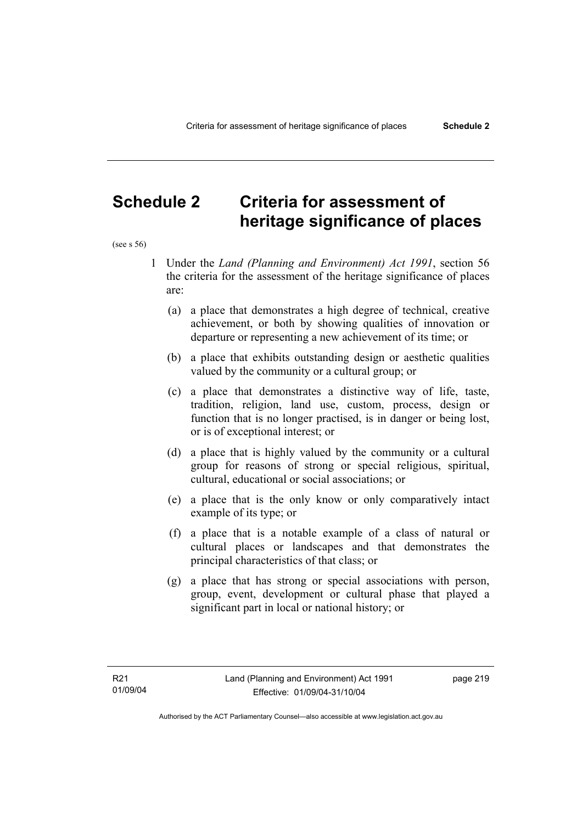## **Schedule 2 Criteria for assessment of heritage significance of places**

(see s 56)

- 1 Under the *Land (Planning and Environment) Act 1991*, section 56 the criteria for the assessment of the heritage significance of places are:
	- (a) a place that demonstrates a high degree of technical, creative achievement, or both by showing qualities of innovation or departure or representing a new achievement of its time; or
	- (b) a place that exhibits outstanding design or aesthetic qualities valued by the community or a cultural group; or
	- (c) a place that demonstrates a distinctive way of life, taste, tradition, religion, land use, custom, process, design or function that is no longer practised, is in danger or being lost, or is of exceptional interest; or
	- (d) a place that is highly valued by the community or a cultural group for reasons of strong or special religious, spiritual, cultural, educational or social associations; or
	- (e) a place that is the only know or only comparatively intact example of its type; or
	- (f) a place that is a notable example of a class of natural or cultural places or landscapes and that demonstrates the principal characteristics of that class; or
	- (g) a place that has strong or special associations with person, group, event, development or cultural phase that played a significant part in local or national history; or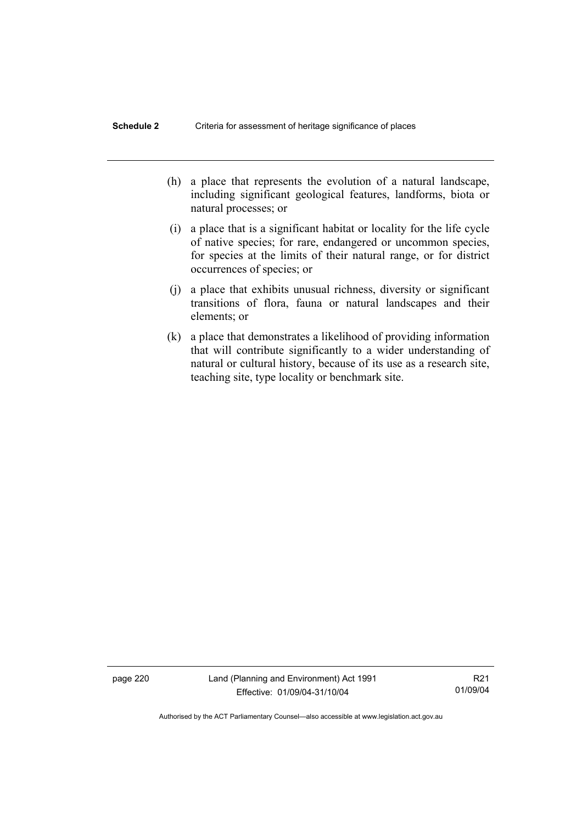- (h) a place that represents the evolution of a natural landscape, including significant geological features, landforms, biota or natural processes; or
- (i) a place that is a significant habitat or locality for the life cycle of native species; for rare, endangered or uncommon species, for species at the limits of their natural range, or for district occurrences of species; or
- (j) a place that exhibits unusual richness, diversity or significant transitions of flora, fauna or natural landscapes and their elements; or
- (k) a place that demonstrates a likelihood of providing information that will contribute significantly to a wider understanding of natural or cultural history, because of its use as a research site, teaching site, type locality or benchmark site.

page 220 Land (Planning and Environment) Act 1991 Effective: 01/09/04-31/10/04

R21 01/09/04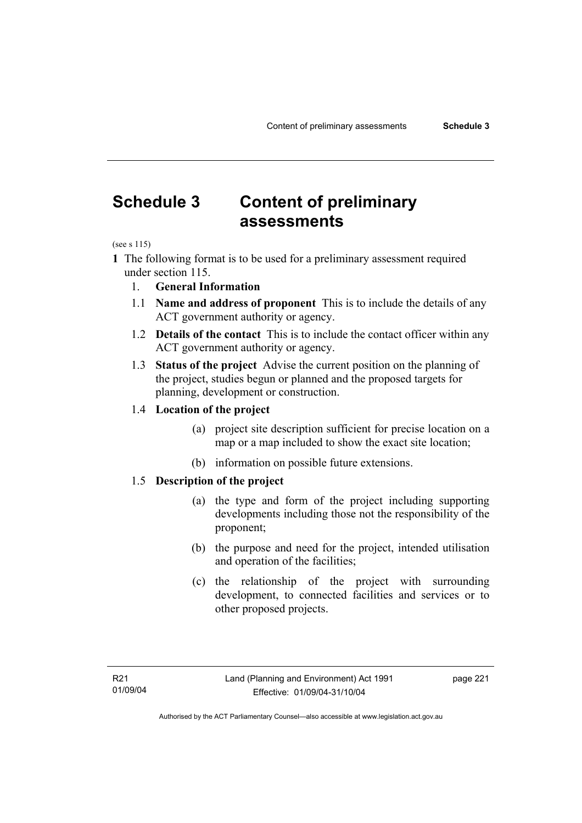# **Schedule 3 Content of preliminary assessments**

(see s 115)

**1** The following format is to be used for a preliminary assessment required under section 115.

- 1. **General Information**
- 1.1 **Name and address of proponent** This is to include the details of any ACT government authority or agency.
- 1.2 **Details of the contact** This is to include the contact officer within any ACT government authority or agency.
- 1.3 **Status of the project** Advise the current position on the planning of the project, studies begun or planned and the proposed targets for planning, development or construction.

#### 1.4 **Location of the project**

- (a) project site description sufficient for precise location on a map or a map included to show the exact site location;
- (b) information on possible future extensions.

#### 1.5 **Description of the project**

- (a) the type and form of the project including supporting developments including those not the responsibility of the proponent;
- (b) the purpose and need for the project, intended utilisation and operation of the facilities;
- (c) the relationship of the project with surrounding development, to connected facilities and services or to other proposed projects.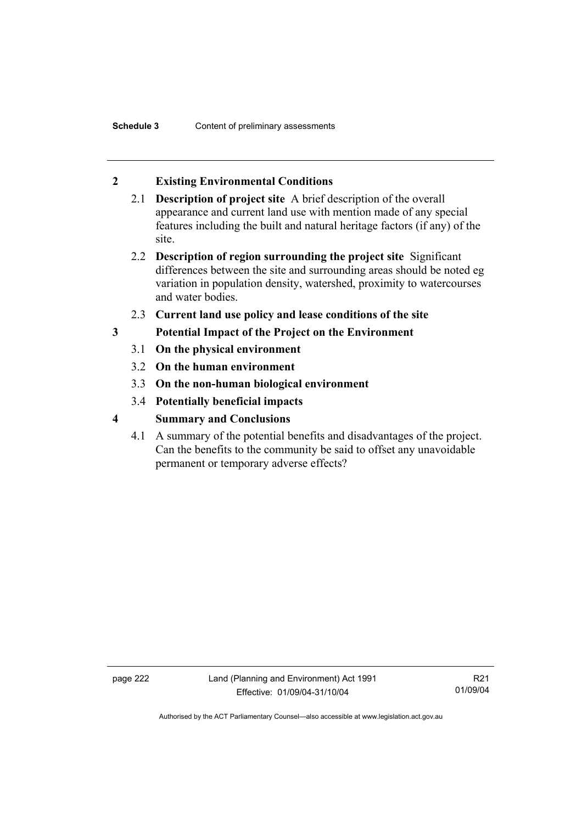## **2 Existing Environmental Conditions**

- 2.1 **Description of project site** A brief description of the overall appearance and current land use with mention made of any special features including the built and natural heritage factors (if any) of the site.
- 2.2 **Description of region surrounding the project site** Significant differences between the site and surrounding areas should be noted eg variation in population density, watershed, proximity to watercourses and water bodies.
- 2.3 **Current land use policy and lease conditions of the site**
- **3 Potential Impact of the Project on the Environment** 
	- 3.1 **On the physical environment**
	- 3.2 **On the human environment**
	- 3.3 **On the non-human biological environment**
	- 3.4 **Potentially beneficial impacts**
- **4 Summary and Conclusions** 
	- 4.1 A summary of the potential benefits and disadvantages of the project. Can the benefits to the community be said to offset any unavoidable permanent or temporary adverse effects?

page 222 Land (Planning and Environment) Act 1991 Effective: 01/09/04-31/10/04

R21 01/09/04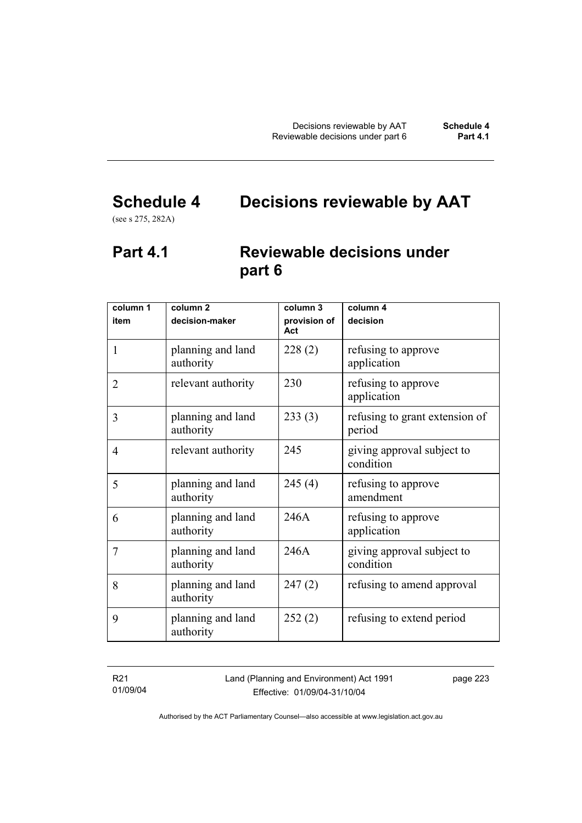# **Schedule 4 Decisions reviewable by AAT**

(see s 275, 282A)

## **Part 4.1 Reviewable decisions under part 6**

| column 1       | column <sub>2</sub>            | column 3            | column $\overline{4}$                    |
|----------------|--------------------------------|---------------------|------------------------------------------|
| item           | decision-maker                 | provision of<br>Act | decision                                 |
| 1              | planning and land<br>authority | 228(2)              | refusing to approve<br>application       |
| $\overline{2}$ | relevant authority             | 230                 | refusing to approve<br>application       |
| 3              | planning and land<br>authority | 233(3)              | refusing to grant extension of<br>period |
| 4              | relevant authority             | 245                 | giving approval subject to<br>condition  |
| 5              | planning and land<br>authority | 245(4)              | refusing to approve<br>amendment         |
| 6              | planning and land<br>authority | 246A                | refusing to approve<br>application       |
| 7              | planning and land<br>authority | 246A                | giving approval subject to<br>condition  |
| 8              | planning and land<br>authority | 247(2)              | refusing to amend approval               |
| 9              | planning and land<br>authority | 252(2)              | refusing to extend period                |

R21 01/09/04 Land (Planning and Environment) Act 1991 Effective: 01/09/04-31/10/04

page 223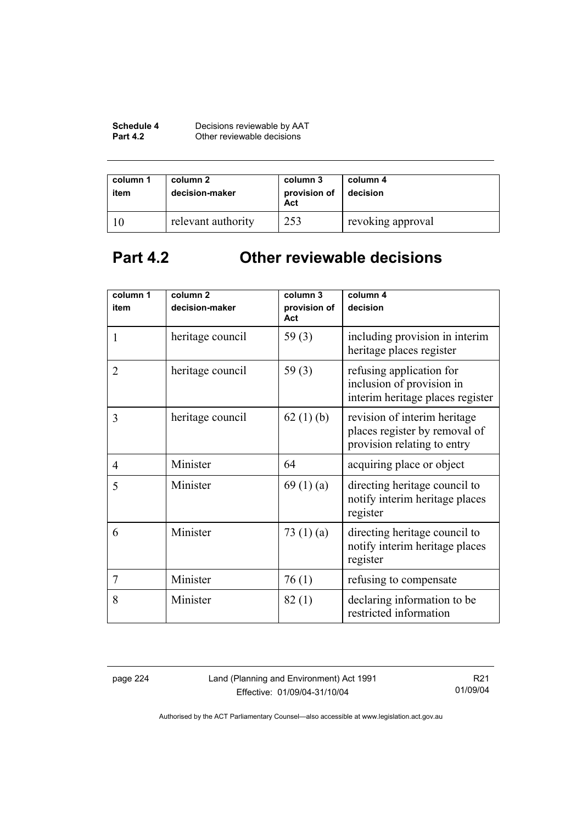| Schedule 4      | Decisions reviewable by AAT |
|-----------------|-----------------------------|
| <b>Part 4.2</b> | Other reviewable decisions  |

| column 1<br>item | column 2<br>decision-maker | column 3<br>provision of<br>Act | column 4<br>decision |
|------------------|----------------------------|---------------------------------|----------------------|
|                  | relevant authority         | 253                             | revoking approval    |

# **Part 4.2 Other reviewable decisions**

| column 1       | column <sub>2</sub> | column 3            | column 4                                                                                     |
|----------------|---------------------|---------------------|----------------------------------------------------------------------------------------------|
| item           | decision-maker      | provision of<br>Act | decision                                                                                     |
| 1              | heritage council    | 59 $(3)$            | including provision in interim<br>heritage places register                                   |
| $\overline{2}$ | heritage council    | 59 $(3)$            | refusing application for<br>inclusion of provision in<br>interim heritage places register    |
| 3              | heritage council    | 62(1)(b)            | revision of interim heritage<br>places register by removal of<br>provision relating to entry |
| $\overline{4}$ | Minister            | 64                  | acquiring place or object                                                                    |
| 5              | Minister            | 69(1)(a)            | directing heritage council to<br>notify interim heritage places<br>register                  |
| 6              | Minister            | 73 $(1)(a)$         | directing heritage council to<br>notify interim heritage places<br>register                  |
| 7              | Minister            | 76(1)               | refusing to compensate                                                                       |
| 8              | Minister            | 82(1)               | declaring information to be<br>restricted information                                        |

page 224 Land (Planning and Environment) Act 1991 Effective: 01/09/04-31/10/04

R21 01/09/04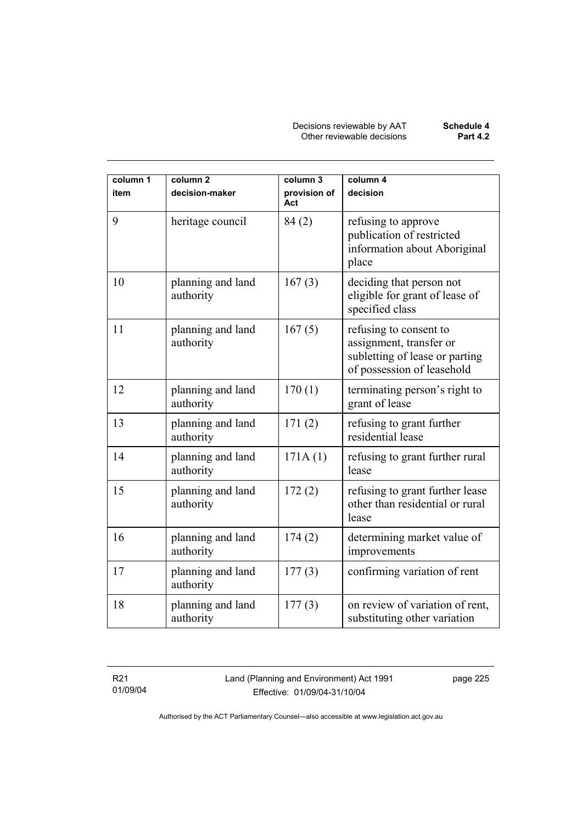Decisions reviewable by AAT **Schedule 4** Other reviewable decisions **Part 4.2** 

| column 1<br>item | column <sub>2</sub><br>decision-maker | column 3<br>provision of<br>Act | column 4<br>decision                                                                                              |
|------------------|---------------------------------------|---------------------------------|-------------------------------------------------------------------------------------------------------------------|
| 9                | heritage council                      | 84(2)                           | refusing to approve<br>publication of restricted<br>information about Aboriginal<br>place                         |
| 10               | planning and land<br>authority        | 167(3)                          | deciding that person not<br>eligible for grant of lease of<br>specified class                                     |
| 11               | planning and land<br>authority        | 167(5)                          | refusing to consent to<br>assignment, transfer or<br>subletting of lease or parting<br>of possession of leasehold |
| 12               | planning and land<br>authority        | 170(1)                          | terminating person's right to<br>grant of lease                                                                   |
| 13               | planning and land<br>authority        | 171(2)                          | refusing to grant further<br>residential lease                                                                    |
| 14               | planning and land<br>authority        | 171A(1)                         | refusing to grant further rural<br>lease                                                                          |
| 15               | planning and land<br>authority        | 172(2)                          | refusing to grant further lease<br>other than residential or rural<br>lease                                       |
| 16               | planning and land<br>authority        | 174(2)                          | determining market value of<br>improvements                                                                       |
| 17               | planning and land<br>authority        | 177(3)                          | confirming variation of rent                                                                                      |
| 18               | planning and land<br>authority        | 177(3)                          | on review of variation of rent,<br>substituting other variation                                                   |

R21 01/09/04 Land (Planning and Environment) Act 1991 Effective: 01/09/04-31/10/04

page 225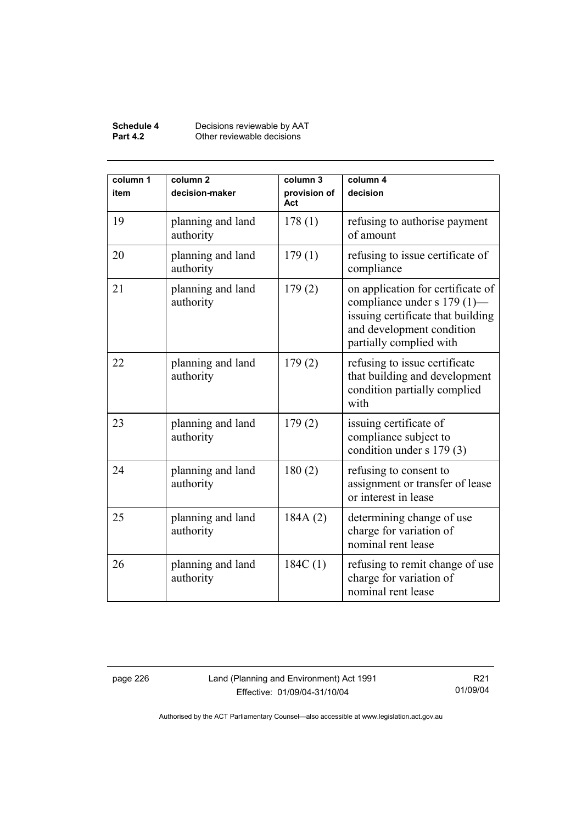#### **Schedule 4** Decisions reviewable by AAT **Part 4.2 Other reviewable decisions**

| column 1<br>item | column <sub>2</sub><br>decision-maker | column 3<br>provision of<br>Act | column 4<br>decision                                                                                                                                          |
|------------------|---------------------------------------|---------------------------------|---------------------------------------------------------------------------------------------------------------------------------------------------------------|
| 19               | planning and land<br>authority        | 178(1)                          | refusing to authorise payment<br>of amount                                                                                                                    |
| 20               | planning and land<br>authority        | 179(1)                          | refusing to issue certificate of<br>compliance                                                                                                                |
| 21               | planning and land<br>authority        | 179(2)                          | on application for certificate of<br>compliance under s 179 (1)—<br>issuing certificate that building<br>and development condition<br>partially complied with |
| 22               | planning and land<br>authority        | 179(2)                          | refusing to issue certificate<br>that building and development<br>condition partially complied<br>with                                                        |
| 23               | planning and land<br>authority        | 179(2)                          | issuing certificate of<br>compliance subject to<br>condition under s 179 (3)                                                                                  |
| 24               | planning and land<br>authority        | 180(2)                          | refusing to consent to<br>assignment or transfer of lease<br>or interest in lease                                                                             |
| 25               | planning and land<br>authority        | 184A(2)                         | determining change of use<br>charge for variation of<br>nominal rent lease                                                                                    |
| 26               | planning and land<br>authority        | 184C(1)                         | refusing to remit change of use<br>charge for variation of<br>nominal rent lease                                                                              |

page 226 Land (Planning and Environment) Act 1991 Effective: 01/09/04-31/10/04

R21 01/09/04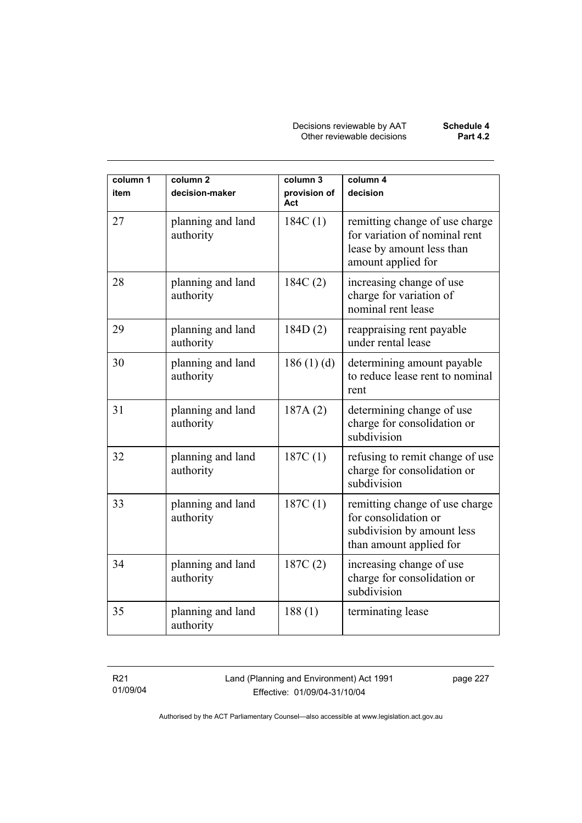Decisions reviewable by AAT **Schedule 4** Other reviewable decisions **Part 4.2** 

| column 1<br>item | column <sub>2</sub><br>decision-maker | column 3<br>provision of<br>Act | column 4<br>decision                                                                                               |
|------------------|---------------------------------------|---------------------------------|--------------------------------------------------------------------------------------------------------------------|
| 27               | planning and land<br>authority        | 184C(1)                         | remitting change of use charge<br>for variation of nominal rent<br>lease by amount less than<br>amount applied for |
| 28               | planning and land<br>authority        | 184C(2)                         | increasing change of use<br>charge for variation of<br>nominal rent lease                                          |
| 29               | planning and land<br>authority        | 184D(2)                         | reappraising rent payable<br>under rental lease                                                                    |
| 30               | planning and land<br>authority        | 186(1)(d)                       | determining amount payable<br>to reduce lease rent to nominal<br>rent                                              |
| 31               | planning and land<br>authority        | 187A(2)                         | determining change of use<br>charge for consolidation or<br>subdivision                                            |
| 32               | planning and land<br>authority        | 187C(1)                         | refusing to remit change of use<br>charge for consolidation or<br>subdivision                                      |
| 33               | planning and land<br>authority        | 187C(1)                         | remitting change of use charge<br>for consolidation or<br>subdivision by amount less<br>than amount applied for    |
| 34               | planning and land<br>authority        | 187C(2)                         | increasing change of use<br>charge for consolidation or<br>subdivision                                             |
| 35               | planning and land<br>authority        | 188(1)                          | terminating lease                                                                                                  |

R21 01/09/04 Land (Planning and Environment) Act 1991 Effective: 01/09/04-31/10/04

page 227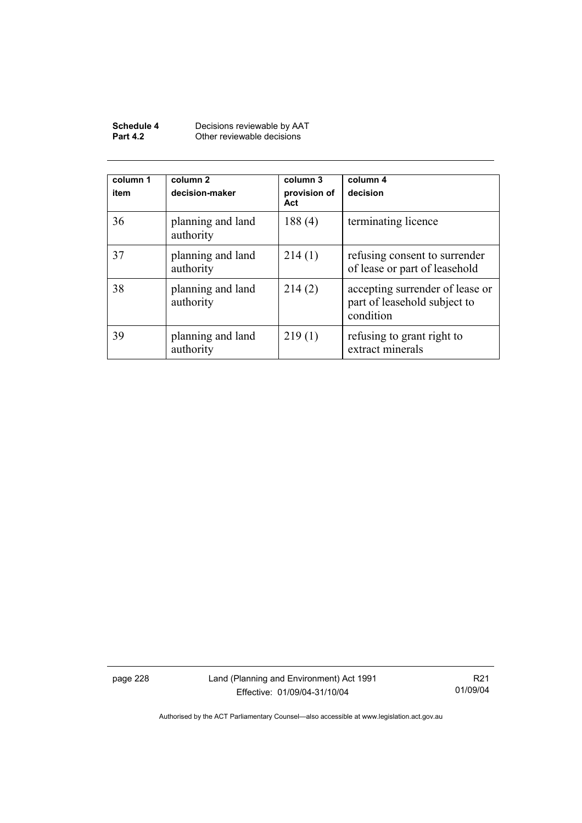| Schedule 4      | Decisions reviewable by AAT |
|-----------------|-----------------------------|
| <b>Part 4.2</b> | Other reviewable decisions  |

| column 1<br>item | column 2<br>decision-maker     | column 3<br>provision of<br>Act | column 4<br>decision                                                         |
|------------------|--------------------------------|---------------------------------|------------------------------------------------------------------------------|
| 36               | planning and land<br>authority | 188(4)                          | terminating licence                                                          |
| 37               | planning and land<br>authority | 214(1)                          | refusing consent to surrender<br>of lease or part of leasehold               |
| 38               | planning and land<br>authority | 214(2)                          | accepting surrender of lease or<br>part of leasehold subject to<br>condition |
| 39               | planning and land<br>authority | 219(1)                          | refusing to grant right to<br>extract minerals                               |

page 228 Land (Planning and Environment) Act 1991 Effective: 01/09/04-31/10/04

R21 01/09/04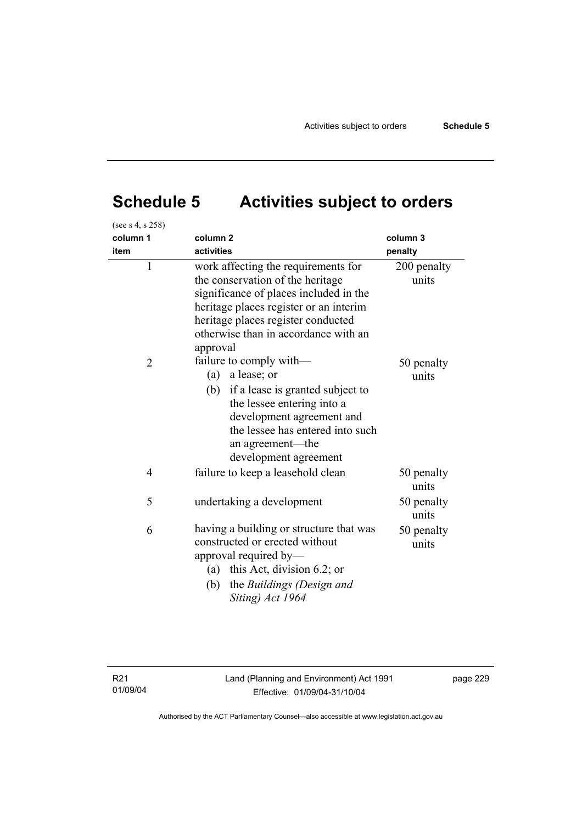# **Schedule 5 Activities subject to orders**

| (see s 4, s 258) |                                                                                                                                                                                                                                                       |                      |
|------------------|-------------------------------------------------------------------------------------------------------------------------------------------------------------------------------------------------------------------------------------------------------|----------------------|
| column 1<br>item | column <sub>2</sub><br>activities                                                                                                                                                                                                                     | column 3<br>penalty  |
| $\mathbf{1}$     | work affecting the requirements for<br>the conservation of the heritage<br>significance of places included in the<br>heritage places register or an interim<br>heritage places register conducted<br>otherwise than in accordance with an<br>approval | 200 penalty<br>units |
| $\overline{2}$   | failure to comply with-<br>(a) a lease; or<br>(b) if a lease is granted subject to<br>the lessee entering into a<br>development agreement and<br>the lessee has entered into such<br>an agreement—the<br>development agreement                        | 50 penalty<br>units  |
| $\overline{4}$   | failure to keep a leasehold clean                                                                                                                                                                                                                     | 50 penalty<br>units  |
| 5                | undertaking a development                                                                                                                                                                                                                             | 50 penalty<br>units  |
| 6                | having a building or structure that was<br>constructed or erected without<br>approval required by-<br>(a) this Act, division 6.2; or<br>the Buildings (Design and<br>(b)<br>Siting) Act 1964                                                          | 50 penalty<br>units  |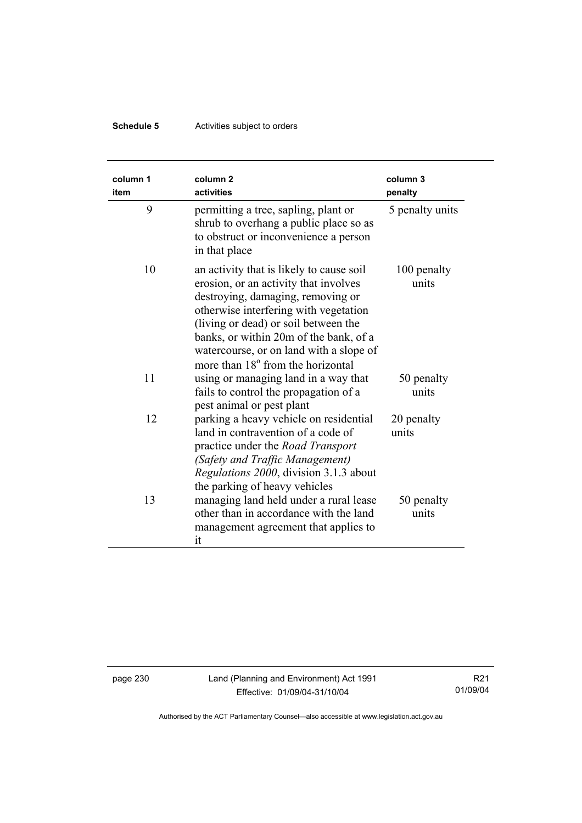## **Schedule 5** Activities subject to orders

| column 1<br>item | column <sub>2</sub><br>activities                                                                                                                                                                                                                                                                                                             | column 3<br>penalty  |
|------------------|-----------------------------------------------------------------------------------------------------------------------------------------------------------------------------------------------------------------------------------------------------------------------------------------------------------------------------------------------|----------------------|
| 9                | permitting a tree, sapling, plant or<br>shrub to overhang a public place so as<br>to obstruct or inconvenience a person<br>in that place                                                                                                                                                                                                      | 5 penalty units      |
| 10               | an activity that is likely to cause soil<br>erosion, or an activity that involves<br>destroying, damaging, removing or<br>otherwise interfering with vegetation<br>(living or dead) or soil between the<br>banks, or within 20m of the bank, of a<br>watercourse, or on land with a slope of<br>more than 18 <sup>°</sup> from the horizontal | 100 penalty<br>units |
| 11               | using or managing land in a way that<br>fails to control the propagation of a<br>pest animal or pest plant                                                                                                                                                                                                                                    | 50 penalty<br>units  |
| 12               | parking a heavy vehicle on residential<br>land in contravention of a code of<br>practice under the <i>Road Transport</i><br>(Safety and Traffic Management)<br>Regulations 2000, division 3.1.3 about<br>the parking of heavy vehicles                                                                                                        | 20 penalty<br>units  |
| 13               | managing land held under a rural lease<br>other than in accordance with the land<br>management agreement that applies to<br>it                                                                                                                                                                                                                | 50 penalty<br>units  |

page 230 Land (Planning and Environment) Act 1991 Effective: 01/09/04-31/10/04

R21 01/09/04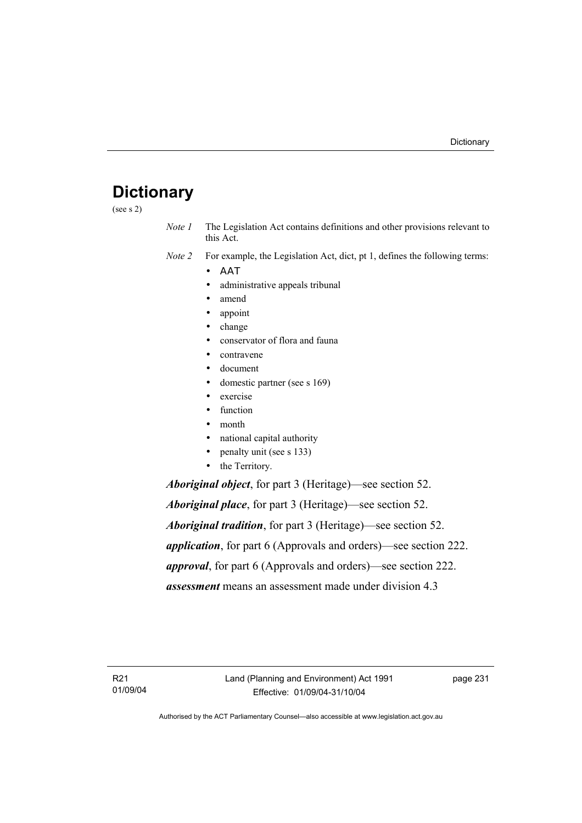# **Dictionary**

(see s 2)

*Note 1* The Legislation Act contains definitions and other provisions relevant to this Act.

*Note 2* For example, the Legislation Act, dict, pt 1, defines the following terms:

- ΑΑΤ
	- administrative appeals tribunal
	- amend
	- appoint
	- change
	- conservator of flora and fauna
	- contravene
	- document
	- domestic partner (see s 169)
	- exercise
	- function
	- month
	- national capital authority
	- penalty unit (see s 133)
	- the Territory.

*Aboriginal object*, for part 3 (Heritage)—see section 52.

*Aboriginal place*, for part 3 (Heritage)—see section 52. *Aboriginal tradition*, for part 3 (Heritage)—see section 52. *application*, for part 6 (Approvals and orders)—see section 222. *approval*, for part 6 (Approvals and orders)—see section 222. *assessment* means an assessment made under division 4.3

R21 01/09/04 page 231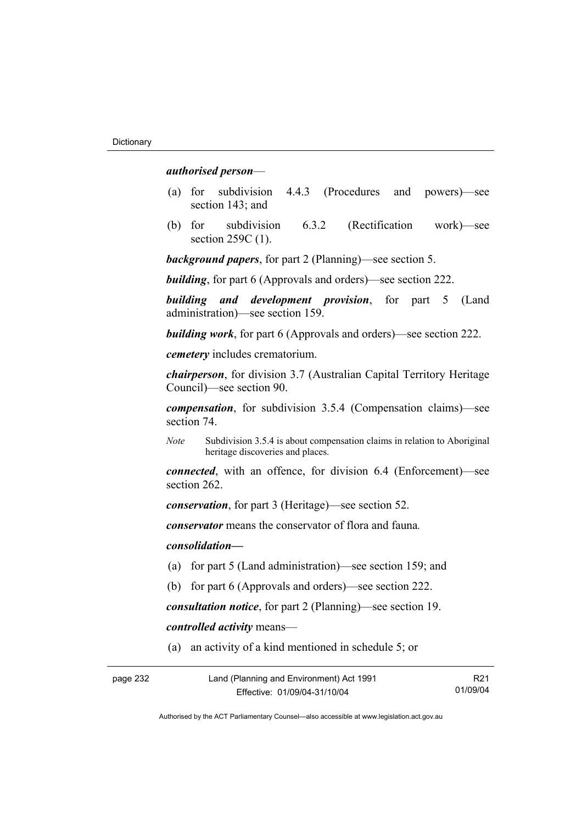#### *authorised person*—

- (a) for subdivision 4.4.3 (Procedures and powers)—see section 143; and
- (b) for subdivision 6.3.2 (Rectification work)—see section 259C (1).

*background papers*, for part 2 (Planning)—see section 5.

*building*, for part 6 (Approvals and orders)—see section 222.

*building and development provision*, for part 5 (Land administration)—see section 159.

*building work*, for part 6 (Approvals and orders)—see section 222.

*cemetery* includes crematorium.

*chairperson*, for division 3.7 (Australian Capital Territory Heritage Council)—see section 90.

*compensation*, for subdivision 3.5.4 (Compensation claims)—see section 74.

*Note* Subdivision 3.5.4 is about compensation claims in relation to Aboriginal heritage discoveries and places.

*connected*, with an offence, for division 6.4 (Enforcement)—see section 262.

*conservation*, for part 3 (Heritage)—see section 52.

*conservator* means the conservator of flora and fauna*.*

*consolidation—*

- (a) for part 5 (Land administration)—see section 159; and
- (b) for part 6 (Approvals and orders)—see section 222.

*consultation notice*, for part 2 (Planning)—see section 19.

*controlled activity* means—

(a) an activity of a kind mentioned in schedule 5; or

| page 232 | Land (Planning and Environment) Act 1991 | R <sub>21</sub> |
|----------|------------------------------------------|-----------------|
|          | Effective: 01/09/04-31/10/04             | 01/09/04        |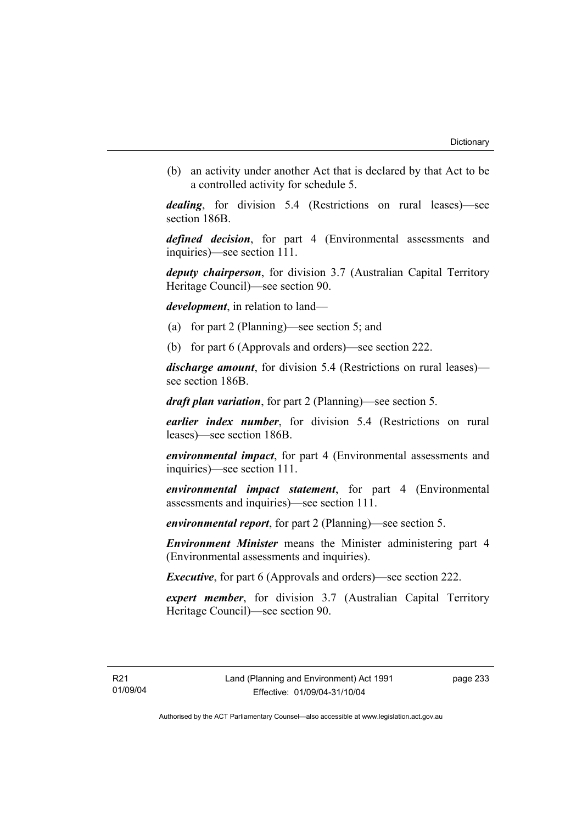(b) an activity under another Act that is declared by that Act to be a controlled activity for schedule 5.

*dealing*, for division 5.4 (Restrictions on rural leases)—see section 186B.

*defined decision*, for part 4 (Environmental assessments and inquiries)—see section 111.

*deputy chairperson*, for division 3.7 (Australian Capital Territory Heritage Council)—see section 90.

*development*, in relation to land—

- (a) for part 2 (Planning)—see section 5; and
- (b) for part 6 (Approvals and orders)—see section 222.

*discharge amount*, for division 5.4 (Restrictions on rural leases) see section 186B.

*draft plan variation*, for part 2 (Planning)—see section 5.

*earlier index number*, for division 5.4 (Restrictions on rural leases)—see section 186B.

*environmental impact*, for part 4 (Environmental assessments and inquiries)—see section 111.

*environmental impact statement*, for part 4 (Environmental assessments and inquiries)—see section 111.

*environmental report*, for part 2 (Planning)—see section 5.

*Environment Minister* means the Minister administering part 4 (Environmental assessments and inquiries).

*Executive*, for part 6 (Approvals and orders)—see section 222.

*expert member*, for division 3.7 (Australian Capital Territory Heritage Council)—see section 90.

page 233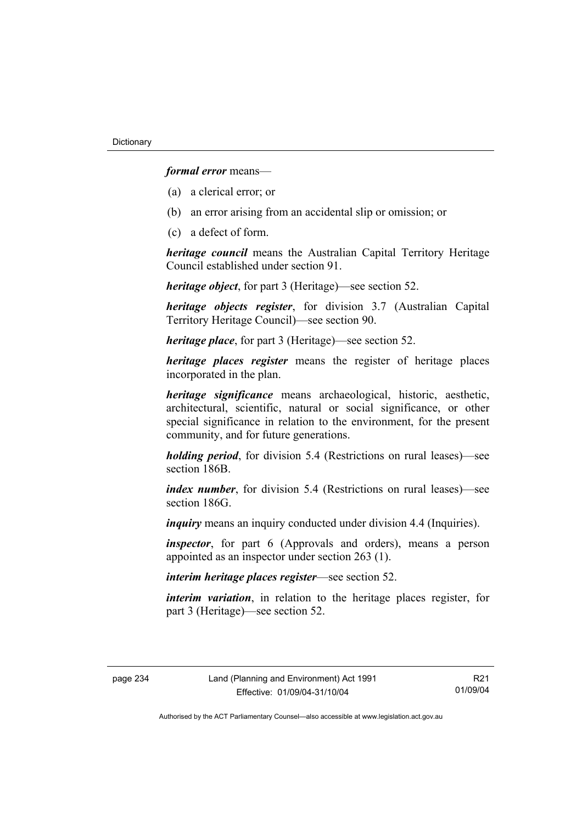*formal error* means—

- (a) a clerical error; or
- (b) an error arising from an accidental slip or omission; or
- (c) a defect of form.

*heritage council* means the Australian Capital Territory Heritage Council established under section 91.

*heritage object*, for part 3 (Heritage)—see section 52.

*heritage objects register*, for division 3.7 (Australian Capital Territory Heritage Council)—see section 90.

*heritage place*, for part 3 (Heritage)—see section 52.

*heritage places register* means the register of heritage places incorporated in the plan.

*heritage significance* means archaeological, historic, aesthetic, architectural, scientific, natural or social significance, or other special significance in relation to the environment, for the present community, and for future generations.

*holding period*, for division 5.4 (Restrictions on rural leases)—see section 186B.

*index number*, for division 5.4 (Restrictions on rural leases)—see section 186G

*inquiry* means an inquiry conducted under division 4.4 (Inquiries).

*inspector*, for part 6 (Approvals and orders), means a person appointed as an inspector under section 263 (1).

*interim heritage places register*—see section 52.

*interim variation*, in relation to the heritage places register, for part 3 (Heritage)—see section 52.

R21 01/09/04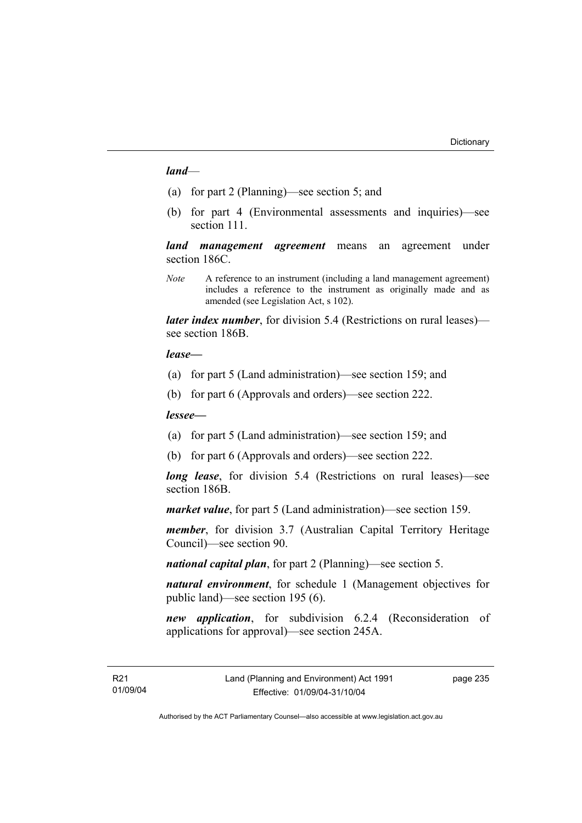#### *land*—

- (a) for part 2 (Planning)—see section 5; and
- (b) for part 4 (Environmental assessments and inquiries)—see section 111.

*land management agreement* means an agreement under section 186C.

*Note* A reference to an instrument (including a land management agreement) includes a reference to the instrument as originally made and as amended (see Legislation Act, s 102).

*later index number*, for division 5.4 (Restrictions on rural leases) see section 186B.

#### *lease—*

- (a) for part 5 (Land administration)—see section 159; and
- (b) for part 6 (Approvals and orders)—see section 222.

#### *lessee—*

- (a) for part 5 (Land administration)—see section 159; and
- (b) for part 6 (Approvals and orders)—see section 222.

*long lease*, for division 5.4 (Restrictions on rural leases)—see section 186B.

*market value*, for part 5 (Land administration)—see section 159.

*member*, for division 3.7 (Australian Capital Territory Heritage Council)—see section 90.

*national capital plan*, for part 2 (Planning)—see section 5.

*natural environment*, for schedule 1 (Management objectives for public land)—see section 195 (6).

*new application*, for subdivision 6.2.4 (Reconsideration of applications for approval)—see section 245A.

page 235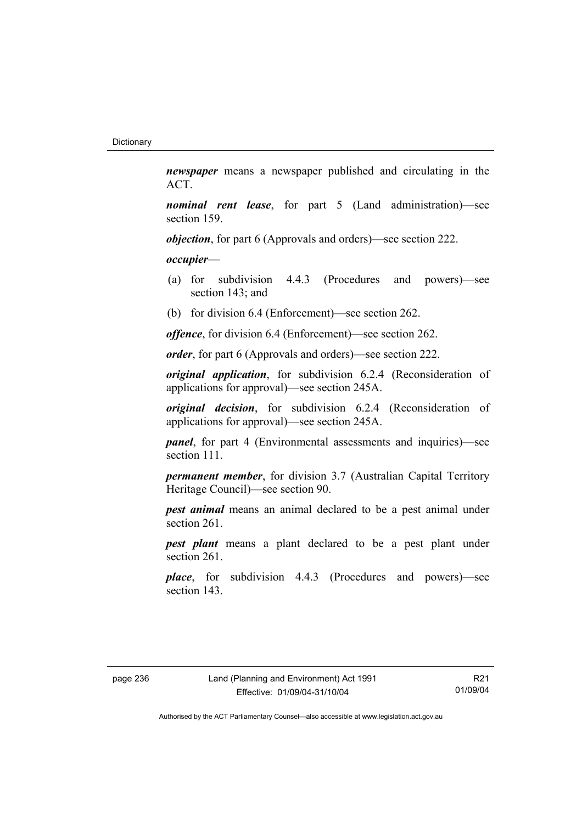*newspaper* means a newspaper published and circulating in the ACT.

*nominal rent lease*, for part 5 (Land administration)—see section 159.

*objection*, for part 6 (Approvals and orders)—see section 222.

*occupier*—

- (a) for subdivision 4.4.3 (Procedures and powers)—see section 143; and
- (b) for division 6.4 (Enforcement)—see section 262.

*offence*, for division 6.4 (Enforcement)—see section 262.

*order*, for part 6 (Approvals and orders)—see section 222.

*original application*, for subdivision 6.2.4 (Reconsideration of applications for approval)—see section 245A.

*original decision*, for subdivision 6.2.4 (Reconsideration of applications for approval)—see section 245A.

*panel*, for part 4 (Environmental assessments and inquiries)—see section 111.

*permanent member*, for division 3.7 (Australian Capital Territory Heritage Council)—see section 90.

*pest animal* means an animal declared to be a pest animal under section 261.

*pest plant* means a plant declared to be a pest plant under section 261.

*place*, for subdivision 4.4.3 (Procedures and powers)—see section 143.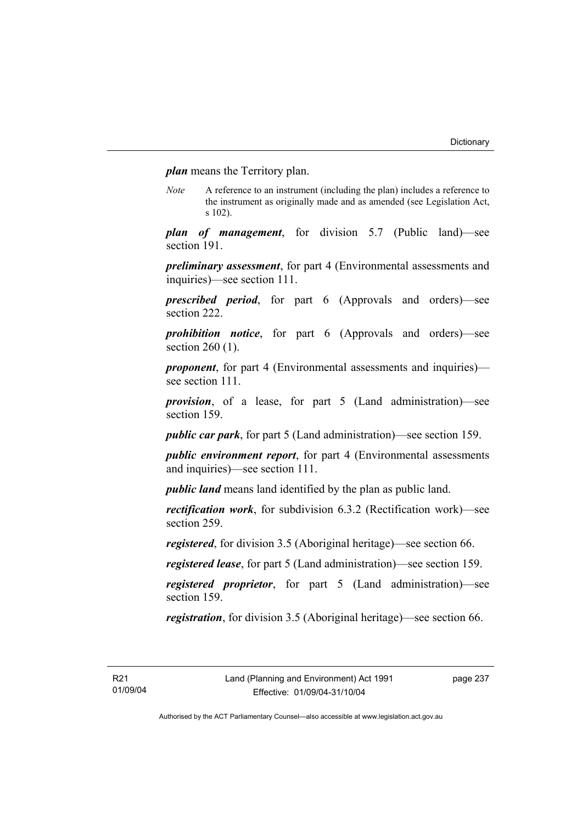*plan* means the Territory plan.

*Note* A reference to an instrument (including the plan) includes a reference to the instrument as originally made and as amended (see Legislation Act, s 102).

*plan of management*, for division 5.7 (Public land)—see section 191.

*preliminary assessment*, for part 4 (Environmental assessments and inquiries)—see section 111.

*prescribed period*, for part 6 (Approvals and orders)—see section 222.

*prohibition notice*, for part 6 (Approvals and orders)—see section 260 (1).

*proponent*, for part 4 (Environmental assessments and inquiries) see section 111.

*provision*, of a lease, for part 5 (Land administration)—see section 159.

*public car park*, for part 5 (Land administration)—see section 159.

*public environment report*, for part 4 (Environmental assessments and inquiries)—see section 111.

*public land* means land identified by the plan as public land.

*rectification work*, for subdivision 6.3.2 (Rectification work)—see section 259.

*registered*, for division 3.5 (Aboriginal heritage)—see section 66.

*registered lease*, for part 5 (Land administration)—see section 159.

*registered proprietor*, for part 5 (Land administration)—see section 159.

*registration*, for division 3.5 (Aboriginal heritage)—see section 66.

page 237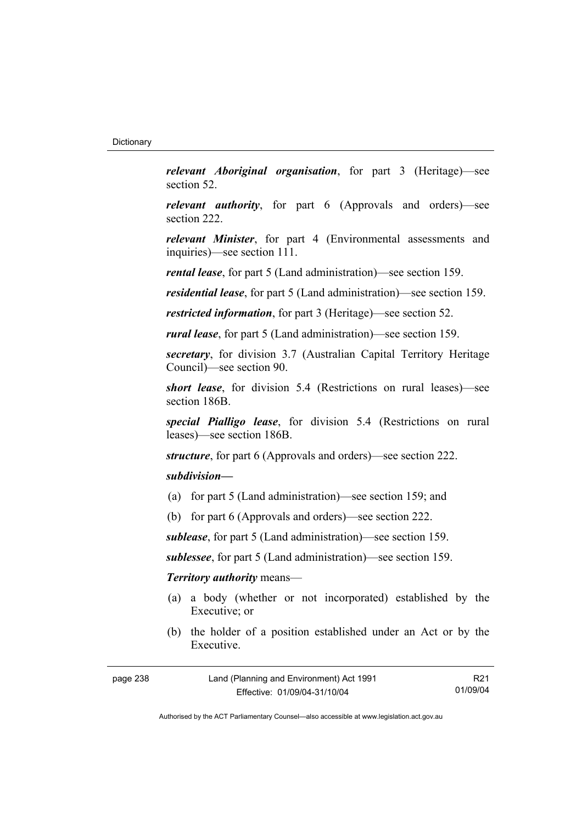*relevant Aboriginal organisation*, for part 3 (Heritage)—see section 52.

*relevant authority*, for part 6 (Approvals and orders)—see section 222.

*relevant Minister*, for part 4 (Environmental assessments and inquiries)—see section 111.

*rental lease*, for part 5 (Land administration)—see section 159.

*residential lease*, for part 5 (Land administration)—see section 159.

*restricted information*, for part 3 (Heritage)—see section 52.

*rural lease*, for part 5 (Land administration)—see section 159.

*secretary*, for division 3.7 (Australian Capital Territory Heritage Council)—see section 90.

*short lease*, for division 5.4 (Restrictions on rural leases)—see section 186B.

*special Pialligo lease*, for division 5.4 (Restrictions on rural leases)—see section 186B.

*structure*, for part 6 (Approvals and orders)—see section 222.

## *subdivision—*

- (a) for part 5 (Land administration)—see section 159; and
- (b) for part 6 (Approvals and orders)—see section 222.

*sublease*, for part 5 (Land administration)—see section 159.

*sublessee*, for part 5 (Land administration)—see section 159.

#### *Territory authority* means—

- (a) a body (whether or not incorporated) established by the Executive; or
- (b) the holder of a position established under an Act or by the Executive.

| page 238 | Land (Planning and Environment) Act 1991 | R <sub>21</sub> |
|----------|------------------------------------------|-----------------|
|          | Effective: 01/09/04-31/10/04             | 01/09/04        |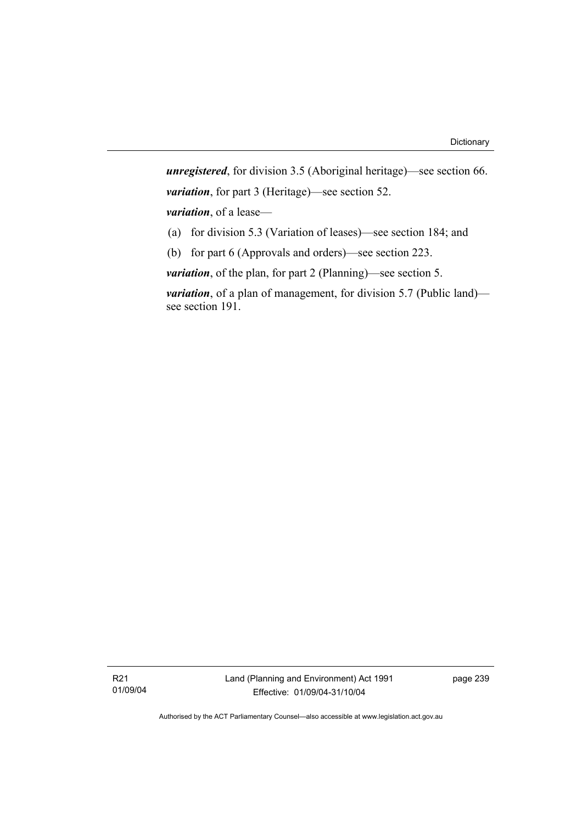*unregistered*, for division 3.5 (Aboriginal heritage)—see section 66. *variation*, for part 3 (Heritage)—see section 52. *variation*, of a lease— (a) for division 5.3 (Variation of leases)—see section 184; and

(b) for part 6 (Approvals and orders)—see section 223.

*variation*, of the plan, for part 2 (Planning)—see section 5.

*variation*, of a plan of management, for division 5.7 (Public land) see section 191.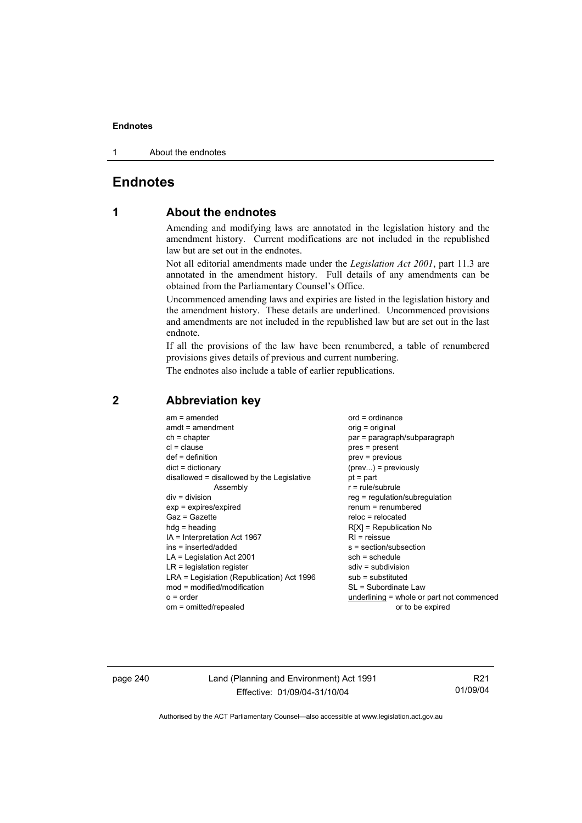1 About the endnotes

## **Endnotes**

## **1 About the endnotes**

Amending and modifying laws are annotated in the legislation history and the amendment history. Current modifications are not included in the republished law but are set out in the endnotes.

Not all editorial amendments made under the *Legislation Act 2001*, part 11.3 are annotated in the amendment history. Full details of any amendments can be obtained from the Parliamentary Counsel's Office.

Uncommenced amending laws and expiries are listed in the legislation history and the amendment history. These details are underlined. Uncommenced provisions and amendments are not included in the republished law but are set out in the last endnote.

If all the provisions of the law have been renumbered, a table of renumbered provisions gives details of previous and current numbering.

The endnotes also include a table of earlier republications.

## **2 Abbreviation key**

page 240 Land (Planning and Environment) Act 1991 Effective: 01/09/04-31/10/04

R21 01/09/04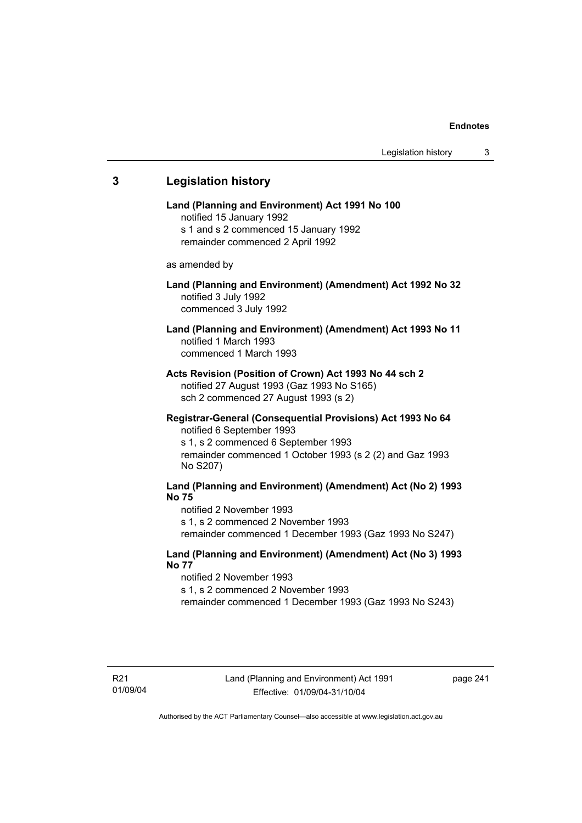# **3 Legislation history Land (Planning and Environment) Act 1991 No 100**  notified 15 January 1992 s 1 and s 2 commenced 15 January 1992 remainder commenced 2 April 1992 as amended by **Land (Planning and Environment) (Amendment) Act 1992 No 32**  notified 3 July 1992 commenced 3 July 1992 **Land (Planning and Environment) (Amendment) Act 1993 No 11**  notified 1 March 1993 commenced 1 March 1993 **Acts Revision (Position of Crown) Act 1993 No 44 sch 2**  notified 27 August 1993 (Gaz 1993 No S165) sch 2 commenced 27 August 1993 (s 2) **Registrar-General (Consequential Provisions) Act 1993 No 64**  notified 6 September 1993 s 1, s 2 commenced 6 September 1993 remainder commenced 1 October 1993 (s 2 (2) and Gaz 1993 No S207) **Land (Planning and Environment) (Amendment) Act (No 2) 1993 No 75**  notified 2 November 1993 s 1, s 2 commenced 2 November 1993 remainder commenced 1 December 1993 (Gaz 1993 No S247) **Land (Planning and Environment) (Amendment) Act (No 3) 1993 No 77**  notified 2 November 1993 s 1, s 2 commenced 2 November 1993 remainder commenced 1 December 1993 (Gaz 1993 No S243)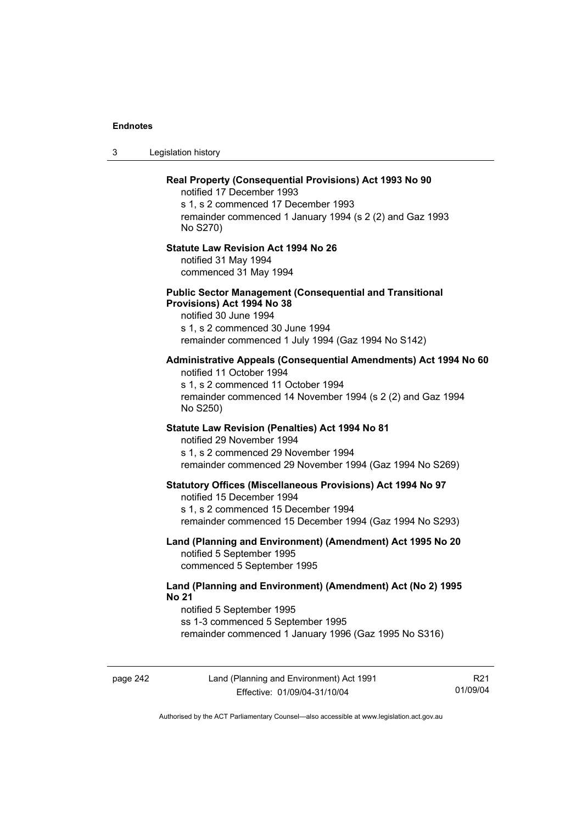3 Legislation history

# **Real Property (Consequential Provisions) Act 1993 No 90**  notified 17 December 1993 s 1, s 2 commenced 17 December 1993 remainder commenced 1 January 1994 (s 2 (2) and Gaz 1993 No S270) **Statute Law Revision Act 1994 No 26**  notified 31 May 1994 commenced 31 May 1994 **Public Sector Management (Consequential and Transitional Provisions) Act 1994 No 38**  notified 30 June 1994 s 1, s 2 commenced 30 June 1994 remainder commenced 1 July 1994 (Gaz 1994 No S142) **Administrative Appeals (Consequential Amendments) Act 1994 No 60**  notified 11 October 1994 s 1, s 2 commenced 11 October 1994 remainder commenced 14 November 1994 (s 2 (2) and Gaz 1994 No S250) **Statute Law Revision (Penalties) Act 1994 No 81**  notified 29 November 1994 s 1, s 2 commenced 29 November 1994 remainder commenced 29 November 1994 (Gaz 1994 No S269) **Statutory Offices (Miscellaneous Provisions) Act 1994 No 97**  notified 15 December 1994 s 1, s 2 commenced 15 December 1994 remainder commenced 15 December 1994 (Gaz 1994 No S293) **Land (Planning and Environment) (Amendment) Act 1995 No 20**  notified 5 September 1995 commenced 5 September 1995 **Land (Planning and Environment) (Amendment) Act (No 2) 1995 No 21**  notified 5 September 1995 ss 1-3 commenced 5 September 1995 remainder commenced 1 January 1996 (Gaz 1995 No S316)

page 242 Land (Planning and Environment) Act 1991 Effective: 01/09/04-31/10/04

R21 01/09/04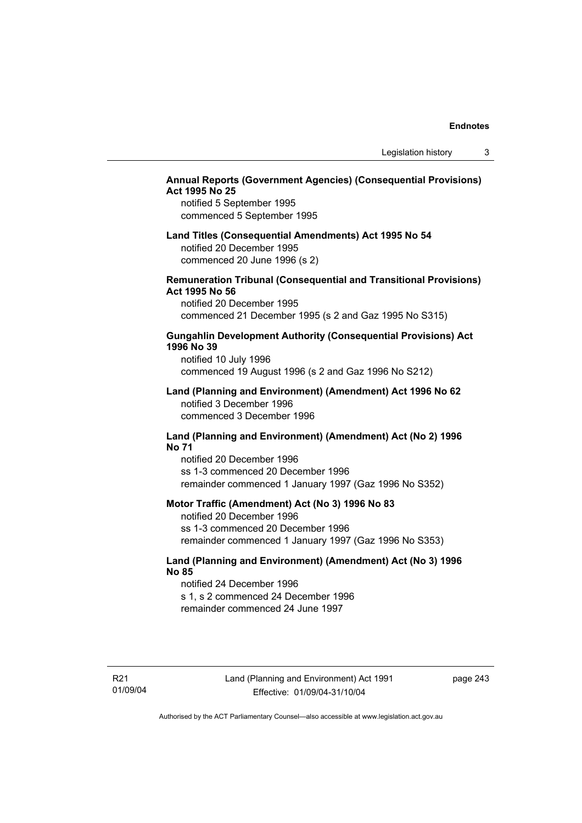## **Annual Reports (Government Agencies) (Consequential Provisions) Act 1995 No 25**

notified 5 September 1995 commenced 5 September 1995

## **Land Titles (Consequential Amendments) Act 1995 No 54**

notified 20 December 1995 commenced 20 June 1996 (s 2)

#### **Remuneration Tribunal (Consequential and Transitional Provisions) Act 1995 No 56**

notified 20 December 1995 commenced 21 December 1995 (s 2 and Gaz 1995 No S315)

#### **Gungahlin Development Authority (Consequential Provisions) Act 1996 No 39**

notified 10 July 1996 commenced 19 August 1996 (s 2 and Gaz 1996 No S212)

#### **Land (Planning and Environment) (Amendment) Act 1996 No 62**  notified 3 December 1996 commenced 3 December 1996

#### **Land (Planning and Environment) (Amendment) Act (No 2) 1996 No 71**

notified 20 December 1996 ss 1-3 commenced 20 December 1996 remainder commenced 1 January 1997 (Gaz 1996 No S352)

#### **Motor Traffic (Amendment) Act (No 3) 1996 No 83**

notified 20 December 1996 ss 1-3 commenced 20 December 1996 remainder commenced 1 January 1997 (Gaz 1996 No S353)

## **Land (Planning and Environment) (Amendment) Act (No 3) 1996 No 85**

notified 24 December 1996 s 1, s 2 commenced 24 December 1996 remainder commenced 24 June 1997

R21 01/09/04 page 243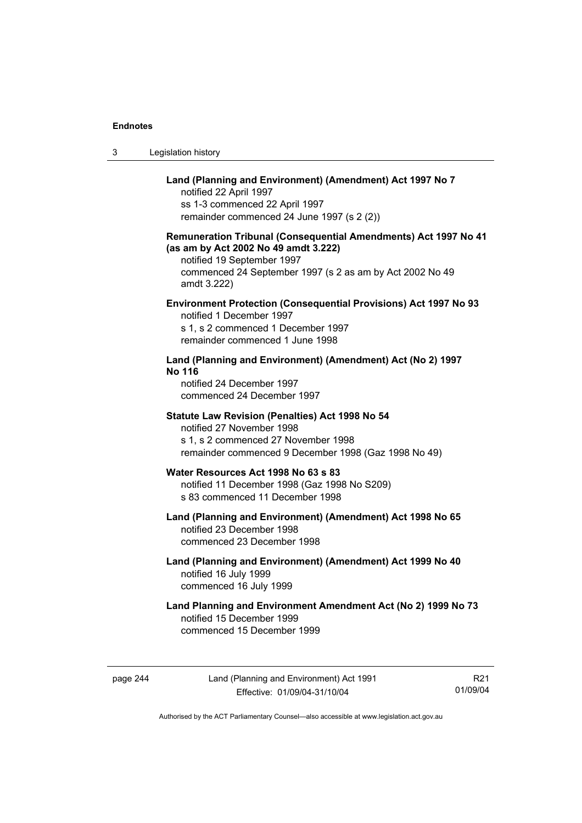| Legislation history<br>3 |  |
|--------------------------|--|
|--------------------------|--|

## **Land (Planning and Environment) (Amendment) Act 1997 No 7**

notified 22 April 1997 ss 1-3 commenced 22 April 1997 remainder commenced 24 June 1997 (s 2 (2))

### **Remuneration Tribunal (Consequential Amendments) Act 1997 No 41 (as am by Act 2002 No 49 amdt 3.222)**

notified 19 September 1997 commenced 24 September 1997 (s 2 as am by Act 2002 No 49 amdt 3.222)

## **Environment Protection (Consequential Provisions) Act 1997 No 93**

notified 1 December 1997 s 1, s 2 commenced 1 December 1997 remainder commenced 1 June 1998

## **Land (Planning and Environment) (Amendment) Act (No 2) 1997 No 116**

notified 24 December 1997 commenced 24 December 1997

#### **Statute Law Revision (Penalties) Act 1998 No 54**

notified 27 November 1998 s 1, s 2 commenced 27 November 1998 remainder commenced 9 December 1998 (Gaz 1998 No 49)

#### **Water Resources Act 1998 No 63 s 83**  notified 11 December 1998 (Gaz 1998 No S209)

s 83 commenced 11 December 1998

#### **Land (Planning and Environment) (Amendment) Act 1998 No 65**  notified 23 December 1998 commenced 23 December 1998

## **Land (Planning and Environment) (Amendment) Act 1999 No 40**  notified 16 July 1999 commenced 16 July 1999

## **Land Planning and Environment Amendment Act (No 2) 1999 No 73**  notified 15 December 1999 commenced 15 December 1999

page 244 Land (Planning and Environment) Act 1991 Effective: 01/09/04-31/10/04

R21 01/09/04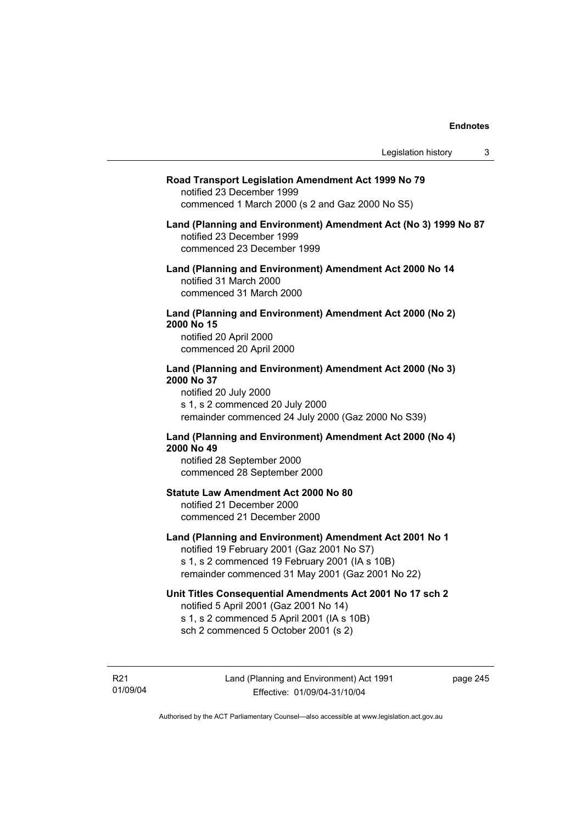#### **Road Transport Legislation Amendment Act 1999 No 79**

notified 23 December 1999 commenced 1 March 2000 (s 2 and Gaz 2000 No S5)

#### **Land (Planning and Environment) Amendment Act (No 3) 1999 No 87**  notified 23 December 1999 commenced 23 December 1999

**Land (Planning and Environment) Amendment Act 2000 No 14**  notified 31 March 2000 commenced 31 March 2000

#### **Land (Planning and Environment) Amendment Act 2000 (No 2) 2000 No 15**  notified 20 April 2000

commenced 20 April 2000

#### **Land (Planning and Environment) Amendment Act 2000 (No 3) 2000 No 37**  notified 20 July 2000

s 1, s 2 commenced 20 July 2000 remainder commenced 24 July 2000 (Gaz 2000 No S39)

## **Land (Planning and Environment) Amendment Act 2000 (No 4) 2000 No 49**

notified 28 September 2000 commenced 28 September 2000

#### **Statute Law Amendment Act 2000 No 80**

notified 21 December 2000 commenced 21 December 2000

## **Land (Planning and Environment) Amendment Act 2001 No 1**

notified 19 February 2001 (Gaz 2001 No S7) s 1, s 2 commenced 19 February 2001 (IA s 10B) remainder commenced 31 May 2001 (Gaz 2001 No 22)

### **Unit Titles Consequential Amendments Act 2001 No 17 sch 2**

notified 5 April 2001 (Gaz 2001 No 14) s 1, s 2 commenced 5 April 2001 (IA s 10B) sch 2 commenced 5 October 2001 (s 2)

R21 01/09/04 page 245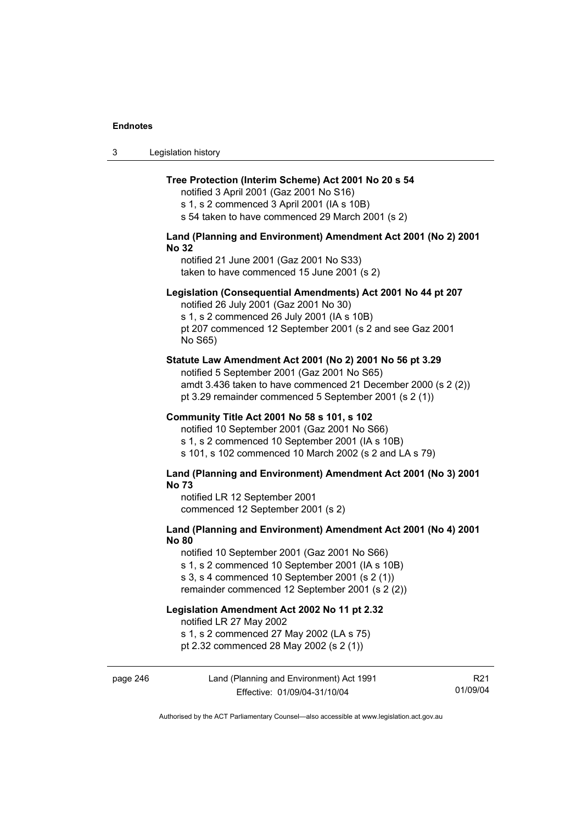| -3 | Legislation history |
|----|---------------------|
|----|---------------------|

#### **Tree Protection (Interim Scheme) Act 2001 No 20 s 54**

notified 3 April 2001 (Gaz 2001 No S16) s 1, s 2 commenced 3 April 2001 (IA s 10B)

s 54 taken to have commenced 29 March 2001 (s 2)

## **Land (Planning and Environment) Amendment Act 2001 (No 2) 2001 No 32**

notified 21 June 2001 (Gaz 2001 No S33) taken to have commenced 15 June 2001 (s 2)

#### **Legislation (Consequential Amendments) Act 2001 No 44 pt 207**

notified 26 July 2001 (Gaz 2001 No 30) s 1, s 2 commenced 26 July 2001 (IA s 10B) pt 207 commenced 12 September 2001 (s 2 and see Gaz 2001 No S65)

#### **Statute Law Amendment Act 2001 (No 2) 2001 No 56 pt 3.29**

notified 5 September 2001 (Gaz 2001 No S65) amdt 3.436 taken to have commenced 21 December 2000 (s 2 (2)) pt 3.29 remainder commenced 5 September 2001 (s 2 (1))

#### **Community Title Act 2001 No 58 s 101, s 102**

notified 10 September 2001 (Gaz 2001 No S66) s 1, s 2 commenced 10 September 2001 (IA s 10B) s 101, s 102 commenced 10 March 2002 (s 2 and LA s 79)

#### **Land (Planning and Environment) Amendment Act 2001 (No 3) 2001 No 73**

notified LR 12 September 2001 commenced 12 September 2001 (s 2)

## **Land (Planning and Environment) Amendment Act 2001 (No 4) 2001 No 80**

notified 10 September 2001 (Gaz 2001 No S66) s 1, s 2 commenced 10 September 2001 (IA s 10B) s 3, s 4 commenced 10 September 2001 (s 2 (1))

remainder commenced 12 September 2001 (s 2 (2))

# **Legislation Amendment Act 2002 No 11 pt 2.32**

notified LR 27 May 2002

s 1, s 2 commenced 27 May 2002 (LA s 75)

pt 2.32 commenced 28 May 2002 (s 2 (1))

page 246 Land (Planning and Environment) Act 1991 Effective: 01/09/04-31/10/04 R21 01/09/04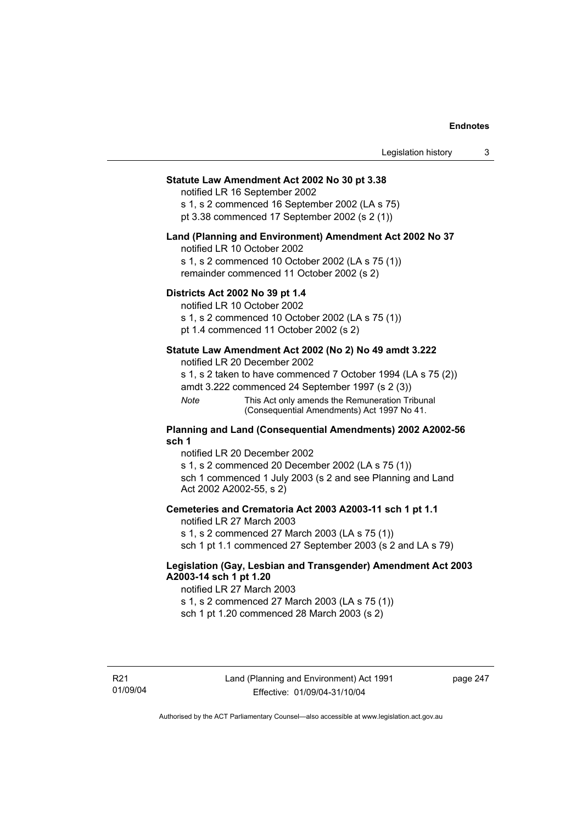## **Statute Law Amendment Act 2002 No 30 pt 3.38**

notified LR 16 September 2002

s 1, s 2 commenced 16 September 2002 (LA s 75) pt 3.38 commenced 17 September 2002 (s 2 (1))

#### **Land (Planning and Environment) Amendment Act 2002 No 37**

notified LR 10 October 2002

s 1, s 2 commenced 10 October 2002 (LA s 75 (1)) remainder commenced 11 October 2002 (s 2)

#### **Districts Act 2002 No 39 pt 1.4**

notified LR 10 October 2002

s 1, s 2 commenced 10 October 2002 (LA s 75 (1))

pt 1.4 commenced 11 October 2002 (s 2)

#### **Statute Law Amendment Act 2002 (No 2) No 49 amdt 3.222**

notified LR 20 December 2002

s 1, s 2 taken to have commenced 7 October 1994 (LA s 75 (2))

amdt 3.222 commenced 24 September 1997 (s 2 (3))

*Note* This Act only amends the Remuneration Tribunal (Consequential Amendments) Act 1997 No 41.

#### **Planning and Land (Consequential Amendments) 2002 A2002-56 sch 1**

notified LR 20 December 2002 s 1, s 2 commenced 20 December 2002 (LA s 75 (1)) sch 1 commenced 1 July 2003 (s 2 and see Planning and Land Act 2002 A2002-55, s 2)

#### **Cemeteries and Crematoria Act 2003 A2003-11 sch 1 pt 1.1**

notified LR 27 March 2003 s 1, s 2 commenced 27 March 2003 (LA s 75 (1)) sch 1 pt 1.1 commenced 27 September 2003 (s 2 and LA s 79)

## **Legislation (Gay, Lesbian and Transgender) Amendment Act 2003 A2003-14 sch 1 pt 1.20**

notified LR 27 March 2003 s 1, s 2 commenced 27 March 2003 (LA s 75 (1)) sch 1 pt 1.20 commenced 28 March 2003 (s 2)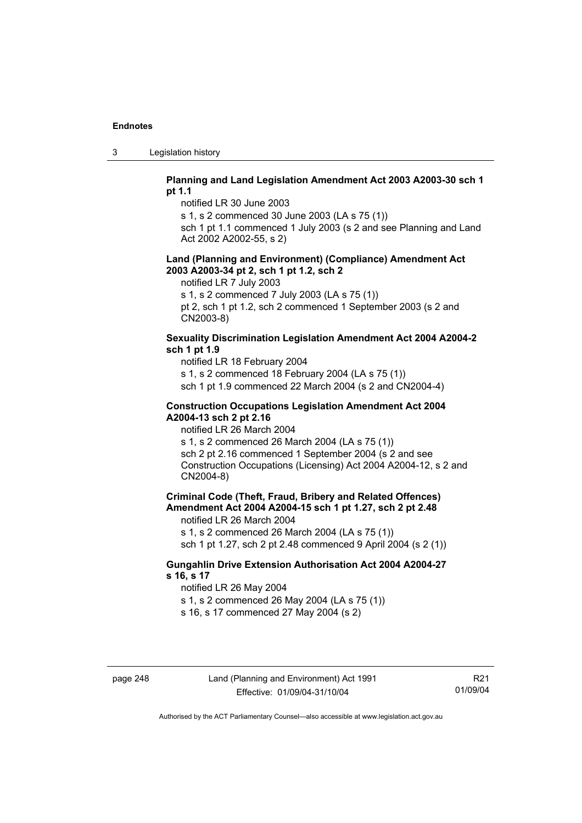3 Legislation history

#### **Planning and Land Legislation Amendment Act 2003 A2003-30 sch 1 pt 1.1**

notified LR 30 June 2003

s 1, s 2 commenced 30 June 2003 (LA s 75 (1))

sch 1 pt 1.1 commenced 1 July 2003 (s 2 and see Planning and Land Act 2002 A2002-55, s 2)

#### **Land (Planning and Environment) (Compliance) Amendment Act 2003 A2003-34 pt 2, sch 1 pt 1.2, sch 2**

notified LR 7 July 2003

s 1, s 2 commenced 7 July 2003 (LA s 75 (1))

pt 2, sch 1 pt 1.2, sch 2 commenced 1 September 2003 (s 2 and CN2003-8)

#### **Sexuality Discrimination Legislation Amendment Act 2004 A2004-2 sch 1 pt 1.9**

notified LR 18 February 2004

s 1, s 2 commenced 18 February 2004 (LA s 75 (1))

sch 1 pt 1.9 commenced 22 March 2004 (s 2 and CN2004-4)

#### **Construction Occupations Legislation Amendment Act 2004 A2004-13 sch 2 pt 2.16**

notified LR 26 March 2004

s 1, s 2 commenced 26 March 2004 (LA s 75 (1)) sch 2 pt 2.16 commenced 1 September 2004 (s 2 and see Construction Occupations (Licensing) Act 2004 A2004-12, s 2 and CN2004-8)

## **Criminal Code (Theft, Fraud, Bribery and Related Offences) Amendment Act 2004 A2004-15 sch 1 pt 1.27, sch 2 pt 2.48**

notified LR 26 March 2004

s 1, s 2 commenced 26 March 2004 (LA s 75 (1))

sch 1 pt 1.27, sch 2 pt 2.48 commenced 9 April 2004 (s 2 (1))

## **Gungahlin Drive Extension Authorisation Act 2004 A2004-27 s 16, s 17**

notified LR 26 May 2004

s 1, s 2 commenced 26 May 2004 (LA s 75 (1))

s 16, s 17 commenced 27 May 2004 (s 2)

R21 01/09/04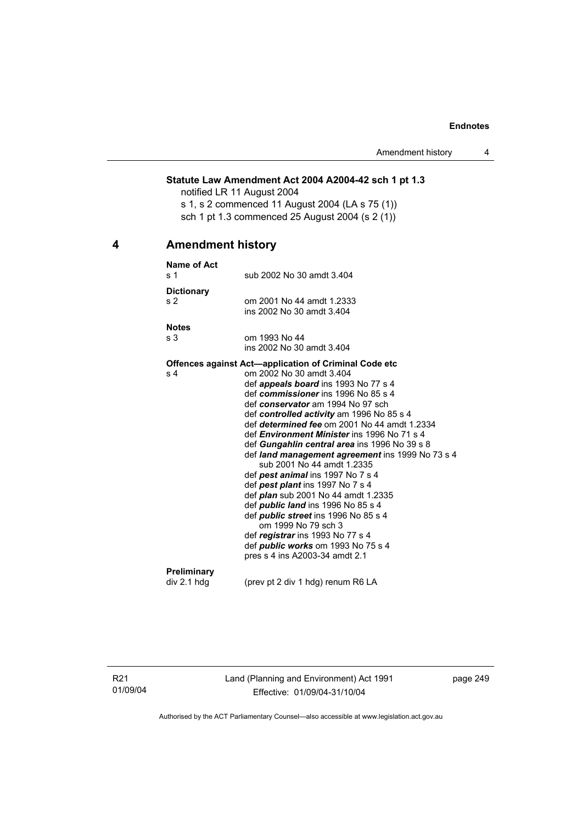## **Statute Law Amendment Act 2004 A2004-42 sch 1 pt 1.3**

notified LR 11 August 2004 s 1, s 2 commenced 11 August 2004 (LA s 75 (1)) sch 1 pt 1.3 commenced 25 August 2004 (s 2 (1))

## **4 Amendment history**

| Name of Act       |                                                                    |
|-------------------|--------------------------------------------------------------------|
| s <sub>1</sub>    | sub 2002 No 30 amdt 3.404                                          |
| <b>Dictionary</b> |                                                                    |
| s <sub>2</sub>    | om 2001 No 44 amdt 1.2333                                          |
|                   | ins 2002 No 30 amdt 3.404                                          |
| <b>Notes</b>      |                                                                    |
| s 3               | om 1993 No 44                                                      |
|                   | ins 2002 No 30 amdt 3.404                                          |
|                   | <b>Offences against Act—application of Criminal Code etc</b>       |
| s 4               | om 2002 No 30 amdt 3.404                                           |
|                   | def <i>appeals board</i> ins 1993 No 77 s 4                        |
|                   | def commissioner ins 1996 No 85 s 4                                |
|                   | def conservator am 1994 No 97 sch                                  |
|                   | def controlled activity am 1996 No 85 s 4                          |
|                   | def determined fee om 2001 No 44 amdt 1.2334                       |
|                   | def <i>Environment Minister</i> ins 1996 No 71 s 4                 |
|                   | def Gungahlin central area ins 1996 No 39 s 8                      |
|                   | def land management agreement ins 1999 No 73 s 4                   |
|                   | sub 2001 No 44 amdt 1.2335                                         |
|                   | def pest animal ins 1997 No 7 s 4                                  |
|                   | def pest plant ins 1997 No 7 s 4                                   |
|                   | def <i>plan</i> sub 2001 No 44 amdt 1.2335                         |
|                   | def <i>public land</i> ins 1996 No 85 s 4                          |
|                   | def <i>public</i> street ins 1996 No 85 s 4<br>om 1999 No 79 sch 3 |
|                   | def registrar ins 1993 No 77 s 4                                   |
|                   | def <i>public works</i> om 1993 No 75 s 4                          |
|                   | pres s 4 ins A2003-34 amdt 2.1                                     |
|                   |                                                                    |
| Preliminary       |                                                                    |
| div 2.1 hdg       | (prev pt 2 div 1 hdg) renum R6 LA                                  |

R21 01/09/04 Land (Planning and Environment) Act 1991 Effective: 01/09/04-31/10/04

page 249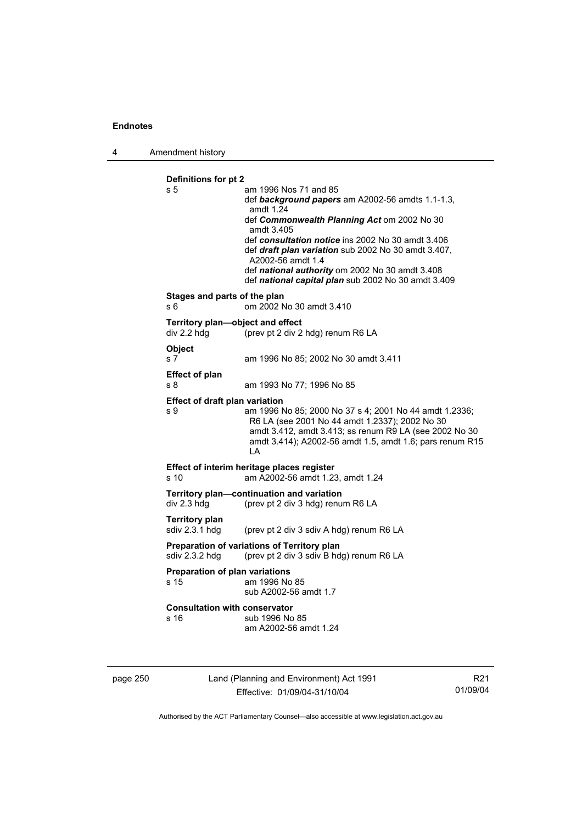4 Amendment history

```
Definitions for pt 2 
s 5 am 1996 Nos 71 and 85 
                  def background papers am A2002-56 amdts 1.1-1.3, 
                  amdt 1.24 
                  def Commonwealth Planning Act om 2002 No 30 
                  amdt 3.405 
                  def consultation notice ins 2002 No 30 amdt 3.406 
                  def draft plan variation sub 2002 No 30 amdt 3.407, 
                  A2002-56 amdt 1.4 
                  def national authority om 2002 No 30 amdt 3.408 
                  def national capital plan sub 2002 No 30 amdt 3.409 
Stages and parts of the plan 
s 6 om 2002 No 30 amdt 3.410 
Territory plan—object and effect 
div 2.2 hdg (prev pt 2 div 2 hdg) renum R6 LA 
Object 
s 7 am 1996 No 85; 2002 No 30 amdt 3.411 
Effect of plan 
s 8 am 1993 No 77; 1996 No 85 
Effect of draft plan variation 
s 9 am 1996 No 85; 2000 No 37 s 4; 2001 No 44 amdt 1.2336; 
                  R6 LA (see 2001 No 44 amdt 1.2337); 2002 No 30 
                  amdt 3.412, amdt 3.413; ss renum R9 LA (see 2002 No 30 
                  amdt 3.414); A2002-56 amdt 1.5, amdt 1.6; pars renum R15 
                  LA 
Effect of interim heritage places register 
s 10 am A2002-56 amdt 1.23, amdt 1.24 
Territory plan—continuation and variation 
div 2.3 hdg (prev pt 2 div 3 hdg) renum R6 LA 
Territory plan 
                 (prev pt 2 div 3 sdiv A hdg) renum R6 LA
Preparation of variations of Territory plan 
sdiv 2.3.2 hdg (prev pt 2 div 3 sdiv B hdg) renum R6 LA 
Preparation of plan variations 
s 15 am 1996 No 85 
                  sub A2002-56 amdt 1.7 
Consultation with conservator 
s 16 sub 1996 No 85
                  am A2002-56 amdt 1.24
```
page 250 Land (Planning and Environment) Act 1991 Effective: 01/09/04-31/10/04

R21 01/09/04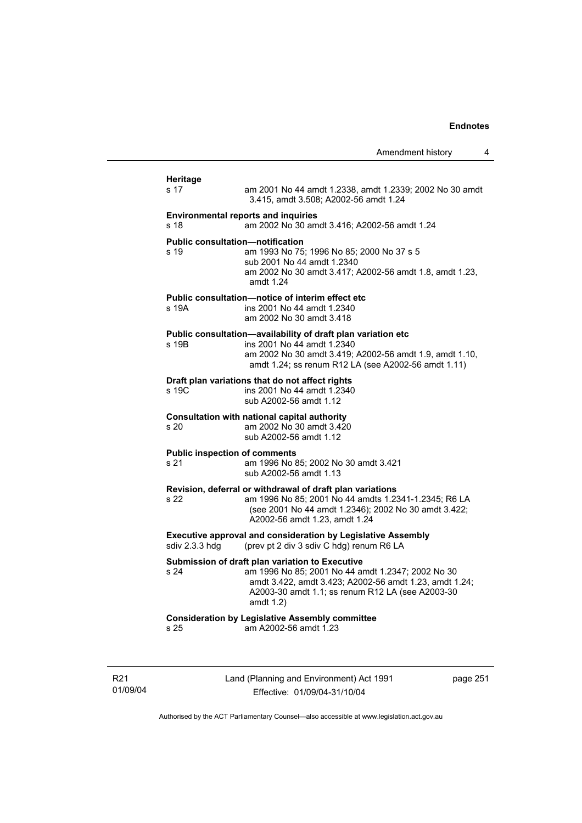|                                                 | Amendment history                                                                                                                                                                                                                  |          | 4 |
|-------------------------------------------------|------------------------------------------------------------------------------------------------------------------------------------------------------------------------------------------------------------------------------------|----------|---|
| <b>Heritage</b><br>s 17                         | am 2001 No 44 amdt 1.2338, amdt 1.2339; 2002 No 30 amdt<br>3.415, amdt 3.508; A2002-56 amdt 1.24                                                                                                                                   |          |   |
| s 18                                            | <b>Environmental reports and inquiries</b><br>am 2002 No 30 amdt 3.416; A2002-56 amdt 1.24                                                                                                                                         |          |   |
| <b>Public consultation—notification</b><br>s 19 | am 1993 No 75; 1996 No 85; 2000 No 37 s 5<br>sub 2001 No 44 amdt 1.2340<br>am 2002 No 30 amdt 3.417; A2002-56 amdt 1.8, amdt 1.23,<br>amdt 1.24                                                                                    |          |   |
| s 19A                                           | Public consultation—notice of interim effect etc<br>ins 2001 No 44 amdt 1.2340<br>am 2002 No 30 amdt 3.418                                                                                                                         |          |   |
| s 19B                                           | Public consultation-availability of draft plan variation etc<br>ins 2001 No 44 amdt 1.2340<br>am 2002 No 30 amdt 3.419; A2002-56 amdt 1.9, amdt 1.10,<br>amdt 1.24; ss renum R12 LA (see A2002-56 amdt 1.11)                       |          |   |
| s 19C                                           | Draft plan variations that do not affect rights<br>ins 2001 No 44 amdt 1.2340<br>sub A2002-56 amdt 1.12                                                                                                                            |          |   |
| s 20                                            | Consultation with national capital authority<br>am 2002 No 30 amdt 3.420<br>sub A2002-56 amdt 1.12                                                                                                                                 |          |   |
| <b>Public inspection of comments</b><br>s 21    | am 1996 No 85; 2002 No 30 amdt 3.421<br>sub A2002-56 amdt 1.13                                                                                                                                                                     |          |   |
| s 22                                            | Revision, deferral or withdrawal of draft plan variations<br>am 1996 No 85; 2001 No 44 amdts 1.2341-1.2345; R6 LA<br>(see 2001 No 44 amdt 1.2346); 2002 No 30 amdt 3.422;<br>A2002-56 amdt 1.23, amdt 1.24                         |          |   |
| sdiv 2.3.3 hdg                                  | <b>Executive approval and consideration by Legislative Assembly</b><br>(prev pt 2 div 3 sdiv C hdg) renum R6 LA                                                                                                                    |          |   |
| s 24                                            | Submission of draft plan variation to Executive<br>am 1996 No 85; 2001 No 44 amdt 1.2347; 2002 No 30<br>amdt 3.422, amdt 3.423; A2002-56 amdt 1.23, amdt 1.24;<br>A2003-30 amdt 1.1; ss renum R12 LA (see A2003-30<br>amdt $1.2$ ) |          |   |
| s 25                                            | <b>Consideration by Legislative Assembly committee</b><br>am A2002-56 amdt 1.23                                                                                                                                                    |          |   |
|                                                 | Land (Planning and Environment) Act 1991                                                                                                                                                                                           | page 251 |   |

R21 01/09/04

Effective: 01/09/04-31/10/04

page 251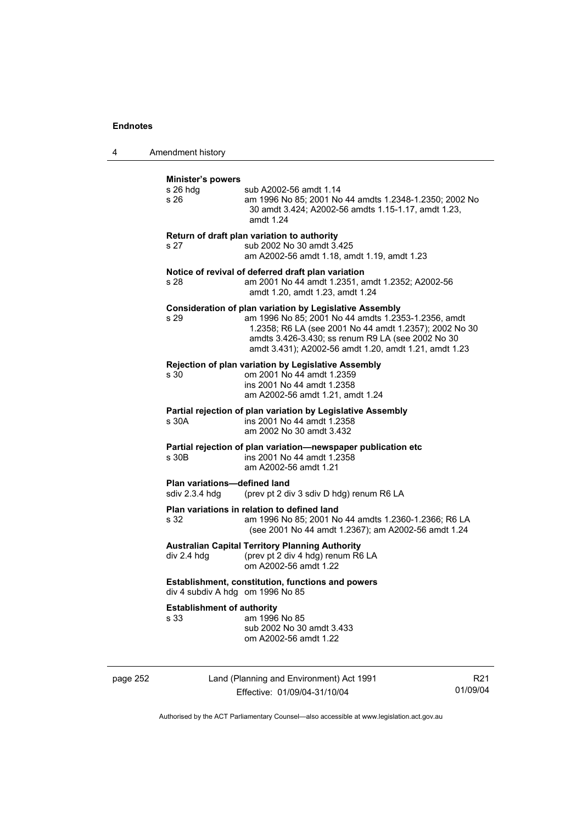4 Amendment history

| Minister's powers<br>s 26 hdg<br>s 26                 | sub A2002-56 amdt 1.14<br>am 1996 No 85; 2001 No 44 amdts 1.2348-1.2350; 2002 No<br>30 amdt 3.424; A2002-56 amdts 1.15-1.17, amdt 1.23,<br>amdt 1.24                                                                                                                                          |
|-------------------------------------------------------|-----------------------------------------------------------------------------------------------------------------------------------------------------------------------------------------------------------------------------------------------------------------------------------------------|
| s <sub>27</sub>                                       | Return of draft plan variation to authority<br>sub 2002 No 30 amdt 3.425<br>am A2002-56 amdt 1.18, amdt 1.19, amdt 1.23                                                                                                                                                                       |
| s 28                                                  | Notice of revival of deferred draft plan variation<br>am 2001 No 44 amdt 1.2351, amdt 1.2352; A2002-56<br>amdt 1.20, amdt 1.23, amdt 1.24                                                                                                                                                     |
| s 29                                                  | <b>Consideration of plan variation by Legislative Assembly</b><br>am 1996 No 85; 2001 No 44 amdts 1.2353-1.2356, amdt<br>1.2358; R6 LA (see 2001 No 44 amdt 1.2357); 2002 No 30<br>amdts 3.426-3.430; ss renum R9 LA (see 2002 No 30<br>amdt 3.431); A2002-56 amdt 1.20, amdt 1.21, amdt 1.23 |
| s 30                                                  | Rejection of plan variation by Legislative Assembly<br>om 2001 No 44 amdt 1.2359<br>ins 2001 No 44 amdt 1.2358<br>am A2002-56 amdt 1.21, amdt 1.24                                                                                                                                            |
| s 30A                                                 | Partial rejection of plan variation by Legislative Assembly<br>ins 2001 No 44 amdt 1.2358<br>am 2002 No 30 amdt 3.432                                                                                                                                                                         |
| s 30 <sub>B</sub>                                     | Partial rejection of plan variation-newspaper publication etc<br>ins 2001 No 44 amdt 1.2358<br>am A2002-56 amdt 1.21                                                                                                                                                                          |
| <b>Plan variations-defined land</b><br>sdiv 2.3.4 hdg | (prev pt 2 div 3 sdiv D hdg) renum R6 LA                                                                                                                                                                                                                                                      |
| s 32                                                  | Plan variations in relation to defined land<br>am 1996 No 85; 2001 No 44 amdts 1.2360-1.2366; R6 LA<br>(see 2001 No 44 amdt 1.2367); am A2002-56 amdt 1.24                                                                                                                                    |
| div 2.4 hdg                                           | <b>Australian Capital Territory Planning Authority</b><br>(prev pt 2 div 4 hdg) renum R6 LA<br>om A2002-56 amdt 1.22                                                                                                                                                                          |
| div 4 subdiv A hdg om 1996 No 85                      | Establishment, constitution, functions and powers                                                                                                                                                                                                                                             |
| <b>Establishment of authority</b><br>s 33             | am 1996 No 85<br>sub 2002 No 30 amdt 3.433<br>om A2002-56 amdt 1.22                                                                                                                                                                                                                           |

page 252 Land (Planning and Environment) Act 1991 Effective: 01/09/04-31/10/04

R21 01/09/04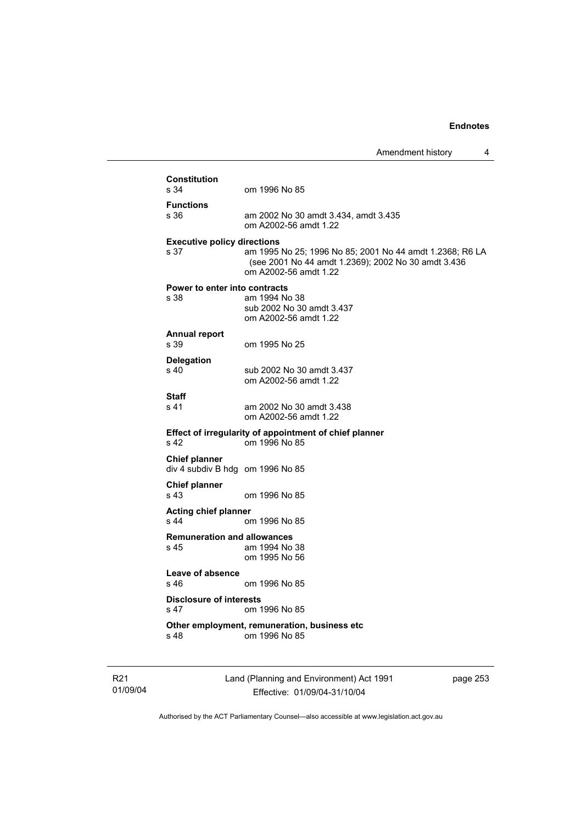|                                                          |                                                                                                                                          | Amendment history |
|----------------------------------------------------------|------------------------------------------------------------------------------------------------------------------------------------------|-------------------|
| <b>Constitution</b>                                      |                                                                                                                                          |                   |
| s 34                                                     | om 1996 No 85                                                                                                                            |                   |
| <b>Functions</b><br>s 36                                 | am 2002 No 30 amdt 3.434, amdt 3.435<br>om A2002-56 amdt 1.22                                                                            |                   |
| <b>Executive policy directions</b><br>s 37               | am 1995 No 25; 1996 No 85; 2001 No 44 amdt 1.2368; R6 LA<br>(see 2001 No 44 amdt 1.2369); 2002 No 30 amdt 3.436<br>om A2002-56 amdt 1.22 |                   |
| <b>Power to enter into contracts</b><br>s 38             | am 1994 No 38<br>sub 2002 No 30 amdt 3.437<br>om A2002-56 amdt 1.22                                                                      |                   |
| <b>Annual report</b><br>s 39                             | om 1995 No 25                                                                                                                            |                   |
| <b>Delegation</b><br>s 40                                | sub 2002 No 30 amdt 3.437<br>om A2002-56 amdt 1.22                                                                                       |                   |
| Staff<br>s 41                                            | am 2002 No 30 amdt 3.438<br>om A2002-56 amdt 1.22                                                                                        |                   |
| s 42                                                     | Effect of irregularity of appointment of chief planner<br>om 1996 No 85                                                                  |                   |
| <b>Chief planner</b><br>div 4 subdiv B hdg om 1996 No 85 |                                                                                                                                          |                   |
| <b>Chief planner</b><br>s 43                             | om 1996 No 85                                                                                                                            |                   |
| <b>Acting chief planner</b>                              |                                                                                                                                          |                   |
| s 44                                                     | om 1996 No 85                                                                                                                            |                   |
| <b>Remuneration and allowances</b><br>s 45               | am 1994 No 38<br>om 1995 No 56                                                                                                           |                   |
| Leave of absence<br>s 46.                                | om 1996 No 85                                                                                                                            |                   |
| <b>Disclosure of interests</b><br>s 47                   | om 1996 No 85                                                                                                                            |                   |
| s 48                                                     | Other employment, remuneration, business etc<br>om 1996 No 85                                                                            |                   |

R21 01/09/04 Land (Planning and Environment) Act 1991 Effective: 01/09/04-31/10/04

page 253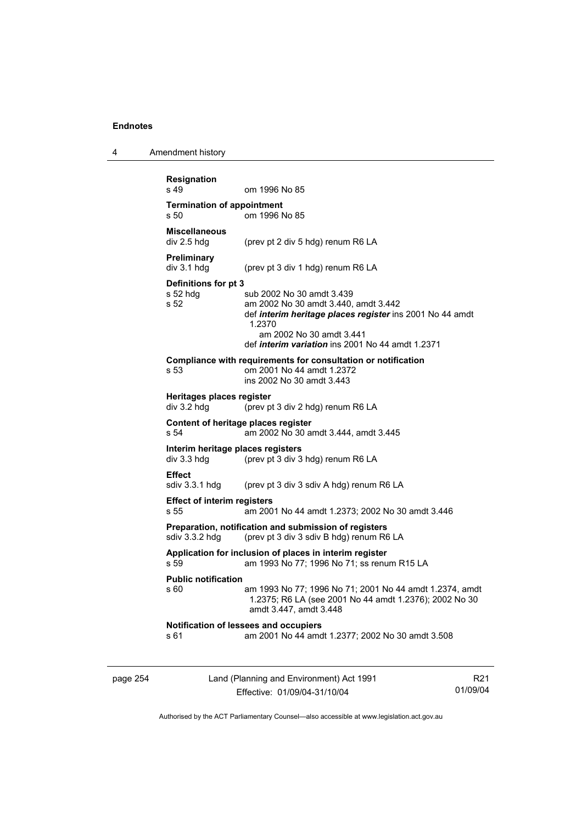4 Amendment history

| s 49                                                 | om 1996 No 85                                                                                                                                                                                                                  |
|------------------------------------------------------|--------------------------------------------------------------------------------------------------------------------------------------------------------------------------------------------------------------------------------|
| <b>Termination of appointment</b><br>s 50            | om 1996 No 85                                                                                                                                                                                                                  |
| <b>Miscellaneous</b><br>div 2.5 hdg                  | (prev pt 2 div 5 hdg) renum R6 LA                                                                                                                                                                                              |
| <b>Preliminary</b><br>div 3.1 hdg                    | (prev pt 3 div 1 hdg) renum R6 LA                                                                                                                                                                                              |
| Definitions for pt 3<br>$s52$ hdg<br>s <sub>52</sub> | sub 2002 No 30 amdt 3.439<br>am 2002 No 30 amdt 3.440, amdt 3.442<br>def interim heritage places register ins 2001 No 44 amdt<br>1.2370<br>am 2002 No 30 amdt 3.441<br>def <i>interim variation</i> ins 2001 No 44 amdt 1.2371 |
| s 53                                                 | Compliance with requirements for consultation or notification<br>om 2001 No 44 amdt 1.2372<br>ins 2002 No 30 amdt 3.443                                                                                                        |
| Heritages places register<br>div 3.2 hdg             | (prev pt 3 div 2 hdg) renum R6 LA                                                                                                                                                                                              |
| s 54                                                 | Content of heritage places register<br>am 2002 No 30 amdt 3.444, amdt 3.445                                                                                                                                                    |
| Interim heritage places registers<br>div 3.3 hdg     | (prev pt 3 div 3 hdg) renum R6 LA                                                                                                                                                                                              |
| <b>Effect</b><br>sdiv 3.3.1 hdg                      | (prev pt 3 div 3 sdiv A hdg) renum R6 LA                                                                                                                                                                                       |
| <b>Effect of interim registers</b><br>s 55           | am 2001 No 44 amdt 1.2373; 2002 No 30 amdt 3.446                                                                                                                                                                               |
| sdiv 3.3.2 hdg                                       | Preparation, notification and submission of registers<br>(prev pt 3 div 3 sdiv B hdg) renum R6 LA                                                                                                                              |
| s.59                                                 | Application for inclusion of places in interim register<br>am 1993 No 77; 1996 No 71; ss renum R15 LA                                                                                                                          |
| <b>Public notification</b><br>s 60                   | am 1993 No 77; 1996 No 71; 2001 No 44 amdt 1.2374, amdt<br>1.2375; R6 LA (see 2001 No 44 amdt 1.2376); 2002 No 30<br>amdt 3.447, amdt 3.448                                                                                    |
|                                                      | Notification of lessees and occupiers<br>am 2001 No 44 amdt 1.2377; 2002 No 30 amdt 3.508                                                                                                                                      |

page 254 Land (Planning and Environment) Act 1991 Effective: 01/09/04-31/10/04

R21 01/09/04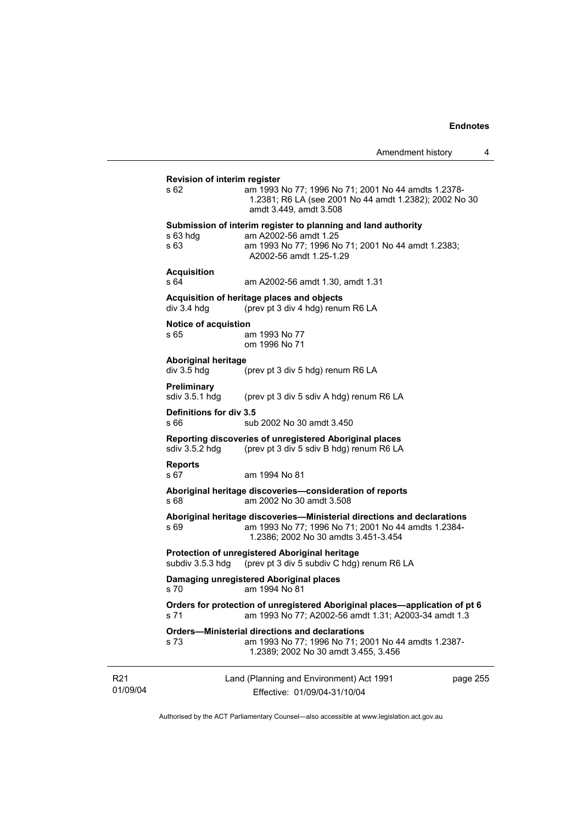| Amendment history |  |
|-------------------|--|
|-------------------|--|

|                                                                                                                                                                                | Amendment history                                                                                                                                    | 4 |  |
|--------------------------------------------------------------------------------------------------------------------------------------------------------------------------------|------------------------------------------------------------------------------------------------------------------------------------------------------|---|--|
| <b>Revision of interim register</b><br>s 62                                                                                                                                    | am 1993 No 77; 1996 No 71; 2001 No 44 amdts 1.2378-                                                                                                  |   |  |
|                                                                                                                                                                                | 1.2381; R6 LA (see 2001 No 44 amdt 1.2382); 2002 No 30<br>amdt 3.449, amdt 3.508                                                                     |   |  |
|                                                                                                                                                                                | Submission of interim register to planning and land authority                                                                                        |   |  |
| $s$ 63 hdg<br>s 63                                                                                                                                                             | am A2002-56 amdt 1.25<br>am 1993 No 77; 1996 No 71; 2001 No 44 amdt 1.2383;<br>A2002-56 amdt 1.25-1.29                                               |   |  |
| <b>Acquisition</b><br>s 64                                                                                                                                                     | am A2002-56 amdt 1.30, amdt 1.31                                                                                                                     |   |  |
| div 3.4 hdg                                                                                                                                                                    | Acquisition of heritage places and objects<br>(prev pt 3 div 4 hdg) renum R6 LA                                                                      |   |  |
| Notice of acquistion                                                                                                                                                           |                                                                                                                                                      |   |  |
| s 65                                                                                                                                                                           | am 1993 No 77<br>om 1996 No 71                                                                                                                       |   |  |
| <b>Aboriginal heritage</b><br>div 3.5 hdg                                                                                                                                      | (prev pt 3 div 5 hdg) renum R6 LA                                                                                                                    |   |  |
| Preliminary<br>sdiv 3.5.1 hdg                                                                                                                                                  | (prev pt 3 div 5 sdiv A hdg) renum R6 LA                                                                                                             |   |  |
| Definitions for div 3.5<br>s 66                                                                                                                                                | sub 2002 No 30 amdt 3.450                                                                                                                            |   |  |
| sdiv 3.5.2 hdg                                                                                                                                                                 | Reporting discoveries of unregistered Aboriginal places<br>(prev pt 3 div 5 sdiv B hdg) renum R6 LA                                                  |   |  |
| <b>Reports</b><br>s 67                                                                                                                                                         | am 1994 No 81                                                                                                                                        |   |  |
| Aboriginal heritage discoveries-consideration of reports<br>s 68<br>am 2002 No 30 amdt 3.508                                                                                   |                                                                                                                                                      |   |  |
| Aboriginal heritage discoveries—Ministerial directions and declarations<br>am 1993 No 77; 1996 No 71; 2001 No 44 amdts 1.2384-<br>s 69<br>1.2386; 2002 No 30 amdts 3.451-3.454 |                                                                                                                                                      |   |  |
| subdiv 3.5.3 hdg                                                                                                                                                               | Protection of unregistered Aboriginal heritage<br>(prev pt 3 div 5 subdiv C hdg) renum R6 LA                                                         |   |  |
| Damaging unregistered Aboriginal places<br>s 70 am 1994 No 81                                                                                                                  |                                                                                                                                                      |   |  |
| Orders for protection of unregistered Aboriginal places—application of pt 6<br>am 1993 No 77; A2002-56 amdt 1.31; A2003-34 amdt 1.3<br>s 71                                    |                                                                                                                                                      |   |  |
| s 73                                                                                                                                                                           | <b>Orders-Ministerial directions and declarations</b><br>am 1993 No 77; 1996 No 71; 2001 No 44 amdts 1.2387-<br>1.2389; 2002 No 30 amdt 3.455, 3.456 |   |  |
| Land (Planning and Environment) Act 1991<br>page 255<br>Effective: 01/09/04-31/10/04                                                                                           |                                                                                                                                                      |   |  |
|                                                                                                                                                                                |                                                                                                                                                      |   |  |

R21 01/09/04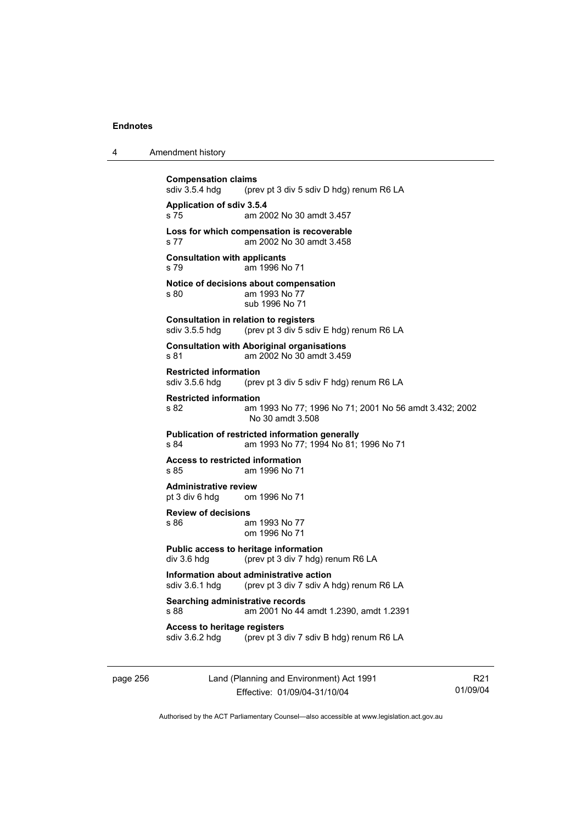| 4 | Amendment history |
|---|-------------------|
|---|-------------------|

**Compensation claims**<br>sdiv 3.5.4 hdg (pre (prev pt 3 div 5 sdiv D hdg) renum R6 LA **Application of sdiv 3.5.4**  s 75 am 2002 No 30 amdt 3.457 **Loss for which compensation is recoverable**  s 77 am 2002 No 30 amdt 3.458 **Consultation with applicants**  s 79 am 1996 No 71 **Notice of decisions about compensation**  s 80 am 1993 No 77 sub 1996 No 71 **Consultation in relation to registers**  sdiv 3.5.5 hdg (prev pt 3 div 5 sdiv E hdg) renum R6 LA **Consultation with Aboriginal organisations**  s 81 am 2002 No 30 amdt 3.459 **Restricted information**<br>sdiv 3.5.6 hdg (pre (prev pt 3 div 5 sdiv F hdg) renum R6 LA **Restricted information**  s 82 am 1993 No 77; 1996 No 71; 2001 No 56 amdt 3.432; 2002 No 30 amdt 3.508 **Publication of restricted information generally**  s 84 am 1993 No 77; 1994 No 81; 1996 No 71 **Access to restricted information**  s 85 am 1996 No 71 **Administrative review** pt 3 div 6 hdg om om 1996 No 71 **Review of decisions**  s 86 am 1993 No 77 om 1996 No 71 **Public access to heritage information**  div 3.6 hdg (prev pt 3 div 7 hdg) renum R6 LA **Information about administrative action**<br>sdiv 3.6.1 hdg (prev pt 3 div 7 sdiv A l (prev pt 3 div 7 sdiv A hdg) renum R6 LA **Searching administrative records**  s 88 am 2001 No 44 amdt 1.2390, amdt 1.2391 **Access to heritage registers**<br>sdiv 3.6.2 hdg (prev pt 3 dots) (prev pt 3 div 7 sdiv B hdg) renum R6 LA

page 256 Land (Planning and Environment) Act 1991 Effective: 01/09/04-31/10/04

R21 01/09/04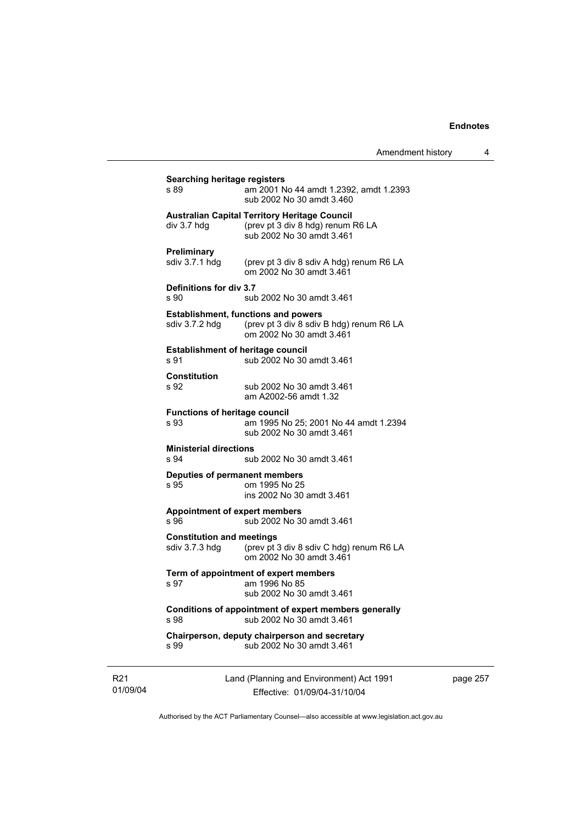| Amendment history |  |
|-------------------|--|
|-------------------|--|

| s 89                                               | am 2001 No 44 amdt 1.2392, amdt 1.2393<br>sub 2002 No 30 amdt 3.460                                                    |
|----------------------------------------------------|------------------------------------------------------------------------------------------------------------------------|
| div 3.7 hdg                                        | <b>Australian Capital Territory Heritage Council</b><br>(prev pt 3 div 8 hdg) renum R6 LA<br>sub 2002 No 30 amdt 3.461 |
| Preliminary<br>sdiv 3.7.1 hdg                      | (prev pt 3 div 8 sdiv A hdg) renum R6 LA<br>om 2002 No 30 amdt 3.461                                                   |
| Definitions for div 3.7<br>s 90                    | sub 2002 No 30 amdt 3.461                                                                                              |
| sdiv 3.7.2 hdg                                     | <b>Establishment, functions and powers</b><br>(prev pt 3 div 8 sdiv B hdg) renum R6 LA<br>om 2002 No 30 amdt 3.461     |
| <b>Establishment of heritage council</b><br>s 91   | sub 2002 No 30 amdt 3.461                                                                                              |
| <b>Constitution</b><br>s 92                        | sub 2002 No 30 amdt 3.461<br>am A2002-56 amdt 1.32                                                                     |
| <b>Functions of heritage council</b><br>s 93       | am 1995 No 25; 2001 No 44 amdt 1.2394<br>sub 2002 No 30 amdt 3.461                                                     |
| <b>Ministerial directions</b><br>s 94              | sub 2002 No 30 amdt 3.461                                                                                              |
| Deputies of permanent members<br>s 95              | om 1995 No 25<br>ins 2002 No 30 amdt 3.461                                                                             |
| <b>Appointment of expert members</b><br>s 96       | sub 2002 No 30 amdt 3.461                                                                                              |
| <b>Constitution and meetings</b><br>sdiv 3.7.3 hdg | (prev pt 3 div 8 sdiv C hdg) renum R6 LA<br>om 2002 No 30 amdt 3.461                                                   |
| s 97                                               | Term of appointment of expert members<br>am 1996 No 85<br>sub 2002 No 30 amdt 3.461                                    |
| s 98                                               | Conditions of appointment of expert members generally<br>sub 2002 No 30 amdt 3.461                                     |
| s 99                                               | Chairperson, deputy chairperson and secretary<br>sub 2002 No 30 amdt 3.461                                             |

R21 01/09/04 Land (Planning and Environment) Act 1991 Effective: 01/09/04-31/10/04

page 257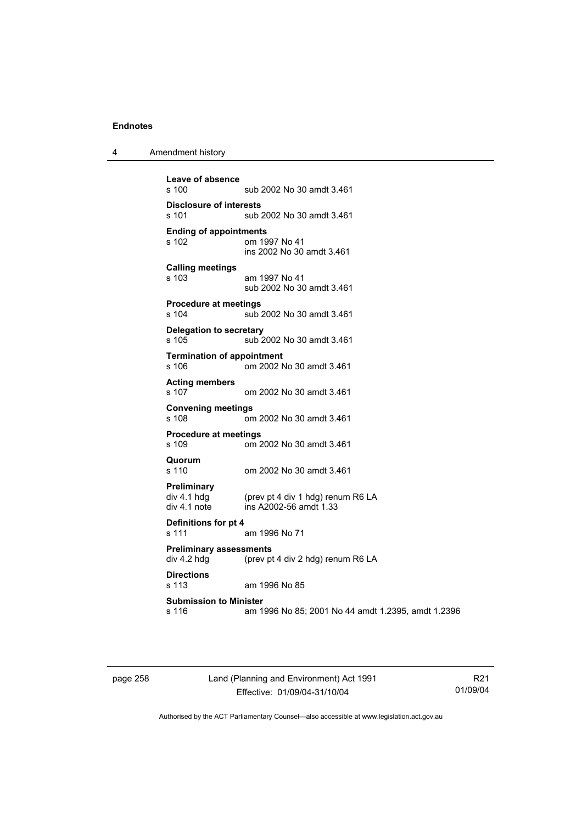| Amendment history<br>л |  |
|------------------------|--|
|------------------------|--|

```
Leave of absence 
                sub 2002 No 30 amdt 3.461
Disclosure of interests 
                sub 2002 No 30 amdt 3.461
Ending of appointments 
                om 1997 No 41
                 ins 2002 No 30 amdt 3.461 
Calling meetings 
s 103 am 1997 No 41 
                 sub 2002 No 30 amdt 3.461 
Procedure at meetings 
                sub 2002 No 30 amdt 3.461
Delegation to secretary 
s 105 sub 2002 No 30 amdt 3.461 
Termination of appointment 
s 106 om 2002 No 30 amdt 3.461 
Acting members 
s 107 om 2002 No 30 amdt 3.461 
Convening meetings 
s 108 om 2002 No 30 amdt 3.461 
Procedure at meetings 
                om 2002 No 30 amdt 3.461
Quorum 
s 110 om 2002 No 30 amdt 3.461 
Preliminary 
                (prev pt 4 div 1 hdg) renum R6 LA
div 4.1 note ins A2002-56 amdt 1.33 
Definitions for pt 4 
s 111 am 1996 No 71 
Preliminary assessments 
div 4.2 hdg (prev pt 4 div 2 hdg) renum R6 LA
Directions 
                am 1996 No 85
Submission to Minister 
s 116 am 1996 No 85; 2001 No 44 amdt 1.2395, amdt 1.2396
```
page 258 Land (Planning and Environment) Act 1991 Effective: 01/09/04-31/10/04

R21 01/09/04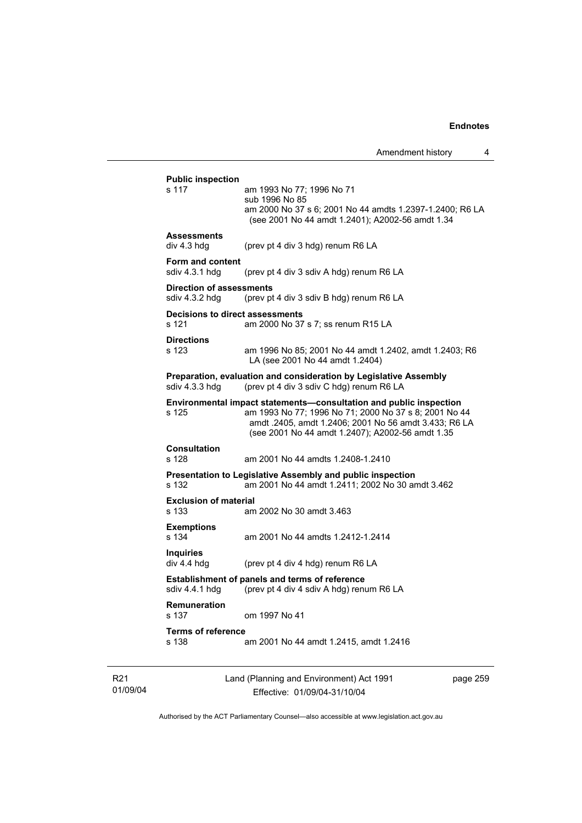s 117 am 1993 No 77; 1996 No 71

Amendment history 4

 am 2000 No 37 s 6; 2001 No 44 amdts 1.2397-1.2400; R6 LA (see 2001 No 44 amdt 1.2401); A2002-56 amdt 1.34 **Assessments**  div 4.3 hdg (prev pt 4 div 3 hdg) renum R6 LA **Form and content**  (prev pt 4 div 3 sdiv A hdg) renum R6 LA **Direction of assessments**  sdiv 4.3.2 hdg (prev pt 4 div 3 sdiv B hdg) renum R6 LA **Decisions to direct assessments**  s 121 am 2000 No 37 s 7; ss renum R15 LA **Directions**  s 123 am 1996 No 85; 2001 No 44 amdt 1.2402, amdt 1.2403; R6 LA (see 2001 No 44 amdt 1.2404) **Preparation, evaluation and consideration by Legislative Assembly**  sdiv 4.3.3 hdg (prev pt 4 div 3 sdiv C hdg) renum R6 LA **Environmental impact statements—consultation and public inspection s 125 am 1993 No 77: 1996 No 71: 2000 No 37 s 8: 2001 No 4** am 1993 No 77; 1996 No 71; 2000 No 37 s 8; 2001 No 44 amdt .2405, amdt 1.2406; 2001 No 56 amdt 3.433; R6 LA (see 2001 No 44 amdt 1.2407); A2002-56 amdt 1.35 **Consultation**  s 128 am 2001 No 44 amdts 1.2408-1.2410 **Presentation to Legislative Assembly and public inspection**  s 132 am 2001 No 44 amdt 1.2411; 2002 No 30 amdt 3.462 **Exclusion of material**  s 133 am 2002 No 30 amdt 3.463 **Exemptions**  s 134 am 2001 No 44 amdts 1.2412-1.2414 **Inquiries**  (prev pt 4 div 4 hdg) renum R6 LA **Establishment of panels and terms of reference**  sdiv 4.4.1 hdg (prev pt 4 div 4 sdiv A hdg) renum R6 LA **Remuneration**  om 1997 No 41 **Terms of reference**  s 138 am 2001 No 44 amdt 1.2415, amdt 1.2416

**Public inspection** 

sub 1996 No 85

R21 01/09/04 Land (Planning and Environment) Act 1991 Effective: 01/09/04-31/10/04

page 259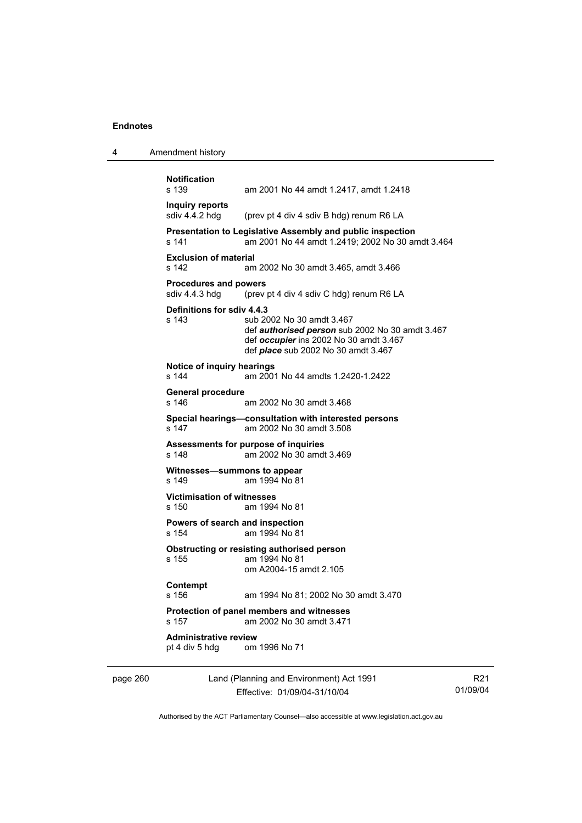| Amendment history<br>4 |  |
|------------------------|--|
|------------------------|--|

```
Notification 
                 am 2001 No 44 amdt 1.2417, amdt 1.2418
Inquiry reports 
sdiv 4.4.2 hdg (prev pt 4 div 4 sdiv B hdg) renum R6 LA
Presentation to Legislative Assembly and public inspection 
s 141 am 2001 No 44 amdt 1.2419; 2002 No 30 amdt 3.464 
Exclusion of material 
s 142 am 2002 No 30 amdt 3.465, amdt 3.466 
Procedures and powers<br>sdiv 4.4.3 hdg (prev
                 (prev pt 4 div 4 sdiv C hdg) renum R6 LA
Definitions for sdiv 4.4.3 
s 143 sub 2002 No 30 amdt 3.467 
                  def authorised person sub 2002 No 30 amdt 3.467 
                  def occupier ins 2002 No 30 amdt 3.467 
                  def place sub 2002 No 30 amdt 3.467 
Notice of inquiry hearings 
s 144 am 2001 No 44 amdts 1.2420-1.2422 
General procedure 
s 146 am 2002 No 30 amdt 3.468 
Special hearings—consultation with interested persons 
s 147 am 2002 No 30 amdt 3.508 
Assessments for purpose of inquiries 
s 148 am 2002 No 30 amdt 3.469 
Witnesses—summons to appear 
s 149 am 1994 No 81 
Victimisation of witnesses 
s 150 am 1994 No 81 
Powers of search and inspection 
s 154 am 1994 No 81 
Obstructing or resisting authorised person 
s 155 am 1994 No 81 
                  om A2004-15 amdt 2.105 
Contempt 
s 156 am 1994 No 81; 2002 No 30 amdt 3.470 
Protection of panel members and witnesses 
s 157 am 2002 No 30 amdt 3.471 
Administrative review pt 4 div 5 hdg om
                om 1996 No 71
```
page 260 Land (Planning and Environment) Act 1991 Effective: 01/09/04-31/10/04

R21 01/09/04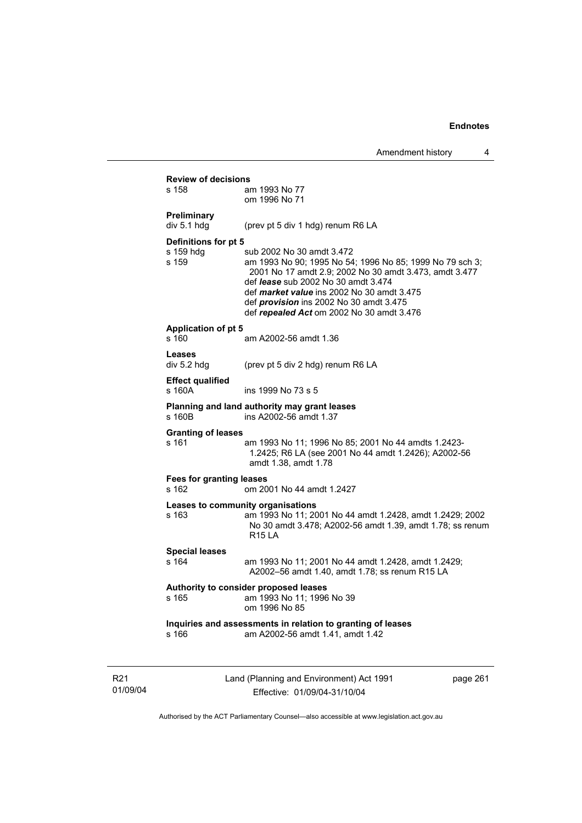|                                          | Amendment nistory                                                                                                                                                                                                                                                                                                                                 |          | 4 |
|------------------------------------------|---------------------------------------------------------------------------------------------------------------------------------------------------------------------------------------------------------------------------------------------------------------------------------------------------------------------------------------------------|----------|---|
| <b>Review of decisions</b><br>s 158      | am 1993 No 77                                                                                                                                                                                                                                                                                                                                     |          |   |
|                                          | om 1996 No 71                                                                                                                                                                                                                                                                                                                                     |          |   |
| Preliminary<br>div 5.1 hdg               | (prev pt 5 div 1 hdg) renum R6 LA                                                                                                                                                                                                                                                                                                                 |          |   |
| Definitions for pt 5                     |                                                                                                                                                                                                                                                                                                                                                   |          |   |
| s 159 hdg<br>s 159                       | sub 2002 No 30 amdt 3.472<br>am 1993 No 90; 1995 No 54; 1996 No 85; 1999 No 79 sch 3;<br>2001 No 17 amdt 2.9; 2002 No 30 amdt 3.473, amdt 3.477<br>def <i>lease</i> sub 2002 No 30 amdt 3.474<br>def <i>market value</i> ins 2002 No 30 amdt 3.475<br>def <i>provision</i> ins 2002 No 30 amdt 3.475<br>def repealed Act om 2002 No 30 amdt 3.476 |          |   |
| <b>Application of pt 5</b><br>s 160      | am A2002-56 amdt 1.36                                                                                                                                                                                                                                                                                                                             |          |   |
| Leases<br>div 5.2 hdg                    | (prev pt 5 div 2 hdg) renum R6 LA                                                                                                                                                                                                                                                                                                                 |          |   |
| <b>Effect qualified</b><br>s 160A        | ins 1999 No 73 s 5                                                                                                                                                                                                                                                                                                                                |          |   |
| s 160B                                   | Planning and land authority may grant leases<br>ins A2002-56 amdt 1.37                                                                                                                                                                                                                                                                            |          |   |
| <b>Granting of leases</b><br>s 161       | am 1993 No 11; 1996 No 85; 2001 No 44 amdts 1.2423-<br>1.2425; R6 LA (see 2001 No 44 amdt 1.2426); A2002-56<br>amdt 1.38, amdt 1.78                                                                                                                                                                                                               |          |   |
| <b>Fees for granting leases</b><br>s 162 | om 2001 No 44 amdt 1.2427                                                                                                                                                                                                                                                                                                                         |          |   |
| s 163                                    | Leases to community organisations<br>am 1993 No 11; 2001 No 44 amdt 1.2428, amdt 1.2429; 2002<br>No 30 amdt 3.478; A2002-56 amdt 1.39, amdt 1.78; ss renum<br><b>R15 LA</b>                                                                                                                                                                       |          |   |
| <b>Special leases</b><br>s 164           | am 1993 No 11; 2001 No 44 amdt 1.2428, amdt 1.2429;<br>A2002-56 amdt 1.40, amdt 1.78; ss renum R15 LA                                                                                                                                                                                                                                             |          |   |
| s 165                                    | Authority to consider proposed leases<br>am 1993 No 11; 1996 No 39<br>om 1996 No 85                                                                                                                                                                                                                                                               |          |   |
| s 166                                    | Inquiries and assessments in relation to granting of leases<br>am A2002-56 amdt 1.41, amdt 1.42                                                                                                                                                                                                                                                   |          |   |
|                                          | Land (Planning and Environment) Act 1991                                                                                                                                                                                                                                                                                                          | page 261 |   |

Authorised by the ACT Parliamentary Counsel—also accessible at www.legislation.act.gov.au

Effective: 01/09/04-31/10/04

R21 01/09/04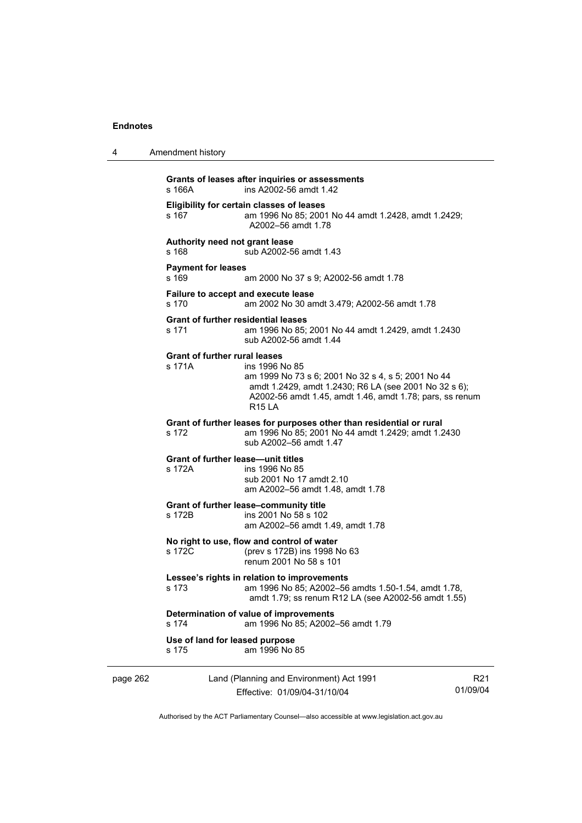| 4        | Amendment history                                   |                                                                                                                                                                                                            |                |
|----------|-----------------------------------------------------|------------------------------------------------------------------------------------------------------------------------------------------------------------------------------------------------------------|----------------|
|          | s 166A                                              | Grants of leases after inquiries or assessments<br>ins A2002-56 amdt 1.42                                                                                                                                  |                |
|          | s 167                                               | Eligibility for certain classes of leases<br>am 1996 No 85; 2001 No 44 amdt 1.2428, amdt 1.2429;<br>A2002-56 amdt 1.78                                                                                     |                |
|          | Authority need not grant lease<br>s 168             | sub A2002-56 amdt 1.43                                                                                                                                                                                     |                |
|          | <b>Payment for leases</b><br>s 169                  | am 2000 No 37 s 9; A2002-56 amdt 1.78                                                                                                                                                                      |                |
|          | s 170                                               | Failure to accept and execute lease<br>am 2002 No 30 amdt 3.479; A2002-56 amdt 1.78                                                                                                                        |                |
|          | <b>Grant of further residential leases</b><br>s 171 | am 1996 No 85; 2001 No 44 amdt 1.2429, amdt 1.2430<br>sub A2002-56 amdt 1.44                                                                                                                               |                |
|          | <b>Grant of further rural leases</b><br>s 171A      | ins 1996 No 85<br>am 1999 No 73 s 6; 2001 No 32 s 4, s 5; 2001 No 44<br>amdt 1.2429, amdt 1.2430; R6 LA (see 2001 No 32 s 6);<br>A2002-56 amdt 1.45, amdt 1.46, amdt 1.78; pars, ss renum<br><b>R15 LA</b> |                |
|          | s 172                                               | Grant of further leases for purposes other than residential or rural<br>am 1996 No 85; 2001 No 44 amdt 1.2429; amdt 1.2430<br>sub A2002-56 amdt 1.47                                                       |                |
|          | <b>Grant of further lease-unit titles</b><br>s 172A | ins 1996 No 85<br>sub 2001 No 17 amdt 2.10<br>am A2002-56 amdt 1.48, amdt 1.78                                                                                                                             |                |
|          | s 172B                                              | Grant of further lease-community title<br>ins 2001 No 58 s 102<br>am A2002-56 amdt 1.49, amdt 1.78                                                                                                         |                |
|          | s 172C                                              | No right to use, flow and control of water<br>(prev s 172B) ins 1998 No 63<br>renum 2001 No 58 s 101                                                                                                       |                |
|          | s 173                                               | Lessee's rights in relation to improvements<br>am 1996 No 85; A2002-56 amdts 1.50-1.54, amdt 1.78,<br>amdt 1.79; ss renum R12 LA (see A2002-56 amdt 1.55)                                                  |                |
|          | s 174                                               | Determination of value of improvements<br>am 1996 No 85; A2002-56 amdt 1.79                                                                                                                                |                |
|          | Use of land for leased purpose<br>s 175             | am 1996 No 85                                                                                                                                                                                              |                |
| page 262 |                                                     | Land (Planning and Environment) Act 1991                                                                                                                                                                   | R <sub>2</sub> |

Effective: 01/09/04-31/10/04

R21 01/09/04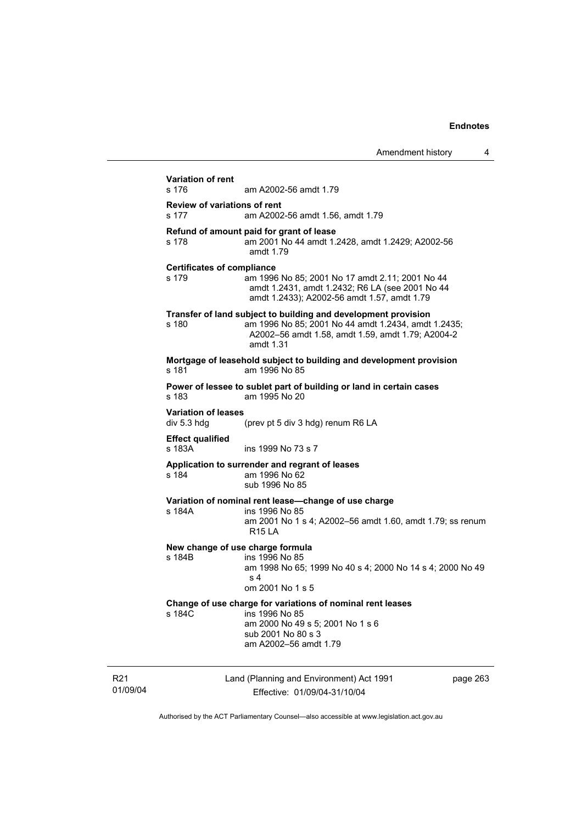| s 176                                      | am A2002-56 amdt 1.79                                                                                                                                                                   |          |
|--------------------------------------------|-----------------------------------------------------------------------------------------------------------------------------------------------------------------------------------------|----------|
| s 177                                      | <b>Review of variations of rent</b><br>am A2002-56 amdt 1.56, amdt 1.79                                                                                                                 |          |
| s 178                                      | Refund of amount paid for grant of lease<br>am 2001 No 44 amdt 1.2428, amdt 1.2429; A2002-56<br>amdt 1.79                                                                               |          |
| <b>Certificates of compliance</b><br>s 179 | am 1996 No 85; 2001 No 17 amdt 2.11; 2001 No 44<br>amdt 1.2431, amdt 1.2432; R6 LA (see 2001 No 44<br>amdt 1.2433); A2002-56 amdt 1.57, amdt 1.79                                       |          |
| s 180                                      | Transfer of land subject to building and development provision<br>am 1996 No 85; 2001 No 44 amdt 1.2434, amdt 1.2435;<br>A2002-56 amdt 1.58, amdt 1.59, amdt 1.79; A2004-2<br>amdt 1.31 |          |
| s 181                                      | Mortgage of leasehold subject to building and development provision<br>am 1996 No 85                                                                                                    |          |
| $s$ 183                                    | Power of lessee to sublet part of building or land in certain cases<br>am 1995 No 20                                                                                                    |          |
| <b>Variation of leases</b><br>div 5.3 hdg  | (prev pt 5 div 3 hdg) renum R6 LA                                                                                                                                                       |          |
| <b>Effect qualified</b><br>s 183A          | ins 1999 No 73 s 7                                                                                                                                                                      |          |
| s 184                                      | Application to surrender and regrant of leases<br>am 1996 No 62<br>sub 1996 No 85                                                                                                       |          |
| s 184A                                     | Variation of nominal rent lease-change of use charge<br>ins 1996 No 85<br>am 2001 No 1 s 4; A2002-56 amdt 1.60, amdt 1.79; ss renum<br><b>R15 LA</b>                                    |          |
| s 184B                                     | New change of use charge formula<br>ins 1996 No 85<br>am 1998 No 65; 1999 No 40 s 4; 2000 No 14 s 4; 2000 No 49<br>s <sub>4</sub><br>om 2001 No 1 s 5                                   |          |
| s 184C                                     | Change of use charge for variations of nominal rent leases<br>ins 1996 No 85<br>am 2000 No 49 s 5; 2001 No 1 s 6<br>sub 2001 No 80 s 3<br>am A2002-56 amdt 1.79                         |          |
|                                            | Land (Planning and Environment) Act 1991                                                                                                                                                | page 263 |

R21 01/09/04

J.

Effective: 01/09/04-31/10/04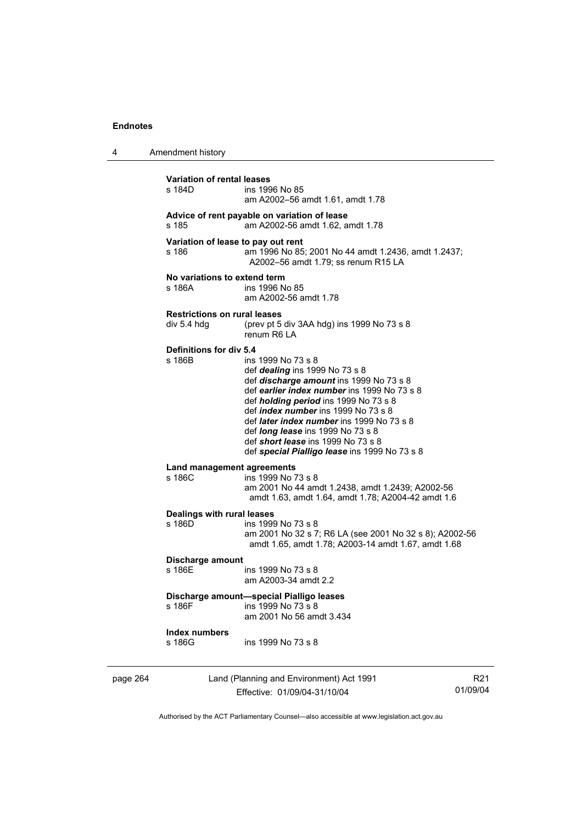| 4        | Amendment history                                  |                                                                                                                                                                                                                                                                                                                                                                                                                                            |                 |
|----------|----------------------------------------------------|--------------------------------------------------------------------------------------------------------------------------------------------------------------------------------------------------------------------------------------------------------------------------------------------------------------------------------------------------------------------------------------------------------------------------------------------|-----------------|
|          | Variation of rental leases<br>s 184D               | ins 1996 No 85<br>am A2002-56 amdt 1.61, amdt 1.78                                                                                                                                                                                                                                                                                                                                                                                         |                 |
|          | s 185                                              | Advice of rent payable on variation of lease<br>am A2002-56 amdt 1.62, amdt 1.78                                                                                                                                                                                                                                                                                                                                                           |                 |
|          | Variation of lease to pay out rent<br>s 186        | am 1996 No 85; 2001 No 44 amdt 1.2436, amdt 1.2437;<br>A2002-56 amdt 1.79; ss renum R15 LA                                                                                                                                                                                                                                                                                                                                                 |                 |
|          | No variations to extend term<br>s 186A             | ins 1996 No 85<br>am A2002-56 amdt 1.78                                                                                                                                                                                                                                                                                                                                                                                                    |                 |
|          | <b>Restrictions on rural leases</b><br>div 5.4 hdg | (prev pt 5 div 3AA hdg) ins 1999 No 73 s 8<br>renum R6 LA                                                                                                                                                                                                                                                                                                                                                                                  |                 |
|          | <b>Definitions for div 5.4</b><br>s 186B           | ins 1999 No 73 s 8<br>def <i>dealing</i> ins 1999 No 73 s 8<br>def discharge amount ins 1999 No 73 s 8<br>def earlier index number ins 1999 No 73 s 8<br>def <i>holding period</i> ins 1999 No 73 s 8<br>def <i>index number</i> ins 1999 No 73 s 8<br>def <i>later index number</i> ins 1999 No 73 s 8<br>def <i>long lease</i> ins 1999 No 73 s 8<br>def short lease ins 1999 No 73 s 8<br>def special Pialligo lease ins 1999 No 73 s 8 |                 |
|          | Land management agreements<br>s 186C               | ins 1999 No 73 s 8<br>am 2001 No 44 amdt 1.2438, amdt 1.2439; A2002-56<br>amdt 1.63, amdt 1.64, amdt 1.78; A2004-42 amdt 1.6                                                                                                                                                                                                                                                                                                               |                 |
|          | Dealings with rural leases<br>s 186D               | ins 1999 No 73 s 8<br>am 2001 No 32 s 7; R6 LA (see 2001 No 32 s 8); A2002-56<br>amdt 1.65, amdt 1.78; A2003-14 amdt 1.67, amdt 1.68                                                                                                                                                                                                                                                                                                       |                 |
|          | Discharge amount<br>s 186F                         | ins 1999 No 73 s 8<br>am A2003-34 amdt 2.2                                                                                                                                                                                                                                                                                                                                                                                                 |                 |
|          | s 186F                                             | Discharge amount-special Pialligo leases<br>ins 1999 No 73 s 8<br>am 2001 No 56 amdt 3.434                                                                                                                                                                                                                                                                                                                                                 |                 |
|          | <b>Index numbers</b><br>s 186G                     | ins 1999 No 73 s 8                                                                                                                                                                                                                                                                                                                                                                                                                         |                 |
| page 264 |                                                    | Land (Planning and Environment) Act 1991<br>Effective: 01/09/04-31/10/04                                                                                                                                                                                                                                                                                                                                                                   | R21<br>01/09/04 |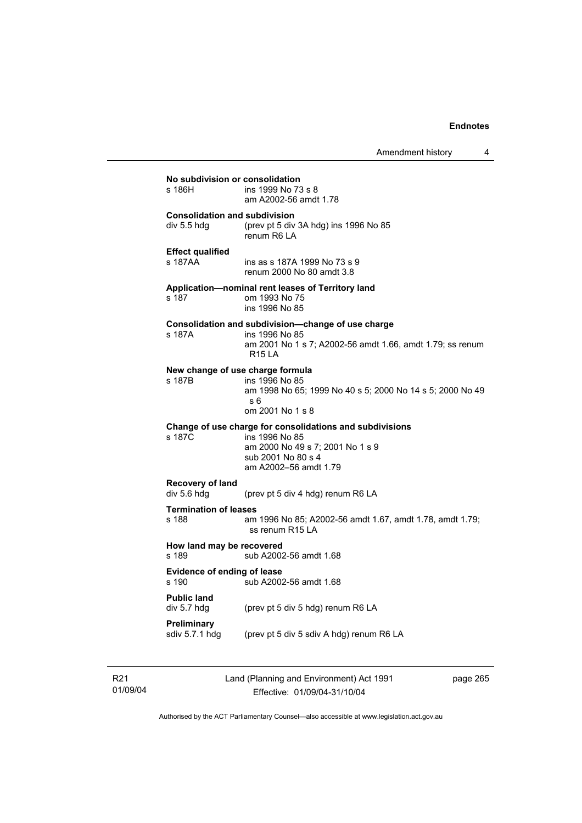Amendment history 4

**No subdivision or consolidation**  ins 1999 No 73 s 8 am A2002-56 amdt 1.78 **Consolidation and subdivision**  div 5.5 hdg (prev pt 5 div 3A hdg) ins 1996 No 85 renum R6 LA **Effect qualified**  s 187AA ins as s 187A 1999 No 73 s 9 renum 2000 No 80 amdt 3.8 **Application—nominal rent leases of Territory land**  s 187 om 1993 No 75 ins 1996 No 85 **Consolidation and subdivision—change of use charge**  s 187A ins 1996 No 85 am 2001 No 1 s 7; A2002-56 amdt 1.66, amdt 1.79; ss renum R15 LA **New change of use charge formula**  s 187B ins 1996 No 85 am 1998 No 65; 1999 No 40 s 5; 2000 No 14 s 5; 2000 No 49 s 6 om 2001 No 1 s 8 **Change of use charge for consolidations and subdivisions**  ins 1996 No 85 am 2000 No 49 s 7; 2001 No 1 s 9 sub 2001 No 80 s 4 am A2002–56 amdt 1.79 **Recovery of land**  div 5.6 hdg (prev pt 5 div 4 hdg) renum R6 LA **Termination of leases**<br>s 188 am s 188 am 1996 No 85; A2002-56 amdt 1.67, amdt 1.78, amdt 1.79; ss renum R15 LA **How land may be recovered**  s 189 sub A2002-56 amdt 1.68 **Evidence of ending of lease**  sub A2002-56 amdt 1.68 **Public land**  div 5.7 hdg (prev pt 5 div 5 hdg) renum R6 LA **Preliminary**  sdiv 5.7.1 hdg (prev pt 5 div 5 sdiv A hdg) renum R6 LA

R21 01/09/04 Land (Planning and Environment) Act 1991 Effective: 01/09/04-31/10/04

page 265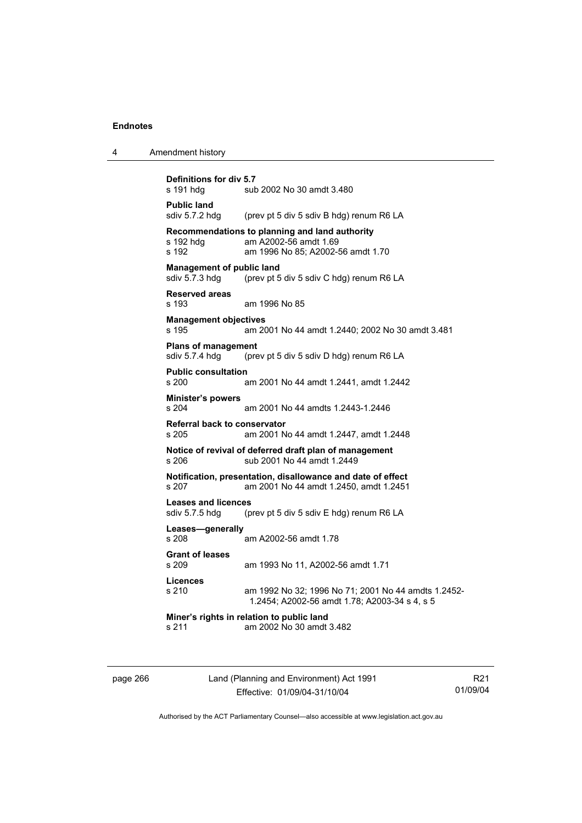| 4 | Amendment history                                                                                                                  |
|---|------------------------------------------------------------------------------------------------------------------------------------|
|   | <b>Definitions for div 5.7</b><br>s 191 hdg<br>sub 2002 No 30 amdt 3.480                                                           |
|   | <b>Public land</b><br>sdiv 5.7.2 hdg<br>(prev pt 5 div 5 sdiv B hdg) renum R6 LA                                                   |
|   | Recommendations to planning and land authority<br>s 192 hdg<br>am A2002-56 amdt 1.69<br>s 192<br>am 1996 No 85; A2002-56 amdt 1.70 |
|   | <b>Management of public land</b><br>sdiv 5.7.3 hdg<br>(prev pt 5 div 5 sdiv C hdg) renum R6 LA                                     |
|   | <b>Reserved areas</b><br>s 193<br>am 1996 No 85                                                                                    |
|   | <b>Management objectives</b><br>s 195<br>am 2001 No 44 amdt 1.2440; 2002 No 30 amdt 3.481                                          |
|   | <b>Plans of management</b><br>sdiv 5.7.4 hdg<br>(prev pt 5 div 5 sdiv D hdg) renum R6 LA                                           |
|   | <b>Public consultation</b><br>s 200<br>am 2001 No 44 amdt 1.2441, amdt 1.2442                                                      |
|   | <b>Minister's powers</b><br>s 204<br>am 2001 No 44 amdts 1.2443-1.2446                                                             |
|   | <b>Referral back to conservator</b><br>s 205<br>am 2001 No 44 amdt 1.2447, amdt 1.2448                                             |
|   | Notice of revival of deferred draft plan of management<br>sub 2001 No 44 amdt 1.2449<br>s 206                                      |
|   | Notification, presentation, disallowance and date of effect<br>am 2001 No 44 amdt 1.2450, amdt 1.2451<br>s 207                     |
|   | <b>Leases and licences</b><br>sdiv 5.7.5 hdg<br>(prev pt 5 div 5 sdiv E hdg) renum R6 LA                                           |
|   | Leases-generally<br>s 208<br>am A2002-56 amdt 1.78                                                                                 |
|   | <b>Grant of leases</b><br>s 209<br>am 1993 No 11, A2002-56 amdt 1.71                                                               |
|   | <b>Licences</b><br>s 210<br>am 1992 No 32; 1996 No 71; 2001 No 44 amdts 1.2452-<br>1.2454; A2002-56 amdt 1.78; A2003-34 s 4, s 5   |
|   | Miner's rights in relation to public land<br>am 2002 No 30 amdt 3.482<br>s 211                                                     |
|   |                                                                                                                                    |

page 266 Land (Planning and Environment) Act 1991 Effective: 01/09/04-31/10/04

R21 01/09/04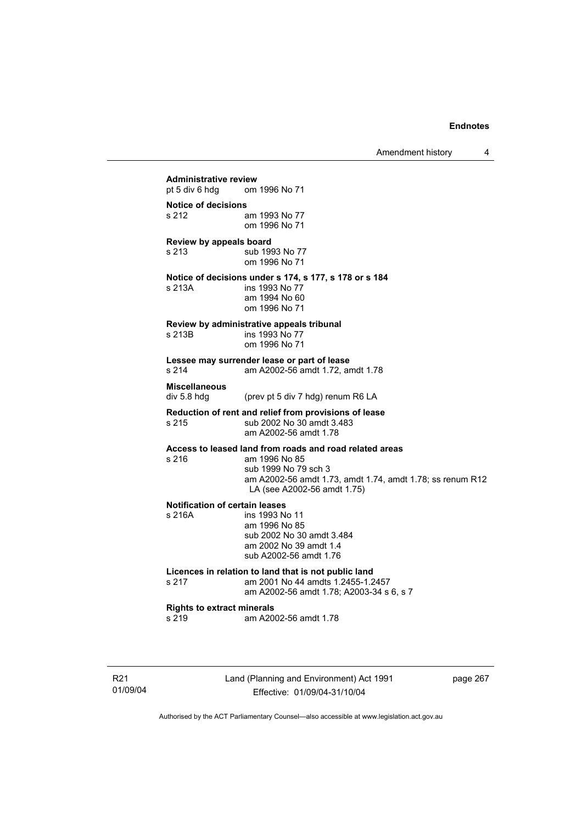**Administrative review** pt 5 div 6 hdg om om 1996 No 71 **Notice of decisions**  s 212 am 1993 No 77 om 1996 No 71 **Review by appeals board**  s 213 sub 1993 No 77 om 1996 No 71 **Notice of decisions under s 174, s 177, s 178 or s 184**  s 213A ins 1993 No 77 am 1994 No 60 om 1996 No 71 **Review by administrative appeals tribunal**  s 213B ins 1993 No 77 om 1996 No 71 **Lessee may surrender lease or part of lease**  s 214 am A2002-56 amdt 1.72, amdt 1.78 **Miscellaneous**  div 5.8 hdg (prev pt 5 div 7 hdg) renum R6 LA **Reduction of rent and relief from provisions of lease**  sub 2002 No 30 amdt 3.483 am A2002-56 amdt 1.78 **Access to leased land from roads and road related areas**  s 216 am 1996 No 85 sub 1999 No 79 sch 3 am A2002-56 amdt 1.73, amdt 1.74, amdt 1.78; ss renum R12 LA (see A2002-56 amdt 1.75) **Notification of certain leases**  s 216A ins 1993 No 11 am 1996 No 85 sub 2002 No 30 amdt 3.484 am 2002 No 39 amdt 1.4 sub A2002-56 amdt 1.76 **Licences in relation to land that is not public land**  am 2001 No 44 amdts 1.2455-1.2457 am A2002-56 amdt 1.78; A2003-34 s 6, s 7 **Rights to extract minerals**  am A2002-56 amdt 1.78

R21 01/09/04 Land (Planning and Environment) Act 1991 Effective: 01/09/04-31/10/04

page 267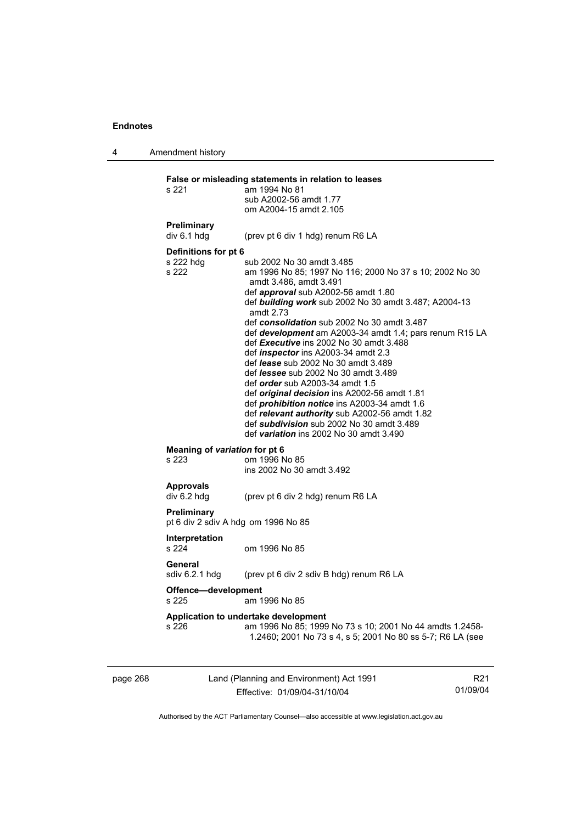4 Amendment history

page 268 Land (Planning and Environment) Act 1991 R21 **False or misleading statements in relation to leases**  s 221 am 1994 No 81 sub A2002-56 amdt 1.77 om A2004-15 amdt 2.105 **Preliminary**  div 6.1 hdg (prev pt 6 div 1 hdg) renum R6 LA **Definitions for pt 6**  s 222 hdg sub 2002 No 30 amdt 3.485<br>s 222 sm 1996 No 85: 1997 No 11 am 1996 No 85; 1997 No 116; 2000 No 37 s 10; 2002 No 30 amdt 3.486, amdt 3.491 def *approval* sub A2002-56 amdt 1.80 def *building work* sub 2002 No 30 amdt 3.487; A2004-13 amdt 2.73 def *consolidation* sub 2002 No 30 amdt 3.487 def *development* am A2003-34 amdt 1.4; pars renum R15 LA def *Executive* ins 2002 No 30 amdt 3.488 def *inspector* ins A2003-34 amdt 2.3 def *lease* sub 2002 No 30 amdt 3.489 def *lessee* sub 2002 No 30 amdt 3.489 def *order* sub A2003-34 amdt 1.5 def *original decision* ins A2002-56 amdt 1.81 def *prohibition notice* ins A2003-34 amdt 1.6 def *relevant authority* sub A2002-56 amdt 1.82 def *subdivision* sub 2002 No 30 amdt 3.489 def *variation* ins 2002 No 30 amdt 3.490 **Meaning of** *variation* **for pt 6**  s 223 om 1996 No 85 ins 2002 No 30 amdt 3.492 **Approvals**  div 6.2 hdg (prev pt 6 div 2 hdg) renum R6 LA **Preliminary**  pt 6 div 2 sdiv A hdg om 1996 No 85 **Interpretation**  s 224 om 1996 No 85 **General**  sdiv 6.2.1 hdg (prev pt 6 div 2 sdiv B hdg) renum R6 LA **Offence—development**  s 225 am 1996 No 85 **Application to undertake development**  s 226 am 1996 No 85; 1999 No 73 s 10; 2001 No 44 amdts 1.2458- 1.2460; 2001 No 73 s 4, s 5; 2001 No 80 ss 5-7; R6 LA (see

Authorised by the ACT Parliamentary Counsel—also accessible at www.legislation.act.gov.au

01/09/04

Effective: 01/09/04-31/10/04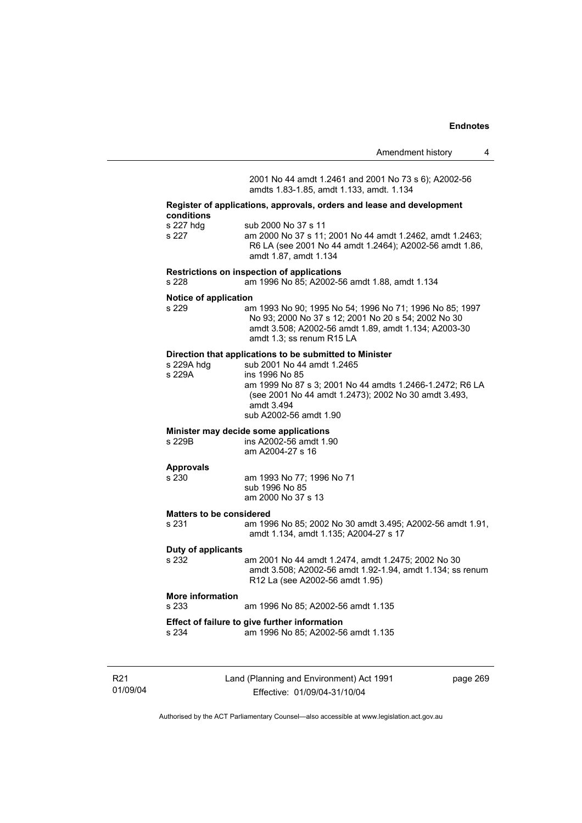|                                       |                                                                                                                                                                                                          | Amendment history | 4 |  |
|---------------------------------------|----------------------------------------------------------------------------------------------------------------------------------------------------------------------------------------------------------|-------------------|---|--|
|                                       | 2001 No 44 amdt 1.2461 and 2001 No 73 s 6); A2002-56<br>amdts 1.83-1.85, amdt 1.133, amdt. 1.134                                                                                                         |                   |   |  |
| conditions                            | Register of applications, approvals, orders and lease and development                                                                                                                                    |                   |   |  |
| s 227 hdg<br>s 227                    | sub 2000 No 37 s 11<br>am 2000 No 37 s 11; 2001 No 44 amdt 1.2462, amdt 1.2463;<br>R6 LA (see 2001 No 44 amdt 1.2464); A2002-56 amdt 1.86,<br>amdt 1.87, amdt 1.134                                      |                   |   |  |
| s 228                                 | Restrictions on inspection of applications<br>am 1996 No 85; A2002-56 amdt 1.88, amdt 1.134                                                                                                              |                   |   |  |
| Notice of application                 |                                                                                                                                                                                                          |                   |   |  |
| s 229                                 | am 1993 No 90; 1995 No 54; 1996 No 71; 1996 No 85; 1997<br>No 93; 2000 No 37 s 12; 2001 No 20 s 54; 2002 No 30<br>amdt 3.508; A2002-56 amdt 1.89, amdt 1.134; A2003-30<br>amdt 1.3; ss renum R15 LA      |                   |   |  |
|                                       | Direction that applications to be submitted to Minister                                                                                                                                                  |                   |   |  |
| s 229A hdg<br>s 229A                  | sub 2001 No 44 amdt 1.2465<br>ins 1996 No 85<br>am 1999 No 87 s 3; 2001 No 44 amdts 1.2466-1.2472; R6 LA<br>(see 2001 No 44 amdt 1.2473); 2002 No 30 amdt 3.493,<br>amdt 3.494<br>sub A2002-56 amdt 1.90 |                   |   |  |
| Minister may decide some applications |                                                                                                                                                                                                          |                   |   |  |
| s 229B                                | ins A2002-56 amdt 1.90<br>am A2004-27 s 16                                                                                                                                                               |                   |   |  |

# **Approvals**

am 1993 No 77; 1996 No 71 sub 1996 No 85 am 2000 No 37 s 13

#### **Matters to be considered**

s 231 am 1996 No 85; 2002 No 30 amdt 3.495; A2002-56 amdt 1.91, amdt 1.134, amdt 1.135; A2004-27 s 17

#### **Duty of applicants**

s 232 am 2001 No 44 amdt 1.2474, amdt 1.2475; 2002 No 30 amdt 3.508; A2002-56 amdt 1.92-1.94, amdt 1.134; ss renum R12 La (see A2002-56 amdt 1.95)

# **More information**

am 1996 No 85; A2002-56 amdt 1.135

# **Effect of failure to give further information**

am 1996 No 85; A2002-56 amdt 1.135

R21 01/09/04 Land (Planning and Environment) Act 1991 Effective: 01/09/04-31/10/04

page 269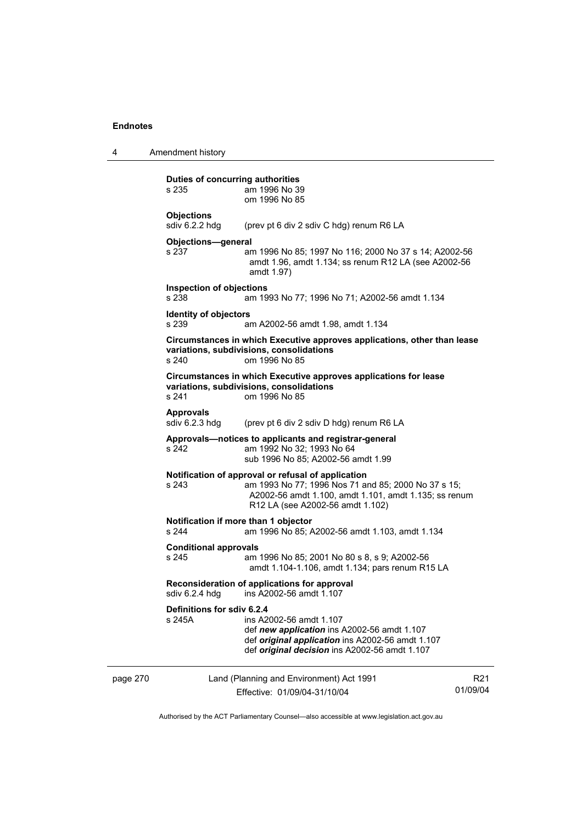4 Amendment history

|          | Duties of concurring authorities<br>s 235     | am 1996 No 39<br>om 1996 No 85                                                                                                                                                                         |                             |
|----------|-----------------------------------------------|--------------------------------------------------------------------------------------------------------------------------------------------------------------------------------------------------------|-----------------------------|
|          | <b>Objections</b><br>sdiv 6.2.2 hdg           | (prev pt 6 div 2 sdiv C hdg) renum R6 LA                                                                                                                                                               |                             |
|          | Objections-general<br>s 237                   | am 1996 No 85; 1997 No 116; 2000 No 37 s 14; A2002-56<br>amdt 1.96, amdt 1.134; ss renum R12 LA (see A2002-56<br>amdt 1.97)                                                                            |                             |
|          | <b>Inspection of objections</b><br>s 238      | am 1993 No 77; 1996 No 71; A2002-56 amdt 1.134                                                                                                                                                         |                             |
|          | <b>Identity of objectors</b><br>s 239         | am A2002-56 amdt 1.98, amdt 1.134                                                                                                                                                                      |                             |
|          | s 240                                         | Circumstances in which Executive approves applications, other than lease<br>variations, subdivisions, consolidations<br>om 1996 No 85                                                                  |                             |
|          | s 241                                         | Circumstances in which Executive approves applications for lease<br>variations, subdivisions, consolidations<br>om 1996 No 85                                                                          |                             |
|          | <b>Approvals</b><br>sdiv $6.2.3$ hdg          | (prev pt 6 div 2 sdiv D hdg) renum R6 LA                                                                                                                                                               |                             |
|          | s 242                                         | Approvals-notices to applicants and registrar-general<br>am 1992 No 32; 1993 No 64<br>sub 1996 No 85; A2002-56 amdt 1.99                                                                               |                             |
|          | s 243                                         | Notification of approval or refusal of application<br>am 1993 No 77; 1996 Nos 71 and 85; 2000 No 37 s 15;<br>A2002-56 amdt 1.100, amdt 1.101, amdt 1.135; ss renum<br>R12 LA (see A2002-56 amdt 1.102) |                             |
|          | Notification if more than 1 objector<br>s 244 | am 1996 No 85; A2002-56 amdt 1.103, amdt 1.134                                                                                                                                                         |                             |
|          | <b>Conditional approvals</b><br>s 245         | am 1996 No 85; 2001 No 80 s 8, s 9; A2002-56<br>amdt 1.104-1.106, amdt 1.134; pars renum R15 LA                                                                                                        |                             |
|          | sdiv 6.2.4 hdg                                | Reconsideration of applications for approval<br>ins A2002-56 amdt 1.107                                                                                                                                |                             |
|          | Definitions for sdiv 6.2.4<br>s 245A          | ins A2002-56 amdt 1.107<br>def new application ins A2002-56 amdt 1.107<br>def original application ins A2002-56 amdt 1.107<br>def <i>original decision</i> ins A2002-56 amdt 1.107                     |                             |
| page 270 |                                               | Land (Planning and Environment) Act 1991<br>Effective: 01/09/04-31/10/04                                                                                                                               | R <sub>21</sub><br>01/09/04 |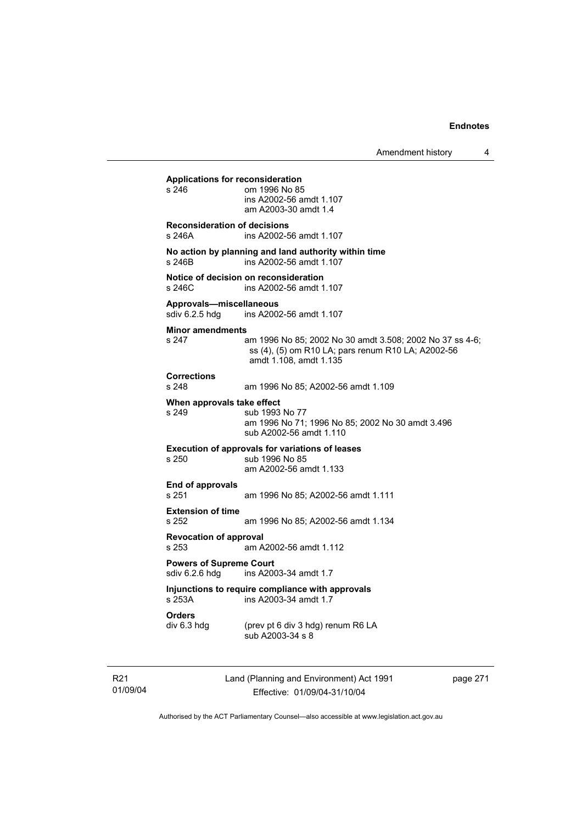**Applications for reconsideration**  om 1996 No 85 ins A2002-56 amdt 1.107 am A2003-30 amdt 1.4 **Reconsideration of decisions**  s 246A ins A2002-56 amdt 1.107 **No action by planning and land authority within time**  s 246B ins A2002-56 amdt 1.107 **Notice of decision on reconsideration**  s 246C ins A2002-56 amdt 1.107 **Approvals—miscellaneous**  ins A2002-56 amdt 1.107 **Minor amendments**  s 247 am 1996 No 85; 2002 No 30 amdt 3.508; 2002 No 37 ss 4-6; ss (4), (5) om R10 LA; pars renum R10 LA; A2002-56 amdt 1.108, amdt 1.135 **Corrections**  s 248 am 1996 No 85; A2002-56 amdt 1.109 **When approvals take effect**  sub 1993 No 77 am 1996 No 71; 1996 No 85; 2002 No 30 amdt 3.496 sub A2002-56 amdt 1.110 **Execution of approvals for variations of leases**  s 250 sub 1996 No 85 am A2002-56 amdt 1.133 **End of approvals**  s 251 am 1996 No 85; A2002-56 amdt 1.111 **Extension of time**  s 252 am 1996 No 85; A2002-56 amdt 1.134 **Revocation of approval**  s 253 am A2002-56 amdt 1.112 **Powers of Supreme Court**<br>sdiv 6.2.6 hdg ins A200 ins A2003-34 amdt 1.7 **Injunctions to require compliance with approvals**  ins A2003-34 amdt 1.7 **Orders**<br>div 6.3 hdg (prev pt 6 div 3 hdg) renum R6 LA sub A2003-34 s 8

R21 01/09/04 Land (Planning and Environment) Act 1991 Effective: 01/09/04-31/10/04

page 271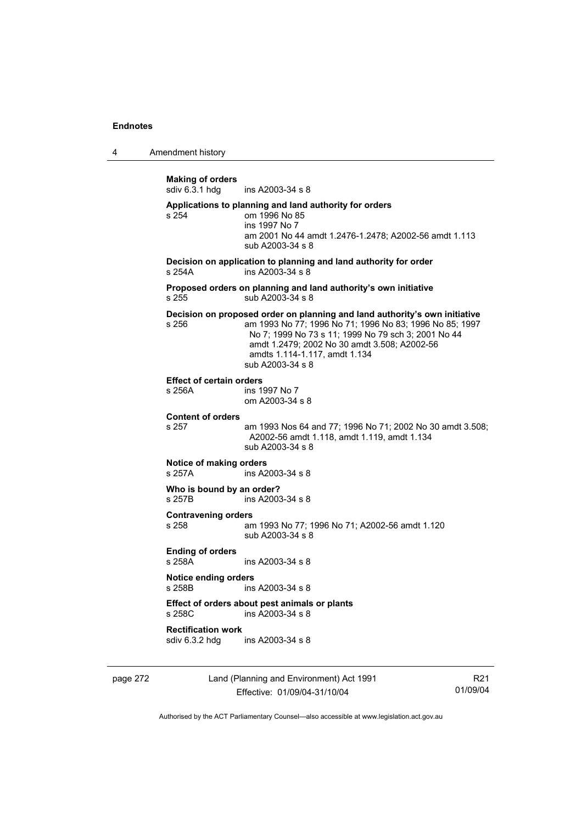4 Amendment history

page 272 Land (Planning and Environment) Act 1991 **Making of orders**  ins A2003-34 s 8 **Applications to planning and land authority for orders**  s 254 om 1996 No 85 ins 1997 No 7 am 2001 No 44 amdt 1.2476-1.2478; A2002-56 amdt 1.113 sub A2003-34 s 8 **Decision on application to planning and land authority for order**  s 254A ins A2003-34 s 8 **Proposed orders on planning and land authority's own initiative**  s 255 sub A2003-34 s 8 **Decision on proposed order on planning and land authority's own initiative**  s 256 am 1993 No 77; 1996 No 71; 1996 No 83; 1996 No 85; 1997 No 7; 1999 No 73 s 11; 1999 No 79 sch 3; 2001 No 44 amdt 1.2479; 2002 No 30 amdt 3.508; A2002-56 amdts 1.114-1.117, amdt 1.134 sub A2003-34 s 8 **Effect of certain orders**  ins 1997 No 7 om A2003-34 s 8 **Content of orders**  s 257 am 1993 Nos 64 and 77; 1996 No 71; 2002 No 30 amdt 3.508; A2002-56 amdt 1.118, amdt 1.119, amdt 1.134 sub A2003-34 s 8 **Notice of making orders**  s 257A ins A2003-34 s 8 **Who is bound by an order?**<br>s 257B **ins A2003** ins A2003-34 s 8 **Contravening orders**  s 258 am 1993 No 77; 1996 No 71; A2002-56 amdt 1.120 sub A2003-34 s 8 **Ending of orders**  s 258A ins A2003-34 s 8 **Notice ending orders**  s 258B ins A2003-34 s 8 **Effect of orders about pest animals or plants**  s 258C ins A2003-34 s 8 **Rectification work**  ins A2003-34 s 8

Effective: 01/09/04-31/10/04

R21 01/09/04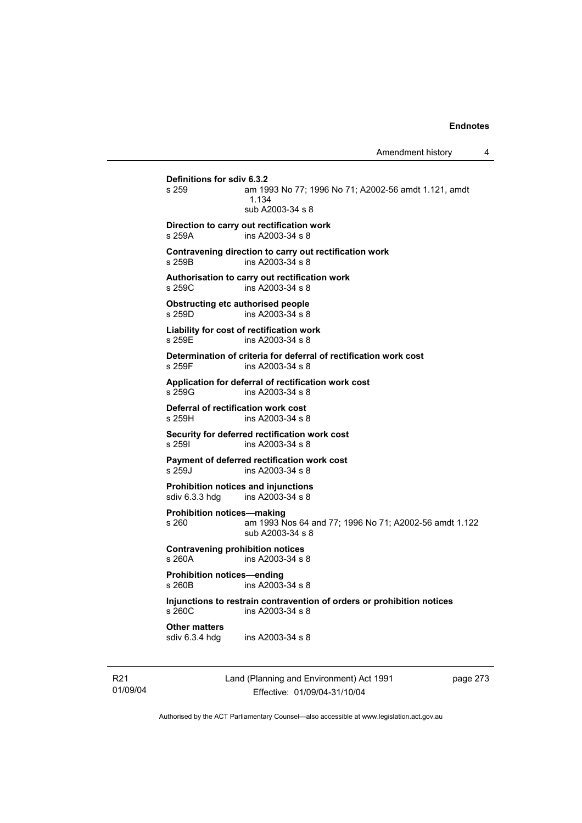# **Definitions for sdiv 6.3.2**  am 1993 No 77; 1996 No 71; A2002-56 amdt 1.121, amdt 1.134 sub A2003-34 s 8 **Direction to carry out rectification work**  s 259A ins A2003-34 s 8 **Contravening direction to carry out rectification work**  s 259B ins A2003-34 s 8 **Authorisation to carry out rectification work**  s 259C ins A2003-34 s 8 **Obstructing etc authorised people**  s 259D ins A2003-34 s 8 **Liability for cost of rectification work**  s 259E **ins A2003-34 s 8 Determination of criteria for deferral of rectification work cost**  s 259F ins A2003-34 s 8 **Application for deferral of rectification work cost**  ins A2003-34 s 8 **Deferral of rectification work cost**  s 259H ins A2003-34 s 8 **Security for deferred rectification work cost**  s 259I ins A2003-34 s 8 **Payment of deferred rectification work cost**  s 259J ins A2003-34 s 8 **Prohibition notices and injunctions**<br>sdiv 6.3.3 hdg ins A2003-34 s 8  $ins A2003-34 s 8$ **Prohibition notices—making**  s 260 am 1993 Nos 64 and 77; 1996 No 71; A2002-56 amdt 1.122 sub A2003-34 s 8 **Contravening prohibition notices**  s 260A ins A2003-34 s 8 **Prohibition notices—ending**   $ins A2003 - 34 s 8$ **Injunctions to restrain contravention of orders or prohibition notices**  s 260C ins A2003-34 s 8 **Other matters**<br>sdiv 6.3.4 hdg ins A2003-34 s 8

R21 01/09/04 Land (Planning and Environment) Act 1991 Effective: 01/09/04-31/10/04

page 273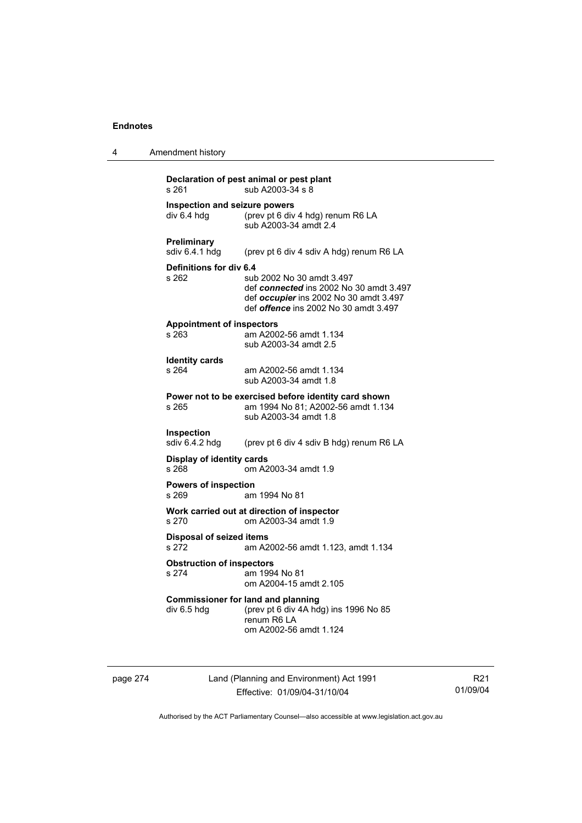| 4 | Amendment history                    |                                                                                                                                                               |                                                                                                                                                                |
|---|--------------------------------------|---------------------------------------------------------------------------------------------------------------------------------------------------------------|----------------------------------------------------------------------------------------------------------------------------------------------------------------|
|   | s 261                                |                                                                                                                                                               | Declaration of pest animal or pest plant<br>sub A2003-34 s 8                                                                                                   |
|   | div 6.4 hdg                          |                                                                                                                                                               | Inspection and seizure powers<br>(prev pt 6 div 4 hdg) renum R6 LA<br>sub A2003-34 amdt 2.4                                                                    |
|   | <b>Preliminary</b><br>sdiv 6.4.1 hdg |                                                                                                                                                               | (prev pt 6 div 4 sdiv A hdg) renum R6 LA                                                                                                                       |
|   | s 262                                | Definitions for div 6.4                                                                                                                                       | sub 2002 No 30 amdt 3.497<br>def connected ins 2002 No 30 amdt 3.497<br>def occupier ins 2002 No 30 amdt 3.497<br>def <i>offence</i> ins 2002 No 30 amdt 3.497 |
|   | s 263                                | <b>Appointment of inspectors</b>                                                                                                                              | am A2002-56 amdt 1.134<br>sub A2003-34 amdt 2.5                                                                                                                |
|   | <b>Identity cards</b><br>s 264       |                                                                                                                                                               | am A2002-56 amdt 1.134<br>sub A2003-34 amdt 1.8                                                                                                                |
|   | s 265                                |                                                                                                                                                               | Power not to be exercised before identity card shown<br>am 1994 No 81; A2002-56 amdt 1.134<br>sub A2003-34 amdt 1.8                                            |
|   | <b>Inspection</b><br>sdiv 6.4.2 hdg  |                                                                                                                                                               | (prev pt 6 div 4 sdiv B hdg) renum R6 LA                                                                                                                       |
|   | s 268                                | <b>Display of identity cards</b>                                                                                                                              | om A2003-34 amdt 1.9                                                                                                                                           |
|   | s 269                                | <b>Powers of inspection</b>                                                                                                                                   | am 1994 No 81                                                                                                                                                  |
|   | s 270                                |                                                                                                                                                               | Work carried out at direction of inspector<br>om A2003-34 amdt 1.9                                                                                             |
|   | s 272                                | <b>Disposal of seized items</b><br>am A2002-56 amdt 1.123, amdt 1.134<br><b>Obstruction of inspectors</b><br>s 274<br>am 1994 No 81<br>om A2004-15 amdt 2.105 |                                                                                                                                                                |
|   |                                      |                                                                                                                                                               |                                                                                                                                                                |
|   | div 6.5 hdg                          |                                                                                                                                                               | <b>Commissioner for land and planning</b><br>(prev pt 6 div 4A hdg) ins 1996 No 85<br>renum R6 LA<br>om A2002-56 amdt 1.124                                    |

page 274 Land (Planning and Environment) Act 1991 Effective: 01/09/04-31/10/04

R21 01/09/04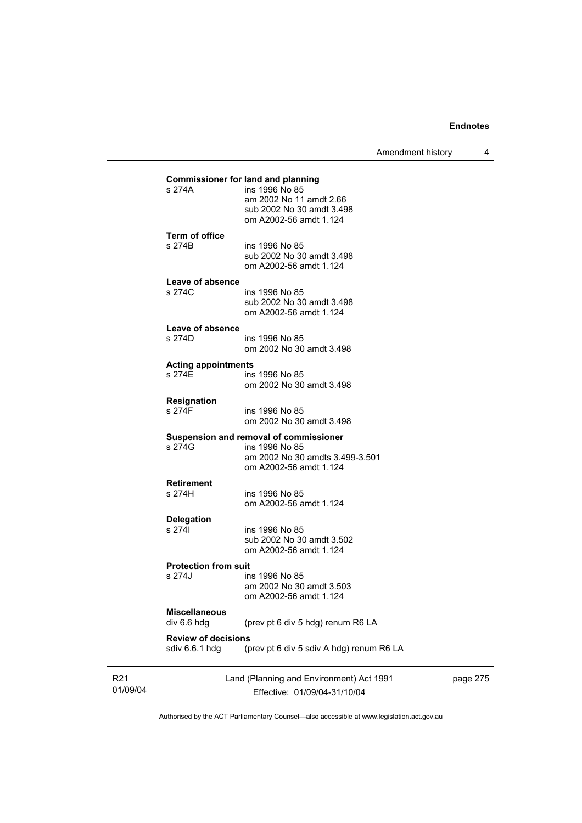Amendment history 4

| ins 1996 No 85<br>am 2002 No 30 amdt 3.503<br>om A2002-56 amdt 1.124<br>(prev pt 6 div 5 hdg) renum R6 LA<br><b>Review of decisions</b><br>(prev pt 6 div 5 sdiv A hdg) renum R6 LA |                                                                                                                                                                                                                                                                                                                                                                      |
|-------------------------------------------------------------------------------------------------------------------------------------------------------------------------------------|----------------------------------------------------------------------------------------------------------------------------------------------------------------------------------------------------------------------------------------------------------------------------------------------------------------------------------------------------------------------|
|                                                                                                                                                                                     |                                                                                                                                                                                                                                                                                                                                                                      |
|                                                                                                                                                                                     |                                                                                                                                                                                                                                                                                                                                                                      |
|                                                                                                                                                                                     |                                                                                                                                                                                                                                                                                                                                                                      |
|                                                                                                                                                                                     |                                                                                                                                                                                                                                                                                                                                                                      |
|                                                                                                                                                                                     |                                                                                                                                                                                                                                                                                                                                                                      |
| <b>Protection from suit</b>                                                                                                                                                         |                                                                                                                                                                                                                                                                                                                                                                      |
| om A2002-56 amdt 1.124                                                                                                                                                              |                                                                                                                                                                                                                                                                                                                                                                      |
|                                                                                                                                                                                     |                                                                                                                                                                                                                                                                                                                                                                      |
|                                                                                                                                                                                     |                                                                                                                                                                                                                                                                                                                                                                      |
|                                                                                                                                                                                     |                                                                                                                                                                                                                                                                                                                                                                      |
| ins 1996 No 85                                                                                                                                                                      |                                                                                                                                                                                                                                                                                                                                                                      |
|                                                                                                                                                                                     |                                                                                                                                                                                                                                                                                                                                                                      |
| om A2002-56 amdt 1.124                                                                                                                                                              |                                                                                                                                                                                                                                                                                                                                                                      |
| ins 1996 No 85                                                                                                                                                                      |                                                                                                                                                                                                                                                                                                                                                                      |
| Suspension and removal of commissioner                                                                                                                                              |                                                                                                                                                                                                                                                                                                                                                                      |
| om 2002 No 30 amdt 3.498                                                                                                                                                            |                                                                                                                                                                                                                                                                                                                                                                      |
| ins 1996 No 85                                                                                                                                                                      |                                                                                                                                                                                                                                                                                                                                                                      |
|                                                                                                                                                                                     |                                                                                                                                                                                                                                                                                                                                                                      |
| om 2002 No 30 amdt 3.498                                                                                                                                                            |                                                                                                                                                                                                                                                                                                                                                                      |
|                                                                                                                                                                                     |                                                                                                                                                                                                                                                                                                                                                                      |
|                                                                                                                                                                                     |                                                                                                                                                                                                                                                                                                                                                                      |
| ins 1996 No 85                                                                                                                                                                      |                                                                                                                                                                                                                                                                                                                                                                      |
| Leave of absence                                                                                                                                                                    |                                                                                                                                                                                                                                                                                                                                                                      |
| om A2002-56 amdt 1.124                                                                                                                                                              |                                                                                                                                                                                                                                                                                                                                                                      |
| sub 2002 No 30 amdt 3.498                                                                                                                                                           |                                                                                                                                                                                                                                                                                                                                                                      |
| ins 1996 No 85                                                                                                                                                                      |                                                                                                                                                                                                                                                                                                                                                                      |
|                                                                                                                                                                                     |                                                                                                                                                                                                                                                                                                                                                                      |
|                                                                                                                                                                                     |                                                                                                                                                                                                                                                                                                                                                                      |
| ins 1996 No 85                                                                                                                                                                      |                                                                                                                                                                                                                                                                                                                                                                      |
|                                                                                                                                                                                     |                                                                                                                                                                                                                                                                                                                                                                      |
| om A2002-56 amdt 1.124                                                                                                                                                              |                                                                                                                                                                                                                                                                                                                                                                      |
|                                                                                                                                                                                     |                                                                                                                                                                                                                                                                                                                                                                      |
| ins 1996 No 85                                                                                                                                                                      |                                                                                                                                                                                                                                                                                                                                                                      |
|                                                                                                                                                                                     | <b>Commissioner for land and planning</b><br>am 2002 No 11 amdt 2.66<br>sub 2002 No 30 amdt 3.498<br>sub 2002 No 30 amdt 3.498<br>om A2002-56 amdt 1.124<br>Leave of absence<br>om 2002 No 30 amdt 3.498<br><b>Acting appointments</b><br>ins 1996 No 85<br>am 2002 No 30 amdts 3.499-3.501<br>om A2002-56 amdt 1.124<br>ins 1996 No 85<br>sub 2002 No 30 amdt 3.502 |

R21 01/09/04

Effective: 01/09/04-31/10/04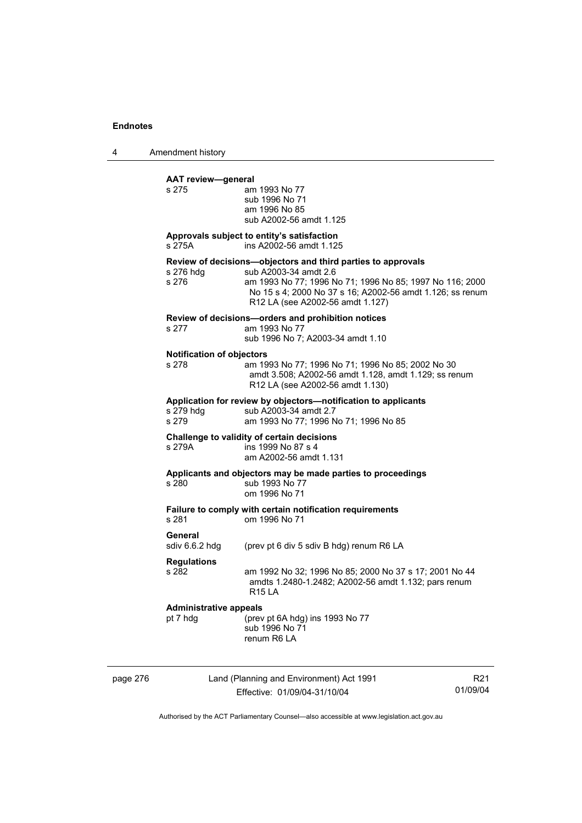4 Amendment history

|          | <b>AAT review-general</b>                 |                                                                                                                                                                                                                                                    |                 |
|----------|-------------------------------------------|----------------------------------------------------------------------------------------------------------------------------------------------------------------------------------------------------------------------------------------------------|-----------------|
|          | s 275                                     | am 1993 No 77<br>sub 1996 No 71<br>am 1996 No 85<br>sub A2002-56 amdt 1.125                                                                                                                                                                        |                 |
|          | s 275A                                    | Approvals subject to entity's satisfaction<br>ins A2002-56 amdt 1.125                                                                                                                                                                              |                 |
|          | s 276 hdg<br>s 276                        | Review of decisions-objectors and third parties to approvals<br>sub A2003-34 amdt 2.6<br>am 1993 No 77; 1996 No 71; 1996 No 85; 1997 No 116; 2000<br>No 15 s 4; 2000 No 37 s 16; A2002-56 amdt 1.126; ss renum<br>R12 LA (see A2002-56 amdt 1.127) |                 |
|          | s 277                                     | Review of decisions-orders and prohibition notices<br>am 1993 No 77<br>sub 1996 No 7; A2003-34 amdt 1.10                                                                                                                                           |                 |
|          | <b>Notification of objectors</b><br>s 278 | am 1993 No 77; 1996 No 71; 1996 No 85; 2002 No 30<br>amdt 3.508; A2002-56 amdt 1.128, amdt 1.129; ss renum<br>R12 LA (see A2002-56 amdt 1.130)                                                                                                     |                 |
|          | s 279 hdg<br>s 279                        | Application for review by objectors-notification to applicants<br>sub A2003-34 amdt 2.7<br>am 1993 No 77; 1996 No 71; 1996 No 85                                                                                                                   |                 |
|          | s 279A                                    | Challenge to validity of certain decisions<br>ins 1999 No 87 s 4<br>am A2002-56 amdt 1.131                                                                                                                                                         |                 |
|          | s 280                                     | Applicants and objectors may be made parties to proceedings<br>sub 1993 No 77<br>om 1996 No 71                                                                                                                                                     |                 |
|          | s 281                                     | Failure to comply with certain notification requirements<br>om 1996 No 71                                                                                                                                                                          |                 |
|          | General<br>sdiv 6.6.2 hdg                 | (prev pt 6 div 5 sdiv B hdg) renum R6 LA                                                                                                                                                                                                           |                 |
|          | <b>Regulations</b><br>s 282               | am 1992 No 32; 1996 No 85; 2000 No 37 s 17; 2001 No 44<br>amdts 1.2480-1.2482; A2002-56 amdt 1.132; pars renum<br><b>R15 LA</b>                                                                                                                    |                 |
|          | <b>Administrative appeals</b><br>pt 7 hdg | (prev pt 6A hdg) ins 1993 No 77<br>sub 1996 No 71<br>renum R6 LA                                                                                                                                                                                   |                 |
| page 276 |                                           | Land (Planning and Environment) Act 1991                                                                                                                                                                                                           | R <sub>21</sub> |

Effective: 01/09/04-31/10/04

01/09/04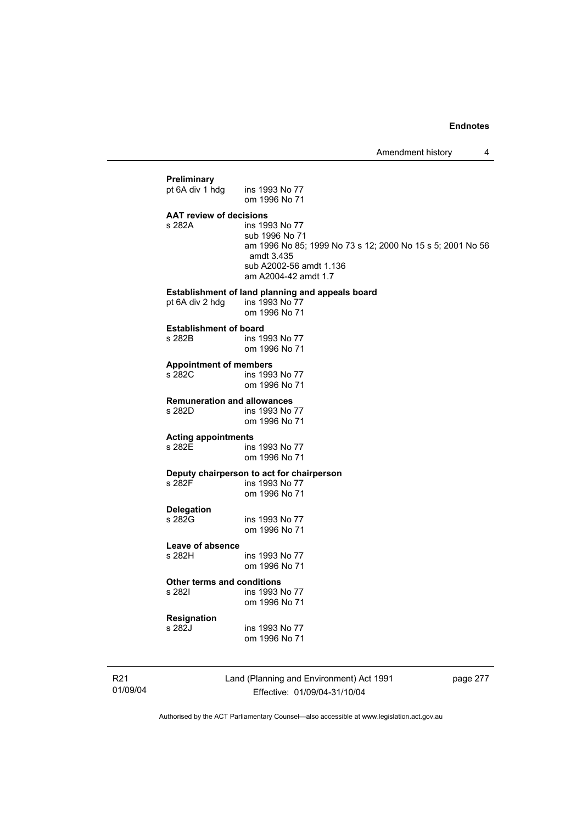## **Preliminary**  pt 6A div 1 hdg ins 1993 No 77 om 1996 No 71 **AAT review of decisions**  ins 1993 No 77 sub 1996 No 71 am 1996 No 85; 1999 No 73 s 12; 2000 No 15 s 5; 2001 No 56 amdt 3.435 sub A2002-56 amdt 1.136 am A2004-42 amdt 1.7 **Establishment of land planning and appeals board** pt 6A div 2 hdg ins 1993 No 77 pt 6A div 2 hdg om 1996 No 71 **Establishment of board**<br>**s** 282B **ins** 19 ins 1993 No 77 om 1996 No 71 **Appointment of members**  ins 1993 No 77 om 1996 No 71 **Remuneration and allowances**  ins 1993 No 77 om 1996 No 71 **Acting appointments**  s 282E ins 1993 No 77 om 1996 No 71 **Deputy chairperson to act for chairperson**  ins 1993 No 77 om 1996 No 71 **Delegation**  ins 1993 No 77 om 1996 No 71 **Leave of absence**  s 282H ins 1993 No 77 om 1996 No 71 **Other terms and conditions**  s 282I ins 1993 No 77 om 1996 No 71 **Resignation**  s 282J ins 1993 No 77 om 1996 No 71

R21 01/09/04 Land (Planning and Environment) Act 1991 Effective: 01/09/04-31/10/04

page 277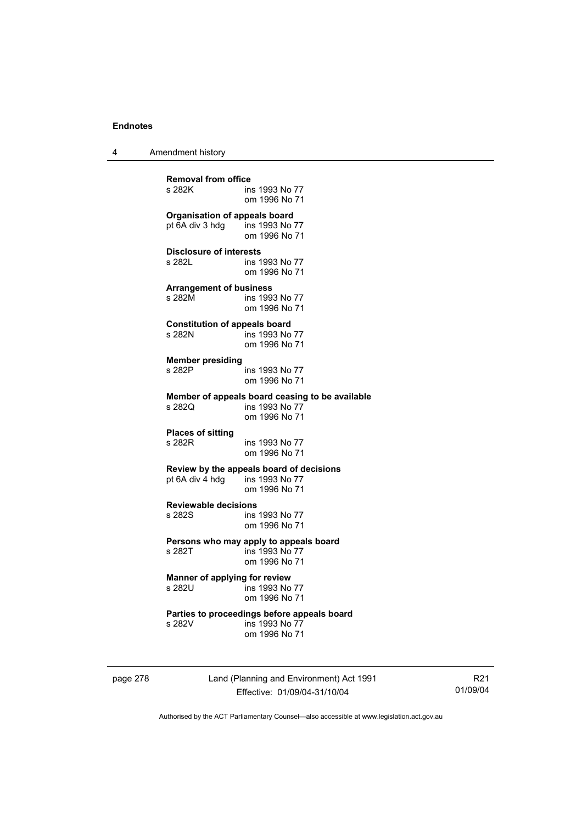4 Amendment history

**Removal from office**  ins 1993 No 77 om 1996 No 71 **Organisation of appeals board**<br>pt 6A div 3 hdg ins 1993 No 77 pt  $6A$  div 3 hdg om 1996 No 71 **Disclosure of interests**  s 282L ins 1993 No 77 om 1996 No 71 **Arrangement of business**  s 282M ins 1993 No 77 om 1996 No 71 **Constitution of appeals board**  s 282N ins 1993 No 77 om 1996 No 71 **Member presiding**  ins 1993 No 77 om 1996 No 71 **Member of appeals board ceasing to be available**  s 282Q ins 1993 No 77 om 1996 No 71 **Places of sitting**  ins 1993 No 77 om 1996 No 71 **Review by the appeals board of decisions**  pt 6A div 4 hdg om 1996 No 71 **Reviewable decisions**  s 282S ins 1993 No 77 om 1996 No 71 **Persons who may apply to appeals board**<br>s 282T ins 1993 No 77 ins 1993 No 77 om 1996 No 71 **Manner of applying for review**<br>s 282U<br>ins 1993 No  $\overline{5}$  ins 1993 No 77 om 1996 No 71 **Parties to proceedings before appeals board**  s 282V ins 1993 No 77 om 1996 No 71

page 278 Land (Planning and Environment) Act 1991 Effective: 01/09/04-31/10/04

R21 01/09/04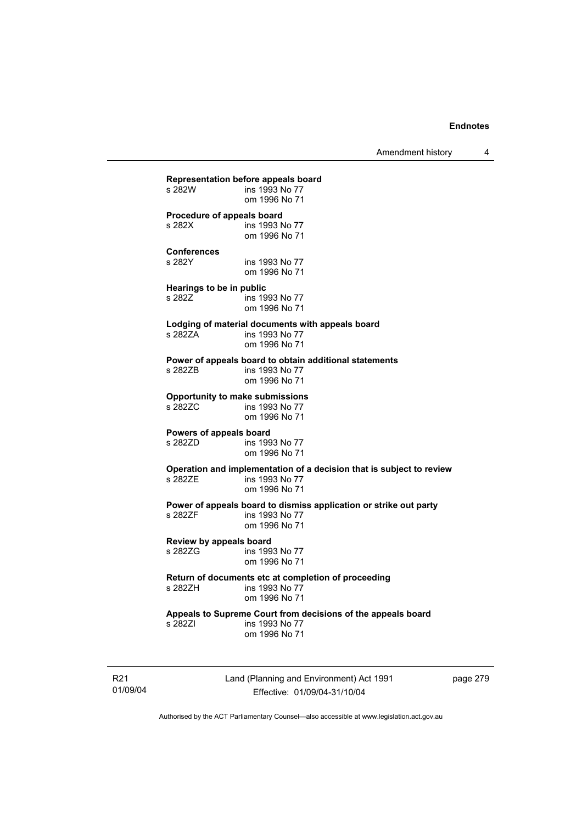Amendment history 4

**Representation before appeals board**  ins 1993 No 77 om 1996 No 71 **Procedure of appeals board**<br>s 282X **ins 1993** ins 1993 No 77 om 1996 No 71 **Conferences**  s 282Y ins 1993 No 77 om 1996 No 71 **Hearings to be in public s 282Z** ins 19 ins 1993 No 77 om 1996 No 71 **Lodging of material documents with appeals board**  s 282ZA ins 1993 No 77 om 1996 No 71 **Power of appeals board to obtain additional statements**  ins 1993 No 77 om 1996 No 71 **Opportunity to make submissions**  ins 1993 No 77 om 1996 No 71 **Powers of appeals board**  ins 1993 No 77 om 1996 No 71 **Operation and implementation of a decision that is subject to review**  ins 1993 No 77 om 1996 No 71 **Power of appeals board to dismiss application or strike out party**  s 282ZF ins 1993 No 77 om 1996 No 71 **Review by appeals board**  ins 1993 No 77 om 1996 No 71 **Return of documents etc at completion of proceeding**   $ins$  1993 No 77 om 1996 No 71 **Appeals to Supreme Court from decisions of the appeals board**  s 282ZI ins 1993 No 77 om 1996 No 71

R21 01/09/04 Land (Planning and Environment) Act 1991 Effective: 01/09/04-31/10/04

page 279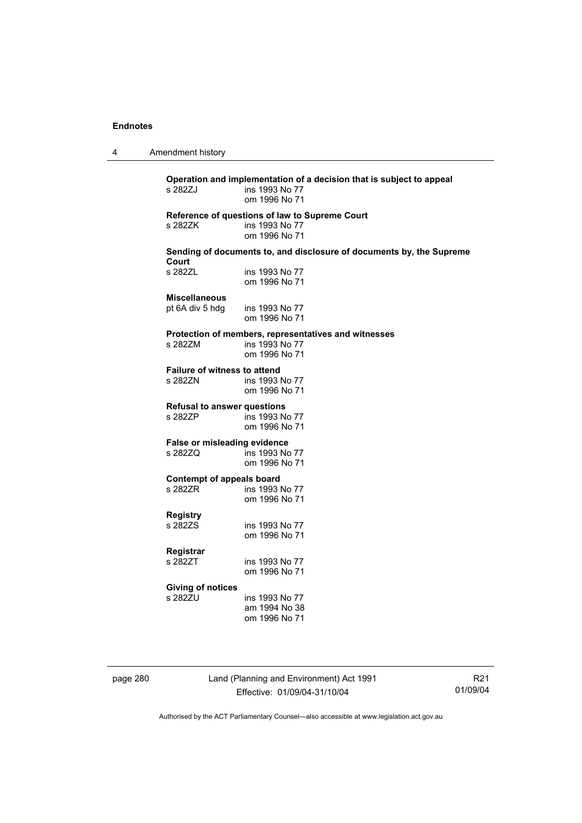4 Amendment history

**Operation and implementation of a decision that is subject to appeal**  ins 1993 No 77 om 1996 No 71 **Reference of questions of law to Supreme Court**  s 282ZK ins 1993 No 77 om 1996 No 71 **Sending of documents to, and disclosure of documents by, the Supreme Court**  ins 1993 No 77 om 1996 No 71 **Miscellaneous**  pt 6A div 5 hdg ins 1993 No 77 om 1996 No 71 **Protection of members, representatives and witnesses**  ins 1993 No 77 om 1996 No 71 **Failure of witness to attend**  s 282ZN ins 1993 No 77 om 1996 No 71 **Refusal to answer questions**  s 282ZP ins 1993 No 77 om 1996 No 71 **False or misleading evidence**  s 282ZQ ins 1993 No 77 om 1996 No 71 **Contempt of appeals board**  ins 1993 No 77 om 1996 No 71 **Registry**  ins 1993 No 77 om 1996 No 71 **Registrar**  ins 1993 No 77 om 1996 No 71 **Giving of notices**  ins 1993 No 77 am 1994 No 38 om 1996 No 71

page 280 Land (Planning and Environment) Act 1991 Effective: 01/09/04-31/10/04

R21 01/09/04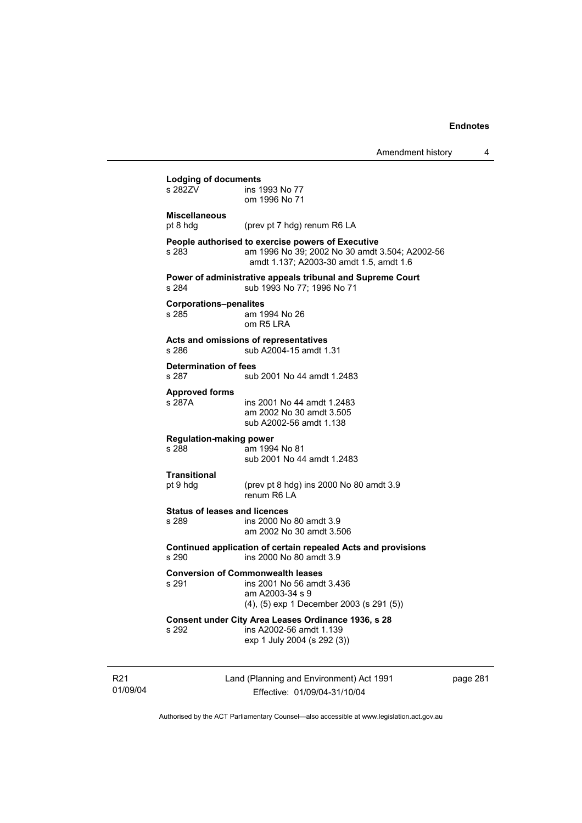| <b>Lodging of documents</b><br>s 282ZV        | ins 1993 No 77                                                                                                                                 |
|-----------------------------------------------|------------------------------------------------------------------------------------------------------------------------------------------------|
|                                               | om 1996 No 71                                                                                                                                  |
| <b>Miscellaneous</b><br>pt 8 hdg              | (prev pt 7 hdg) renum R6 LA                                                                                                                    |
| s 283                                         | People authorised to exercise powers of Executive<br>am 1996 No 39; 2002 No 30 amdt 3.504; A2002-56<br>amdt 1.137; A2003-30 amdt 1.5, amdt 1.6 |
| s 284                                         | Power of administrative appeals tribunal and Supreme Court<br>sub 1993 No 77; 1996 No 71                                                       |
| <b>Corporations-penalites</b><br>s 285        | am 1994 No 26<br>om R5 LRA                                                                                                                     |
| s 286                                         | Acts and omissions of representatives<br>sub A2004-15 amdt 1.31                                                                                |
| Determination of fees<br>s 287                | sub 2001 No 44 amdt 1.2483                                                                                                                     |
| <b>Approved forms</b><br>s 287A               | ins 2001 No 44 amdt 1.2483<br>am 2002 No 30 amdt 3.505<br>sub A2002-56 amdt 1.138                                                              |
| <b>Regulation-making power</b><br>s 288       | am 1994 No 81<br>sub 2001 No 44 amdt 1.2483                                                                                                    |
| <b>Transitional</b><br>pt 9 hdg               | (prev pt 8 hdg) ins 2000 No 80 amdt 3.9<br>renum R6 LA                                                                                         |
| <b>Status of leases and licences</b><br>s 289 | ins 2000 No 80 amdt 3.9<br>am 2002 No 30 amdt 3.506                                                                                            |
| s 290                                         | Continued application of certain repealed Acts and provisions<br>ins 2000 No 80 amdt 3.9                                                       |
| s 291                                         | <b>Conversion of Commonwealth leases</b><br>ins 2001 No 56 amdt 3.436<br>am A2003-34 s 9<br>(4), (5) exp 1 December 2003 (s 291 (5))           |
|                                               | Consent under City Area Leases Ordinance 1936, s 28                                                                                            |

R21 01/09/04

Effective: 01/09/04-31/10/04

page 281

 $\overline{\phantom{a}}$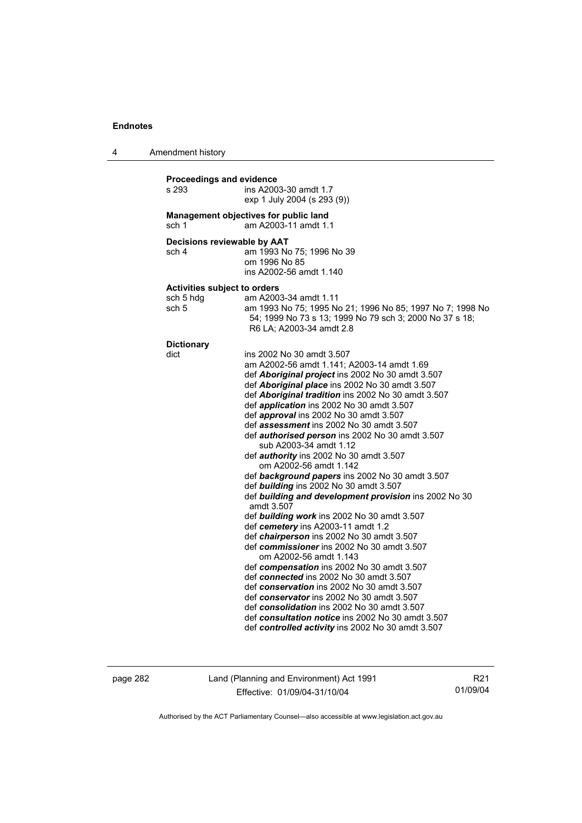4 Amendment history

| s 293                                | Proceedings and evidence<br>ins A2003-30 amdt 1.7<br>exp 1 July 2004 (s 293 (9))                                                                                                                                                                                                                                                                                                                                                                                                                                                                                                                                                                                                                                                                          |  |  |
|--------------------------------------|-----------------------------------------------------------------------------------------------------------------------------------------------------------------------------------------------------------------------------------------------------------------------------------------------------------------------------------------------------------------------------------------------------------------------------------------------------------------------------------------------------------------------------------------------------------------------------------------------------------------------------------------------------------------------------------------------------------------------------------------------------------|--|--|
| sch 1                                | Management objectives for public land<br>am A2003-11 amdt 1.1                                                                                                                                                                                                                                                                                                                                                                                                                                                                                                                                                                                                                                                                                             |  |  |
| Decisions reviewable by AAT<br>sch 4 | am 1993 No 75; 1996 No 39<br>om 1996 No 85<br>ins A2002-56 amdt 1.140                                                                                                                                                                                                                                                                                                                                                                                                                                                                                                                                                                                                                                                                                     |  |  |
|                                      |                                                                                                                                                                                                                                                                                                                                                                                                                                                                                                                                                                                                                                                                                                                                                           |  |  |
| <b>Activities subject to orders</b>  |                                                                                                                                                                                                                                                                                                                                                                                                                                                                                                                                                                                                                                                                                                                                                           |  |  |
| sch 5 hdg<br>sch 5                   | am A2003-34 amdt 1.11<br>am 1993 No 75; 1995 No 21; 1996 No 85; 1997 No 7; 1998 No<br>54; 1999 No 73 s 13; 1999 No 79 sch 3; 2000 No 37 s 18;<br>R6 LA; A2003-34 amdt 2.8                                                                                                                                                                                                                                                                                                                                                                                                                                                                                                                                                                                 |  |  |
| <b>Dictionary</b>                    |                                                                                                                                                                                                                                                                                                                                                                                                                                                                                                                                                                                                                                                                                                                                                           |  |  |
| dict                                 | ins 2002 No 30 amdt 3.507<br>am A2002-56 amdt 1.141; A2003-14 amdt 1.69<br>def <b>Aboriginal project</b> ins 2002 No 30 amdt 3.507<br>def Aboriginal place ins 2002 No 30 amdt 3.507<br>def Aboriginal tradition ins 2002 No 30 amdt 3.507<br>def application ins 2002 No 30 amdt 3.507<br>def approval ins 2002 No 30 amdt 3.507<br>def assessment ins 2002 No 30 amdt 3.507<br>def authorised person ins 2002 No 30 amdt 3.507<br>sub A2003-34 amdt 1.12<br>def <i>authority</i> ins 2002 No 30 amdt 3.507<br>om A2002-56 amdt 1.142<br>def background papers ins 2002 No 30 amdt 3.507<br>def building ins 2002 No 30 amdt 3.507<br>def building and development provision ins 2002 No 30<br>amdt 3.507<br>def building work ins 2002 No 30 amdt 3.507 |  |  |
|                                      | def cemetery ins A2003-11 amdt 1.2<br>def <i>chairperson</i> ins 2002 No 30 amdt 3.507<br>def commissioner ins 2002 No 30 amdt 3.507<br>om A2002-56 amdt 1.143                                                                                                                                                                                                                                                                                                                                                                                                                                                                                                                                                                                            |  |  |
|                                      | def compensation ins 2002 No 30 amdt 3.507<br>def connected ins 2002 No 30 amdt 3.507<br>def conservation ins 2002 No 30 amdt 3.507<br>def conservator ins 2002 No 30 amdt 3.507<br>def consolidation ins 2002 No 30 amdt 3.507<br>def consultation notice ins 2002 No 30 amdt 3.507<br>def controlled activity ins 2002 No 30 amdt 3.507                                                                                                                                                                                                                                                                                                                                                                                                                 |  |  |

page 282 Land (Planning and Environment) Act 1991 Effective: 01/09/04-31/10/04

R21 01/09/04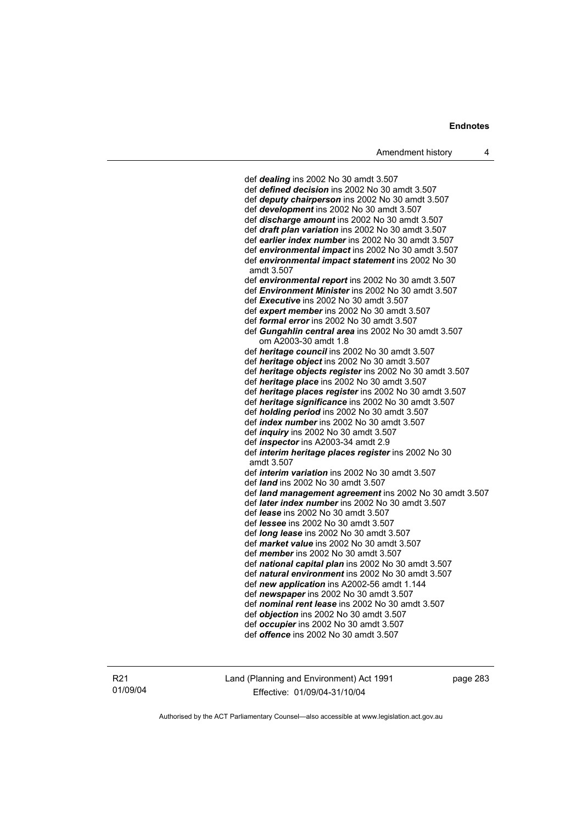def *dealing* ins 2002 No 30 amdt 3.507 def *defined decision* ins 2002 No 30 amdt 3.507 def *deputy chairperson* ins 2002 No 30 amdt 3.507 def *development* ins 2002 No 30 amdt 3.507 def *discharge amount* ins 2002 No 30 amdt 3.507 def *draft plan variation* ins 2002 No 30 amdt 3.507 def *earlier index number* ins 2002 No 30 amdt 3.507 def *environmental impact* ins 2002 No 30 amdt 3.507 def *environmental impact statement* ins 2002 No 30 amdt 3.507 def *environmental report* ins 2002 No 30 amdt 3.507 def *Environment Minister* ins 2002 No 30 amdt 3.507 def *Executive* ins 2002 No 30 amdt 3.507 def *expert member* ins 2002 No 30 amdt 3.507 def *formal error* ins 2002 No 30 amdt 3.507 def *Gungahlin central area* ins 2002 No 30 amdt 3.507 om A2003-30 amdt 1.8 def *heritage council* ins 2002 No 30 amdt 3.507 def *heritage object* ins 2002 No 30 amdt 3.507 def *heritage objects register* ins 2002 No 30 amdt 3.507 def *heritage place* ins 2002 No 30 amdt 3.507 def *heritage places register* ins 2002 No 30 amdt 3.507 def *heritage significance* ins 2002 No 30 amdt 3.507 def *holding period* ins 2002 No 30 amdt 3.507 def *index number* ins 2002 No 30 amdt 3.507 def *inquiry* ins 2002 No 30 amdt 3.507 def *inspector* ins A2003-34 amdt 2.9 def *interim heritage places register* ins 2002 No 30 amdt 3.507 def *interim variation* ins 2002 No 30 amdt 3.507 def *land* ins 2002 No 30 amdt 3.507 def *land management agreement* ins 2002 No 30 amdt 3.507 def *later index number* ins 2002 No 30 amdt 3.507 def *lease* ins 2002 No 30 amdt 3.507 def *lessee* ins 2002 No 30 amdt 3.507 def *long lease* ins 2002 No 30 amdt 3.507 def *market value* ins 2002 No 30 amdt 3.507 def *member* ins 2002 No 30 amdt 3.507 def *national capital plan* ins 2002 No 30 amdt 3.507 def *natural environment* ins 2002 No 30 amdt 3.507 def *new application* ins A2002-56 amdt 1.144 def *newspaper* ins 2002 No 30 amdt 3.507 def *nominal rent lease* ins 2002 No 30 amdt 3.507 def *objection* ins 2002 No 30 amdt 3.507 def *occupier* ins 2002 No 30 amdt 3.507 def *offence* ins 2002 No 30 amdt 3.507

R21 01/09/04 Land (Planning and Environment) Act 1991 Effective: 01/09/04-31/10/04

page 283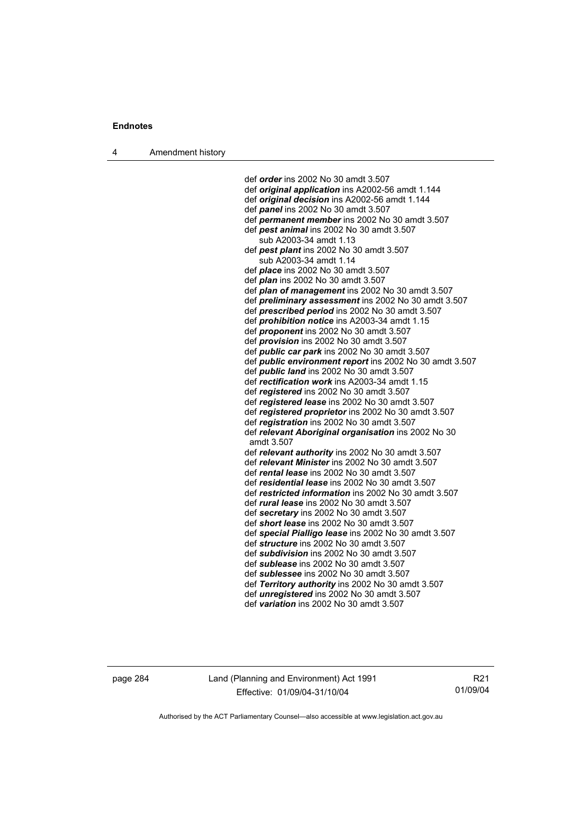4 Amendment history

 def *order* ins 2002 No 30 amdt 3.507 def *original application* ins A2002-56 amdt 1.144 def *original decision* ins A2002-56 amdt 1.144 def *panel* ins 2002 No 30 amdt 3.507 def *permanent member* ins 2002 No 30 amdt 3.507 def *pest animal* ins 2002 No 30 amdt 3.507 sub A2003-34 amdt 1.13 def *pest plant* ins 2002 No 30 amdt 3.507 sub A2003-34 amdt 1.14 def *place* ins 2002 No 30 amdt 3.507 def *plan* ins 2002 No 30 amdt 3.507 def *plan of management* ins 2002 No 30 amdt 3.507 def *preliminary assessment* ins 2002 No 30 amdt 3.507 def *prescribed period* ins 2002 No 30 amdt 3.507 def *prohibition notice* ins A2003-34 amdt 1.15 def *proponent* ins 2002 No 30 amdt 3.507 def *provision* ins 2002 No 30 amdt 3.507 def *public car park* ins 2002 No 30 amdt 3.507 def *public environment report* ins 2002 No 30 amdt 3.507 def *public land* ins 2002 No 30 amdt 3.507 def *rectification work* ins A2003-34 amdt 1.15 def *registered* ins 2002 No 30 amdt 3.507 def *registered lease* ins 2002 No 30 amdt 3.507 def *registered proprietor* ins 2002 No 30 amdt 3.507 def *registration* ins 2002 No 30 amdt 3.507 def *relevant Aboriginal organisation* ins 2002 No 30 amdt 3.507 def *relevant authority* ins 2002 No 30 amdt 3.507 def *relevant Minister* ins 2002 No 30 amdt 3.507 def *rental lease* ins 2002 No 30 amdt 3.507 def *residential lease* ins 2002 No 30 amdt 3.507 def *restricted information* ins 2002 No 30 amdt 3.507 def *rural lease* ins 2002 No 30 amdt 3.507 def *secretary* ins 2002 No 30 amdt 3.507 def *short lease* ins 2002 No 30 amdt 3.507 def *special Pialligo lease* ins 2002 No 30 amdt 3.507 def *structure* ins 2002 No 30 amdt 3.507 def *subdivision* ins 2002 No 30 amdt 3.507 def *sublease* ins 2002 No 30 amdt 3.507 def *sublessee* ins 2002 No 30 amdt 3.507 def *Territory authority* ins 2002 No 30 amdt 3.507 def *unregistered* ins 2002 No 30 amdt 3.507 def *variation* ins 2002 No 30 amdt 3.507

page 284 Land (Planning and Environment) Act 1991 Effective: 01/09/04-31/10/04

R21 01/09/04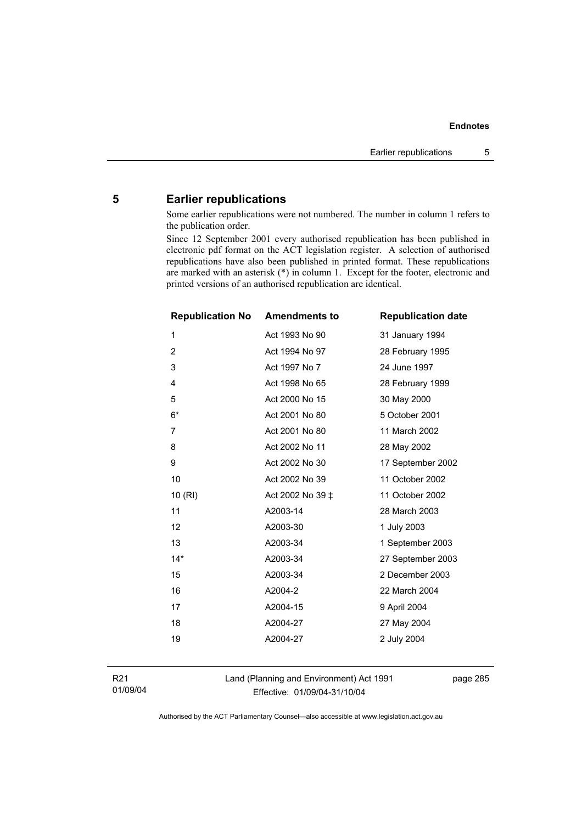# **5 Earlier republications**

Some earlier republications were not numbered. The number in column 1 refers to the publication order.

Since 12 September 2001 every authorised republication has been published in electronic pdf format on the ACT legislation register. A selection of authorised republications have also been published in printed format. These republications are marked with an asterisk (\*) in column 1. Except for the footer, electronic and printed versions of an authorised republication are identical.

| <b>Republication No</b> | <b>Amendments to</b> | <b>Republication date</b> |
|-------------------------|----------------------|---------------------------|
| 1                       | Act 1993 No 90       | 31 January 1994           |
| $\overline{2}$          | Act 1994 No 97       | 28 February 1995          |
| 3                       | Act 1997 No 7        | 24 June 1997              |
| 4                       | Act 1998 No 65       | 28 February 1999          |
| 5                       | Act 2000 No 15       | 30 May 2000               |
| $6*$                    | Act 2001 No 80       | 5 October 2001            |
| 7                       | Act 2001 No 80       | 11 March 2002             |
| 8                       | Act 2002 No 11       | 28 May 2002               |
| 9                       | Act 2002 No 30       | 17 September 2002         |
| 10                      | Act 2002 No 39       | 11 October 2002           |
| 10(RI)                  | Act 2002 No 39 ‡     | 11 October 2002           |
| 11                      | A2003-14             | 28 March 2003             |
| 12                      | A2003-30             | 1 July 2003               |
| 13                      | A2003-34             | 1 September 2003          |
| $14*$                   | A2003-34             | 27 September 2003         |
| 15                      | A2003-34             | 2 December 2003           |
| 16                      | A2004-2              | 22 March 2004             |
| 17                      | A2004-15             | 9 April 2004              |
| 18                      | A2004-27             | 27 May 2004               |
| 19                      | A2004-27             | 2 July 2004               |
|                         |                      |                           |

R21 01/09/04 Land (Planning and Environment) Act 1991 Effective: 01/09/04-31/10/04

page 285